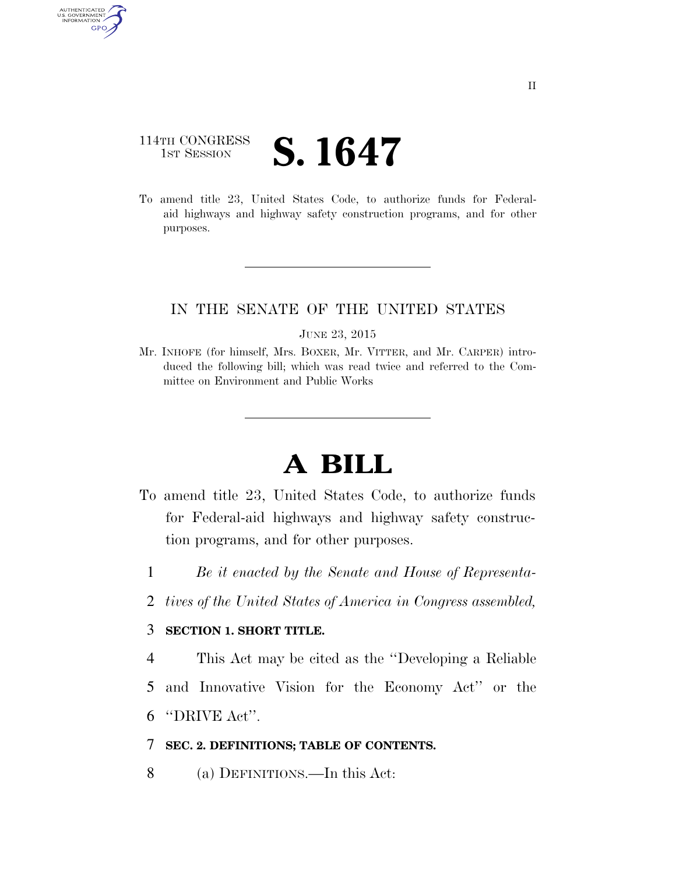# 114TH CONGRESS **1ST SESSION S. 1647**

AUTHENTICATED<br>U.S. GOVERNMENT<br>INFORMATION GPO

> To amend title 23, United States Code, to authorize funds for Federalaid highways and highway safety construction programs, and for other purposes.

# IN THE SENATE OF THE UNITED STATES

# JUNE 23, 2015

Mr. INHOFE (for himself, Mrs. BOXER, Mr. VITTER, and Mr. CARPER) introduced the following bill; which was read twice and referred to the Committee on Environment and Public Works

# **A BILL**

- To amend title 23, United States Code, to authorize funds for Federal-aid highways and highway safety construction programs, and for other purposes.
	- 1 *Be it enacted by the Senate and House of Representa-*
	- 2 *tives of the United States of America in Congress assembled,*

# 3 **SECTION 1. SHORT TITLE.**

4 This Act may be cited as the ''Developing a Reliable 5 and Innovative Vision for the Economy Act'' or the 6 ''DRIVE Act''.

# 7 **SEC. 2. DEFINITIONS; TABLE OF CONTENTS.**

8 (a) DEFINITIONS.—In this Act: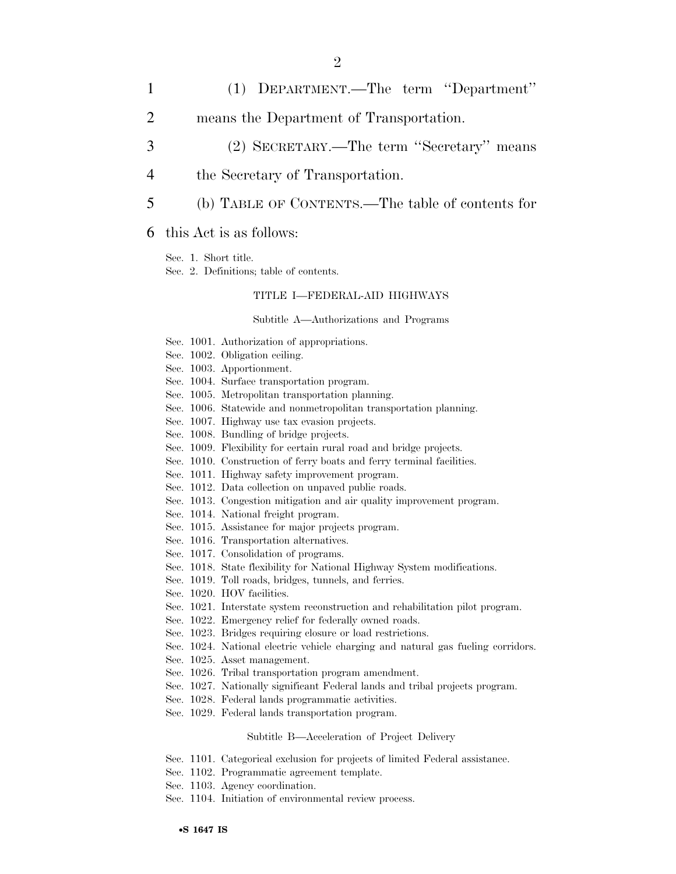- 1 (1) DEPARTMENT.—The term ''Department''
- 2 means the Department of Transportation.
- 3 (2) SECRETARY.—The term ''Secretary'' means
- 4 the Secretary of Transportation.
- 5 (b) TABLE OF CONTENTS.—The table of contents for

# 6 this Act is as follows:

Sec. 1. Short title.

Sec. 2. Definitions; table of contents.

## TITLE I—FEDERAL-AID HIGHWAYS

#### Subtitle A—Authorizations and Programs

- Sec. 1001. Authorization of appropriations.
- Sec. 1002. Obligation ceiling.
- Sec. 1003. Apportionment.
- Sec. 1004. Surface transportation program.
- Sec. 1005. Metropolitan transportation planning.
- Sec. 1006. Statewide and nonmetropolitan transportation planning.
- Sec. 1007. Highway use tax evasion projects.
- Sec. 1008. Bundling of bridge projects.
- Sec. 1009. Flexibility for certain rural road and bridge projects.
- Sec. 1010. Construction of ferry boats and ferry terminal facilities.
- Sec. 1011. Highway safety improvement program.
- Sec. 1012. Data collection on unpaved public roads.
- Sec. 1013. Congestion mitigation and air quality improvement program.
- Sec. 1014. National freight program.
- Sec. 1015. Assistance for major projects program.
- Sec. 1016. Transportation alternatives.
- Sec. 1017. Consolidation of programs.
- Sec. 1018. State flexibility for National Highway System modifications.
- Sec. 1019. Toll roads, bridges, tunnels, and ferries.
- Sec. 1020. HOV facilities.
- Sec. 1021. Interstate system reconstruction and rehabilitation pilot program.
- Sec. 1022. Emergency relief for federally owned roads.
- Sec. 1023. Bridges requiring closure or load restrictions.
- Sec. 1024. National electric vehicle charging and natural gas fueling corridors.
- Sec. 1025. Asset management.
- Sec. 1026. Tribal transportation program amendment.
- Sec. 1027. Nationally significant Federal lands and tribal projects program.
- Sec. 1028. Federal lands programmatic activities.
- Sec. 1029. Federal lands transportation program.

#### Subtitle B—Acceleration of Project Delivery

- Sec. 1101. Categorical exclusion for projects of limited Federal assistance.
- Sec. 1102. Programmatic agreement template.
- Sec. 1103. Agency coordination.
- Sec. 1104. Initiation of environmental review process.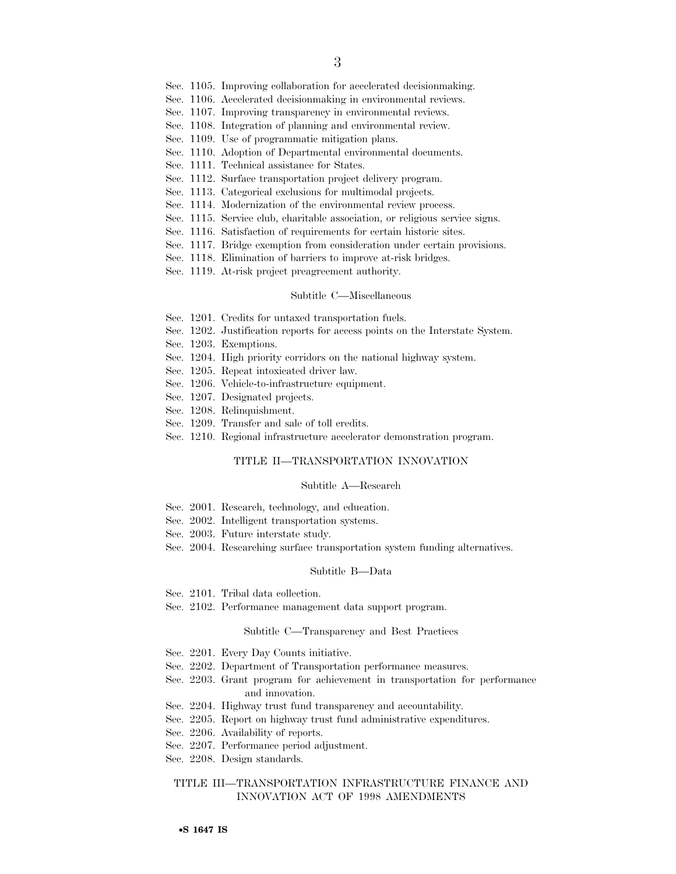- Sec. 1105. Improving collaboration for accelerated decisionmaking.
- Sec. 1106. Accelerated decisionmaking in environmental reviews.
- Sec. 1107. Improving transparency in environmental reviews.
- Sec. 1108. Integration of planning and environmental review.
- Sec. 1109. Use of programmatic mitigation plans.
- Sec. 1110. Adoption of Departmental environmental documents.
- Sec. 1111. Technical assistance for States.
- Sec. 1112. Surface transportation project delivery program.
- Sec. 1113. Categorical exclusions for multimodal projects.
- Sec. 1114. Modernization of the environmental review process.
- Sec. 1115. Service club, charitable association, or religious service signs.
- Sec. 1116. Satisfaction of requirements for certain historic sites.
- Sec. 1117. Bridge exemption from consideration under certain provisions.
- Sec. 1118. Elimination of barriers to improve at-risk bridges.
- Sec. 1119. At-risk project preagreement authority.

#### Subtitle C—Miscellaneous

- Sec. 1201. Credits for untaxed transportation fuels.
- Sec. 1202. Justification reports for access points on the Interstate System.
- Sec. 1203. Exemptions.
- Sec. 1204. High priority corridors on the national highway system.
- Sec. 1205. Repeat intoxicated driver law.
- Sec. 1206. Vehicle-to-infrastructure equipment.
- Sec. 1207. Designated projects.
- Sec. 1208. Relinquishment.
- Sec. 1209. Transfer and sale of toll credits.
- Sec. 1210. Regional infrastructure accelerator demonstration program.

## TITLE II—TRANSPORTATION INNOVATION

#### Subtitle A—Research

- Sec. 2001. Research, technology, and education.
- Sec. 2002. Intelligent transportation systems.
- Sec. 2003. Future interstate study.
- Sec. 2004. Researching surface transportation system funding alternatives.

#### Subtitle B—Data

- Sec. 2101. Tribal data collection.
- Sec. 2102. Performance management data support program.

#### Subtitle C—Transparency and Best Practices

- Sec. 2201. Every Day Counts initiative.
- Sec. 2202. Department of Transportation performance measures.
- Sec. 2203. Grant program for achievement in transportation for performance and innovation.
- Sec. 2204. Highway trust fund transparency and accountability.
- Sec. 2205. Report on highway trust fund administrative expenditures.
- Sec. 2206. Availability of reports.
- Sec. 2207. Performance period adjustment.
- Sec. 2208. Design standards.

## TITLE III—TRANSPORTATION INFRASTRUCTURE FINANCE AND INNOVATION ACT OF 1998 AMENDMENTS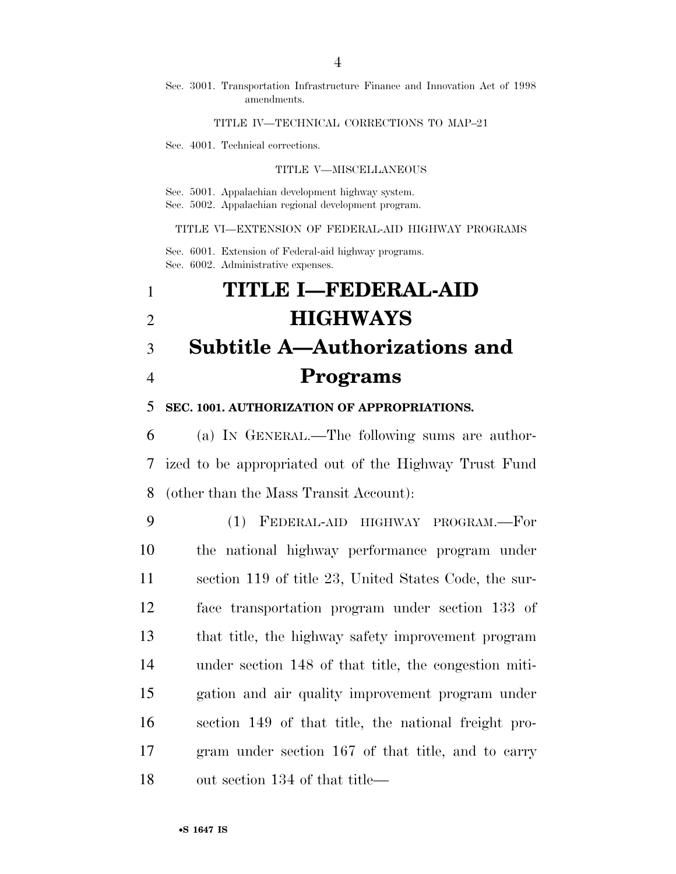## Sec. 3001. Transportation Infrastructure Finance and Innovation Act of 1998 amendments.

## TITLE IV—TECHNICAL CORRECTIONS TO MAP–21

Sec. 4001. Technical corrections.

## TITLE V—MISCELLANEOUS

Sec. 5001. Appalachian development highway system. Sec. 5002. Appalachian regional development program.

## TITLE VI—EXTENSION OF FEDERAL-AID HIGHWAY PROGRAMS

Sec. 6001. Extension of Federal-aid highway programs. Sec. 6002. Administrative expenses.

# **TITLE I—FEDERAL-AID HIGHWAYS Subtitle A—Authorizations and Programs**

**SEC. 1001. AUTHORIZATION OF APPROPRIATIONS.** 

 (a) IN GENERAL.—The following sums are author- ized to be appropriated out of the Highway Trust Fund (other than the Mass Transit Account):

 (1) FEDERAL-AID HIGHWAY PROGRAM.—For the national highway performance program under section 119 of title 23, United States Code, the sur- face transportation program under section 133 of that title, the highway safety improvement program under section 148 of that title, the congestion miti- gation and air quality improvement program under section 149 of that title, the national freight pro- gram under section 167 of that title, and to carry out section 134 of that title—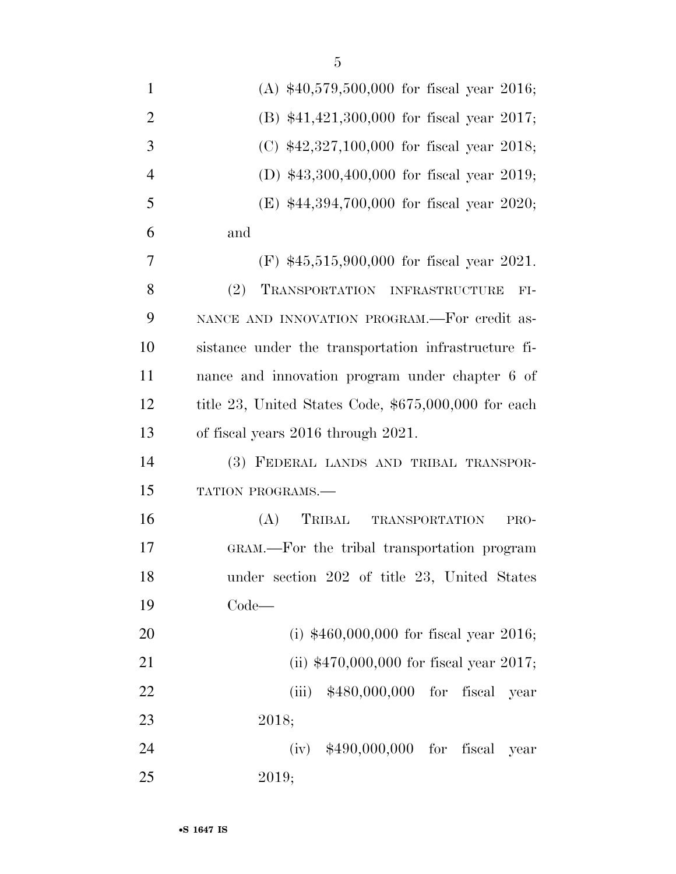| $\mathbf{1}$   | (A) $$40,579,500,000$ for fiscal year 2016;          |
|----------------|------------------------------------------------------|
| $\overline{2}$ | (B) $$41,421,300,000$ for fiscal year 2017;          |
| 3              | (C) \$42,327,100,000 for fiscal year 2018;           |
| $\overline{4}$ | (D) $$43,300,400,000$ for fiscal year 2019;          |
| 5              | (E) \$44,394,700,000 for fiscal year 2020;           |
| 6              | and                                                  |
| 7              | $(F)$ \$45,515,900,000 for fiscal year 2021.         |
| 8              | (2)<br>TRANSPORTATION INFRASTRUCTURE<br>$FI-$        |
| 9              | NANCE AND INNOVATION PROGRAM.—For credit as-         |
| 10             | sistance under the transportation infrastructure fi- |
| 11             | nance and innovation program under chapter 6 of      |
| 12             | title 23, United States Code, \$675,000,000 for each |
| 13             | of fiscal years 2016 through 2021.                   |
| 14             | (3) FEDERAL LANDS AND TRIBAL TRANSPOR-               |
| 15             | TATION PROGRAMS.-                                    |
| 16             | (A)<br>TRIBAL<br>TRANSPORTATION<br>PRO-              |
| 17             | GRAM.—For the tribal transportation program          |
| 18             | under section 202 of title 23, United States         |
| 19             | $Code-$                                              |
| 20             | (i) $$460,000,000$ for fiscal year 2016;             |
| 21             | (ii) $$470,000,000$ for fiscal year 2017;            |
| 22             | (iii) $$480,000,000$ for fiscal year                 |
| 23             | 2018;                                                |
| 24             | (iv) $$490,000,000$ for fiscal year                  |
| 25             | 2019;                                                |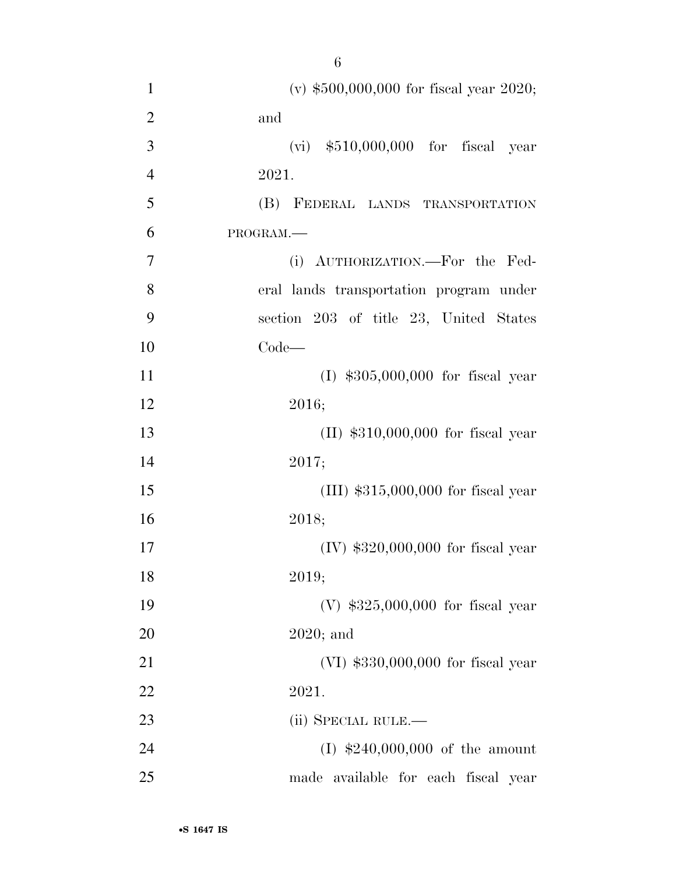| $\mathbf{1}$   | (v) $$500,000,000$ for fiscal year 2020; |
|----------------|------------------------------------------|
| $\overline{2}$ | and                                      |
| 3              | $(vi)$ \$510,000,000 for fiscal year     |
| $\overline{4}$ | 2021.                                    |
| 5              | (B) FEDERAL LANDS TRANSPORTATION         |
| 6              | PROGRAM.                                 |
| 7              | (i) AUTHORIZATION.—For the Fed-          |
| 8              | eral lands transportation program under  |
| 9              | section 203 of title 23, United States   |
| 10             | $Code-$                                  |
| 11             | $(I)$ \$305,000,000 for fiscal year      |
| 12             | 2016;                                    |
| 13             | $(II)$ \$310,000,000 for fiscal year     |
| 14             | 2017;                                    |
| 15             | $(III)$ \$315,000,000 for fiscal year    |
| 16             | 2018;                                    |
| 17             | $(IV)$ \$320,000,000 for fiscal year     |
| 18             | 2019;                                    |
| 19             | $(V)$ \$325,000,000 for fiscal year      |
| 20             | $2020;$ and                              |
| 21             | $(VI)$ \$330,000,000 for fiscal year     |
| 22             | 2021.                                    |
| 23             | (ii) SPECIAL RULE.—                      |
| 24             | $(I)$ \$240,000,000 of the amount        |
| 25             | made available for each fiscal year      |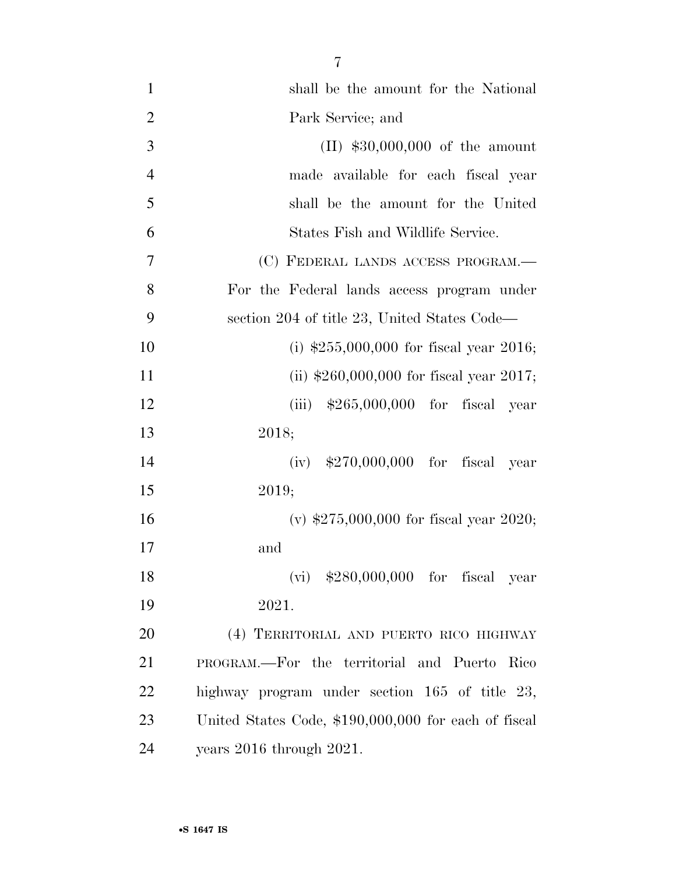| $\mathbf{1}$   | shall be the amount for the National                 |
|----------------|------------------------------------------------------|
| $\overline{2}$ | Park Service; and                                    |
| 3              | $(II)$ \$30,000,000 of the amount                    |
| $\overline{4}$ | made available for each fiscal year                  |
| 5              | shall be the amount for the United                   |
| 6              | States Fish and Wildlife Service.                    |
| 7              | (C) FEDERAL LANDS ACCESS PROGRAM.—                   |
| 8              | For the Federal lands access program under           |
| 9              | section 204 of title 23, United States Code—         |
| 10             | (i) $$255,000,000$ for fiscal year 2016;             |
| 11             | (ii) $$260,000,000$ for fiscal year 2017;            |
| 12             | (iii) $$265,000,000$ for fiscal year                 |
| 13             | 2018;                                                |
| 14             | (iv) $$270,000,000$ for fiscal year                  |
| 15             | 2019;                                                |
| 16             | (v) $$275,000,000$ for fiscal year 2020;             |
| 17             | and                                                  |
| 18             | $(vi)$ \$280,000,000 for fiscal year                 |
| 19             | 2021.                                                |
| 20             | (4) TERRITORIAL AND PUERTO RICO HIGHWAY              |
| 21             | PROGRAM.—For the territorial and Puerto Rico         |
| 22             | highway program under section 165 of title 23,       |
| 23             | United States Code, \$190,000,000 for each of fiscal |
| 24             | years $2016$ through $2021$ .                        |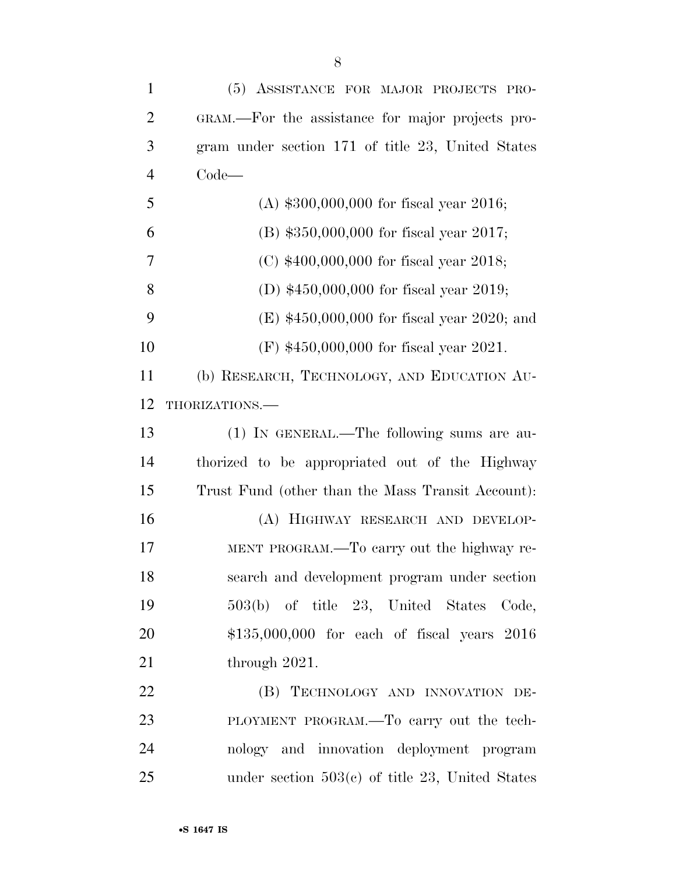| $\mathbf{1}$   | (5) ASSISTANCE FOR MAJOR PROJECTS PRO-            |
|----------------|---------------------------------------------------|
| $\overline{2}$ | GRAM.—For the assistance for major projects pro-  |
| 3              | gram under section 171 of title 23, United States |
| $\overline{4}$ | $Code-$                                           |
| 5              | (A) $$300,000,000$ for fiscal year 2016;          |
| 6              | (B) \$350,000,000 for fiscal year 2017;           |
| 7              | (C) $$400,000,000$ for fiscal year 2018;          |
| 8              | (D) $$450,000,000$ for fiscal year 2019;          |
| 9              | $(E)$ \$450,000,000 for fiscal year 2020; and     |
| 10             | $(F)$ \$450,000,000 for fiscal year 2021.         |
| 11             | (b) RESEARCH, TECHNOLOGY, AND EDUCATION AU-       |
| 12             | THORIZATIONS.                                     |
| 13             | (1) IN GENERAL.—The following sums are au-        |
| 14             | thorized to be appropriated out of the Highway    |
| 15             | Trust Fund (other than the Mass Transit Account): |
| 16             | (A) HIGHWAY RESEARCH AND DEVELOP-                 |
| 17             | MENT PROGRAM.—To carry out the highway re-        |
| 18             | search and development program under section      |
| 19             | 503(b) of title 23, United States Code,           |
| 20             | $$135,000,000$ for each of fiscal years $2016$    |
| 21             | through 2021.                                     |
| 22             | (B) TECHNOLOGY AND INNOVATION DE-                 |
| 23             | PLOYMENT PROGRAM.—To carry out the tech-          |
| 24             | nology and innovation deployment program          |
| 25             | under section $503(c)$ of title 23, United States |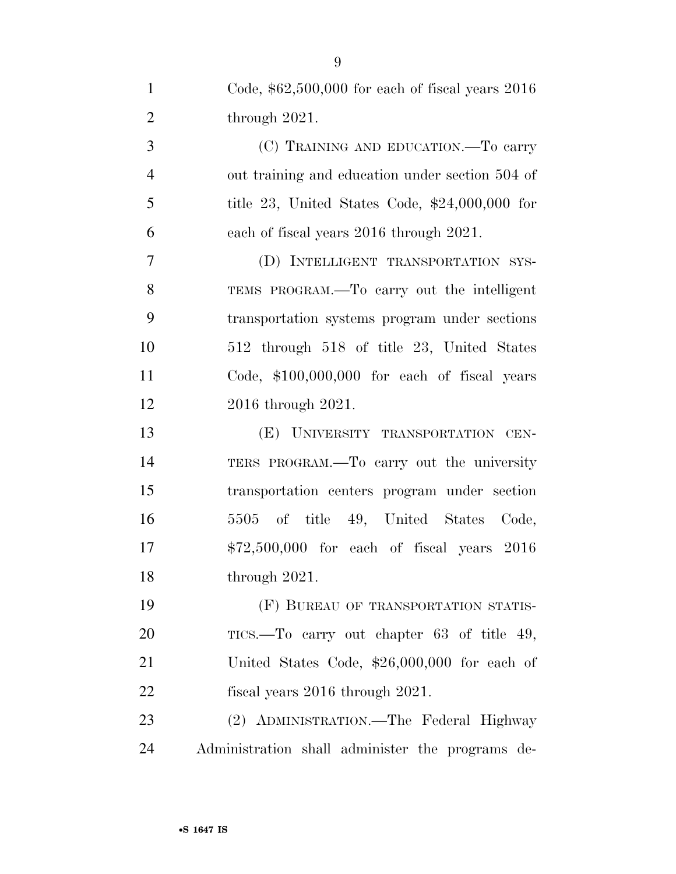| $\mathbf{1}$   | Code, $$62,500,000$ for each of fiscal years $2016$ |
|----------------|-----------------------------------------------------|
| $\overline{2}$ | through $2021$ .                                    |
| 3              | (C) TRAINING AND EDUCATION.—To carry                |
| $\overline{4}$ | out training and education under section 504 of     |
| 5              | title 23, United States Code, $$24,000,000$ for     |
| 6              | each of fiscal years 2016 through 2021.             |
| 7              | (D) INTELLIGENT TRANSPORTATION SYS-                 |
| 8              | TEMS PROGRAM.—To carry out the intelligent          |
| 9              | transportation systems program under sections       |
| 10             | 512 through 518 of title 23, United States          |
| 11             | Code, $$100,000,000$ for each of fiscal years       |
| 12             | 2016 through 2021.                                  |
| 13             | (E) UNIVERSITY TRANSPORTATION CEN-                  |
| 14             | TERS PROGRAM.—To carry out the university           |
| 15             | transportation centers program under section        |
| 16             | 5505 of title 49, United States<br>Code,            |
| 17             | $$72,500,000$ for each of fiscal years $2016$       |
| 18             | through 2021.                                       |
| 19             | (F) BUREAU OF TRANSPORTATION STATIS-                |
| 20             | TICS.—To carry out chapter 63 of title 49,          |
| 21             | United States Code, $$26,000,000$ for each of       |
| 22             | fiscal years $2016$ through $2021$ .                |
| 23             | (2) ADMINISTRATION.—The Federal Highway             |
| 24             | Administration shall administer the programs de-    |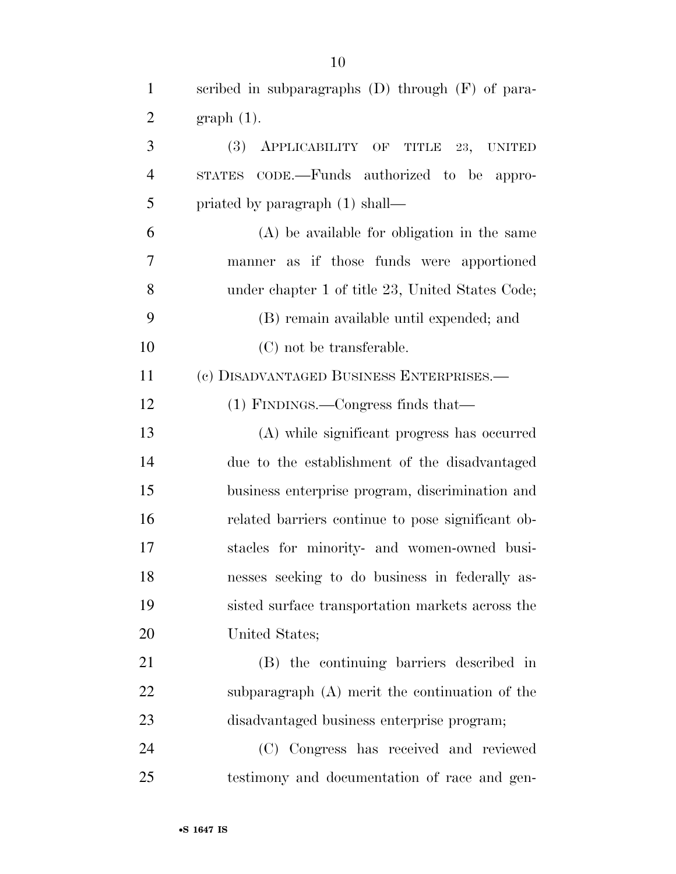| $\mathbf{1}$   | scribed in subparagraphs $(D)$ through $(F)$ of para- |
|----------------|-------------------------------------------------------|
| $\overline{2}$ | $graph(1)$ .                                          |
| 3              | (3)<br>APPLICABILITY OF TITLE 23, UNITED              |
| $\overline{4}$ | STATES CODE.—Funds authorized to be appro-            |
| 5              | priated by paragraph (1) shall—                       |
| 6              | (A) be available for obligation in the same           |
| 7              | manner as if those funds were apportioned             |
| 8              | under chapter 1 of title 23, United States Code;      |
| 9              | (B) remain available until expended; and              |
| 10             | (C) not be transferable.                              |
| 11             | (c) DISADVANTAGED BUSINESS ENTERPRISES.—              |
| 12             | $(1)$ FINDINGS.—Congress finds that—                  |
| 13             | (A) while significant progress has occurred           |
| 14             | due to the establishment of the disadvantaged         |
| 15             | business enterprise program, discrimination and       |
| 16             | related barriers continue to pose significant ob-     |
| 17             | stacles for minority- and women-owned busi-           |
| 18             | nesses seeking to do business in federally as-        |
| 19             | sisted surface transportation markets across the      |
| <b>20</b>      | United States;                                        |
| 21             | (B) the continuing barriers described in              |
| 22             | subparagraph (A) merit the continuation of the        |
| 23             | disadvantaged business enterprise program;            |
| 24             | (C) Congress has received and reviewed                |
| 25             | testimony and documentation of race and gen-          |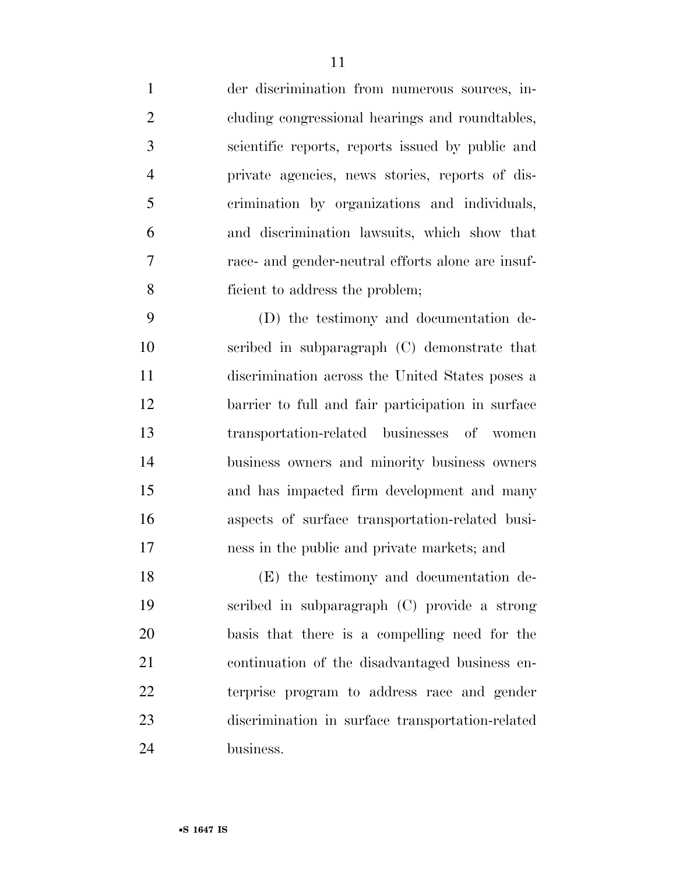der discrimination from numerous sources, in- cluding congressional hearings and roundtables, scientific reports, reports issued by public and private agencies, news stories, reports of dis- crimination by organizations and individuals, and discrimination lawsuits, which show that race- and gender-neutral efforts alone are insuf-ficient to address the problem;

 (D) the testimony and documentation de- scribed in subparagraph (C) demonstrate that discrimination across the United States poses a barrier to full and fair participation in surface transportation-related businesses of women business owners and minority business owners and has impacted firm development and many aspects of surface transportation-related busi-ness in the public and private markets; and

 (E) the testimony and documentation de- scribed in subparagraph (C) provide a strong basis that there is a compelling need for the continuation of the disadvantaged business en- terprise program to address race and gender discrimination in surface transportation-related business.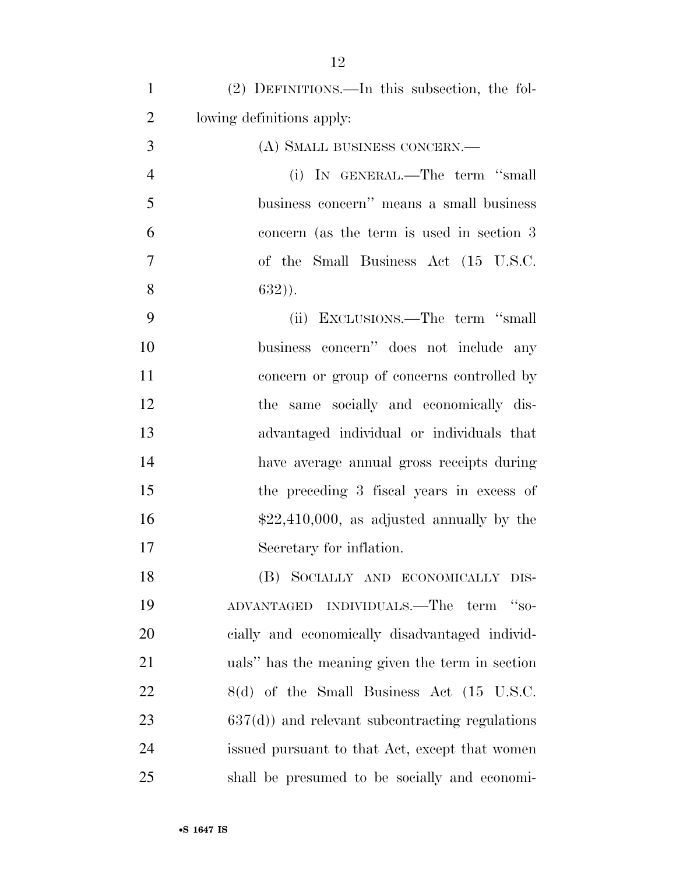| $\mathbf{1}$   | (2) DEFINITIONS.—In this subsection, the fol-                   |
|----------------|-----------------------------------------------------------------|
| $\overline{2}$ | lowing definitions apply:                                       |
| 3              | (A) SMALL BUSINESS CONCERN.—                                    |
| $\overline{4}$ | (i) IN GENERAL.—The term "small                                 |
| 5              | business concern" means a small business                        |
| 6              | concern (as the term is used in section 3                       |
| $\overline{7}$ | of the Small Business Act (15 U.S.C.                            |
| 8              | $632)$ ).                                                       |
| 9              | (ii) EXCLUSIONS.—The term "small                                |
| 10             | business concern" does not include any                          |
| 11             | concern or group of concerns controlled by                      |
| 12             | the same socially and economically dis-                         |
| 13             | advantaged individual or individuals that                       |
| 14             | have average annual gross receipts during                       |
| 15             | the preceding 3 fiscal years in excess of                       |
| 16             | $$22,410,000$ , as adjusted annually by the                     |
| 17             | Secretary for inflation.                                        |
| 18             | (B) SOCIALLY AND ECONOMICALLY DIS-                              |
| 19             | ADVANTAGED INDIVIDUALS.—The term<br>$\mathcal{L}_{\text{SO}^+}$ |
| 20             | cially and economically disadvantaged individ-                  |
| 21             | uals" has the meaning given the term in section                 |
| 22             | 8(d) of the Small Business Act (15 U.S.C.                       |
| 23             | $637(d)$ ) and relevant subcontracting regulations              |
| 24             | issued pursuant to that Act, except that women                  |
| 25             | shall be presumed to be socially and economi-                   |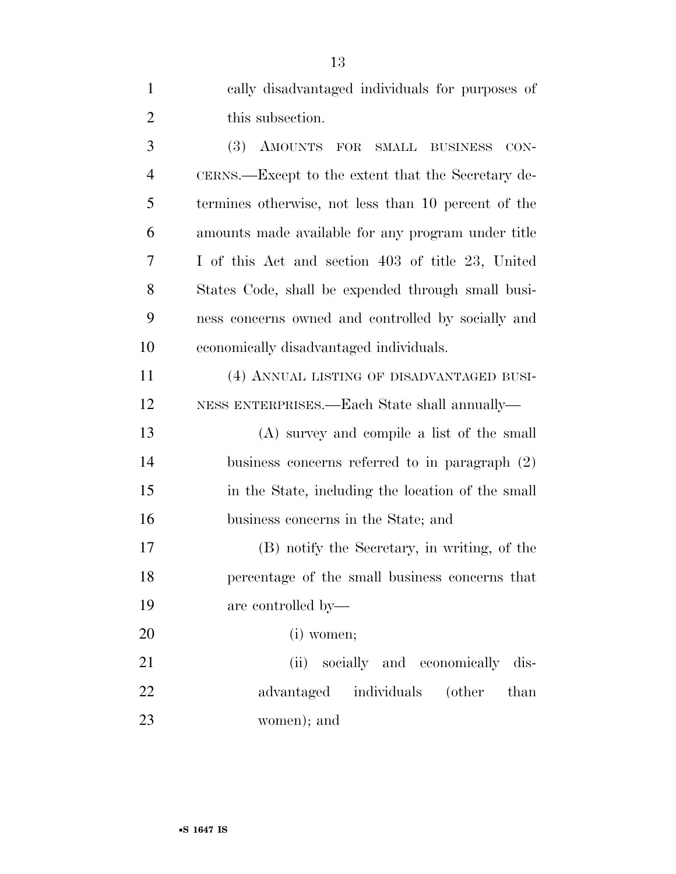| $\mathbf{1}$   | cally disadvantaged individuals for purposes of          |
|----------------|----------------------------------------------------------|
| $\overline{2}$ | this subsection.                                         |
| 3              | AMOUNTS<br><b>(3)</b><br>FOR<br>SMALL BUSINESS<br>$CON-$ |
| $\overline{4}$ | CERNS.—Except to the extent that the Secretary de-       |
| 5              | termines otherwise, not less than 10 percent of the      |
| 6              | amounts made available for any program under title       |
| 7              | I of this Act and section 403 of title 23, United        |
| 8              | States Code, shall be expended through small busi-       |
| 9              | ness concerns owned and controlled by socially and       |
| 10             | economically disadvantaged individuals.                  |
| 11             | (4) ANNUAL LISTING OF DISADVANTAGED BUSI-                |
| 12             | NESS ENTERPRISES.—Each State shall annually—             |
| 13             | (A) survey and compile a list of the small               |
| 14             | business concerns referred to in paragraph $(2)$         |
| 15             | in the State, including the location of the small        |
| 16             | business concerns in the State; and                      |
| 17             | (B) notify the Secretary, in writing, of the             |
| 18             | percentage of the small business concerns that           |
| 19             | are controlled by—                                       |
| 20             | (i) women;                                               |
| 21             | (ii) socially and economically dis-                      |
| 22             | advantaged individuals (other<br>than                    |
| 23             | women); and                                              |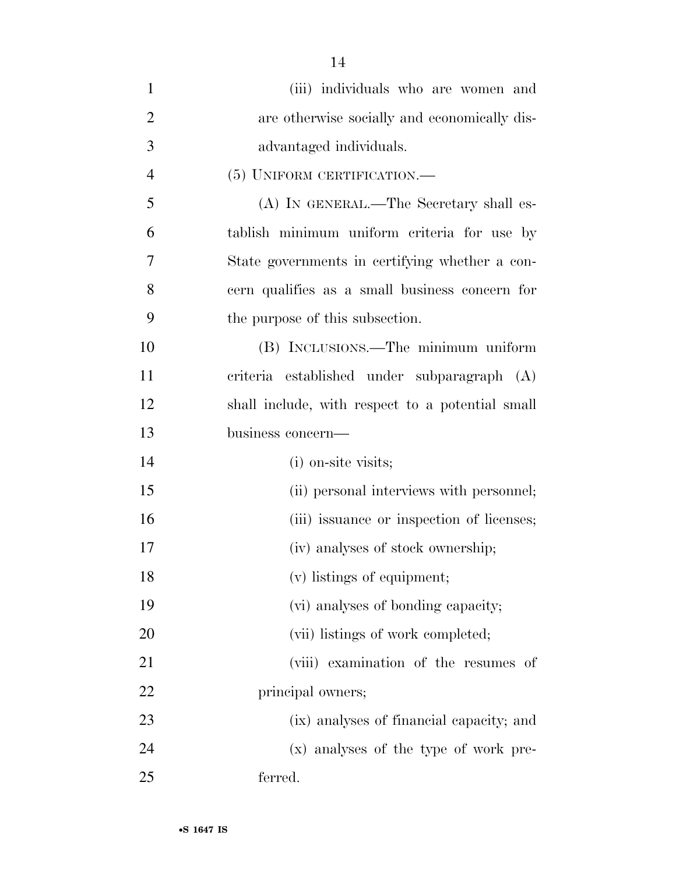| $\mathbf{1}$   | (iii) individuals who are women and              |
|----------------|--------------------------------------------------|
| $\overline{2}$ | are otherwise socially and economically dis-     |
| 3              | advantaged individuals.                          |
| 4              | (5) UNIFORM CERTIFICATION.                       |
| 5              | (A) IN GENERAL.—The Secretary shall es-          |
| 6              | tablish minimum uniform criteria for use by      |
| 7              | State governments in certifying whether a con-   |
| 8              | cern qualifies as a small business concern for   |
| 9              | the purpose of this subsection.                  |
| 10             | (B) INCLUSIONS.—The minimum uniform              |
| 11             | criteria established under subparagraph (A)      |
| 12             | shall include, with respect to a potential small |
| 13             | business concern-                                |
| 14             | (i) on-site visits;                              |
| 15             | (ii) personal interviews with personnel;         |
| 16             | (iii) issuance or inspection of licenses;        |
| 17             | (iv) analyses of stock ownership;                |
| 18             | (v) listings of equipment;                       |
| 19             | (vi) analyses of bonding capacity;               |
| 20             | (vii) listings of work completed;                |
| 21             | (viii) examination of the resumes of             |
| 22             | principal owners;                                |
| 23             | (ix) analyses of financial capacity; and         |
| 24             | (x) analyses of the type of work pre-            |
| 25             | ferred.                                          |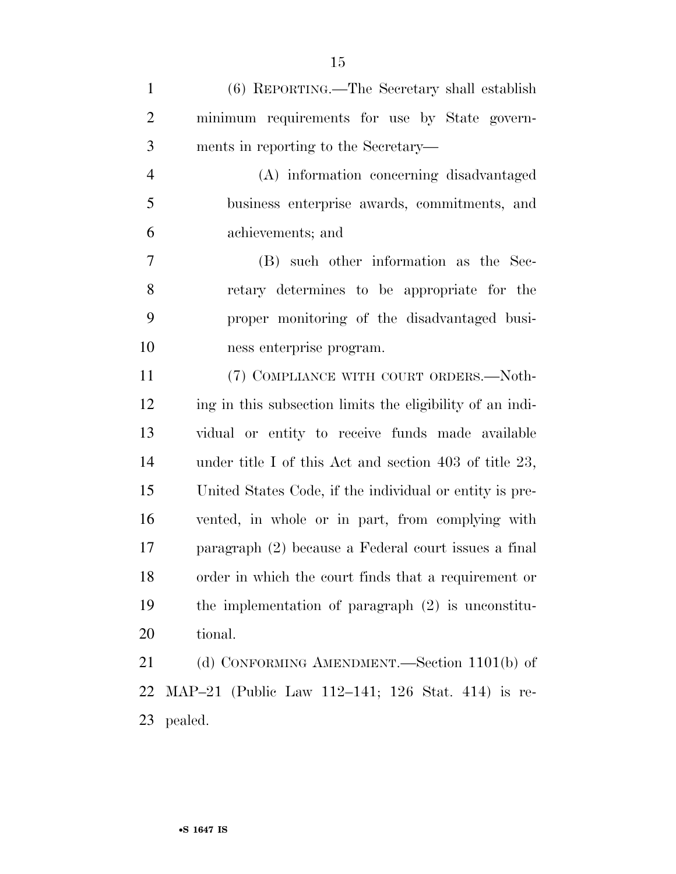| $\mathbf{1}$   | (6) REPORTING.—The Secretary shall establish              |
|----------------|-----------------------------------------------------------|
| $\overline{2}$ | minimum requirements for use by State govern-             |
| 3              | ments in reporting to the Secretary—                      |
| $\overline{4}$ | (A) information concerning disadvantaged                  |
| 5              | business enterprise awards, commitments, and              |
| 6              | achievements; and                                         |
| 7              | (B) such other information as the Sec-                    |
| 8              | retary determines to be appropriate for the               |
| 9              | proper monitoring of the disadvantaged busi-              |
| 10             | ness enterprise program.                                  |
| 11             | (7) COMPLIANCE WITH COURT ORDERS.-Noth-                   |
| 12             | ing in this subsection limits the eligibility of an indi- |
| 13             | vidual or entity to receive funds made available          |
| 14             | under title I of this Act and section 403 of title $23$ , |
| 15             | United States Code, if the individual or entity is pre-   |
| 16             | vented, in whole or in part, from complying with          |
| 17             | paragraph (2) because a Federal court issues a final      |
| 18             | order in which the court finds that a requirement or      |
| 19             | the implementation of paragraph $(2)$ is unconstitu-      |
| 20             | tional.                                                   |
| 21             | (d) CONFORMING AMENDMENT.—Section 1101(b) of              |
| 22             | MAP-21 (Public Law 112-141; 126 Stat. 414) is re-         |

pealed.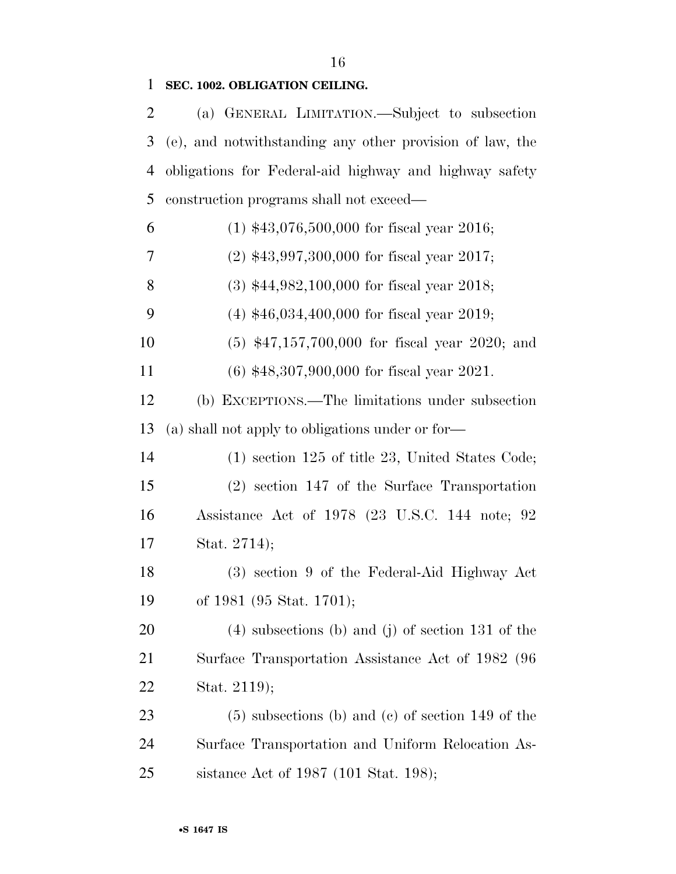# **SEC. 1002. OBLIGATION CEILING.**

| $\overline{2}$ | (a) GENERAL LIMITATION.—Subject to subsection            |
|----------------|----------------------------------------------------------|
| 3              | (e), and notwithstanding any other provision of law, the |
| $\overline{4}$ | obligations for Federal-aid highway and highway safety   |
| 5              | construction programs shall not exceed—                  |
| 6              | $(1)$ \$43,076,500,000 for fiscal year 2016;             |
| 7              | $(2)$ \$43,997,300,000 for fiscal year 2017;             |
| 8              | $(3)$ \$44,982,100,000 for fiscal year 2018;             |
| 9              | $(4)$ \$46,034,400,000 for fiscal year 2019;             |
| 10             | $(5)$ \$47,157,700,000 for fiscal year 2020; and         |
| 11             | $(6)$ \$48,307,900,000 for fiscal year 2021.             |
| 12             | (b) EXCEPTIONS.—The limitations under subsection         |
| 13             | (a) shall not apply to obligations under or for—         |
| 14             | $(1)$ section 125 of title 23, United States Code;       |
| 15             | $(2)$ section 147 of the Surface Transportation          |
| 16             | Assistance Act of 1978 (23 U.S.C. 144 note; 92           |
| 17             | Stat. 2714);                                             |
| 18             | (3) section 9 of the Federal-Aid Highway Act             |
| 19             | of 1981 (95 Stat. 1701);                                 |
| 20             | $(4)$ subsections (b) and (j) of section 131 of the      |
| 21             | Surface Transportation Assistance Act of 1982 (96        |
| 22             | Stat. 2119);                                             |
| 23             | $(5)$ subsections (b) and (c) of section 149 of the      |
| 24             | Surface Transportation and Uniform Relocation As-        |
| 25             | sistance Act of 1987 (101 Stat. 198);                    |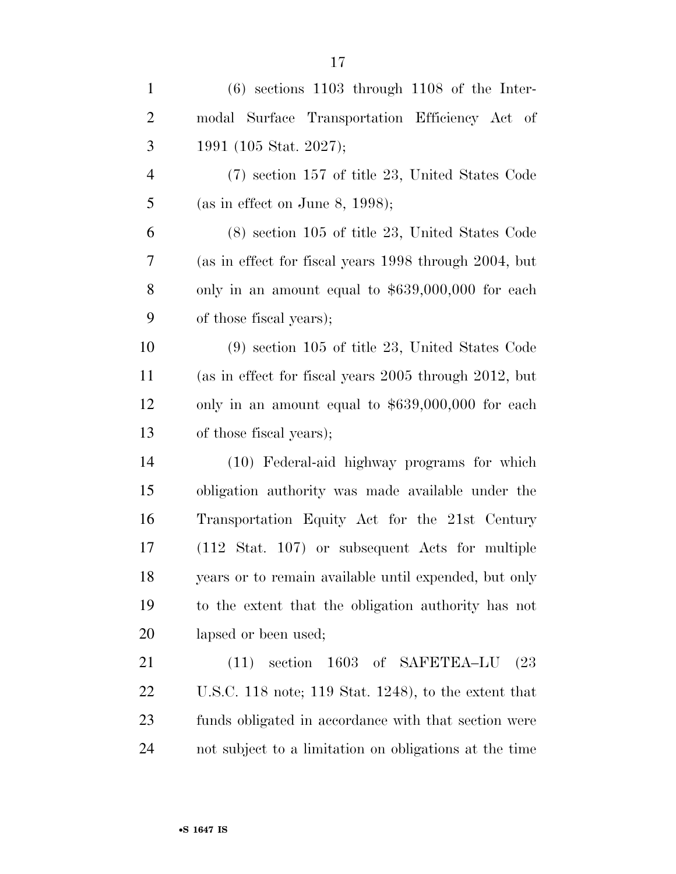| $\mathbf{1}$   | $(6)$ sections 1103 through 1108 of the Inter-             |
|----------------|------------------------------------------------------------|
| $\overline{2}$ | modal Surface Transportation Efficiency Act of             |
| 3              | 1991 (105 Stat. 2027);                                     |
| $\overline{4}$ | $(7)$ section 157 of title 23, United States Code          |
| 5              | (as in effect on June 8, 1998);                            |
| 6              | $(8)$ section 105 of title 23, United States Code          |
| 7              | (as in effect for fiscal years 1998 through 2004, but      |
| 8              | only in an amount equal to $$639,000,000$ for each         |
| 9              | of those fiscal years);                                    |
| 10             | $(9)$ section 105 of title 23, United States Code          |
| 11             | (as in effect for fiscal years 2005 through 2012, but      |
| 12             | only in an amount equal to $$639,000,000$ for each         |
| 13             | of those fiscal years);                                    |
| 14             | (10) Federal-aid highway programs for which                |
| 15             | obligation authority was made available under the          |
| 16             | Transportation Equity Act for the 21st Century             |
| 17             | $(112 \text{ Stat. } 107)$ or subsequent Acts for multiple |
| 18             | years or to remain available until expended, but only      |
| 19             | to the extent that the obligation authority has not        |
| 20             | lapsed or been used;                                       |
| 21             | 1603 of SAFETEA-LU<br>(23)<br>(11)<br>section              |
| 22             | U.S.C. 118 note; 119 Stat. 1248), to the extent that       |
| 23             | funds obligated in accordance with that section were       |
| 24             | not subject to a limitation on obligations at the time     |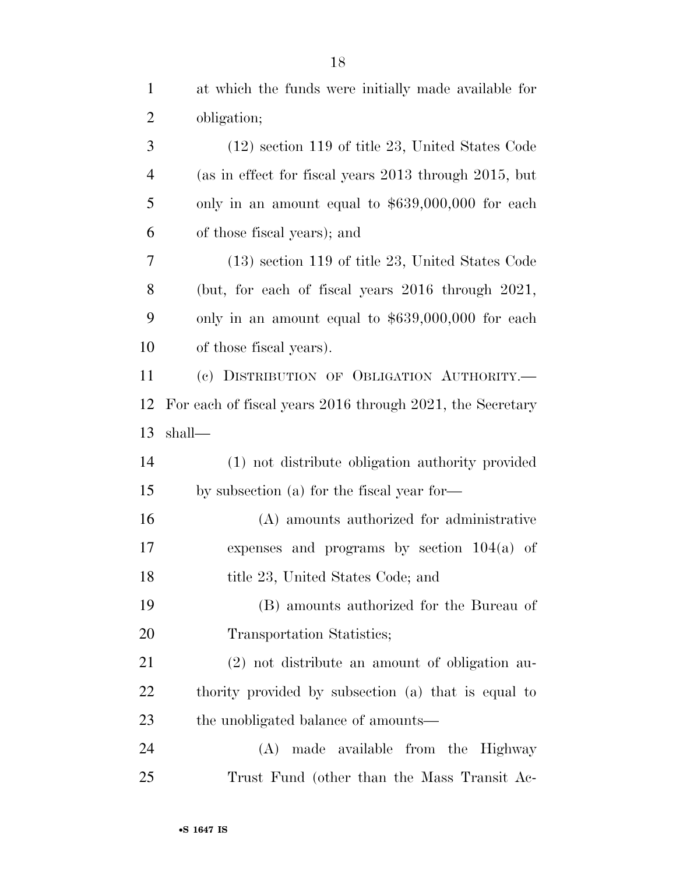| $\mathbf{1}$   | at which the funds were initially made available for      |
|----------------|-----------------------------------------------------------|
| $\overline{2}$ | obligation;                                               |
| 3              | $(12)$ section 119 of title 23, United States Code        |
| $\overline{4}$ | (as in effect for fiscal years 2013 through 2015, but     |
| 5              | only in an amount equal to $$639,000,000$ for each        |
| 6              | of those fiscal years); and                               |
| 7              | $(13)$ section 119 of title 23, United States Code        |
| 8              | (but, for each of fiscal years $2016$ through $2021$ ,    |
| 9              | only in an amount equal to $$639,000,000$ for each        |
| 10             | of those fiscal years).                                   |
| 11             | (c) DISTRIBUTION OF OBLIGATION AUTHORITY.-                |
| 12             | For each of fiscal years 2016 through 2021, the Secretary |
| 13             | shall—                                                    |
| 14             | (1) not distribute obligation authority provided          |
| 15             | by subsection (a) for the fiscal year for—                |
| 16             | (A) amounts authorized for administrative                 |
| 17             | expenses and programs by section $104(a)$ of              |
| 18             | title 23, United States Code; and                         |
| 19             | (B) amounts authorized for the Bureau of                  |
| 20             | Transportation Statistics;                                |
| 21             | (2) not distribute an amount of obligation au-            |
| 22             | thority provided by subsection (a) that is equal to       |
| 23             | the unobligated balance of amounts—                       |
| 24             | (A)<br>made available from the Highway                    |
| 25             | Trust Fund (other than the Mass Transit Ac-               |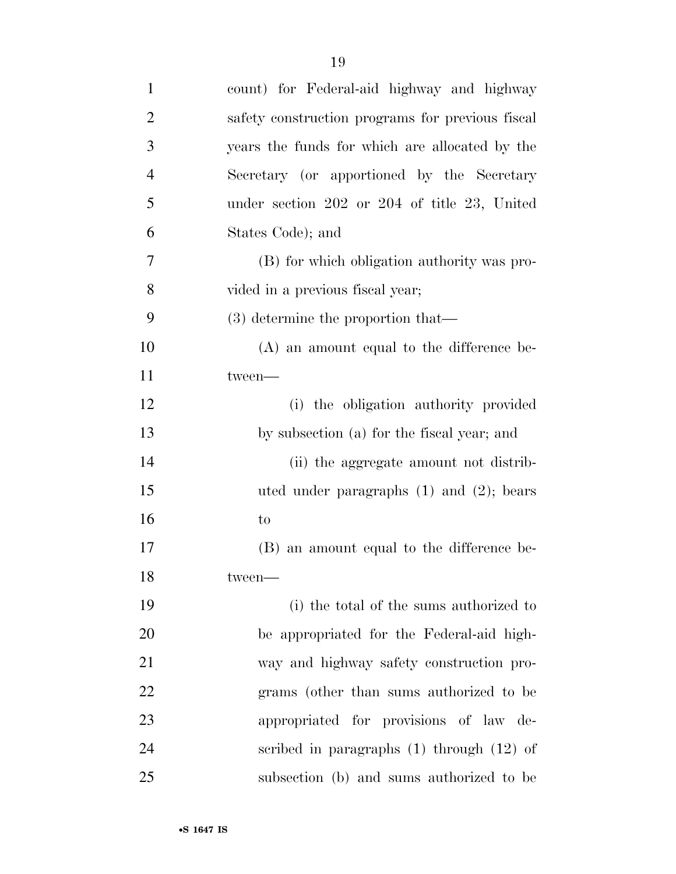| $\mathbf{1}$   | count) for Federal-aid highway and highway       |
|----------------|--------------------------------------------------|
| $\overline{c}$ | safety construction programs for previous fiscal |
| 3              | years the funds for which are allocated by the   |
| $\overline{4}$ | Secretary (or apportioned by the Secretary       |
| 5              | under section 202 or 204 of title 23, United     |
| 6              | States Code); and                                |
| 7              | (B) for which obligation authority was pro-      |
| 8              | vided in a previous fiscal year;                 |
| 9              | $(3)$ determine the proportion that—             |
| 10             | $(A)$ an amount equal to the difference be-      |
| 11             | tween-                                           |
| 12             | (i) the obligation authority provided            |
| 13             | by subsection (a) for the fiscal year; and       |
| 14             | (ii) the aggregate amount not distrib-           |
| 15             | uted under paragraphs $(1)$ and $(2)$ ; bears    |
| 16             | to                                               |
| 17             | (B) an amount equal to the difference be-        |
| 18             | tween-                                           |
| 19             | (i) the total of the sums authorized to          |
| 20             | be appropriated for the Federal-aid high-        |
| 21             | way and highway safety construction pro-         |
| 22             | grams (other than sums authorized to be          |
| 23             | appropriated for provisions of law de-           |
| 24             | scribed in paragraphs $(1)$ through $(12)$ of    |
| 25             | subsection (b) and sums authorized to be         |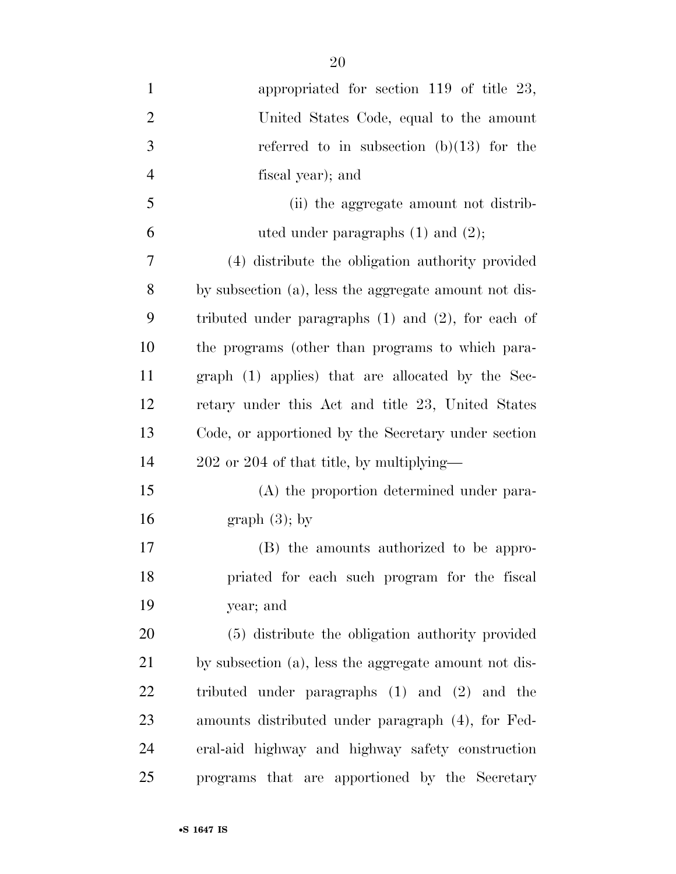| $\mathbf{1}$   | appropriated for section $119$ of title $23$ ,          |
|----------------|---------------------------------------------------------|
| $\overline{2}$ | United States Code, equal to the amount                 |
| 3              | referred to in subsection $(b)(13)$ for the             |
| $\overline{4}$ | fiscal year); and                                       |
| 5              | (ii) the aggregate amount not distrib-                  |
| 6              | uted under paragraphs $(1)$ and $(2)$ ;                 |
| 7              | (4) distribute the obligation authority provided        |
| 8              | by subsection (a), less the aggregate amount not dis-   |
| 9              | tributed under paragraphs $(1)$ and $(2)$ , for each of |
| 10             | the programs (other than programs to which para-        |
| 11             | graph (1) applies) that are allocated by the Sec-       |
| 12             | retary under this Act and title 23, United States       |
| 13             | Code, or apportioned by the Secretary under section     |
| 14             | 202 or 204 of that title, by multiplying—               |
| 15             | (A) the proportion determined under para-               |
| 16             | graph $(3)$ ; by                                        |
| 17             | (B) the amounts authorized to be appro-                 |
| 18             | priated for each such program for the fiscal            |
| 19             | year; and                                               |
| 20             | (5) distribute the obligation authority provided        |
| 21             | by subsection (a), less the aggregate amount not dis-   |
| 22             | tributed under paragraphs $(1)$ and $(2)$ and the       |
| 23             | amounts distributed under paragraph (4), for Fed-       |
| 24             | eral-aid highway and highway safety construction        |
| 25             | programs that are apportioned by the Secretary          |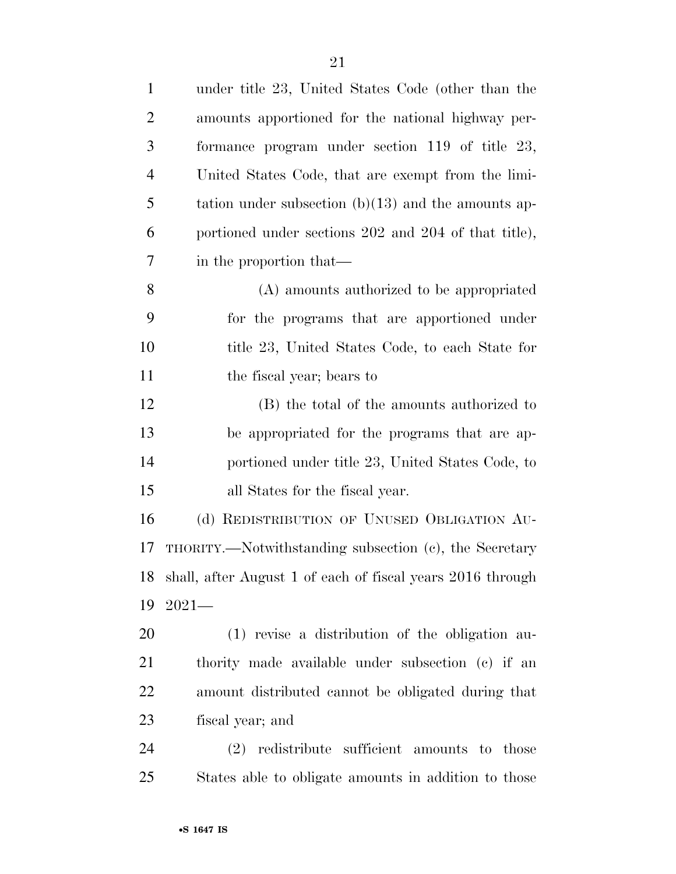| $\mathbf{1}$   | under title 23, United States Code (other than the            |
|----------------|---------------------------------------------------------------|
| 2              | amounts apportioned for the national highway per-             |
| 3              | formance program under section $119$ of title $23$ ,          |
| $\overline{4}$ | United States Code, that are exempt from the limi-            |
| 5              | tation under subsection $(b)(13)$ and the amounts ap-         |
| 6              | portioned under sections 202 and 204 of that title),          |
| 7              | in the proportion that—                                       |
| 8              | (A) amounts authorized to be appropriated                     |
| 9              | for the programs that are apportioned under                   |
| 10             | title 23, United States Code, to each State for               |
| 11             | the fiscal year; bears to                                     |
| 12             | (B) the total of the amounts authorized to                    |
| 13             | be appropriated for the programs that are ap-                 |
| 14             | portioned under title 23, United States Code, to              |
| 15             | all States for the fiscal year.                               |
| 16             | (d) REDISTRIBUTION OF UNUSED OBLIGATION AU-                   |
| 17             | THORITY.—Notwithstanding subsection (c), the Secretary        |
|                | 18 shall, after August 1 of each of fiscal years 2016 through |
| 19             | $2021-$                                                       |
| 20             | (1) revise a distribution of the obligation au-               |
| 21             | thority made available under subsection (c) if an             |
| 22             | amount distributed cannot be obligated during that            |
| 23             | fiscal year; and                                              |
| 24             | (2) redistribute sufficient amounts to those                  |
| 25             | States able to obligate amounts in addition to those          |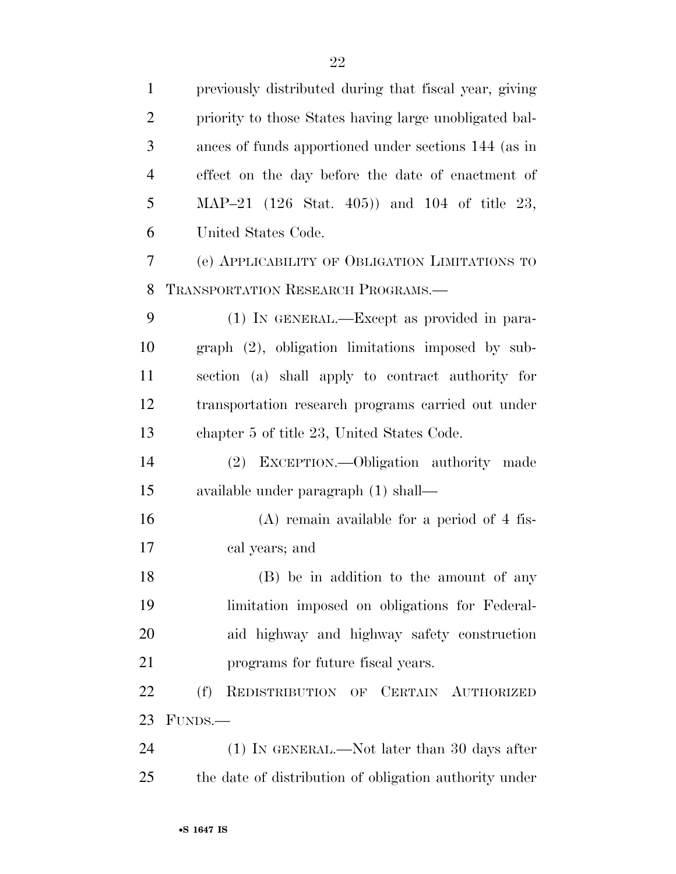| $\mathbf{1}$   | previously distributed during that fiscal year, giving |
|----------------|--------------------------------------------------------|
| $\overline{2}$ | priority to those States having large unobligated bal- |
| 3              | ances of funds apportioned under sections 144 (as in   |
| $\overline{4}$ | effect on the day before the date of enactment of      |
| 5              | MAP-21 (126 Stat. 405)) and 104 of title 23,           |
| 6              | United States Code.                                    |
| $\tau$         | (e) APPLICABILITY OF OBLIGATION LIMITATIONS TO         |
| 8              | <b>TRANSPORTATION RESEARCH PROGRAMS.</b>               |
| 9              | (1) IN GENERAL.—Except as provided in para-            |
| 10             | $graph$ $(2)$ , obligation limitations imposed by sub- |
| 11             | section (a) shall apply to contract authority for      |
| 12             | transportation research programs carried out under     |
| 13             | chapter 5 of title 23, United States Code.             |
| 14             | (2) EXCEPTION.—Obligation authority made               |
| 15             | available under paragraph (1) shall—                   |
| 16             | $(A)$ remain available for a period of 4 fis-          |
| 17             | cal years; and                                         |
| 18             | (B) be in addition to the amount of any                |
| 19             | limitation imposed on obligations for Federal-         |
| 20             | aid highway and highway safety construction            |
| 21             | programs for future fiscal years.                      |
| 22             | REDISTRIBUTION OF CERTAIN AUTHORIZED<br>(f)            |
| 23             | FUNDS.—                                                |
| 24             | $(1)$ In GENERAL.—Not later than 30 days after         |
| 25             | the date of distribution of obligation authority under |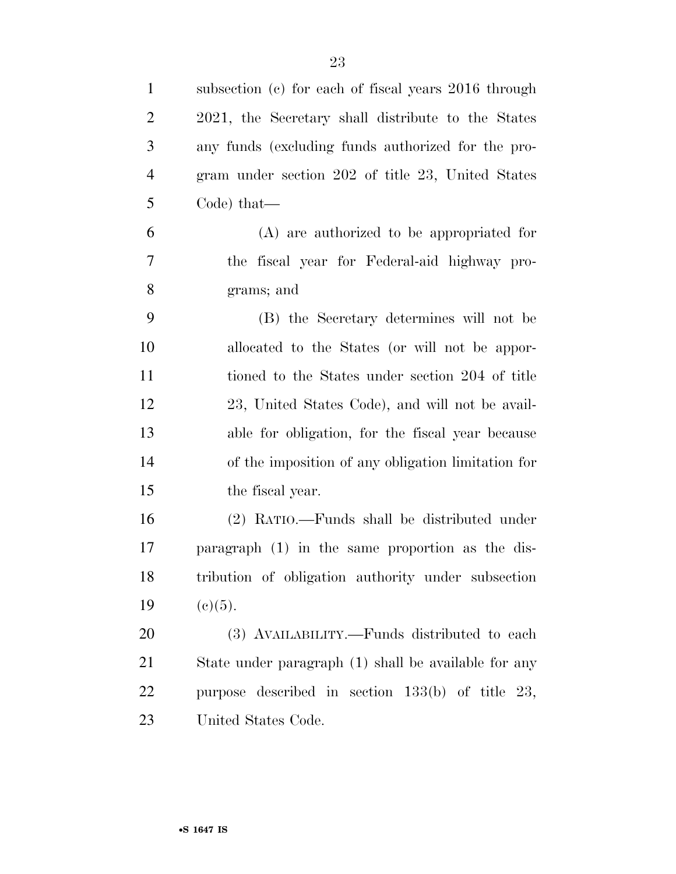| $\mathbf{1}$   | subsection (c) for each of fiscal years 2016 through |
|----------------|------------------------------------------------------|
| $\overline{2}$ | 2021, the Secretary shall distribute to the States   |
| 3              | any funds (excluding funds authorized for the pro-   |
| $\overline{4}$ | gram under section 202 of title 23, United States    |
| 5              | Code) that—                                          |
| 6              | (A) are authorized to be appropriated for            |
| 7              | the fiscal year for Federal-aid highway pro-         |
| 8              | grams; and                                           |
| 9              | (B) the Secretary determines will not be             |
| 10             | allocated to the States (or will not be appor-       |
| 11             | tioned to the States under section 204 of title      |
| 12             | 23, United States Code), and will not be avail-      |
| 13             | able for obligation, for the fiscal year because     |
| 14             | of the imposition of any obligation limitation for   |
| 15             | the fiscal year.                                     |
| 16             | (2) RATIO.—Funds shall be distributed under          |
| 17             | paragraph (1) in the same proportion as the dis-     |
| 18             | tribution of obligation authority under subsection   |
| 19             | (c)(5).                                              |
| 20             | (3) AVAILABILITY.—Funds distributed to each          |
| 21             | State under paragraph (1) shall be available for any |
| <u>22</u>      | purpose described in section $133(b)$ of title 23,   |
| 23             | United States Code.                                  |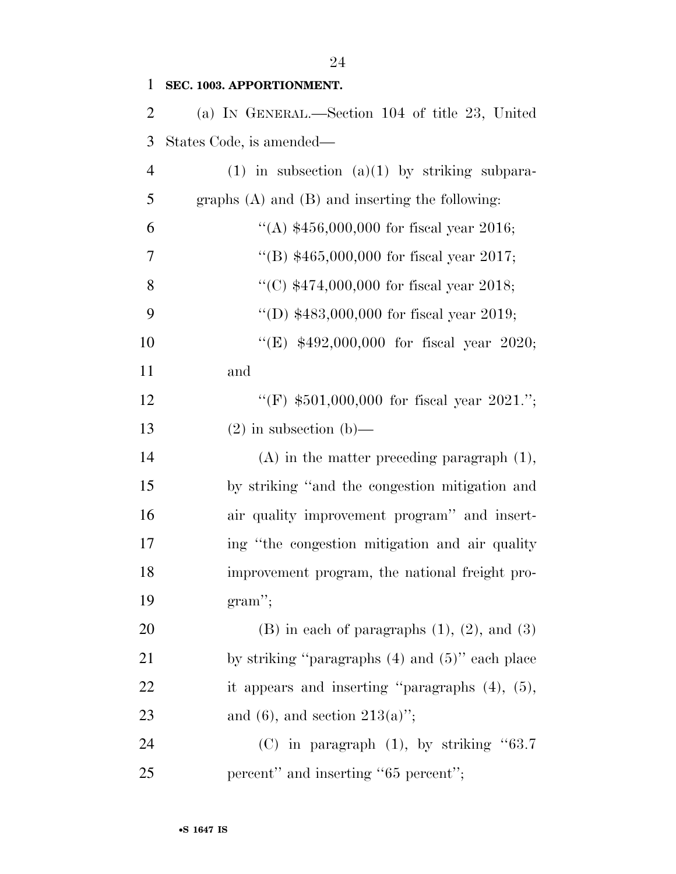| $\mathbf{1}$   | SEC. 1003. APPORTIONMENT.                             |
|----------------|-------------------------------------------------------|
| $\overline{2}$ | (a) IN GENERAL.—Section 104 of title 23, United       |
| 3              | States Code, is amended—                              |
| $\overline{4}$ | $(1)$ in subsection $(a)(1)$ by striking subpara-     |
| 5              | graphs $(A)$ and $(B)$ and inserting the following:   |
| 6              | "(A) $$456,000,000$ for fiscal year 2016;             |
| 7              | "(B) $$465,000,000$ for fiscal year 2017;             |
| 8              | "(C) $$474,000,000$ for fiscal year 2018;             |
| 9              | "(D) $$483,000,000$ for fiscal year 2019;             |
| 10             | "(E) \$492,000,000 for fiscal year 2020;              |
| 11             | and                                                   |
| 12             | "(F) $$501,000,000$ for fiscal year 2021.";           |
| 13             | $(2)$ in subsection $(b)$ —                           |
| 14             | $(A)$ in the matter preceding paragraph $(1)$ ,       |
| 15             | by striking "and the congestion mitigation and        |
| 16             | air quality improvement program" and insert-          |
| 17             | ing "the congestion mitigation and air quality"       |
| 18             | improvement program, the national freight pro-        |
| 19             | $gram$ ";                                             |
| 20             | $(B)$ in each of paragraphs $(1)$ , $(2)$ , and $(3)$ |
| 21             | by striking "paragraphs $(4)$ and $(5)$ " each place  |
| 22             | it appears and inserting "paragraphs $(4)$ , $(5)$ ,  |
| 23             | and (6), and section $213(a)$ ";                      |
| 24             | (C) in paragraph $(1)$ , by striking "63.7            |
| 25             | percent" and inserting "65 percent";                  |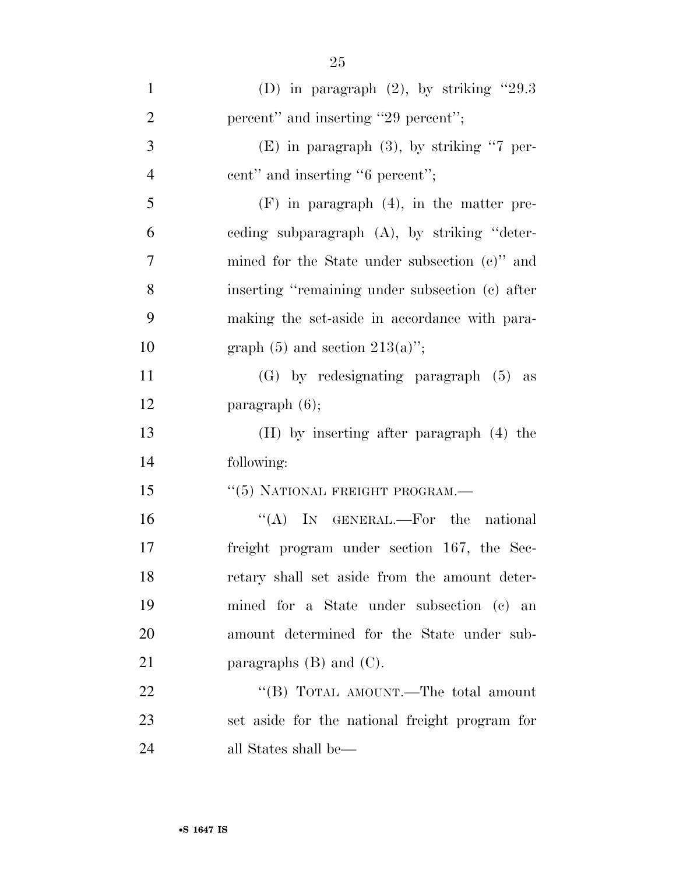| $\mathbf{1}$   | (D) in paragraph $(2)$ , by striking "29.3      |
|----------------|-------------------------------------------------|
| $\overline{2}$ | percent" and inserting "29 percent";            |
| 3              | $(E)$ in paragraph $(3)$ , by striking "7 per-  |
| $\overline{4}$ | cent" and inserting "6 percent";                |
| 5              | $(F)$ in paragraph $(4)$ , in the matter pre-   |
| 6              | ceding subparagraph (A), by striking "deter-    |
| $\overline{7}$ | mined for the State under subsection (c)" and   |
| 8              | inserting "remaining under subsection (c) after |
| 9              | making the set-aside in accordance with para-   |
| 10             | graph $(5)$ and section $213(a)$ ";             |
| 11             | $(G)$ by redesignating paragraph $(5)$ as       |
| 12             | $\text{param}$ (6);                             |
| 13             | $(H)$ by inserting after paragraph $(4)$ the    |
| 14             | following:                                      |
| 15             | "(5) NATIONAL FREIGHT PROGRAM.—                 |
| 16             | "(A) IN GENERAL.—For the national               |
| 17             | freight program under section 167, the Sec-     |
| 18             | retary shall set aside from the amount deter-   |
| 19             | mined for a State under subsection (c) an       |
| 20             | amount determined for the State under sub-      |
| 21             | paragraphs $(B)$ and $(C)$ .                    |
| 22             | "(B) TOTAL AMOUNT.—The total amount             |
| 23             | set aside for the national freight program for  |
| 24             | all States shall be—                            |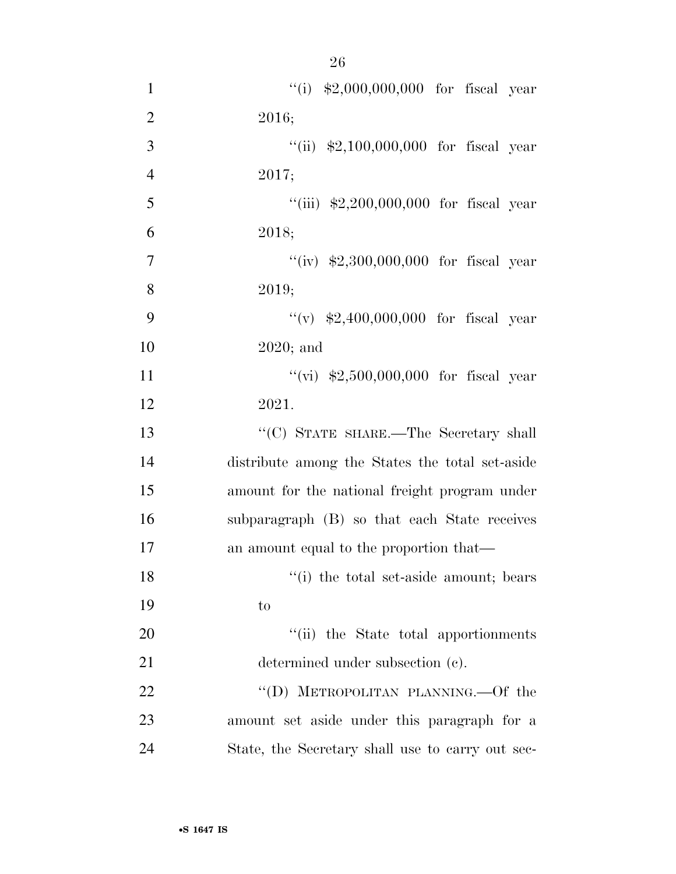| $\mathbf{1}$   | "(i) $$2,000,000,000$ for fiscal year            |
|----------------|--------------------------------------------------|
| $\overline{2}$ | 2016;                                            |
| 3              | "(ii) $$2,100,000,000$ for fiscal year           |
| $\overline{4}$ | 2017;                                            |
| 5              | "(iii) $$2,200,000,000$ for fiscal year          |
| 6              | 2018;                                            |
| $\overline{7}$ | "(iv) $$2,300,000,000$ for fiscal year           |
| 8              | 2019;                                            |
| 9              | "(v) $$2,400,000,000$ for fiscal year            |
| 10             | $2020$ ; and                                     |
| 11             | "(vi) $$2,500,000,000$ for fiscal year           |
| 12             | 2021.                                            |
| 13             | "(C) STATE SHARE.—The Secretary shall            |
| 14             | distribute among the States the total set-aside  |
| 15             | amount for the national freight program under    |
| 16             | subparagraph (B) so that each State receives     |
| 17             | an amount equal to the proportion that—          |
| 18             | "(i) the total set-aside amount; bears           |
| 19             | to                                               |
| 20             | "(ii) the State total apportionments             |
| 21             | determined under subsection (c).                 |
| 22             | "(D) METROPOLITAN PLANNING.—Of the               |
| 23             | amount set aside under this paragraph for a      |
| 24             | State, the Secretary shall use to carry out sec- |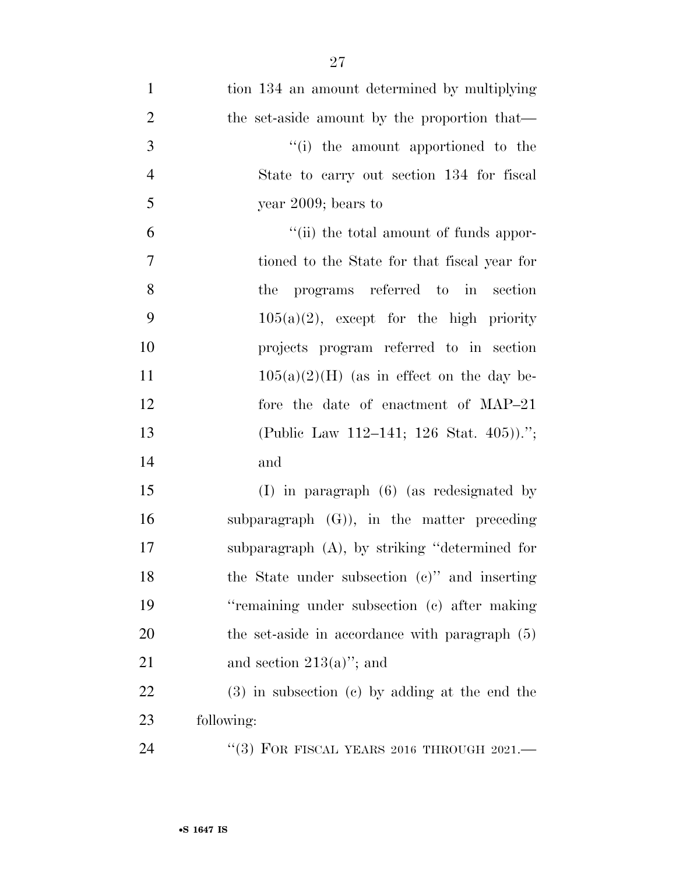| $\mathbf{1}$   | tion 134 an amount determined by multiplying       |
|----------------|----------------------------------------------------|
| $\overline{2}$ | the set-aside amount by the proportion that—       |
| 3              | "(i) the amount apportioned to the                 |
| $\overline{4}$ | State to carry out section 134 for fiscal          |
| 5              | year $2009$ ; bears to                             |
| 6              | "(ii) the total amount of funds appor-             |
| $\overline{7}$ | tioned to the State for that fiscal year for       |
| 8              | the programs referred to in section                |
| 9              | $105(a)(2)$ , except for the high priority         |
| 10             | projects program referred to in section            |
| 11             | $105(a)(2)(H)$ (as in effect on the day be-        |
| 12             | fore the date of enactment of MAP-21               |
| 13             | (Public Law 112–141; 126 Stat. 405)).";            |
| 14             | and                                                |
| 15             | $(I)$ in paragraph $(6)$ (as redesignated by       |
| 16             | subparagraph $(G)$ , in the matter preceding       |
| 17             | subparagraph $(A)$ , by striking "determined for   |
| 18             | the State under subsection $(c)$ " and inserting   |
| 19             | "remaining under subsection (c) after making       |
| 20             | the set-aside in accordance with paragraph (5)     |
| 21             | and section $213(a)$ "; and                        |
| 22             | $(3)$ in subsection $(e)$ by adding at the end the |
| 23             | following:                                         |
| 24             | "(3) FOR FISCAL YEARS 2016 THROUGH $2021$ .        |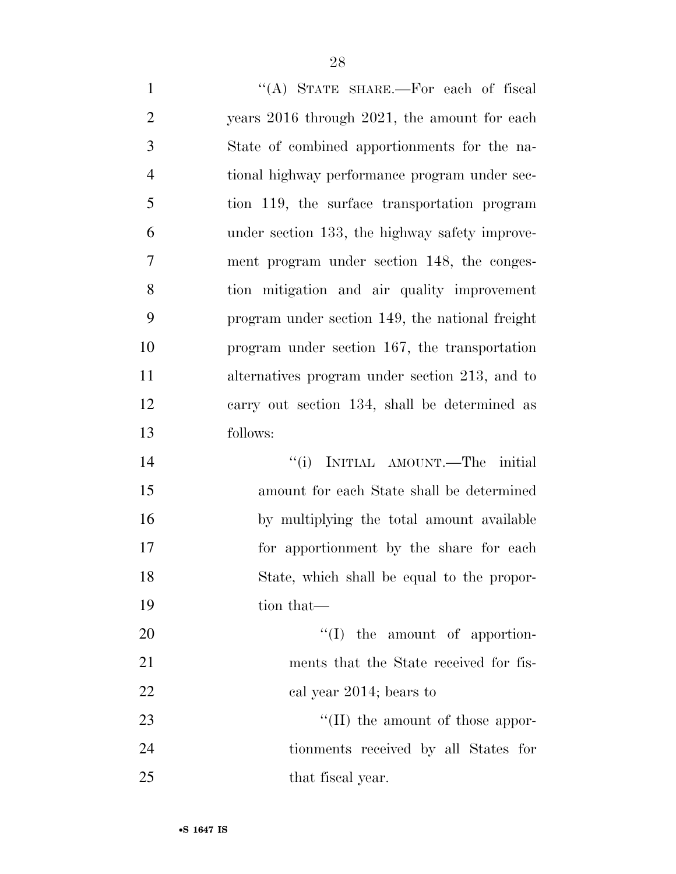1 "(A) STATE SHARE.—For each of fiscal years 2016 through 2021, the amount for each State of combined apportionments for the na- tional highway performance program under sec- tion 119, the surface transportation program under section 133, the highway safety improve- ment program under section 148, the conges- tion mitigation and air quality improvement program under section 149, the national freight program under section 167, the transportation alternatives program under section 213, and to carry out section 134, shall be determined as follows: 14 ''(i) INITIAL AMOUNT.—The initial amount for each State shall be determined by multiplying the total amount available for apportionment by the share for each State, which shall be equal to the propor-19 tion that—  $\text{``(I)}$  the amount of apportion- ments that the State received for fis-22 cal year 2014; bears to  $\frac{1}{2}$  The amount of those appor- tionments received by all States for 25 that fiscal year.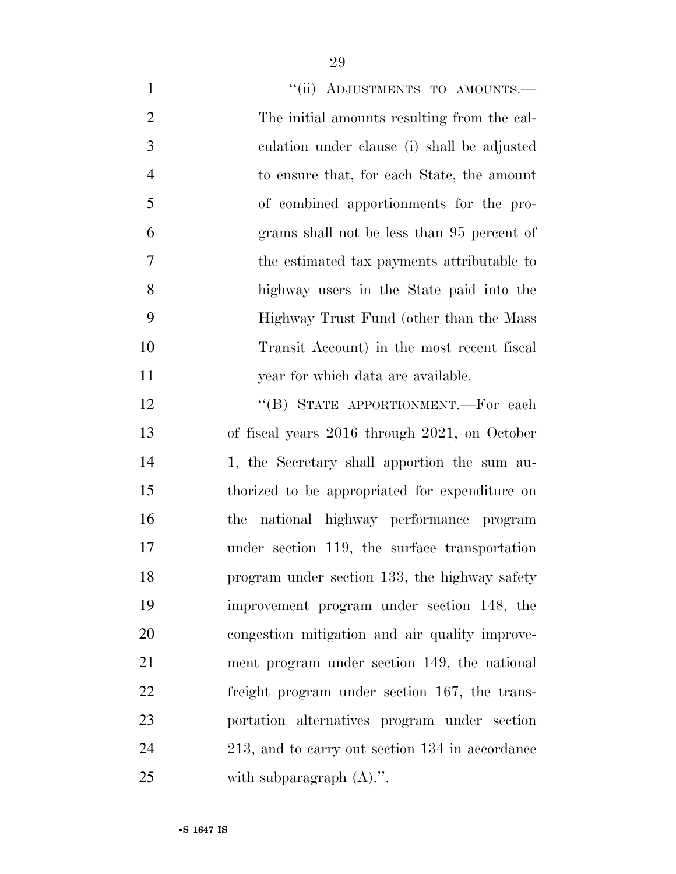| $\mathbf{1}$   | "(ii) ADJUSTMENTS TO AMOUNTS.-                  |
|----------------|-------------------------------------------------|
| $\overline{2}$ | The initial amounts resulting from the cal-     |
| 3              | culation under clause (i) shall be adjusted     |
| $\overline{4}$ | to ensure that, for each State, the amount      |
| 5              | of combined apportionments for the pro-         |
| 6              | grams shall not be less than 95 percent of      |
| 7              | the estimated tax payments attributable to      |
| 8              | highway users in the State paid into the        |
| 9              | Highway Trust Fund (other than the Mass)        |
| 10             | Transit Account) in the most recent fiscal      |
| 11             | year for which data are available.              |
| 12             | "(B) STATE APPORTIONMENT.—For each              |
| 13             | of fiscal years 2016 through 2021, on October   |
| 14             | 1, the Secretary shall apportion the sum au-    |
| 15             | thorized to be appropriated for expenditure on  |
| 16             | national highway performance program<br>the     |
| 17             | under section 119, the surface transportation   |
| 18             | program under section 133, the highway safety   |
| 19             | improvement program under section 148, the      |
| 20             | congestion mitigation and air quality improve-  |
| 21             | ment program under section 149, the national    |
| 22             | freight program under section 167, the trans-   |
| 23             | portation alternatives program under section    |
| 24             | 213, and to carry out section 134 in accordance |
| 25             | with subparagraph $(A)$ .".                     |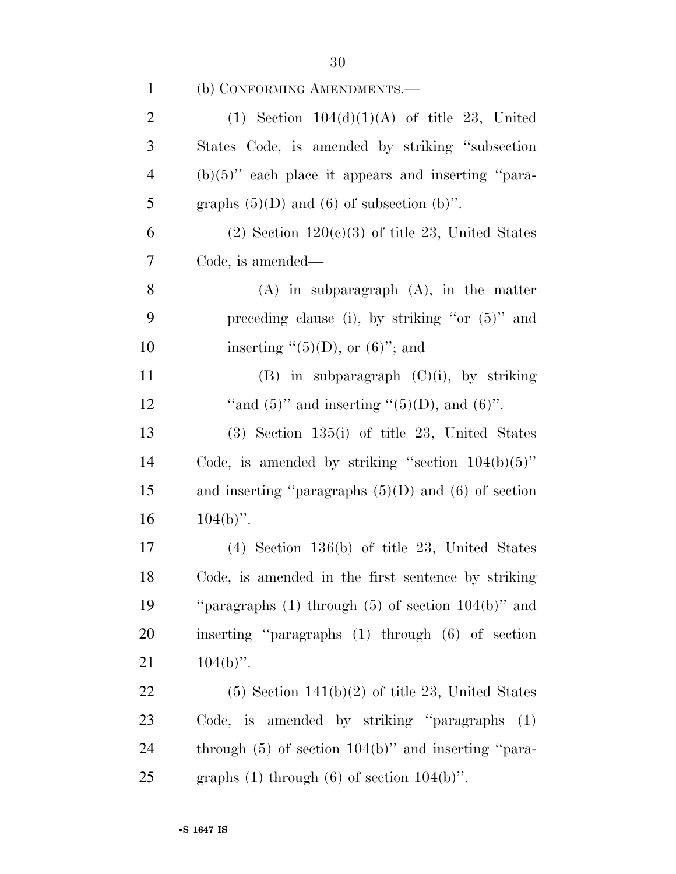| $\mathbf{1}$   | (b) CONFORMING AMENDMENTS.—                               |
|----------------|-----------------------------------------------------------|
| $\overline{2}$ | (1) Section $104(d)(1)(A)$ of title 23, United            |
| 3              | States Code, is amended by striking "subsection"          |
| $\overline{4}$ | $(b)(5)$ " each place it appears and inserting "para-     |
| 5              | graphs $(5)(D)$ and $(6)$ of subsection $(b)$ ".          |
| 6              | $(2)$ Section $120(c)(3)$ of title 23, United States      |
| 7              | Code, is amended—                                         |
| 8              | $(A)$ in subparagraph $(A)$ , in the matter               |
| 9              | preceding clause (i), by striking "or $(5)$ " and         |
| 10             | inserting $\lq(5)(D)$ , or $(6)$ "; and                   |
| 11             | $(B)$ in subparagraph $(C)(i)$ , by striking              |
| 12             | "and $(5)$ " and inserting " $(5)(D)$ , and $(6)$ ".      |
| 13             | $(3)$ Section 135(i) of title 23, United States           |
| 14             | Code, is amended by striking "section $104(b)(5)$ "       |
| 15             | and inserting "paragraphs $(5)(D)$ and $(6)$ of section   |
| 16             | $104(b)$ ".                                               |
| 17             | $(4)$ Section 136(b) of title 23, United States           |
| 18             | Code, is amended in the first sentence by striking        |
| 19             | "paragraphs $(1)$ through $(5)$ of section $104(b)$ " and |
| 20             | inserting "paragraphs (1) through (6) of section          |
| 21             | $104(b)$ ".                                               |
| 22             | $(5)$ Section 141(b)(2) of title 23, United States        |
| 23             | Code, is amended by striking "paragraphs"<br>(1)          |
| 24             | through $(5)$ of section $104(b)$ " and inserting "para-  |
| 25             | graphs $(1)$ through $(6)$ of section $104(b)$ ".         |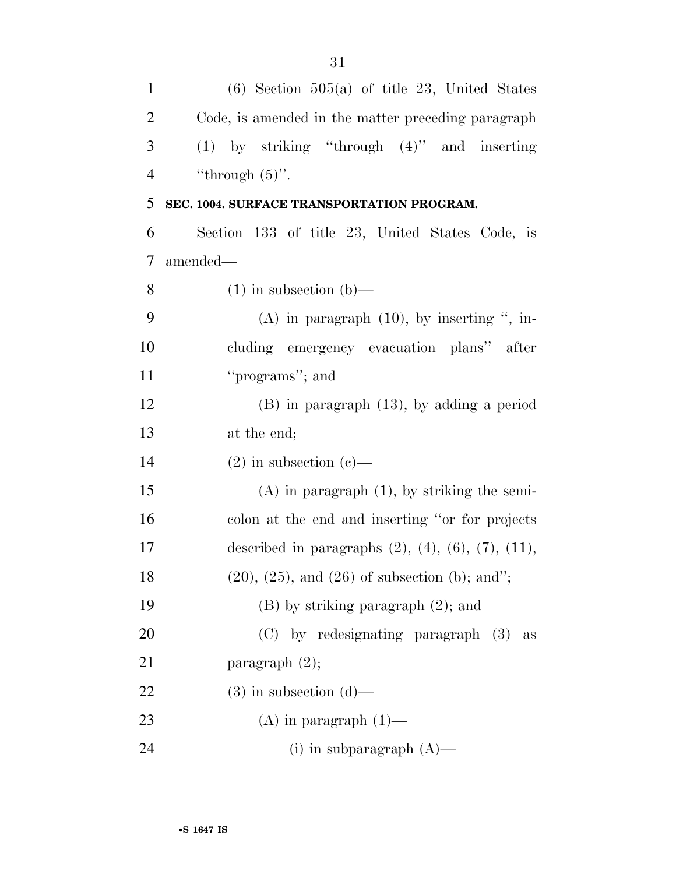| $\mathbf{1}$   | $(6)$ Section 505(a) of title 23, United States                  |
|----------------|------------------------------------------------------------------|
| $\overline{2}$ | Code, is amended in the matter preceding paragraph               |
| 3              | $(1)$ by striking "through $(4)$ " and inserting                 |
| $\overline{4}$ | "through $(5)$ ".                                                |
| 5              | SEC. 1004. SURFACE TRANSPORTATION PROGRAM.                       |
| 6              | Section 133 of title 23, United States Code, is                  |
| 7              | amended—                                                         |
| $8\,$          | $(1)$ in subsection $(b)$ —                                      |
| 9              | $(A)$ in paragraph $(10)$ , by inserting ", in-                  |
| 10             | cluding emergency evacuation plans" after                        |
| 11             | "programs"; and                                                  |
| 12             | $(B)$ in paragraph $(13)$ , by adding a period                   |
| 13             | at the end;                                                      |
| 14             | $(2)$ in subsection $(e)$ —                                      |
| 15             | $(A)$ in paragraph $(1)$ , by striking the semi-                 |
| 16             | colon at the end and inserting "or for projects"                 |
| 17             | described in paragraphs $(2)$ , $(4)$ , $(6)$ , $(7)$ , $(11)$ , |
| 18             | $(20), (25),$ and $(26)$ of subsection (b); and";                |
| 19             | $(B)$ by striking paragraph $(2)$ ; and                          |
| 20             | (C) by redesignating paragraph (3)<br>as                         |
| 21             | paragraph $(2)$ ;                                                |
| 22             | $(3)$ in subsection $(d)$ —                                      |
| 23             | $(A)$ in paragraph $(1)$ —                                       |
| 24             | (i) in subparagraph $(A)$ —                                      |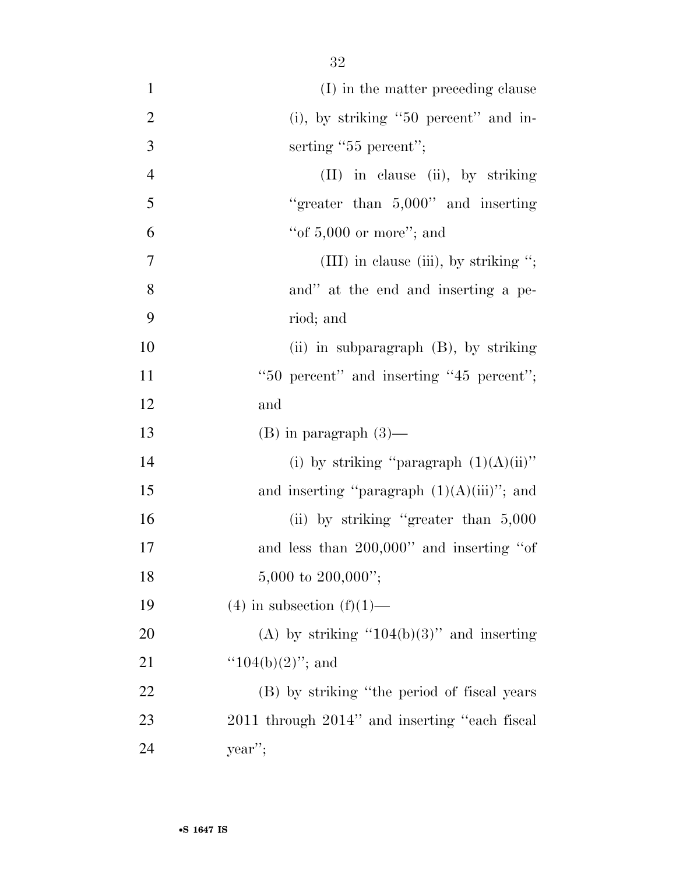| $\mathbf{1}$   | (I) in the matter preceding clause            |
|----------------|-----------------------------------------------|
| $\overline{2}$ | $(i)$ , by striking "50 percent" and in-      |
| 3              | serting "55 percent";                         |
| $\overline{4}$ | (II) in clause (ii), by striking              |
| 5              | "greater than $5,000$ " and inserting         |
| 6              | "of $5,000$ or more"; and                     |
| $\overline{7}$ | (III) in clause (iii), by striking ";         |
| 8              | and" at the end and inserting a pe-           |
| 9              | riod; and                                     |
| 10             | (ii) in subparagraph $(B)$ , by striking      |
| 11             | "50 percent" and inserting "45 percent";      |
| 12             | and                                           |
| 13             | $(B)$ in paragraph $(3)$ —                    |
| 14             | (i) by striking "paragraph $(1)(A)(ii)$ "     |
| 15             | and inserting "paragraph $(1)(A)(iii)$ "; and |
| 16             | (ii) by striking "greater than 5,000          |
| 17             | and less than 200,000" and inserting "of      |
| 18             | 5,000 to $200,000$ ";                         |
| 19             | $(4)$ in subsection $(f)(1)$ —                |
| 20             | (A) by striking " $104(b)(3)$ " and inserting |
| 21             | " $104(b)(2)$ "; and                          |
| 22             | (B) by striking "the period of fiscal years   |
| 23             | 2011 through 2014" and inserting "each fiscal |
| 24             | year";                                        |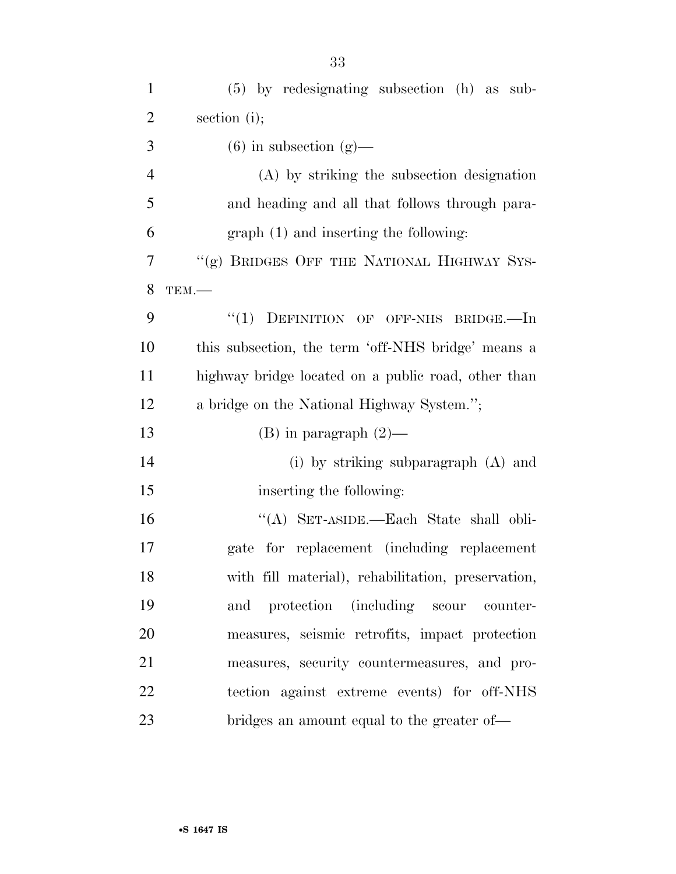| $\mathbf{1}$   | $(5)$ by redesignating subsection $(h)$ as sub-     |
|----------------|-----------------------------------------------------|
| $\overline{2}$ | section (i);                                        |
| 3              | $(6)$ in subsection $(g)$ —                         |
| $\overline{4}$ | (A) by striking the subsection designation          |
| 5              | and heading and all that follows through para-      |
| 6              | graph (1) and inserting the following:              |
| 7              | "(g) BRIDGES OFF THE NATIONAL HIGHWAY SYS-          |
| 8              | TEM.                                                |
| 9              | "(1) DEFINITION OF OFF-NHS BRIDGE.—In               |
| 10             | this subsection, the term 'off-NHS bridge' means a  |
| 11             | highway bridge located on a public road, other than |
| 12             | a bridge on the National Highway System.";          |
| 13             | $(B)$ in paragraph $(2)$ —                          |
| 14             | (i) by striking subparagraph (A) and                |
| 15             | inserting the following:                            |
| 16             | "(A) SET-ASIDE.—Each State shall obli-              |
| 17             | gate for replacement (including replacement         |
| 18             | with fill material), rehabilitation, preservation,  |
| 19             | and protection (including scour counter-            |
| 20             | measures, seismic retrofits, impact protection      |
| 21             | measures, security countermeasures, and pro-        |
| 22             | tection against extreme events) for off-NHS         |
| 23             | bridges an amount equal to the greater of—          |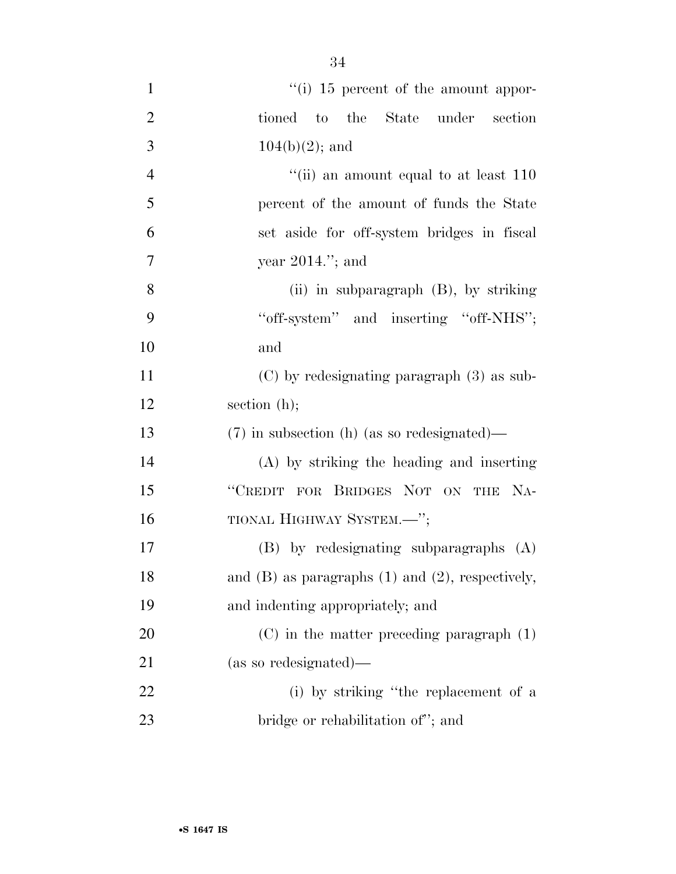| $\mathbf{1}$   | $\lq\lq$ (i) 15 percent of the amount appor-            |
|----------------|---------------------------------------------------------|
| $\overline{2}$ | tioned to the State under section                       |
| 3              | $104(b)(2)$ ; and                                       |
| $\overline{4}$ | "(ii) an amount equal to at least $110$                 |
| 5              | percent of the amount of funds the State                |
| 6              | set aside for off-system bridges in fiscal              |
| $\tau$         | year $2014$ ."; and                                     |
| 8              | (ii) in subparagraph $(B)$ , by striking                |
| 9              | "off-system" and inserting "off-NHS";                   |
| 10             | and                                                     |
| 11             | $(C)$ by redesignating paragraph $(3)$ as sub-          |
| 12             | section $(h)$ ;                                         |
| 13             | $(7)$ in subsection (h) (as so redesignated)—           |
| 14             | (A) by striking the heading and inserting               |
| 15             | "CREDIT FOR BRIDGES NOT ON THE NA-                      |
| 16             | TIONAL HIGHWAY SYSTEM.-";                               |
| 17             | $(B)$ by redesignating subparagraphs $(A)$              |
| 18             | and $(B)$ as paragraphs $(1)$ and $(2)$ , respectively, |
| 19             | and indenting appropriately; and                        |
| 20             | $(C)$ in the matter preceding paragraph $(1)$           |
| 21             | (as so redesignated)—                                   |
| 22             | (i) by striking "the replacement of a                   |
| 23             | bridge or rehabilitation of"; and                       |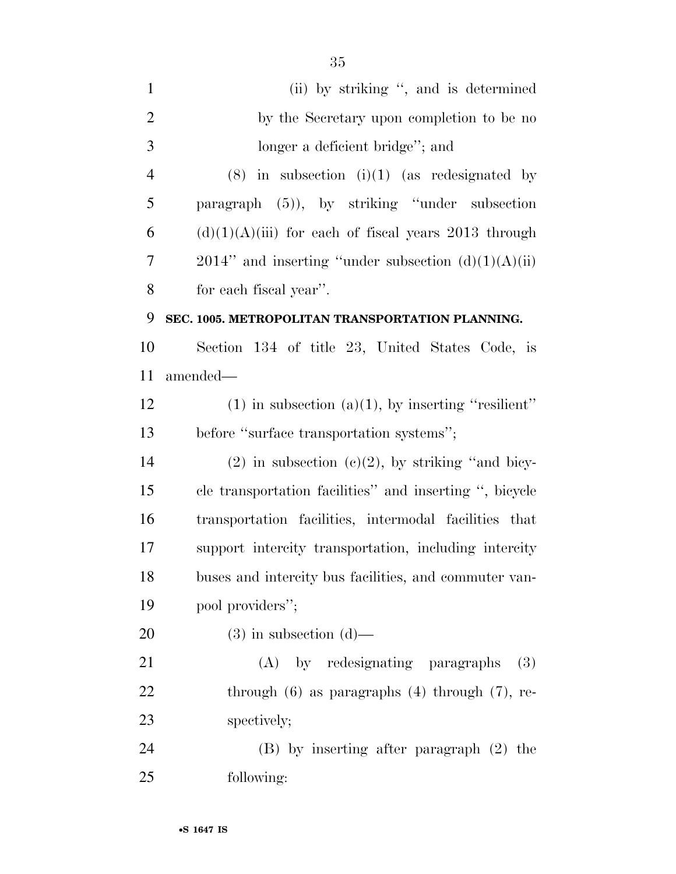| $\mathbf{1}$   | (ii) by striking ", and is determined                    |
|----------------|----------------------------------------------------------|
| $\overline{2}$ | by the Secretary upon completion to be no                |
| 3              | longer a deficient bridge"; and                          |
| $\overline{4}$ | $(8)$ in subsection $(i)(1)$ (as redesignated by         |
| 5              | paragraph (5)), by striking "under subsection            |
| 6              | $(d)(1)(A)(iii)$ for each of fiscal years 2013 through   |
| 7              | $2014$ " and inserting "under subsection $(d)(1)(A)(ii)$ |
| 8              | for each fiscal year".                                   |
| 9              | SEC. 1005. METROPOLITAN TRANSPORTATION PLANNING.         |
| 10             | Section 134 of title 23, United States Code, is          |
| 11             | amended—                                                 |
| 12             | $(1)$ in subsection $(a)(1)$ , by inserting "resilient"  |
| 13             | before "surface transportation systems";                 |
| 14             | $(2)$ in subsection $(e)(2)$ , by striking "and bicy-    |
| 15             | cle transportation facilities" and inserting ", bicycle  |
| 16             | transportation facilities, intermodal facilities that    |
| 17             | support intercity transportation, including intercity    |
| 18             | buses and intercity bus facilities, and commuter van-    |
| 19             | pool providers";                                         |
| 20             | $(3)$ in subsection $(d)$ —                              |
| 21             | (A) by redesignating paragraphs<br>(3)                   |
| 22             | through $(6)$ as paragraphs $(4)$ through $(7)$ , re-    |
| 23             | spectively;                                              |
| 24             | $(B)$ by inserting after paragraph $(2)$ the             |
| 25             | following:                                               |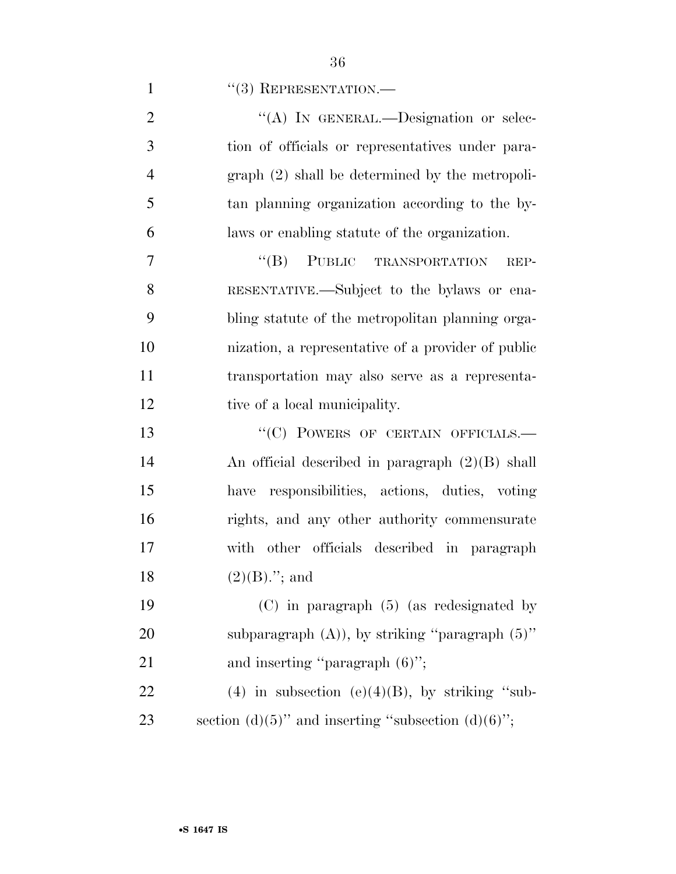| $\overline{2}$ | "(A) IN GENERAL.—Designation or selec-               |
|----------------|------------------------------------------------------|
| 3              | tion of officials or representatives under para-     |
| $\overline{4}$ | $graph (2) shall be determined by the metropoli-$    |
| 5              | tan planning organization according to the by-       |
| 6              | laws or enabling statute of the organization.        |
| 7              | "(B) PUBLIC TRANSPORTATION<br>REP-                   |
| 8              | RESENTATIVE.—Subject to the bylaws or ena-           |
| 9              | bling statute of the metropolitan planning orga-     |
| 10             | nization, a representative of a provider of public   |
| 11             | transportation may also serve as a representa-       |
| 12             | tive of a local municipality.                        |
| 13             | "(C) POWERS OF CERTAIN OFFICIALS.-                   |
| 14             | An official described in paragraph $(2)(B)$ shall    |
| 15             | have responsibilities, actions, duties, voting       |
| 16             | rights, and any other authority commensurate         |
| 17             | with other officials described in paragraph          |
| 18             | $(2)(B)$ ."; and                                     |
| 19             | $(C)$ in paragraph $(5)$ (as redesignated by         |
| 20             | subparagraph $(A)$ ), by striking "paragraph $(5)$ " |
| 21             | and inserting "paragraph $(6)$ ";                    |
| 22             | (4) in subsection (e)(4)(B), by striking "sub-       |
| 23             | section (d)(5)" and inserting "subsection (d)(6)";   |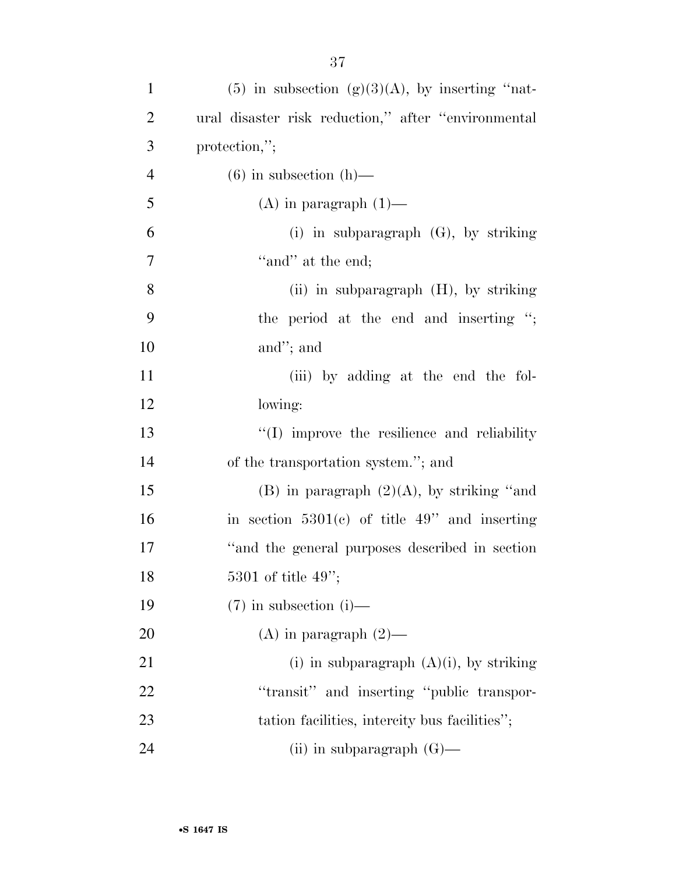| $\mathbf{1}$   | $(5)$ in subsection $(g)(3)(A)$ , by inserting "nat- |
|----------------|------------------------------------------------------|
| $\overline{c}$ | ural disaster risk reduction," after "environmental  |
| 3              | protection,";                                        |
| $\overline{4}$ | $(6)$ in subsection $(h)$ —                          |
| 5              | $(A)$ in paragraph $(1)$ —                           |
| 6              | (i) in subparagraph $(G)$ , by striking              |
| $\tau$         | "and" at the end;                                    |
| $8\,$          | (ii) in subparagraph (H), by striking                |
| 9              | the period at the end and inserting ";               |
| 10             | and"; and                                            |
| 11             | (iii) by adding at the end the fol-                  |
| 12             | lowing:                                              |
| 13             | "(I) improve the resilience and reliability          |
| 14             | of the transportation system."; and                  |
| 15             | $(B)$ in paragraph $(2)(A)$ , by striking "and       |
| 16             | in section $5301(e)$ of title 49" and inserting      |
| 17             | "and the general purposes described in section"      |
| 18             | 5301 of title $49$ ";                                |
| 19             | $(7)$ in subsection (i)—                             |
| <b>20</b>      | (A) in paragraph $(2)$ —                             |
| 21             | (i) in subparagraph $(A)(i)$ , by striking           |
| 22             | "transit" and inserting "public transpor-            |
| 23             | tation facilities, intercity bus facilities";        |
| 24             | (ii) in subparagraph $(G)$ —                         |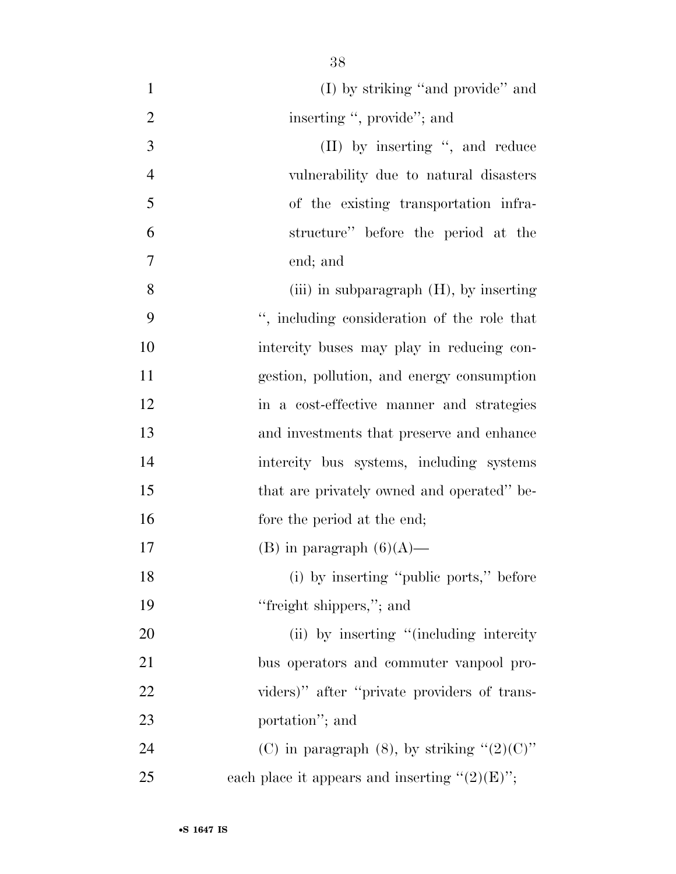| $\mathbf{1}$   | (I) by striking "and provide" and                 |
|----------------|---------------------------------------------------|
| $\overline{2}$ | inserting ", provide"; and                        |
| 3              | $(II)$ by inserting ", and reduce                 |
| $\overline{4}$ | vulnerability due to natural disasters            |
| 5              | of the existing transportation infra-             |
| 6              | structure" before the period at the               |
| 7              | end; and                                          |
| 8              | (iii) in subparagraph $(H)$ , by inserting        |
| 9              | ", including consideration of the role that       |
| 10             | intercity buses may play in reducing con-         |
| 11             | gestion, pollution, and energy consumption        |
| 12             | in a cost-effective manner and strategies         |
| 13             | and investments that preserve and enhance         |
| 14             | intercity bus systems, including systems          |
| 15             | that are privately owned and operated" be-        |
| 16             | fore the period at the end;                       |
| 17             | (B) in paragraph $(6)(A)$ —                       |
| 18             | (i) by inserting "public ports," before           |
| 19             | "freight shippers,"; and                          |
| 20             | (ii) by inserting "(including intercity)          |
| 21             | bus operators and commuter vanpool pro-           |
| 22             | viders)" after "private providers of trans-       |
| 23             | portation"; and                                   |
| 24             | (C) in paragraph (8), by striking " $(2)(C)$ "    |
| 25             | each place it appears and inserting " $(2)(E)$ "; |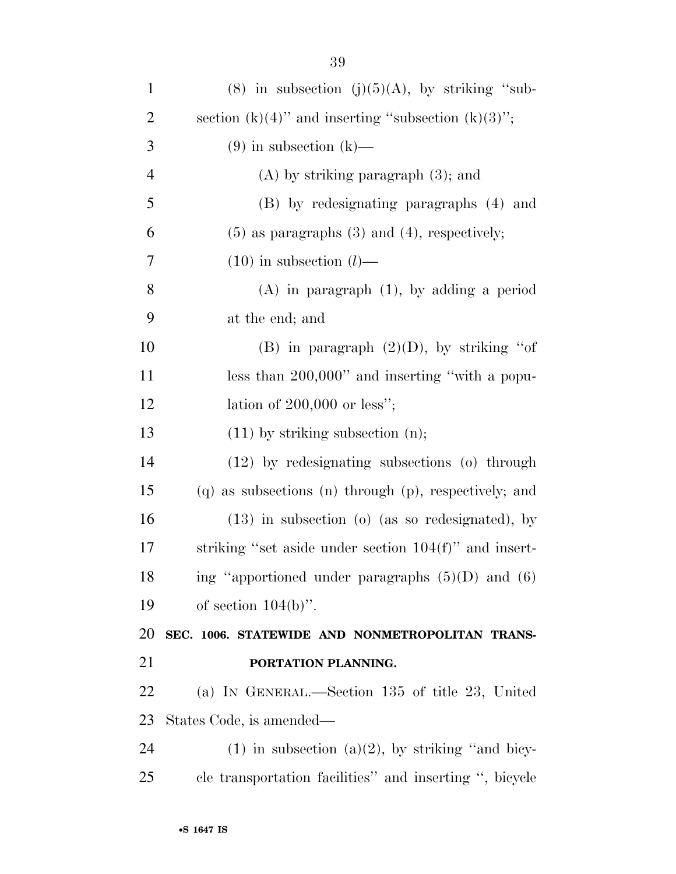| $\mathbf{1}$   | $(8)$ in subsection $(j)(5)(A)$ , by striking "sub-      |
|----------------|----------------------------------------------------------|
| $\overline{2}$ | section $(k)(4)$ " and inserting "subsection $(k)(3)$ "; |
| 3              | $(9)$ in subsection $(k)$ —                              |
| $\overline{4}$ | $(A)$ by striking paragraph $(3)$ ; and                  |
| 5              | (B) by redesignating paragraphs (4) and                  |
| 6              | $(5)$ as paragraphs $(3)$ and $(4)$ , respectively;      |
| 7              | $(10)$ in subsection $(l)$ —                             |
| 8              | $(A)$ in paragraph $(1)$ , by adding a period            |
| 9              | at the end; and                                          |
| 10             | (B) in paragraph $(2)(D)$ , by striking "of              |
| 11             | less than 200,000" and inserting "with a popu-           |
| 12             | lation of $200,000$ or less";                            |
| 13             | $(11)$ by striking subsection $(n)$ ;                    |
| 14             | $(12)$ by redesignating subsections $(0)$ through        |
| 15             | (q) as subsections (n) through (p), respectively; and    |
| 16             | $(13)$ in subsection (o) (as so redesignated), by        |
| 17             | striking "set aside under section $104(f)$ " and insert- |
| 18             | ing "apportioned under paragraphs $(5)(D)$ and $(6)$     |
| 19             | of section $104(b)$ ".                                   |
| 20             | SEC. 1006. STATEWIDE AND NONMETROPOLITAN TRANS-          |
| 21             | PORTATION PLANNING.                                      |
| 22             | (a) IN GENERAL.—Section 135 of title 23, United          |
| 23             | States Code, is amended—                                 |
| 24             | $(1)$ in subsection $(a)(2)$ , by striking "and bicy-    |
| 25             | cle transportation facilities" and inserting ", bicycle  |
|                |                                                          |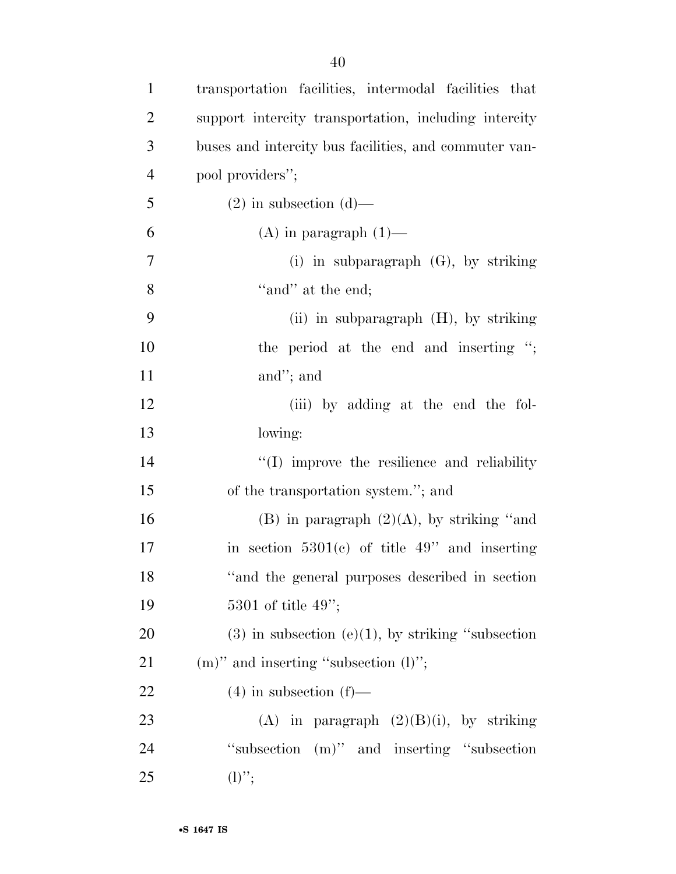| $\mathbf{1}$   | transportation facilities, intermodal facilities that   |
|----------------|---------------------------------------------------------|
| $\overline{2}$ | support intercity transportation, including intercity   |
| 3              | buses and intercity bus facilities, and commuter van-   |
| $\overline{4}$ | pool providers";                                        |
| 5              | $(2)$ in subsection $(d)$ —                             |
| 6              | $(A)$ in paragraph $(1)$ —                              |
| $\overline{7}$ | (i) in subparagraph $(G)$ , by striking                 |
| 8              | "and" at the end;                                       |
| 9              | (ii) in subparagraph (H), by striking                   |
| 10             | the period at the end and inserting ";                  |
| 11             | and"; and                                               |
| 12             | (iii) by adding at the end the fol-                     |
| 13             | lowing:                                                 |
| 14             | "(I) improve the resilience and reliability             |
| 15             | of the transportation system."; and                     |
| 16             | (B) in paragraph $(2)(A)$ , by striking "and            |
| 17             | in section $5301(e)$ of title 49" and inserting         |
| 18             | "and the general purposes described in section          |
| 19             | 5301 of title $49$ ";                                   |
| 20             | $(3)$ in subsection $(e)(1)$ , by striking "subsection" |
| 21             | $(m)$ " and inserting "subsection $(l)$ ";              |
| 22             | $(4)$ in subsection $(f)$ —                             |
| 23             | (A) in paragraph $(2)(B)(i)$ , by striking              |
| 24             | "subsection (m)" and inserting "subsection"             |
| 25             | $(l)$ ";                                                |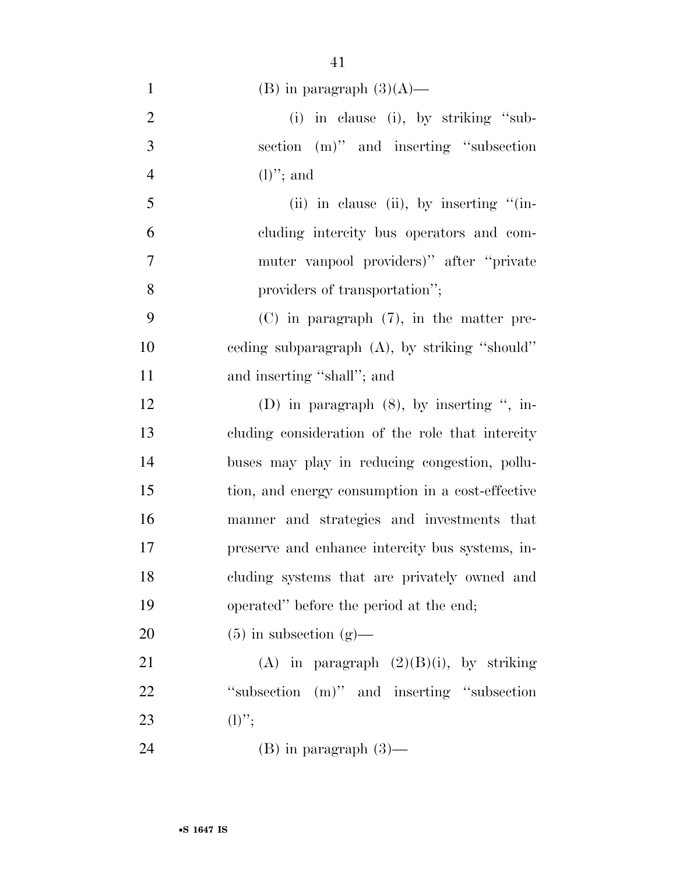| $\mathbf{1}$   | (B) in paragraph $(3)(A)$ —                      |
|----------------|--------------------------------------------------|
| $\overline{2}$ | (i) in clause (i), by striking "sub-             |
| 3              | section (m)" and inserting "subsection           |
| $\overline{4}$ | $(l)$ "; and                                     |
| 5              | (ii) in clause (ii), by inserting $\lq$ (in-     |
| 6              | cluding intercity bus operators and com-         |
| $\tau$         | muter vanpool providers)" after "private         |
| 8              | providers of transportation";                    |
| 9              | $(C)$ in paragraph $(7)$ , in the matter pre-    |
| 10             | eeding subparagraph (A), by striking "should"    |
| 11             | and inserting "shall"; and                       |
| 12             | (D) in paragraph $(8)$ , by inserting ", in-     |
| 13             | cluding consideration of the role that intercity |
| 14             | buses may play in reducing congestion, pollu-    |
| 15             | tion, and energy consumption in a cost-effective |
| 16             | manner and strategies and investments that       |
| 17             | preserve and enhance intercity bus systems, in-  |
| 18             | cluding systems that are privately owned and     |
| 19             | operated" before the period at the end;          |
| 20             | $(5)$ in subsection $(g)$ —                      |
| 21             | (A) in paragraph $(2)(B)(i)$ , by striking       |
| 22             | "subsection (m)" and inserting "subsection"      |
| 23             | $(l)$ ";                                         |
| 24             | $(B)$ in paragraph $(3)$ —                       |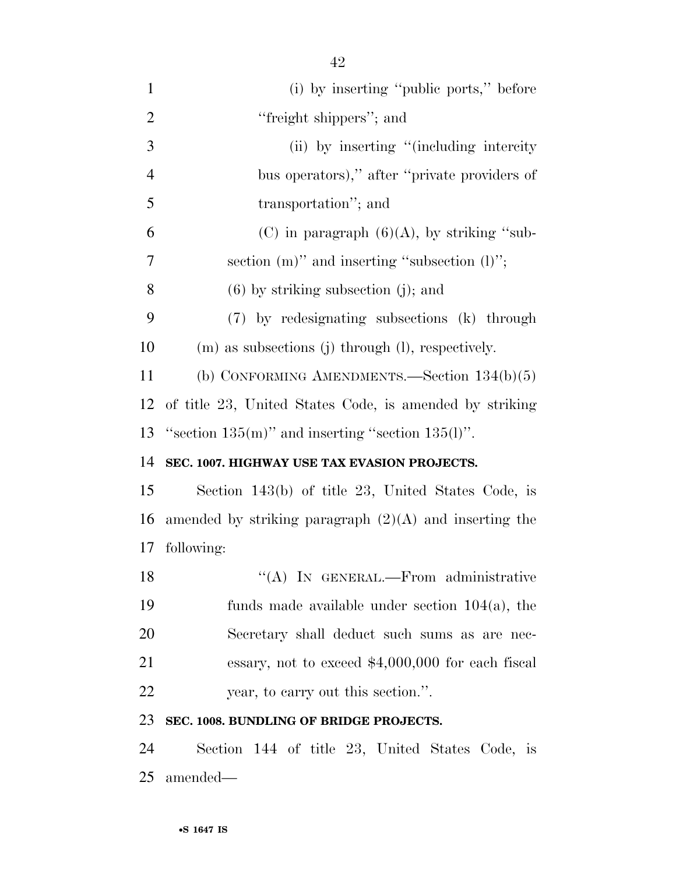| $\mathbf{1}$   | (i) by inserting "public ports," before                  |
|----------------|----------------------------------------------------------|
| $\overline{2}$ | "freight shippers"; and                                  |
| 3              | (ii) by inserting "(including intercity)                 |
| $\overline{4}$ | bus operators)," after "private providers of             |
| 5              | transportation"; and                                     |
| 6              | (C) in paragraph $(6)(A)$ , by striking "sub-            |
| 7              | section $(m)$ " and inserting "subsection $(l)$ ";       |
| 8              | $(6)$ by striking subsection (j); and                    |
| 9              | (7) by redesignating subsections (k) through             |
| 10             | $(m)$ as subsections $(j)$ through $(l)$ , respectively. |
| 11             | (b) CONFORMING AMENDMENTS.—Section $134(b)(5)$           |
| 12             | of title 23, United States Code, is amended by striking  |
| 13             | "section $135(m)$ " and inserting "section $135(l)$ ".   |
| 14             | SEC. 1007. HIGHWAY USE TAX EVASION PROJECTS.             |
| 15             | Section 143(b) of title 23, United States Code, is       |
| 16             | amended by striking paragraph $(2)(A)$ and inserting the |
| 17             | following:                                               |
| 18             | "(A) IN GENERAL.—From administrative                     |
| 19             | funds made available under section $104(a)$ , the        |
| 20             | Secretary shall deduct such sums as are nec-             |
| 21             | essary, not to exceed $$4,000,000$ for each fiscal       |
| 22             | year, to carry out this section.".                       |
| 23             | SEC. 1008. BUNDLING OF BRIDGE PROJECTS.                  |
| 24             | Section 144 of title 23, United States Code, is          |

amended—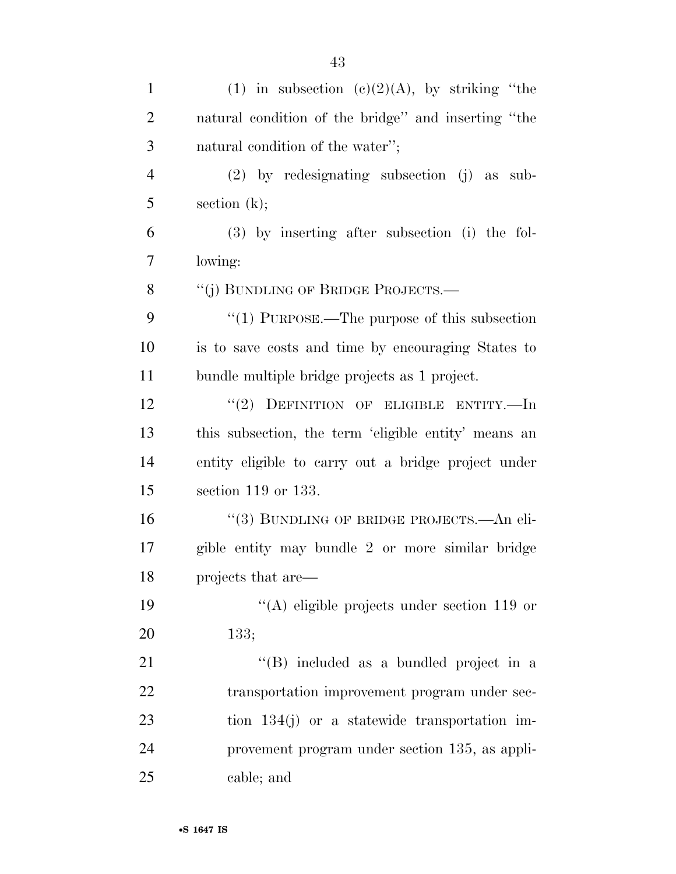| $\mathbf{1}$   | (1) in subsection $(c)(2)(A)$ , by striking "the     |
|----------------|------------------------------------------------------|
| $\overline{2}$ | natural condition of the bridge" and inserting "the  |
| 3              | natural condition of the water";                     |
| $\overline{4}$ | $(2)$ by redesignating subsection $(j)$ as sub-      |
| 5              | section $(k)$ ;                                      |
| 6              | $(3)$ by inserting after subsection (i) the fol-     |
| 7              | lowing:                                              |
| 8              | "(j) BUNDLING OF BRIDGE PROJECTS.-                   |
| 9              | $\lq(1)$ PURPOSE.—The purpose of this subsection     |
| 10             | is to save costs and time by encouraging States to   |
| 11             | bundle multiple bridge projects as 1 project.        |
| 12             | "(2) DEFINITION OF ELIGIBLE ENTITY.—In               |
| 13             | this subsection, the term 'eligible entity' means an |
| 14             | entity eligible to carry out a bridge project under  |
| 15             | section $119$ or $133$ .                             |
| 16             | "(3) BUNDLING OF BRIDGE PROJECTS.—An eli-            |
| 17             | gible entity may bundle 2 or more similar bridge     |
| 18             | projects that are—                                   |
| 19             | $\lq\lq$ eligible projects under section 119 or      |
| 20             | 133;                                                 |
| 21             | "(B) included as a bundled project in a              |
| 22             | transportation improvement program under sec-        |
| 23             | tion $134(j)$ or a statewide transportation im-      |
| 24             | provement program under section 135, as appli-       |
| 25             | cable; and                                           |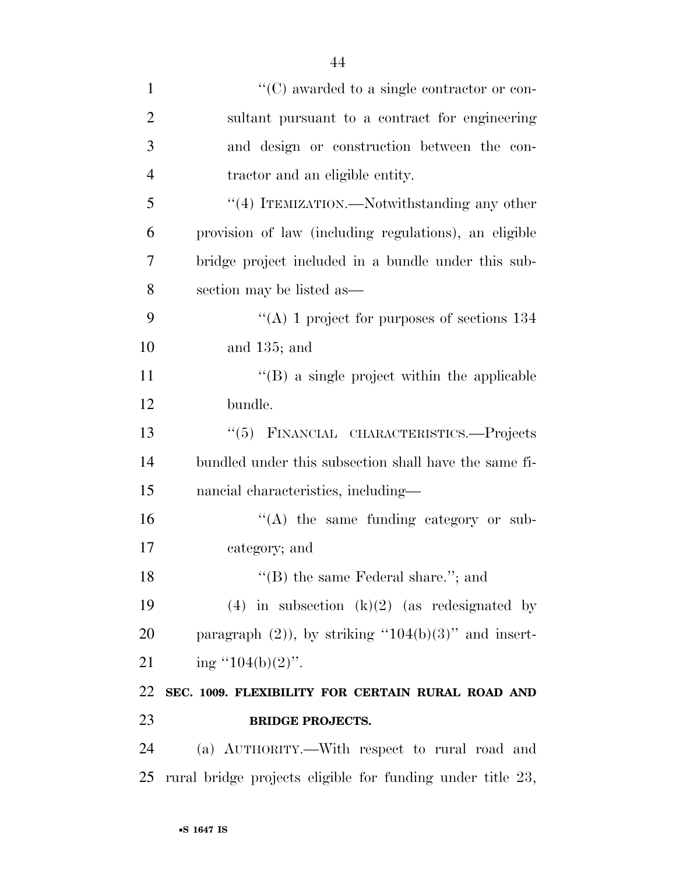| $\mathbf{1}$   | $\lq\lq$ (C) awarded to a single contractor or con-        |
|----------------|------------------------------------------------------------|
| $\overline{2}$ | sultant pursuant to a contract for engineering             |
| 3              | and design or construction between the con-                |
| $\overline{4}$ | tractor and an eligible entity.                            |
| 5              | "(4) ITEMIZATION.—Notwithstanding any other                |
| 6              | provision of law (including regulations), an eligible      |
| 7              | bridge project included in a bundle under this sub-        |
| 8              | section may be listed as—                                  |
| 9              | "(A) 1 project for purposes of sections $134$              |
| 10             | and $135$ ; and                                            |
| 11             | $\lq\lq$ (B) a single project within the applicable        |
| 12             | bundle.                                                    |
| 13             | "(5) FINANCIAL CHARACTERISTICS.-Projects                   |
| 14             | bundled under this subsection shall have the same fi-      |
| 15             | nancial characteristics, including—                        |
| 16             | $\lq\lq$ the same funding category or sub-                 |
| 17             | category; and                                              |
| 18             | "(B) the same Federal share."; and                         |
| 19             | (4) in subsection $(k)(2)$ (as redesignated by             |
| 20             | paragraph $(2)$ ), by striking "104(b)(3)" and insert-     |
| 21             | ing " $104(b)(2)$ ".                                       |
| 22             | SEC. 1009. FLEXIBILITY FOR CERTAIN RURAL ROAD AND          |
| 23             | <b>BRIDGE PROJECTS.</b>                                    |
| 24             | (a) AUTHORITY.—With respect to rural road and              |
| 25             | rural bridge projects eligible for funding under title 23, |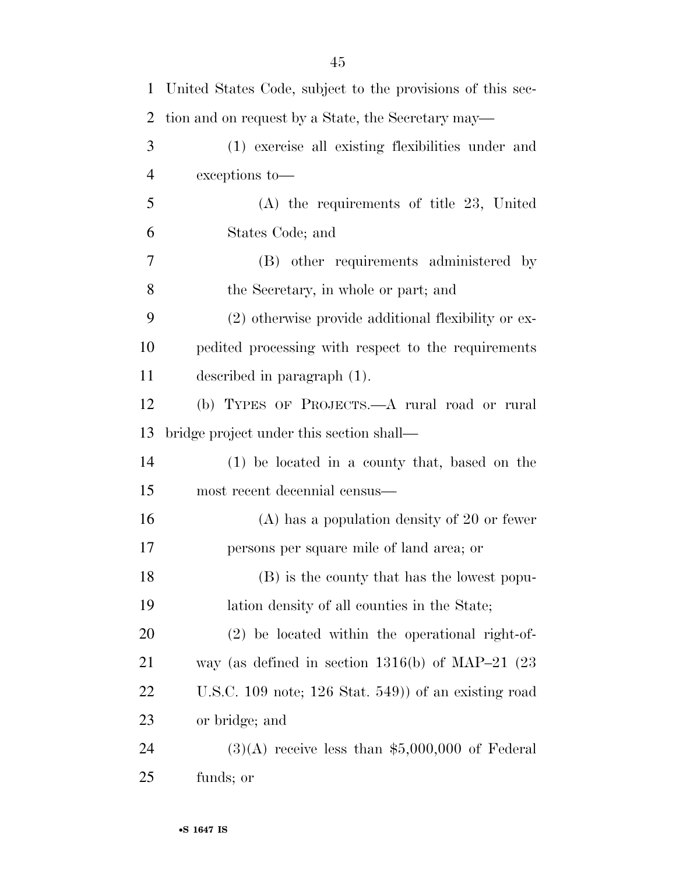| $\mathbf{1}$ | United States Code, subject to the provisions of this sec- |
|--------------|------------------------------------------------------------|
| 2            | tion and on request by a State, the Secretary may—         |
| 3            | (1) exercise all existing flexibilities under and          |
| 4            | exceptions to-                                             |
| 5            | $(A)$ the requirements of title 23, United                 |
| 6            | States Code; and                                           |
| 7            | (B) other requirements administered by                     |
| 8            | the Secretary, in whole or part; and                       |
| 9            | (2) otherwise provide additional flexibility or ex-        |
| 10           | pedited processing with respect to the requirements        |
| 11           | described in paragraph $(1)$ .                             |
| 12           | (b) TYPES OF PROJECTS.—A rural road or rural               |
| 13           | bridge project under this section shall—                   |
| 14           | (1) be located in a county that, based on the              |
| 15           | most recent decennial census—                              |
| 16           | $(A)$ has a population density of 20 or fewer              |
| 17           | persons per square mile of land area; or                   |
| 18           | (B) is the county that has the lowest popu-                |
| 19           | lation density of all counties in the State;               |
| 20           | (2) be located within the operational right-of-            |
| 21           | way (as defined in section $1316(b)$ of MAP-21 (23)        |
| 22           | U.S.C. 109 note; $126$ Stat. 549) of an existing road      |
| 23           | or bridge; and                                             |
| 24           | $(3)(A)$ receive less than \$5,000,000 of Federal          |
| 25           | funds; or                                                  |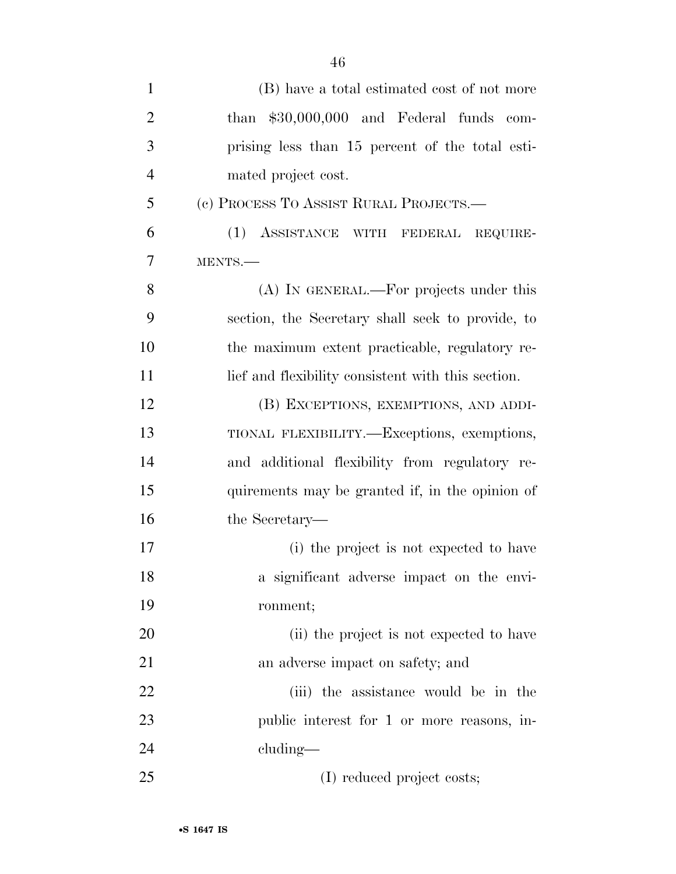| $\mathbf{1}$   | (B) have a total estimated cost of not more        |
|----------------|----------------------------------------------------|
| $\overline{2}$ | than \$30,000,000 and Federal funds com-           |
| 3              | prising less than 15 percent of the total esti-    |
| $\overline{4}$ | mated project cost.                                |
| 5              | (c) PROCESS TO ASSIST RURAL PROJECTS.—             |
| 6              | (1)<br>ASSISTANCE WITH FEDERAL REQUIRE-            |
| 7              | MENTS.-                                            |
| 8              | (A) IN GENERAL.—For projects under this            |
| 9              | section, the Secretary shall seek to provide, to   |
| 10             | the maximum extent practicable, regulatory re-     |
| 11             | lief and flexibility consistent with this section. |
| 12             | (B) EXCEPTIONS, EXEMPTIONS, AND ADDI-              |
| 13             | TIONAL FLEXIBILITY.—Exceptions, exemptions,        |
| 14             | and additional flexibility from regulatory re-     |
| 15             | quirements may be granted if, in the opinion of    |
| 16             | the Secretary—                                     |
| 17             | (i) the project is not expected to have            |
| 18             | a significant adverse impact on the envi-          |
| 19             | ronment;                                           |
| 20             | (ii) the project is not expected to have           |
| 21             | an adverse impact on safety; and                   |
| 22             | (iii) the assistance would be in the               |
| 23             | public interest for 1 or more reasons, in-         |
| 24             | $cluding$ —                                        |
| 25             | (I) reduced project costs;                         |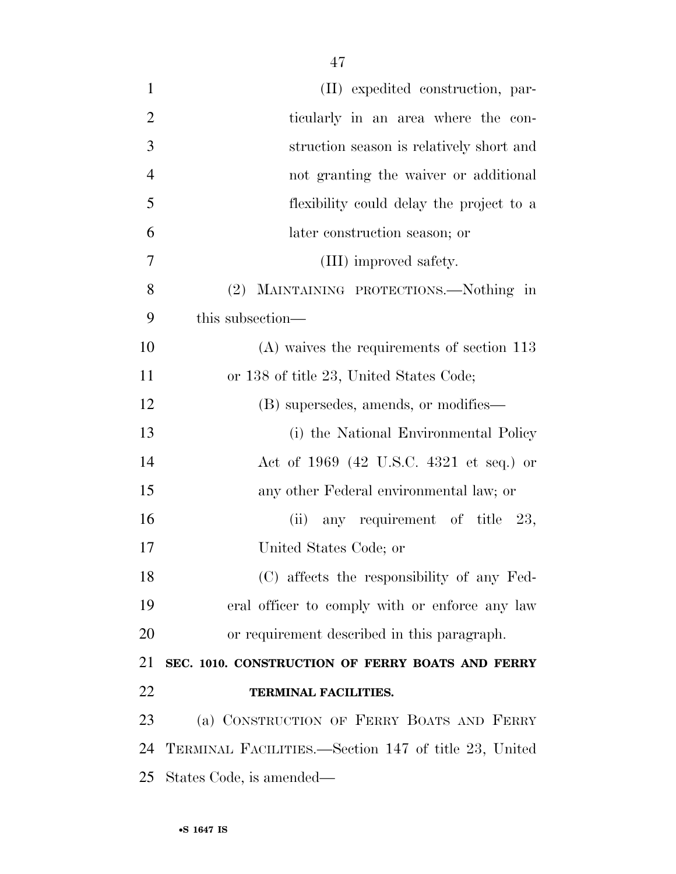| $\mathbf{1}$   | (II) expedited construction, par-                    |
|----------------|------------------------------------------------------|
| $\overline{2}$ | ticularly in an area where the con-                  |
| 3              | struction season is relatively short and             |
| $\overline{4}$ | not granting the waiver or additional                |
| 5              | flexibility could delay the project to a             |
| 6              | later construction season; or                        |
| 7              | (III) improved safety.                               |
| 8              | (2) MAINTAINING PROTECTIONS.—Nothing in              |
| 9              | this subsection—                                     |
| 10             | $(A)$ waives the requirements of section 113         |
| 11             | or 138 of title 23, United States Code;              |
| 12             | (B) supersedes, amends, or modifies—                 |
| 13             | (i) the National Environmental Policy                |
| 14             | Act of 1969 (42 U.S.C. 4321 et seq.) or              |
| 15             | any other Federal environmental law; or              |
| 16             | (ii) any requirement of title $23$ ,                 |
| 17             | United States Code; or                               |
| 18             | (C) affects the responsibility of any Fed-           |
| 19             | eral officer to comply with or enforce any law       |
| 20             | or requirement described in this paragraph.          |
| 21             | SEC. 1010. CONSTRUCTION OF FERRY BOATS AND FERRY     |
| 22             | TERMINAL FACILITIES.                                 |
| 23             | (a) CONSTRUCTION OF FERRY BOATS AND FERRY            |
| 24             | TERMINAL FACILITIES.—Section 147 of title 23, United |
| 25             | States Code, is amended—                             |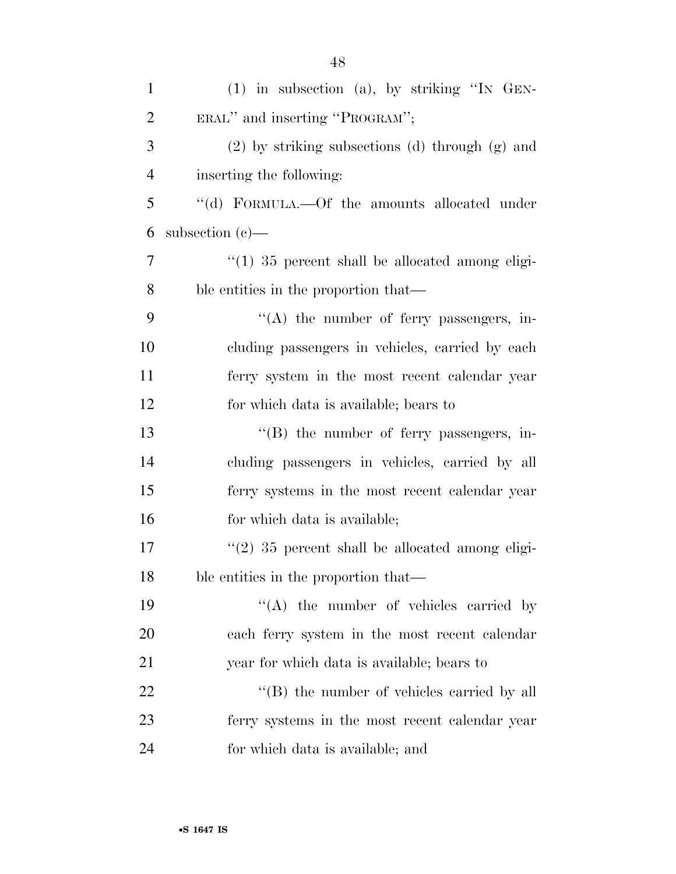| $\mathbf{1}$   | $(1)$ in subsection $(a)$ , by striking "IN GEN-      |
|----------------|-------------------------------------------------------|
| $\overline{2}$ | ERAL" and inserting "PROGRAM";                        |
| 3              | $(2)$ by striking subsections $(d)$ through $(g)$ and |
| $\overline{4}$ | inserting the following:                              |
| 5              | "(d) FORMULA.—Of the amounts allocated under          |
| 6              | subsection $(c)$ —                                    |
| 7              | $"(1)$ 35 percent shall be allocated among eligi-     |
| 8              | ble entities in the proportion that—                  |
| 9              | $\lq\lq$ the number of ferry passengers, in-          |
| 10             | cluding passengers in vehicles, carried by each       |
| 11             | ferry system in the most recent calendar year         |
| 12             | for which data is available; bears to                 |
| 13             | $\lq\lq (B)$ the number of ferry passengers, in-      |
| 14             | cluding passengers in vehicles, carried by all        |
| 15             | ferry systems in the most recent calendar year        |
| 16             | for which data is available;                          |
| 17             | $\lq(2)$ 35 percent shall be allocated among eligi-   |
| 18             | ble entities in the proportion that—                  |
| 19             | $\lq\lq$ the number of vehicles carried by            |
| 20             | each ferry system in the most recent calendar         |
| 21             | year for which data is available; bears to            |
| 22             | $\lq\lq$ the number of vehicles carried by all        |
| 23             | ferry systems in the most recent calendar year        |
| 24             | for which data is available; and                      |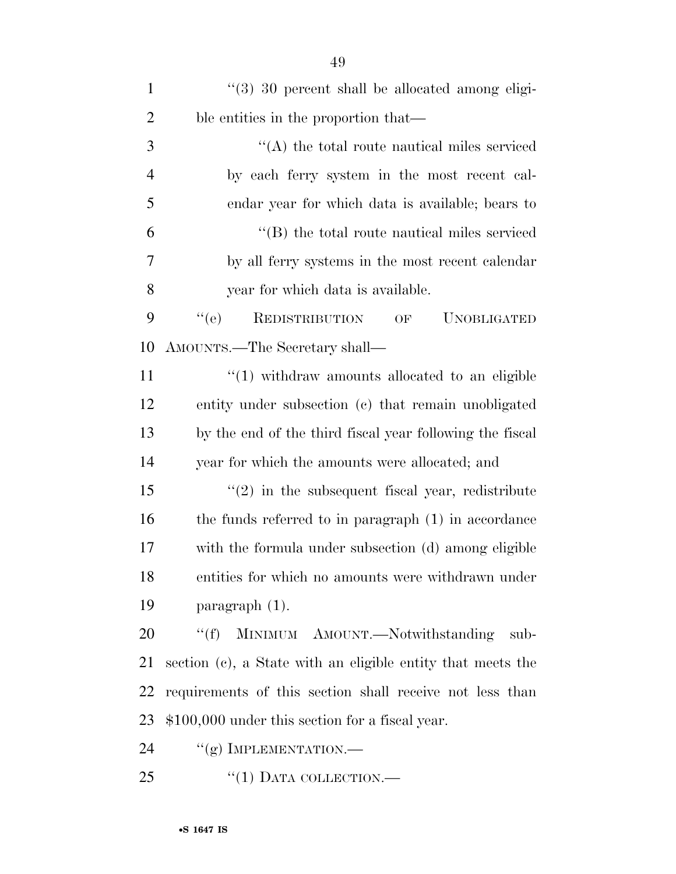| $\mathbf{1}$   | "(3) 30 percent shall be allocated among eligi-                  |
|----------------|------------------------------------------------------------------|
| $\overline{2}$ | ble entities in the proportion that—                             |
| 3              | $\cdot$ (A) the total route nautical miles serviced              |
| $\overline{4}$ | by each ferry system in the most recent cal-                     |
| 5              | endar year for which data is available; bears to                 |
| 6              | $\lq\lq$ the total route nautical miles serviced                 |
| 7              | by all ferry systems in the most recent calendar                 |
| 8              | year for which data is available.                                |
| 9              | <b>REDISTRIBUTION</b><br>``(e)<br><b>UNOBLIGATED</b><br>OF       |
| 10             | AMOUNTS.—The Secretary shall—                                    |
| 11             | $\cdot\cdot\cdot(1)$ withdraw amounts allocated to an eligible   |
| 12             | entity under subsection (c) that remain unobligated              |
| 13             | by the end of the third fiscal year following the fiscal         |
| 14             | year for which the amounts were allocated; and                   |
| 15             | $\cdot\cdot\cdot(2)$ in the subsequent fiscal year, redistribute |
| 16             | the funds referred to in paragraph (1) in accordance             |
| 17             | with the formula under subsection (d) among eligible             |
| 18             | entities for which no amounts were withdrawn under               |
| 19             | paragraph (1).                                                   |
| 20             | MINIMUM AMOUNT.-Notwithstanding<br>``(f)<br>sub-                 |
| 21             | section (c), a State with an eligible entity that meets the      |
| 22             | requirements of this section shall receive not less than         |
| 23             | \$100,000 under this section for a fiscal year.                  |
| 24             | $``(g)$ IMPLEMENTATION.—                                         |
|                |                                                                  |

25 "(1) DATA COLLECTION.—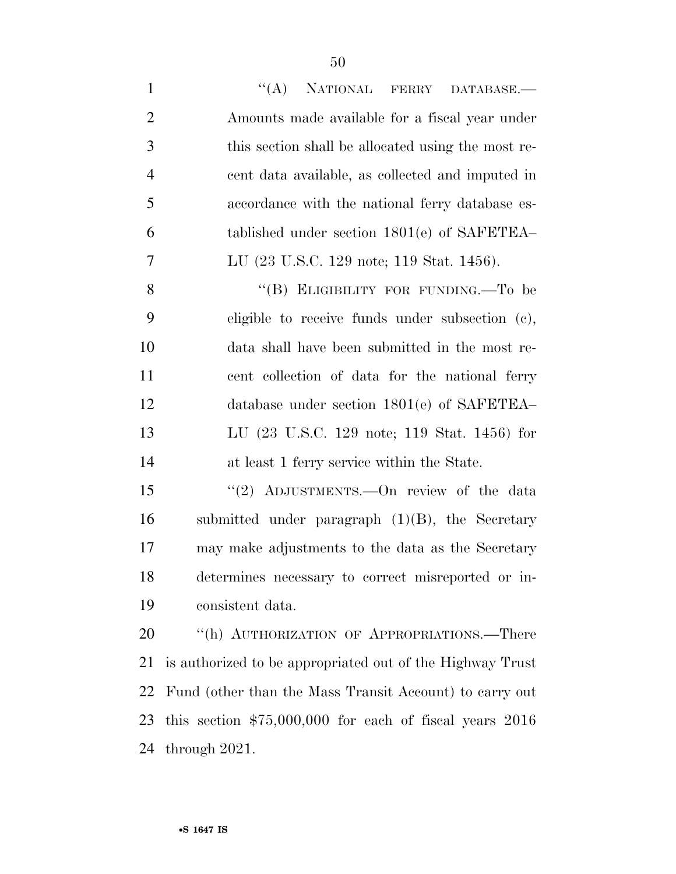| $\mathbf{1}$   | ``(A)<br>NATIONAL FERRY DATABASE.                          |
|----------------|------------------------------------------------------------|
| $\overline{2}$ | Amounts made available for a fiscal year under             |
| 3              | this section shall be allocated using the most re-         |
| $\overline{4}$ | cent data available, as collected and imputed in           |
| 5              | accordance with the national ferry database es-            |
| 6              | tablished under section $1801(e)$ of SAFETEA-              |
| 7              | LU (23 U.S.C. 129 note; 119 Stat. 1456).                   |
| 8              | "(B) ELIGIBILITY FOR FUNDING.—To be                        |
| 9              | eligible to receive funds under subsection (c),            |
| 10             | data shall have been submitted in the most re-             |
| 11             | cent collection of data for the national ferry             |
| 12             | database under section $1801(e)$ of SAFETEA-               |
| 13             | LU (23 U.S.C. 129 note; 119 Stat. 1456) for                |
| 14             | at least 1 ferry service within the State.                 |
| 15             | "(2) ADJUSTMENTS. - On review of the data                  |
| 16             | submitted under paragraph $(1)(B)$ , the Secretary         |
| 17             | may make adjustments to the data as the Secretary          |
| 18             | determines necessary to correct misreported or in-         |
| 19             | consistent data.                                           |
| 20             | "(h) AUTHORIZATION OF APPROPRIATIONS.—There                |
| 21             | is authorized to be appropriated out of the Highway Trust  |
| 22             | Fund (other than the Mass Transit Account) to carry out    |
| 23             | this section $$75,000,000$ for each of fiscal years $2016$ |
| 24             | through $2021$ .                                           |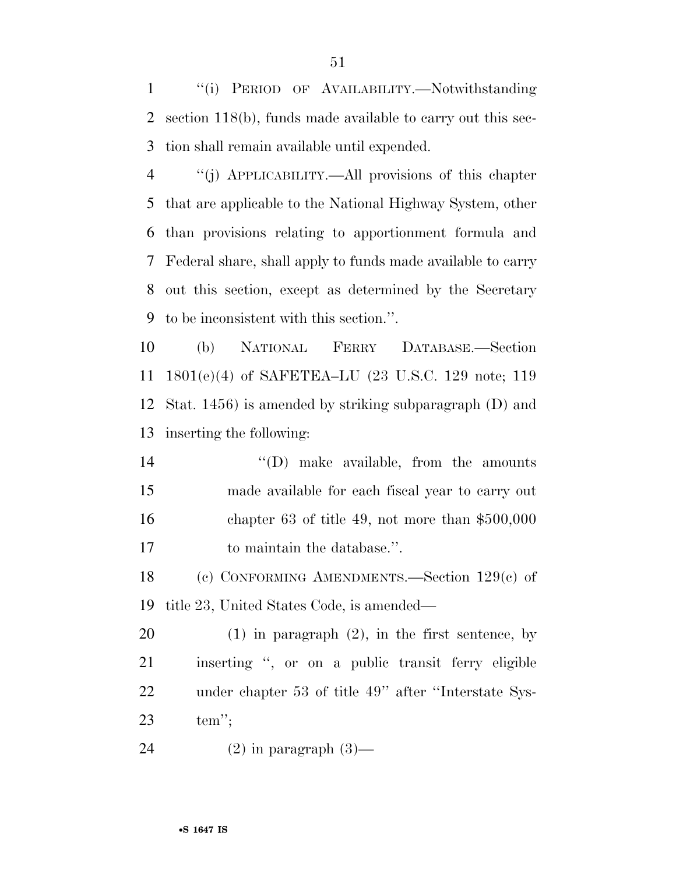''(i) PERIOD OF AVAILABILITY.—Notwithstanding section 118(b), funds made available to carry out this sec-tion shall remain available until expended.

 ''(j) APPLICABILITY.—All provisions of this chapter that are applicable to the National Highway System, other than provisions relating to apportionment formula and Federal share, shall apply to funds made available to carry out this section, except as determined by the Secretary to be inconsistent with this section.''.

 (b) NATIONAL FERRY DATABASE.—Section 1801(e)(4) of SAFETEA–LU (23 U.S.C. 129 note; 119 Stat. 1456) is amended by striking subparagraph (D) and inserting the following:

 $\langle \text{`}(D) \rangle$  make available, from the amounts made available for each fiscal year to carry out chapter 63 of title 49, not more than \$500,000 to maintain the database.''.

 (c) CONFORMING AMENDMENTS.—Section 129(c) of title 23, United States Code, is amended—

 (1) in paragraph (2), in the first sentence, by inserting '', or on a public transit ferry eligible under chapter 53 of title 49'' after ''Interstate Sys-tem'';

24  $(2)$  in paragraph  $(3)$ —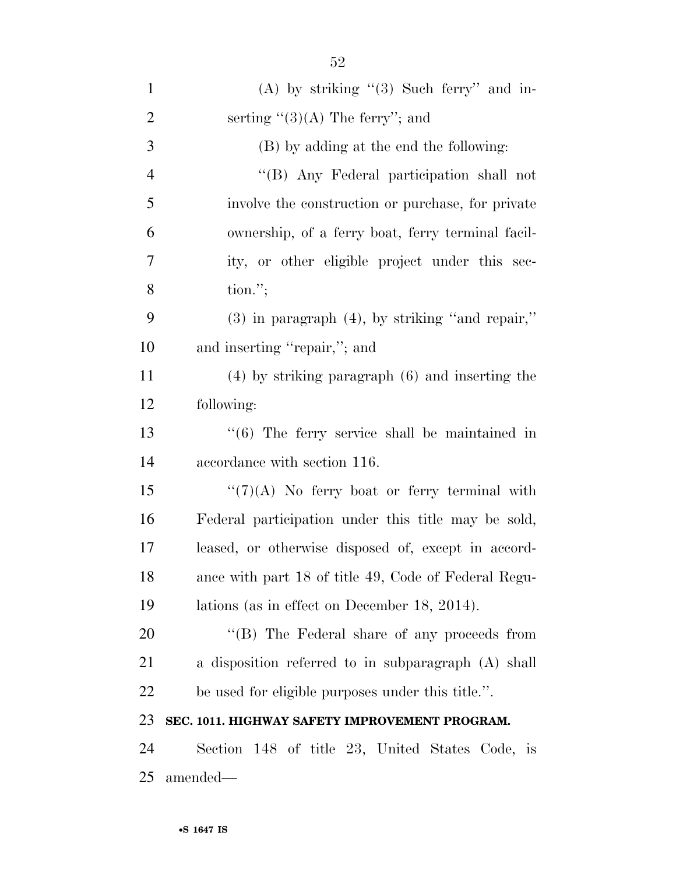| $\mathbf{1}$   | (A) by striking $(3)$ Such ferry" and in-                 |
|----------------|-----------------------------------------------------------|
| $\overline{2}$ | serting $\lq(3)(A)$ The ferry''; and                      |
| 3              | (B) by adding at the end the following:                   |
| $\overline{4}$ | "(B) Any Federal participation shall not                  |
| 5              | involve the construction or purchase, for private         |
| 6              | ownership, of a ferry boat, ferry terminal facil-         |
| 7              | ity, or other eligible project under this sec-            |
| 8              | $\text{tion."};$                                          |
| 9              | $(3)$ in paragraph $(4)$ , by striking "and repair,"      |
| 10             | and inserting "repair,"; and                              |
| 11             | $(4)$ by striking paragraph $(6)$ and inserting the       |
| 12             | following:                                                |
| 13             | $\cdot\cdot$ (6) The ferry service shall be maintained in |
| 14             | accordance with section 116.                              |
| 15             | " $(7)(A)$ No ferry boat or ferry terminal with           |
| 16             | Federal participation under this title may be sold,       |
| 17             | leased, or otherwise disposed of, except in accord-       |
| 18             | ance with part 18 of title 49, Code of Federal Regu-      |
| 19             | lations (as in effect on December 18, 2014).              |
| 20             | "(B) The Federal share of any proceeds from               |
| 21             | a disposition referred to in subparagraph (A) shall       |
| 22             | be used for eligible purposes under this title.".         |
| 23             | SEC. 1011. HIGHWAY SAFETY IMPROVEMENT PROGRAM.            |
| 24             | Section 148 of title 23, United States Code, is           |
| 25             | amended—                                                  |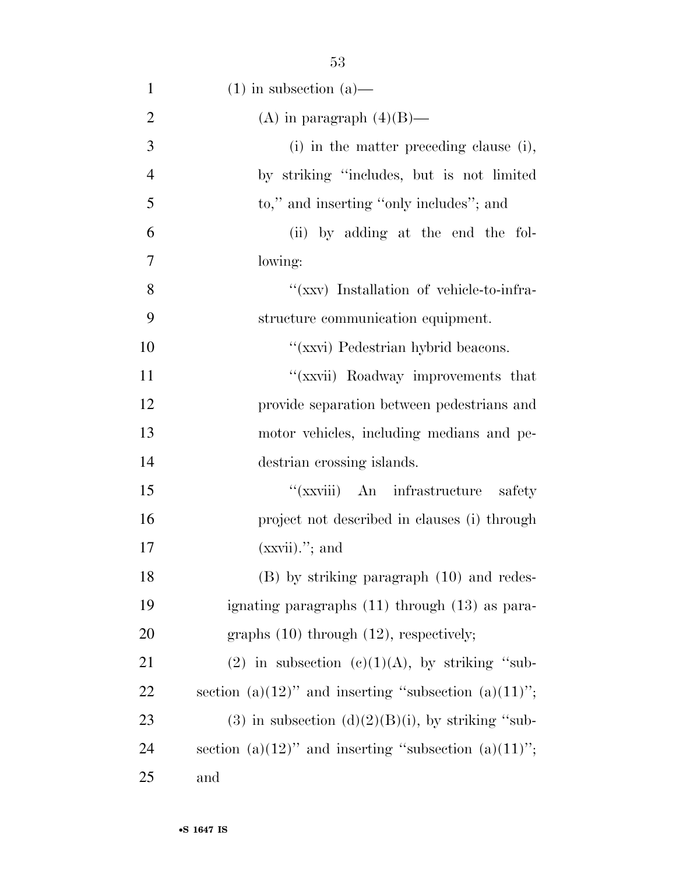| $\mathbf{1}$   | $(1)$ in subsection $(a)$ —                          |
|----------------|------------------------------------------------------|
| $\overline{2}$ | (A) in paragraph $(4)(B)$ —                          |
| 3              | (i) in the matter preceding clause (i),              |
| $\overline{4}$ | by striking "includes, but is not limited            |
| 5              | to," and inserting "only includes"; and              |
| 6              | (ii) by adding at the end the fol-                   |
| 7              | lowing:                                              |
| 8              | "(xxv) Installation of vehicle-to-infra-             |
| 9              | structure communication equipment.                   |
| 10             | "(xxvi) Pedestrian hybrid beacons.                   |
| 11             | "(xxvii) Roadway improvements that                   |
| 12             | provide separation between pedestrians and           |
| 13             | motor vehicles, including medians and pe-            |
| 14             | destrian crossing islands.                           |
| 15             | "(xxviii) An infrastructure<br>safety                |
| 16             | project not described in clauses (i) through         |
| 17             | $(xxvii)$ , and                                      |
| 18             | $(B)$ by striking paragraph $(10)$ and redes-        |
| 19             | ignating paragraphs (11) through (13) as para-       |
| 20             | graphs $(10)$ through $(12)$ , respectively;         |
| 21             | (2) in subsection (c)(1)(A), by striking "sub-       |
| 22             | section (a)(12)" and inserting "subsection (a)(11)"; |
| 23             | (3) in subsection $(d)(2)(B)(i)$ , by striking "sub- |
| 24             | section (a)(12)" and inserting "subsection (a)(11)"; |
| 25             | and                                                  |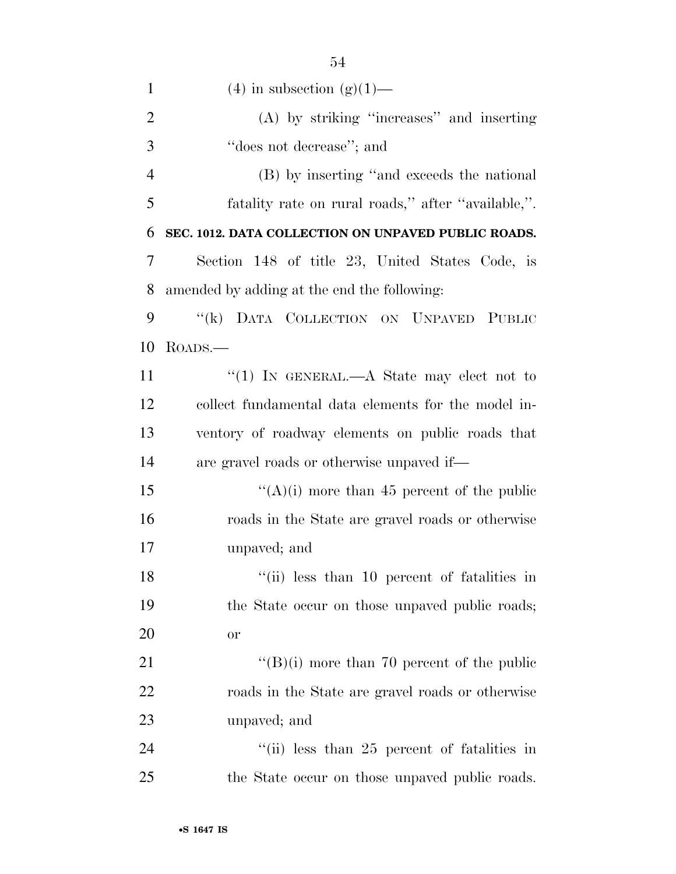| $\mathbf{1}$   | $(4)$ in subsection $(g)(1)$ —                      |
|----------------|-----------------------------------------------------|
| $\overline{2}$ | (A) by striking "increases" and inserting           |
| 3              | "does not decrease"; and                            |
| $\overline{4}$ | (B) by inserting "and exceeds the national          |
| 5              | fatality rate on rural roads," after "available,".  |
| 6              | SEC. 1012. DATA COLLECTION ON UNPAVED PUBLIC ROADS. |
| 7              | Section 148 of title 23, United States Code, is     |
| 8              | amended by adding at the end the following:         |
| 9              | "(k) DATA COLLECTION ON UNPAVED PUBLIC              |
| 10             | $\rm{Roabs.}$                                       |
| 11             | "(1) IN GENERAL.— $A$ State may elect not to        |
| 12             | collect fundamental data elements for the model in- |
| 13             | ventory of roadway elements on public roads that    |
| 14             | are gravel roads or otherwise unpaved if—           |
| 15             | "(A)(i) more than 45 percent of the public          |
| 16             | roads in the State are gravel roads or otherwise    |
| 17             | unpaved; and                                        |
| 18             | "(ii) less than 10 percent of fatalities in         |
| 19             | the State occur on those unpayed public roads;      |
| 20             | <b>or</b>                                           |
| 21             | $\lq\lq (B)(i)$ more than 70 percent of the public  |
| 22             | roads in the State are gravel roads or otherwise    |
| 23             | unpaved; and                                        |
| 24             | "(ii) less than $25$ percent of fatalities in       |
| 25             | the State occur on those unpaved public roads.      |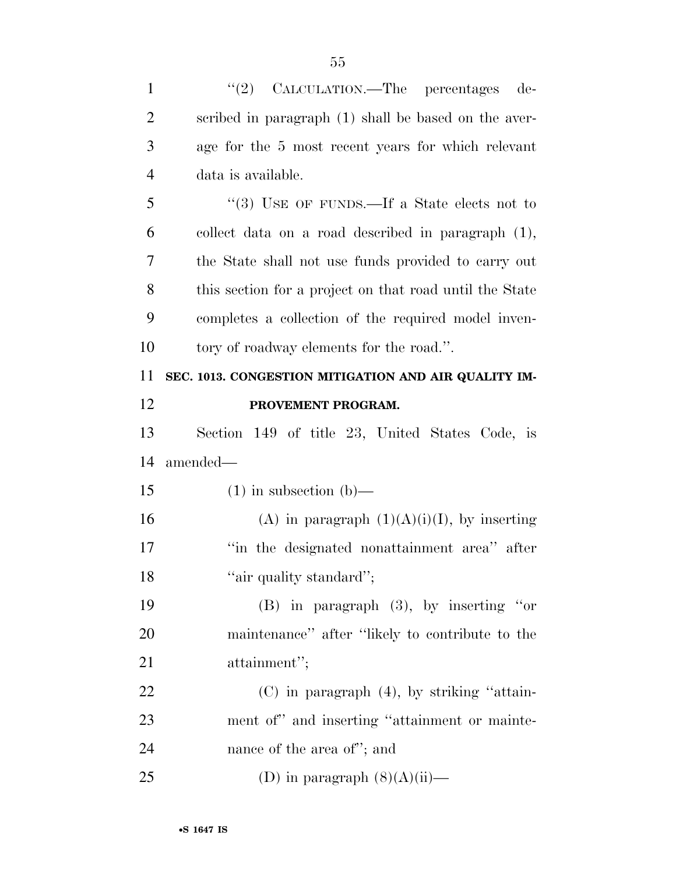| $\mathbf{1}$   | "(2) CALCULATION.—The percentages<br>de-                |
|----------------|---------------------------------------------------------|
| $\overline{2}$ | scribed in paragraph (1) shall be based on the aver-    |
| 3              | age for the 5 most recent years for which relevant      |
| $\overline{4}$ | data is available.                                      |
| 5              | "(3) USE OF FUNDS.—If a State elects not to             |
| 6              | collect data on a road described in paragraph (1),      |
| 7              | the State shall not use funds provided to carry out     |
| 8              | this section for a project on that road until the State |
| 9              | completes a collection of the required model inven-     |
| 10             | tory of roadway elements for the road.".                |
| 11             | SEC. 1013. CONGESTION MITIGATION AND AIR QUALITY IM-    |
| 12             | PROVEMENT PROGRAM.                                      |
| 13             | Section 149 of title 23, United States Code, is         |
| 14             | amended—                                                |
| 15             | $(1)$ in subsection $(b)$ —                             |
| 16             | (A) in paragraph $(1)(A)(i)(I)$ , by inserting          |
| 17             | "in the designated nonattainment area" after            |
| 18             | "air quality standard";                                 |
| 19             | $(B)$ in paragraph $(3)$ , by inserting "or             |
| <b>20</b>      | maintenance" after "likely to contribute to the         |
| 21             | attainment";                                            |
| 22             | $(C)$ in paragraph $(4)$ , by striking "attain-         |
| 23             | ment of" and inserting "attainment or mainte-           |
| 24             | nance of the area of"; and                              |
| 25             | (D) in paragraph $(8)(A)(ii)$ —                         |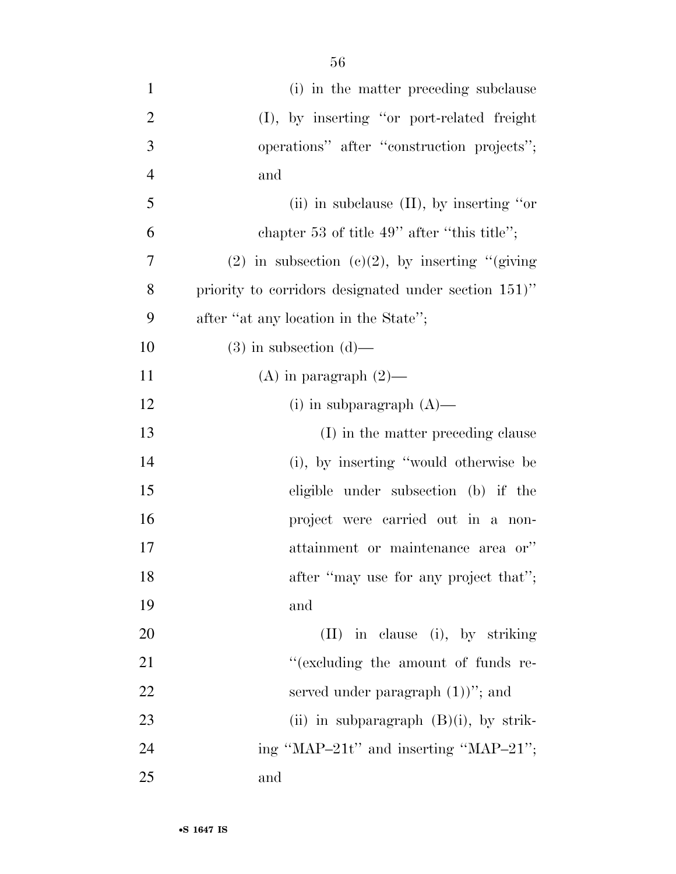| $\mathbf{1}$   | (i) in the matter preceding subclause                |
|----------------|------------------------------------------------------|
| $\overline{2}$ | (I), by inserting "or port-related freight           |
| 3              | operations" after "construction projects";           |
| $\overline{4}$ | and                                                  |
| 5              | (ii) in subclause $(II)$ , by inserting "or"         |
| 6              | chapter 53 of title $49$ " after "this title";       |
| 7              | (2) in subsection (c)(2), by inserting "(giving      |
| 8              | priority to corridors designated under section 151)" |
| 9              | after "at any location in the State";                |
| 10             | $(3)$ in subsection $(d)$ —                          |
| 11             | $(A)$ in paragraph $(2)$ —                           |
| 12             | (i) in subparagraph $(A)$ —                          |
| 13             | (I) in the matter preceding clause                   |
| 14             | (i), by inserting "would otherwise be                |
| 15             | eligible under subsection (b) if the                 |
| 16             | project were carried out in a non-                   |
| 17             | attainment or maintenance area or"                   |
| 18             | after "may use for any project that";                |
| 19             | and                                                  |
| 20             | (II) in clause (i), by striking                      |
| 21             | "(excluding the amount of funds re-                  |
| 22             | served under paragraph $(1)$ "; and                  |
| 23             | (ii) in subparagraph $(B)(i)$ , by strik-            |
| 24             | ing "MAP-21t" and inserting "MAP-21";                |
| 25             | and                                                  |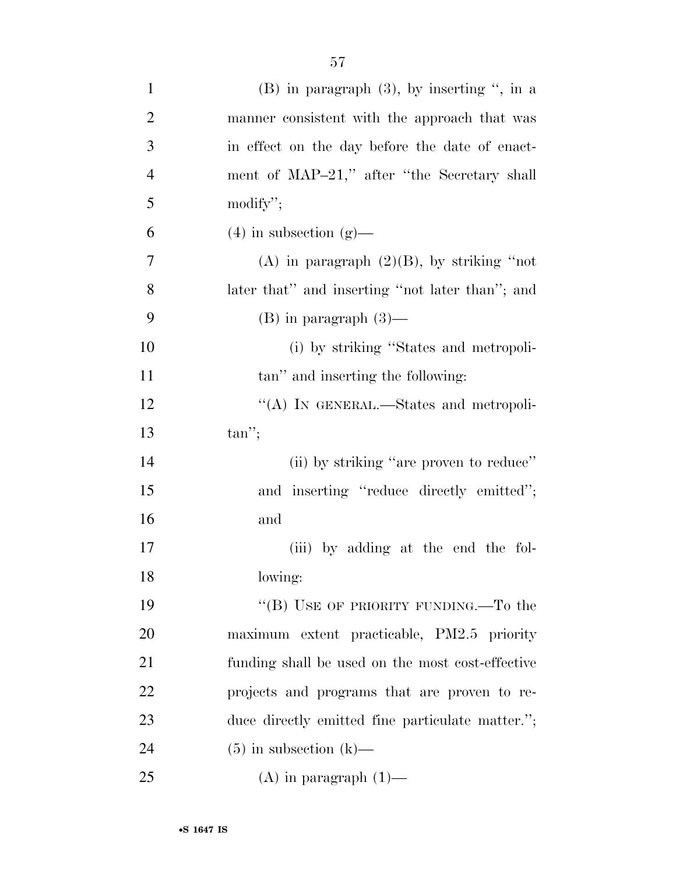| $\mathbf{1}$   | $(B)$ in paragraph $(3)$ , by inserting ", in a  |
|----------------|--------------------------------------------------|
| $\overline{2}$ | manner consistent with the approach that was     |
| 3              | in effect on the day before the date of enact-   |
| $\overline{4}$ | ment of MAP-21," after "the Secretary shall      |
| 5              | modify";                                         |
| 6              | $(4)$ in subsection $(g)$ —                      |
| 7              | (A) in paragraph $(2)(B)$ , by striking "not     |
| 8              | later that" and inserting "not later than"; and  |
| 9              | $(B)$ in paragraph $(3)$ —                       |
| 10             | (i) by striking "States and metropoli-           |
| 11             | tan" and inserting the following:                |
| 12             | "(A) IN GENERAL.—States and metropoli-           |
| 13             | $tan$ ";                                         |
| 14             | (ii) by striking "are proven to reduce"          |
| 15             | and inserting "reduce directly emitted";         |
| 16             | and                                              |
| 17             | (iii) by adding at the end the fol-              |
| 18             | lowing:                                          |
| 19             | "(B) USE OF PRIORITY FUNDING.—To the             |
| 20             | maximum extent practicable, PM2.5 priority       |
| 21             | funding shall be used on the most cost-effective |
| 22             | projects and programs that are proven to re-     |
| 23             | duce directly emitted fine particulate matter."; |
| 24             | $(5)$ in subsection $(k)$ —                      |
| 25             | $(A)$ in paragraph $(1)$ —                       |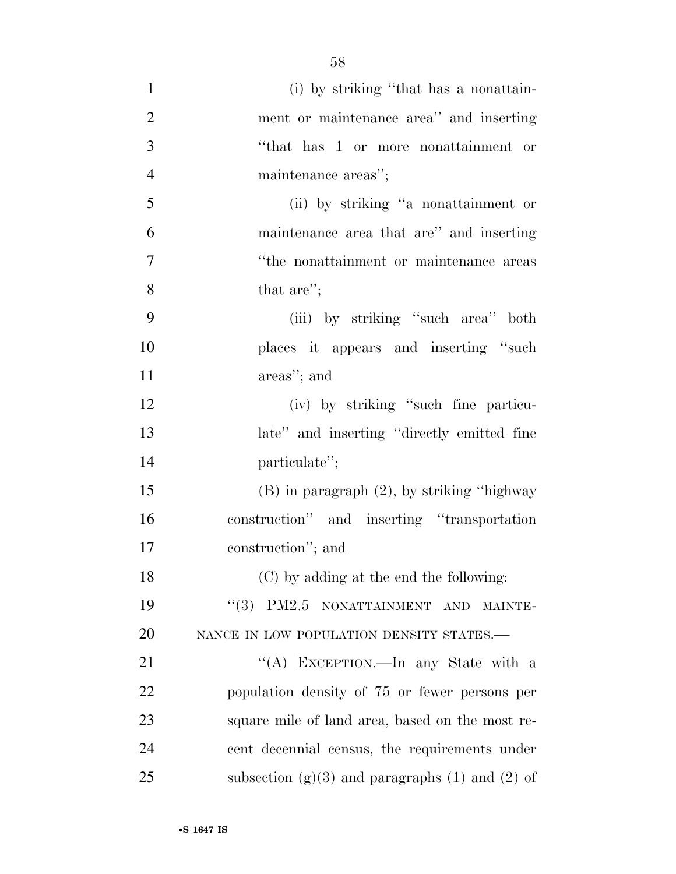(i) by striking ''that has a nonattain- ment or maintenance area'' and inserting ''that has 1 or more nonattainment or maintenance areas''; (ii) by striking ''a nonattainment or maintenance area that are'' and inserting ''the nonattainment or maintenance areas that are''; (iii) by striking ''such area'' both places it appears and inserting ''such areas''; and (iv) by striking ''such fine particu- late'' and inserting ''directly emitted fine 14 particulate"; (B) in paragraph (2), by striking ''highway construction'' and inserting ''transportation construction''; and (C) by adding at the end the following: 19 "(3) PM2.5 NONATTAINMENT AND MAINTE-20 NANCE IN LOW POPULATION DENSITY STATES.— 21 "'(A) EXCEPTION.—In any State with a population density of 75 or fewer persons per square mile of land area, based on the most re-

cent decennial census, the requirements under

25 subsection  $(g)(3)$  and paragraphs (1) and (2) of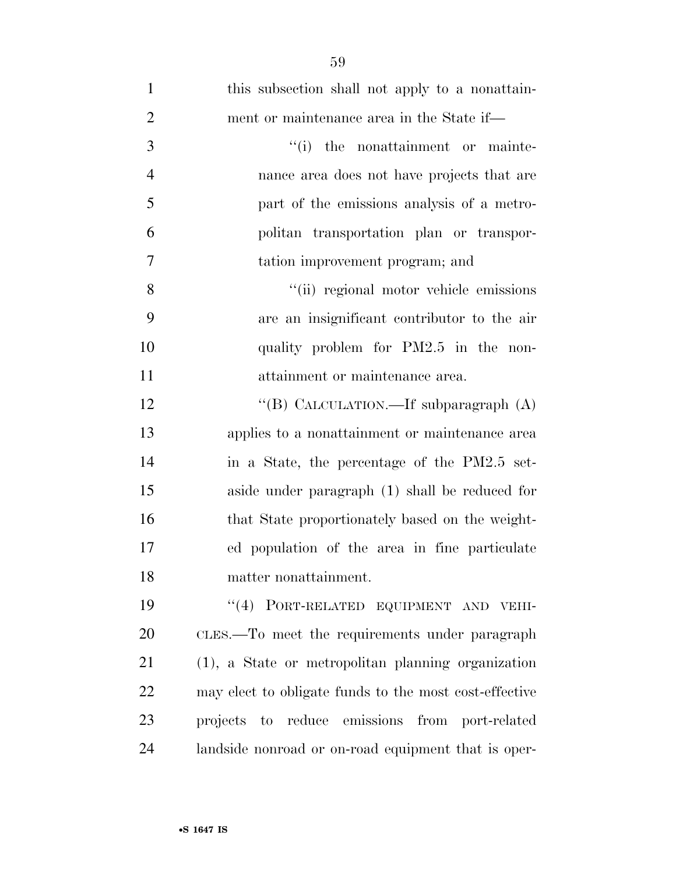| $\mathbf{1}$   | this subsection shall not apply to a nonattain-        |
|----------------|--------------------------------------------------------|
| $\overline{2}$ | ment or maintenance area in the State if—              |
| 3              | "(i) the nonattainment or mainte-                      |
| $\overline{4}$ | nance area does not have projects that are             |
| 5              | part of the emissions analysis of a metro-             |
| 6              | politan transportation plan or transpor-               |
| $\overline{7}$ | tation improvement program; and                        |
| 8              | "(ii) regional motor vehicle emissions                 |
| 9              | are an insignificant contributor to the air            |
| 10             | quality problem for PM2.5 in the non-                  |
| 11             | attainment or maintenance area.                        |
| 12             | "(B) CALCULATION.—If subparagraph $(A)$                |
| 13             | applies to a nonattainment or maintenance area         |
| 14             | in a State, the percentage of the PM2.5 set-           |
| 15             | aside under paragraph (1) shall be reduced for         |
| 16             | that State proportionately based on the weight-        |
| 17             | ed population of the area in fine particulate          |
| 18             | matter nonattainment.                                  |
| 19             | "(4) PORT-RELATED EQUIPMENT AND VEHI-                  |
| 20             | CLES.—To meet the requirements under paragraph         |
| 21             | (1), a State or metropolitan planning organization     |
| 22             | may elect to obligate funds to the most cost-effective |
| 23             | projects to reduce emissions from port-related         |
| 24             | landside nonroad or on-road equipment that is oper-    |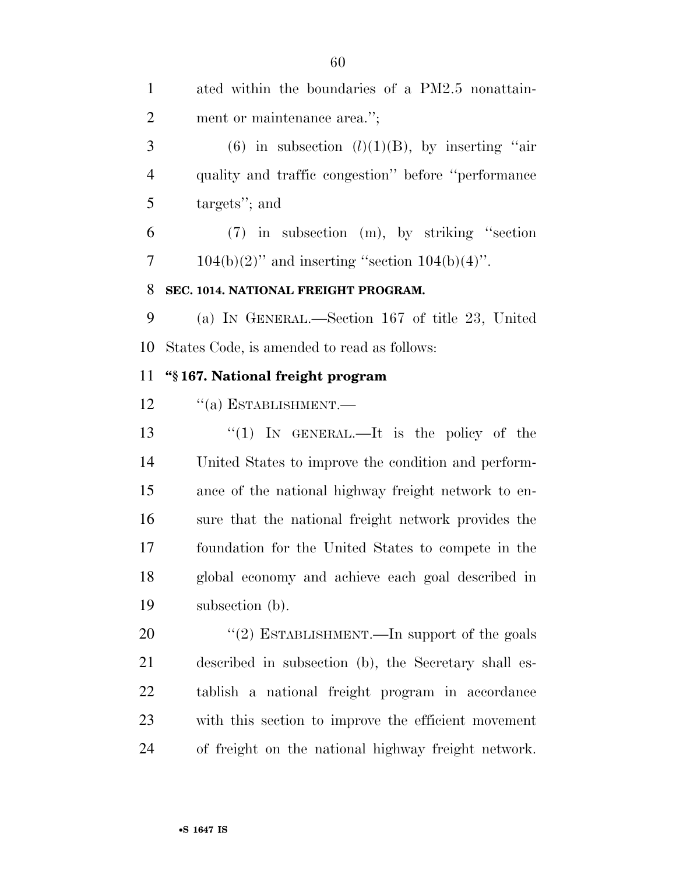| $\mathbf{1}$   | ated within the boundaries of a PM2.5 nonattain-     |
|----------------|------------------------------------------------------|
| $\overline{2}$ | ment or maintenance area.";                          |
| 3              | (6) in subsection $(l)(1)(B)$ , by inserting "air    |
| $\overline{4}$ | quality and traffic congestion" before "performance" |
| 5              | targets"; and                                        |
| 6              | $(7)$ in subsection $(m)$ , by striking "section     |
| 7              | $104(b)(2)$ " and inserting "section $104(b)(4)$ ".  |
| 8              | SEC. 1014. NATIONAL FREIGHT PROGRAM.                 |
| 9              | (a) IN GENERAL.—Section 167 of title 23, United      |
| 10             | States Code, is amended to read as follows:          |
| 11             | "§167. National freight program                      |
| 12             | $``(a)$ ESTABLISHMENT.—                              |
| 13             | "(1) IN GENERAL.—It is the policy of the             |
| 14             | United States to improve the condition and perform-  |
| 15             | ance of the national highway freight network to en-  |
| 16             | sure that the national freight network provides the  |
| 17             | foundation for the United States to compete in the   |
| 18             | global economy and achieve each goal described in    |
| 19             | subsection (b).                                      |
| 20             | "(2) ESTABLISHMENT.—In support of the goals          |
| 21             | described in subsection (b), the Secretary shall es- |
| 22             | tablish a national freight program in accordance     |
| 23             | with this section to improve the efficient movement  |
| 24             | of freight on the national highway freight network.  |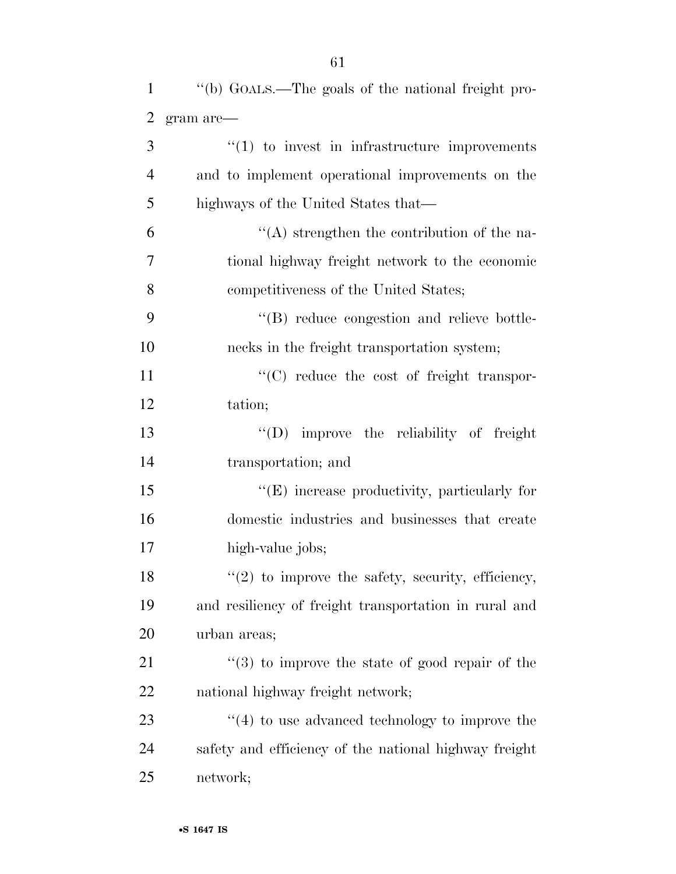| $\mathbf{1}$   | "(b) GOALS.—The goals of the national freight pro-    |
|----------------|-------------------------------------------------------|
| $\overline{2}$ | gram are-                                             |
| 3              | $\lq(1)$ to invest in infrastructure improvements     |
| $\overline{4}$ | and to implement operational improvements on the      |
| 5              | highways of the United States that—                   |
| 6              | $\lq\lq$ strengthen the contribution of the na-       |
| $\overline{7}$ | tional highway freight network to the economic        |
| 8              | competitiveness of the United States;                 |
| 9              | "(B) reduce congestion and relieve bottle-            |
| 10             | necks in the freight transportation system;           |
| 11             | $\lq\lq$ reduce the cost of freight transpor-         |
| 12             | tation;                                               |
| 13             | $\lq\lq$ improve the reliability of freight           |
| 14             | transportation; and                                   |
| 15             | $\lq\lq(E)$ increase productivity, particularly for   |
| 16             | domestic industries and businesses that create        |
| 17             | high-value jobs;                                      |
| 18             | $"(2)$ to improve the safety, security, efficiency,   |
| 19             | and resiliency of freight transportation in rural and |
| 20             | urban areas;                                          |
| 21             | $(3)$ to improve the state of good repair of the      |
| 22             | national highway freight network;                     |
| 23             | $\lq(4)$ to use advanced technology to improve the    |
| 24             | safety and efficiency of the national highway freight |
| 25             | network;                                              |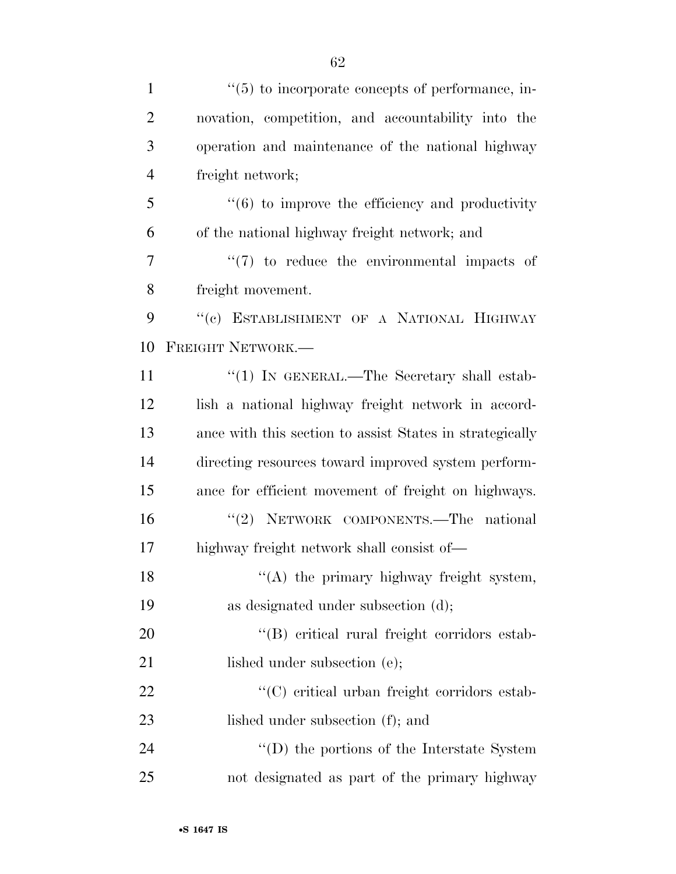| $\mathbf{1}$   | $\cdot\cdot$ (5) to incorporate concepts of performance, in-    |
|----------------|-----------------------------------------------------------------|
| $\overline{2}$ | novation, competition, and accountability into the              |
| 3              | operation and maintenance of the national highway               |
| $\overline{4}$ | freight network;                                                |
| 5              | $\cdot\cdot\cdot(6)$ to improve the efficiency and productivity |
| 6              | of the national highway freight network; and                    |
| 7              | $\lq(7)$ to reduce the environmental impacts of                 |
| 8              | freight movement.                                               |
| 9              | "(c) ESTABLISHMENT OF A NATIONAL HIGHWAY                        |
| 10             | FREIGHT NETWORK.-                                               |
| 11             | "(1) IN GENERAL.—The Secretary shall estab-                     |
| 12             | lish a national highway freight network in accord-              |
| 13             | ance with this section to assist States in strategically        |
| 14             | directing resources toward improved system perform-             |
| 15             | ance for efficient movement of freight on highways.             |
| 16             | "(2) NETWORK COMPONENTS.—The national                           |
| 17             | highway freight network shall consist of—                       |
| 18             | "(A) the primary highway freight system,                        |
| 19             | as designated under subsection (d);                             |
| 20             | "(B) critical rural freight corridors estab-                    |
| 21             | lished under subsection (e);                                    |
| 22             | "(C) critical urban freight corridors estab-                    |
| 23             | lished under subsection (f); and                                |
| 24             | $\lq\lq$ (D) the portions of the Interstate System              |
| 25             | not designated as part of the primary highway                   |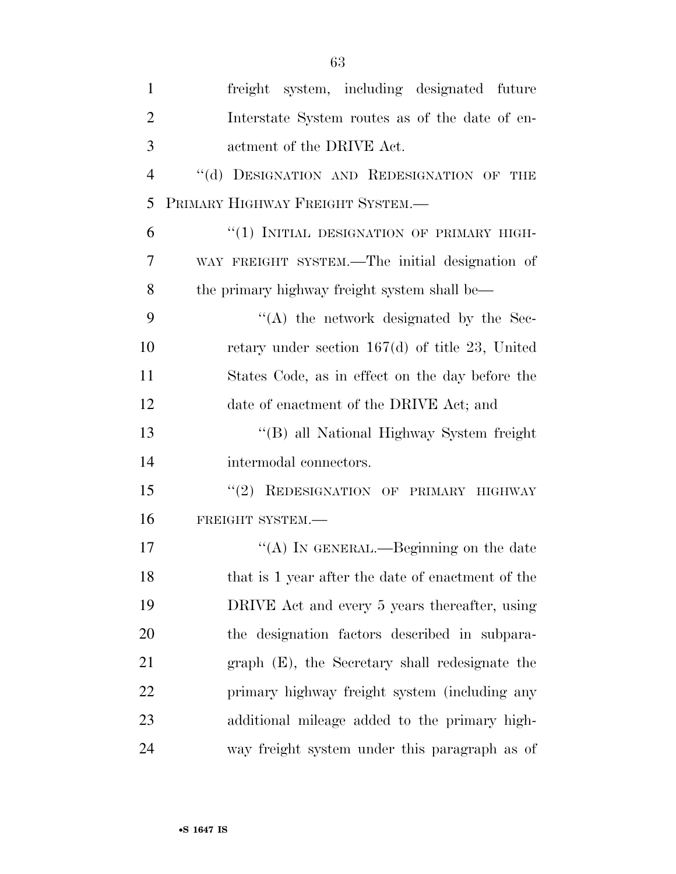| $\mathbf{1}$   | freight system, including designated future       |
|----------------|---------------------------------------------------|
| $\overline{2}$ | Interstate System routes as of the date of en-    |
| 3              | actment of the DRIVE Act.                         |
| $\overline{4}$ | "(d) DESIGNATION AND REDESIGNATION OF THE         |
| 5              | PRIMARY HIGHWAY FREIGHT SYSTEM.-                  |
| 6              | "(1) INITIAL DESIGNATION OF PRIMARY HIGH-         |
| 7              | WAY FREIGHT SYSTEM.—The initial designation of    |
| 8              | the primary highway freight system shall be—      |
| 9              | $\lq\lq$ the network designated by the Sec-       |
| 10             | retary under section $167(d)$ of title 23, United |
| 11             | States Code, as in effect on the day before the   |
| 12             | date of enactment of the DRIVE Act; and           |
| 13             | "(B) all National Highway System freight          |
| 14             | intermodal connectors.                            |
| 15             | "(2) REDESIGNATION OF PRIMARY HIGHWAY             |
| 16             | FREIGHT SYSTEM.-                                  |
| 17             | "(A) IN GENERAL.—Beginning on the date            |
| 18             | that is 1 year after the date of enactment of the |
| 19             | DRIVE Act and every 5 years thereafter, using     |
| 20             | the designation factors described in subpara-     |
| 21             | graph (E), the Secretary shall redesignate the    |
| 22             | primary highway freight system (including any     |
| 23             | additional mileage added to the primary high-     |
| 24             | way freight system under this paragraph as of     |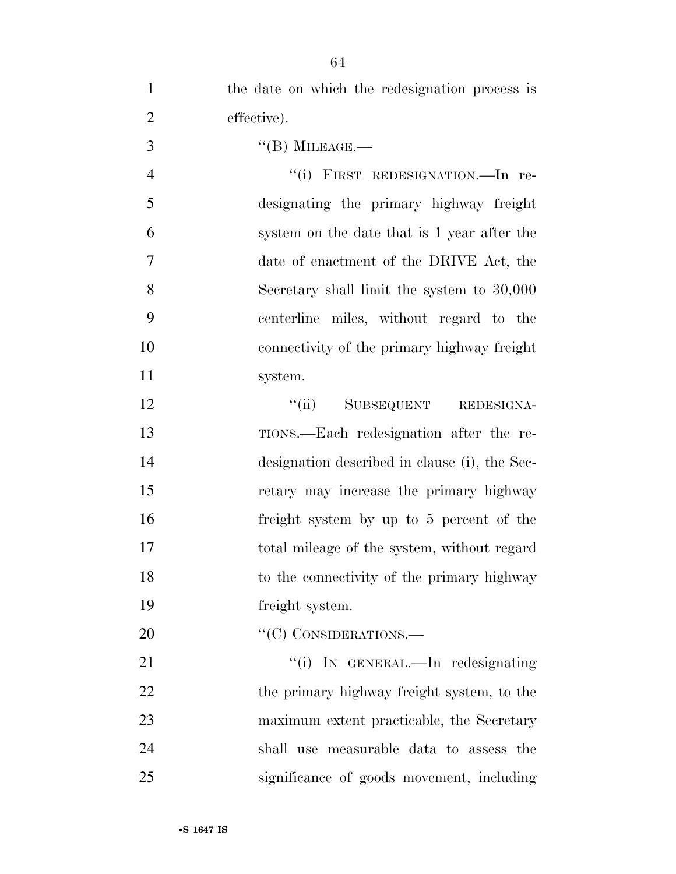| $\mathbf{1}$   | the date on which the redesignation process is |
|----------------|------------------------------------------------|
| $\overline{2}$ | effective).                                    |
| 3              | $\lq\lq (B)$ MILEAGE.—                         |
| $\overline{4}$ | "(i) FIRST REDESIGNATION.—In re-               |
| 5              | designating the primary highway freight        |
| 6              | system on the date that is 1 year after the    |
| 7              | date of enactment of the DRIVE Act, the        |
| 8              | Secretary shall limit the system to 30,000     |
| 9              | centerline miles, without regard to the        |
| 10             | connectivity of the primary highway freight    |
| 11             | system.                                        |
| 12             | SUBSEQUENT REDESIGNA-<br>``(ii)                |
| 13             | TIONS.—Each redesignation after the re-        |
| 14             | designation described in clause (i), the Sec-  |
| 15             | retary may increase the primary highway        |
| 16             | freight system by up to 5 percent of the       |
| 17             | total mileage of the system, without regard    |
| 18             | to the connectivity of the primary highway     |
| 19             | freight system.                                |
| 20             | "(C) CONSIDERATIONS.—                          |
| 21             | "(i) IN GENERAL.—In redesignating              |
| 22             | the primary highway freight system, to the     |
| 23             | maximum extent practicable, the Secretary      |
| 24             | shall use measurable data to assess the        |
| 25             | significance of goods movement, including      |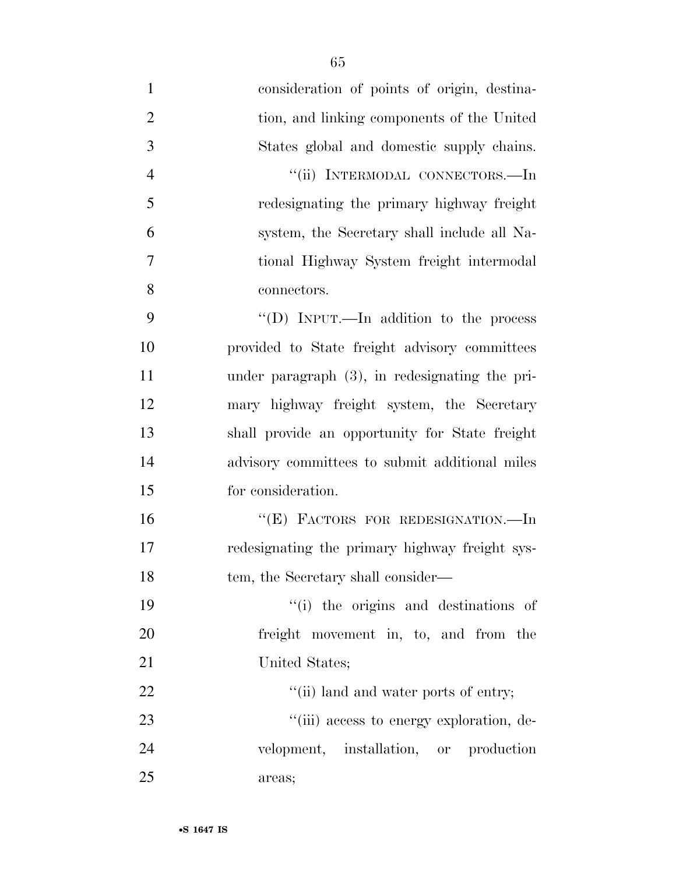- consideration of points of origin, destina- tion, and linking components of the United States global and domestic supply chains. ''(ii) INTERMODAL CONNECTORS.—In redesignating the primary highway freight system, the Secretary shall include all Na- tional Highway System freight intermodal connectors. ''(D) INPUT.—In addition to the process provided to State freight advisory committees under paragraph (3), in redesignating the pri- mary highway freight system, the Secretary shall provide an opportunity for State freight advisory committees to submit additional miles for consideration. ''(E) FACTORS FOR REDESIGNATION.—In redesignating the primary highway freight sys-18 tem, the Secretary shall consider— ''(i) the origins and destinations of freight movement in, to, and from the 21 United States; 22  $\frac{1}{1}$   $\frac{1}{1}$  land and water ports of entry; 23  $\frac{1}{1}$  access to energy exploration, de-
- velopment, installation, or production areas;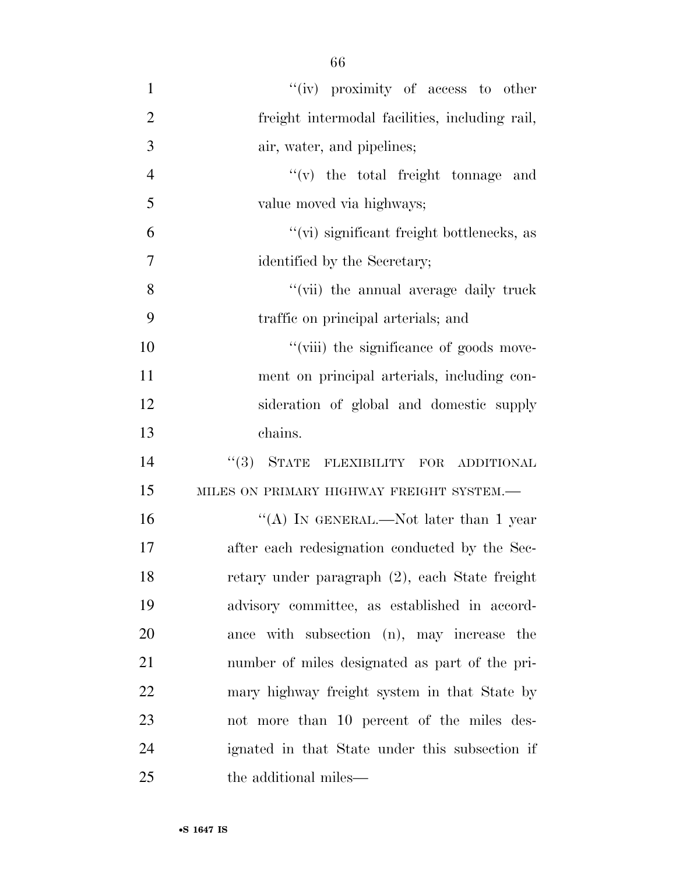1 ''(iv) proximity of access to other freight intermodal facilities, including rail, air, water, and pipelines; ''(v) the total freight tonnage and value moved via highways; ''(vi) significant freight bottlenecks, as identified by the Secretary; 8 ''(vii) the annual average daily truck traffic on principal arterials; and  $"$ (viii) the significance of goods move- ment on principal arterials, including con- sideration of global and domestic supply chains.  $(3)$  STATE FLEXIBILITY FOR ADDITIONAL 15 MILES ON PRIMARY HIGHWAY FREIGHT SYSTEM.— 16 "(A) IN GENERAL.—Not later than 1 year after each redesignation conducted by the Sec- retary under paragraph (2), each State freight advisory committee, as established in accord- ance with subsection (n), may increase the number of miles designated as part of the pri- mary highway freight system in that State by not more than 10 percent of the miles des- ignated in that State under this subsection if 25 the additional miles—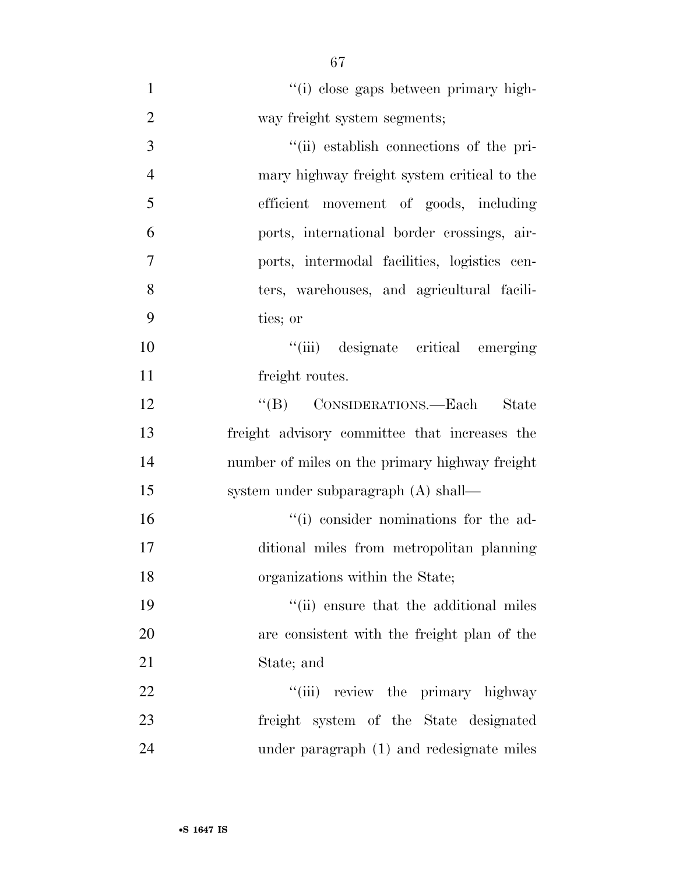| $\mathbf{1}$   | "(i) close gaps between primary high-          |
|----------------|------------------------------------------------|
| $\overline{2}$ | way freight system segments;                   |
| 3              | "(ii) establish connections of the pri-        |
| $\overline{4}$ | mary highway freight system critical to the    |
| 5              | efficient movement of goods, including         |
| 6              | ports, international border crossings, air-    |
| 7              | ports, intermodal facilities, logistics cen-   |
| 8              | ters, warehouses, and agricultural facili-     |
| 9              | ties; or                                       |
| 10             | "(iii) designate critical emerging             |
| 11             | freight routes.                                |
| 12             | "(B) CONSIDERATIONS.—Each State                |
| 13             | freight advisory committee that increases the  |
| 14             | number of miles on the primary highway freight |
| 15             | system under subparagraph (A) shall—           |
| 16             | "(i) consider nominations for the ad-          |
| 17             | ditional miles from metropolitan planning      |
| 18             | organizations within the State;                |
| 19             | "(ii) ensure that the additional miles         |
| 20             | are consistent with the freight plan of the    |
| 21             | State; and                                     |
| 22             | "(iii) review the primary highway              |
| 23             | freight system of the State designated         |
| 24             | under paragraph (1) and redesignate miles      |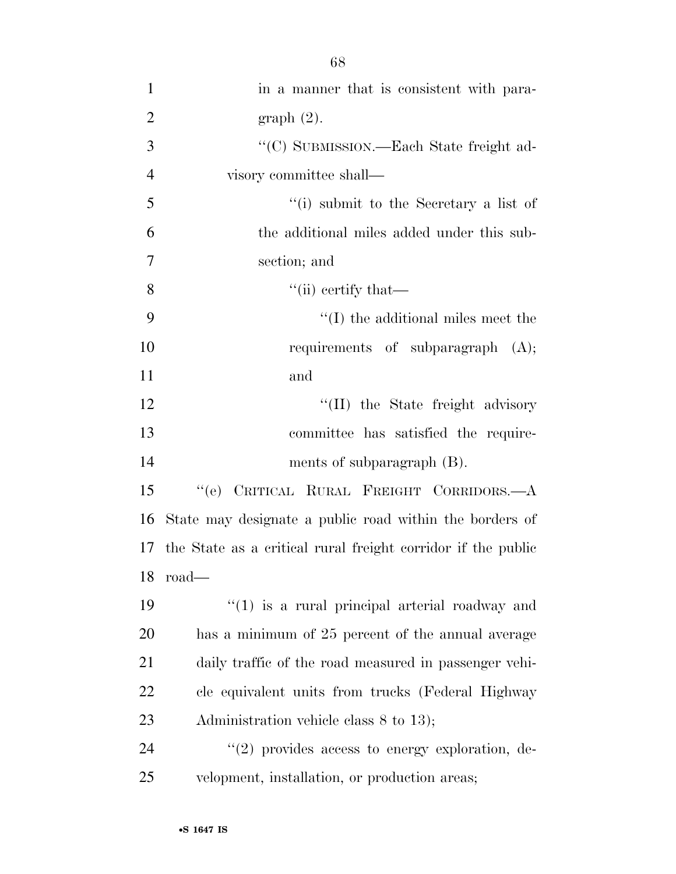| $\mathbf{1}$   | in a manner that is consistent with para-                       |
|----------------|-----------------------------------------------------------------|
| $\overline{2}$ | graph(2).                                                       |
| 3              | "(C) SUBMISSION.—Each State freight ad-                         |
| $\overline{4}$ | visory committee shall—                                         |
| 5              | "(i) submit to the Secretary a list of                          |
| 6              | the additional miles added under this sub-                      |
| 7              | section; and                                                    |
| 8              | $\lq\lq$ (ii) certify that—                                     |
| 9              | $\lq\lq$ (I) the additional miles meet the                      |
| 10             | requirements of subparagraph (A);                               |
| 11             | and                                                             |
| 12             | "(II) the State freight advisory                                |
| 13             | committee has satisfied the require-                            |
| 14             | ments of subparagraph $(B)$ .                                   |
| 15             | CRITICAL RURAL FREIGHT CORRIDORS. $-A$<br>``(e)                 |
| 16             | State may designate a public road within the borders of         |
|                | 17 the State as a critical rural freight corridor if the public |
|                | $18$ road—                                                      |
| 19             | $(1)$ is a rural principal arterial roadway and                 |
| 20             | has a minimum of 25 percent of the annual average               |
| 21             | daily traffic of the road measured in passenger vehi-           |
| 22             | cle equivalent units from trucks (Federal Highway               |
| 23             | Administration vehicle class 8 to 13);                          |
| 24             | $\lq(2)$ provides access to energy exploration, de-             |
| 25             | velopment, installation, or production areas;                   |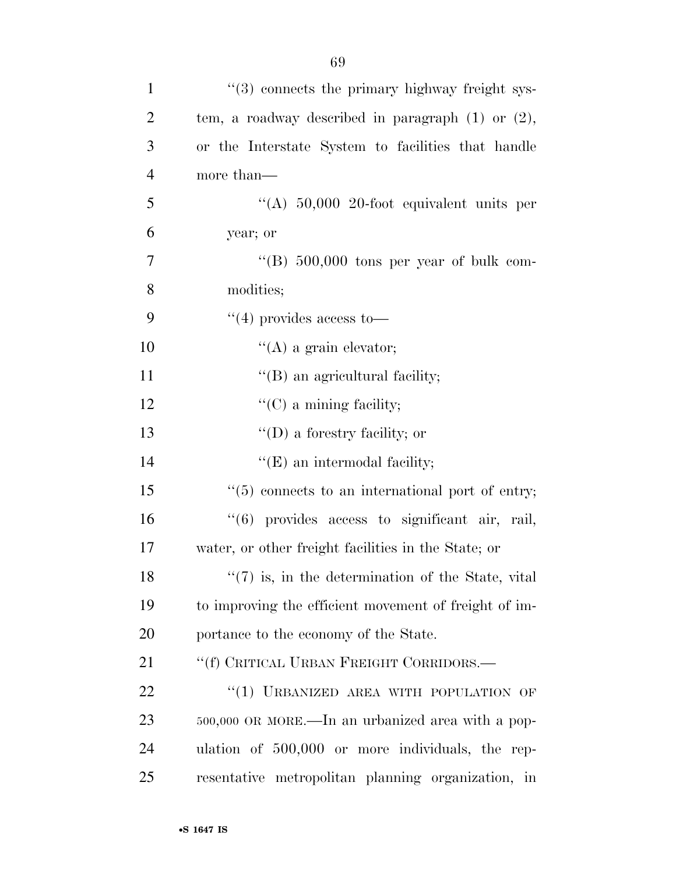| $\mathbf{1}$   | "(3) connects the primary highway freight sys-               |
|----------------|--------------------------------------------------------------|
| $\overline{2}$ | tem, a roadway described in paragraph $(1)$ or $(2)$ ,       |
| 3              | or the Interstate System to facilities that handle           |
| $\overline{4}$ | more than—                                                   |
| 5              | "(A) $50,000$ 20-foot equivalent units per                   |
| 6              | year; or                                                     |
| $\tau$         | "(B) $500,000$ tons per year of bulk com-                    |
| 8              | modities;                                                    |
| 9              | $\lq(4)$ provides access to —                                |
| 10             | $\lq\lq$ (A) a grain elevator;                               |
| 11             | $\lq$ (B) an agricultural facility;                          |
| 12             | $\lq\lq$ (C) a mining facility;                              |
| 13             | $\lq\lq$ (D) a forestry facility; or                         |
| 14             | $\lq\lq(E)$ an intermodal facility;                          |
| 15             | $\cdot\cdot$ (5) connects to an international port of entry; |
| 16             | "(6) provides access to significant air, rail,               |
| 17             | water, or other freight facilities in the State; or          |
| 18             | $\lq(7)$ is, in the determination of the State, vital        |
| 19             | to improving the efficient movement of freight of im-        |
| 20             | portance to the economy of the State.                        |
| 21             | "(f) CRITICAL URBAN FREIGHT CORRIDORS.—                      |
| 22             | "(1) URBANIZED AREA WITH POPULATION OF                       |
| 23             | 500,000 OR MORE.—In an urbanized area with a pop-            |
| 24             | ulation of 500,000 or more individuals, the rep-             |
| 25             | resentative metropolitan planning organization, in           |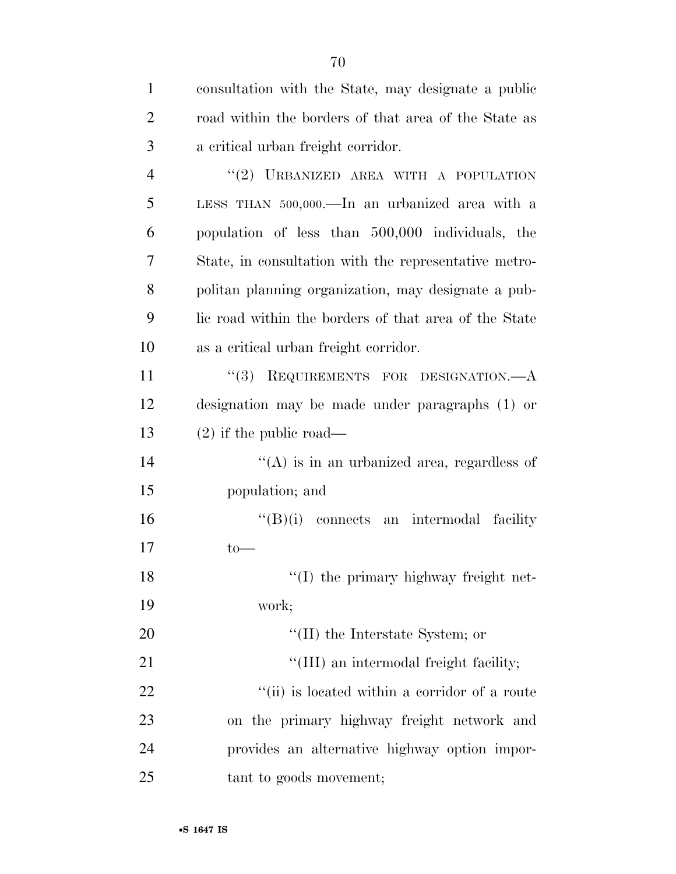| $\mathbf{1}$   | consultation with the State, may designate a public   |
|----------------|-------------------------------------------------------|
| $\overline{2}$ | road within the borders of that area of the State as  |
| 3              | a critical urban freight corridor.                    |
| $\overline{4}$ | "(2) URBANIZED AREA WITH A POPULATION                 |
| 5              | LESS THAN 500,000.—In an urbanized area with a        |
| 6              | population of less than 500,000 individuals, the      |
| 7              | State, in consultation with the representative metro- |
| 8              | politan planning organization, may designate a pub-   |
| 9              | lic road within the borders of that area of the State |
| 10             | as a critical urban freight corridor.                 |
| 11             | "(3) REQUIREMENTS FOR DESIGNATION.—A                  |
| 12             | designation may be made under paragraphs (1) or       |
| 13             | $(2)$ if the public road—                             |
| 14             | $\lq\lq$ is in an urbanized area, regardless of       |
| 15             | population; and                                       |
| 16             | $\lq\lq(B)(i)$ connects an intermodal facility        |
| 17             | $to-$                                                 |
| 18             | "(I) the primary highway freight net-                 |
| 19             | work;                                                 |
| 20             | $\lq\lq$ (II) the Interstate System; or               |
| 21             | "(III) an intermodal freight facility;                |
| 22             | "(ii) is located within a corridor of a route         |
| 23             | on the primary highway freight network and            |
| 24             | provides an alternative highway option impor-         |
| 25             | tant to goods movement;                               |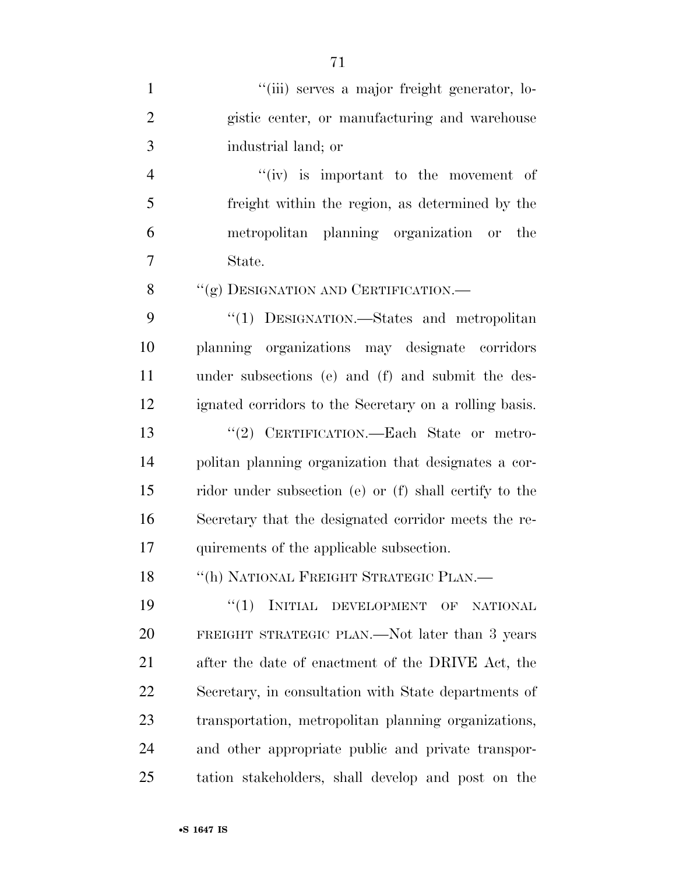| $\mathbf{1}$   | "(iii) serves a major freight generator, lo-           |
|----------------|--------------------------------------------------------|
| $\overline{2}$ | gistic center, or manufacturing and warehouse          |
| 3              | industrial land; or                                    |
| $\overline{4}$ | $``(iv)$ is important to the movement of               |
| 5              | freight within the region, as determined by the        |
| 6              | metropolitan planning organization or the              |
| 7              | State.                                                 |
| 8              | "(g) DESIGNATION AND CERTIFICATION.-                   |
| 9              | "(1) DESIGNATION.—States and metropolitan              |
| 10             | planning organizations may designate corridors         |
| 11             | under subsections (e) and (f) and submit the des-      |
| 12             | ignated corridors to the Secretary on a rolling basis. |
| 13             | "(2) CERTIFICATION.—Each State or metro-               |
| 14             | politan planning organization that designates a cor-   |
| 15             | ridor under subsection (e) or (f) shall certify to the |
| 16             | Secretary that the designated corridor meets the re-   |
| 17             | quirements of the applicable subsection.               |
| 18             | "(h) NATIONAL FREIGHT STRATEGIC PLAN.—                 |
| 19             | INITIAL DEVELOPMENT<br>``(1)<br>OF<br><b>NATIONAL</b>  |
| 20             | FREIGHT STRATEGIC PLAN.—Not later than 3 years         |
| 21             | after the date of enactment of the DRIVE Act, the      |
| 22             | Secretary, in consultation with State departments of   |
| 23             | transportation, metropolitan planning organizations,   |
| 24             | and other appropriate public and private transpor-     |
| 25             | tation stakeholders, shall develop and post on the     |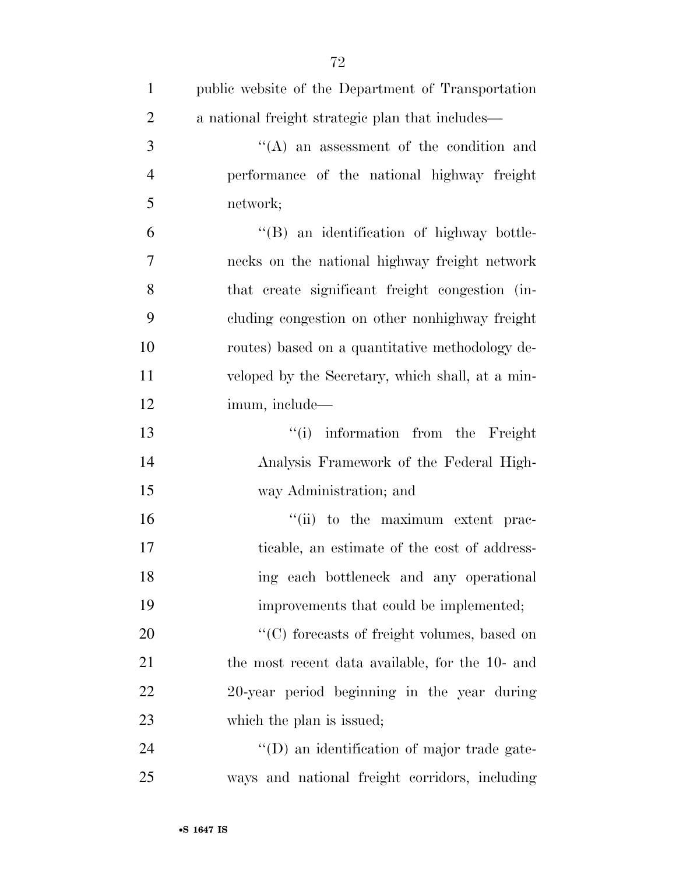| $\mathbf{1}$   | public website of the Department of Transportation |
|----------------|----------------------------------------------------|
| $\overline{2}$ | a national freight strategic plan that includes—   |
| 3              | "(A) an assessment of the condition and            |
| $\overline{4}$ | performance of the national highway freight        |
| 5              | network;                                           |
| 6              | "(B) an identification of highway bottle-          |
| 7              | necks on the national highway freight network      |
| 8              | that create significant freight congestion (in-    |
| 9              | cluding congestion on other nonhighway freight     |
| 10             | routes) based on a quantitative methodology de-    |
| 11             | veloped by the Secretary, which shall, at a min-   |
| 12             | imum, include—                                     |
| 13             | "(i) information from the Freight                  |
| 14             | Analysis Framework of the Federal High-            |
| 15             | way Administration; and                            |
| 16             | "(ii) to the maximum extent prac-                  |
| 17             | ticable, an estimate of the cost of address-       |
| 18             | ing each bottleneck and any operational            |
| 19             | improvements that could be implemented;            |
| 20             | "(C) forecasts of freight volumes, based on        |
| 21             | the most recent data available, for the 10- and    |
| 22             | 20-year period beginning in the year during        |
| 23             | which the plan is issued;                          |
| 24             | "(D) an identification of major trade gate-        |
| 25             | ways and national freight corridors, including     |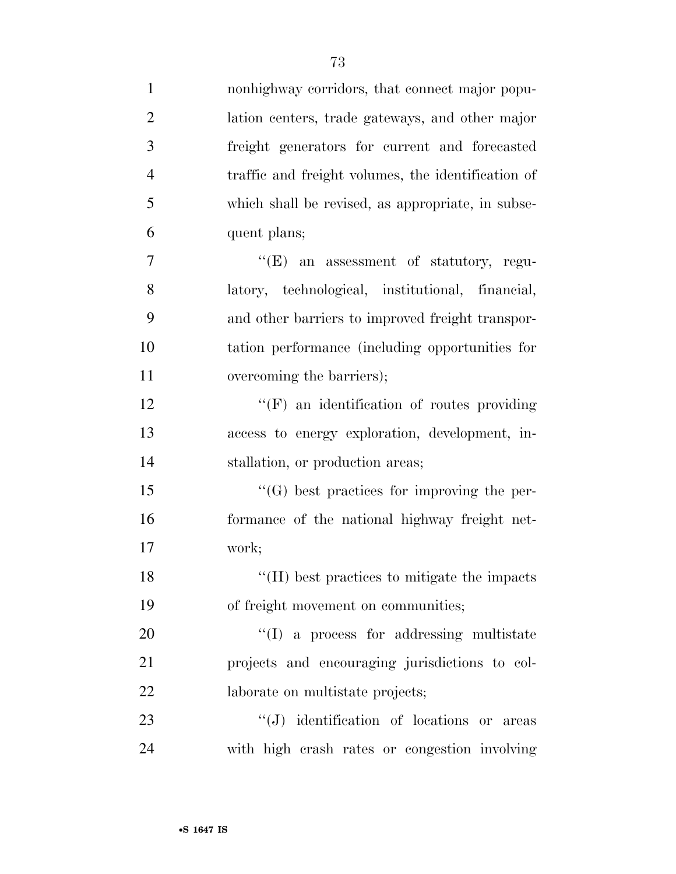| $\mathbf{1}$   | nonhighway corridors, that connect major popu-     |
|----------------|----------------------------------------------------|
| $\overline{2}$ | lation centers, trade gateways, and other major    |
| 3              | freight generators for current and forecasted      |
| $\overline{4}$ | traffic and freight volumes, the identification of |
| 5              | which shall be revised, as appropriate, in subse-  |
| 6              | quent plans;                                       |
| 7              | $\lq\lq(E)$ an assessment of statutory, regu-      |
| 8              | latory, technological, institutional, financial,   |
| 9              | and other barriers to improved freight transpor-   |
| 10             | tation performance (including opportunities for    |
| 11             | overcoming the barriers);                          |
| 12             | $\lq\lq(F)$ an identification of routes providing  |
| 13             | access to energy exploration, development, in-     |
| 14             | stallation, or production areas;                   |
| 15             | $\lq\lq(G)$ best practices for improving the per-  |
| 16             | formance of the national highway freight net-      |
| 17             | work;                                              |
| 18             | "(H) best practices to mitigate the impacts        |
| 19             | of freight movement on communities;                |
| 20             | $\lq\lq$ (I) a process for addressing multistate   |
| 21             | projects and encouraging jurisdictions to col-     |
| 22             | laborate on multistate projects;                   |
| 23             | $\lq\lq(J)$ identification of locations or areas   |
| 24             | with high crash rates or congestion involving      |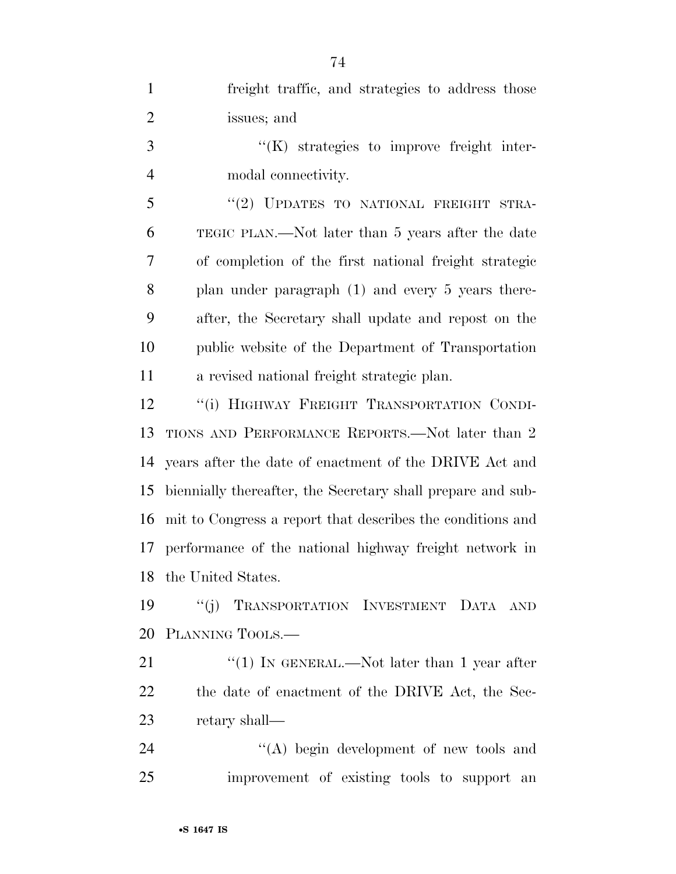| $\mathbf{1}$   | freight traffic, and strategies to address those            |
|----------------|-------------------------------------------------------------|
| $\overline{2}$ | issues; and                                                 |
| 3              | "(K) strategies to improve freight inter-                   |
| $\overline{4}$ | modal connectivity.                                         |
| 5              | "(2) UPDATES TO NATIONAL FREIGHT STRA-                      |
| 6              | TEGIC PLAN.—Not later than 5 years after the date           |
| 7              | of completion of the first national freight strategic       |
| 8              | plan under paragraph (1) and every 5 years there-           |
| 9              | after, the Secretary shall update and repost on the         |
| 10             | public website of the Department of Transportation          |
| 11             | a revised national freight strategic plan.                  |
| 12             | "(i) HIGHWAY FREIGHT TRANSPORTATION CONDI-                  |
| 13             | TIONS AND PERFORMANCE REPORTS.—Not later than 2             |
| 14             | years after the date of enactment of the DRIVE Act and      |
| 15             | biennially thereafter, the Secretary shall prepare and sub- |
| 16             | mit to Congress a report that describes the conditions and  |
| 17             | performance of the national highway freight network in      |
|                | 18 the United States.                                       |
| 19             | "(j) TRANSPORTATION INVESTMENT DATA AND                     |
| 20             | PLANNING TOOLS.                                             |
| 21             | "(1) IN GENERAL.—Not later than 1 year after                |
| 22             | the date of enactment of the DRIVE Act, the Sec-            |
| 23             | retary shall—                                               |
| 24             | $\lq\lq$ begin development of new tools and                 |
| 25             | improvement of existing tools to support an                 |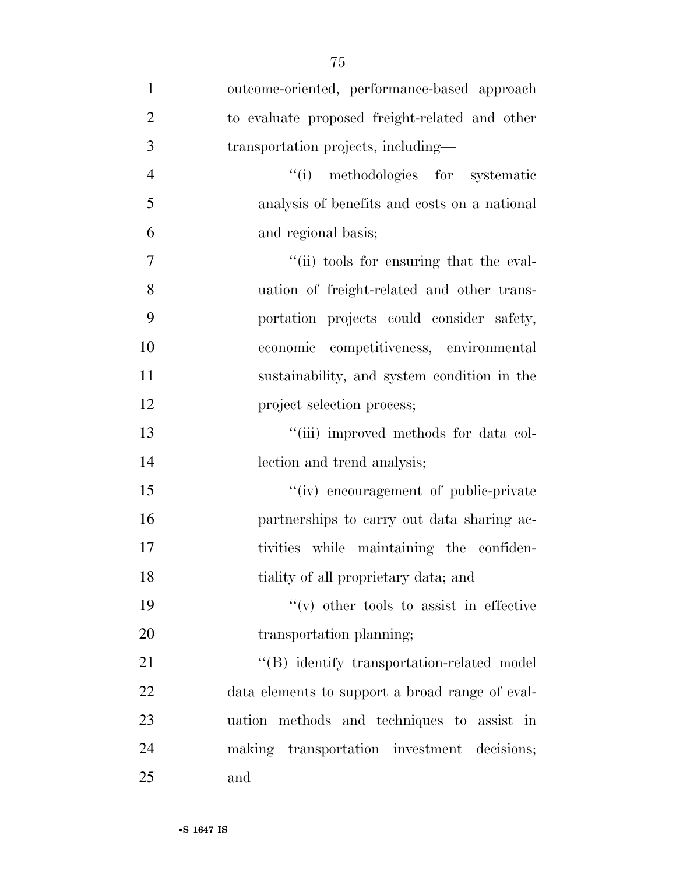| $\mathbf{1}$   | outcome-oriented, performance-based approach    |
|----------------|-------------------------------------------------|
| $\overline{2}$ | to evaluate proposed freight-related and other  |
| 3              | transportation projects, including—             |
| $\overline{4}$ | "(i) methodologies for systematic               |
| 5              | analysis of benefits and costs on a national    |
| 6              | and regional basis;                             |
| 7              | "(ii) tools for ensuring that the eval-         |
| 8              | uation of freight-related and other trans-      |
| 9              | portation projects could consider safety,       |
| 10             | economic competitiveness, environmental         |
| 11             | sustainability, and system condition in the     |
| 12             | project selection process;                      |
| 13             | "(iii) improved methods for data col-           |
| 14             | lection and trend analysis;                     |
| 15             | "(iv) encouragement of public-private           |
| 16             | partnerships to carry out data sharing ac-      |
| 17             | tivities while maintaining the confiden-        |
| 18             | tiality of all proprietary data; and            |
| 19             | $``(v)$ other tools to assist in effective      |
| 20             | transportation planning;                        |
| 21             | "(B) identify transportation-related model      |
| 22             | data elements to support a broad range of eval- |
| 23             | uation methods and techniques to assist in      |
| 24             | making transportation investment decisions;     |
| 25             | and                                             |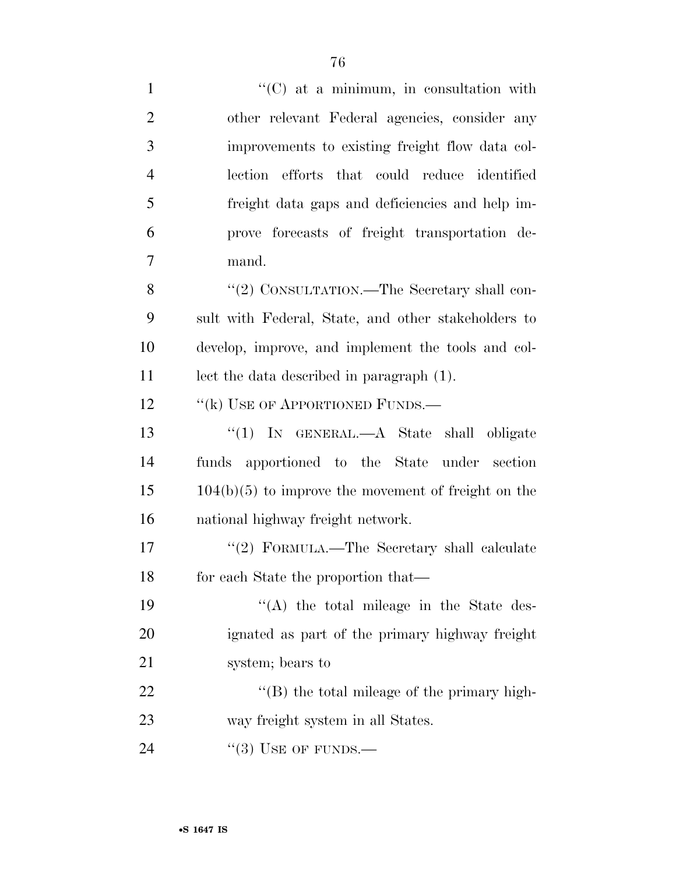| $\mathbf{1}$   | $\lq\lq$ (C) at a minimum, in consultation with       |
|----------------|-------------------------------------------------------|
| $\overline{2}$ | other relevant Federal agencies, consider any         |
| 3              | improvements to existing freight flow data col-       |
| $\overline{4}$ | lection efforts that could reduce identified          |
| 5              | freight data gaps and deficiencies and help im-       |
| 6              | prove forecasts of freight transportation de-         |
| 7              | mand.                                                 |
| 8              | "(2) CONSULTATION.—The Secretary shall con-           |
| 9              | sult with Federal, State, and other stakeholders to   |
| 10             | develop, improve, and implement the tools and col-    |
| 11             | lect the data described in paragraph (1).             |
| 12             | "(k) USE OF APPORTIONED FUNDS.—                       |
| 13             | "(1) IN GENERAL.—A State shall obligate               |
| 14             | funds apportioned to the State under section          |
| 15             | $104(b)(5)$ to improve the movement of freight on the |
| 16             | national highway freight network.                     |
| 17             | "(2) FORMULA.—The Secretary shall calculate           |
| 18             | for each State the proportion that—                   |
| 19             | $\lq\lq$ the total mileage in the State des-          |
| 20             | ignated as part of the primary highway freight        |
| 21             | system; bears to                                      |
| 22             | $\lq\lq$ the total mileage of the primary high-       |
| 23             | way freight system in all States.                     |
| 24             | $\lq(3)$ USE OF FUNDS.—                               |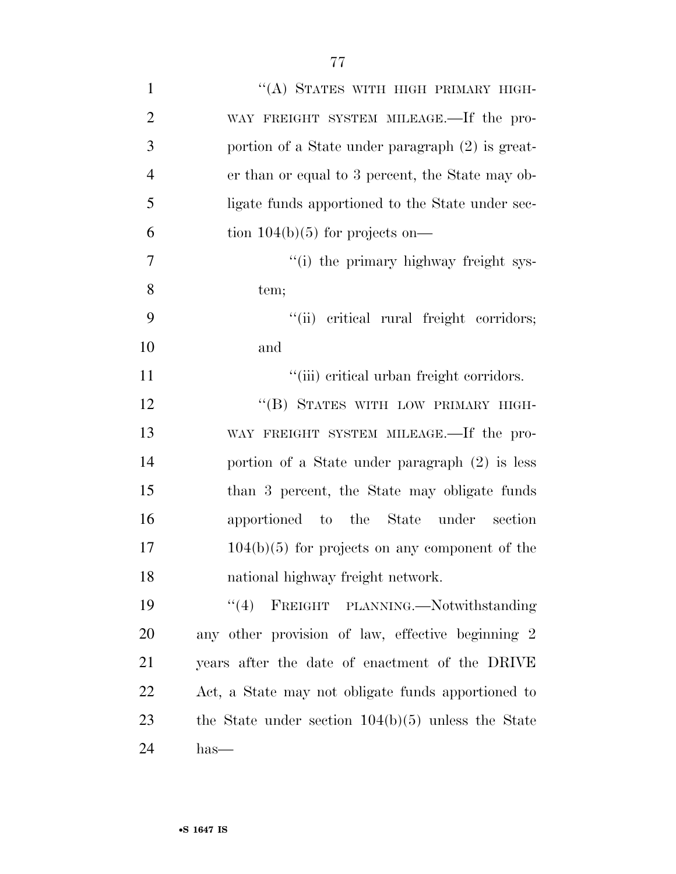| $\mathbf{1}$   | "(A) STATES WITH HIGH PRIMARY HIGH-                  |
|----------------|------------------------------------------------------|
| $\overline{2}$ | WAY FREIGHT SYSTEM MILEAGE.—If the pro-              |
| 3              | portion of a State under paragraph (2) is great-     |
| $\overline{4}$ | er than or equal to 3 percent, the State may ob-     |
| 5              | ligate funds apportioned to the State under sec-     |
| 6              | tion $104(b)(5)$ for projects on—                    |
| 7              | "(i) the primary highway freight sys-                |
| 8              | tem;                                                 |
| 9              | "(ii) critical rural freight corridors;              |
| 10             | and                                                  |
| 11             | "(iii) critical urban freight corridors.             |
| 12             | "(B) STATES WITH LOW PRIMARY HIGH-                   |
| 13             | WAY FREIGHT SYSTEM MILEAGE.—If the pro-              |
| 14             | portion of a State under paragraph $(2)$ is less     |
| 15             | than 3 percent, the State may obligate funds         |
| 16             | apportioned to the State under<br>section            |
| 17             | $104(b)(5)$ for projects on any component of the     |
| 18             | national highway freight network.                    |
| 19             | FREIGHT PLANNING.-Notwithstanding<br>(4)             |
| 20             | any other provision of law, effective beginning 2    |
| 21             | years after the date of enactment of the DRIVE       |
| 22             | Act, a State may not obligate funds apportioned to   |
| 23             | the State under section $104(b)(5)$ unless the State |
| 24             | $has-$                                               |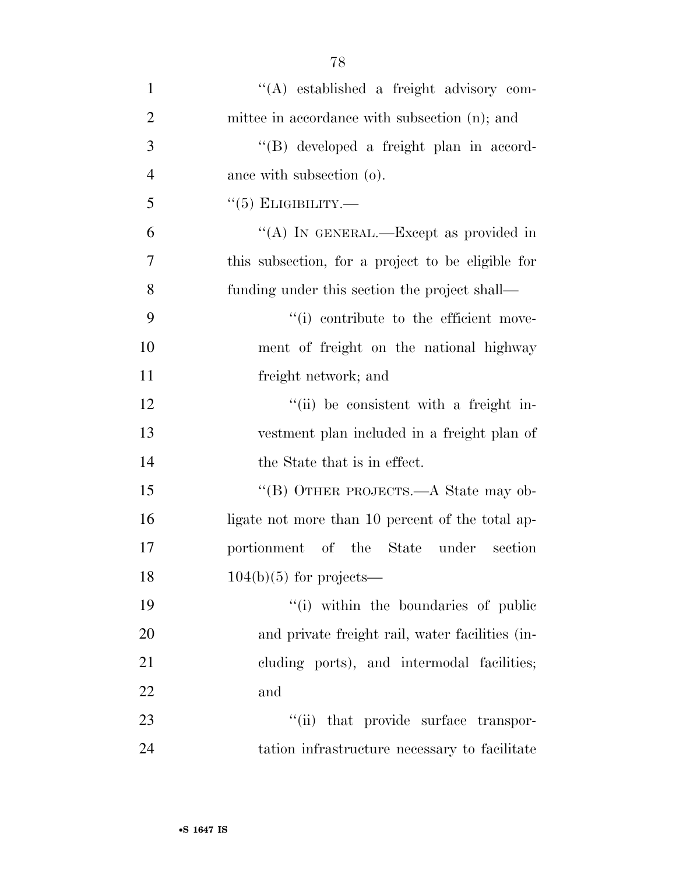| $\mathbf{1}$   | "(A) established a freight advisory com-          |
|----------------|---------------------------------------------------|
| $\overline{2}$ | mittee in accordance with subsection (n); and     |
| 3              | "(B) developed a freight plan in accord-          |
| $\overline{4}$ | ance with subsection (o).                         |
| 5              | $\lq(5)$ ELIGIBILITY.—                            |
| 6              | "(A) IN GENERAL.—Except as provided in            |
| 7              | this subsection, for a project to be eligible for |
| 8              | funding under this section the project shall—     |
| 9              | "(i) contribute to the efficient move-            |
| 10             | ment of freight on the national highway           |
| 11             | freight network; and                              |
| 12             | "(ii) be consistent with a freight in-            |
| 13             | vestment plan included in a freight plan of       |
| 14             | the State that is in effect.                      |
| 15             | "(B) OTHER PROJECTS.—A State may ob-              |
| 16             | ligate not more than 10 percent of the total ap-  |
| 17             | portionment of the State<br>under<br>section      |
| 18             | $104(b)(5)$ for projects—                         |
| 19             | "(i) within the boundaries of public              |
| 20             | and private freight rail, water facilities (in-   |
| 21             | cluding ports), and intermodal facilities;        |
| 22             | and                                               |
| 23             | "(ii) that provide surface transpor-              |
| 24             | tation infrastructure necessary to facilitate     |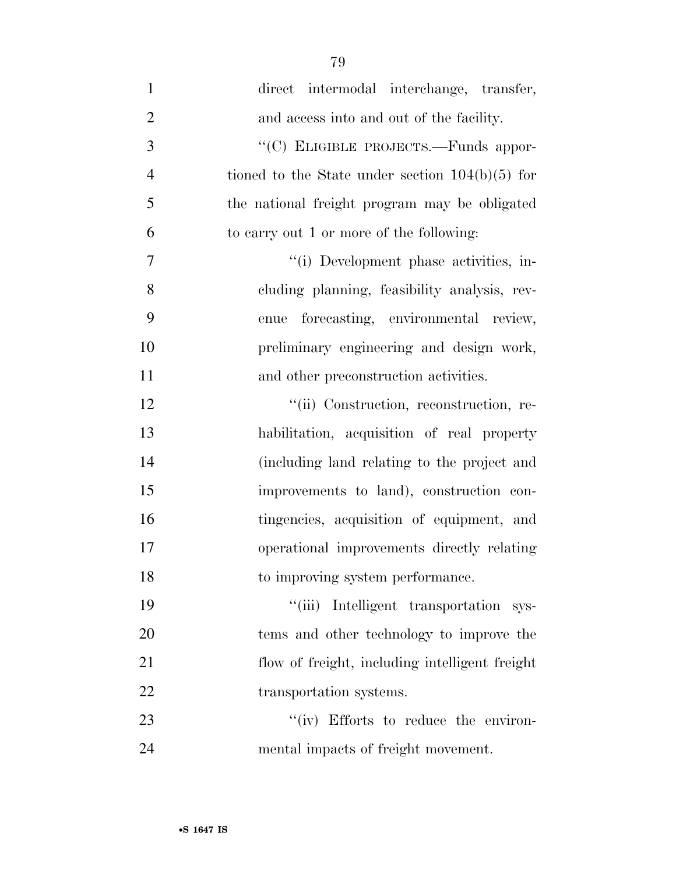| $\mathbf{1}$   | direct intermodal interchange, transfer,          |
|----------------|---------------------------------------------------|
| $\overline{2}$ | and access into and out of the facility.          |
| 3              | "(C) ELIGIBLE PROJECTS.—Funds appor-              |
| $\overline{4}$ | tioned to the State under section $104(b)(5)$ for |
| 5              | the national freight program may be obligated     |
| 6              | to carry out 1 or more of the following:          |
| 7              | "(i) Development phase activities, in-            |
| 8              | cluding planning, feasibility analysis, rev-      |
| 9              | forecasting, environmental review,<br>enue        |
| 10             | preliminary engineering and design work,          |
| 11             | and other preconstruction activities.             |
| 12             | "(ii) Construction, reconstruction, re-           |
| 13             | habilitation, acquisition of real property        |
| 14             | (including land relating to the project and       |
| 15             | improvements to land), construction con-          |
| 16             | tingencies, acquisition of equipment, and         |
| 17             | operational improvements directly relating        |
| 18             | to improving system performance.                  |
| 19             | "(iii) Intelligent transportation sys-            |
| 20             | tems and other technology to improve the          |
| 21             | flow of freight, including intelligent freight    |
| 22             | transportation systems.                           |
| 23             | "(iv) Efforts to reduce the environ-              |
| 24             | mental impacts of freight movement.               |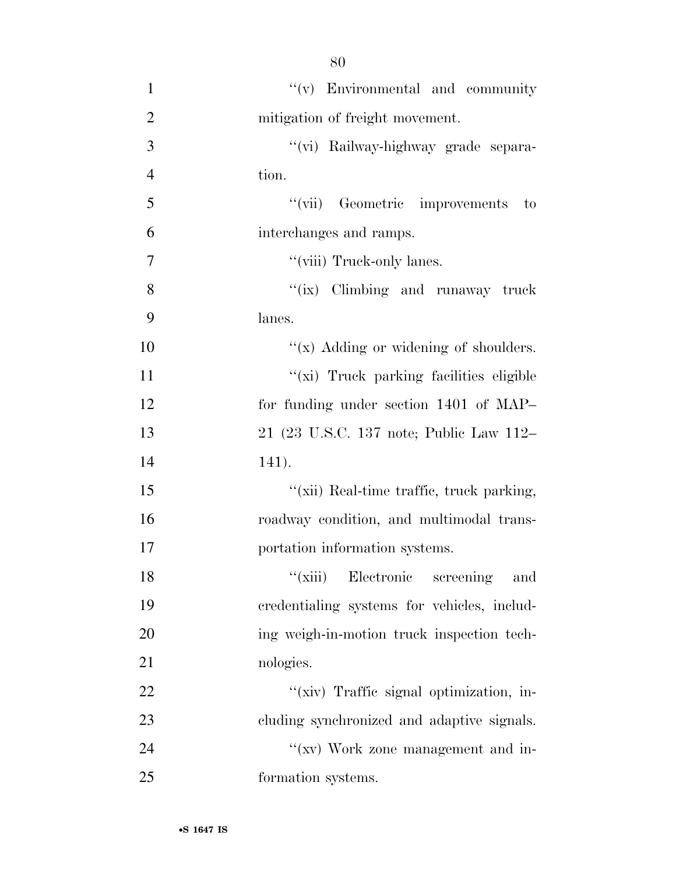| $\mathbf{1}$   | $f'(v)$ Environmental and community          |
|----------------|----------------------------------------------|
| $\overline{2}$ | mitigation of freight movement.              |
| 3              | "(vi) Railway-highway grade separa-          |
| $\overline{4}$ | tion.                                        |
| 5              | "(vii) Geometric improvements<br>$\qquad$ to |
| 6              | interchanges and ramps.                      |
| 7              | "(viii) Truck-only lanes.                    |
| 8              | "(ix) Climbing and runaway truck             |
| 9              | lanes.                                       |
| 10             | " $(x)$ Adding or widening of shoulders.     |
| 11             | "(xi) Truck parking facilities eligible      |
| 12             | for funding under section 1401 of MAP-       |
| 13             | 21 (23 U.S.C. 137 note; Public Law 112–      |
| 14             | 141).                                        |
| 15             | "(xii) Real-time traffic, truck parking,     |
| 16             | roadway condition, and multimodal trans-     |
| 17             | portation information systems.               |
| 18             | "(xiii) Electronic screening and             |
| 19             | credentialing systems for vehicles, includ-  |
| 20             | ing weigh-in-motion truck inspection tech-   |
| 21             | nologies.                                    |
| 22             | "(xiv) Traffic signal optimization, in-      |
| 23             | cluding synchronized and adaptive signals.   |
| 24             | "(xv) Work zone management and in-           |
| 25             | formation systems.                           |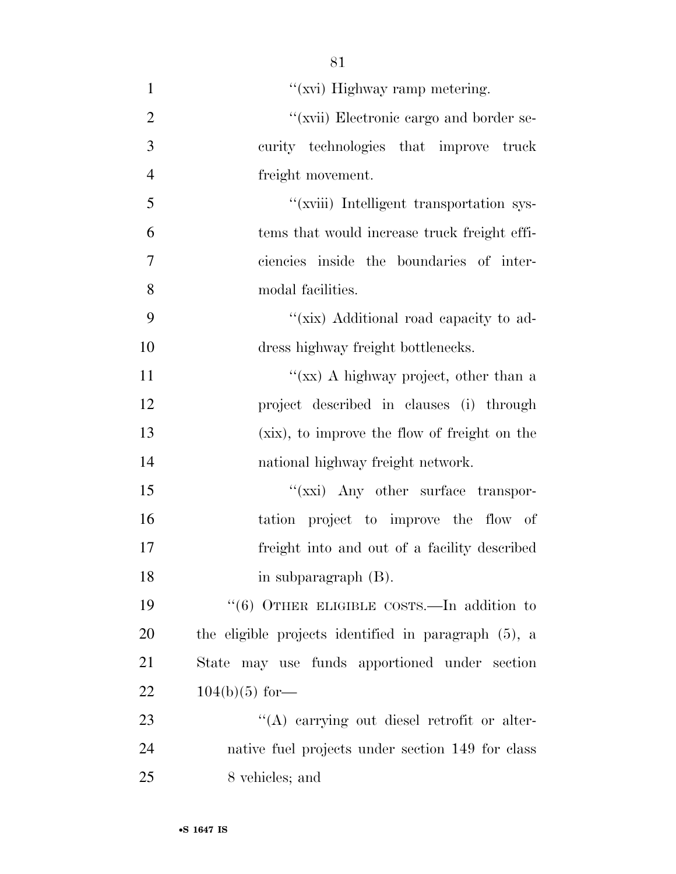| $\mathbf{1}$   | "(xvi) Highway ramp metering.                        |
|----------------|------------------------------------------------------|
| $\overline{2}$ | "(xvii) Electronic cargo and border se-              |
| 3              | curity technologies that improve truck               |
| $\overline{4}$ | freight movement.                                    |
| 5              | "(xviii) Intelligent transportation sys-             |
| 6              | tems that would increase truck freight effi-         |
| $\overline{7}$ | ciencies inside the boundaries of inter-             |
| 8              | modal facilities.                                    |
| 9              | "(xix) Additional road capacity to ad-               |
| 10             | dress highway freight bottlenecks.                   |
| 11             | "(xx) A highway project, other than a                |
| 12             | project described in clauses (i) through             |
| 13             | (xix), to improve the flow of freight on the         |
| 14             | national highway freight network.                    |
| 15             | "(xxi) Any other surface transpor-                   |
| 16             | tation project to improve the flow of                |
| 17             | freight into and out of a facility described         |
| 18             | in subparagraph (B).                                 |
| 19             | " $(6)$ OTHER ELIGIBLE COSTS.—In addition to         |
| 20             | the eligible projects identified in paragraph (5), a |
| 21             | State may use funds apportioned under section        |
| 22             | $104(b)(5)$ for—                                     |
| 23             | $\lq\lq$ carrying out diesel retrofit or alter-      |
| 24             | native fuel projects under section 149 for class     |
| 25             | 8 vehicles; and                                      |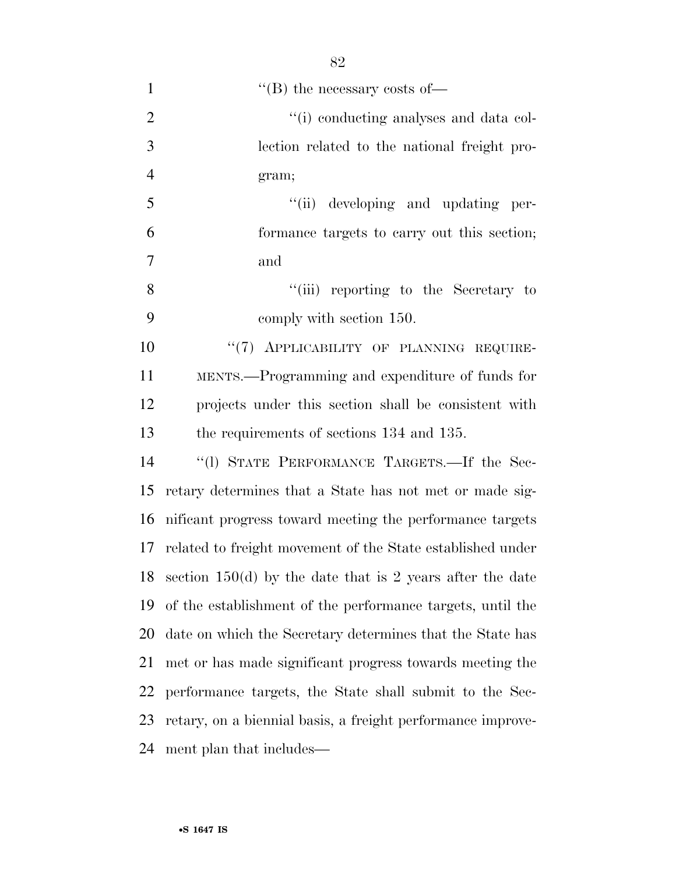| $\mathbf{1}$   | $\lq\lq$ the necessary costs of —                           |
|----------------|-------------------------------------------------------------|
| $\overline{2}$ | "(i) conducting analyses and data col-                      |
| 3              | lection related to the national freight pro-                |
| $\overline{4}$ | gram;                                                       |
| 5              | "(ii) developing and updating per-                          |
| 6              | formance targets to carry out this section;                 |
| $\overline{7}$ | and                                                         |
| 8              | "(iii) reporting to the Secretary to                        |
| 9              | comply with section 150.                                    |
| 10             | "(7) APPLICABILITY OF PLANNING REQUIRE-                     |
| 11             | MENTS.—Programming and expenditure of funds for             |
| 12             | projects under this section shall be consistent with        |
| 13             | the requirements of sections 134 and 135.                   |
| 14             | "(1) STATE PERFORMANCE TARGETS.—If the Sec-                 |
| 15             | retary determines that a State has not met or made sig-     |
| 16             | nificant progress toward meeting the performance targets    |
| 17             | related to freight movement of the State established under  |
| 18             | section $150(d)$ by the date that is 2 years after the date |
| 19             | of the establishment of the performance targets, until the  |
| 20             | date on which the Secretary determines that the State has   |
| 21             | met or has made significant progress towards meeting the    |
| 22             | performance targets, the State shall submit to the Sec-     |
| 23             | retary, on a biennial basis, a freight performance improve- |
| 24             | ment plan that includes—                                    |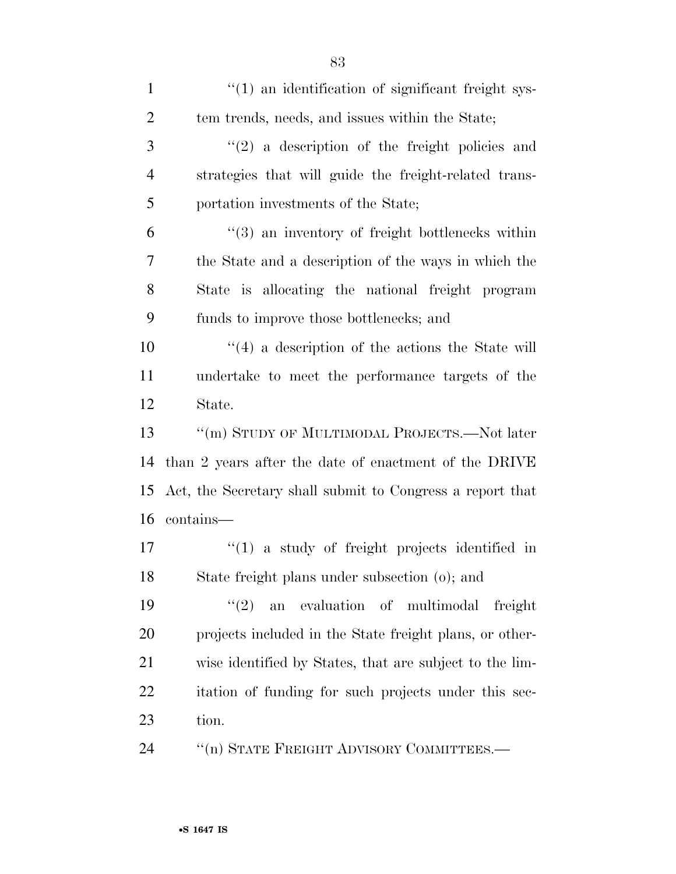| $\mathbf{1}$   | $\cdot$ (1) an identification of significant freight sys-   |
|----------------|-------------------------------------------------------------|
| $\overline{2}$ | tem trends, needs, and issues within the State;             |
| 3              | $f'(2)$ a description of the freight policies and           |
| $\overline{4}$ | strategies that will guide the freight-related trans-       |
| 5              | portation investments of the State;                         |
| 6              | $\cdot\cdot$ (3) an inventory of freight bottlenecks within |
| 7              | the State and a description of the ways in which the        |
| 8              | State is allocating the national freight program            |
| 9              | funds to improve those bottlenecks; and                     |
| 10             | $\cdot$ (4) a description of the actions the State will     |
| 11             | undertake to meet the performance targets of the            |
| 12             | State.                                                      |
| 13             | "(m) STUDY OF MULTIMODAL PROJECTS.—Not later                |
| 14             | than 2 years after the date of enactment of the DRIVE       |
| 15             | Act, the Secretary shall submit to Congress a report that   |
| 16             | contains—                                                   |
| 17             | $f'(1)$ a study of freight projects identified in           |
| 18             | State freight plans under subsection (o); and               |
| 19             | (2)<br>evaluation of multimodal<br>freight<br>an            |
| 20             | projects included in the State freight plans, or other-     |
| 21             | wise identified by States, that are subject to the lim-     |
| 22             | itation of funding for such projects under this sec-        |
| 23             | tion.                                                       |
| 24             | "(n) STATE FREIGHT ADVISORY COMMITTEES.—                    |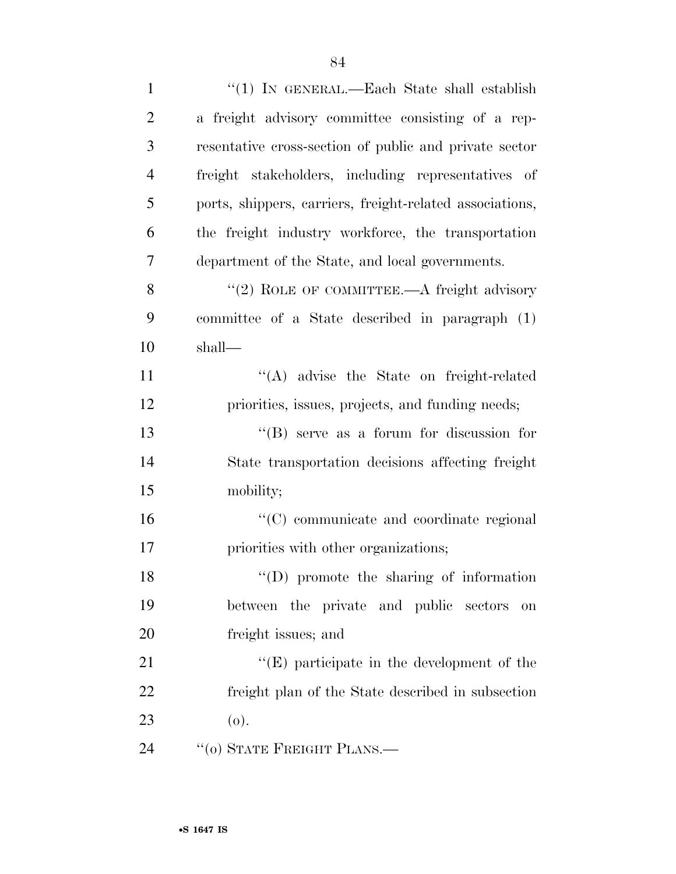| $\mathbf{1}$   | "(1) IN GENERAL.—Each State shall establish              |
|----------------|----------------------------------------------------------|
| $\overline{2}$ | a freight advisory committee consisting of a rep-        |
| 3              | resentative cross-section of public and private sector   |
| $\overline{4}$ | freight stakeholders, including representatives of       |
| 5              | ports, shippers, carriers, freight-related associations, |
| 6              | the freight industry workforce, the transportation       |
| 7              | department of the State, and local governments.          |
| 8              | "(2) ROLE OF COMMITTEE.—A freight advisory               |
| 9              | committee of a State described in paragraph (1)          |
| 10             | shall—                                                   |
| 11             | "(A) advise the State on freight-related                 |
| 12             | priorities, issues, projects, and funding needs;         |
| 13             | $\lq\lq (B)$ serve as a forum for discussion for         |
| 14             | State transportation decisions affecting freight         |
| 15             | mobility;                                                |
| 16             | "(C) communicate and coordinate regional                 |
| 17             | priorities with other organizations;                     |
| 18             | $\lq\lq$ (D) promote the sharing of information          |
| 19             | between the private and public sectors<br>on             |
| 20             | freight issues; and                                      |
| 21             | $\lq\lq(E)$ participate in the development of the        |
| 22             | freight plan of the State described in subsection        |
| 23             | (o).                                                     |
| 24             | "(0) STATE FREIGHT PLANS.—                               |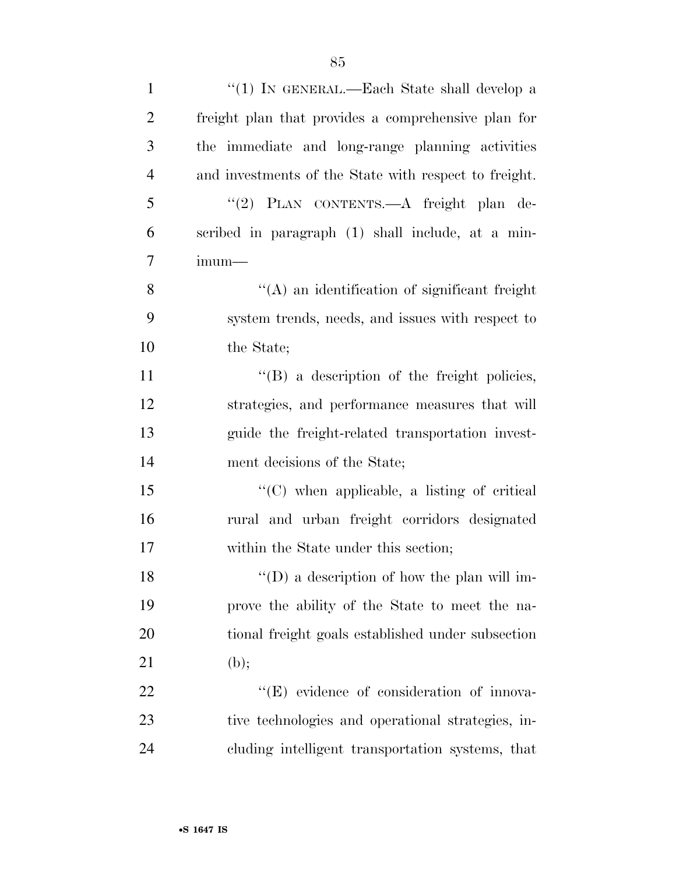| $\mathbf{1}$   | "(1) IN GENERAL.—Each State shall develop a           |
|----------------|-------------------------------------------------------|
| $\overline{2}$ | freight plan that provides a comprehensive plan for   |
| 3              | the immediate and long-range planning activities      |
| $\overline{4}$ | and investments of the State with respect to freight. |
| 5              | "(2) PLAN CONTENTS.—A freight plan de-                |
| 6              | scribed in paragraph (1) shall include, at a min-     |
| $\overline{7}$ | imum—                                                 |
| 8              | $\lq\lq$ an identification of significant freight     |
| 9              | system trends, needs, and issues with respect to      |
| 10             | the State;                                            |
| 11             | $\lq\lq (B)$ a description of the freight policies,   |
| 12             | strategies, and performance measures that will        |
| 13             | guide the freight-related transportation invest-      |
| 14             | ment decisions of the State;                          |
| 15             | $\lq\lq$ (C) when applicable, a listing of critical   |
| 16             | rural and urban freight corridors designated          |
| 17             | within the State under this section;                  |
| 18             | $\lq\lq$ (D) a description of how the plan will im-   |
| 19             | prove the ability of the State to meet the na-        |
| 20             | tional freight goals established under subsection     |
| 21             | (b);                                                  |
| 22             | "(E) evidence of consideration of innova-             |
| 23             | tive technologies and operational strategies, in-     |
| 24             | cluding intelligent transportation systems, that      |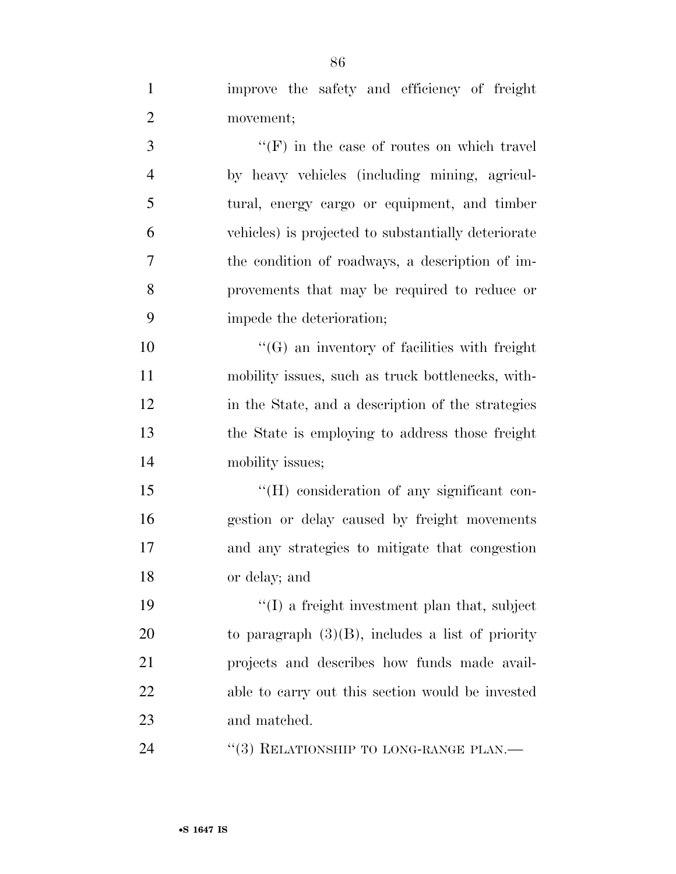| $\mathbf{1}$   | improve the safety and efficiency of freight        |
|----------------|-----------------------------------------------------|
| $\overline{2}$ | movement;                                           |
| 3              | $\lq\lq(F)$ in the case of routes on which travel   |
| $\overline{4}$ | by heavy vehicles (including mining, agricul-       |
| 5              | tural, energy cargo or equipment, and timber        |
| 6              | vehicles) is projected to substantially deteriorate |
| 7              | the condition of roadways, a description of im-     |
| 8              | provements that may be required to reduce or        |
| 9              | impede the deterioration;                           |
| 10             | $\lq\lq(G)$ an inventory of facilities with freight |
| 11             | mobility issues, such as truck bottlenecks, with-   |
| 12             | in the State, and a description of the strategies   |
| 13             | the State is employing to address those freight     |
| 14             | mobility issues;                                    |
| 15             | "(H) consideration of any significant con-          |
| 16             | gestion or delay caused by freight movements        |
| 17             | and any strategies to mitigate that congestion      |
| 18             | or delay; and                                       |
| 19             | $\lq\lq$ a freight investment plan that, subject    |
| 20             | to paragraph $(3)(B)$ , includes a list of priority |
| 21             | projects and describes how funds made avail-        |
| 22             | able to carry out this section would be invested    |
| 23             | and matched.                                        |

24 ''(3) RELATIONSHIP TO LONG-RANGE PLAN.—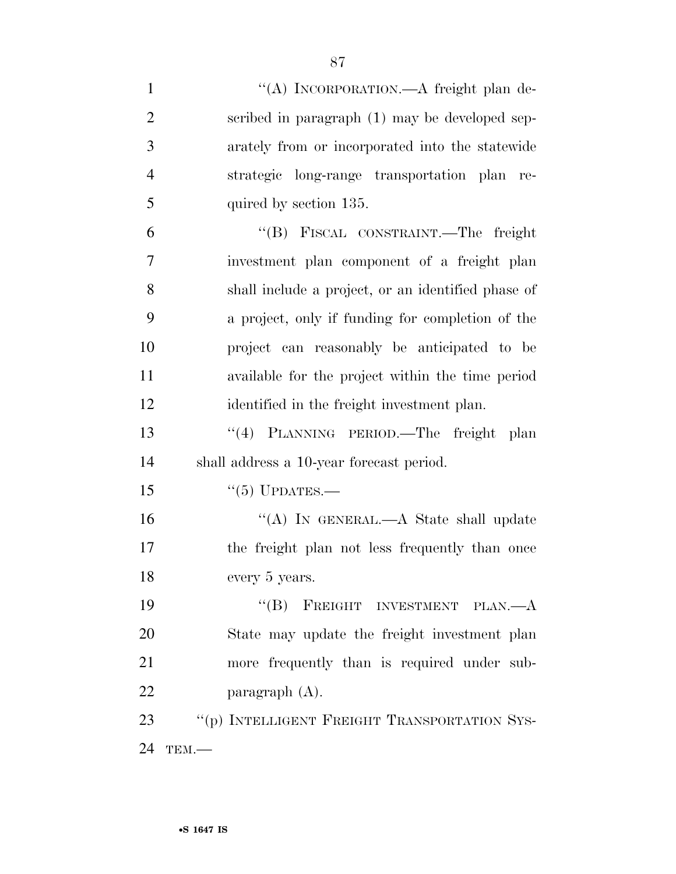| $\mathbf{1}$   | "(A) INCORPORATION.—A freight plan de-             |
|----------------|----------------------------------------------------|
| $\overline{2}$ | scribed in paragraph (1) may be developed sep-     |
| 3              | arately from or incorporated into the statewide    |
| $\overline{4}$ | strategic long-range transportation plan re-       |
| 5              | quired by section 135.                             |
| 6              | "(B) FISCAL CONSTRAINT.—The freight                |
| 7              | investment plan component of a freight plan        |
| 8              | shall include a project, or an identified phase of |
| 9              | a project, only if funding for completion of the   |
| 10             | project can reasonably be anticipated to be        |
| 11             | available for the project within the time period   |
| 12             | identified in the freight investment plan.         |
| 13             | "(4) PLANNING PERIOD.—The freight plan             |
| 14             | shall address a 10-year forecast period.           |
| 15             | $``(5)$ UPDATES.—                                  |
| 16             | "(A) IN GENERAL.—A State shall update              |
| 17             | the freight plan not less frequently than once     |
| 18             | every 5 years.                                     |
| 19             | "(B) FREIGHT INVESTMENT PLAN.— $A$                 |
| 20             | State may update the freight investment plan       |
| 21             | more frequently than is required under sub-        |
| 22             | paragraph $(A)$ .                                  |
| 23             | "(p) INTELLIGENT FREIGHT TRANSPORTATION SYS-       |
| 24             | TEM.                                               |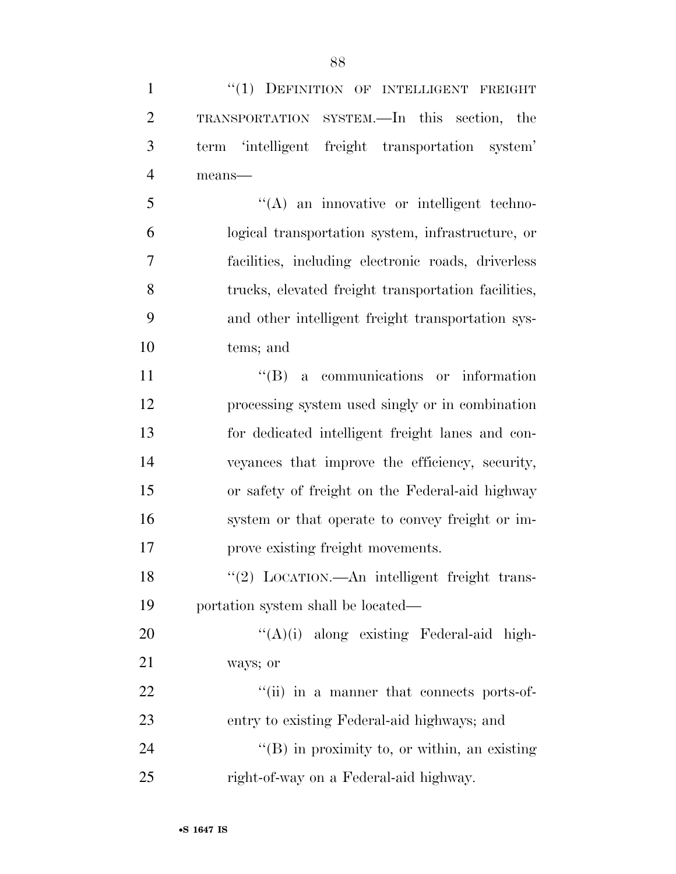| $\mathbf{1}$   | "(1) DEFINITION OF INTELLIGENT FREIGHT               |
|----------------|------------------------------------------------------|
| $\overline{2}$ | TRANSPORTATION SYSTEM.—In this section, the          |
| 3              | term 'intelligent freight transportation system'     |
| $\overline{4}$ | means-                                               |
| 5              | $\lq\lq$ an innovative or intelligent techno-        |
| 6              | logical transportation system, infrastructure, or    |
| 7              | facilities, including electronic roads, driverless   |
| 8              | trucks, elevated freight transportation facilities,  |
| 9              | and other intelligent freight transportation sys-    |
| 10             | tems; and                                            |
| 11             | $\lq\lq (B)$ a communications or information         |
| 12             | processing system used singly or in combination      |
| 13             | for dedicated intelligent freight lanes and con-     |
| 14             | veyances that improve the efficiency, security,      |
| 15             | or safety of freight on the Federal-aid highway      |
| 16             | system or that operate to convey freight or im-      |
| 17             | prove existing freight movements.                    |
| 18             | "(2) LOCATION.—An intelligent freight trans-         |
| 19             | portation system shall be located—                   |
| 20             | $\lq\lq (A)(i)$ along existing Federal-aid high-     |
| 21             | ways; or                                             |
| 22             | "(ii) in a manner that connects ports-of-            |
| 23             | entry to existing Federal-aid highways; and          |
| 24             | $\lq\lq$ (B) in proximity to, or within, an existing |
| 25             | right-of-way on a Federal-aid highway.               |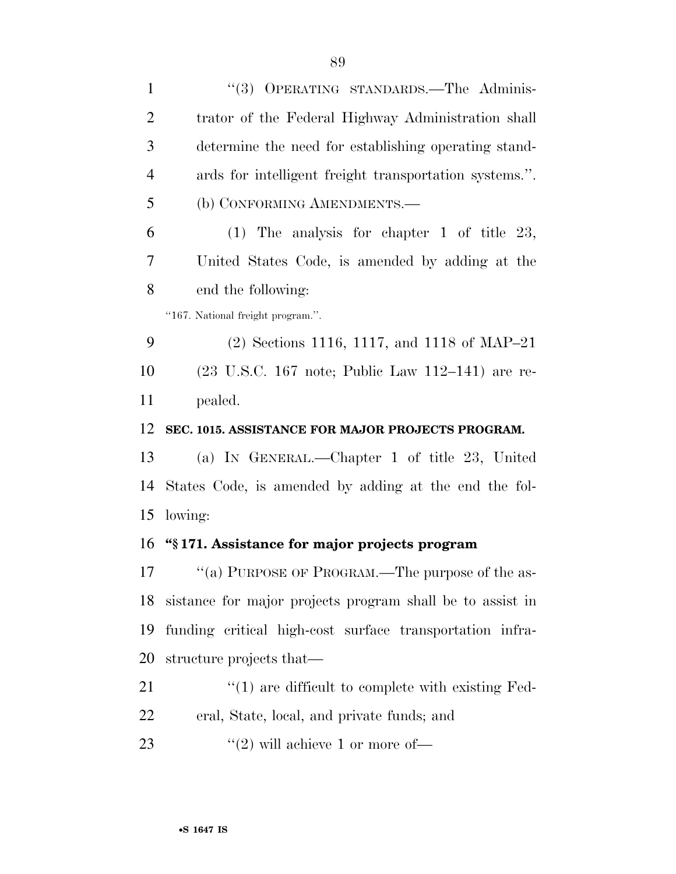| 1              | "(3) OPERATING STANDARDS.-The Adminis-                                       |
|----------------|------------------------------------------------------------------------------|
| 2              | trator of the Federal Highway Administration shall                           |
| 3              | determine the need for establishing operating stand-                         |
| $\overline{4}$ | ards for intelligent freight transportation systems.".                       |
| 5              | (b) CONFORMING AMENDMENTS.-                                                  |
| 6              | $(1)$ The analysis for chapter 1 of title 23,                                |
| 7              | United States Code, is amended by adding at the                              |
| 8              | end the following:                                                           |
|                | "167. National freight program.".                                            |
| 9              | $(2)$ Sections 1116, 1117, and 1118 of MAP-21                                |
| 10             | $(23 \text{ U.S.C. } 167 \text{ note}; \text{ Public Law } 112-141)$ are re- |
| 11             | pealed.                                                                      |
| 12             | SEC. 1015. ASSISTANCE FOR MAJOR PROJECTS PROGRAM.                            |
| 13             | (a) IN GENERAL.—Chapter 1 of title 23, United                                |
| 14             | States Code, is amended by adding at the end the fol-                        |
| 15             | lowing:                                                                      |
| 16             | "\\$171. Assistance for major projects program                               |
| 17             | "(a) PURPOSE OF PROGRAM.—The purpose of the as-                              |
| 18             | sistance for major projects program shall be to assist in                    |
| 19             | funding critical high-cost surface transportation infra-                     |
| 20             | structure projects that—                                                     |
| 21             | $\lq(1)$ are difficult to complete with existing Fed-                        |
| 22             | eral, State, local, and private funds; and                                   |
|                |                                                                              |

23  $\text{``(2)}$  will achieve 1 or more of—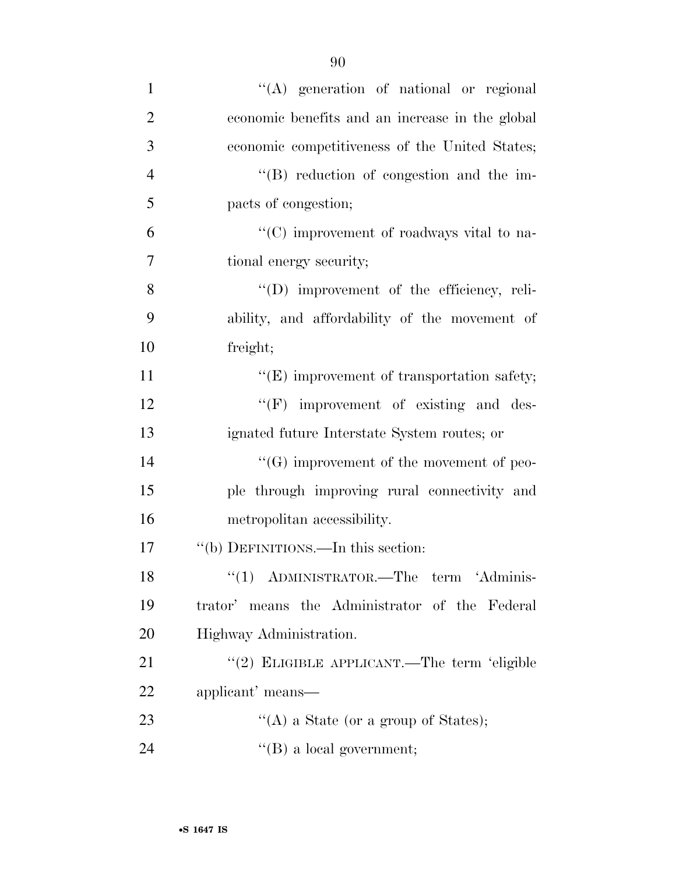| $\mathbf{1}$   | $\lq\lq$ generation of national or regional        |
|----------------|----------------------------------------------------|
| $\overline{2}$ | economic benefits and an increase in the global    |
| 3              | economic competitiveness of the United States;     |
| $\overline{4}$ | "(B) reduction of congestion and the im-           |
| 5              | pacts of congestion;                               |
| 6              | " $(C)$ improvement of roadways vital to na-       |
| $\overline{7}$ | tional energy security;                            |
| 8              | "(D) improvement of the efficiency, reli-          |
| 9              | ability, and affordability of the movement of      |
| 10             | freight;                                           |
| 11             | $\lq\lq$ (E) improvement of transportation safety; |
| 12             | $\lq\lq(F)$ improvement of existing and des-       |
| 13             | ignated future Interstate System routes; or        |
| 14             | $\lq\lq(G)$ improvement of the movement of peo-    |
| 15             | ple through improving rural connectivity and       |
| 16             | metropolitan accessibility.                        |
| 17             | "(b) DEFINITIONS.—In this section:                 |
| 18             | $(1)$ ADMINISTRATOR.—The term 'Adminis-            |
| 19             | trator' means the Administrator of the Federal     |
| 20             | Highway Administration.                            |
| 21             | "(2) ELIGIBLE APPLICANT.—The term 'eligible        |
| 22             | applicant' means—                                  |
| 23             | "(A) a State (or a group of States);               |
| 24             | $\lq\lq (B)$ a local government;                   |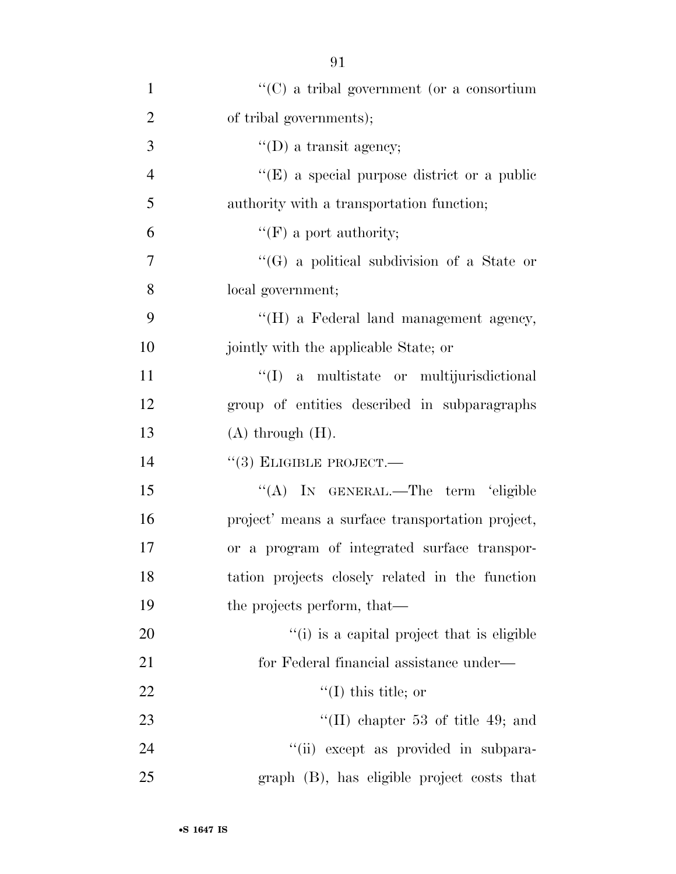| $\mathbf{1}$   | $\lq\lq$ (C) a tribal government (or a consortium |
|----------------|---------------------------------------------------|
| $\overline{2}$ | of tribal governments);                           |
| 3              | $\lq\lq$ (D) a transit agency;                    |
| $\overline{4}$ | "(E) a special purpose district or a public       |
| 5              | authority with a transportation function;         |
| 6              | $\lq\lq(F)$ a port authority;                     |
| $\overline{7}$ | $\lq\lq(G)$ a political subdivision of a State or |
| 8              | local government;                                 |
| 9              | "(H) a Federal land management agency,            |
| 10             | jointly with the applicable State; or             |
| 11             | ``(I)<br>a multistate or multijurisdictional      |
| 12             | group of entities described in subparagraphs      |
| 13             | $(A)$ through $(H)$ .                             |
| 14             | $``(3)$ ELIGIBLE PROJECT.—                        |
| 15             | "(A) IN GENERAL.—The term 'eligible               |
| 16             | project' means a surface transportation project,  |
| 17             | or a program of integrated surface transpor-      |
| 18             | tation projects closely related in the function   |
| 19             | the projects perform, that—                       |
| 20             | "(i) is a capital project that is eligible        |
| 21             | for Federal financial assistance under—           |
| 22             | $\lq(1)$ this title; or                           |
| 23             | $\text{``(II)}$ chapter 53 of title 49; and       |
| 24             | "(ii) except as provided in subpara-              |
| 25             | graph (B), has eligible project costs that        |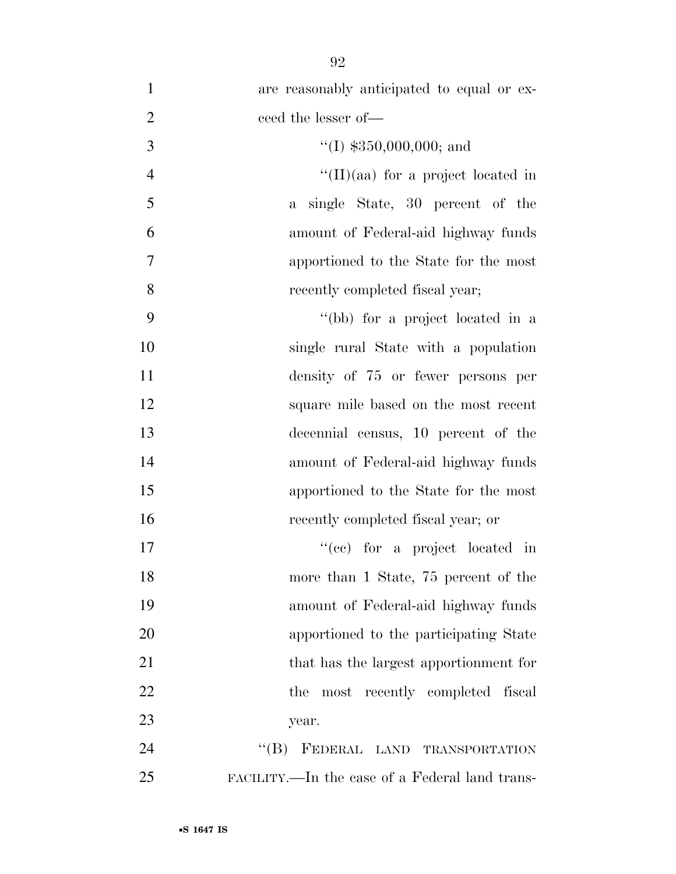| $\mathbf{1}$   | are reasonably anticipated to equal or ex-     |
|----------------|------------------------------------------------|
| $\overline{2}$ | ceed the lesser of-                            |
| 3              | $\lq(1)$ \$350,000,000; and                    |
| $\overline{4}$ | "(II)(aa) for a project located in             |
| 5              | a single State, 30 percent of the              |
| 6              | amount of Federal-aid highway funds            |
| $\tau$         | apportioned to the State for the most          |
| 8              | recently completed fiscal year;                |
| 9              | "(bb) for a project located in a               |
| 10             | single rural State with a population           |
| 11             | density of 75 or fewer persons per             |
| 12             | square mile based on the most recent           |
| 13             | decennial census, 10 percent of the            |
| 14             | amount of Federal-aid highway funds            |
| 15             | apportioned to the State for the most          |
| 16             | recently completed fiscal year; or             |
| 17             | "(cc) for a project located in                 |
| 18             | more than 1 State, 75 percent of the           |
| 19             | amount of Federal-aid highway funds            |
| 20             | apportioned to the participating State         |
| 21             | that has the largest apportionment for         |
| 22             | most recently completed fiscal<br>the          |
| 23             | year.                                          |
| 24             | $\lq\lq (B)$<br>FEDERAL LAND TRANSPORTATION    |
| 25             | FACILITY.—In the case of a Federal land trans- |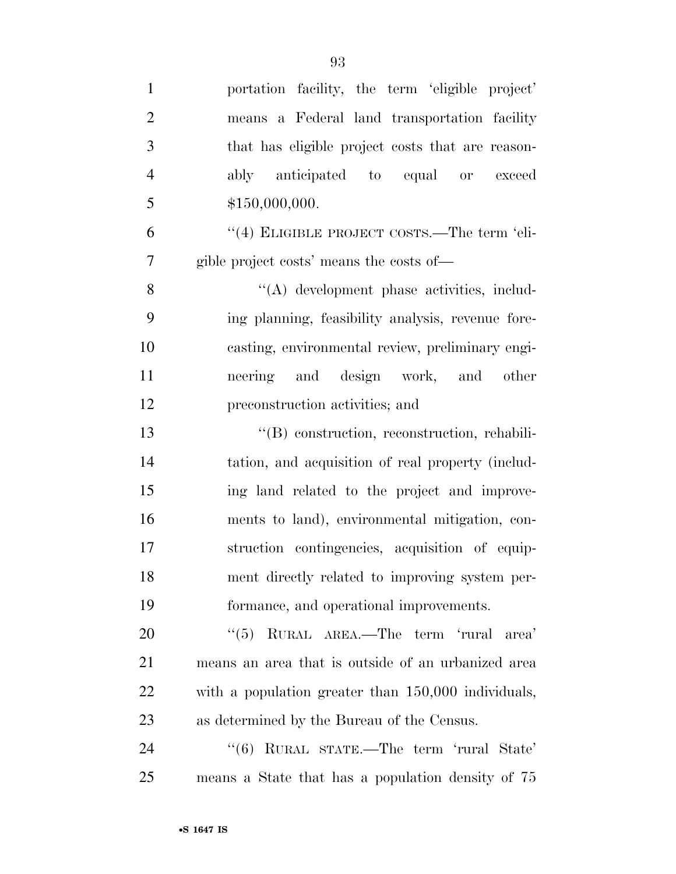| $\mathbf{1}$   | portation facility, the term 'eligible project'     |
|----------------|-----------------------------------------------------|
| $\overline{2}$ | means a Federal land transportation facility        |
| 3              | that has eligible project costs that are reason-    |
| $\overline{4}$ | ably anticipated to equal or exceed                 |
| 5              | \$150,000,000.                                      |
| 6              | "(4) ELIGIBLE PROJECT COSTS.—The term 'eli-         |
| 7              | gible project costs' means the costs of—            |
| 8              | "(A) development phase activities, includ-          |
| 9              | ing planning, feasibility analysis, revenue fore-   |
| 10             | casting, environmental review, preliminary engi-    |
| 11             | neering and design work, and other                  |
| 12             | preconstruction activities; and                     |
| 13             | "(B) construction, reconstruction, rehabili-        |
| 14             | tation, and acquisition of real property (includ-   |
| 15             | ing land related to the project and improve-        |
| 16             | ments to land), environmental mitigation, con-      |
| 17             | struction contingencies, acquisition of equip-      |
| 18             | ment directly related to improving system per-      |
| 19             | formance, and operational improvements.             |
| 20             | "(5) RURAL AREA.—The term 'rural area'              |
| 21             | means an area that is outside of an urbanized area  |
| 22             | with a population greater than 150,000 individuals, |
| 23             | as determined by the Bureau of the Census.          |
| 24             | "(6) RURAL STATE.—The term 'rural State'            |
| 25             | means a State that has a population density of 75   |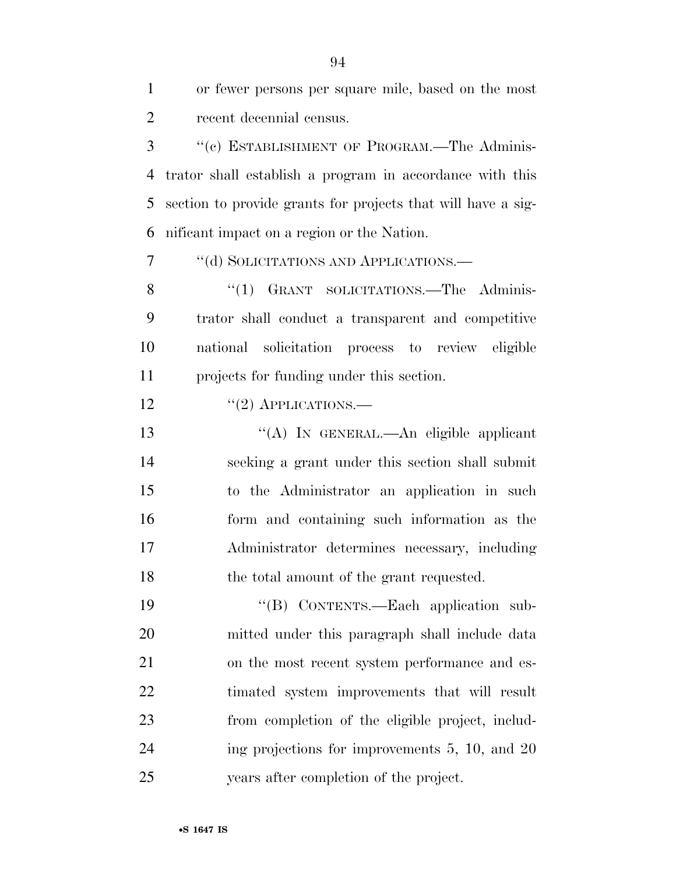| 1              | or fewer persons per square mile, based on the most          |
|----------------|--------------------------------------------------------------|
| $\overline{2}$ | recent decennial census.                                     |
| 3              | "(c) ESTABLISHMENT OF PROGRAM.—The Adminis-                  |
| 4              | trator shall establish a program in accordance with this     |
| 5              | section to provide grants for projects that will have a sig- |
| 6              | nificant impact on a region or the Nation.                   |
| 7              | "(d) SOLICITATIONS AND APPLICATIONS.—                        |
| 8              | "(1) GRANT SOLICITATIONS.—The Adminis-                       |
| 9              | trator shall conduct a transparent and competitive           |
| 10             | national solicitation process to review eligible             |
| 11             | projects for funding under this section.                     |
| 12             | $"(2)$ APPLICATIONS.—                                        |
| 13             | "(A) IN GENERAL.—An eligible applicant                       |
| 14             | seeking a grant under this section shall submit              |
| 15             | to the Administrator an application in such                  |
| 16             | form and containing such information as the                  |
| 17             | Administrator determines necessary, including                |
| 18             | the total amount of the grant requested.                     |
| 19             | "(B) CONTENTS.—Each application sub-                         |
| 20             | mitted under this paragraph shall include data               |
| 21             | on the most recent system performance and es-                |
| 22             | timated system improvements that will result                 |
| 23             | from completion of the eligible project, includ-             |
| 24             | ing projections for improvements $5, 10,$ and $20$           |
| 25             | years after completion of the project.                       |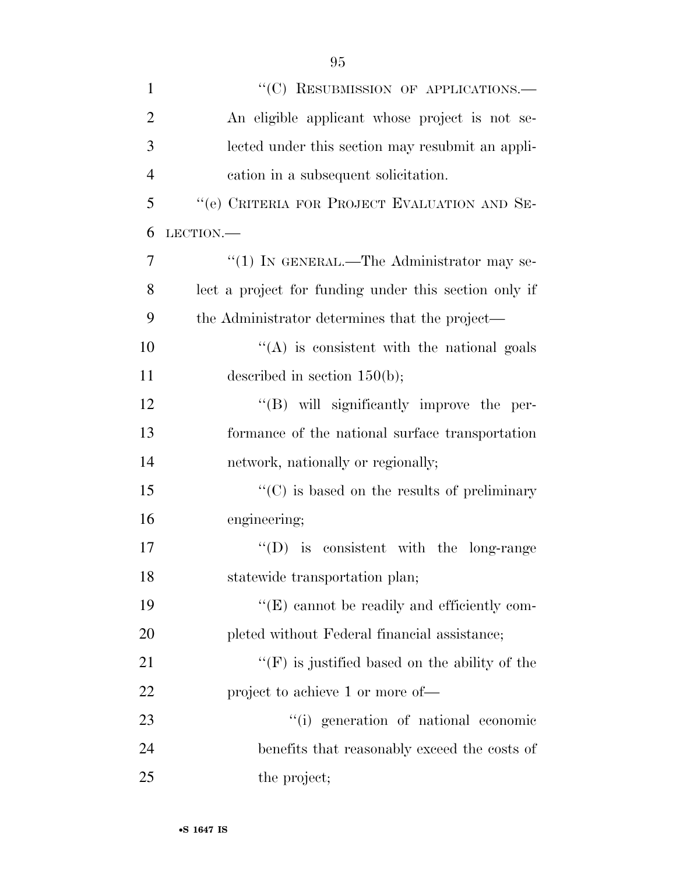| $\mathbf{1}$   | "(C) RESUBMISSION OF APPLICATIONS.—                   |
|----------------|-------------------------------------------------------|
| $\overline{2}$ | An eligible applicant whose project is not se-        |
| 3              | lected under this section may resubmit an appli-      |
| $\overline{4}$ | cation in a subsequent solicitation.                  |
| 5              | "(e) CRITERIA FOR PROJECT EVALUATION AND SE-          |
| 6              | LECTION.                                              |
| 7              | "(1) IN GENERAL.—The Administrator may se-            |
| 8              | lect a project for funding under this section only if |
| 9              | the Administrator determines that the project—        |
| 10             | $\lq\lq$ is consistent with the national goals        |
| 11             | described in section $150(b)$ ;                       |
| 12             | "(B) will significantly improve the per-              |
| 13             | formance of the national surface transportation       |
| 14             | network, nationally or regionally;                    |
| 15             | $\lq\lq$ (C) is based on the results of preliminary   |
| 16             | engineering;                                          |
| 17             | $\lq\lq$ (D) is consistent with the long-range        |
| 18             | statewide transportation plan;                        |
| 19             | "(E) cannot be readily and efficiently com-           |
| 20             | pleted without Federal financial assistance;          |
| 21             | $f'(F)$ is justified based on the ability of the      |
| 22             | project to achieve 1 or more of—                      |
| 23             | "(i) generation of national economic                  |
| 24             | benefits that reasonably exceed the costs of          |
| 25             | the project;                                          |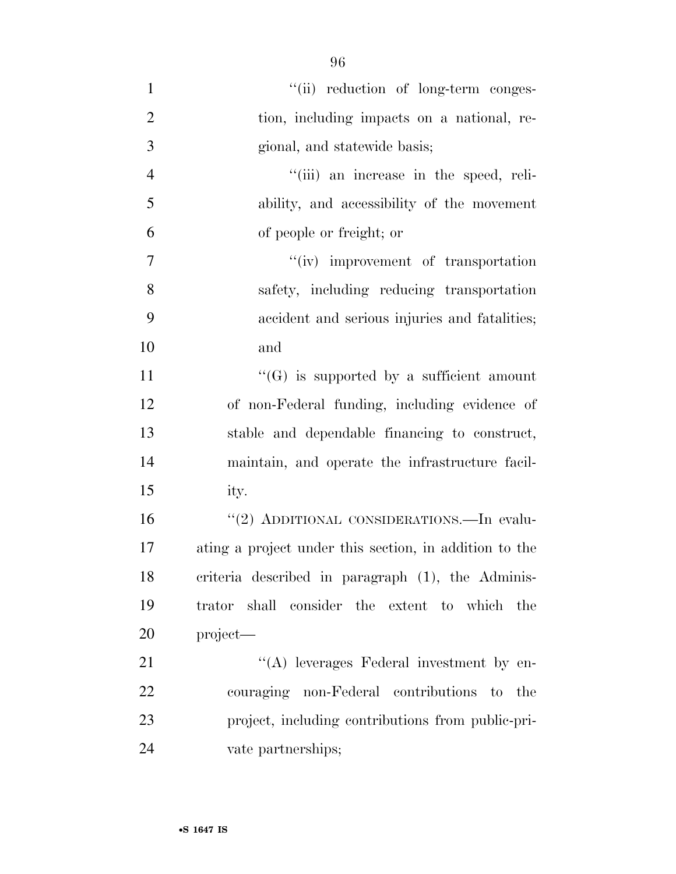| $\mathbf{1}$   | "(ii) reduction of long-term conges-                   |
|----------------|--------------------------------------------------------|
| $\overline{2}$ | tion, including impacts on a national, re-             |
| 3              | gional, and statewide basis;                           |
| $\overline{4}$ | "(iii) an increase in the speed, reli-                 |
| 5              | ability, and accessibility of the movement             |
| 6              | of people or freight; or                               |
| $\overline{7}$ | "(iv) improvement of transportation                    |
| 8              | safety, including reducing transportation              |
| 9              | accident and serious injuries and fatalities;          |
| 10             | and                                                    |
| 11             | $\lq\lq(G)$ is supported by a sufficient amount        |
| 12             | of non-Federal funding, including evidence of          |
| 13             | stable and dependable financing to construct,          |
| 14             | maintain, and operate the infrastructure facil-        |
| 15             | ity.                                                   |
| 16             | "(2) ADDITIONAL CONSIDERATIONS.—In evalu-              |
| 17             | ating a project under this section, in addition to the |
| 18             | criteria described in paragraph (1), the Adminis-      |
| 19             | trator shall consider the extent to which the          |
| 20             | project—                                               |
| 21             | $\lq\lq$ leverages Federal investment by en-           |
| 22             | couraging non-Federal contributions to the             |
| 23             | project, including contributions from public-pri-      |
| 24             | vate partnerships;                                     |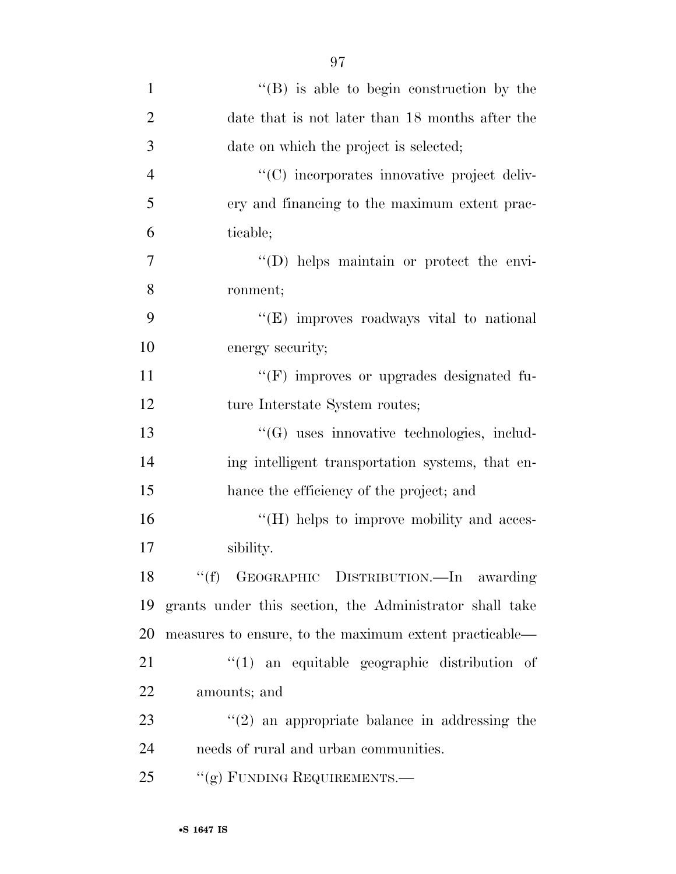| $\mathbf{1}$   | $\lq\lq (B)$ is able to begin construction by the       |
|----------------|---------------------------------------------------------|
| $\overline{2}$ | date that is not later than 18 months after the         |
| 3              | date on which the project is selected;                  |
| $\overline{4}$ | "(C) incorporates innovative project deliv-             |
| 5              | ery and financing to the maximum extent prac-           |
| 6              | ticable;                                                |
| 7              | "(D) helps maintain or protect the envi-                |
| 8              | ronment;                                                |
| 9              | "(E) improves roadways vital to national                |
| 10             | energy security;                                        |
| 11             | $\lq\lq(F)$ improves or upgrades designated fu-         |
| 12             | ture Interstate System routes;                          |
| 13             | $\lq\lq(G)$ uses innovative technologies, includ-       |
| 14             | ing intelligent transportation systems, that en-        |
| 15             | hance the efficiency of the project; and                |
| 16             | $\lq\lq (H)$ helps to improve mobility and acces-       |
| 17             | sibility.                                               |
|                | 18 "(f) GEOGRAPHIC DISTRIBUTION.—In<br>awarding         |
| 19             | grants under this section, the Administrator shall take |
| 20             | measures to ensure, to the maximum extent practicable—  |
| 21             | $\lq(1)$ an equitable geographic distribution of        |
| 22             | amounts; and                                            |
| 23             | $\lq(2)$ an appropriate balance in addressing the       |
| 24             | needs of rural and urban communities.                   |
| 25             | "(g) FUNDING REQUIREMENTS.—                             |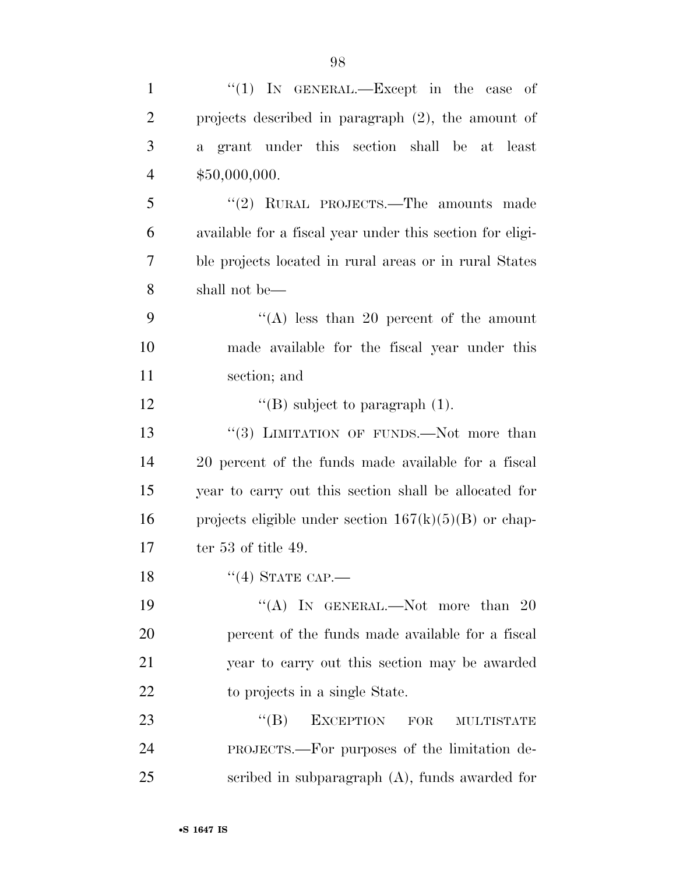| $\mathbf{1}$   | "(1) IN GENERAL.—Except in the case of                     |
|----------------|------------------------------------------------------------|
| $\overline{2}$ | projects described in paragraph $(2)$ , the amount of      |
| 3              | grant under this section shall be at least<br>$\mathbf{a}$ |
| $\overline{4}$ | \$50,000,000.                                              |
| 5              | "(2) RURAL PROJECTS.—The amounts made                      |
| 6              | available for a fiscal year under this section for eligi-  |
| 7              | ble projects located in rural areas or in rural States     |
| 8              | shall not be—                                              |
| 9              | "(A) less than 20 percent of the amount                    |
| 10             | made available for the fiscal year under this              |
| 11             | section; and                                               |
| 12             | $\lq\lq$ (B) subject to paragraph (1).                     |
| 13             | "(3) LIMITATION OF FUNDS.—Not more than                    |
| 14             | 20 percent of the funds made available for a fiscal        |
| 15             | year to carry out this section shall be allocated for      |
| 16             | projects eligible under section $167(k)(5)(B)$ or chap-    |
| 17             | ter $53$ of title $49$ .                                   |
| 18             | $``(4)$ STATE CAP.—                                        |
| 19             | "(A) IN GENERAL.—Not more than 20                          |
| 20             | percent of the funds made available for a fiscal           |
| 21             | year to carry out this section may be awarded              |
| 22             | to projects in a single State.                             |
| 23             | ``(B)<br><b>EXCEPTION</b><br>FOR<br>MULTISTATE             |
| 24             | PROJECTS.—For purposes of the limitation de-               |
| 25             | scribed in subparagraph $(A)$ , funds awarded for          |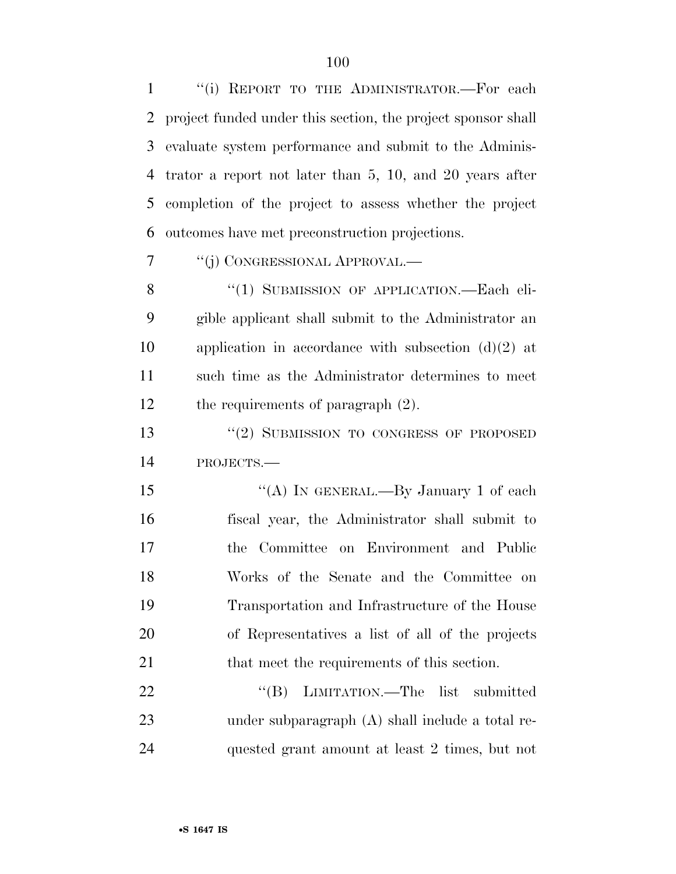''(i) REPORT TO THE ADMINISTRATOR.—For each project funded under this section, the project sponsor shall evaluate system performance and submit to the Adminis- trator a report not later than 5, 10, and 20 years after completion of the project to assess whether the project outcomes have met preconstruction projections.

''(j) CONGRESSIONAL APPROVAL.—

8 "(1) SUBMISSION OF APPLICATION.—Each eli- gible applicant shall submit to the Administrator an application in accordance with subsection (d)(2) at such time as the Administrator determines to meet 12 the requirements of paragraph  $(2)$ .

13 "(2) SUBMISSION TO CONGRESS OF PROPOSED PROJECTS.—

15 "(A) In GENERAL.—By January 1 of each fiscal year, the Administrator shall submit to the Committee on Environment and Public Works of the Senate and the Committee on Transportation and Infrastructure of the House of Representatives a list of all of the projects 21 that meet the requirements of this section.

22 "'(B) LIMITATION.—The list submitted under subparagraph (A) shall include a total re-quested grant amount at least 2 times, but not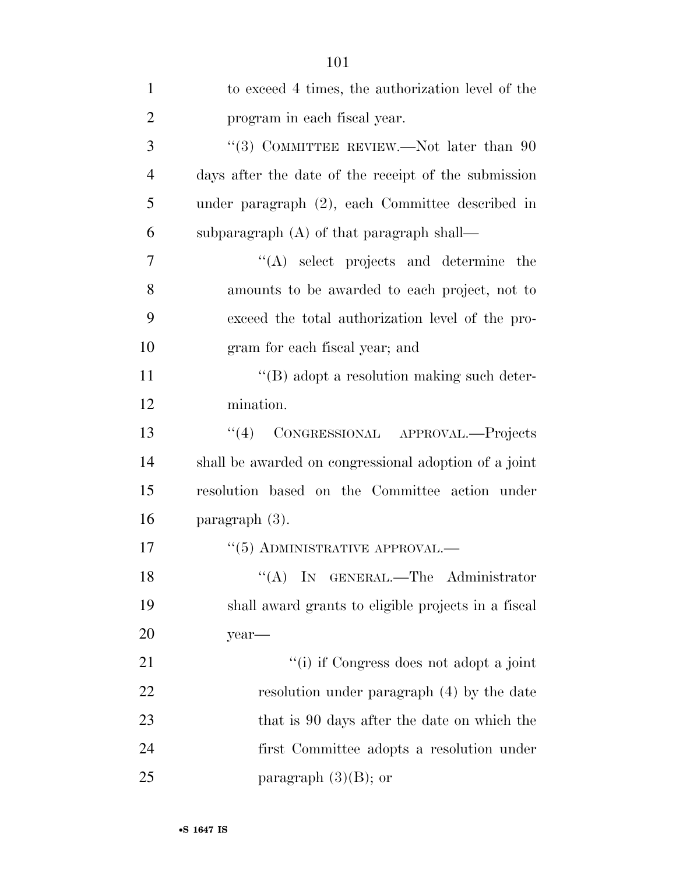| $\mathbf{1}$   | to exceed 4 times, the authorization level of the     |
|----------------|-------------------------------------------------------|
| $\overline{2}$ | program in each fiscal year.                          |
| 3              | "(3) COMMITTEE REVIEW.—Not later than $90$            |
| $\overline{4}$ | days after the date of the receipt of the submission  |
| 5              | under paragraph (2), each Committee described in      |
| 6              | subparagraph $(A)$ of that paragraph shall—           |
| 7              | $\lq\lq$ select projects and determine the            |
| 8              | amounts to be awarded to each project, not to         |
| 9              | exceed the total authorization level of the pro-      |
| 10             | gram for each fiscal year; and                        |
| 11             | "(B) adopt a resolution making such deter-            |
| 12             | mination.                                             |
| 13             | CONGRESSIONAL APPROVAL.-Projects<br>``(4)             |
| 14             | shall be awarded on congressional adoption of a joint |
| 15             | resolution based on the Committee action under        |
| 16             | paragraph $(3)$ .                                     |
| 17             | $\cdot$ (5) ADMINISTRATIVE APPROVAL.—                 |
| 18             | "(A) IN GENERAL.—The Administrator                    |
| 19             | shall award grants to eligible projects in a fiscal   |
| 20             | year-                                                 |
| 21             | "(i) if Congress does not adopt a joint               |
| 22             | resolution under paragraph (4) by the date            |
| 23             | that is 90 days after the date on which the           |
| 24             | first Committee adopts a resolution under             |
| 25             | paragraph $(3)(B)$ ; or                               |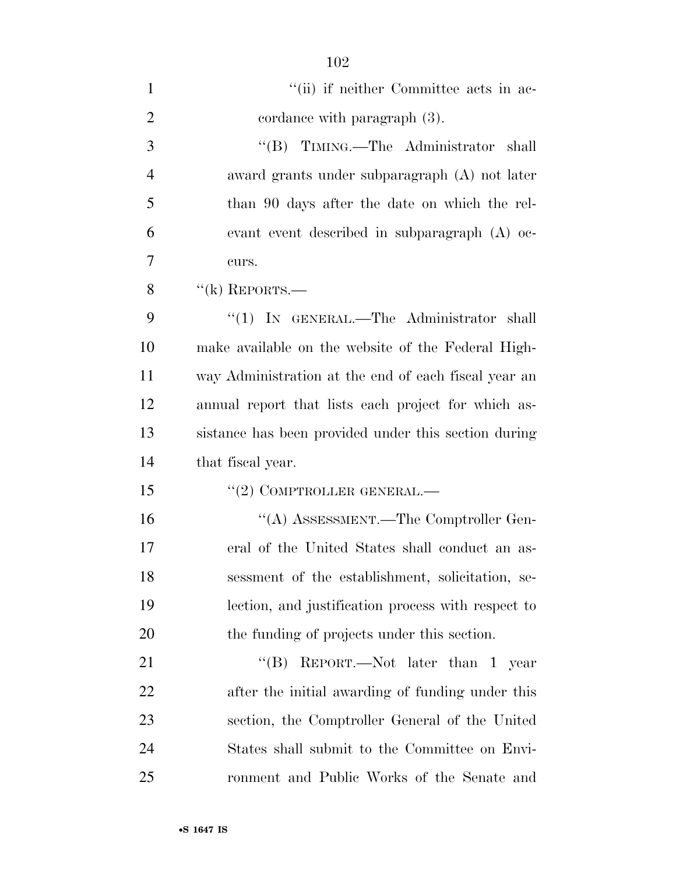| $\mathbf{1}$   | "(ii) if neither Committee acts in ac-               |
|----------------|------------------------------------------------------|
| $\overline{2}$ | cordance with paragraph (3).                         |
| 3              | "(B) TIMING.—The Administrator<br>shall              |
| 4              | award grants under subparagraph (A) not later        |
| 5              | than 90 days after the date on which the rel-        |
| 6              | evant event described in subparagraph (A) oc-        |
| 7              | curs.                                                |
| 8              | $f'(k)$ REPORTS.—                                    |
| 9              | " $(1)$ IN GENERAL.—The Administrator shall          |
| 10             | make available on the website of the Federal High-   |
| 11             | way Administration at the end of each fiscal year an |
| 12             | annual report that lists each project for which as-  |
| 13             | sistance has been provided under this section during |
| 14             | that fiscal year.                                    |
| 15             | $(2)$ COMPTROLLER GENERAL.—                          |
| 16             | "(A) ASSESSMENT.—The Comptroller Gen-                |
| 17             | eral of the United States shall conduct an as-       |
| 18             | sessment of the establishment, solicitation, se-     |
| 19             | lection, and justification process with respect to   |
| 20             | the funding of projects under this section.          |
| 21             | REPORT.—Not later than 1 year<br>$\lq\lq (B)$        |
| 22             | after the initial awarding of funding under this     |
| 23             | section, the Comptroller General of the United       |
| 24             | States shall submit to the Committee on Envi-        |
| 25             | ronment and Public Works of the Senate and           |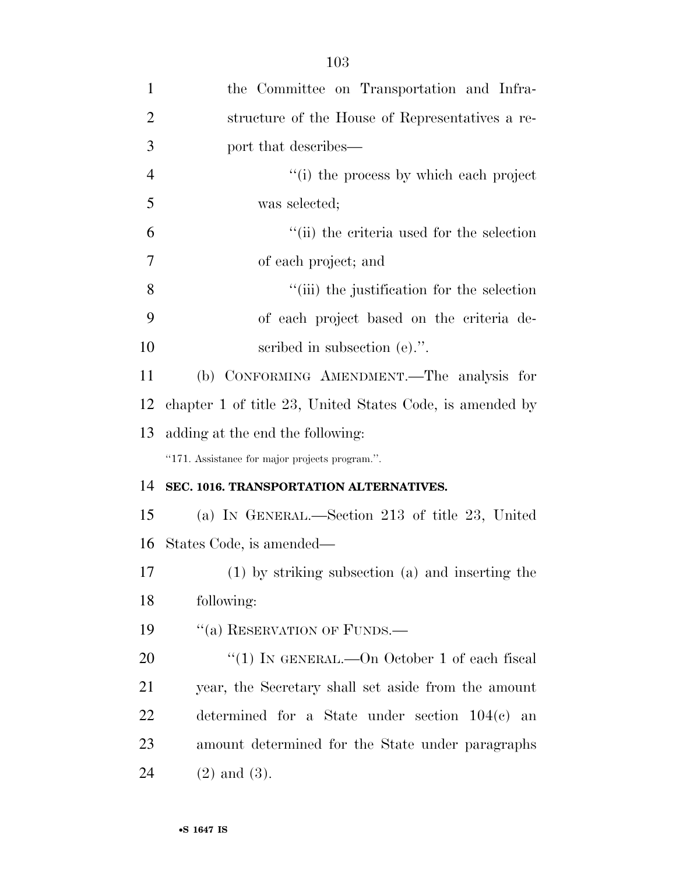| $\mathbf{1}$   | the Committee on Transportation and Infra-               |
|----------------|----------------------------------------------------------|
| $\overline{2}$ | structure of the House of Representatives a re-          |
| 3              | port that describes—                                     |
| $\overline{4}$ | "(i) the process by which each project                   |
| 5              | was selected;                                            |
| 6              | "(ii) the criteria used for the selection                |
| $\overline{7}$ | of each project; and                                     |
| 8              | "(iii) the justification for the selection               |
| 9              | of each project based on the criteria de-                |
| 10             | scribed in subsection (e).".                             |
| 11             | (b) CONFORMING AMENDMENT.—The analysis for               |
| 12             | chapter 1 of title 23, United States Code, is amended by |
| 13             | adding at the end the following:                         |
|                | "171. Assistance for major projects program.".           |
| 14             | SEC. 1016. TRANSPORTATION ALTERNATIVES.                  |
| 15             | (a) IN GENERAL.—Section 213 of title 23, United          |
| 16             | States Code, is amended—                                 |
| 17             | (1) by striking subsection (a) and inserting the         |
| 18             | following:                                               |
| 19             | "(a) RESERVATION OF FUNDS.—                              |
| <b>20</b>      | "(1) IN GENERAL.—On October 1 of each fiscal             |
| 21             | year, the Secretary shall set aside from the amount      |
| 22             | determined for a State under section $104(c)$ an         |
| 23             | amount determined for the State under paragraphs         |
| 24             | $(2)$ and $(3)$ .                                        |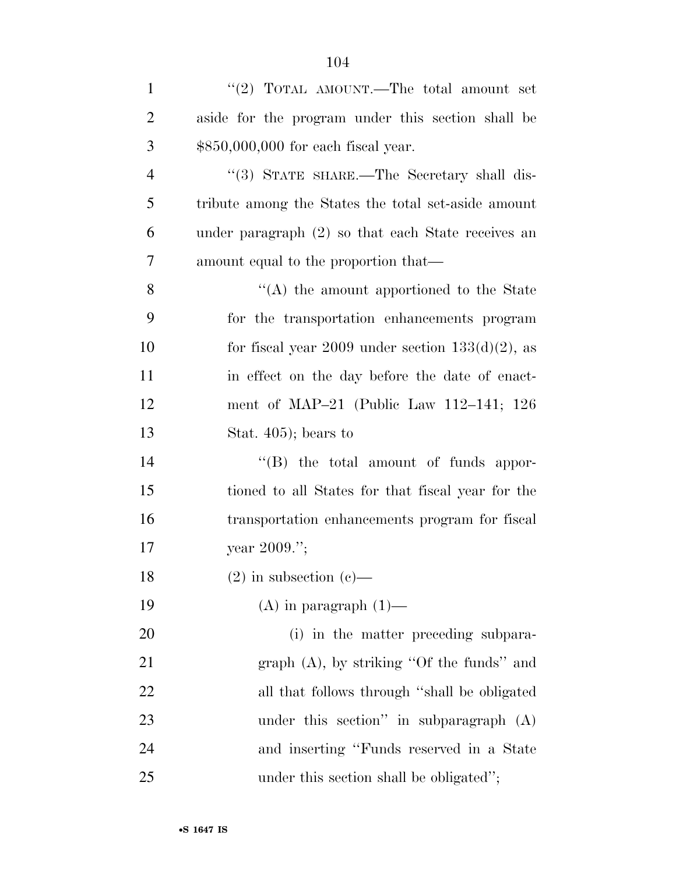| $\mathbf{1}$   | "(2) TOTAL AMOUNT.—The total amount set              |
|----------------|------------------------------------------------------|
| $\overline{2}$ | aside for the program under this section shall be    |
| 3              | $$850,000,000$ for each fiscal year.                 |
| $\overline{4}$ | "(3) STATE SHARE.—The Secretary shall dis-           |
| 5              | tribute among the States the total set-aside amount  |
| 6              | under paragraph $(2)$ so that each State receives an |
| 7              | amount equal to the proportion that—                 |
| 8              | $\cdot$ (A) the amount apportioned to the State      |
| 9              | for the transportation enhancements program          |
| 10             | for fiscal year 2009 under section $133(d)(2)$ , as  |
| 11             | in effect on the day before the date of enact-       |
| 12             | ment of MAP $-21$ (Public Law 112 $-141$ ; 126       |
| 13             | Stat. $405$ ; bears to                               |
| 14             | "(B) the total amount of funds appor-                |
| 15             | tioned to all States for that fiscal year for the    |
| 16             | transportation enhancements program for fiscal       |
| 17             | year $2009."$ ;                                      |
| 18             | $(2)$ in subsection $(e)$ —                          |
| 19             | $(A)$ in paragraph $(1)$ —                           |
| <b>20</b>      | (i) in the matter preceding subpara-                 |
| 21             | graph $(A)$ , by striking "Of the funds" and         |
| 22             | all that follows through "shall be obligated         |
| 23             | under this section" in subparagraph $(A)$            |
| 24             | and inserting "Funds reserved in a State             |
| 25             | under this section shall be obligated";              |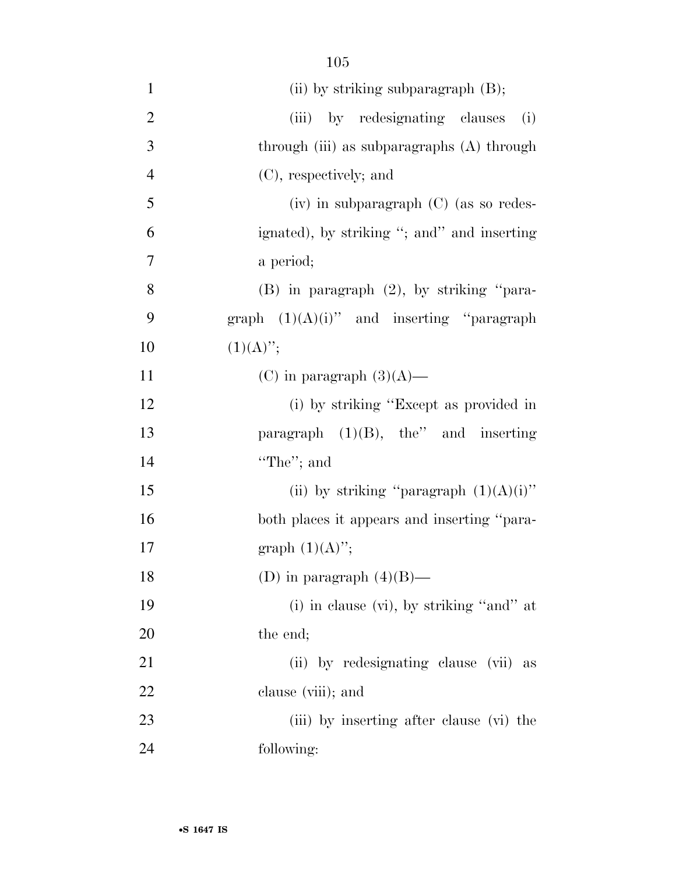| $\mathbf{1}$   | (ii) by striking subparagraph $(B)$ ;         |
|----------------|-----------------------------------------------|
| $\overline{2}$ | by redesignating clauses<br>(iii)<br>(i)      |
| 3              | through (iii) as subparagraphs (A) through    |
| $\overline{4}$ | (C), respectively; and                        |
| 5              | (iv) in subparagraph (C) (as so redes-        |
| 6              | ignated), by striking "; and" and inserting   |
| 7              | a period;                                     |
| 8              | $(B)$ in paragraph $(2)$ , by striking "para- |
| 9              | graph $(1)(A)(i)$ " and inserting "paragraph" |
| 10             | $(1)(A)$ ";                                   |
| 11             | (C) in paragraph $(3)(A)$ —                   |
| 12             | (i) by striking "Except as provided in        |
| 13             | paragraph $(1)(B)$ , the" and inserting       |
| 14             | "The"; and                                    |
| 15             | (ii) by striking "paragraph $(1)(A)(i)$ "     |
| 16             | both places it appears and inserting "para-   |
| $17\,$         | graph $(1)(A)$ ";                             |
| 18             | (D) in paragraph $(4)(B)$ —                   |
| 19             | (i) in clause (vi), by striking "and" at      |
| 20             | the end;                                      |
| 21             | (ii) by redesignating clause (vii) as         |
| 22             | clause (viii); and                            |
| 23             | (iii) by inserting after clause (vi) the      |
| 24             | following:                                    |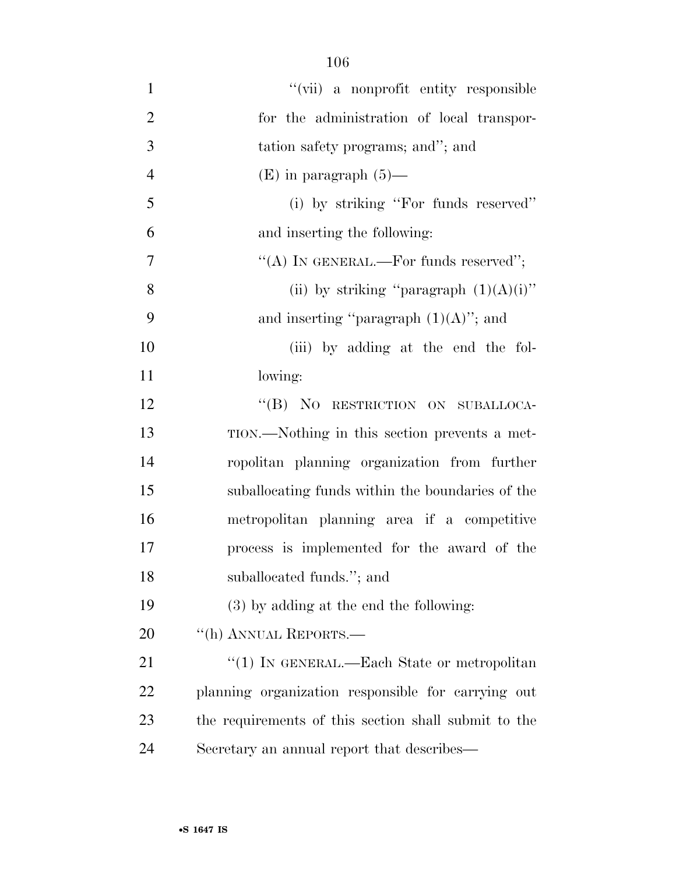| $\mathbf{1}$   | "(vii) a nonprofit entity responsible                |
|----------------|------------------------------------------------------|
| $\overline{2}$ | for the administration of local transpor-            |
| 3              | tation safety programs; and"; and                    |
| $\overline{4}$ | $(E)$ in paragraph $(5)$ —                           |
| 5              | (i) by striking "For funds reserved"                 |
| 6              | and inserting the following:                         |
| $\overline{7}$ | "(A) IN GENERAL.—For funds reserved";                |
| 8              | (ii) by striking "paragraph $(1)(A)(i)$ "            |
| 9              | and inserting "paragraph $(1)(A)$ "; and             |
| 10             | (iii) by adding at the end the fol-                  |
| 11             | lowing:                                              |
| 12             | "(B) NO RESTRICTION ON SUBALLOCA-                    |
| 13             | TION.—Nothing in this section prevents a met-        |
| 14             | ropolitan planning organization from further         |
| 15             | suballocating funds within the boundaries of the     |
| 16             | metropolitan planning area if a competitive          |
| 17             | process is implemented for the award of the          |
| 18             | suballocated funds."; and                            |
| 19             | $(3)$ by adding at the end the following:            |
| 20             | "(h) ANNUAL REPORTS.—                                |
| 21             | "(1) IN GENERAL.—Each State or metropolitan          |
| 22             | planning organization responsible for carrying out   |
| 23             | the requirements of this section shall submit to the |
| 24             | Secretary an annual report that describes—           |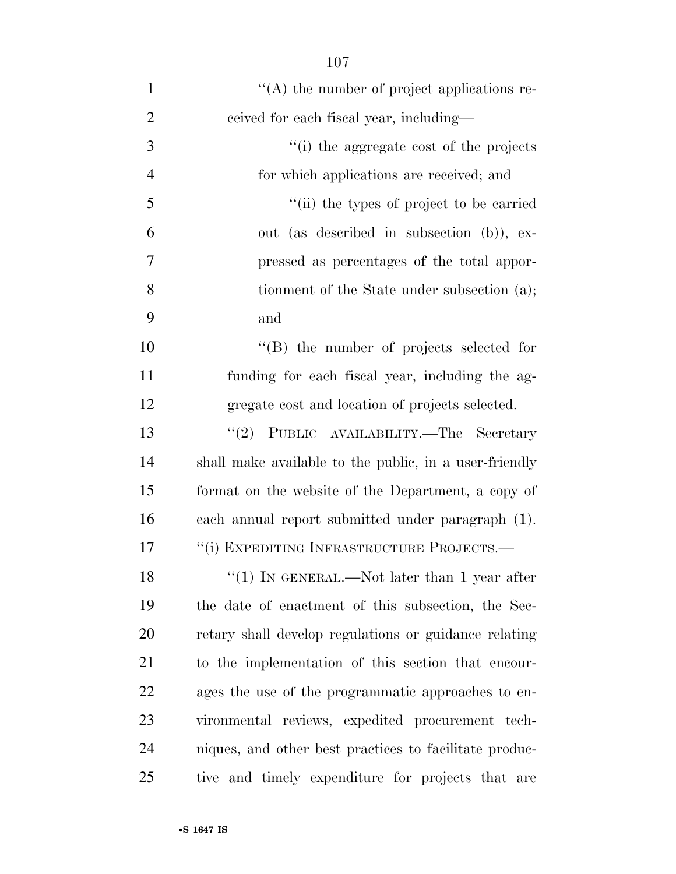| $\mathbf{1}$   | $\lq\lq$ the number of project applications re-        |
|----------------|--------------------------------------------------------|
| $\overline{2}$ | ceived for each fiscal year, including—                |
| 3              | "(i) the aggregate cost of the projects                |
| $\overline{4}$ | for which applications are received; and               |
| 5              | "(ii) the types of project to be carried               |
| 6              | out (as described in subsection (b)), ex-              |
| 7              | pressed as percentages of the total appor-             |
| 8              | tionment of the State under subsection (a);            |
| 9              | and                                                    |
| 10             | "(B) the number of projects selected for               |
| 11             | funding for each fiscal year, including the ag-        |
| 12             | gregate cost and location of projects selected.        |
| 13             | PUBLIC AVAILABILITY.-The Secretary<br>(2)              |
| 14             | shall make available to the public, in a user-friendly |
| 15             | format on the website of the Department, a copy of     |
| 16             | each annual report submitted under paragraph (1).      |
| 17             | "(i) EXPEDITING INFRASTRUCTURE PROJECTS.-              |
| 18             | "(1) IN GENERAL.—Not later than 1 year after           |
| 19             | the date of enactment of this subsection, the Sec-     |
| <b>20</b>      | retary shall develop regulations or guidance relating  |
| 21             | to the implementation of this section that encour-     |
| 22             | ages the use of the programmatic approaches to en-     |
| 23             | vironmental reviews, expedited procurement tech-       |
| 24             | niques, and other best practices to facilitate produc- |
| 25             | tive and timely expenditure for projects that are      |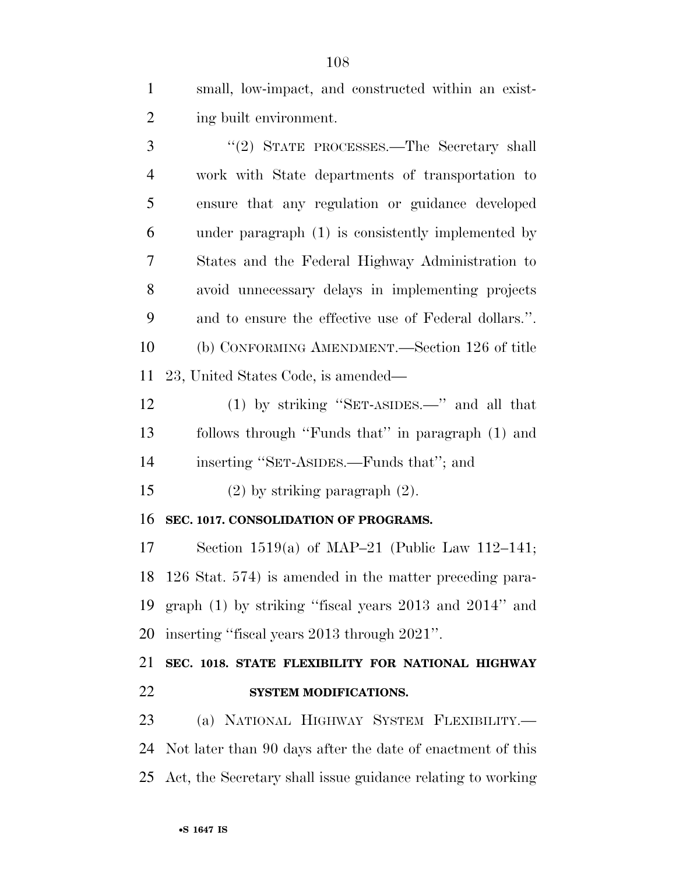small, low-impact, and constructed within an exist-ing built environment.

3 "(2) STATE PROCESSES.—The Secretary shall work with State departments of transportation to ensure that any regulation or guidance developed under paragraph (1) is consistently implemented by States and the Federal Highway Administration to avoid unnecessary delays in implementing projects and to ensure the effective use of Federal dollars.''. (b) CONFORMING AMENDMENT.—Section 126 of title 23, United States Code, is amended—

 (1) by striking ''SET-ASIDES.—'' and all that follows through ''Funds that'' in paragraph (1) and inserting ''SET-ASIDES.—Funds that''; and

(2) by striking paragraph (2).

## **SEC. 1017. CONSOLIDATION OF PROGRAMS.**

 Section 1519(a) of MAP–21 (Public Law 112–141; 126 Stat. 574) is amended in the matter preceding para- graph (1) by striking ''fiscal years 2013 and 2014'' and inserting ''fiscal years 2013 through 2021''.

## **SEC. 1018. STATE FLEXIBILITY FOR NATIONAL HIGHWAY SYSTEM MODIFICATIONS.**

 (a) NATIONAL HIGHWAY SYSTEM FLEXIBILITY.— Not later than 90 days after the date of enactment of this Act, the Secretary shall issue guidance relating to working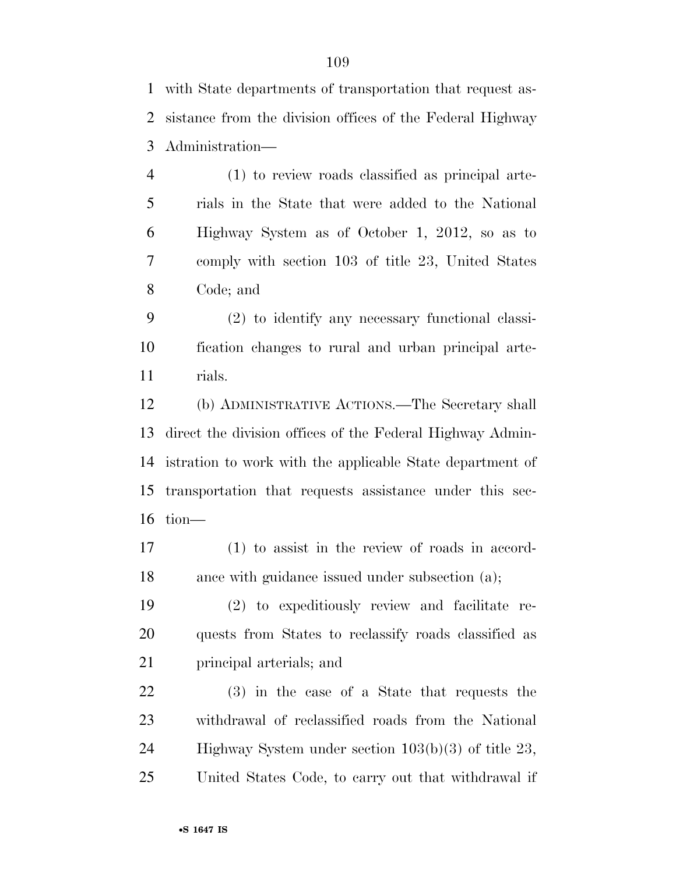with State departments of transportation that request as- sistance from the division offices of the Federal Highway Administration—

 (1) to review roads classified as principal arte- rials in the State that were added to the National Highway System as of October 1, 2012, so as to comply with section 103 of title 23, United States Code; and

 (2) to identify any necessary functional classi- fication changes to rural and urban principal arte-rials.

 (b) ADMINISTRATIVE ACTIONS.—The Secretary shall direct the division offices of the Federal Highway Admin- istration to work with the applicable State department of transportation that requests assistance under this sec-tion—

 (1) to assist in the review of roads in accord-18 ance with guidance issued under subsection (a);

 (2) to expeditiously review and facilitate re- quests from States to reclassify roads classified as principal arterials; and

 (3) in the case of a State that requests the withdrawal of reclassified roads from the National Highway System under section 103(b)(3) of title 23, United States Code, to carry out that withdrawal if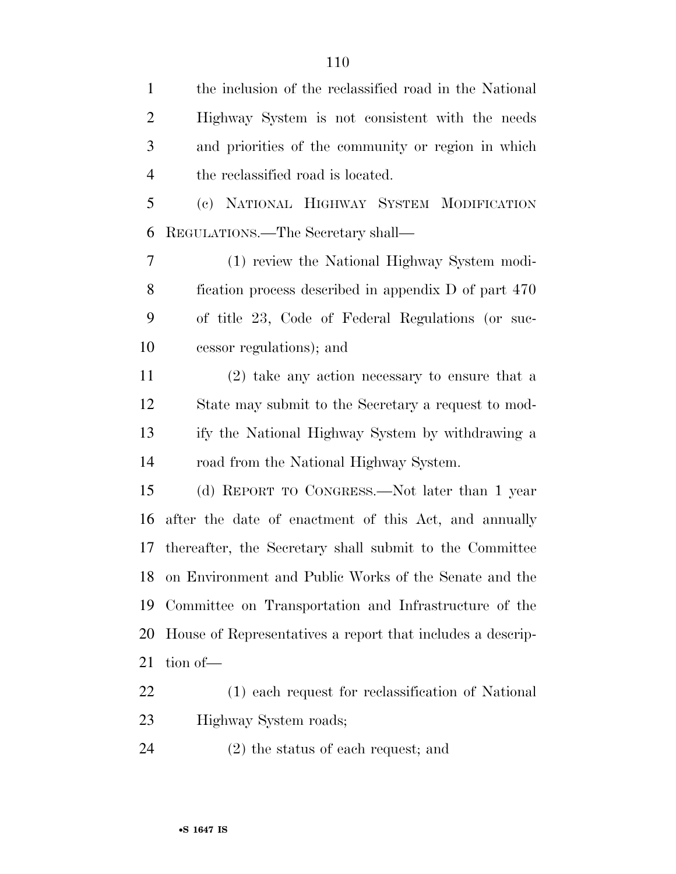the inclusion of the reclassified road in the National Highway System is not consistent with the needs and priorities of the community or region in which the reclassified road is located. (c) NATIONAL HIGHWAY SYSTEM MODIFICATION REGULATIONS.—The Secretary shall— (1) review the National Highway System modi- fication process described in appendix D of part 470 of title 23, Code of Federal Regulations (or suc- cessor regulations); and (2) take any action necessary to ensure that a State may submit to the Secretary a request to mod- ify the National Highway System by withdrawing a road from the National Highway System. (d) REPORT TO CONGRESS.—Not later than 1 year after the date of enactment of this Act, and annually thereafter, the Secretary shall submit to the Committee on Environment and Public Works of the Senate and the Committee on Transportation and Infrastructure of the House of Representatives a report that includes a descrip-tion of—

 (1) each request for reclassification of National Highway System roads;

(2) the status of each request; and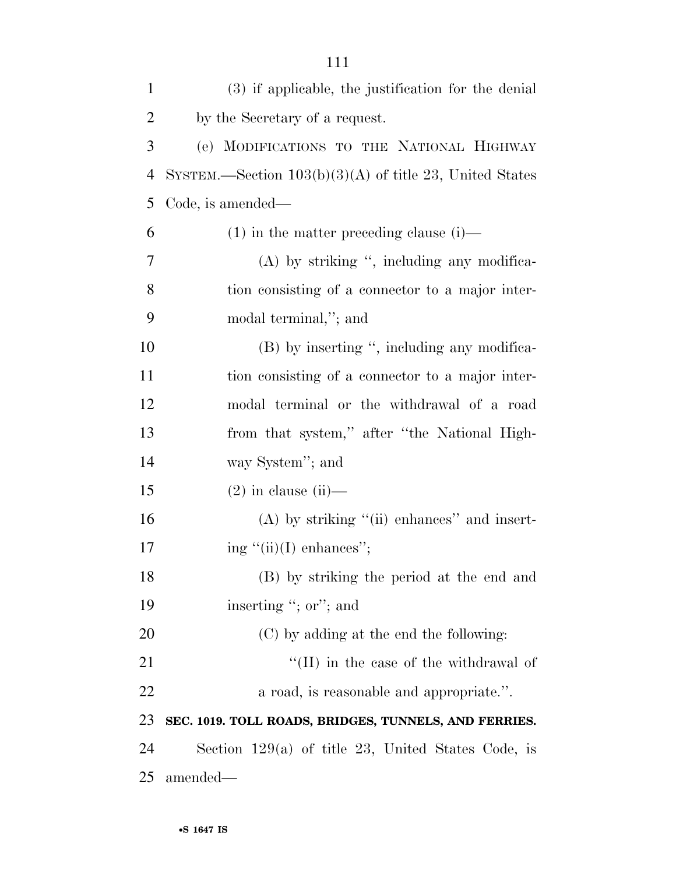| $\mathbf{1}$   | (3) if applicable, the justification for the denial       |
|----------------|-----------------------------------------------------------|
| $\overline{2}$ | by the Secretary of a request.                            |
| 3              | (e) MODIFICATIONS TO THE NATIONAL HIGHWAY                 |
| $\overline{4}$ | SYSTEM.—Section $103(b)(3)(A)$ of title 23, United States |
| 5              | Code, is amended—                                         |
| 6              | $(1)$ in the matter preceding clause $(i)$ —              |
| 7              | $(A)$ by striking ", including any modifica-              |
| 8              | tion consisting of a connector to a major inter-          |
| 9              | modal terminal,"; and                                     |
| 10             | (B) by inserting ", including any modifica-               |
| 11             | tion consisting of a connector to a major inter-          |
| 12             | modal terminal or the withdrawal of a road                |
| 13             | from that system," after "the National High-              |
| 14             | way System"; and                                          |
| 15             | $(2)$ in clause (ii)—                                     |
| 16             | $(A)$ by striking " $(ii)$ enhances" and insert-          |
| 17             | ing $\lq\lq$ (ii)(I) enhances";                           |
| 18             | (B) by striking the period at the end and                 |
| 19             | inserting "; or"; and                                     |
| 20             | (C) by adding at the end the following:                   |
| 21             | $\lq$ (II) in the case of the withdrawal of               |
| 22             | a road, is reasonable and appropriate.".                  |
| 23             | SEC. 1019. TOLL ROADS, BRIDGES, TUNNELS, AND FERRIES.     |
| 24             | Section $129(a)$ of title 23, United States Code, is      |
| 25             | amended—                                                  |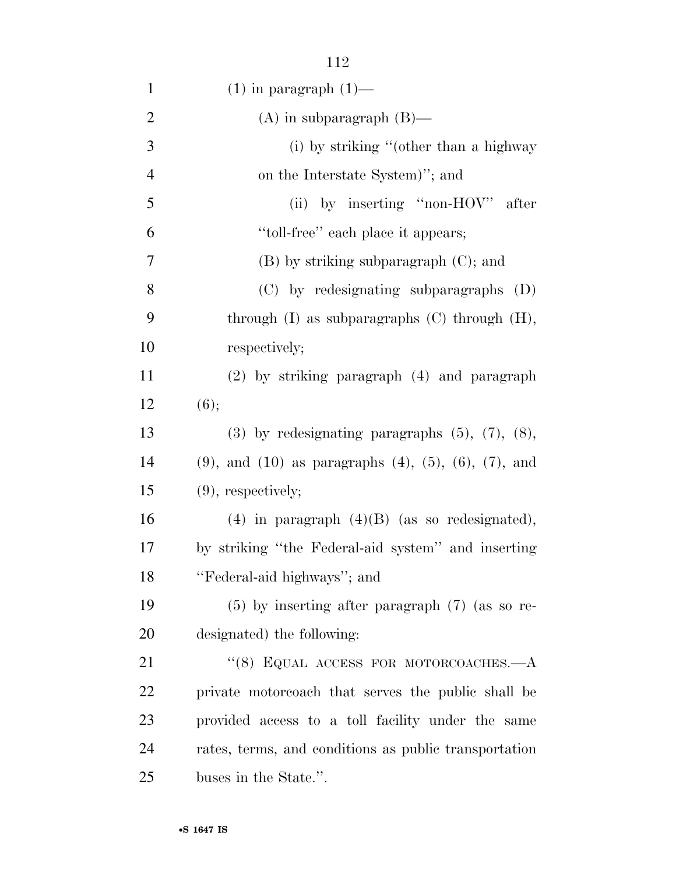| $\mathbf{1}$   | $(1)$ in paragraph $(1)$ —                                           |
|----------------|----------------------------------------------------------------------|
| $\overline{2}$ | $(A)$ in subparagraph $(B)$ —                                        |
| 3              | (i) by striking "(other than a highway                               |
| $\overline{4}$ | on the Interstate System)"; and                                      |
| 5              | (ii) by inserting "non-HOV" after                                    |
| 6              | "toll-free" each place it appears;                                   |
| 7              | $(B)$ by striking subparagraph $(C)$ ; and                           |
| 8              | (C) by redesignating subparagraphs (D)                               |
| 9              | through $(I)$ as subparagraphs $(C)$ through $(H)$ ,                 |
| 10             | respectively;                                                        |
| 11             | (2) by striking paragraph (4) and paragraph                          |
| 12             | (6);                                                                 |
| 13             | $(3)$ by redesignating paragraphs $(5)$ , $(7)$ , $(8)$ ,            |
| 14             | $(9)$ , and $(10)$ as paragraphs $(4)$ , $(5)$ , $(6)$ , $(7)$ , and |
| 15             | $(9)$ , respectively;                                                |
| 16             | $(4)$ in paragraph $(4)(B)$ (as so redesignated),                    |
| 17             | by striking "the Federal-aid system" and inserting                   |
| 18             | "Federal-aid highways"; and                                          |
| 19             | $(5)$ by inserting after paragraph $(7)$ (as so re-                  |
| 20             | designated) the following:                                           |
| 21             | "(8) EQUAL ACCESS FOR MOTORCOACHES. $-A$                             |
| 22             | private motorcoach that serves the public shall be                   |
| 23             | provided access to a toll facility under the same                    |
| 24             | rates, terms, and conditions as public transportation                |
| 25             | buses in the State.".                                                |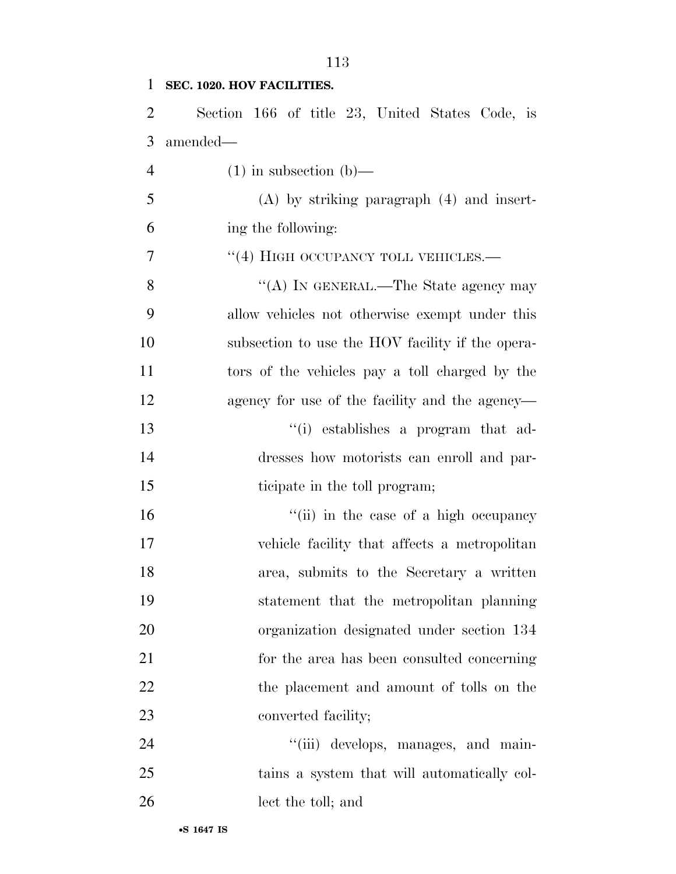#### **SEC. 1020. HOV FACILITIES.**

 Section 166 of title 23, United States Code, is amended—

4 (1) in subsection (b)— (A) by striking paragraph (4) and insert- ing the following: 7 "(4) HIGH OCCUPANCY TOLL VEHICLES.— 8 ''(A) IN GENERAL.—The State agency may allow vehicles not otherwise exempt under this subsection to use the HOV facility if the opera- tors of the vehicles pay a toll charged by the agency for use of the facility and the agency— ''(i) establishes a program that ad- dresses how motorists can enroll and par- ticipate in the toll program; 16 ''(ii) in the case of a high occupancy vehicle facility that affects a metropolitan area, submits to the Secretary a written statement that the metropolitan planning organization designated under section 134 for the area has been consulted concerning 22 the placement and amount of tolls on the 23 converted facility;  $\frac{1}{1}$  (iii) develops, manages, and main-

 tains a system that will automatically col-lect the toll; and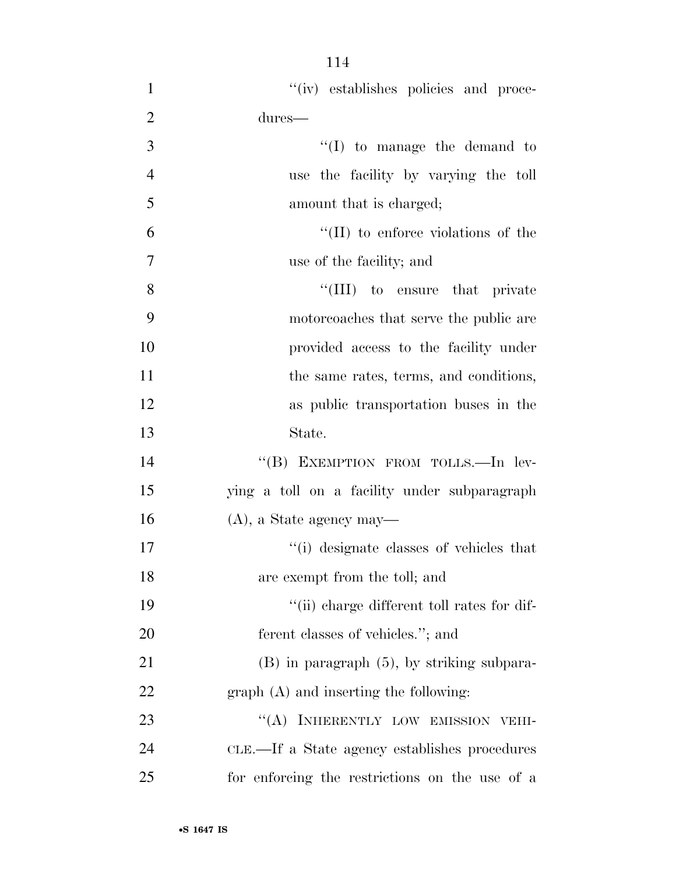- 1  $''(iv)$  establishes policies and proce-2 dures— 3  $\frac{1}{2}$  to manage the demand to 4 use the facility by varying the toll 5 amount that is charged;  $^{\prime\prime}$ (II) to enforce violations of the 7 use of the facility; and 8 ''(III) to ensure that private 9 motorcoaches that serve the public are 10 provided access to the facility under 11 the same rates, terms, and conditions, 12 as public transportation buses in the 13 State. 14 "(B) EXEMPTION FROM TOLLS.—In lev-15 ying a toll on a facility under subparagraph 16 (A), a State agency may— 17  $\frac{1}{2}$  (i) designate classes of vehicles that 18 are exempt from the toll; and 19  $\frac{1}{2}$  ''(ii) charge different toll rates for dif-20 ferent classes of vehicles."; and 21 (B) in paragraph (5), by striking subpara-22 graph (A) and inserting the following: 23 "(A) INHERENTLY LOW EMISSION VEHI-
- 24 CLE.—If a State agency establishes procedures 25 for enforcing the restrictions on the use of a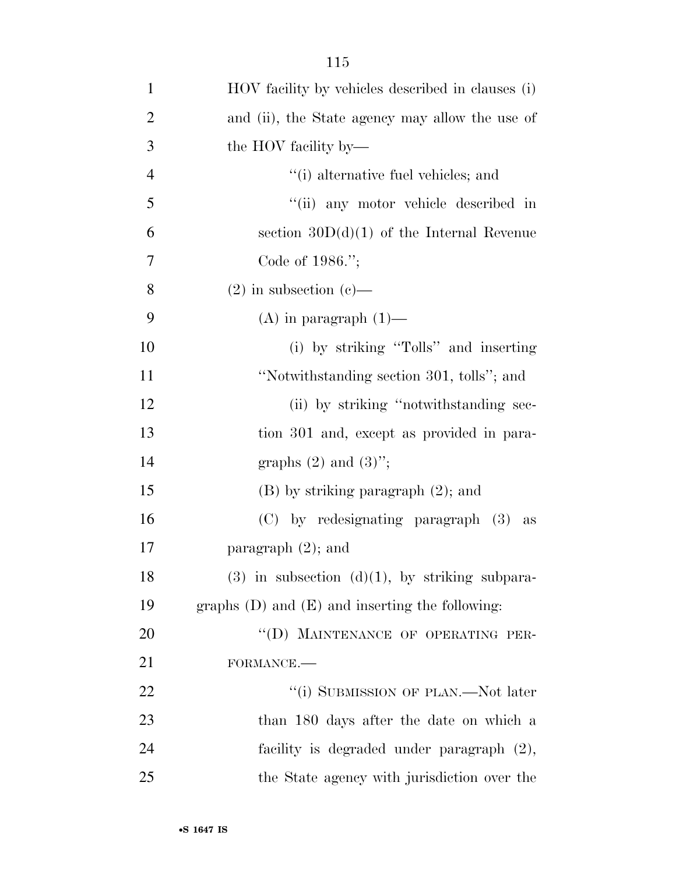| $\mathbf{1}$   | HOV facility by vehicles described in clauses (i)   |
|----------------|-----------------------------------------------------|
| $\overline{2}$ | and (ii), the State agency may allow the use of     |
| 3              | the HOV facility by—                                |
| $\overline{4}$ | "(i) alternative fuel vehicles; and                 |
| 5              | "(ii) any motor vehicle described in                |
| 6              | section $30D(d)(1)$ of the Internal Revenue         |
| 7              | Code of $1986$ .";                                  |
| 8              | $(2)$ in subsection $(e)$ —                         |
| 9              | $(A)$ in paragraph $(1)$ —                          |
| 10             | (i) by striking "Tolls" and inserting               |
| 11             | "Notwithstanding section 301, tolls"; and           |
| 12             | (ii) by striking "notwithstanding sec-              |
| 13             | tion 301 and, except as provided in para-           |
| 14             | graphs $(2)$ and $(3)$ ";                           |
| 15             | $(B)$ by striking paragraph $(2)$ ; and             |
| 16             | (C) by redesignating paragraph (3) as               |
| 17             | paragraph $(2)$ ; and                               |
| 18             | $(3)$ in subsection $(d)(1)$ , by striking subpara- |
| 19             | graphs $(D)$ and $(E)$ and inserting the following: |
| 20             | "(D) MAINTENANCE OF OPERATING PER-                  |
| 21             | FORMANCE.-                                          |
| 22             | "(i) SUBMISSION OF PLAN.—Not later                  |
| 23             | than 180 days after the date on which a             |
| 24             | facility is degraded under paragraph (2),           |
| 25             | the State agency with jurisdiction over the         |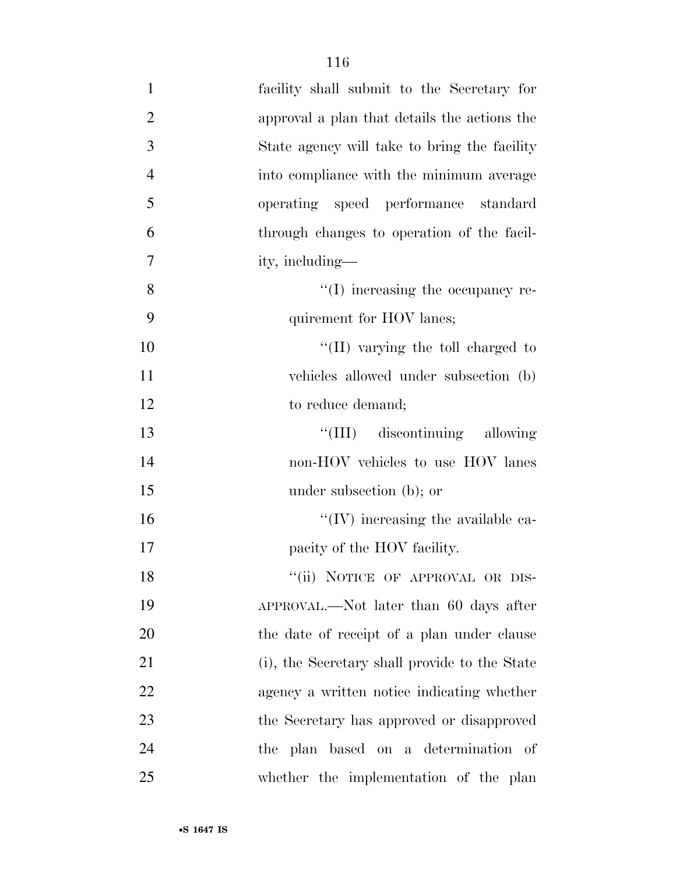| $\mathbf{1}$   | facility shall submit to the Secretary for    |
|----------------|-----------------------------------------------|
| $\overline{2}$ | approval a plan that details the actions the  |
| 3              | State agency will take to bring the facility  |
| $\overline{4}$ | into compliance with the minimum average      |
| 5              | operating speed performance standard          |
| 6              | through changes to operation of the facil-    |
| $\tau$         | ity, including—                               |
| 8              | $\lq\lq$ (I) increasing the occupancy re-     |
| 9              | quirement for HOV lanes;                      |
| 10             | "(II) varying the toll charged to             |
| 11             | vehicles allowed under subsection (b)         |
| 12             | to reduce demand;                             |
| 13             | "(III) discontinuing allowing                 |
| 14             | non-HOV vehicles to use HOV lanes             |
| 15             | under subsection (b); or                      |
| 16             | $``(IV)$ increasing the available ca-         |
| 17             | pacity of the HOV facility.                   |
| 18             | "(ii) NOTICE OF APPROVAL OR DIS-              |
| 19             | APPROVAL.—Not later than 60 days after        |
| 20             | the date of receipt of a plan under clause    |
| 21             | (i), the Secretary shall provide to the State |
| 22             | agency a written notice indicating whether    |
| 23             | the Secretary has approved or disapproved     |
| 24             | the plan based on a determination of          |
| 25             | whether the implementation of the plan        |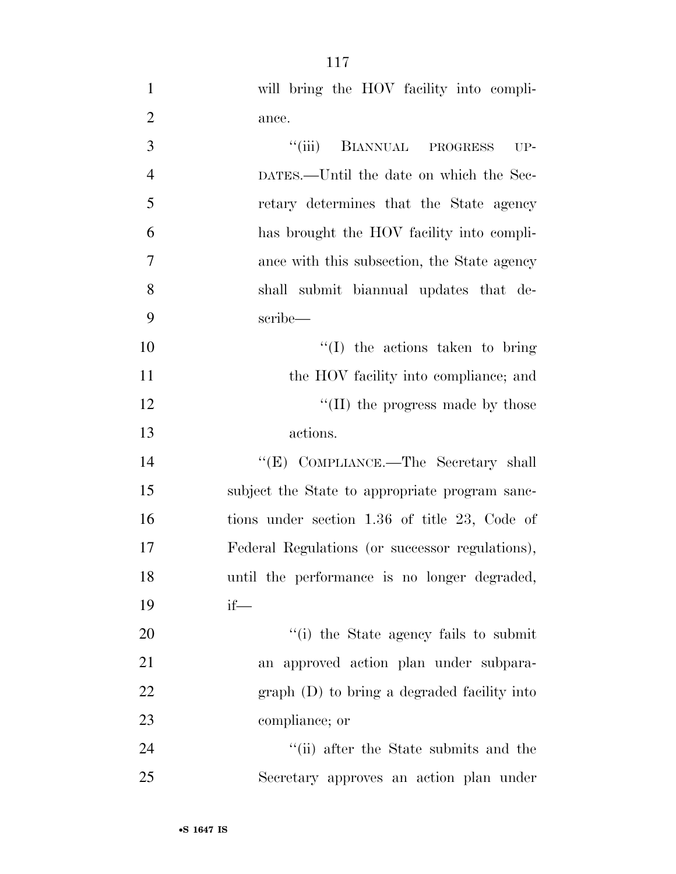| $\mathbf{1}$   | will bring the HOV facility into compli-        |
|----------------|-------------------------------------------------|
| $\overline{2}$ | ance.                                           |
| 3              | ``(iii)<br>BIANNUAL PROGRESS<br>$UP-$           |
| $\overline{4}$ | DATES.—Until the date on which the Sec-         |
| 5              | retary determines that the State agency         |
| 6              | has brought the HOV facility into compli-       |
| $\tau$         | ance with this subsection, the State agency     |
| 8              | shall submit biannual updates that de-          |
| 9              | scribe—                                         |
| 10             | $\lq\lq$ (I) the actions taken to bring         |
| 11             | the HOV facility into compliance; and           |
| 12             | "(II) the progress made by those                |
| 13             | actions.                                        |
| 14             | "(E) COMPLIANCE.—The Secretary shall            |
| 15             | subject the State to appropriate program sanc-  |
| 16             | tions under section 1.36 of title 23, Code of   |
| 17             | Federal Regulations (or successor regulations), |
| 18             | until the performance is no longer degraded,    |
| 19             | $if$ —                                          |
| 20             | "(i) the State agency fails to submit           |
| 21             | an approved action plan under subpara-          |
| 22             | $graph$ (D) to bring a degraded facility into   |
| 23             | compliance; or                                  |
| 24             | "(ii) after the State submits and the           |
| 25             | Secretary approves an action plan under         |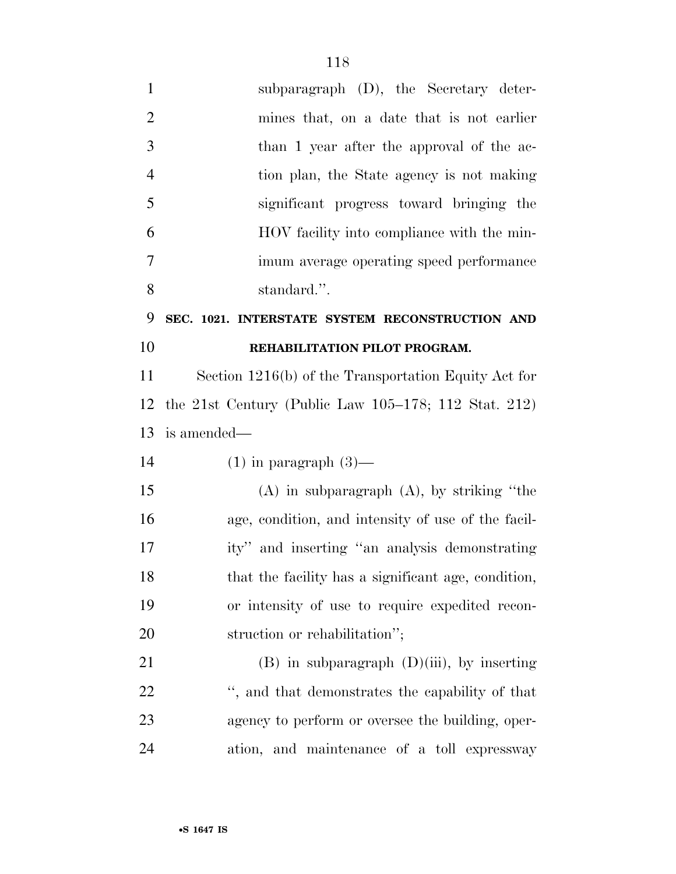| $\mathbf{1}$   | subparagraph $(D)$ , the Secretary deter-               |
|----------------|---------------------------------------------------------|
| $\overline{2}$ | mines that, on a date that is not earlier               |
| 3              | than 1 year after the approval of the ac-               |
| $\overline{4}$ | tion plan, the State agency is not making               |
| 5              | significant progress toward bringing the                |
| 6              | HOV facility into compliance with the min-              |
| 7              | imum average operating speed performance                |
| 8              | standard.".                                             |
| 9              | SEC. 1021. INTERSTATE SYSTEM RECONSTRUCTION AND         |
| 10             | REHABILITATION PILOT PROGRAM.                           |
| 11             | Section 1216(b) of the Transportation Equity Act for    |
| 12             | the 21st Century (Public Law $105-178$ ; 112 Stat. 212) |
| 13             | is amended—                                             |
| 14             | $(1)$ in paragraph $(3)$ —                              |
|                |                                                         |
| 15             | $(A)$ in subparagraph $(A)$ , by striking "the          |
| 16             | age, condition, and intensity of use of the facil-      |
| 17             | ity" and inserting "an analysis demonstrating           |
| 18             | that the facility has a significant age, condition,     |
| 19             | or intensity of use to require expedited recon-         |
| 20             | struction or rehabilitation";                           |
| 21             | $(B)$ in subparagraph $(D)(iii)$ , by inserting         |
| 22             | ", and that demonstrates the capability of that         |
| 23             | agency to perform or oversee the building, oper-        |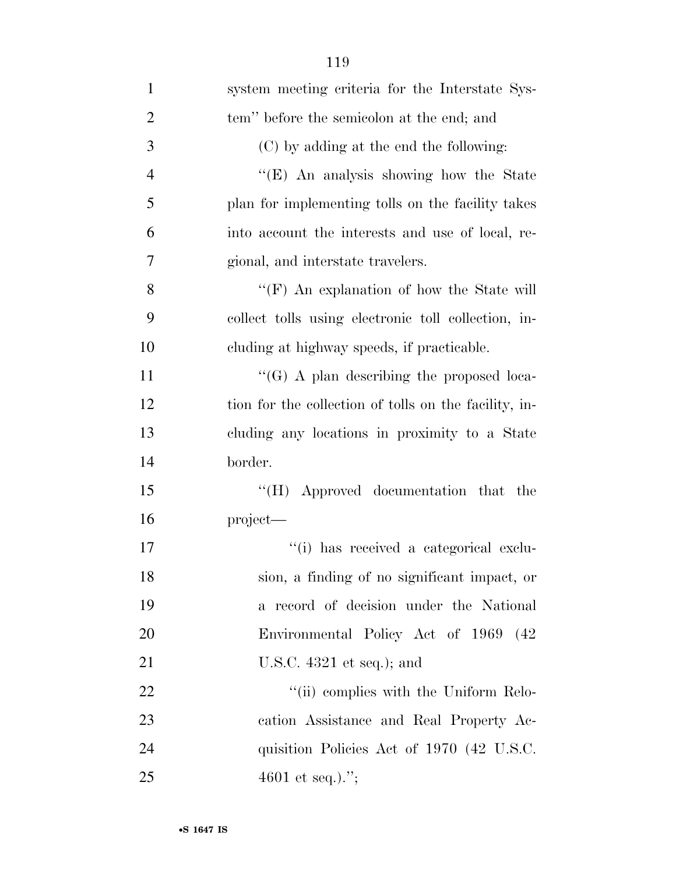| $\mathbf{1}$   | system meeting criteria for the Interstate Sys-       |
|----------------|-------------------------------------------------------|
| $\overline{2}$ | tem" before the semicolon at the end; and             |
| 3              | (C) by adding at the end the following:               |
| $\overline{4}$ | "(E) An analysis showing how the State                |
| 5              | plan for implementing tolls on the facility takes     |
| 6              | into account the interests and use of local, re-      |
| 7              | gional, and interstate travelers.                     |
| 8              | "(F) An explanation of how the State will             |
| 9              | collect tolls using electronic toll collection, in-   |
| 10             | cluding at highway speeds, if practicable.            |
| 11             | $\lq\lq (G)$ A plan describing the proposed loca-     |
| 12             | tion for the collection of tolls on the facility, in- |
| 13             | cluding any locations in proximity to a State         |
| 14             | border.                                               |
| 15             | "(H) Approved documentation that the                  |
| 16             | project—                                              |
| 17             | "(i) has received a categorical exclu-                |
| 18             | sion, a finding of no significant impact, or          |
| 19             | a record of decision under the National               |
| 20             | Environmental Policy Act of 1969 (42                  |
| 21             | U.S.C. $4321$ et seq.); and                           |
| <u>22</u>      | "(ii) complies with the Uniform Relo-                 |
| 23             | cation Assistance and Real Property Ac-               |
| 24             | quisition Policies Act of 1970 (42 U.S.C.             |
| 25             | 4601 et seq.).";                                      |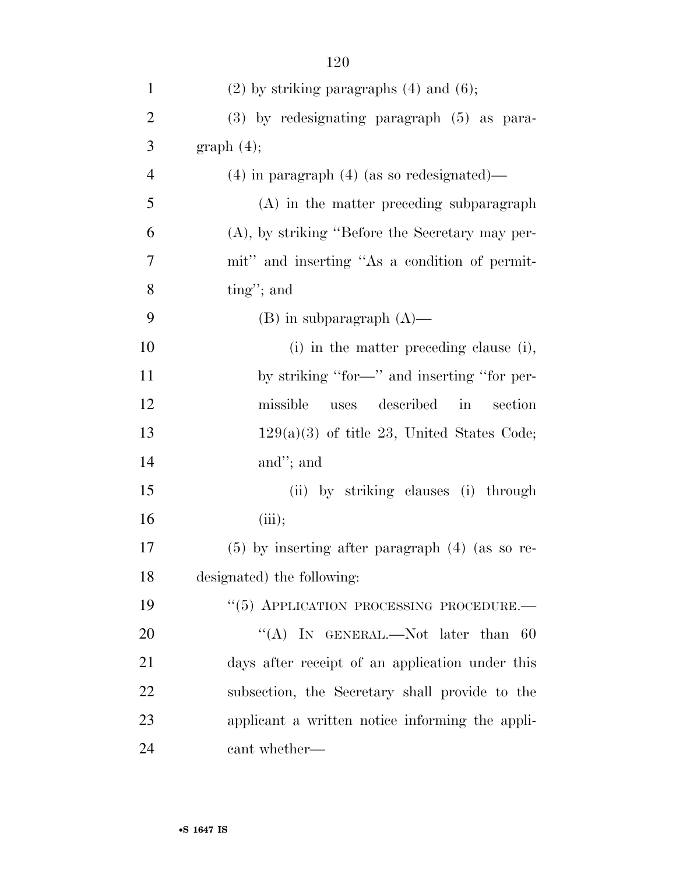| $\mathbf{1}$   | $(2)$ by striking paragraphs $(4)$ and $(6)$ ;                     |
|----------------|--------------------------------------------------------------------|
| $\overline{2}$ | (3) by redesignating paragraph (5) as para-                        |
| 3              | graph(4);                                                          |
| $\overline{4}$ | $(4)$ in paragraph $(4)$ (as so redesignated)—                     |
| 5              | (A) in the matter preceding subparagraph                           |
| 6              | $(A)$ , by striking "Before the Secretary may per-                 |
| 7              | mit" and inserting "As a condition of permit-                      |
| 8              | $\text{ting}''$ ; and                                              |
| 9              | $(B)$ in subparagraph $(A)$ —                                      |
| 10             | (i) in the matter preceding clause (i),                            |
| 11             | by striking "for-" and inserting "for per-                         |
| 12             | missible<br>described<br>$\overline{\text{in}}$<br>section<br>uses |
| 13             | $129(a)(3)$ of title 23, United States Code;                       |
| 14             | and"; and                                                          |
| 15             | (ii) by striking clauses (i) through                               |
| 16             | (iii);                                                             |
| 17             | $(5)$ by inserting after paragraph $(4)$ (as so re-                |
| 18             | designated) the following:                                         |
| 19             | "(5) APPLICATION PROCESSING PROCEDURE.                             |
| 20             | "(A) IN GENERAL.—Not later than<br>-60                             |
| 21             | days after receipt of an application under this                    |
| 22             | subsection, the Secretary shall provide to the                     |
| 23             | applicant a written notice informing the appli-                    |
| 24             | cant whether—                                                      |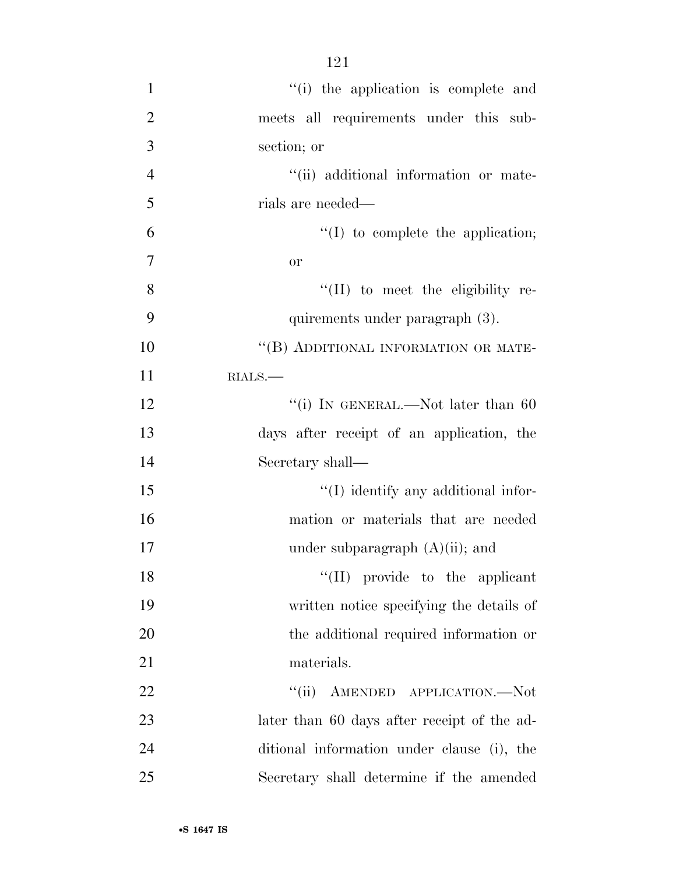| $\mathbf{1}$   | "(i) the application is complete and        |
|----------------|---------------------------------------------|
| $\overline{2}$ | meets all requirements under this sub-      |
| 3              | section; or                                 |
| $\overline{4}$ | "(ii) additional information or mate-       |
| 5              | rials are needed—                           |
| 6              | $\lq\lq$ to complete the application;       |
| $\overline{7}$ | <b>or</b>                                   |
| 8              | $\lq\lq$ (II) to meet the eligibility re-   |
| 9              | quirements under paragraph (3).             |
| 10             | "(B) ADDITIONAL INFORMATION OR MATE-        |
| 11             | $RLALS$ .                                   |
| 12             | "(i) IN GENERAL.—Not later than 60          |
| 13             | days after receipt of an application, the   |
| 14             | Secretary shall—                            |
| 15             | "(I) identify any additional infor-         |
| 16             | mation or materials that are needed         |
| 17             | under subparagraph $(A)(ii)$ ; and          |
| 18             | $\lq\lq$ (II) provide to the applicant      |
| 19             | written notice specifying the details of    |
| 20             | the additional required information or      |
| 21             | materials.                                  |
| 22             | "(ii) AMENDED APPLICATION.—Not              |
| 23             | later than 60 days after receipt of the ad- |
| 24             | ditional information under clause (i), the  |
| 25             | Secretary shall determine if the amended    |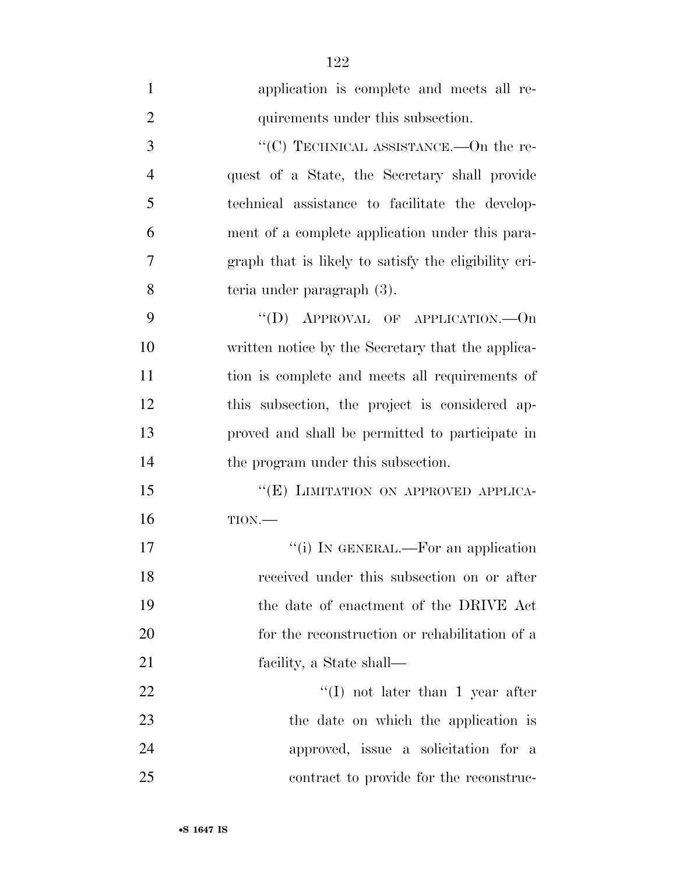| $\mathbf{1}$   | application is complete and meets all re-            |
|----------------|------------------------------------------------------|
| $\overline{2}$ | quirements under this subsection.                    |
| 3              | "(C) TECHNICAL ASSISTANCE.—On the re-                |
| $\overline{4}$ | quest of a State, the Secretary shall provide        |
| 5              | technical assistance to facilitate the develop-      |
| 6              | ment of a complete application under this para-      |
| 7              | graph that is likely to satisfy the eligibility cri- |
| 8              | teria under paragraph (3).                           |
| 9              | "(D) APPROVAL OF APPLICATION.— $On$                  |
| 10             | written notice by the Secretary that the applica-    |
| 11             | tion is complete and meets all requirements of       |
| 12             | this subsection, the project is considered ap-       |
| 13             | proved and shall be permitted to participate in      |
| 14             | the program under this subsection.                   |
| 15             | "(E) LIMITATION ON APPROVED APPLICA-                 |
| 16             | TION.                                                |
| 17             | "(i) IN GENERAL.—For an application                  |
| 18             | received under this subsection on or after           |
| 19             | the date of enactment of the DRIVE Act               |
| 20             | for the reconstruction or rehabilitation of a        |
| 21             | facility, a State shall—                             |
| <u>22</u>      | $\lq (I)$ not later than 1 year after                |
| 23             | the date on which the application is                 |
| 24             | approved, issue a solicitation for a                 |
| 25             | contract to provide for the reconstruc-              |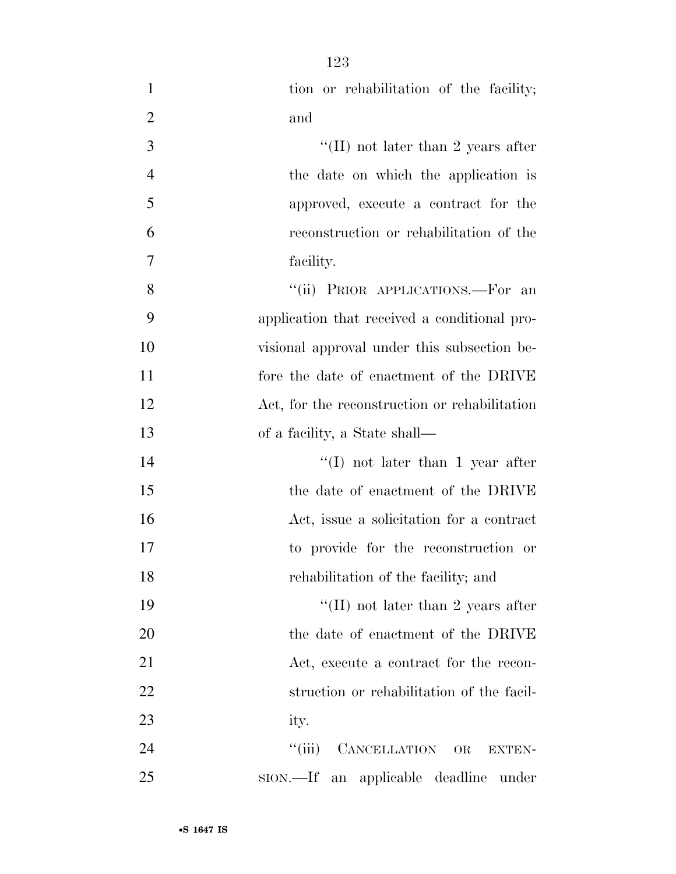| $\mathbf{1}$   | tion or rehabilitation of the facility;            |
|----------------|----------------------------------------------------|
| $\overline{2}$ | and                                                |
| 3              | "(II) not later than 2 years after                 |
| $\overline{4}$ | the date on which the application is               |
| 5              | approved, execute a contract for the               |
| 6              | reconstruction or rehabilitation of the            |
| 7              | facility.                                          |
| 8              | "(ii) PRIOR APPLICATIONS.—For an                   |
| 9              | application that received a conditional pro-       |
| 10             | visional approval under this subsection be-        |
| 11             | fore the date of enactment of the DRIVE            |
| 12             | Act, for the reconstruction or rehabilitation      |
| 13             | of a facility, a State shall—                      |
| 14             | $\lq (I)$ not later than 1 year after              |
| 15             | the date of enactment of the DRIVE                 |
| 16             | Act, issue a solicitation for a contract           |
| 17             | to provide for the reconstruction or               |
| 18             | rehabilitation of the facility; and                |
| 19             | "(II) not later than 2 years after                 |
| 20             | the date of enactment of the DRIVE                 |
| 21             | Act, execute a contract for the recon-             |
| 22             | struction or rehabilitation of the facil-          |
| 23             | ity.                                               |
| 24             | ``(iii)<br>CANCELLATION OR<br><b>EXTEN-</b>        |
| 25             | an applicable deadline under<br>$\text{SION}$ .—If |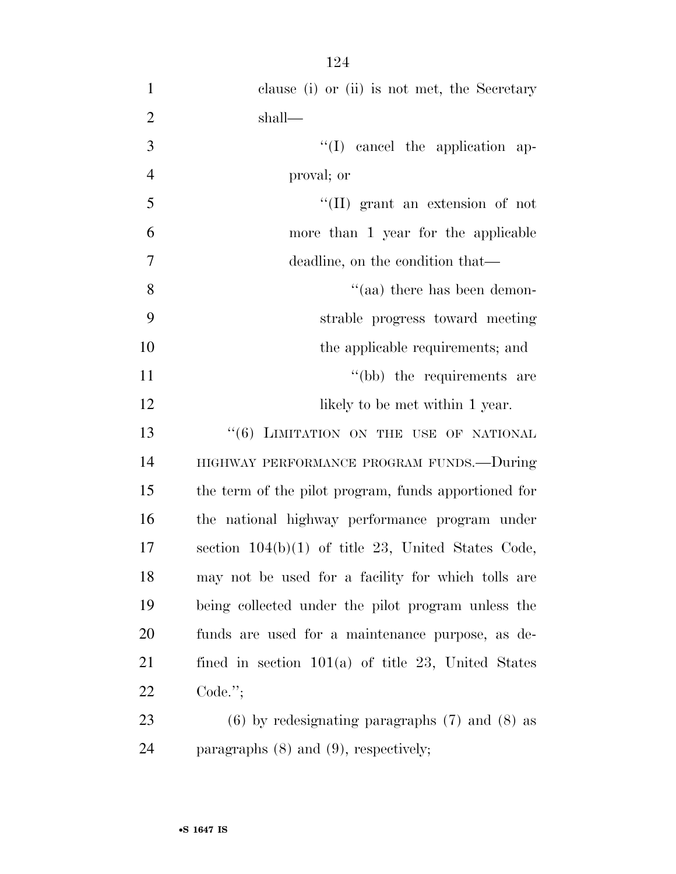| $\mathbf{1}$   | clause (i) or (ii) is not met, the Secretary         |
|----------------|------------------------------------------------------|
| $\overline{2}$ | shall—                                               |
| 3              | $\lq\lq$ (I) cancel the application ap-              |
| $\overline{4}$ | proval; or                                           |
| 5              | $\lq\lq$ (II) grant an extension of not              |
| 6              | more than 1 year for the applicable                  |
| $\overline{7}$ | deadline, on the condition that—                     |
| 8              | $\cdot$ (aa) there has been demon-                   |
| 9              | strable progress toward meeting                      |
| 10             | the applicable requirements; and                     |
| 11             | "(bb) the requirements are                           |
| 12             | likely to be met within 1 year.                      |
| 13             | "(6) LIMITATION ON THE USE OF NATIONAL               |
| 14             | HIGHWAY PERFORMANCE PROGRAM FUNDS.-During            |
| 15             | the term of the pilot program, funds apportioned for |
| 16             | the national highway performance program under       |
| 17             | section $104(b)(1)$ of title 23, United States Code, |
| 18             | may not be used for a facility for which tolls are   |
| 19             | being collected under the pilot program unless the   |
| 20             | funds are used for a maintenance purpose, as de-     |
| 21             | fined in section $101(a)$ of title 23, United States |
| 22             | Code.";                                              |
| 23             | $(6)$ by redesignating paragraphs $(7)$ and $(8)$ as |
| 24             | paragraphs $(8)$ and $(9)$ , respectively;           |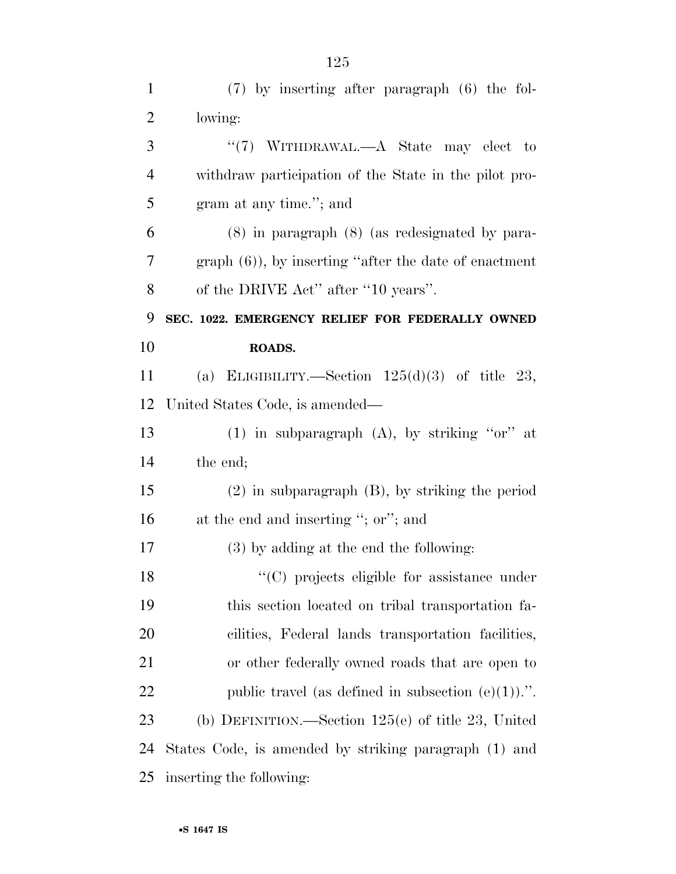| $\mathbf{1}$   | $(7)$ by inserting after paragraph $(6)$ the fol-         |
|----------------|-----------------------------------------------------------|
| $\overline{2}$ | lowing:                                                   |
| 3              | "(7) WITHDRAWAL.—A State may elect to                     |
| $\overline{4}$ | withdraw participation of the State in the pilot pro-     |
| 5              | gram at any time."; and                                   |
| 6              | $(8)$ in paragraph $(8)$ (as redesignated by para-        |
| 7              | graph $(6)$ ), by inserting "after the date of enactment" |
| $8\,$          | of the DRIVE Act" after "10 years".                       |
| 9              | SEC. 1022. EMERGENCY RELIEF FOR FEDERALLY OWNED           |
| 10             | ROADS.                                                    |
| 11             | (a) ELIGIBILITY.—Section $125(d)(3)$ of title 23,         |
| 12             | United States Code, is amended—                           |
| 13             | (1) in subparagraph $(A)$ , by striking "or" at           |
| 14             | the end;                                                  |
| 15             | $(2)$ in subparagraph $(B)$ , by striking the period      |
| 16             | at the end and inserting "; or"; and                      |
| 17             | (3) by adding at the end the following:                   |
| 18             | $\cdot$ (C) projects eligible for assistance under        |
| 19             | this section located on tribal transportation fa-         |
| 20             | cilities, Federal lands transportation facilities,        |
| 21             | or other federally owned roads that are open to           |
| 22             | public travel (as defined in subsection $(e)(1)$ ).".     |
| 23             | (b) DEFINITION.—Section $125(e)$ of title 23, United      |
| 24             | States Code, is amended by striking paragraph (1) and     |
| 25             | inserting the following:                                  |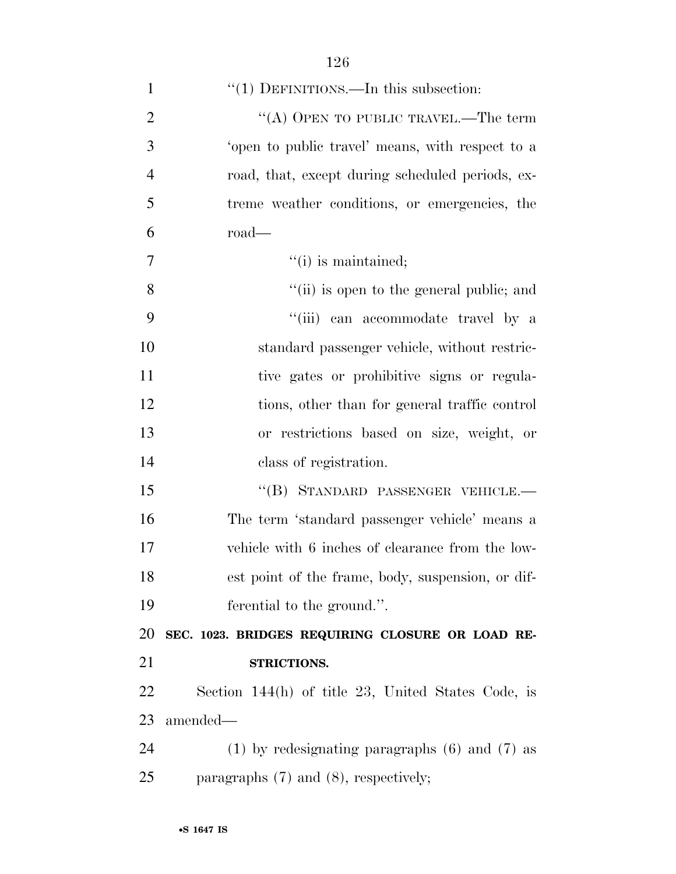| $\mathbf{1}$   | " $(1)$ DEFINITIONS.—In this subsection:             |
|----------------|------------------------------------------------------|
| $\overline{2}$ | "(A) OPEN TO PUBLIC TRAVEL.—The term                 |
| 3              | 'open to public travel' means, with respect to a     |
| $\overline{4}$ | road, that, except during scheduled periods, ex-     |
| 5              | treme weather conditions, or emergencies, the        |
| 6              | road                                                 |
| $\overline{7}$ | $"(i)$ is maintained;                                |
| 8              | "(ii) is open to the general public; and             |
| 9              | "(iii) can accommodate travel by a                   |
| 10             | standard passenger vehicle, without restric-         |
| 11             | tive gates or prohibitive signs or regula-           |
| 12             | tions, other than for general traffic control        |
| 13             | or restrictions based on size, weight, or            |
| 14             | class of registration.                               |
| 15             | "(B) STANDARD PASSENGER VEHICLE.-                    |
| 16             | The term 'standard passenger vehicle' means a        |
| 17             | vehicle with 6 inches of clearance from the low-     |
| 18             | est point of the frame, body, suspension, or dif-    |
| 19             | ferential to the ground.".                           |
| 20             | SEC. 1023. BRIDGES REQUIRING CLOSURE OR LOAD RE-     |
| 21             | STRICTIONS.                                          |
| 22             | Section $144(h)$ of title 23, United States Code, is |
| 23             | amended—                                             |
| 24             | $(1)$ by redesignating paragraphs $(6)$ and $(7)$ as |
| 25             | paragraphs $(7)$ and $(8)$ , respectively;           |
|                |                                                      |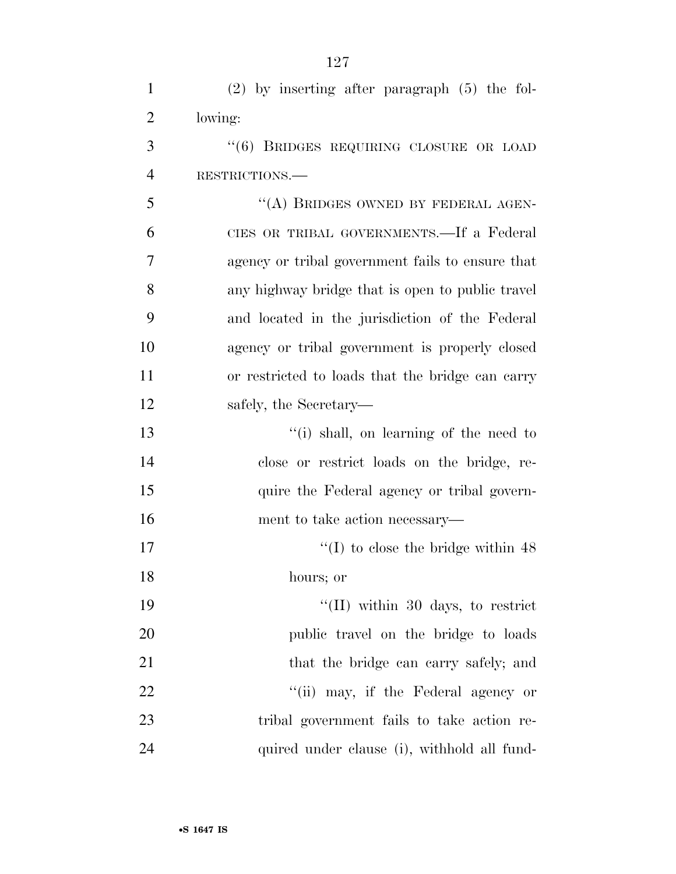| $\mathbf{1}$   | $(2)$ by inserting after paragraph $(5)$ the fol- |
|----------------|---------------------------------------------------|
| $\overline{2}$ | lowing:                                           |
| 3              | "(6) BRIDGES REQUIRING CLOSURE OR LOAD            |
| $\overline{4}$ | RESTRICTIONS.                                     |
| 5              | "(A) BRIDGES OWNED BY FEDERAL AGEN-               |
| 6              | CIES OR TRIBAL GOVERNMENTS.—If a Federal          |
| 7              | agency or tribal government fails to ensure that  |
| 8              | any highway bridge that is open to public travel  |
| 9              | and located in the jurisdiction of the Federal    |
| 10             | agency or tribal government is properly closed    |
| 11             | or restricted to loads that the bridge can carry  |
| 12             | safely, the Secretary—                            |
| 13             | "(i) shall, on learning of the need to            |
| 14             | close or restrict loads on the bridge, re-        |
| 15             | quire the Federal agency or tribal govern-        |
| 16             | ment to take action necessary—                    |
| 17             | $\lq(1)$ to close the bridge within 48            |
| 18             | hours; or                                         |
| 19             | $\lq\lq$ (II) within 30 days, to restrict         |
| 20             | public travel on the bridge to loads              |
| 21             | that the bridge can carry safely; and             |
| 22             | "(ii) may, if the Federal agency or               |
| 23             | tribal government fails to take action re-        |
| 24             | quired under clause (i), withhold all fund-       |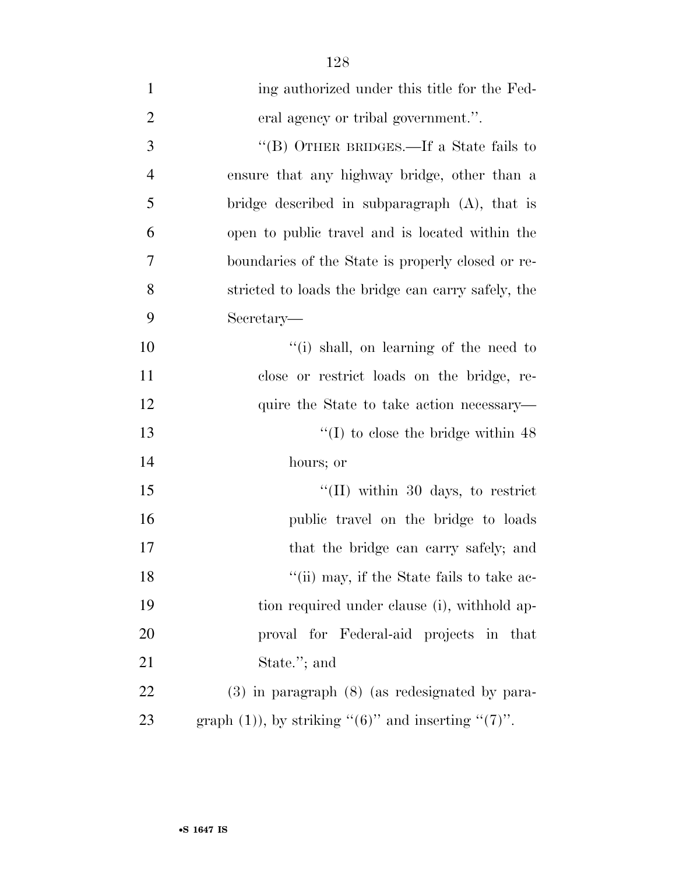| $\mathbf{1}$   | ing authorized under this title for the Fed-                  |
|----------------|---------------------------------------------------------------|
| $\overline{2}$ | eral agency or tribal government.".                           |
| 3              | "(B) OTHER BRIDGES.—If a State fails to                       |
| $\overline{4}$ | ensure that any highway bridge, other than a                  |
| 5              | bridge described in subparagraph $(A)$ , that is              |
| 6              | open to public travel and is located within the               |
| 7              | boundaries of the State is properly closed or re-             |
| 8              | stricted to loads the bridge can carry safely, the            |
| 9              | Secretary—                                                    |
| 10             | "(i) shall, on learning of the need to                        |
| 11             | close or restrict loads on the bridge, re-                    |
| 12             | quire the State to take action necessary—                     |
| 13             | $\lq(1)$ to close the bridge within 48                        |
| 14             | hours; or                                                     |
| 15             | $\lq$ (II) within 30 days, to restrict                        |
| 16             | public travel on the bridge to loads                          |
| 17             | that the bridge can carry safely; and                         |
| 18             | "(ii) may, if the State fails to take ac-                     |
| 19             | tion required under clause (i), withhold ap-                  |
| 20             | proval for Federal-aid projects in that                       |
| 21             | State."; and                                                  |
| 22             | $(3)$ in paragraph $(8)$ (as redesignated by para-            |
| 23             | graph $(1)$ ), by striking " $(6)$ " and inserting " $(7)$ ". |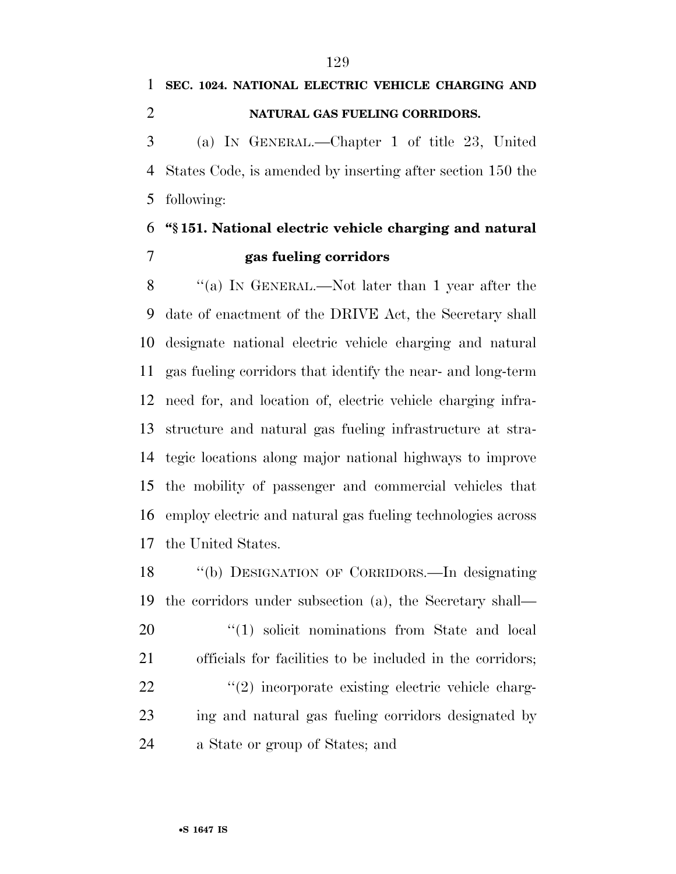# **SEC. 1024. NATIONAL ELECTRIC VEHICLE CHARGING AND NATURAL GAS FUELING CORRIDORS.**  (a) IN GENERAL.—Chapter 1 of title 23, United

 States Code, is amended by inserting after section 150 the following:

### **''§ 151. National electric vehicle charging and natural gas fueling corridors**

 ''(a) IN GENERAL.—Not later than 1 year after the date of enactment of the DRIVE Act, the Secretary shall designate national electric vehicle charging and natural gas fueling corridors that identify the near- and long-term need for, and location of, electric vehicle charging infra- structure and natural gas fueling infrastructure at stra- tegic locations along major national highways to improve the mobility of passenger and commercial vehicles that employ electric and natural gas fueling technologies across the United States.

 ''(b) DESIGNATION OF CORRIDORS.—In designating the corridors under subsection (a), the Secretary shall—  $\frac{1}{20}$  (1) solicit nominations from State and local officials for facilities to be included in the corridors;  $\frac{1}{22}$  ''(2) incorporate existing electric vehicle charg- ing and natural gas fueling corridors designated by a State or group of States; and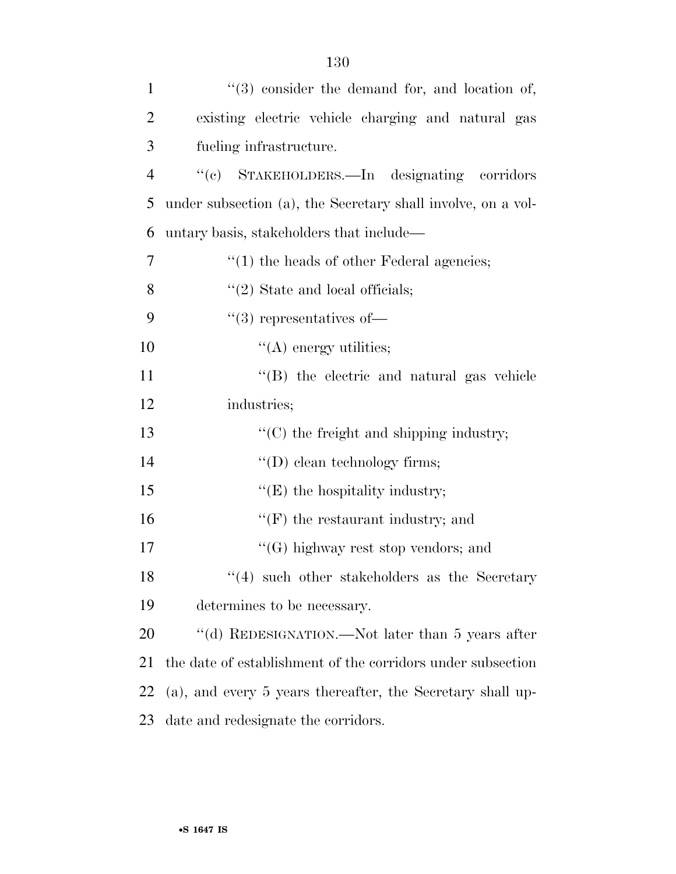| $\mathbf{1}$   | $(3)$ consider the demand for, and location of,              |
|----------------|--------------------------------------------------------------|
| $\overline{2}$ | existing electric vehicle charging and natural gas           |
| 3              | fueling infrastructure.                                      |
| $\overline{4}$ | "(c) STAKEHOLDERS.—In designating corridors                  |
| 5              | under subsection (a), the Secretary shall involve, on a vol- |
| 6              | untary basis, stakeholders that include—                     |
| $\overline{7}$ | $\cdot\cdot(1)$ the heads of other Federal agencies;         |
| 8              | $"(2)$ State and local officials;                            |
| 9              | $(3)$ representatives of-                                    |
| 10             | $\lq\lq$ energy utilities;                                   |
| 11             | "(B) the electric and natural gas vehicle                    |
| 12             | industries;                                                  |
| 13             | $\lq\lq$ (C) the freight and shipping industry;              |
| 14             | $\lq\lq$ (D) clean technology firms;                         |
| 15             | $\lq\lq(E)$ the hospitality industry;                        |
| 16             | $\lq\lq(F)$ the restaurant industry; and                     |
| 17             | $\lq\lq(G)$ highway rest stop vendors; and                   |
| 18             | $(4)$ such other stakeholders as the Secretary               |
| 19             | determines to be necessary.                                  |
| 20             | "(d) REDESIGNATION.—Not later than 5 years after             |
| 21             | the date of establishment of the corridors under subsection  |
| 22             | (a), and every 5 years thereafter, the Secretary shall up-   |
| 23             | date and redesignate the corridors.                          |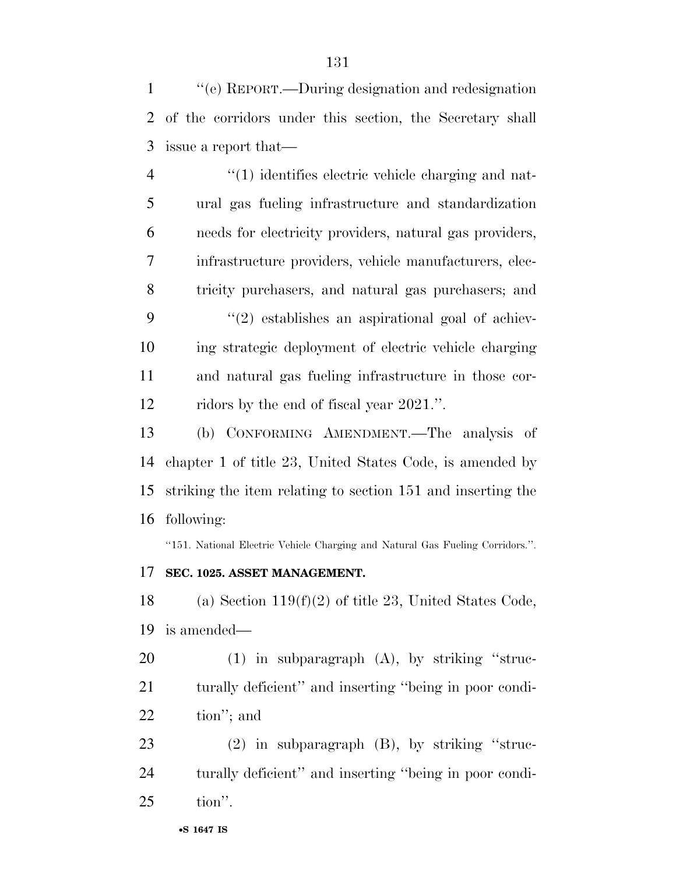''(e) REPORT.—During designation and redesignation of the corridors under this section, the Secretary shall issue a report that—

 $\frac{4}{1}$  identifies electric vehicle charging and nat- ural gas fueling infrastructure and standardization needs for electricity providers, natural gas providers, infrastructure providers, vehicle manufacturers, elec- tricity purchasers, and natural gas purchasers; and ''(2) establishes an aspirational goal of achiev- ing strategic deployment of electric vehicle charging and natural gas fueling infrastructure in those cor-ridors by the end of fiscal year 2021.''.

 (b) CONFORMING AMENDMENT.—The analysis of chapter 1 of title 23, United States Code, is amended by striking the item relating to section 151 and inserting the following:

''151. National Electric Vehicle Charging and Natural Gas Fueling Corridors.''.

#### **SEC. 1025. ASSET MANAGEMENT.**

18 (a) Section  $119(f)(2)$  of title 23, United States Code, is amended—

 (1) in subparagraph (A), by striking ''struc- turally deficient'' and inserting ''being in poor condi-tion''; and

23 (2) in subparagraph (B), by striking "struc- turally deficient'' and inserting ''being in poor condi-tion''.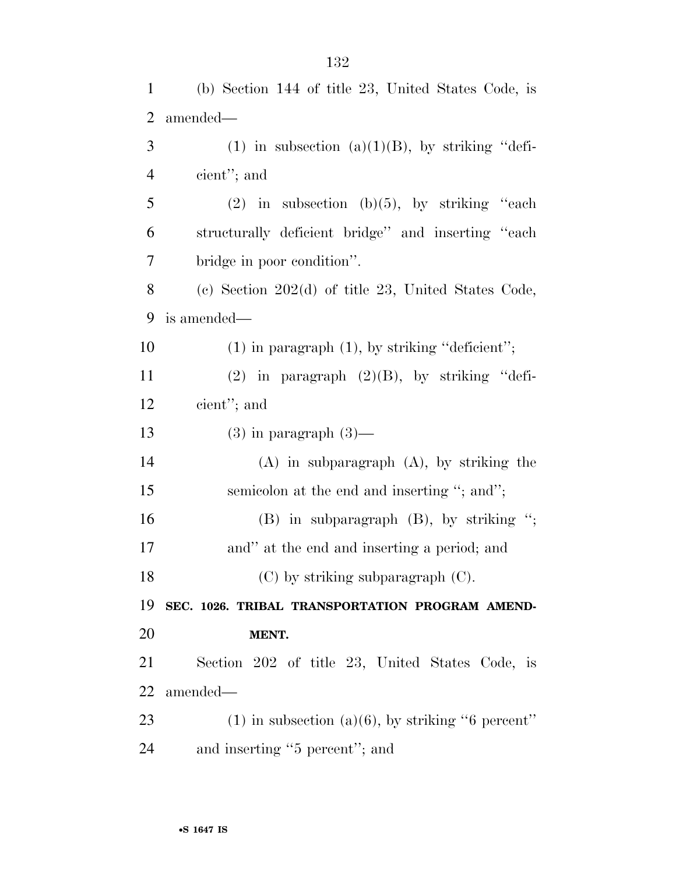| 1              | (b) Section 144 of title 23, United States Code, is    |
|----------------|--------------------------------------------------------|
| $\overline{2}$ | amended—                                               |
| 3              | (1) in subsection (a)(1)(B), by striking "defi-        |
| 4              | cient"; and                                            |
| 5              | (2) in subsection (b)(5), by striking "each            |
| 6              | structurally deficient bridge" and inserting "each     |
| 7              | bridge in poor condition".                             |
| 8              | (c) Section $202(d)$ of title 23, United States Code,  |
| 9              | is amended—                                            |
| 10             | $(1)$ in paragraph $(1)$ , by striking "deficient";    |
| 11             | $(2)$ in paragraph $(2)(B)$ , by striking "defi-       |
| 12             | cient"; and                                            |
| 13             | $(3)$ in paragraph $(3)$ —                             |
| 14             | $(A)$ in subparagraph $(A)$ , by striking the          |
| 15             | semicolon at the end and inserting "; and";            |
| 16             | $(B)$ in subparagraph $(B)$ , by striking ";           |
| 17             | and" at the end and inserting a period; and            |
| 18             | $(C)$ by striking subparagraph $(C)$ .                 |
| 19             | SEC. 1026. TRIBAL TRANSPORTATION PROGRAM AMEND-        |
| <b>20</b>      | MENT.                                                  |
| 21             | Section 202 of title 23, United States Code, is        |
| 22             | amended—                                               |
| 23             | $(1)$ in subsection $(a)(6)$ , by striking "6 percent" |
| 24             | and inserting "5 percent"; and                         |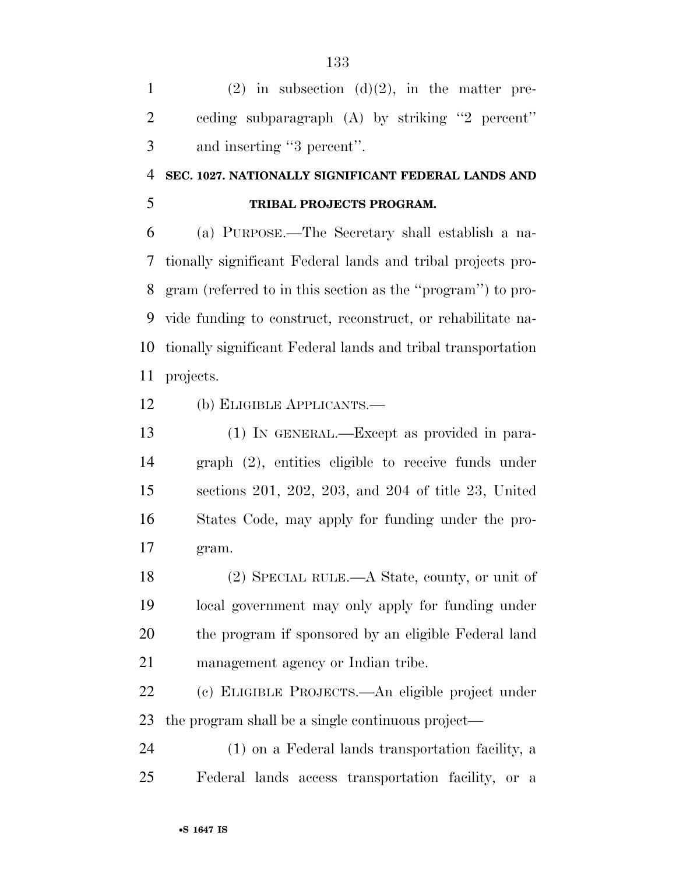|   | (2) in subsection (d)(2), in the matter pre-      |
|---|---------------------------------------------------|
| 2 | ceding subparagraph $(A)$ by striking "2 percent" |
| 3 | and inserting "3 percent".                        |

## **SEC. 1027. NATIONALLY SIGNIFICANT FEDERAL LANDS AND**

#### **TRIBAL PROJECTS PROGRAM.**

 (a) PURPOSE.—The Secretary shall establish a na- tionally significant Federal lands and tribal projects pro- gram (referred to in this section as the ''program'') to pro- vide funding to construct, reconstruct, or rehabilitate na- tionally significant Federal lands and tribal transportation projects.

(b) ELIGIBLE APPLICANTS.—

 (1) IN GENERAL.—Except as provided in para- graph (2), entities eligible to receive funds under sections 201, 202, 203, and 204 of title 23, United States Code, may apply for funding under the pro-gram.

 (2) SPECIAL RULE.—A State, county, or unit of local government may only apply for funding under the program if sponsored by an eligible Federal land management agency or Indian tribe.

 (c) ELIGIBLE PROJECTS.—An eligible project under the program shall be a single continuous project—

 (1) on a Federal lands transportation facility, a Federal lands access transportation facility, or a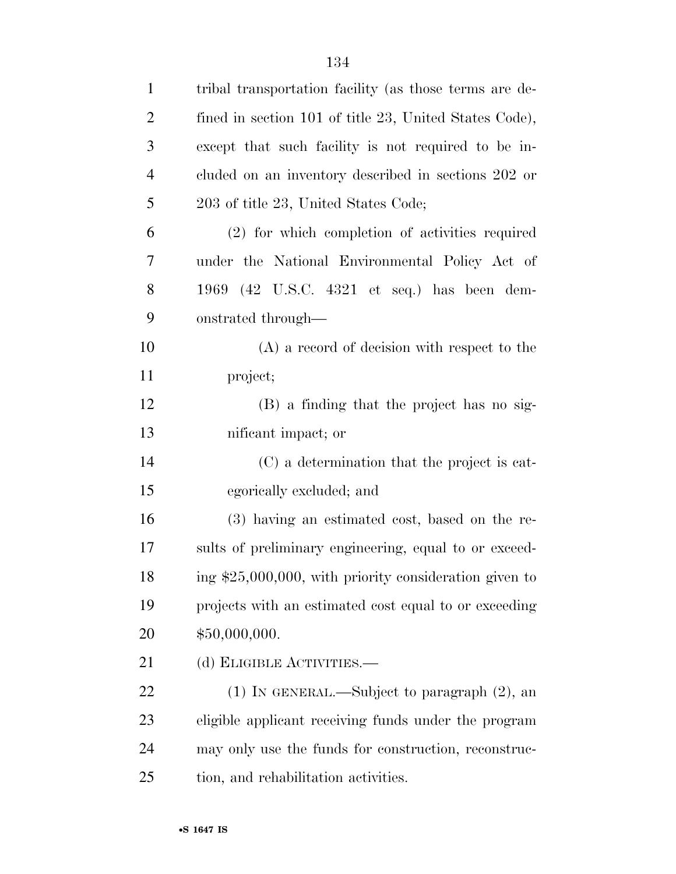| $\mathbf{1}$ | tribal transportation facility (as those terms are de-   |
|--------------|----------------------------------------------------------|
| 2            | fined in section 101 of title 23, United States Code),   |
| 3            | except that such facility is not required to be in-      |
| 4            | cluded on an inventory described in sections 202 or      |
| 5            | 203 of title 23, United States Code;                     |
| 6            | (2) for which completion of activities required          |
| 7            | under the National Environmental Policy Act of           |
| 8            | 1969 (42 U.S.C. 4321 et seq.) has been dem-              |
| 9            | onstrated through—                                       |
| 10           | $(A)$ a record of decision with respect to the           |
| 11           | project;                                                 |
| 12           | (B) a finding that the project has no sig-               |
| 13           | nificant impact; or                                      |
| 14           | (C) a determination that the project is cat-             |
| 15           | egorically excluded; and                                 |
| 16           | (3) having an estimated cost, based on the re-           |
| 17           | sults of preliminary engineering, equal to or exceed-    |
| 18           | ing $$25,000,000$ , with priority consideration given to |
| 19           | projects with an estimated cost equal to or exceeding    |
| 20           | \$50,000,000.                                            |
| 21           | (d) ELIGIBLE ACTIVITIES.—                                |
| 22           | $(1)$ In GENERAL.—Subject to paragraph $(2)$ , an        |
| 23           | eligible applicant receiving funds under the program     |
| 24           | may only use the funds for construction, reconstruc-     |
| 25           | tion, and rehabilitation activities.                     |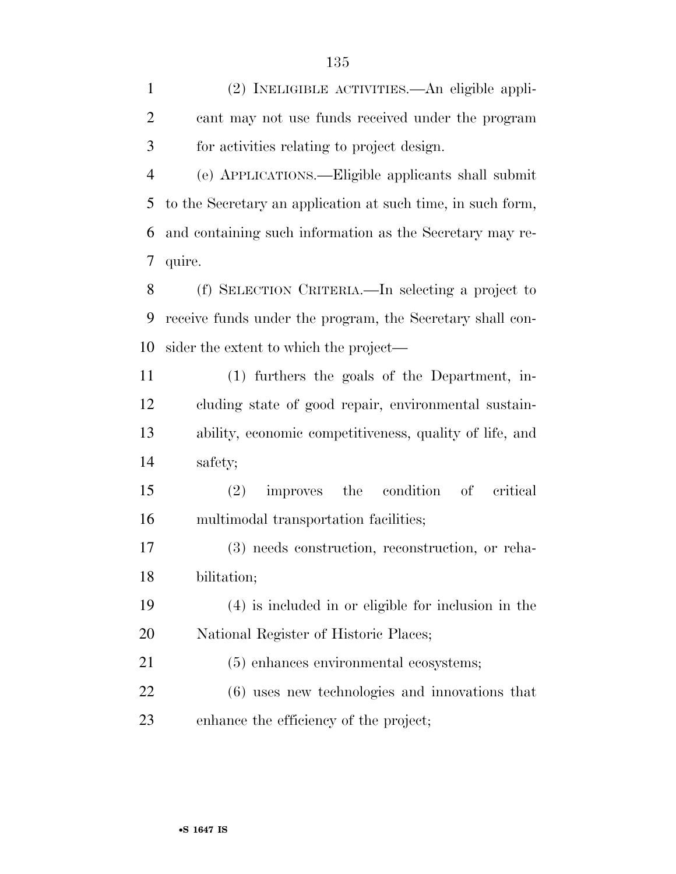(2) INELIGIBLE ACTIVITIES.—An eligible appli- cant may not use funds received under the program for activities relating to project design.

 (e) APPLICATIONS.—Eligible applicants shall submit to the Secretary an application at such time, in such form, and containing such information as the Secretary may re-quire.

 (f) SELECTION CRITERIA.—In selecting a project to receive funds under the program, the Secretary shall con-sider the extent to which the project—

 (1) furthers the goals of the Department, in- cluding state of good repair, environmental sustain- ability, economic competitiveness, quality of life, and safety;

 (2) improves the condition of critical multimodal transportation facilities;

 (3) needs construction, reconstruction, or reha-bilitation;

 (4) is included in or eligible for inclusion in the National Register of Historic Places;

 (5) enhances environmental ecosystems; (6) uses new technologies and innovations that enhance the efficiency of the project;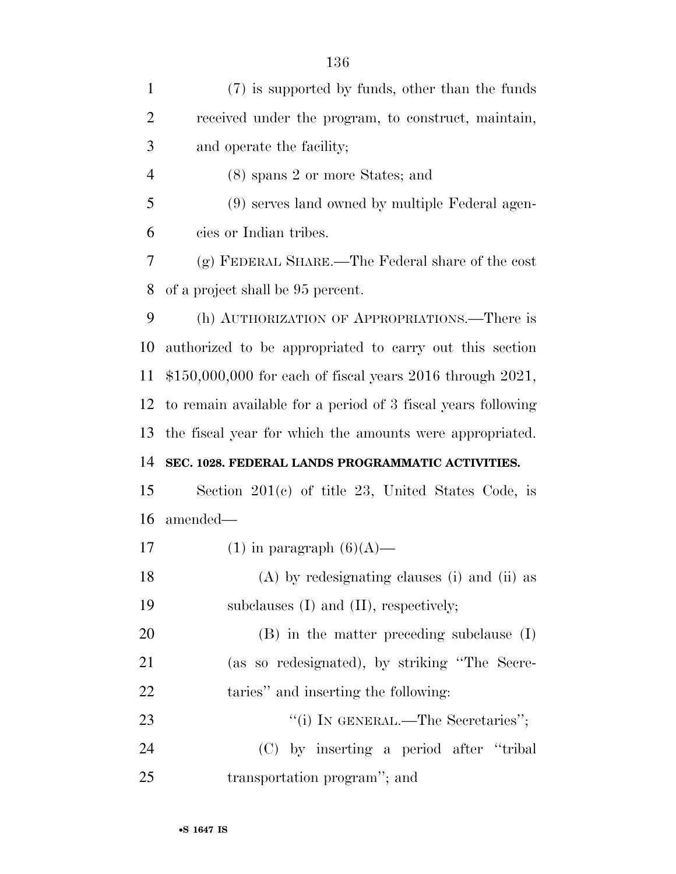| $\mathbf{1}$   | (7) is supported by funds, other than the funds              |
|----------------|--------------------------------------------------------------|
| $\overline{2}$ | received under the program, to construct, maintain,          |
| 3              | and operate the facility;                                    |
| 4              | (8) spans 2 or more States; and                              |
| 5              | (9) serves land owned by multiple Federal agen-              |
| 6              | cies or Indian tribes.                                       |
| 7              | (g) FEDERAL SHARE.—The Federal share of the cost             |
| 8              | of a project shall be 95 percent.                            |
| 9              | (h) AUTHORIZATION OF APPROPRIATIONS.—There is                |
| 10             | authorized to be appropriated to carry out this section      |
| 11             | $$150,000,000$ for each of fiscal years 2016 through 2021,   |
| 12             | to remain available for a period of 3 fiscal years following |
| 13             | the fiscal year for which the amounts were appropriated.     |
| 14             | SEC. 1028. FEDERAL LANDS PROGRAMMATIC ACTIVITIES.            |
| 15             | Section $201(c)$ of title 23, United States Code, is         |
| 16             | amended—                                                     |
| 17             | $(1)$ in paragraph $(6)(A)$ —                                |
| 18             | (A) by redesignating clauses (i) and (ii) as                 |
| 19             | subclauses (I) and (II), respectively;                       |
| 20             | $(B)$ in the matter preceding subclause $(I)$                |
| 21             | (as so redesignated), by striking "The Secre-                |
| 22             | taries" and inserting the following:                         |
| 23             | "(i) IN GENERAL.—The Secretaries";                           |
| 24             | (C) by inserting a period after "tribal"                     |
| 25             | transportation program"; and                                 |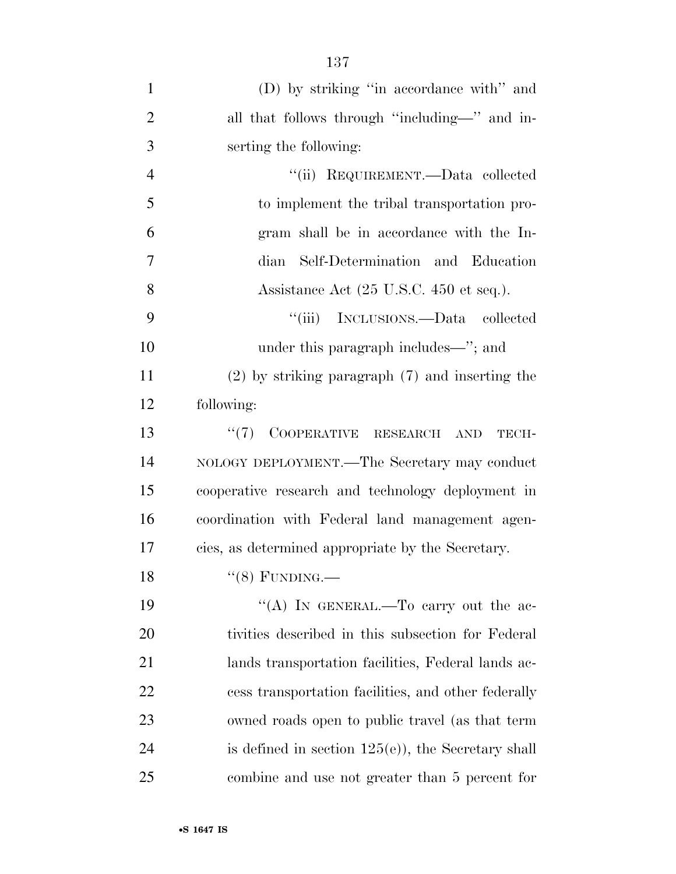| $\mathbf{1}$   | (D) by striking "in accordance with" and              |
|----------------|-------------------------------------------------------|
| $\overline{2}$ | all that follows through "including-" and in-         |
| 3              | serting the following:                                |
| $\overline{4}$ | "(ii) REQUIREMENT.—Data collected                     |
| 5              | to implement the tribal transportation pro-           |
| 6              | gram shall be in accordance with the In-              |
| 7              | dian Self-Determination and Education                 |
| 8              | Assistance Act (25 U.S.C. 450 et seq.).               |
| 9              | "(iii) INCLUSIONS.—Data collected                     |
| 10             | under this paragraph includes—"; and                  |
| 11             | $(2)$ by striking paragraph $(7)$ and inserting the   |
| 12             | following:                                            |
| 13             | COOPERATIVE RESEARCH<br>(5(7))<br><b>AND</b><br>TECH- |
| 14             | NOLOGY DEPLOYMENT.—The Secretary may conduct          |
| 15             | cooperative research and technology deployment in     |
| 16             | coordination with Federal land management agen-       |
| 17             | cies, as determined appropriate by the Secretary.     |
| 18             | $``(8)$ FUNDING.—                                     |
| 19             | "(A) IN GENERAL.—To carry out the ac-                 |
| 20             | tivities described in this subsection for Federal     |
| 21             | lands transportation facilities, Federal lands ac-    |
| 22             | cess transportation facilities, and other federally   |
| 23             | owned roads open to public travel (as that term       |
| 24             | is defined in section $125(e)$ , the Secretary shall  |
| 25             | combine and use not greater than 5 percent for        |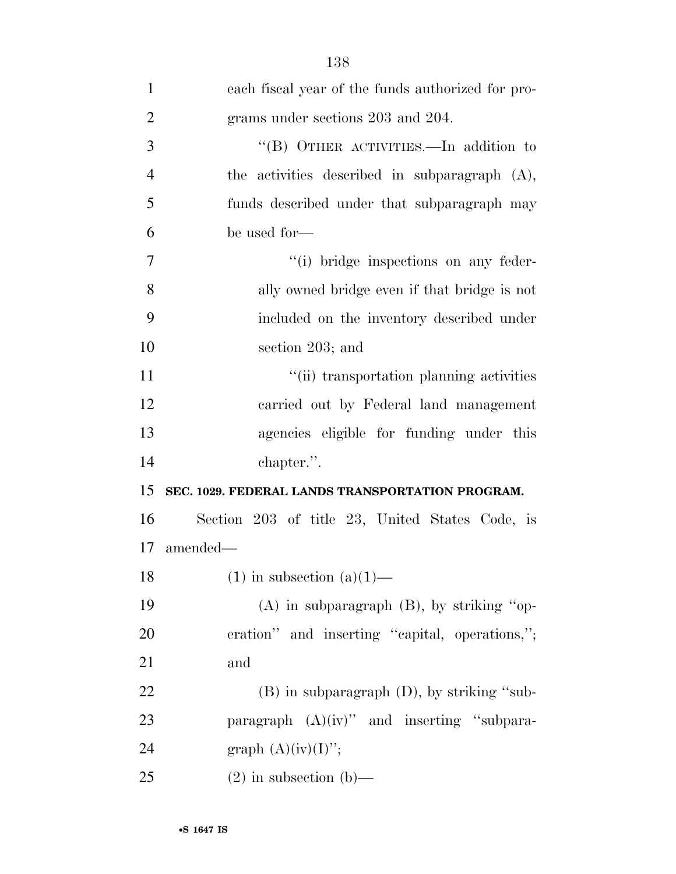| $\mathbf{1}$   | each fiscal year of the funds authorized for pro- |
|----------------|---------------------------------------------------|
| $\overline{2}$ | grams under sections 203 and 204.                 |
| 3              | "(B) OTHER ACTIVITIES.—In addition to             |
| $\overline{4}$ | the activities described in subparagraph $(A)$ ,  |
| 5              | funds described under that subparagraph may       |
| 6              | be used for-                                      |
| 7              | "(i) bridge inspections on any feder-             |
| 8              | ally owned bridge even if that bridge is not      |
| 9              | included on the inventory described under         |
| 10             | section 203; and                                  |
| 11             | "(ii) transportation planning activities          |
| 12             | carried out by Federal land management            |
| 13             | agencies eligible for funding under this          |
| 14             | chapter.".                                        |
| 15             | SEC. 1029. FEDERAL LANDS TRANSPORTATION PROGRAM.  |
| 16             | Section 203 of title 23, United States Code, is   |
| 17             | amended—                                          |
| 18             | $(1)$ in subsection $(a)(1)$ —                    |
| 19             | $(A)$ in subparagraph $(B)$ , by striking "op-    |
| 20             | eration" and inserting "capital, operations,";    |
| 21             | and                                               |
| 22             | $(B)$ in subparagraph $(D)$ , by striking "sub-   |
| 23             | paragraph $(A)(iv)$ " and inserting "subpara-     |
| 24             | graph $(A)(iv)(I)$ ";                             |
| 25             | $(2)$ in subsection $(b)$ —                       |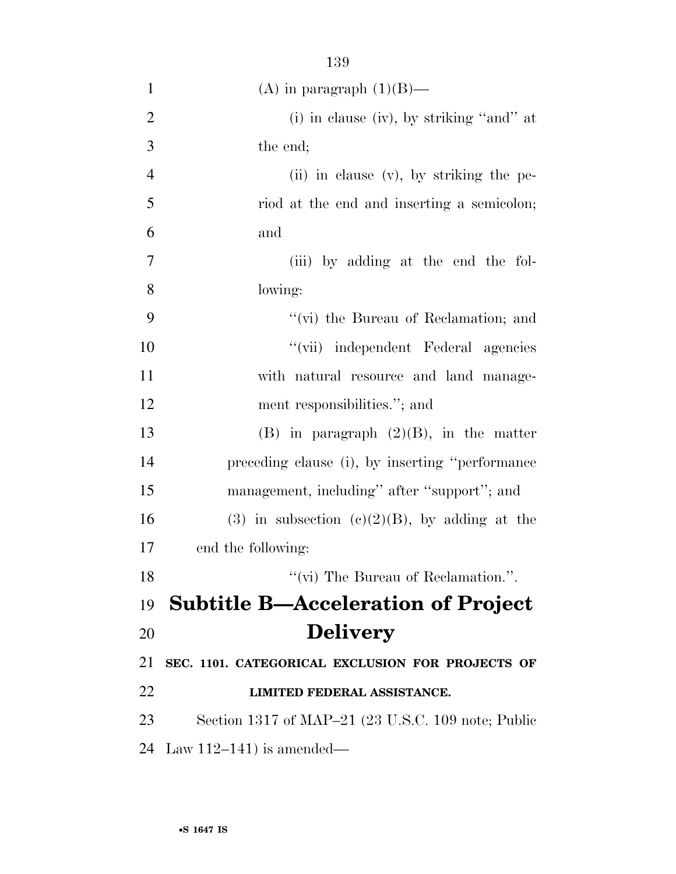| $\mathbf{1}$   | (A) in paragraph $(1)(B)$ —                        |
|----------------|----------------------------------------------------|
| $\overline{2}$ | (i) in clause (iv), by striking "and" at           |
| 3              | the end;                                           |
| $\overline{4}$ | $(ii)$ in clause $(v)$ , by striking the pe-       |
| 5              | riod at the end and inserting a semicolon;         |
| 6              | and                                                |
| 7              | (iii) by adding at the end the fol-                |
| 8              | lowing:                                            |
| 9              | "(vi) the Bureau of Reclamation; and               |
| 10             | "(vii) independent Federal agencies                |
| 11             | with natural resource and land manage-             |
| 12             | ment responsibilities."; and                       |
| 13             | $(B)$ in paragraph $(2)(B)$ , in the matter        |
| 14             | preceding clause (i), by inserting "performance    |
| 15             | management, including" after "support"; and        |
| 16             | (3) in subsection (c)(2)(B), by adding at the      |
| 17             | end the following:                                 |
| 18             | "(vi) The Bureau of Reclamation.".                 |
| 19             | <b>Subtitle B-Acceleration of Project</b>          |
| 20             | <b>Delivery</b>                                    |
| 21             | SEC. 1101. CATEGORICAL EXCLUSION FOR PROJECTS OF   |
| 22             | LIMITED FEDERAL ASSISTANCE.                        |
| 23             | Section 1317 of MAP-21 (23 U.S.C. 109 note; Public |
| 24             | Law 112–141) is amended—                           |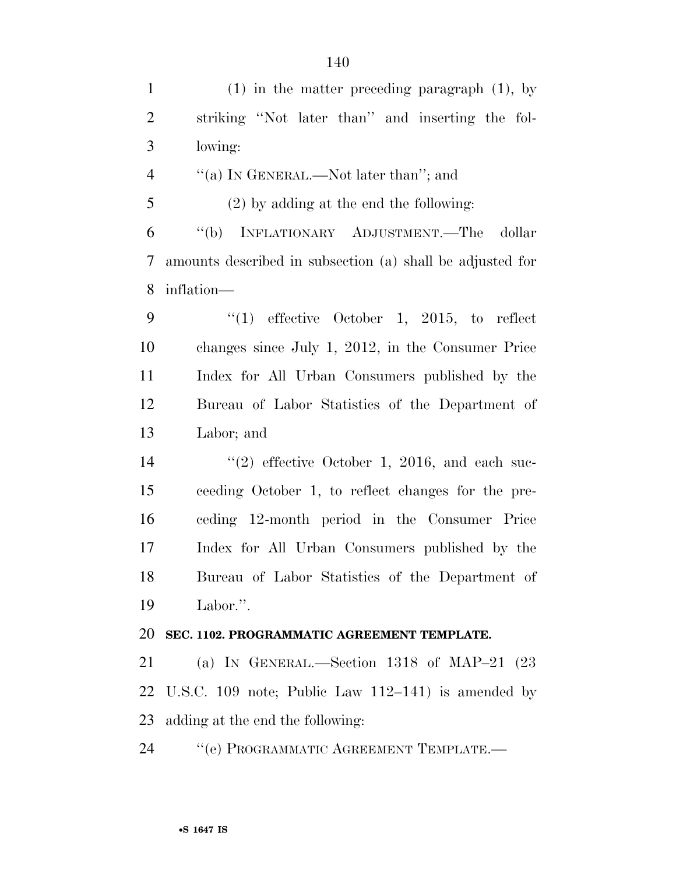(1) in the matter preceding paragraph (1), by striking ''Not later than'' and inserting the fol- lowing: 4 "(a) IN GENERAL.—Not later than"; and (2) by adding at the end the following: ''(b) INFLATIONARY ADJUSTMENT.—The dollar amounts described in subsection (a) shall be adjusted for inflation— ''(1) effective October 1, 2015, to reflect changes since July 1, 2012, in the Consumer Price Index for All Urban Consumers published by the Bureau of Labor Statistics of the Department of Labor; and 14 ''(2) effective October 1, 2016, and each suc- ceeding October 1, to reflect changes for the pre- ceding 12-month period in the Consumer Price Index for All Urban Consumers published by the Bureau of Labor Statistics of the Department of Labor.''. **SEC. 1102. PROGRAMMATIC AGREEMENT TEMPLATE.**  (a) IN GENERAL.—Section 1318 of MAP–21 (23 U.S.C. 109 note; Public Law 112–141) is amended by adding at the end the following: 24 "'(e) PROGRAMMATIC AGREEMENT TEMPLATE.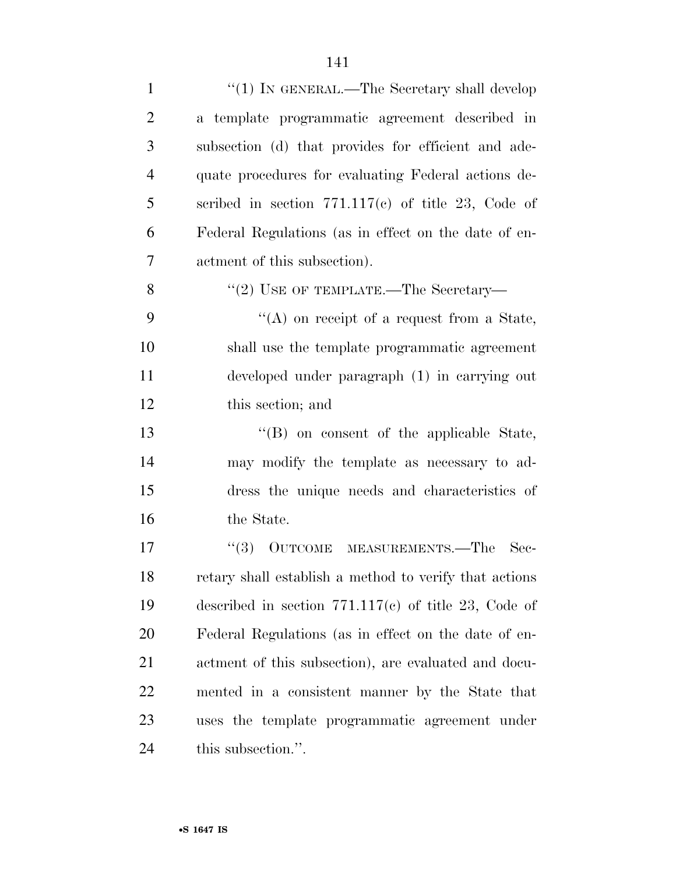| $\mathbf{1}$   | " $(1)$ IN GENERAL.—The Secretary shall develop        |
|----------------|--------------------------------------------------------|
| $\overline{2}$ | a template programmatic agreement described in         |
| 3              | subsection (d) that provides for efficient and ade-    |
| $\overline{4}$ | quate procedures for evaluating Federal actions de-    |
| 5              | scribed in section $771.117(c)$ of title 23, Code of   |
| 6              | Federal Regulations (as in effect on the date of en-   |
| $\overline{7}$ | actment of this subsection).                           |
| 8              | "(2) USE OF TEMPLATE.—The Secretary—                   |
| 9              | "(A) on receipt of a request from a State,             |
| 10             | shall use the template programmatic agreement          |
| 11             | developed under paragraph (1) in carrying out          |
| 12             | this section; and                                      |
| 13             | "(B) on consent of the applicable State,               |
| 14             | may modify the template as necessary to ad-            |
| 15             | dress the unique needs and characteristics of          |
| 16             | the State.                                             |
| 17             | OUTCOME MEASUREMENTS.-The<br>(3)<br>Sec-               |
| 18             | retary shall establish a method to verify that actions |
| 19             | described in section $771.117(c)$ of title 23, Code of |
| 20             | Federal Regulations (as in effect on the date of en-   |
| 21             | actment of this subsection), are evaluated and docu-   |
| 22             | mented in a consistent manner by the State that        |
| 23             | uses the template programmatic agreement under         |
| 24             | this subsection.".                                     |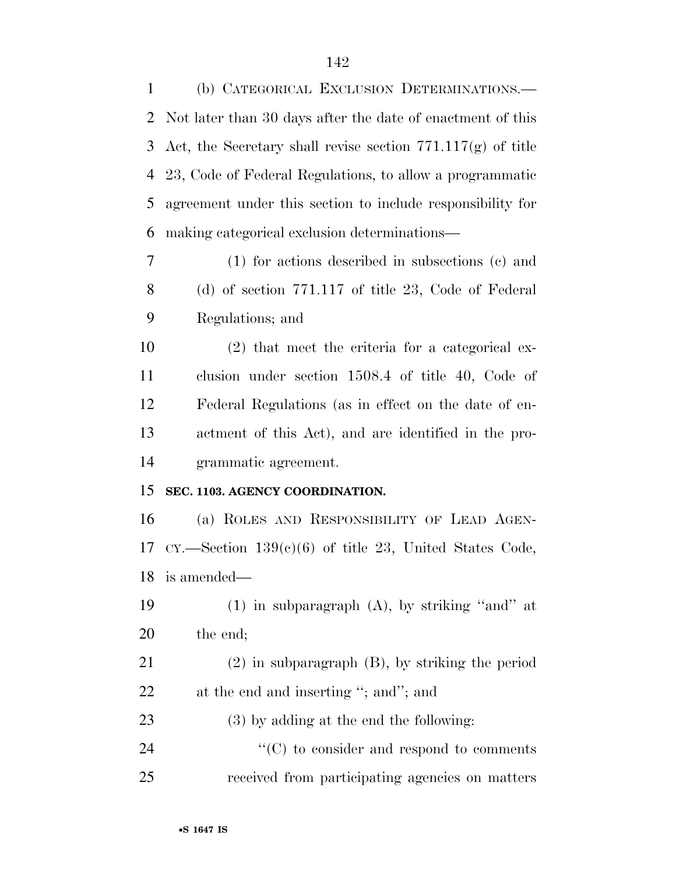(b) CATEGORICAL EXCLUSION DETERMINATIONS.— Not later than 30 days after the date of enactment of this Act, the Secretary shall revise section 771.117(g) of title 23, Code of Federal Regulations, to allow a programmatic agreement under this section to include responsibility for making categorical exclusion determinations—

 (1) for actions described in subsections (c) and (d) of section 771.117 of title 23, Code of Federal Regulations; and

 (2) that meet the criteria for a categorical ex- clusion under section 1508.4 of title 40, Code of Federal Regulations (as in effect on the date of en- actment of this Act), and are identified in the pro-grammatic agreement.

#### **SEC. 1103. AGENCY COORDINATION.**

 (a) ROLES AND RESPONSIBILITY OF LEAD AGEN-17 CY.—Section  $139(c)(6)$  of title 23, United States Code, is amended—

19  $(1)$  in subparagraph  $(A)$ , by striking "and" at the end;

 (2) in subparagraph (B), by striking the period 22 at the end and inserting "; and"; and

(3) by adding at the end the following:

24  $\cdot$  (C) to consider and respond to comments received from participating agencies on matters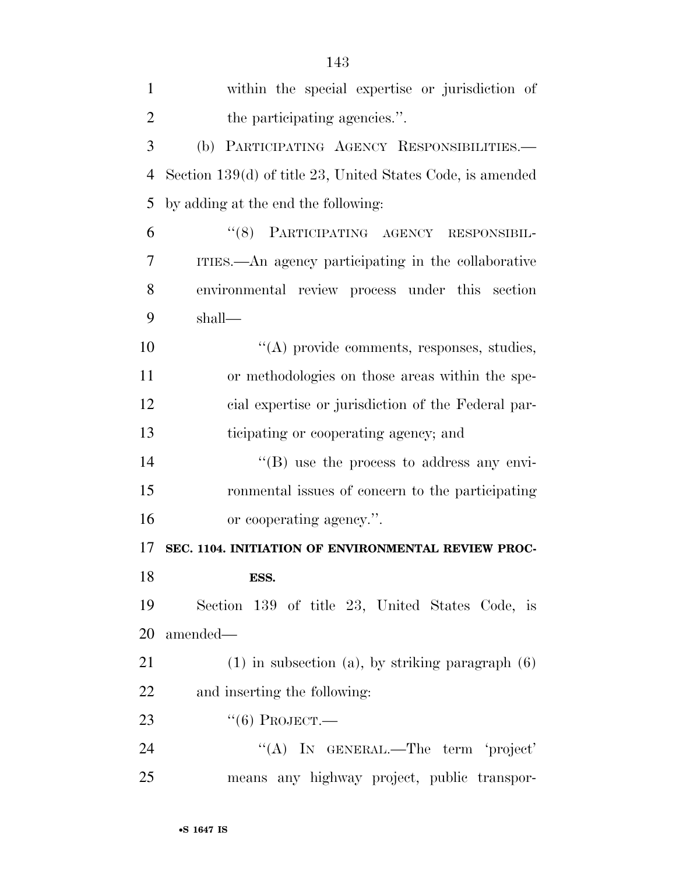| $\mathbf{1}$   | within the special expertise or jurisdiction of            |
|----------------|------------------------------------------------------------|
| $\overline{2}$ | the participating agencies.".                              |
| 3              | (b) PARTICIPATING AGENCY RESPONSIBILITIES.                 |
| $\overline{4}$ | Section 139(d) of title 23, United States Code, is amended |
| 5              | by adding at the end the following:                        |
| 6              | "(8) PARTICIPATING AGENCY RESPONSIBIL-                     |
| 7              | ITIES.—An agency participating in the collaborative        |
| 8              | environmental review process under this section            |
| 9              | shall—                                                     |
| 10             | $\lq\lq$ provide comments, responses, studies,             |
| 11             | or methodologies on those areas within the spe-            |
| 12             | cial expertise or jurisdiction of the Federal par-         |
| 13             | ticipating or cooperating agency; and                      |
| 14             | $\lq\lq (B)$ use the process to address any envi-          |
| 15             | ronmental issues of concern to the participating           |
| 16             | or cooperating agency.".                                   |
| 17             | SEC. 1104. INITIATION OF ENVIRONMENTAL REVIEW PROC-        |
| 18             | ESS.                                                       |
| 19             | Section 139 of title 23, United States Code, is            |
| 20             | amended-                                                   |
| 21             | $(1)$ in subsection $(a)$ , by striking paragraph $(6)$    |
| 22             | and inserting the following:                               |
| 23             | $``(6)$ Project.—                                          |
| 24             | "(A) IN GENERAL.—The term 'project'                        |
| 25             | means any highway project, public transpor-                |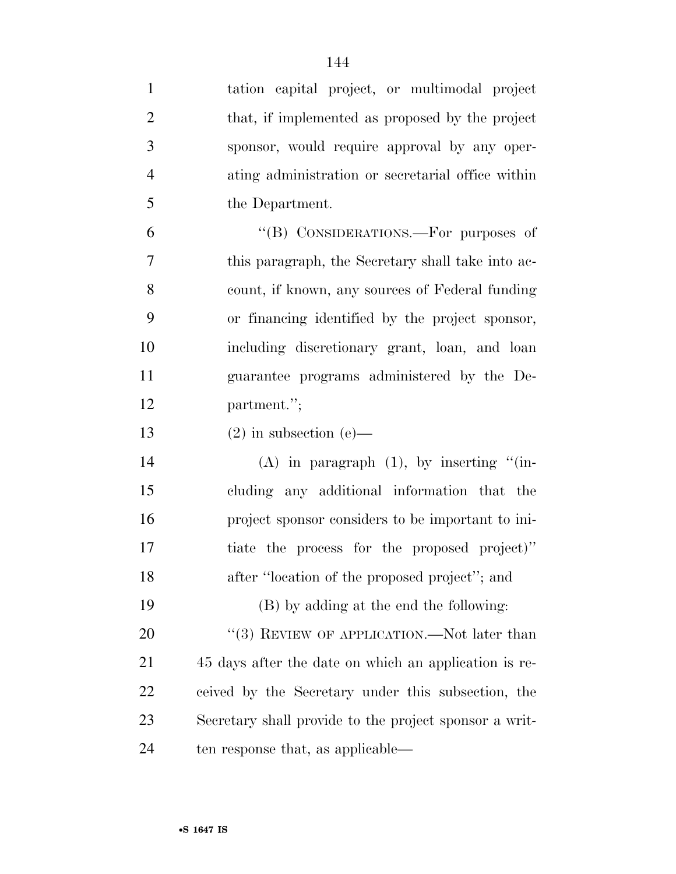| $\mathbf{1}$   | tation capital project, or multimodal project          |
|----------------|--------------------------------------------------------|
| $\overline{2}$ | that, if implemented as proposed by the project        |
| 3              | sponsor, would require approval by any oper-           |
| $\overline{4}$ | ating administration or secretarial office within      |
| 5              | the Department.                                        |
| 6              | "(B) CONSIDERATIONS.—For purposes of                   |
| 7              | this paragraph, the Secretary shall take into ac-      |
| 8              | count, if known, any sources of Federal funding        |
| 9              | or financing identified by the project sponsor,        |
| 10             | including discretionary grant, loan, and loan          |
| 11             | guarantee programs administered by the De-             |
| 12             | partment.";                                            |
| 13             | $(2)$ in subsection $(e)$ —                            |
| 14             | $(A)$ in paragraph $(1)$ , by inserting " $(in-)$      |
| 15             | cluding any additional information that the            |
| 16             | project sponsor considers to be important to ini-      |
| 17             | tiate the process for the proposed project)"           |
| 18             | after "location of the proposed project"; and          |
| 19             | (B) by adding at the end the following:                |
| 20             | "(3) REVIEW OF APPLICATION.—Not later than             |
| 21             | 45 days after the date on which an application is re-  |
| 22             | ceived by the Secretary under this subsection, the     |
| 23             |                                                        |
|                | Secretary shall provide to the project sponsor a writ- |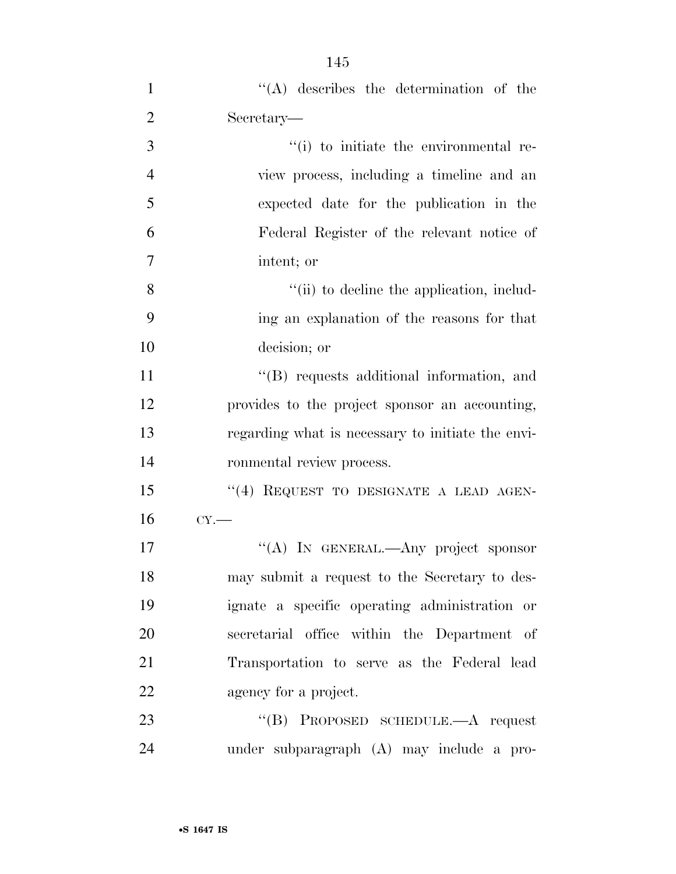| $\mathbf{1}$   | $\lq\lq$ describes the determination of the       |
|----------------|---------------------------------------------------|
| $\overline{2}$ | Secretary—                                        |
| 3              | "(i) to initiate the environmental re-            |
| $\overline{4}$ | view process, including a timeline and an         |
| 5              | expected date for the publication in the          |
| 6              | Federal Register of the relevant notice of        |
| $\tau$         | intent; or                                        |
| 8              | "(ii) to decline the application, includ-         |
| 9              | ing an explanation of the reasons for that        |
| 10             | decision; or                                      |
| 11             | "(B) requests additional information, and         |
| 12             | provides to the project sponsor an accounting,    |
| 13             | regarding what is necessary to initiate the envi- |
| 14             | ronmental review process.                         |
| 15             | "(4) REQUEST TO DESIGNATE A LEAD AGEN-            |
| 16             | CY.                                               |
| 17             | "(A) IN GENERAL.—Any project sponsor              |
| 18             | may submit a request to the Secretary to des-     |
| 19             | ignate a specific operating administration or     |
| 20             | secretarial office within the Department of       |
| 21             | Transportation to serve as the Federal lead       |
| 22             | agency for a project.                             |
| 23             | "(B) PROPOSED SCHEDULE.—A request                 |

under subparagraph (A) may include a pro-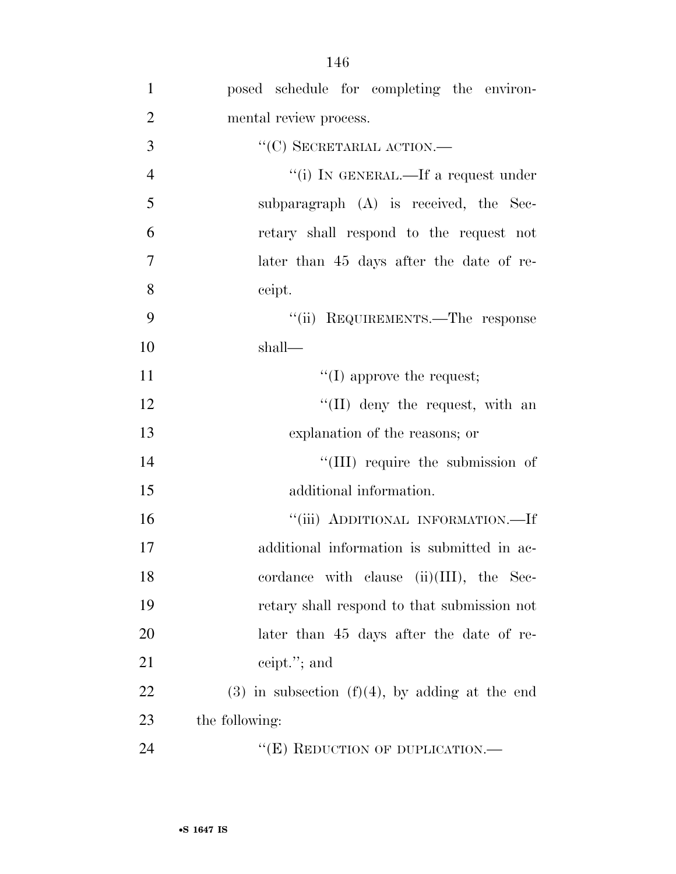| $\mathbf{1}$   | posed schedule for completing the environ-          |
|----------------|-----------------------------------------------------|
| $\overline{2}$ | mental review process.                              |
| 3              | $``(C)$ SECRETARIAL ACTION.—                        |
| $\overline{4}$ | "(i) IN GENERAL.—If a request under                 |
| 5              | subparagraph $(A)$ is received, the Sec-            |
| 6              | retary shall respond to the request not             |
| $\overline{7}$ | later than 45 days after the date of re-            |
| 8              | ceipt.                                              |
| 9              | "(ii) REQUIREMENTS.—The response                    |
| 10             | shall—                                              |
| 11             | $\lq\lq$ (I) approve the request;                   |
| 12             | $\lq\lq$ (II) deny the request, with an             |
| 13             | explanation of the reasons; or                      |
| 14             | "(III) require the submission of                    |
| 15             | additional information.                             |
| 16             | "(iii) ADDITIONAL INFORMATION.—If                   |
| 17             | additional information is submitted in ac-          |
| 18             | cordance with clause (ii)(III), the Sec-            |
| 19             | retary shall respond to that submission not         |
| 20             | later than 45 days after the date of re-            |
| 21             | ceipt."; and                                        |
| 22             | $(3)$ in subsection $(f)(4)$ , by adding at the end |
| 23             | the following:                                      |
| 24             | "(E) REDUCTION OF DUPLICATION.—                     |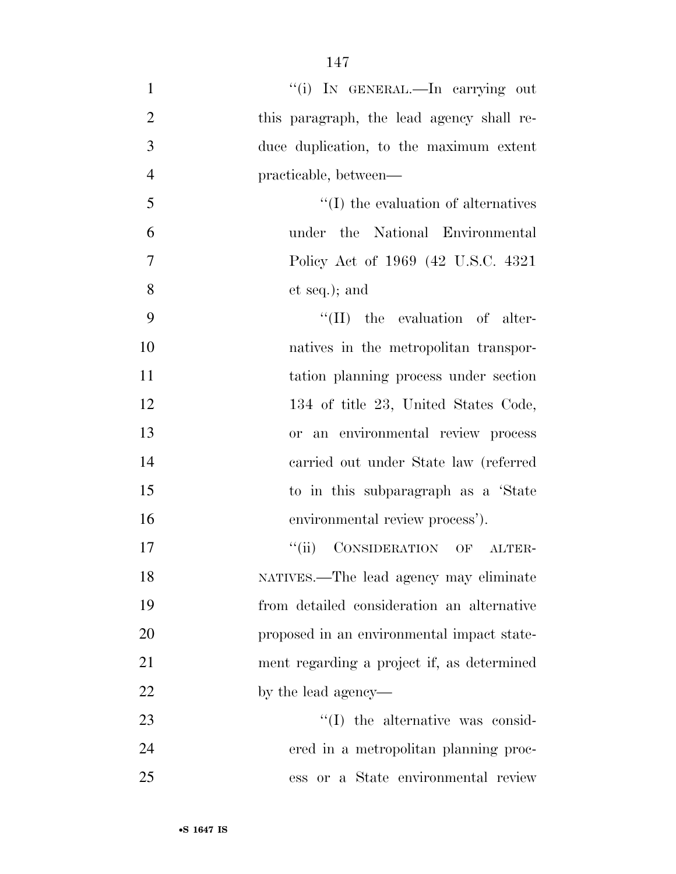| $\mathbf{1}$   | "(i) IN GENERAL.—In carrying out           |
|----------------|--------------------------------------------|
| $\overline{2}$ | this paragraph, the lead agency shall re-  |
| 3              | duce duplication, to the maximum extent    |
| $\overline{4}$ | practicable, between—                      |
| 5              | $\lq\lq$ the evaluation of alternatives    |
| 6              | under the National Environmental           |
| $\tau$         | Policy Act of 1969 (42 U.S.C. 4321)        |
| 8              | et seq.); and                              |
| 9              | $\lq\lq$ (II) the evaluation of alter-     |
| 10             | natives in the metropolitan transpor-      |
| 11             | tation planning process under section      |
| 12             | 134 of title 23, United States Code,       |
| 13             | or an environmental review process         |
| 14             | carried out under State law (referred      |
| 15             | to in this subparagraph as a 'State        |
| 16             | environmental review process').            |
| 17             | "(ii) CONSIDERATION OF ALTER-              |
| 18             | NATIVES.-The lead agency may eliminate     |
| 19             | from detailed consideration an alternative |
| 20             | proposed in an environmental impact state- |
| 21             | ment regarding a project if, as determined |
| 22             | by the lead agency—                        |
| 23             | $\lq\lq$ the alternative was consid-       |
| 24             | ered in a metropolitan planning proc-      |
| 25             | ess or a State environmental review        |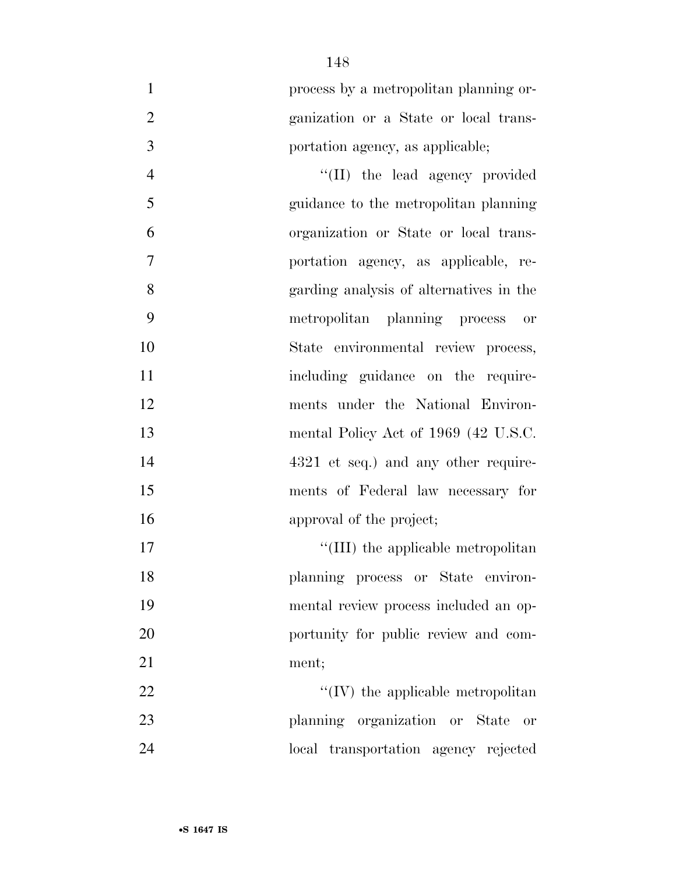|                | process by a metropolitan planning or- |
|----------------|----------------------------------------|
| $\overline{2}$ | ganization or a State or local trans-  |
|                | portation agency, as applicable;       |

4 ''(II) the lead agency provided guidance to the metropolitan planning organization or State or local trans- portation agency, as applicable, re- garding analysis of alternatives in the metropolitan planning process or State environmental review process, 11 including guidance on the require- ments under the National Environ-13 mental Policy Act of 1969 (42 U.S.C. 14 4321 et seq.) and any other require- ments of Federal law necessary for approval of the project;

 $\text{``(III)}$  the applicable metropolitan planning process or State environ- mental review process included an op- portunity for public review and com-ment;

22  $\langle$  ''(IV) the applicable metropolitan planning organization or State or local transportation agency rejected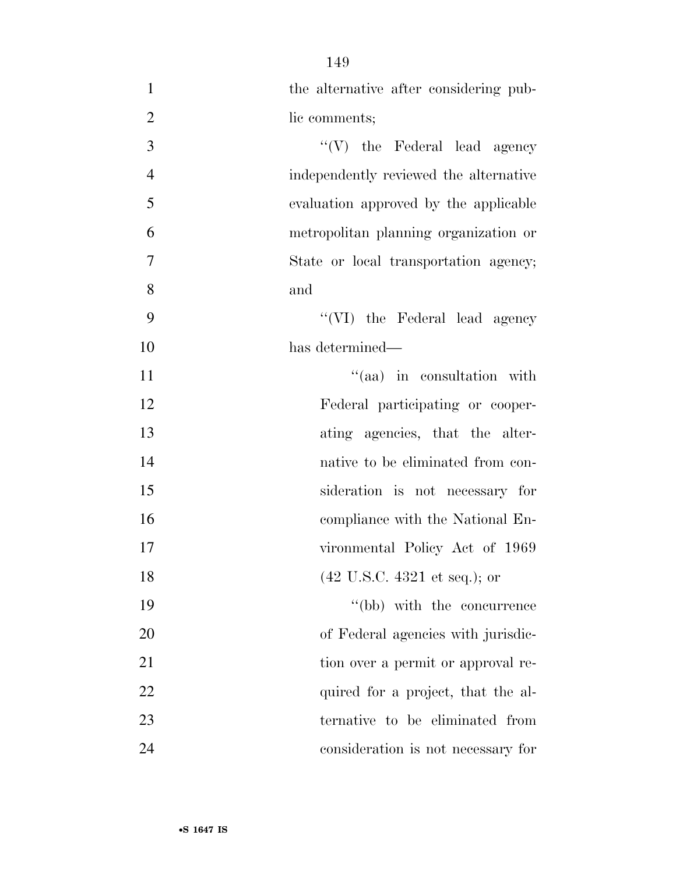| $\mathbf{1}$   | the alternative after considering pub-          |
|----------------|-------------------------------------------------|
| $\overline{2}$ | lic comments;                                   |
| 3              | $\lq\lq(V)$ the Federal lead agency             |
| $\overline{4}$ | independently reviewed the alternative          |
| 5              | evaluation approved by the applicable           |
| 6              | metropolitan planning organization or           |
| $\tau$         | State or local transportation agency;           |
| 8              | and                                             |
| 9              | "(VI) the Federal lead agency                   |
| 10             | has determined—                                 |
| 11             | "(aa) in consultation with                      |
| 12             | Federal participating or cooper-                |
| 13             | ating agencies, that the alter-                 |
| 14             | native to be eliminated from con-               |
| 15             | sideration is not necessary for                 |
| 16             | compliance with the National En-                |
| 17             | vironmental Policy Act of 1969                  |
| 18             | $(42 \text{ U.S.C. } 4321 \text{ et seq.});$ or |
| 19             | "(bb) with the concurrence                      |
| 20             | of Federal agencies with jurisdic-              |
| 21             | tion over a permit or approval re-              |
| 22             | quired for a project, that the al-              |
| 23             | ternative to be eliminated from                 |
| 24             | consideration is not necessary for              |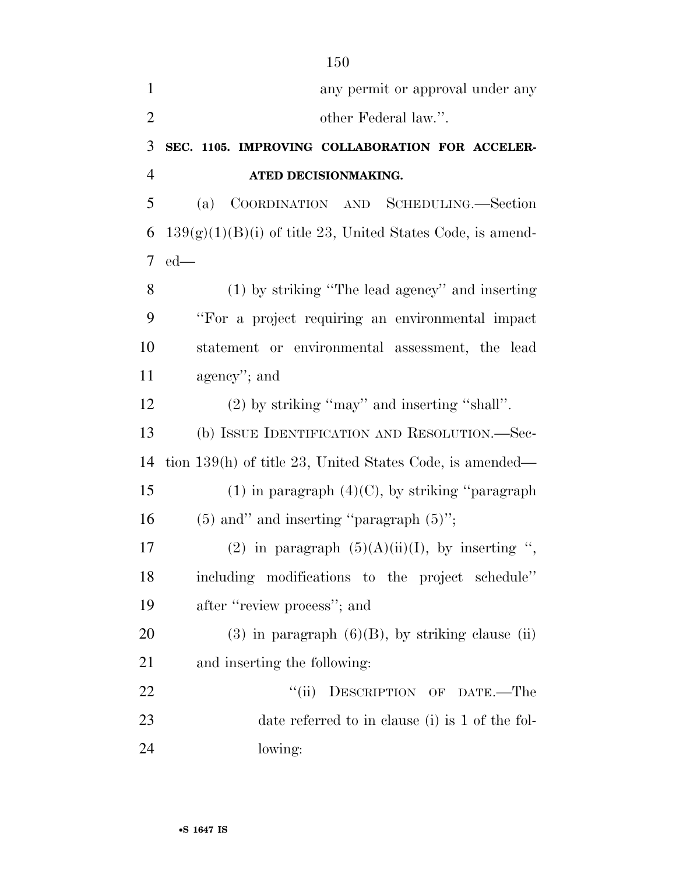|                | 150                                                          |
|----------------|--------------------------------------------------------------|
| $\mathbf{1}$   | any permit or approval under any                             |
| $\sqrt{2}$     | other Federal law.".                                         |
| 3              | SEC. 1105. IMPROVING COLLABORATION FOR ACCELER-              |
| $\overline{4}$ | ATED DECISIONMAKING.                                         |
| 5              | COORDINATION AND SCHEDULING.-Section<br>(a)                  |
| 6              | $139(g)(1)(B)(i)$ of title 23, United States Code, is amend- |
| 7              | $ed$ —                                                       |
| 8              | (1) by striking "The lead agency" and inserting              |
| 9              | "For a project requiring an environmental impact             |
| 10             | statement or environmental assessment, the lead              |
| 11             | agency"; and                                                 |
| 12             | $(2)$ by striking "may" and inserting "shall".               |
| 13             | (b) ISSUE IDENTIFICATION AND RESOLUTION.—Sec-                |
| 14             | tion $139(h)$ of title 23, United States Code, is amended—   |
| 15             | $(1)$ in paragraph $(4)(C)$ , by striking "paragraph"        |
| 16             | $(5)$ and" and inserting "paragraph $(5)$ ";                 |
| 17             | (2) in paragraph $(5)(A)(ii)(I)$ , by inserting "            |
| 18             | including modifications to the project schedule"             |
| 19             | after "review process"; and                                  |
| 20             | $(3)$ in paragraph $(6)(B)$ , by striking clause (ii)        |
| 21             | and inserting the following:                                 |
| 22             | DESCRIPTION OF DATE.-The<br>``(ii)                           |
| 23             | date referred to in clause (i) is 1 of the fol-              |
| 24             | lowing:                                                      |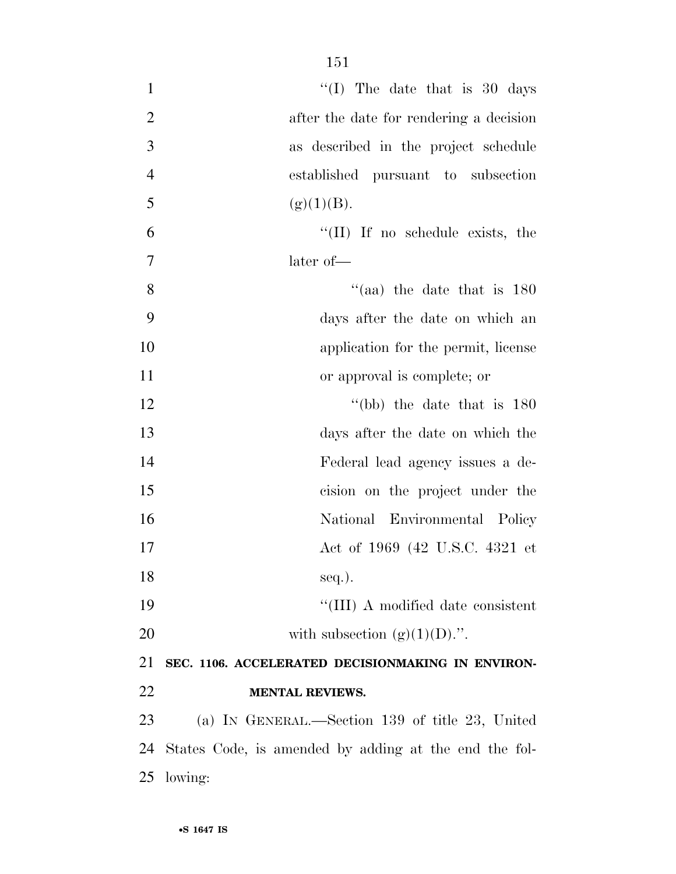| $\mathbf{1}$   | "(I) The date that is $30 \text{ days}$               |
|----------------|-------------------------------------------------------|
| $\overline{2}$ | after the date for rendering a decision               |
| 3              | as described in the project schedule                  |
| $\overline{4}$ | established pursuant to subsection                    |
| 5              | (g)(1)(B).                                            |
| 6              | "(II) If no schedule exists, the                      |
| $\overline{7}$ | later of-                                             |
| 8              | "(aa) the date that is $180$                          |
| 9              | days after the date on which an                       |
| 10             | application for the permit, license                   |
| 11             | or approval is complete; or                           |
| 12             | "(bb) the date that is $180$                          |
| 13             | days after the date on which the                      |
| 14             | Federal lead agency issues a de-                      |
| 15             | cision on the project under the                       |
| 16             | National Environmental Policy                         |
| 17             | Act of 1969 (42 U.S.C. 4321 et                        |
| 18             | $seq.$ ).                                             |
| 19             | "(III) A modified date consistent                     |
| 20             | with subsection $(g)(1)(D)$ .".                       |
| 21             | SEC. 1106. ACCELERATED DECISIONMAKING IN ENVIRON-     |
| 22             | <b>MENTAL REVIEWS.</b>                                |
| 23             | (a) IN GENERAL.—Section 139 of title 23, United       |
| 24             | States Code, is amended by adding at the end the fol- |
| 25             | lowing:                                               |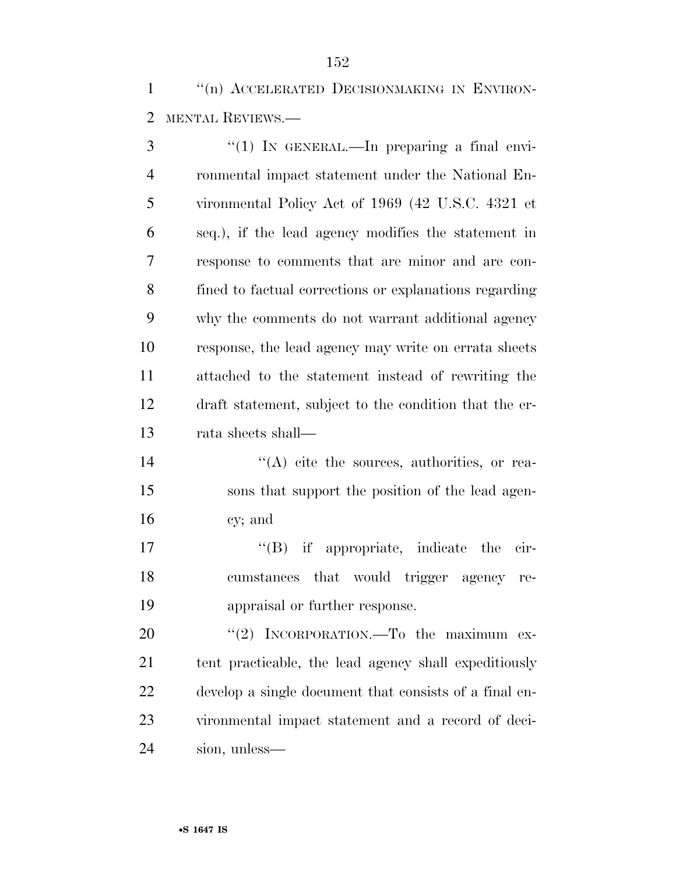1 "(n) ACCELERATED DECISIONMAKING IN ENVIRON-MENTAL REVIEWS.—

3 "(1) IN GENERAL.—In preparing a final envi- ronmental impact statement under the National En- vironmental Policy Act of 1969 (42 U.S.C. 4321 et seq.), if the lead agency modifies the statement in response to comments that are minor and are con- fined to factual corrections or explanations regarding why the comments do not warrant additional agency response, the lead agency may write on errata sheets attached to the statement instead of rewriting the draft statement, subject to the condition that the er-rata sheets shall—

14  $((A)$  cite the sources, authorities, or rea- sons that support the position of the lead agen-cy; and

17  $\text{``(B)}$  if appropriate, indicate the cir- cumstances that would trigger agency re-appraisal or further response.

20 "(2) INCORPORATION.—To the maximum ex- tent practicable, the lead agency shall expeditiously develop a single document that consists of a final en- vironmental impact statement and a record of deci-sion, unless—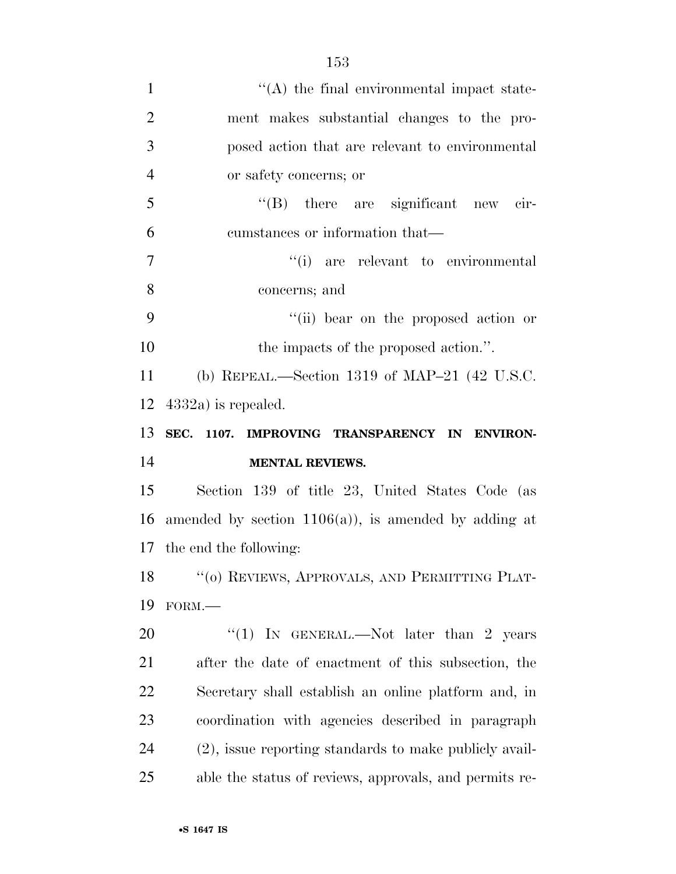| $\mathbf{1}$   | $\lq\lq$ the final environmental impact state-           |
|----------------|----------------------------------------------------------|
| $\overline{2}$ | ment makes substantial changes to the pro-               |
| 3              | posed action that are relevant to environmental          |
| $\overline{4}$ | or safety concerns; or                                   |
| 5              | $\lq\lq(B)$ there are significant new cir-               |
| 6              | cumstances or information that—                          |
| $\tau$         | "(i) are relevant to environmental                       |
| 8              | concerns; and                                            |
| 9              | "(ii) bear on the proposed action or                     |
| 10             | the impacts of the proposed action.".                    |
| 11             | (b) REPEAL.—Section 1319 of MAP-21 $(42 \text{ U.S.C.})$ |
| 12             | $4332a$ is repealed.                                     |
|                |                                                          |
| 13             | SEC. 1107. IMPROVING TRANSPARENCY IN ENVIRON-            |
| 14             | <b>MENTAL REVIEWS.</b>                                   |
| 15             | Section 139 of title 23, United States Code (as          |
| 16             | amended by section $1106(a)$ , is amended by adding at   |
|                | 17 the end the following:                                |
|                | 18 "(o) REVIEWS, APPROVALS, AND PERMITTING PLAT-         |
| 19             | FORM.                                                    |
| 20             | "(1) IN GENERAL.—Not later than 2 years                  |
| 21             | after the date of enactment of this subsection, the      |
| 22             | Secretary shall establish an online platform and, in     |
| 23             | coordination with agencies described in paragraph        |
| 24             | (2), issue reporting standards to make publicly avail-   |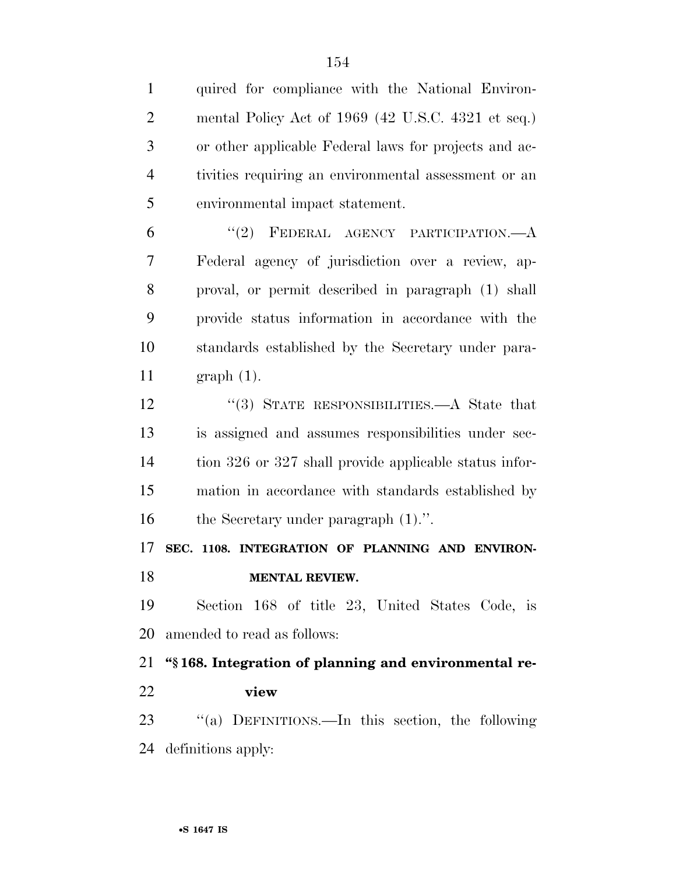| $\mathbf{1}$   | quired for compliance with the National Environ-       |
|----------------|--------------------------------------------------------|
| $\overline{2}$ | mental Policy Act of 1969 (42 U.S.C. 4321 et seq.)     |
| 3              | or other applicable Federal laws for projects and ac-  |
| $\overline{4}$ | tivities requiring an environmental assessment or an   |
| 5              | environmental impact statement.                        |
| 6              | "(2) FEDERAL AGENCY PARTICIPATION. $-A$                |
| 7              | Federal agency of jurisdiction over a review, ap-      |
| 8              | proval, or permit described in paragraph (1) shall     |
| 9              | provide status information in accordance with the      |
| 10             | standards established by the Secretary under para-     |
| 11             | $graph(1)$ .                                           |
| 12             | "(3) STATE RESPONSIBILITIES.—A State that              |
| 13             | is assigned and assumes responsibilities under sec-    |
| 14             | tion 326 or 327 shall provide applicable status infor- |
| 15             | mation in accordance with standards established by     |
| 16             | the Secretary under paragraph $(1)$ .".                |
| 17             | SEC. 1108. INTEGRATION OF PLANNING AND ENVIRON-        |
| 18             | <b>MENTAL REVIEW.</b>                                  |
| 19             | Section 168 of title 23, United States Code, is        |
| 20             | amended to read as follows:                            |
| 21             | "\\$168. Integration of planning and environmental re- |
| 22             | view                                                   |
| 23             | "(a) DEFINITIONS.—In this section, the following       |
| 24             | definitions apply:                                     |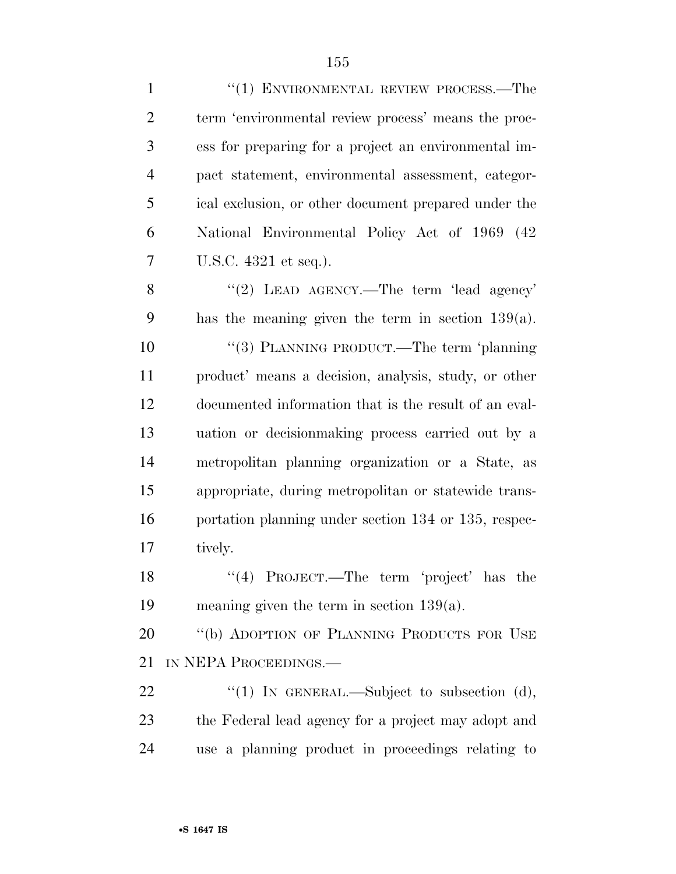| $\mathbf{1}$   | $``(1)$ ENVIRONMENTAL REVIEW PROCESS.—The             |
|----------------|-------------------------------------------------------|
| $\overline{2}$ | term 'environmental review process' means the proc-   |
| 3              | ess for preparing for a project an environmental im-  |
| $\overline{4}$ | pact statement, environmental assessment, categor-    |
| 5              | ical exclusion, or other document prepared under the  |
| 6              | National Environmental Policy Act of 1969 (42)        |
| 7              | U.S.C. 4321 et seq.).                                 |
| 8              | "(2) LEAD AGENCY.—The term 'lead agency'              |
| 9              | has the meaning given the term in section $139(a)$ .  |
| 10             | "(3) PLANNING PRODUCT.—The term 'planning             |
| 11             | product' means a decision, analysis, study, or other  |
| 12             | documented information that is the result of an eval- |
| 13             | uation or decision making process carried out by a    |
| 14             | metropolitan planning organization or a State, as     |
| 15             | appropriate, during metropolitan or statewide trans-  |
| 16             | portation planning under section 134 or 135, respec-  |
| 17             | tively.                                               |
| 18             | "(4) PROJECT.—The term 'project' has the              |
| 19             | meaning given the term in section $139(a)$ .          |
| 20             | "(b) ADOPTION OF PLANNING PRODUCTS FOR USE            |
| 21             | IN NEPA PROCEEDINGS.—                                 |
| 22             | " $(1)$ IN GENERAL.—Subject to subsection $(d)$ ,     |
| 23             | the Federal lead agency for a project may adopt and   |
| 24             | use a planning product in proceedings relating to     |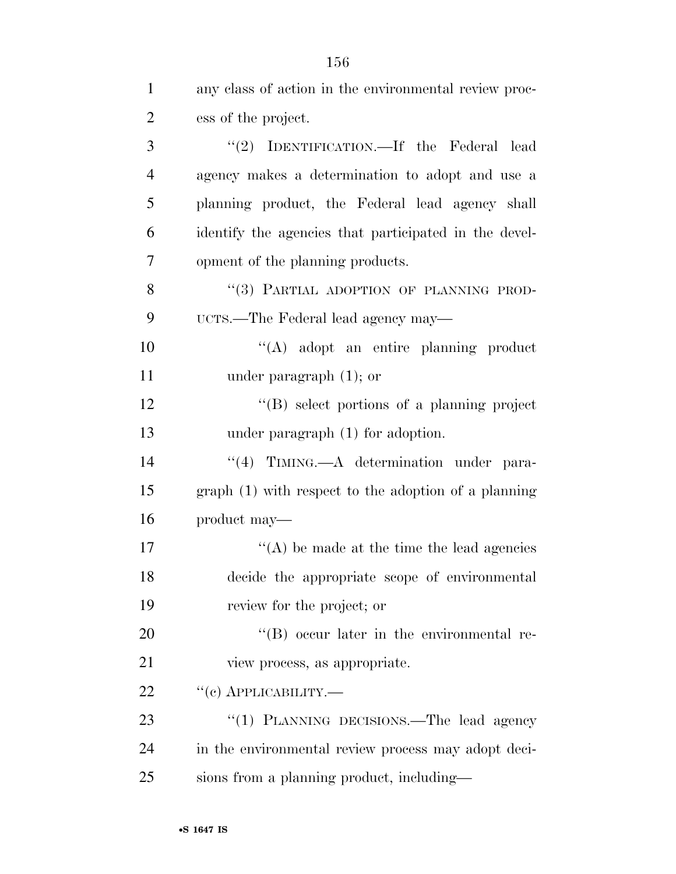| $\mathbf{1}$   | any class of action in the environmental review proc- |
|----------------|-------------------------------------------------------|
| $\overline{2}$ | ess of the project.                                   |
| 3              | "(2) IDENTIFICATION.—If the Federal lead              |
| $\overline{4}$ | agency makes a determination to adopt and use a       |
| 5              | planning product, the Federal lead agency shall       |
| 6              | identify the agencies that participated in the devel- |
| 7              | opment of the planning products.                      |
| 8              | "(3) PARTIAL ADOPTION OF PLANNING PROD-               |
| 9              | UCTS.—The Federal lead agency may—                    |
| 10             | "(A) adopt an entire planning product                 |
| 11             | under paragraph $(1)$ ; or                            |
| 12             | $\lq\lq (B)$ select portions of a planning project    |
| 13             | under paragraph $(1)$ for adoption.                   |
| 14             | "(4) TIMING.—A determination under para-              |
| 15             | $graph(1)$ with respect to the adoption of a planning |
| 16             | product may—                                          |
| 17             | $\lq\lq$ be made at the time the lead agencies        |
| 18             | decide the appropriate scope of environmental         |
| 19             | review for the project; or                            |
| 20             | $\lq\lq (B)$ occur later in the environmental re-     |
| 21             | view process, as appropriate.                         |
| 22             | $``(c)$ APPLICABILITY.—                               |
| 23             | "(1) PLANNING DECISIONS.—The lead agency              |
| 24             | in the environmental review process may adopt deci-   |
| 25             | sions from a planning product, including—             |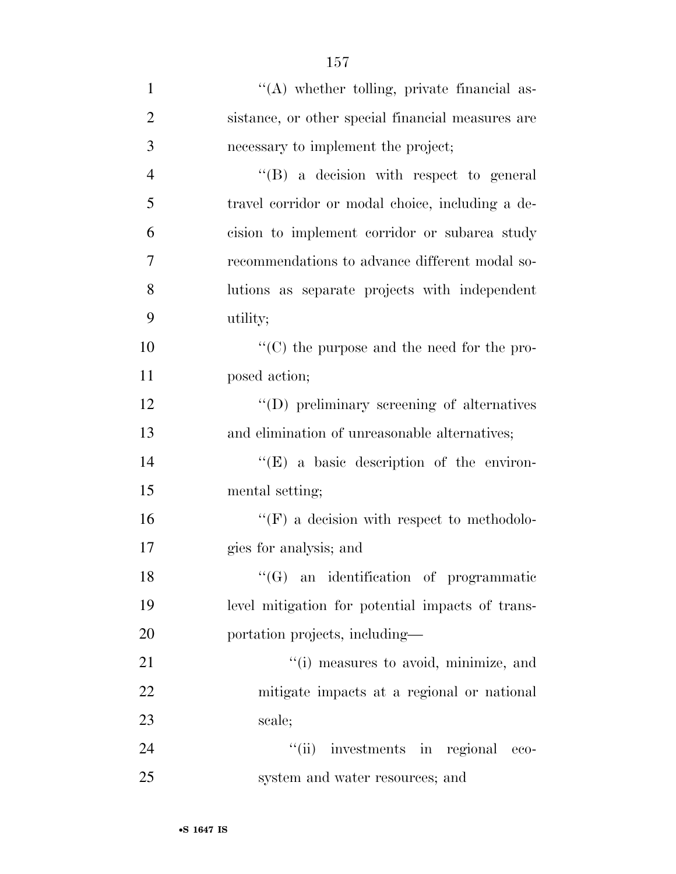| $\mathbf{1}$   | "(A) whether tolling, private financial as-        |
|----------------|----------------------------------------------------|
| 2              | sistance, or other special financial measures are  |
| 3              | necessary to implement the project;                |
| $\overline{4}$ | "(B) a decision with respect to general            |
| 5              | travel corridor or modal choice, including a de-   |
| 6              | cision to implement corridor or subarea study      |
| 7              | recommendations to advance different modal so-     |
| 8              | lutions as separate projects with independent      |
| 9              | utility;                                           |
| 10             | $\lq\lq$ (C) the purpose and the need for the pro- |
| 11             | posed action;                                      |
| 12             | "(D) preliminary screening of alternatives         |
| 13             | and elimination of unreasonable alternatives;      |
| 14             | $\lq\lq(E)$ a basic description of the environ-    |
| 15             | mental setting;                                    |
| 16             | $\lq\lq(F)$ a decision with respect to methodolo-  |
| 17             | gies for analysis; and                             |
| 18             | "(G) an identification of programmatic             |
| 19             | level mitigation for potential impacts of trans-   |
| 20             | portation projects, including—                     |
| 21             | "(i) measures to avoid, minimize, and              |
| 22             | mitigate impacts at a regional or national         |
| 23             | scale;                                             |
| 24             | "(ii) investments in regional<br>eco-              |
| 25             | system and water resources; and                    |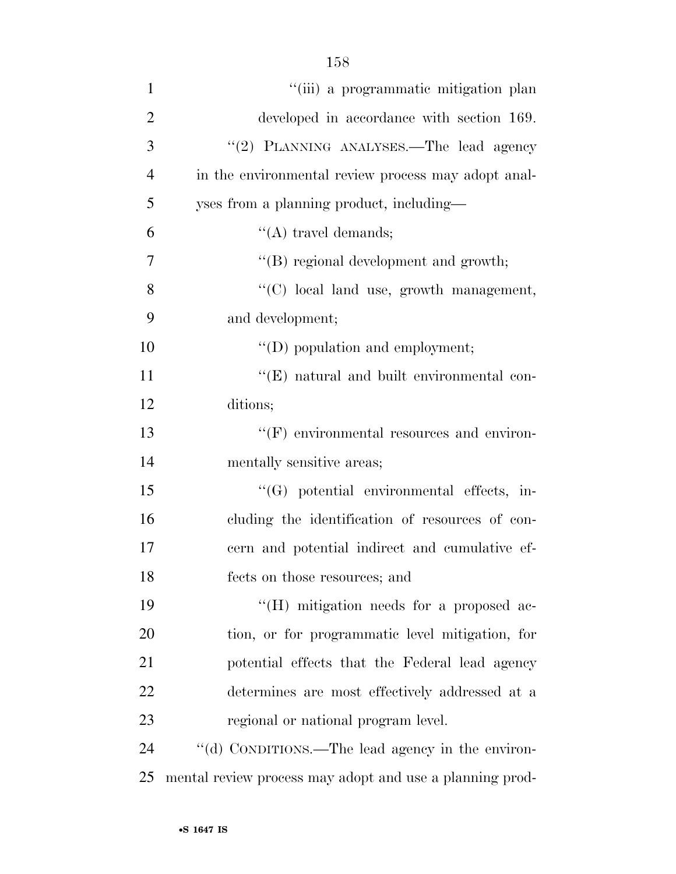| $\mathbf{1}$   | "(iii) a programmatic mitigation plan                    |
|----------------|----------------------------------------------------------|
| $\overline{2}$ | developed in accordance with section 169.                |
| 3              | "(2) PLANNING ANALYSES.—The lead agency                  |
| $\overline{4}$ | in the environmental review process may adopt anal-      |
| 5              | yses from a planning product, including—                 |
| 6              | $\lq\lq$ travel demands;                                 |
| 7              | $\lq\lq$ regional development and growth;                |
| 8              | "(C) local land use, growth management,                  |
| 9              | and development;                                         |
| 10             | "(D) population and employment;                          |
| 11             | $\lq\lq$ (E) natural and built environmental con-        |
| 12             | ditions;                                                 |
| 13             | $"$ (F) environmental resources and environ-             |
| 14             | mentally sensitive areas;                                |
| 15             | $\lq\lq(G)$ potential environmental effects, in-         |
| 16             | cluding the identification of resources of con-          |
| 17             | cern and potential indirect and cumulative ef-           |
| 18             | fects on those resources; and                            |
| 19             | $\lq\lq$ (H) mitigation needs for a proposed ac-         |
| 20             | tion, or for programmatic level mitigation, for          |
| 21             | potential effects that the Federal lead agency           |
| 22             | determines are most effectively addressed at a           |
| 23             | regional or national program level.                      |
| 24             | "(d) CONDITIONS.—The lead agency in the environ-         |
| 25             | mental review process may adopt and use a planning prod- |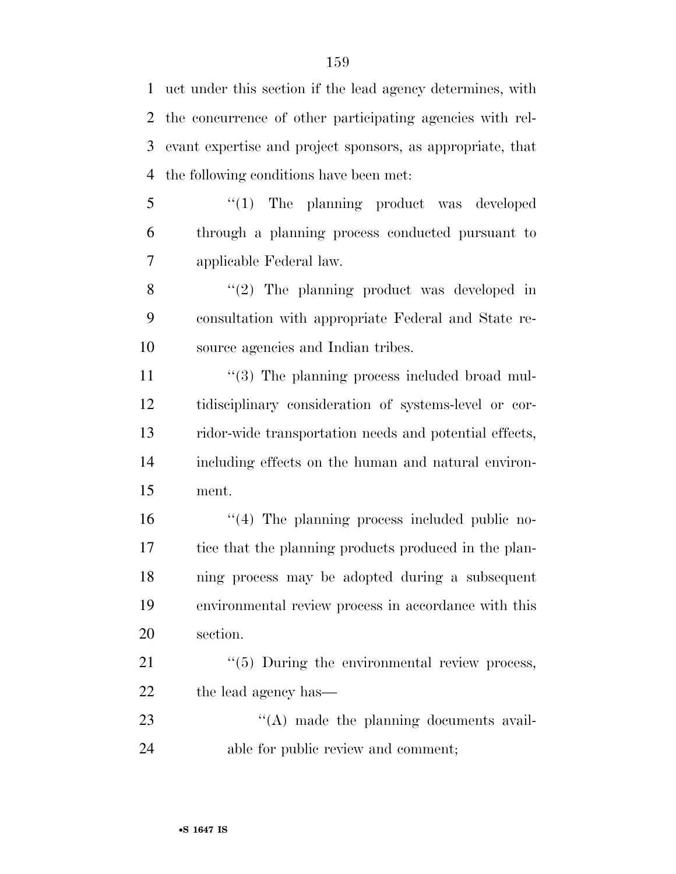uct under this section if the lead agency determines, with the concurrence of other participating agencies with rel- evant expertise and project sponsors, as appropriate, that the following conditions have been met:

5 "(1) The planning product was developed through a planning process conducted pursuant to applicable Federal law.

8 "(2) The planning product was developed in consultation with appropriate Federal and State re-source agencies and Indian tribes.

 $\frac{1}{3}$  The planning process included broad mul- tidisciplinary consideration of systems-level or cor- ridor-wide transportation needs and potential effects, including effects on the human and natural environ-ment.

 $\frac{16}{16}$  The planning process included public no- tice that the planning products produced in the plan- ning process may be adopted during a subsequent environmental review process in accordance with this section.

21  $\frac{1}{2}$  (5) During the environmental review process, 22 the lead agency has—

23  $\frac{u'(A)}{A}$  made the planning documents avail-24 able for public review and comment;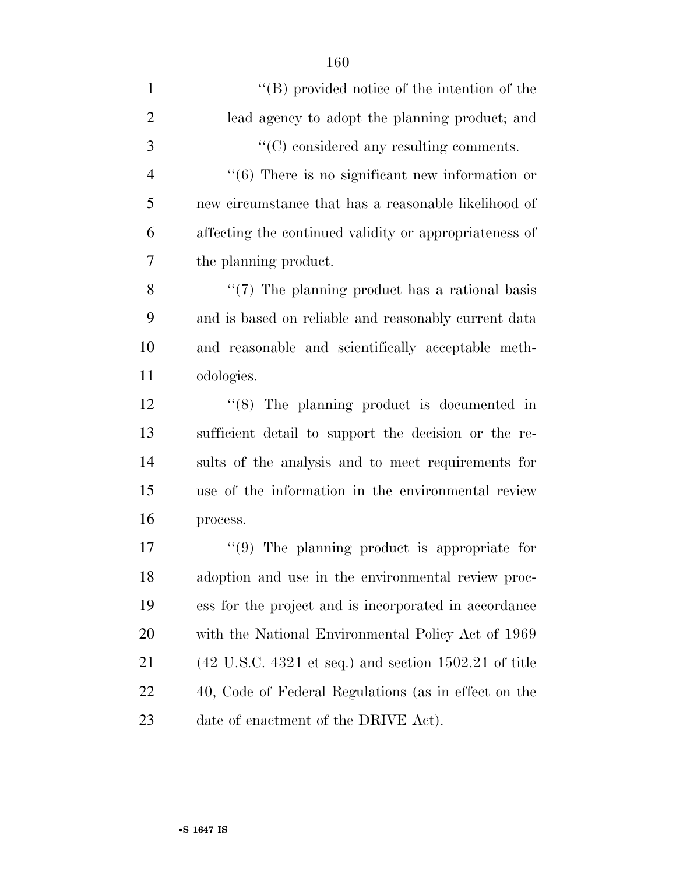| $\mathbf{1}$   | $\lq\lq (B)$ provided notice of the intention of the                               |
|----------------|------------------------------------------------------------------------------------|
| $\overline{2}$ | lead agency to adopt the planning product; and                                     |
| 3              | "(C) considered any resulting comments.                                            |
| $\overline{4}$ | $\cdot\cdot$ (6) There is no significant new information or                        |
| 5              | new circumstance that has a reasonable likelihood of                               |
| 6              | affecting the continued validity or appropriateness of                             |
| 7              | the planning product.                                                              |
| 8              | $\lq(7)$ The planning product has a rational basis                                 |
| 9              | and is based on reliable and reasonably current data                               |
| 10             | and reasonable and scientifically acceptable meth-                                 |
| 11             | odologies.                                                                         |
| 12             | $\cdot$ (8) The planning product is documented in                                  |
| 13             | sufficient detail to support the decision or the re-                               |
| 14             | sults of the analysis and to meet requirements for                                 |
| 15             | use of the information in the environmental review                                 |
| 16             | process.                                                                           |
| 17             | $(9)$ The planning product is appropriate for                                      |
| 18             | adoption and use in the environmental review proc-                                 |
| 19             | ess for the project and is incorporated in accordance                              |
| <b>20</b>      | with the National Environmental Policy Act of 1969                                 |
| 21             | $(42 \text{ U.S.C. } 4321 \text{ et seq.})$ and section $1502.21 \text{ of title}$ |
| 22             | 40, Code of Federal Regulations (as in effect on the                               |
| 23             | date of enactment of the DRIVE Act).                                               |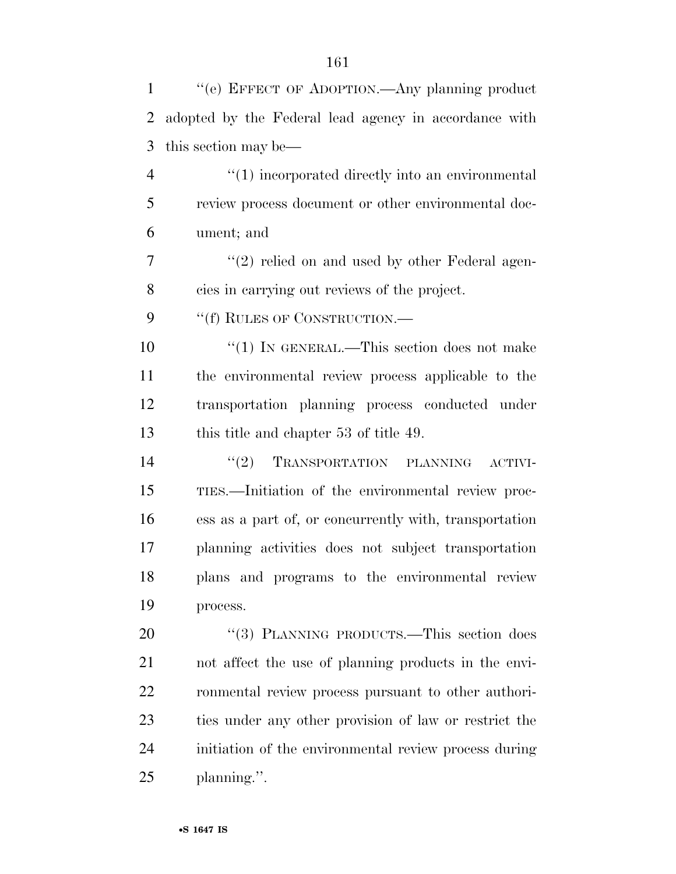| $\mathbf{1}$   | "(e) EFFECT OF ADOPTION.—Any planning product          |
|----------------|--------------------------------------------------------|
| $\overline{2}$ | adopted by the Federal lead agency in accordance with  |
| 3              | this section may be—                                   |
| $\overline{4}$ | "(1) incorporated directly into an environmental       |
| 5              | review process document or other environmental doc-    |
| 6              | ument; and                                             |
| 7              | "(2) relied on and used by other Federal agen-         |
| 8              | cies in carrying out reviews of the project.           |
| 9              | "(f) RULES OF CONSTRUCTION.—                           |
| 10             | "(1) IN GENERAL.—This section does not make            |
| 11             | the environmental review process applicable to the     |
| 12             | transportation planning process conducted under        |
| 13             | this title and chapter 53 of title 49.                 |
| 14             | "(2) TRANSPORTATION PLANNING ACTIVI-                   |
| 15             | TIES.—Initiation of the environmental review proc-     |
| 16             | ess as a part of, or concurrently with, transportation |
| 17             | planning activities does not subject transportation    |
| 18             | plans and programs to the environmental review         |
| 19             | process.                                               |
| 20             | "(3) PLANNING PRODUCTS.—This section does              |
| 21             | not affect the use of planning products in the envi-   |
| 22             | ronmental review process pursuant to other authori-    |
| 23             | ties under any other provision of law or restrict the  |
| 24             | initiation of the environmental review process during  |
| 25             | planning.".                                            |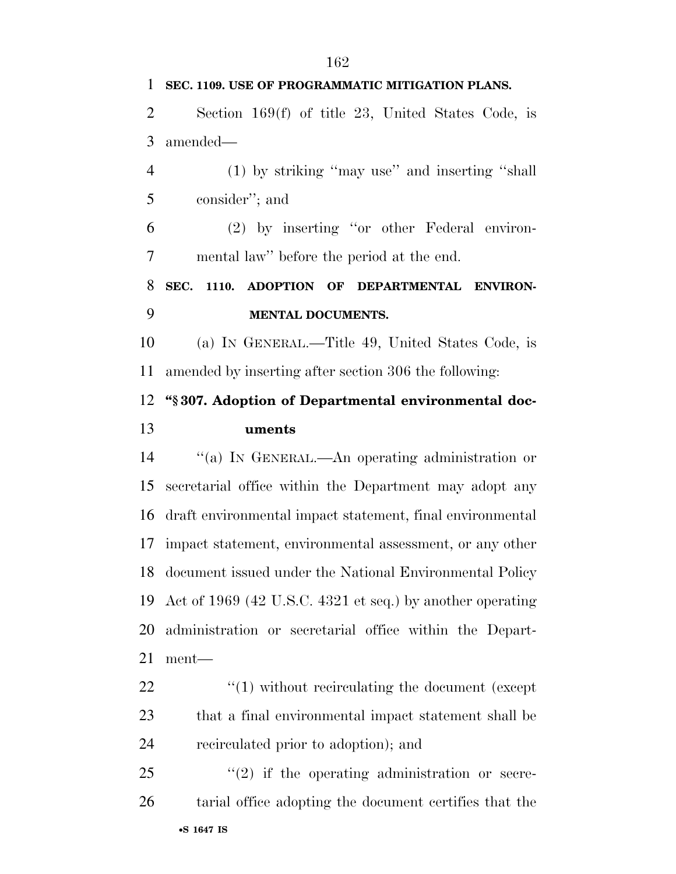•**S 1647 IS SEC. 1109. USE OF PROGRAMMATIC MITIGATION PLANS.**  Section 169(f) of title 23, United States Code, is amended— (1) by striking ''may use'' and inserting ''shall consider''; and (2) by inserting ''or other Federal environ- mental law'' before the period at the end. **SEC. 1110. ADOPTION OF DEPARTMENTAL ENVIRON- MENTAL DOCUMENTS.**  (a) IN GENERAL.—Title 49, United States Code, is amended by inserting after section 306 the following: **''§ 307. Adoption of Departmental environmental doc- uments**  ''(a) IN GENERAL.—An operating administration or secretarial office within the Department may adopt any draft environmental impact statement, final environmental impact statement, environmental assessment, or any other document issued under the National Environmental Policy Act of 1969 (42 U.S.C. 4321 et seq.) by another operating administration or secretarial office within the Depart- ment—  $\frac{1}{2}$   $\frac{1}{2}$  without recirculating the document (except that a final environmental impact statement shall be recirculated prior to adoption); and  $(2)$  if the operating administration or secre-tarial office adopting the document certifies that the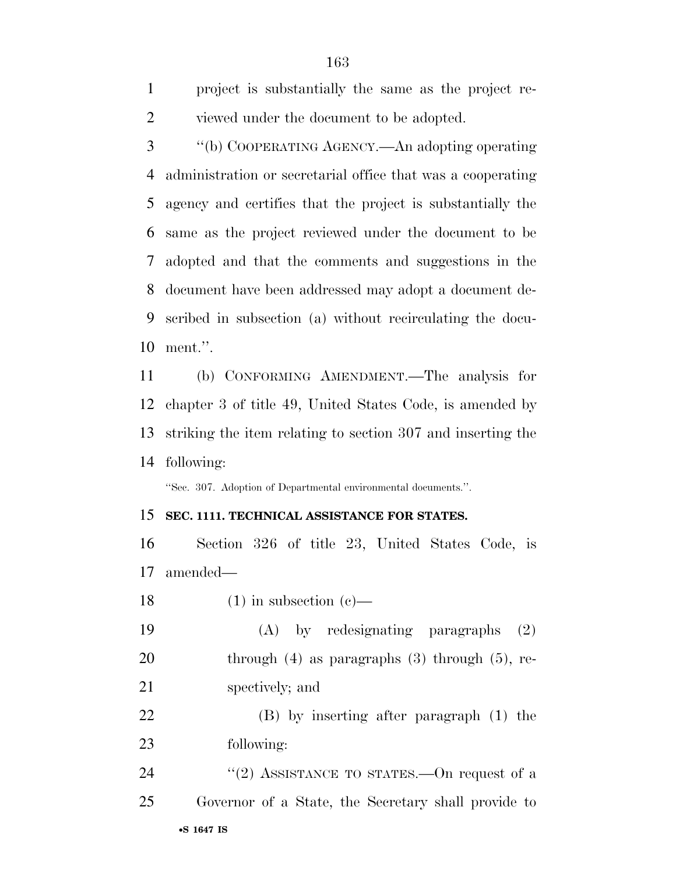| project is substantially the same as the project re- |
|------------------------------------------------------|
| viewed under the document to be adopted.             |

 ''(b) COOPERATING AGENCY.—An adopting operating administration or secretarial office that was a cooperating agency and certifies that the project is substantially the same as the project reviewed under the document to be adopted and that the comments and suggestions in the document have been addressed may adopt a document de- scribed in subsection (a) without recirculating the docu-ment.''.

 (b) CONFORMING AMENDMENT.—The analysis for chapter 3 of title 49, United States Code, is amended by striking the item relating to section 307 and inserting the following:

''Sec. 307. Adoption of Departmental environmental documents.''.

## **SEC. 1111. TECHNICAL ASSISTANCE FOR STATES.**

 Section 326 of title 23, United States Code, is amended—

- 18 (1) in subsection  $(c)$ —
- (A) by redesignating paragraphs (2) 20 through (4) as paragraphs (3) through (5), re-spectively; and

 (B) by inserting after paragraph (1) the following:

•**S 1647 IS** 24 ''(2) ASSISTANCE TO STATES.—On request of a Governor of a State, the Secretary shall provide to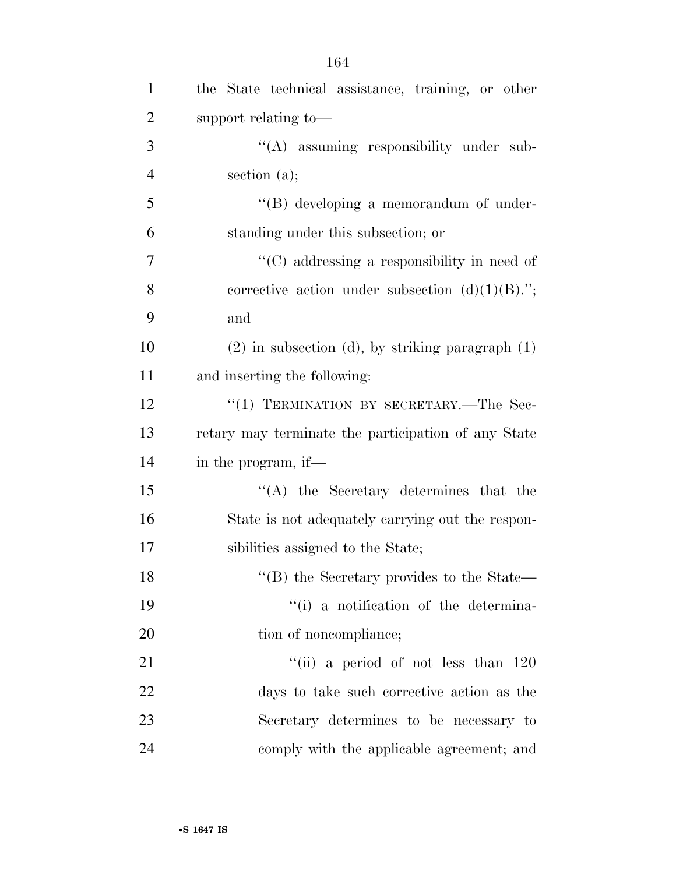| $\mathbf{1}$   | the State technical assistance, training, or other          |
|----------------|-------------------------------------------------------------|
| $\overline{2}$ | support relating to-                                        |
| 3              | "(A) assuming responsibility under sub-                     |
| $\overline{4}$ | section $(a)$ ;                                             |
| 5              | $\lq\lq (B)$ developing a memorandum of under-              |
| 6              | standing under this subsection; or                          |
| $\overline{7}$ | "(C) addressing a responsibility in need of                 |
| 8              | corrective action under subsection $(d)(1)(B)$ .";          |
| 9              | and                                                         |
| 10             | $(2)$ in subsection (d), by striking paragraph $(1)$        |
| 11             | and inserting the following:                                |
| 12             | "(1) TERMINATION BY SECRETARY.—The Sec-                     |
| 13             | retary may terminate the participation of any State         |
| 14             | in the program, if—                                         |
| 15             | $\lq\lq$ the Secretary determines that the                  |
| 16             | State is not adequately carrying out the respon-            |
| 17             | sibilities assigned to the State;                           |
| 18             | $\lq$ <sup>"</sup> (B) the Secretary provides to the State— |
| 19             | "(i) a notification of the determina-                       |
| 20             | tion of noncompliance;                                      |
| 21             | "(ii) a period of not less than $120$                       |
| 22             | days to take such corrective action as the                  |
| 23             | Secretary determines to be necessary to                     |
| 24             | comply with the applicable agreement; and                   |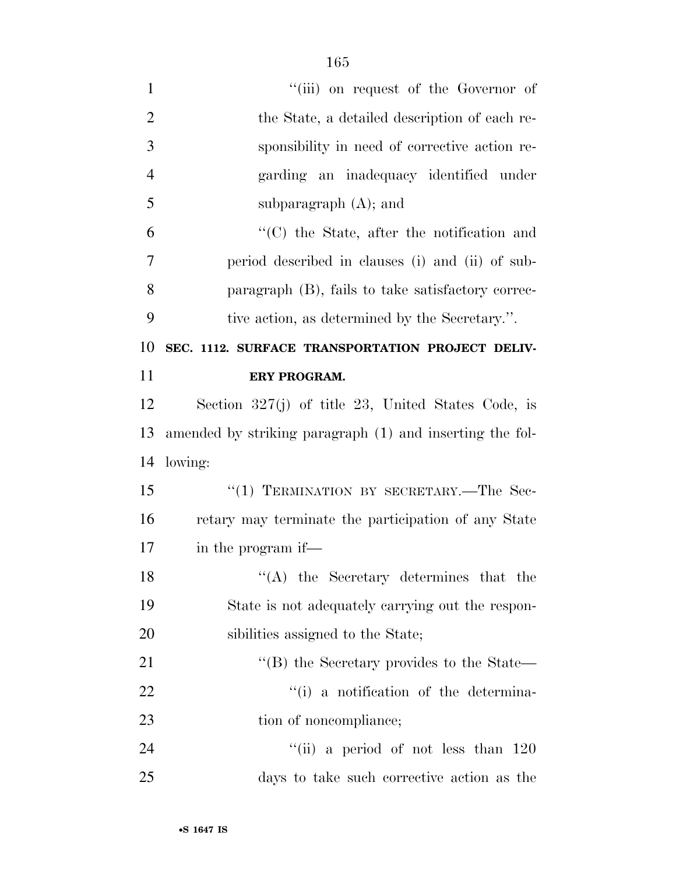| $\mathbf{1}$   | "(iii) on request of the Governor of                     |
|----------------|----------------------------------------------------------|
| $\overline{2}$ | the State, a detailed description of each re-            |
| 3              | sponsibility in need of corrective action re-            |
| $\overline{4}$ | garding an inadequacy identified under                   |
| 5              | subparagraph $(A)$ ; and                                 |
| 6              | $\cdot$ (C) the State, after the notification and        |
| 7              | period described in clauses (i) and (ii) of sub-         |
| 8              | paragraph (B), fails to take satisfactory correc-        |
| 9              | tive action, as determined by the Secretary.".           |
| 10             | SEC. 1112. SURFACE TRANSPORTATION PROJECT DELIV-         |
| 11             | ERY PROGRAM.                                             |
| 12             | Section $327(j)$ of title 23, United States Code, is     |
| 13             | amended by striking paragraph (1) and inserting the fol- |
| 14             | lowing:                                                  |
| 15             | "(1) TERMINATION BY SECRETARY.—The Sec-                  |
| 16             | retary may terminate the participation of any State      |
| 17             | in the program if—                                       |
| 18             | $\lq\lq$ the Secretary determines that the               |
| 19             | State is not adequately carrying out the respon-         |
| 20             | sibilities assigned to the State;                        |
| 21             | "(B) the Secretary provides to the State—                |
| 22             | "(i) a notification of the determina-                    |
| 23             | tion of noncompliance;                                   |
| 24             | "(ii) a period of not less than $120$                    |
| 25             | days to take such corrective action as the               |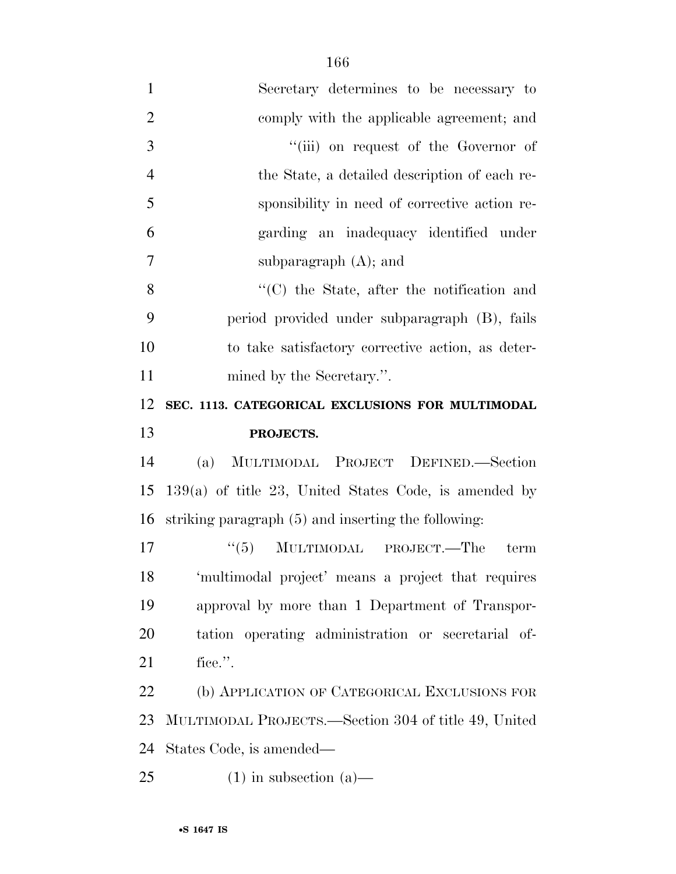| $\mathbf{1}$   | Secretary determines to be necessary to                 |
|----------------|---------------------------------------------------------|
| $\overline{2}$ | comply with the applicable agreement; and               |
| 3              | "(iii) on request of the Governor of                    |
| $\overline{4}$ | the State, a detailed description of each re-           |
| 5              | sponsibility in need of corrective action re-           |
| 6              | garding an inadequacy identified under                  |
| 7              | subparagraph $(A)$ ; and                                |
| 8              | "(C) the State, after the notification and              |
| 9              | period provided under subparagraph (B), fails           |
| 10             | to take satisfactory corrective action, as deter-       |
| 11             | mined by the Secretary.".                               |
| 12             | SEC. 1113. CATEGORICAL EXCLUSIONS FOR MULTIMODAL        |
|                |                                                         |
| 13             | PROJECTS.                                               |
| 14             | MULTIMODAL PROJECT DEFINED.-Section<br>(a)              |
| 15             | $139(a)$ of title 23, United States Code, is amended by |
| 16             | striking paragraph (5) and inserting the following:     |
| 17             | MULTIMODAL PROJECT.—The<br>(5)<br>term                  |
| 18             | 'multimodal project' means a project that requires      |
| 19             | approval by more than 1 Department of Transpor-         |
| 20             | tation operating administration or secretarial of-      |
| 21             | fice.".                                                 |
| 22             | (b) APPLICATION OF CATEGORICAL EXCLUSIONS FOR           |
| 23             | MULTIMODAL PROJECTS.—Section 304 of title 49, United    |
| 24             | States Code, is amended—                                |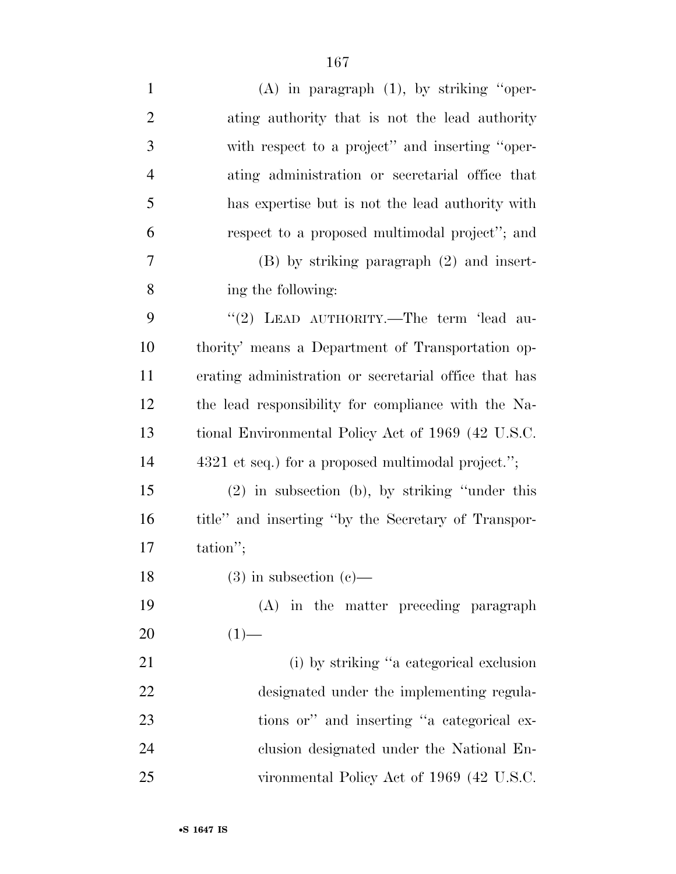| $\mathbf{1}$   | $(A)$ in paragraph $(1)$ , by striking "oper-         |
|----------------|-------------------------------------------------------|
| $\overline{2}$ | ating authority that is not the lead authority        |
| 3              | with respect to a project" and inserting "oper-       |
| $\overline{4}$ | ating administration or secretarial office that       |
| 5              | has expertise but is not the lead authority with      |
| 6              | respect to a proposed multimodal project"; and        |
| $\overline{7}$ | $(B)$ by striking paragraph $(2)$ and insert-         |
| 8              | ing the following:                                    |
| 9              | "(2) LEAD AUTHORITY.—The term 'lead au-               |
| 10             | thority' means a Department of Transportation op-     |
| 11             | erating administration or secretarial office that has |
| 12             | the lead responsibility for compliance with the Na-   |
| 13             | tional Environmental Policy Act of 1969 (42 U.S.C.    |
| 14             | 4321 et seq.) for a proposed multimodal project.";    |
| 15             | $(2)$ in subsection (b), by striking "under this      |
| 16             | title" and inserting "by the Secretary of Transpor-   |
| 17             | tation";                                              |
| 18             | $(3)$ in subsection $(e)$ —                           |
| 19             | (A) in the matter preceding paragraph                 |
| 20             | $(1)$ —                                               |
| 21             | (i) by striking "a categorical exclusion              |
| 22             | designated under the implementing regula-             |
| 23             | tions or" and inserting "a categorical ex-            |
| 24             | clusion designated under the National En-             |
| 25             | vironmental Policy Act of 1969 (42 U.S.C.             |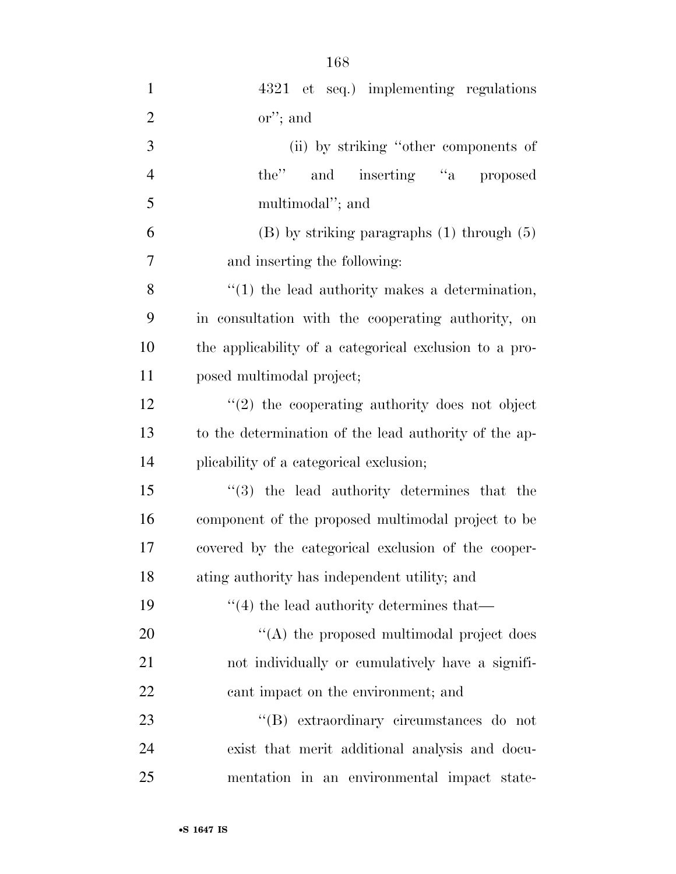| $\mathbf{1}$   | 4321 et seq.) implementing regulations                 |
|----------------|--------------------------------------------------------|
| $\overline{2}$ | $\alpha$ "; and                                        |
| 3              | (ii) by striking "other components of                  |
| $\overline{4}$ | the" and inserting "a proposed                         |
| 5              | multimodal"; and                                       |
| 6              | $(B)$ by striking paragraphs $(1)$ through $(5)$       |
| 7              | and inserting the following:                           |
| 8              | $"(1)$ the lead authority makes a determination,       |
| 9              | in consultation with the cooperating authority, on     |
| 10             | the applicability of a categorical exclusion to a pro- |
| 11             | posed multimodal project;                              |
| 12             | $\lq(2)$ the cooperating authority does not object     |
| 13             | to the determination of the lead authority of the ap-  |
| 14             | plicability of a categorical exclusion;                |
| 15             | $(3)$ the lead authority determines that the           |
| 16             | component of the proposed multimodal project to be     |
| 17             | covered by the categorical exclusion of the cooper-    |
| 18             | ating authority has independent utility; and           |
| 19             | $``(4)$ the lead authority determines that—            |
| 20             | "(A) the proposed multimodal project does              |
| 21             | not individually or cumulatively have a signifi-       |
| 22             | cant impact on the environment; and                    |
| 23             | "(B) extraordinary circumstances do not                |
| 24             | exist that merit additional analysis and docu-         |
| 25             | mentation in an environmental impact state-            |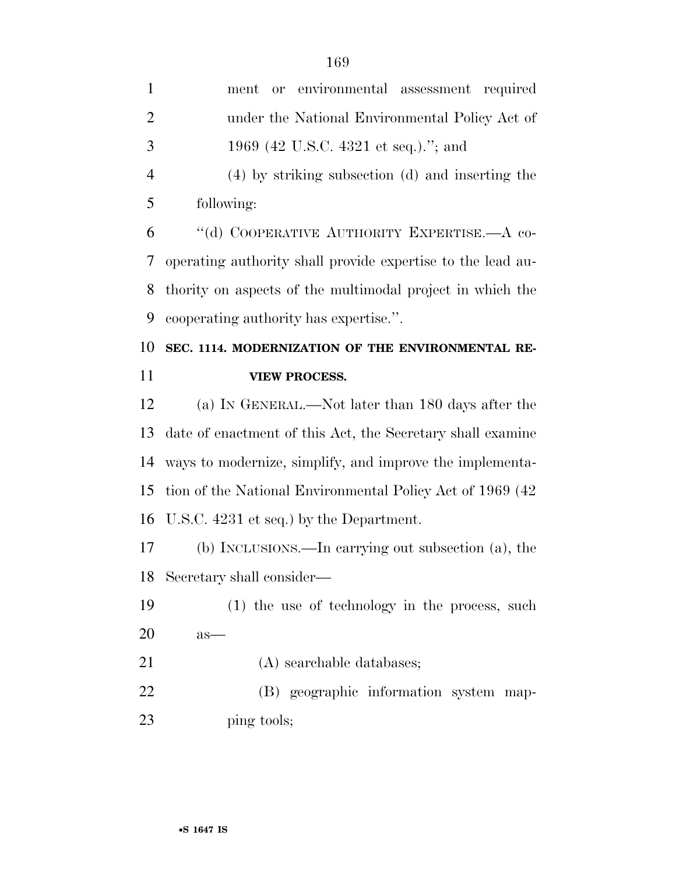| $\mathbf{1}$   |                                                             |
|----------------|-------------------------------------------------------------|
|                | environmental assessment required<br>ment<br>or             |
| $\overline{2}$ | under the National Environmental Policy Act of              |
| 3              | 1969 (42 U.S.C. 4321 et seq.)."; and                        |
| $\overline{4}$ | (4) by striking subsection (d) and inserting the            |
| 5              | following:                                                  |
| 6              | "(d) COOPERATIVE AUTHORITY EXPERTISE.—A co-                 |
| 7              | operating authority shall provide expertise to the lead au- |
| 8              | thority on aspects of the multimodal project in which the   |
| 9              | cooperating authority has expertise.".                      |
| 10             | SEC. 1114. MODERNIZATION OF THE ENVIRONMENTAL RE-           |
| 11             | <b>VIEW PROCESS.</b>                                        |
| 12             | (a) IN GENERAL.—Not later than 180 days after the           |
| 13             | date of enactment of this Act, the Secretary shall examine  |
| 14             | ways to modernize, simplify, and improve the implementa-    |
| 15             | tion of the National Environmental Policy Act of 1969 (42)  |
| 16             | U.S.C. 4231 et seq.) by the Department.                     |
| 17             | (b) INCLUSIONS.—In carrying out subsection (a), the         |
| 18             | Secretary shall consider—                                   |
| 19             | (1) the use of technology in the process, such              |
| 20             | $as-$                                                       |
| 21             | (A) searchable databases;                                   |
| 22             | (B) geographic information system map-                      |
| 23             | ping tools;                                                 |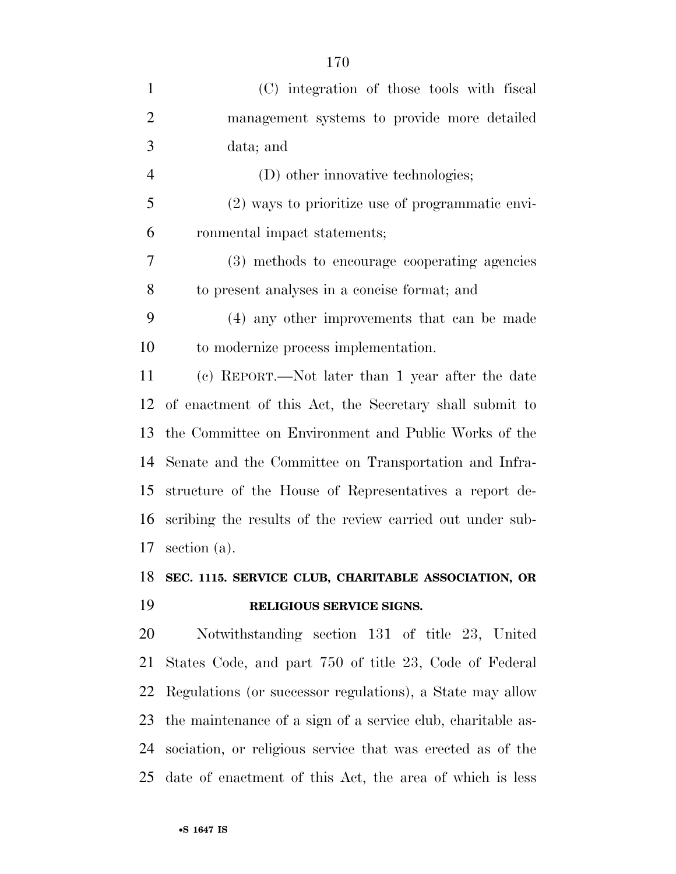| $\mathbf{1}$   | (C) integration of those tools with fiscal                  |
|----------------|-------------------------------------------------------------|
| $\overline{2}$ | management systems to provide more detailed                 |
| 3              | data; and                                                   |
| $\overline{4}$ | (D) other innovative technologies;                          |
| 5              | (2) ways to prioritize use of programmatic envi-            |
| 6              | ronmental impact statements;                                |
| 7              | (3) methods to encourage cooperating agencies               |
| 8              | to present analyses in a concise format; and                |
| 9              | (4) any other improvements that can be made                 |
| 10             | to modernize process implementation.                        |
| 11             | (c) REPORT.—Not later than 1 year after the date            |
| 12             | of enactment of this Act, the Secretary shall submit to     |
| 13             | the Committee on Environment and Public Works of the        |
| 14             | Senate and the Committee on Transportation and Infra-       |
| 15             | structure of the House of Representatives a report de-      |
| 16             | scribing the results of the review carried out under sub-   |
| 17             | section $(a)$ .                                             |
| 18             | SEC. 1115. SERVICE CLUB, CHARITABLE ASSOCIATION, OR         |
| 19             | RELIGIOUS SERVICE SIGNS.                                    |
| 20             | Notwithstanding section 131 of title 23, United             |
| 21             | States Code, and part 750 of title 23, Code of Federal      |
| 22             | Regulations (or successor regulations), a State may allow   |
| 23             | the maintenance of a sign of a service club, charitable as- |
| 24             | sociation, or religious service that was erected as of the  |

date of enactment of this Act, the area of which is less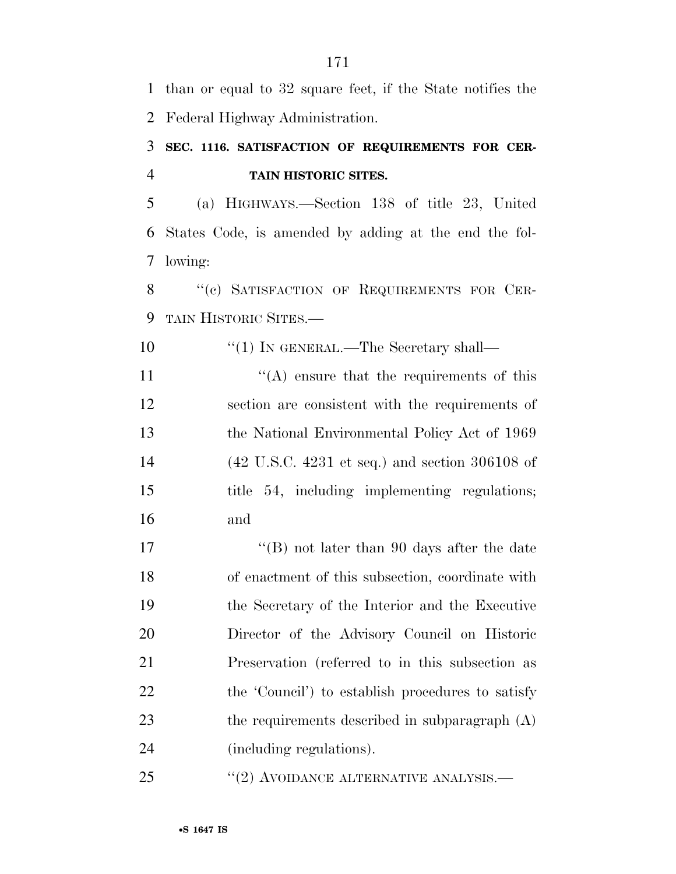than or equal to 32 square feet, if the State notifies the Federal Highway Administration.

## **SEC. 1116. SATISFACTION OF REQUIREMENTS FOR CER-TAIN HISTORIC SITES.**

 (a) HIGHWAYS.—Section 138 of title 23, United States Code, is amended by adding at the end the fol-lowing:

8 "(c) SATISFACTION OF REQUIREMENTS FOR CER-TAIN HISTORIC SITES.—

 $\text{``(1)}$  IN GENERAL.—The Secretary shall—  $"({\rm A})$  ensure that the requirements of this section are consistent with the requirements of the National Environmental Policy Act of 1969 (42 U.S.C. 4231 et seq.) and section 306108 of title 54, including implementing regulations; and

17 ''(B) not later than 90 days after the date of enactment of this subsection, coordinate with the Secretary of the Interior and the Executive Director of the Advisory Council on Historic Preservation (referred to in this subsection as 22 the 'Council') to establish procedures to satisfy 23 the requirements described in subparagraph (A) (including regulations).

25 "(2) AVOIDANCE ALTERNATIVE ANALYSIS.—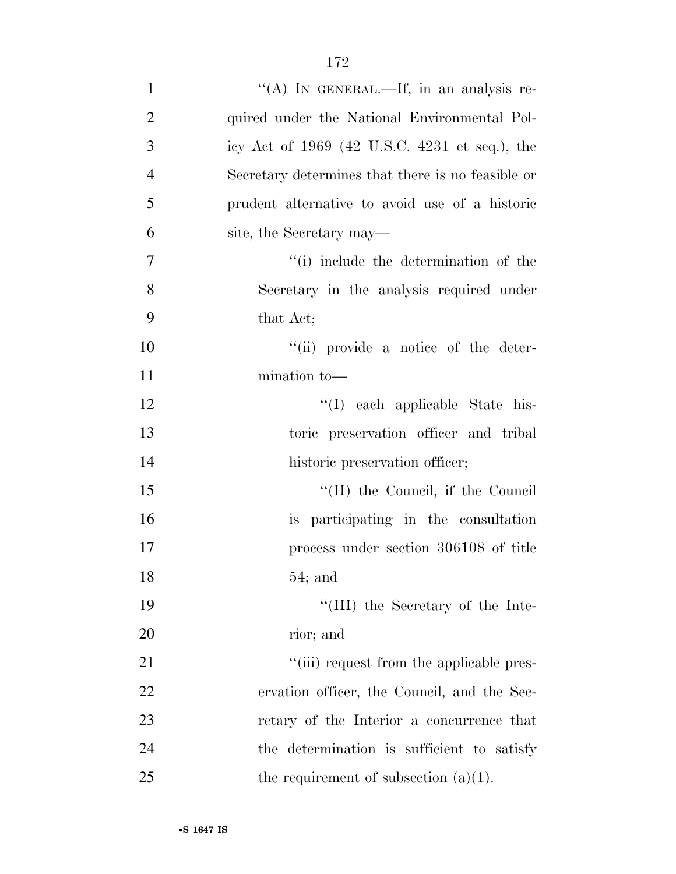| $\mathbf{1}$   | "(A) IN GENERAL.—If, in an analysis re-           |
|----------------|---------------------------------------------------|
| $\overline{2}$ | quired under the National Environmental Pol-      |
| 3              | icy Act of 1969 (42 U.S.C. 4231 et seq.), the     |
| $\overline{4}$ | Secretary determines that there is no feasible or |
| 5              | prudent alternative to avoid use of a historic    |
| 6              | site, the Secretary may—                          |
| 7              | "(i) include the determination of the             |
| 8              | Secretary in the analysis required under          |
| 9              | that Act;                                         |
| 10             | "(ii) provide a notice of the deter-              |
| 11             | mination to-                                      |
| 12             | "(I) each applicable State his-                   |
| 13             | toric preservation officer and tribal             |
| 14             | historic preservation officer;                    |
| 15             | "(II) the Council, if the Council                 |
| 16             | is participating in the consultation              |
| 17             | process under section 306108 of title             |
| 18             | 54; and                                           |
| 19             | "(III) the Secretary of the Inte-                 |
| 20             | rior; and                                         |
| 21             | "(iii) request from the applicable pres-          |
| 22             | ervation officer, the Council, and the Sec-       |
| 23             | retary of the Interior a concurrence that         |
| 24             | the determination is sufficient to satisfy        |
| 25             | the requirement of subsection $(a)(1)$ .          |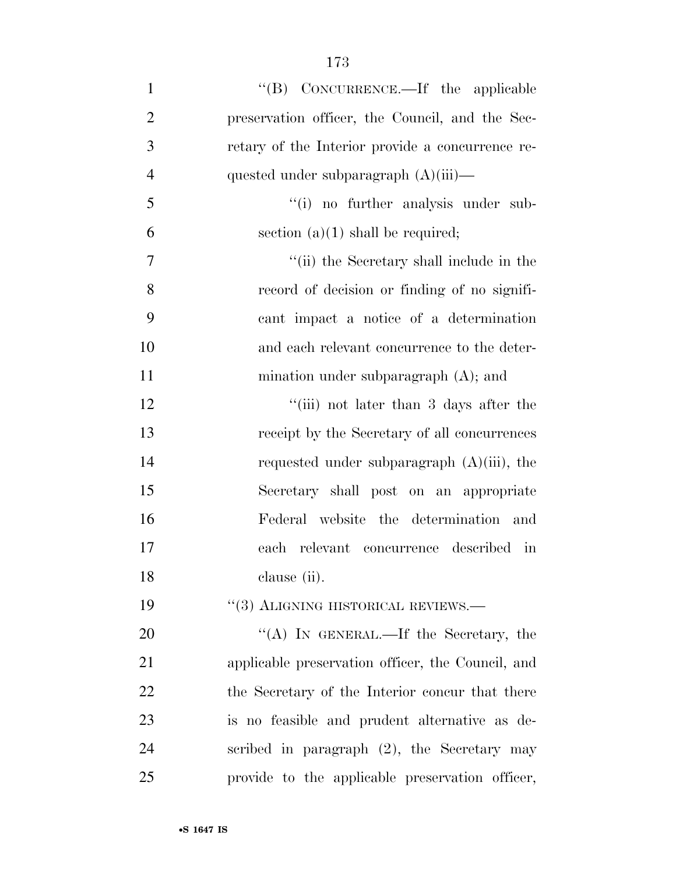1 ''(B) CONCURRENCE.—If the applicable preservation officer, the Council, and the Sec- retary of the Interior provide a concurrence re-4 quested under subparagraph  $(A)(iii)$ — ''(i) no further analysis under sub-6 section (a)(1) shall be required;  $''(ii)$  the Secretary shall include in the record of decision or finding of no signifi- cant impact a notice of a determination and each relevant concurrence to the deter-11 mination under subparagraph (A); and 12 ''(iii) not later than 3 days after the receipt by the Secretary of all concurrences requested under subparagraph (A)(iii), the Secretary shall post on an appropriate Federal website the determination and each relevant concurrence described in clause (ii). 19 "(3) ALIGNING HISTORICAL REVIEWS.— 20 "(A) IN GENERAL.—If the Secretary, the applicable preservation officer, the Council, and 22 the Secretary of the Interior concur that there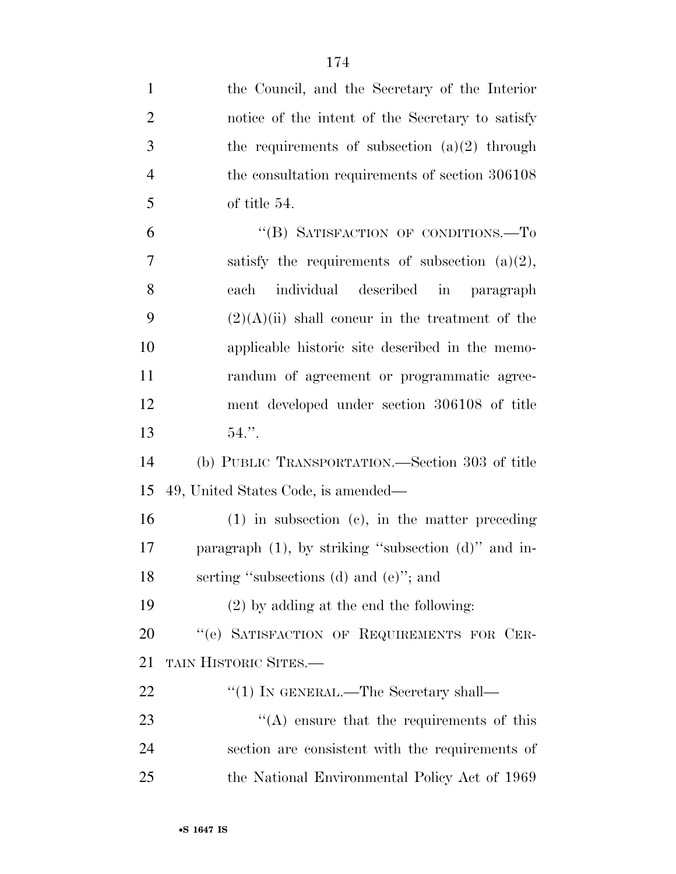| $\mathbf{1}$   | the Council, and the Secretary of the Interior            |
|----------------|-----------------------------------------------------------|
| $\overline{2}$ | notice of the intent of the Secretary to satisfy          |
| 3              | the requirements of subsection $(a)(2)$ through           |
| $\overline{4}$ | the consultation requirements of section 306108           |
| 5              | of title 54.                                              |
| 6              | "(B) SATISFACTION OF CONDITIONS.-To                       |
| 7              | satisfy the requirements of subsection $(a)(2)$ ,         |
| 8              | individual described in paragraph<br>each                 |
| 9              | $(2)(A)(ii)$ shall concur in the treatment of the         |
| 10             | applicable historic site described in the memo-           |
| 11             | randum of agreement or programmatic agree-                |
| 12             | ment developed under section 306108 of title              |
| 13             | $54.$ ".                                                  |
| 14             | (b) PUBLIC TRANSPORTATION.—Section 303 of title           |
| 15             | 49, United States Code, is amended—                       |
| 16             | $(1)$ in subsection $(e)$ , in the matter preceding       |
| 17             | paragraph $(1)$ , by striking "subsection $(d)$ " and in- |
| 18             | serting "subsections (d) and (e)"; and                    |
| 19             | $(2)$ by adding at the end the following:                 |
| 20             | "(e) SATISFACTION OF REQUIREMENTS FOR CER-                |
| 21             | TAIN HISTORIC SITES.-                                     |
| <u>22</u>      | $``(1)$ In GENERAL.—The Secretary shall—                  |
| 23             | $\lq\lq$ ensure that the requirements of this             |
| 24             | section are consistent with the requirements of           |
| 25             | the National Environmental Policy Act of 1969             |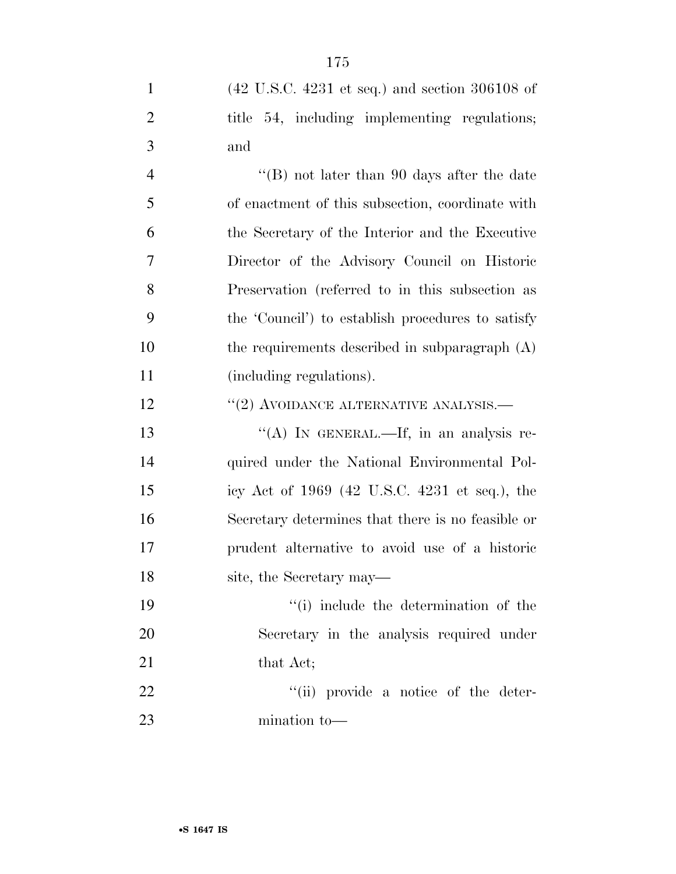| $\mathbf{1}$   | $(42 \text{ U.S.C. } 4231 \text{ et seq.})$ and section 306108 of |
|----------------|-------------------------------------------------------------------|
| $\overline{2}$ | title 54, including implementing regulations;                     |
| 3              | and                                                               |
| $\overline{4}$ | "(B) not later than 90 days after the date                        |
| 5              | of enactment of this subsection, coordinate with                  |
| 6              | the Secretary of the Interior and the Executive                   |
| 7              | Director of the Advisory Council on Historic                      |
| 8              | Preservation (referred to in this subsection as                   |
| 9              | the 'Council') to establish procedures to satisfy                 |
| 10             | the requirements described in subparagraph $(A)$                  |
| 11             | (including regulations).                                          |
| 12             | $``(2)$ AVOIDANCE ALTERNATIVE ANALYSIS.—                          |
| 13             | "(A) IN GENERAL.—If, in an analysis re-                           |
| 14             | quired under the National Environmental Pol-                      |
| 15             | icy Act of 1969 (42 U.S.C. 4231 et seq.), the                     |
| 16             | Secretary determines that there is no feasible or                 |
| 17             | prudent alternative to avoid use of a historic                    |
| 18             | site, the Secretary may—                                          |
| 19             | "(i) include the determination of the                             |
| 20             | Secretary in the analysis required under                          |
| 21             | that Act;                                                         |
| 22             | "(ii) provide a notice of the deter-                              |
| 23             | mination to-                                                      |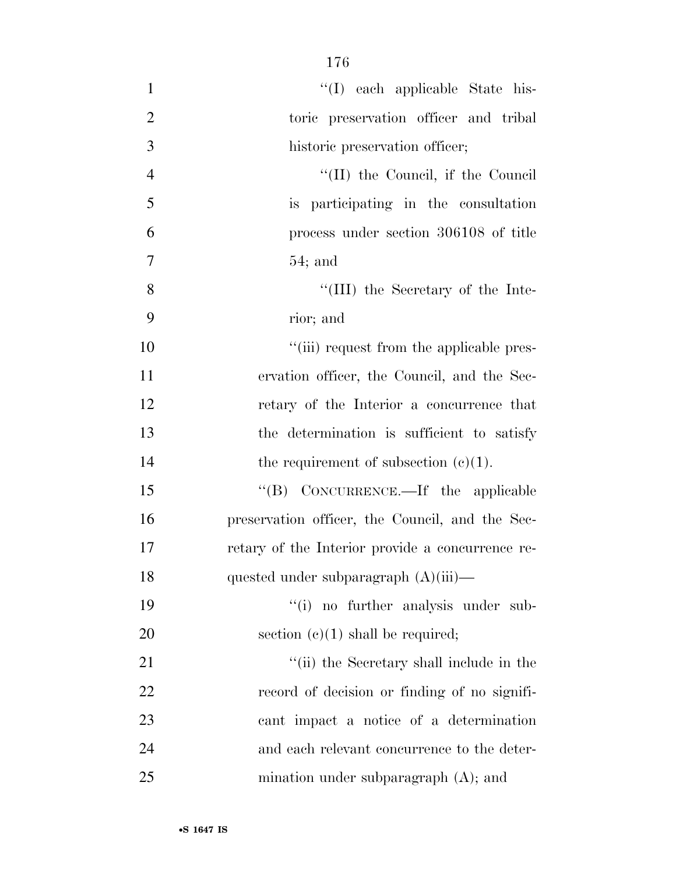| $\mathbf{1}$   | "(I) each applicable State his-                  |
|----------------|--------------------------------------------------|
| $\overline{2}$ | toric preservation officer and tribal            |
| 3              | historic preservation officer;                   |
| $\overline{4}$ | "(II) the Council, if the Council                |
| 5              | is participating in the consultation             |
| 6              | process under section 306108 of title            |
| 7              | $54;$ and                                        |
| 8              | "(III) the Secretary of the Inte-                |
| 9              | rior; and                                        |
| 10             | "(iii) request from the applicable pres-         |
| 11             | ervation officer, the Council, and the Sec-      |
| 12             | retary of the Interior a concurrence that        |
| 13             | the determination is sufficient to satisfy       |
| 14             | the requirement of subsection $(c)(1)$ .         |
| 15             | "(B) CONCURRENCE.—If the applicable              |
| 16             | preservation officer, the Council, and the Sec-  |
| 17             | retary of the Interior provide a concurrence re- |
| 18             | quested under subparagraph $(A)(iii)$ —          |
| 19             | "(i) no further analysis under sub-              |
| 20             | section $(c)(1)$ shall be required;              |
| 21             | "(ii) the Secretary shall include in the         |
| 22             | record of decision or finding of no signifi-     |
| 23             | cant impact a notice of a determination          |
| 24             | and each relevant concurrence to the deter-      |
| 25             | mination under subparagraph $(A)$ ; and          |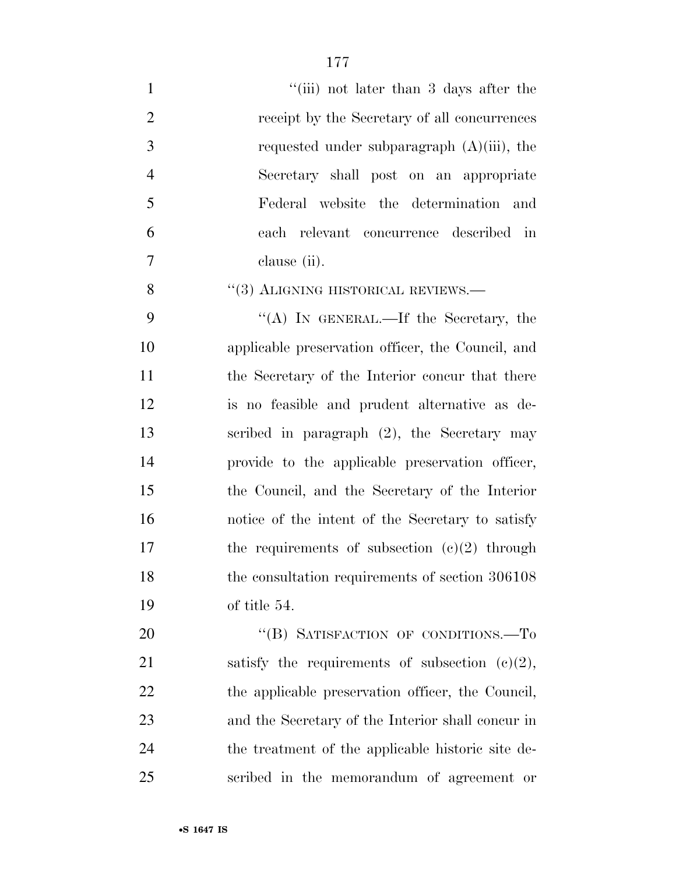| $\mathbf{1}$   | "(iii) not later than 3 days after the            |
|----------------|---------------------------------------------------|
| $\overline{2}$ | receipt by the Secretary of all concurrences      |
| 3              | requested under subparagraph $(A)(iii)$ , the     |
| $\overline{4}$ | Secretary shall post on an appropriate            |
| 5              | Federal website the determination and             |
| 6              | each relevant concurrence described in            |
| $\overline{7}$ | clause (ii).                                      |
| 8              | $``(3)$ ALIGNING HISTORICAL REVIEWS.—             |
| 9              | "(A) IN GENERAL.—If the Secretary, the            |
| 10             | applicable preservation officer, the Council, and |
| 11             | the Secretary of the Interior concur that there   |
| 12             | is no feasible and prudent alternative as de-     |
| 13             | scribed in paragraph (2), the Secretary may       |
| 14             | provide to the applicable preservation officer,   |
| 15             | the Council, and the Secretary of the Interior    |
| 16             | notice of the intent of the Secretary to satisfy  |
| 17             | the requirements of subsection $(e)(2)$ through   |
| 18             | the consultation requirements of section 306108   |
| 19             | of title 54.                                      |
| 20             | "(B) SATISFACTION OF CONDITIONS.-To               |
| 21             | satisfy the requirements of subsection $(c)(2)$ , |
| 22             | the applicable preservation officer, the Council, |
| 23             | and the Secretary of the Interior shall concur in |
| 24             | the treatment of the applicable historic site de- |
| 25             | scribed in the memorandum of agreement or         |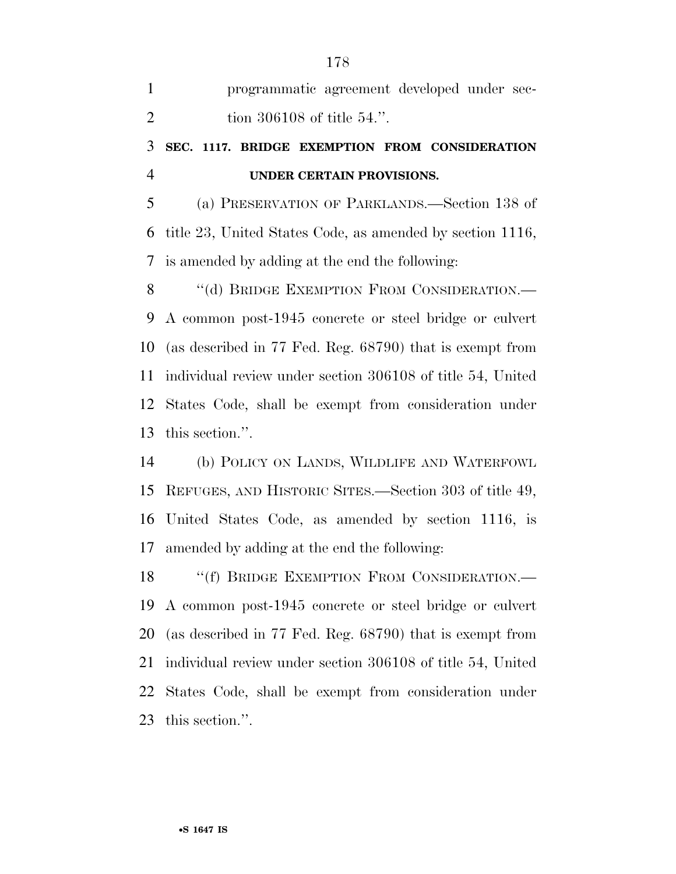| $\mathbf{1}$   | programmatic agreement developed under sec-                |
|----------------|------------------------------------------------------------|
| $\overline{2}$ | tion 306108 of title $54$ .".                              |
| 3              | SEC. 1117. BRIDGE EXEMPTION FROM CONSIDERATION             |
| $\overline{4}$ | UNDER CERTAIN PROVISIONS.                                  |
| 5              | (a) PRESERVATION OF PARKLANDS.—Section 138 of              |
| 6              | title 23, United States Code, as amended by section 1116,  |
| 7              | is amended by adding at the end the following:             |
| 8              | "(d) BRIDGE EXEMPTION FROM CONSIDERATION.—                 |
| 9              | A common post-1945 concrete or steel bridge or culvert     |
| 10             | (as described in 77 Fed. Reg. 68790) that is exempt from   |
| 11             | individual review under section 306108 of title 54, United |
| 12             | States Code, shall be exempt from consideration under      |
| 13             | this section.".                                            |
| 14             | (b) POLICY ON LANDS, WILDLIFE AND WATERFOWL                |
| 15             | REFUGES, AND HISTORIC SITES.—Section 303 of title 49,      |
| 16             | United States Code, as amended by section 1116, is         |
| 17             | amended by adding at the end the following:                |
| 18             | "(f) BRIDGE EXEMPTION FROM CONSIDERATION.-                 |
|                |                                                            |

 A common post-1945 concrete or steel bridge or culvert (as described in 77 Fed. Reg. 68790) that is exempt from individual review under section 306108 of title 54, United States Code, shall be exempt from consideration under this section.''.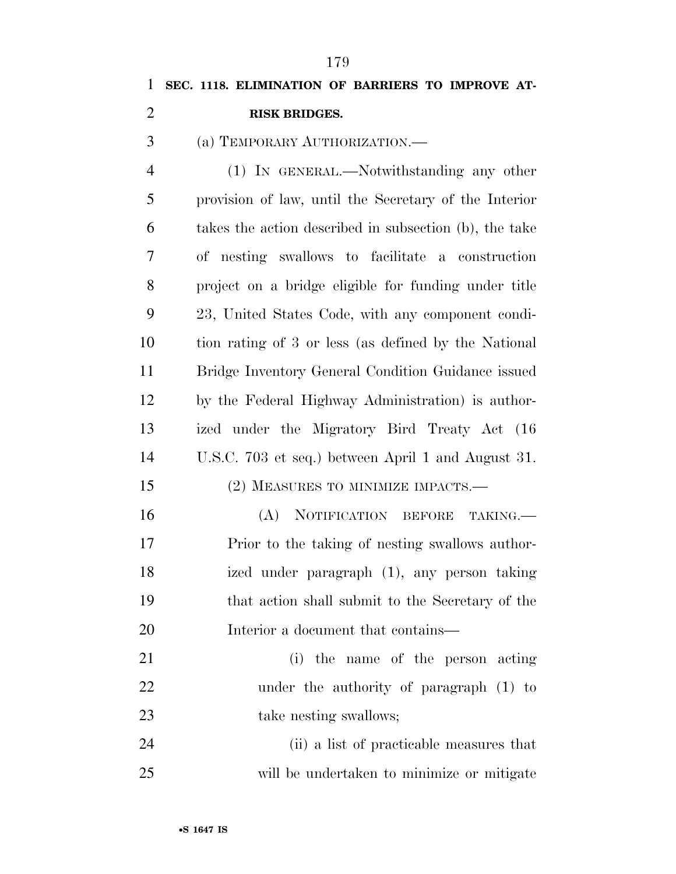| 1              | SEC. 1118. ELIMINATION OF BARRIERS TO IMPROVE AT-      |
|----------------|--------------------------------------------------------|
| 2              | <b>RISK BRIDGES.</b>                                   |
| 3              | (a) TEMPORARY AUTHORIZATION.                           |
| $\overline{4}$ | (1) IN GENERAL.—Notwithstanding any other              |
| 5              | provision of law, until the Secretary of the Interior  |
| 6              | takes the action described in subsection (b), the take |
| 7              | of nesting swallows to facilitate a construction       |
| 8              | project on a bridge eligible for funding under title   |
| 9              | 23, United States Code, with any component condi-      |
| 10             | tion rating of 3 or less (as defined by the National   |
| 11             | Bridge Inventory General Condition Guidance issued     |
| 12             | by the Federal Highway Administration) is author-      |
| 13             | ized under the Migratory Bird Treaty Act (16           |
| 14             | U.S.C. 703 et seq.) between April 1 and August 31.     |
| 15             | (2) MEASURES TO MINIMIZE IMPACTS.—                     |
| 16             | (A)<br>NOTIFICATION BEFORE<br>TAKING.                  |
| 17             | Prior to the taking of nesting swallows author-        |
| 1 Q            | ized under parament (1) any person taking              |

- ized under paragraph (1), any person taking that action shall submit to the Secretary of the Interior a document that contains—
- (i) the name of the person acting under the authority of paragraph (1) to 23 take nesting swallows;

 (ii) a list of practicable measures that will be undertaken to minimize or mitigate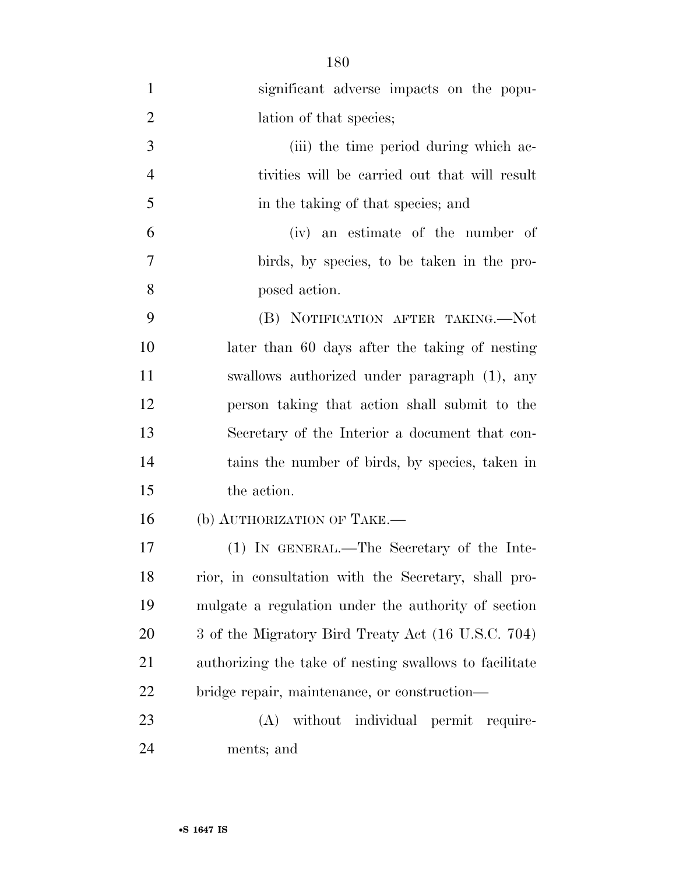| $\mathbf{1}$   | significant adverse impacts on the popu-               |
|----------------|--------------------------------------------------------|
| $\overline{2}$ | lation of that species;                                |
| 3              | (iii) the time period during which ac-                 |
| $\overline{4}$ | tivities will be carried out that will result          |
| 5              | in the taking of that species; and                     |
| 6              | (iv) an estimate of the number of                      |
| 7              | birds, by species, to be taken in the pro-             |
| 8              | posed action.                                          |
| 9              | (B) NOTIFICATION AFTER TAKING.—Not                     |
| 10             | later than 60 days after the taking of nesting         |
| 11             | swallows authorized under paragraph (1), any           |
| 12             | person taking that action shall submit to the          |
| 13             | Secretary of the Interior a document that con-         |
| 14             | tains the number of birds, by species, taken in        |
| 15             | the action.                                            |
| 16             | (b) AUTHORIZATION OF TAKE.—                            |
| 17             | (1) IN GENERAL.—The Secretary of the Inte-             |
| 18             | rior, in consultation with the Secretary, shall pro-   |
| 19             | mulgate a regulation under the authority of section    |
| 20             | 3 of the Migratory Bird Treaty Act (16 U.S.C. 704)     |
| 21             | authorizing the take of nesting swallows to facilitate |
| 22             | bridge repair, maintenance, or construction—           |
| 23             | without individual permit require-<br>(A)              |
| 24             | ments; and                                             |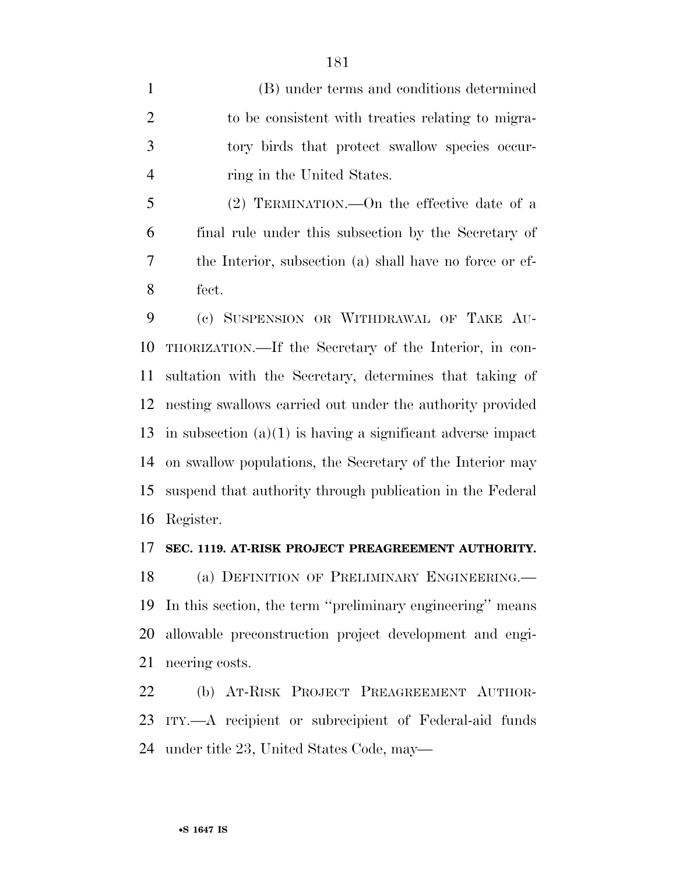(B) under terms and conditions determined 2 to be consistent with treaties relating to migra- tory birds that protect swallow species occur-4 ring in the United States.

 (2) TERMINATION.—On the effective date of a final rule under this subsection by the Secretary of the Interior, subsection (a) shall have no force or ef-fect.

 (c) SUSPENSION OR WITHDRAWAL OF TAKE AU- THORIZATION.—If the Secretary of the Interior, in con- sultation with the Secretary, determines that taking of nesting swallows carried out under the authority provided 13 in subsection  $(a)(1)$  is having a significant adverse impact on swallow populations, the Secretary of the Interior may suspend that authority through publication in the Federal Register.

#### **SEC. 1119. AT-RISK PROJECT PREAGREEMENT AUTHORITY.**

 (a) DEFINITION OF PRELIMINARY ENGINEERING.— In this section, the term ''preliminary engineering'' means allowable preconstruction project development and engi-neering costs.

 (b) AT-RISK PROJECT PREAGREEMENT AUTHOR- ITY.—A recipient or subrecipient of Federal-aid funds under title 23, United States Code, may—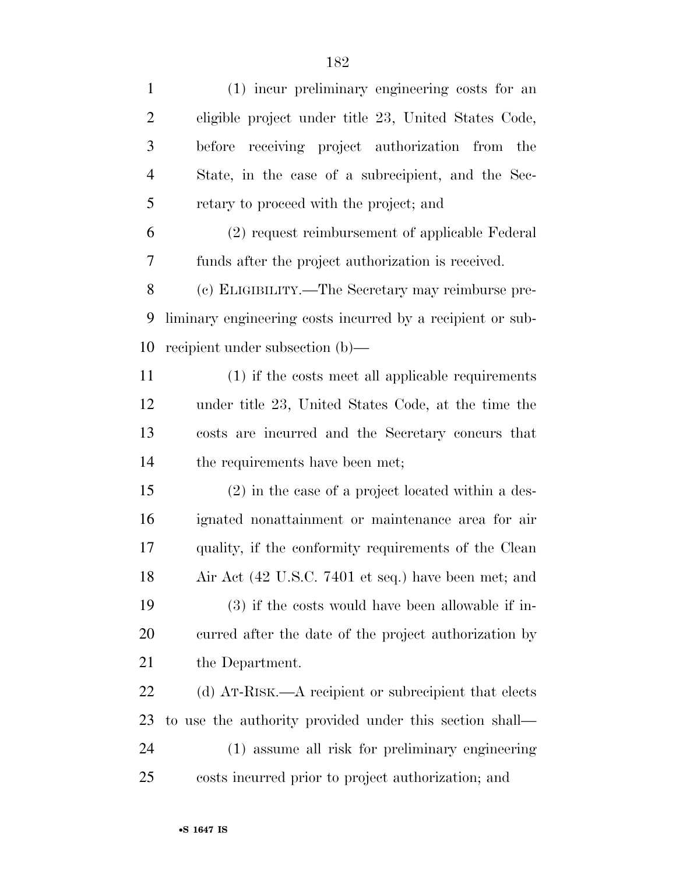| $\mathbf{1}$   | (1) incur preliminary engineering costs for an             |
|----------------|------------------------------------------------------------|
| $\overline{c}$ | eligible project under title 23, United States Code,       |
| 3              | before receiving project authorization from the            |
| $\overline{4}$ | State, in the case of a subrecipient, and the Sec-         |
| 5              | retary to proceed with the project; and                    |
| 6              | (2) request reimbursement of applicable Federal            |
| 7              | funds after the project authorization is received.         |
| 8              | (c) ELIGIBILITY.—The Secretary may reimburse pre-          |
| 9              | liminary engineering costs incurred by a recipient or sub- |
| 10             | recipient under subsection (b)—                            |
| 11             | (1) if the costs meet all applicable requirements          |
| 12             | under title 23, United States Code, at the time the        |
| 13             | costs are incurred and the Secretary concurs that          |
| 14             | the requirements have been met;                            |
| 15             | $(2)$ in the case of a project located within a des-       |
| 16             | ignated nonattainment or maintenance area for air          |
| 17             | quality, if the conformity requirements of the Clean       |
| 18             | Air Act (42 U.S.C. 7401 et seq.) have been met; and        |
| 19             | $(3)$ if the costs would have been allowable if in-        |
| 20             | curred after the date of the project authorization by      |
| 21             | the Department.                                            |
| 22             | (d) AT-RISK.—A recipient or subrecipient that elects       |
| 23             | to use the authority provided under this section shall—    |
| 24             | (1) assume all risk for preliminary engineering            |
| 25             | costs incurred prior to project authorization; and         |
|                |                                                            |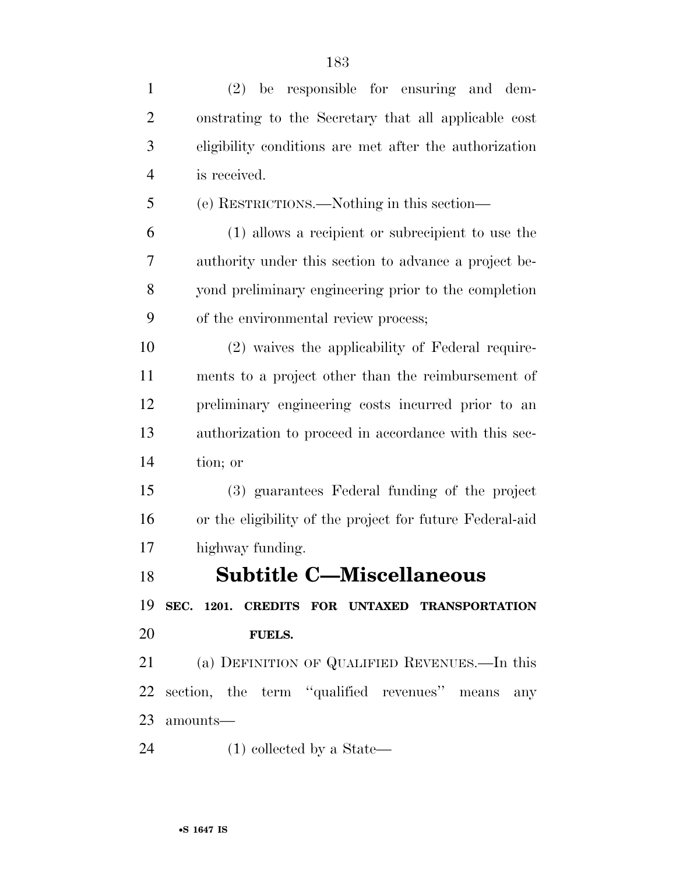| be responsible for ensuring and dem-<br>(2)              |
|----------------------------------------------------------|
| onstrating to the Secretary that all applicable cost     |
| eligibility conditions are met after the authorization   |
| is received.                                             |
| (e) RESTRICTIONS.—Nothing in this section—               |
| (1) allows a recipient or subrecipient to use the        |
| authority under this section to advance a project be-    |
| yond preliminary engineering prior to the completion     |
| of the environmental review process;                     |
| (2) waives the applicability of Federal require-         |
| ments to a project other than the reimbursement of       |
| preliminary engineering costs incurred prior to an       |
| authorization to proceed in accordance with this sec-    |
| tion; or                                                 |
| (3) guarantees Federal funding of the project            |
| or the eligibility of the project for future Federal-aid |
| highway funding.                                         |
| <b>Subtitle C-Miscellaneous</b>                          |
| SEC. 1201. CREDITS FOR UNTAXED TRANSPORTATION            |
| <b>FUELS.</b>                                            |
| (a) DEFINITION OF QUALIFIED REVENUES.—In this            |
| section, the term "qualified revenues" means<br>any      |
| amounts-                                                 |
| $(1)$ collected by a State—                              |
|                                                          |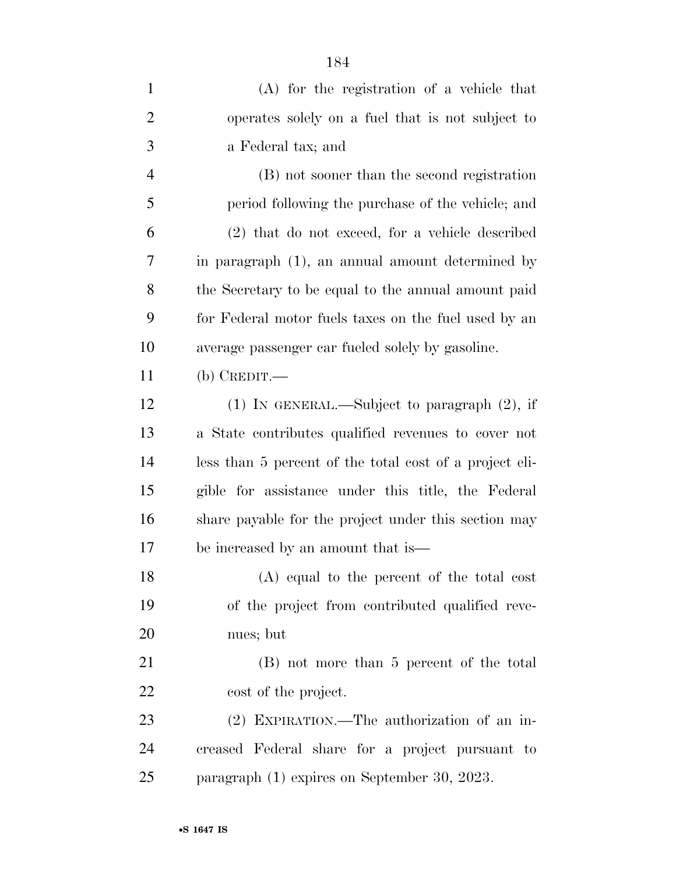| $\mathbf{1}$   | $(A)$ for the registration of a vehicle that            |
|----------------|---------------------------------------------------------|
| $\overline{2}$ | operates solely on a fuel that is not subject to        |
| 3              | a Federal tax; and                                      |
| 4              | (B) not sooner than the second registration             |
| 5              | period following the purchase of the vehicle; and       |
| 6              | (2) that do not exceed, for a vehicle described         |
| 7              | in paragraph (1), an annual amount determined by        |
| 8              | the Secretary to be equal to the annual amount paid     |
| 9              | for Federal motor fuels taxes on the fuel used by an    |
| 10             | average passenger car fueled solely by gasoline.        |
| 11             | (b) CREDIT.—                                            |
| 12             | (1) IN GENERAL.—Subject to paragraph (2), if            |
| 13             | a State contributes qualified revenues to cover not     |
| 14             | less than 5 percent of the total cost of a project eli- |
| 15             | gible for assistance under this title, the Federal      |
| 16             | share payable for the project under this section may    |
| 17             | be increased by an amount that is—                      |
| 18             | (A) equal to the percent of the total cost              |
| 19             | of the project from contributed qualified reve-         |
| 20             | nues; but                                               |
| 21             | (B) not more than 5 percent of the total                |
| 22             | cost of the project.                                    |
| 23             | (2) EXPIRATION.—The authorization of an in-             |
| 24             | creased Federal share for a project pursuant to         |
| 25             | paragraph (1) expires on September 30, 2023.            |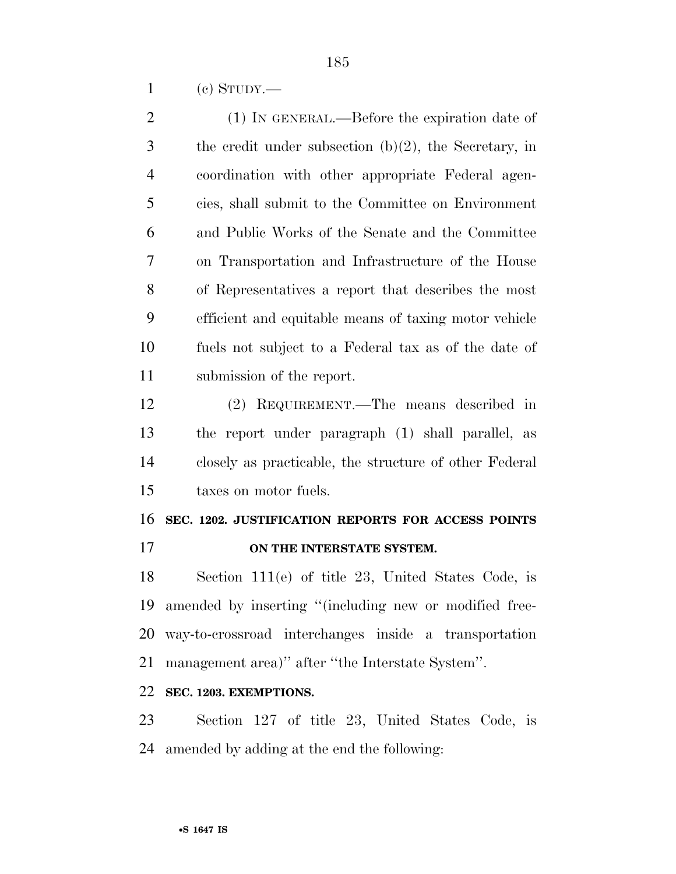(c) STUDY.—

 (1) IN GENERAL.—Before the expiration date of the credit under subsection (b)(2), the Secretary, in coordination with other appropriate Federal agen- cies, shall submit to the Committee on Environment and Public Works of the Senate and the Committee on Transportation and Infrastructure of the House of Representatives a report that describes the most efficient and equitable means of taxing motor vehicle fuels not subject to a Federal tax as of the date of submission of the report.

 (2) REQUIREMENT.—The means described in the report under paragraph (1) shall parallel, as closely as practicable, the structure of other Federal taxes on motor fuels.

# **SEC. 1202. JUSTIFICATION REPORTS FOR ACCESS POINTS ON THE INTERSTATE SYSTEM.**

 Section 111(e) of title 23, United States Code, is amended by inserting ''(including new or modified free- way-to-crossroad interchanges inside a transportation management area)'' after ''the Interstate System''.

### **SEC. 1203. EXEMPTIONS.**

 Section 127 of title 23, United States Code, is amended by adding at the end the following: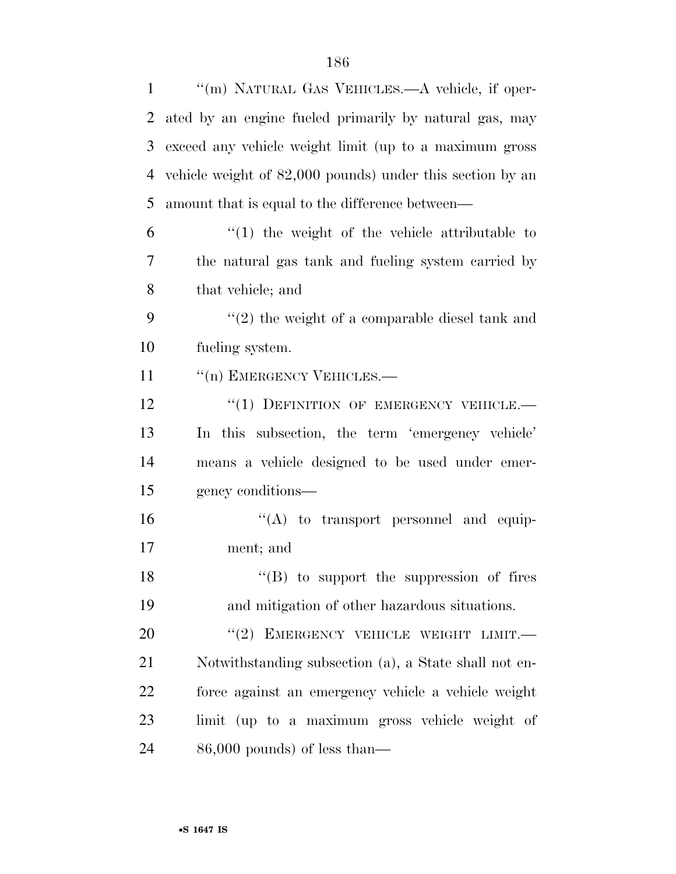| $\mathbf{1}$   | "(m) NATURAL GAS VEHICLES.—A vehicle, if oper-            |
|----------------|-----------------------------------------------------------|
| 2              | ated by an engine fueled primarily by natural gas, may    |
| 3              | exceed any vehicle weight limit (up to a maximum gross    |
| $\overline{4}$ | vehicle weight of 82,000 pounds) under this section by an |
| 5              | amount that is equal to the difference between—           |
| 6              | $f(1)$ the weight of the vehicle attributable to          |
| 7              | the natural gas tank and fueling system carried by        |
| 8              | that vehicle; and                                         |
| 9              | $\lq(2)$ the weight of a comparable diesel tank and       |
| 10             | fueling system.                                           |
| 11             | "(n) EMERGENCY VEHICLES.-                                 |
| 12             | "(1) DEFINITION OF EMERGENCY VEHICLE.-                    |
| 13             | In this subsection, the term 'emergency vehicle'          |
| 14             | means a vehicle designed to be used under emer-           |
| 15             | gency conditions—                                         |
| 16             | $\lq\lq$ to transport personnel and equip-                |
| 17             | ment; and                                                 |
| 18             | $\lq\lq (B)$ to support the suppression of fires          |
| 19             | and mitigation of other hazardous situations.             |
| 20             | EMERGENCY VEHICLE WEIGHT LIMIT.-<br>(2)                   |
| 21             | Notwithstanding subsection (a), a State shall not en-     |
| 22             | force against an emergency vehicle a vehicle weight       |
| 23             | limit (up to a maximum gross vehicle weight of            |
| 24             | $86,000$ pounds) of less than—                            |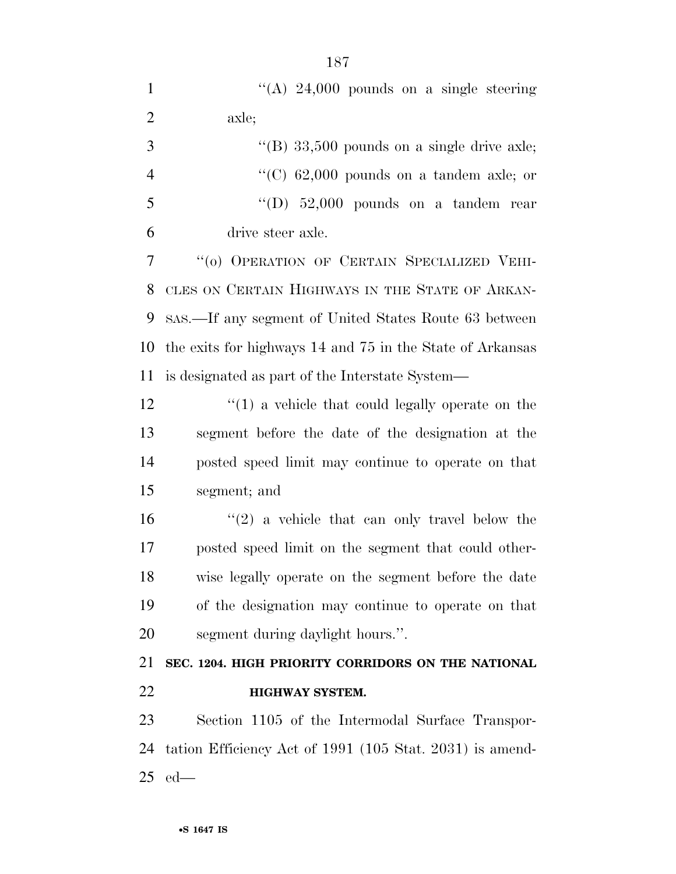| $\mathbf{1}$   | "(A) $24,000$ pounds on a single steering                 |
|----------------|-----------------------------------------------------------|
| $\overline{2}$ | axle;                                                     |
| 3              | "(B) $33,500$ pounds on a single drive axle;              |
| $\overline{4}$ | "(C) $62,000$ pounds on a tandem axle; or                 |
| 5              | "(D) $52,000$ pounds on a tandem rear                     |
| 6              | drive steer axle.                                         |
| 7              | "(0) OPERATION OF CERTAIN SPECIALIZED VEHI-               |
| 8              | CLES ON CERTAIN HIGHWAYS IN THE STATE OF ARKAN-           |
| 9              | SAS.—If any segment of United States Route 63 between     |
| 10             | the exits for highways 14 and 75 in the State of Arkansas |
| 11             | is designated as part of the Interstate System—           |
| 12             | $\lq(1)$ a vehicle that could legally operate on the      |
| 13             | segment before the date of the designation at the         |
| 14             | posted speed limit may continue to operate on that        |
| 15             | segment; and                                              |
| 16             | $(2)$ a vehicle that can only travel below the            |
| 17             | posted speed limit on the segment that could other-       |
| 18             | wise legally operate on the segment before the date       |
| 19             | of the designation may continue to operate on that        |
| 20             | segment during daylight hours.".                          |
| 21             | SEC. 1204. HIGH PRIORITY CORRIDORS ON THE NATIONAL        |
| 22             | <b>HIGHWAY SYSTEM.</b>                                    |
| 23             | Section 1105 of the Intermodal Surface Transpor-          |
| 24             | tation Efficiency Act of 1991 (105 Stat. 2031) is amend-  |

ed—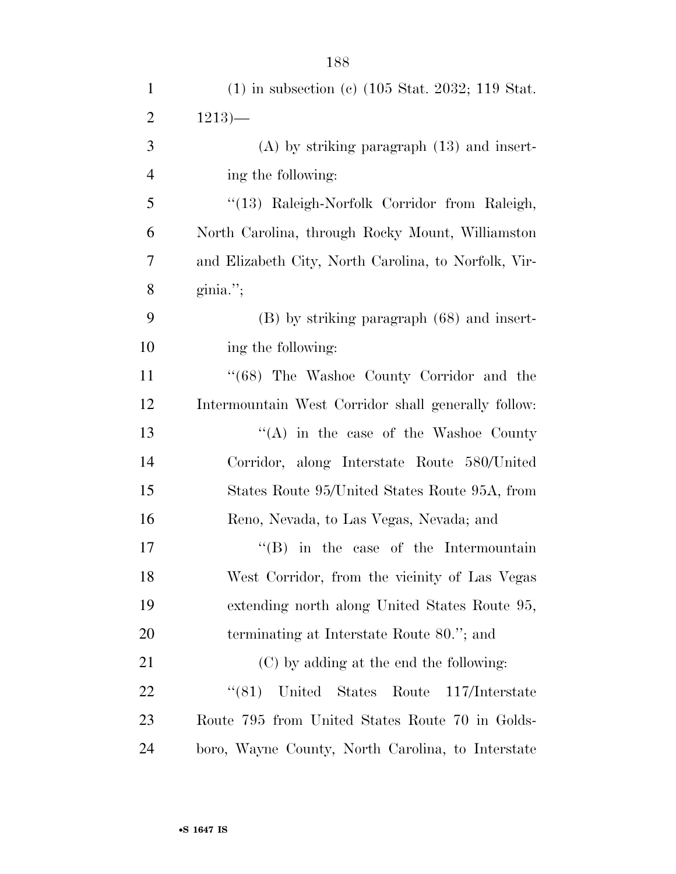| $\mathbf{1}$   | $(1)$ in subsection (c) $(105 \text{ Stat. } 2032; 119 \text{ Stat.})$ |
|----------------|------------------------------------------------------------------------|
| $\overline{2}$ | $1213$ —                                                               |
| 3              | $(A)$ by striking paragraph $(13)$ and insert-                         |
| $\overline{4}$ | ing the following:                                                     |
| 5              | "(13) Raleigh-Norfolk Corridor from Raleigh,                           |
| 6              | North Carolina, through Rocky Mount, Williamston                       |
| $\overline{7}$ | and Elizabeth City, North Carolina, to Norfolk, Vir-                   |
| 8              | $ginia.$ ";                                                            |
| 9              | $(B)$ by striking paragraph $(68)$ and insert-                         |
| 10             | ing the following:                                                     |
| 11             | "(68) The Washoe County Corridor and the                               |
| 12             | Intermountain West Corridor shall generally follow:                    |
| 13             | $\lq\lq$ in the case of the Washoe County                              |
| 14             | Corridor, along Interstate Route 580/United                            |
| 15             | States Route 95/United States Route 95A, from                          |
| 16             | Reno, Nevada, to Las Vegas, Nevada; and                                |
| 17             | $\lq\lq$ (B) in the case of the Intermountain                          |
| 18             | West Corridor, from the vicinity of Las Vegas                          |
| 19             | extending north along United States Route 95,                          |
| 20             | terminating at Interstate Route 80."; and                              |
| 21             | (C) by adding at the end the following:                                |
| 22             | (81)<br>United States Route<br>117/Interstate                          |
| 23             | Route 795 from United States Route 70 in Golds-                        |
| 24             | boro, Wayne County, North Carolina, to Interstate                      |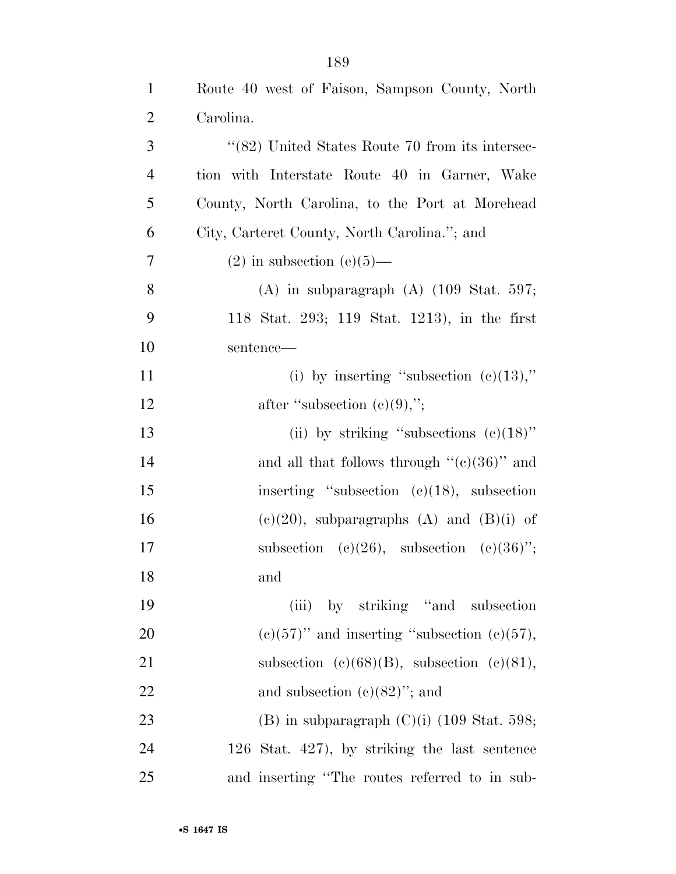| $\mathbf{1}$   | Route 40 west of Faison, Sampson County, North         |
|----------------|--------------------------------------------------------|
| $\overline{2}$ | Carolina.                                              |
| 3              | "(82) United States Route 70 from its intersec-        |
| $\overline{4}$ | tion with Interstate Route 40 in Garner, Wake          |
| 5              | County, North Carolina, to the Port at Morehead        |
| 6              | City, Carteret County, North Carolina."; and           |
| $\overline{7}$ | $(2)$ in subsection $(e)(5)$ —                         |
| 8              | $(A)$ in subparagraph $(A)$ $(109 \text{ Stat. } 597;$ |
| 9              | 118 Stat. 293; 119 Stat. 1213), in the first           |
| 10             | sentence—                                              |
| 11             | (i) by inserting "subsection $(c)(13)$ ,"              |
| 12             | after "subsection $(e)(9)$ ,";                         |
| 13             | (ii) by striking "subsections $(e)(18)$ "              |
| 14             | and all that follows through " $(e)(36)$ " and         |
| 15             | inserting "subsection $(c)(18)$ , subsection           |
| 16             | $(e)(20)$ , subparagraphs $(A)$ and $(B)(i)$ of        |
| 17             | subsection (c)(26), subsection (c)(36)";               |
| 18             | and                                                    |
| 19             | (iii) by striking "and subsection"                     |
| 20             | $(c)(57)$ " and inserting "subsection $(c)(57)$ ,      |
| 21             | subsection (c)(68)(B), subsection (c)(81),             |
| 22             | and subsection $(c)(82)$ "; and                        |
| 23             | (B) in subparagraph $(C)(i)$ (109 Stat. 598;           |
| 24             | 126 Stat. $427$ , by striking the last sentence        |
| 25             | and inserting "The routes referred to in sub-          |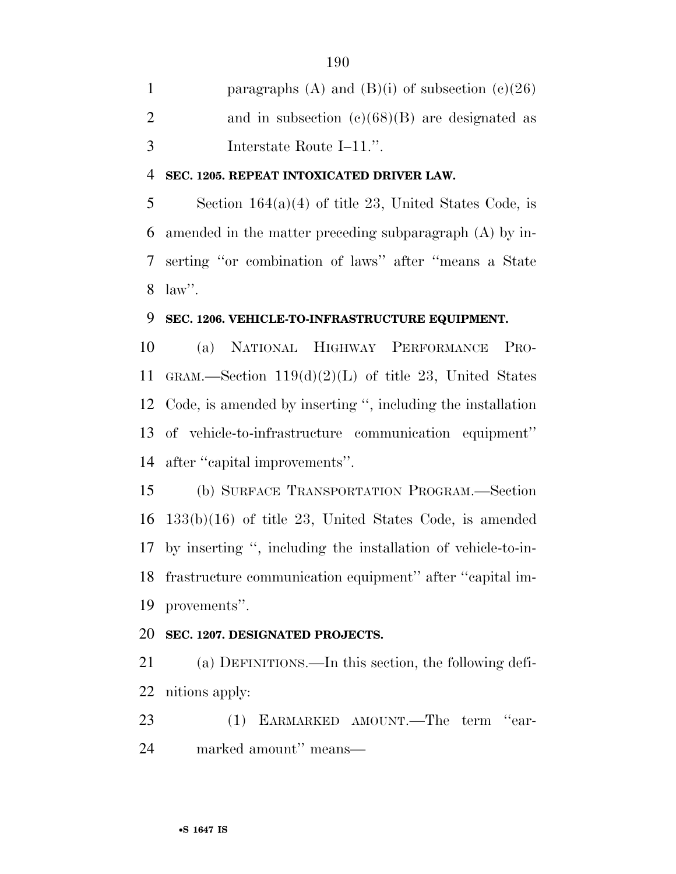1 paragraphs (A) and (B)(i) of subsection  $(c)(26)$ 2 and in subsection  $(e)(68)(B)$  are designated as Interstate Route I–11.''.

#### **SEC. 1205. REPEAT INTOXICATED DRIVER LAW.**

 Section 164(a)(4) of title 23, United States Code, is amended in the matter preceding subparagraph (A) by in- serting ''or combination of laws'' after ''means a State law''.

#### **SEC. 1206. VEHICLE-TO-INFRASTRUCTURE EQUIPMENT.**

 (a) NATIONAL HIGHWAY PERFORMANCE PRO- GRAM.—Section 119(d)(2)(L) of title 23, United States Code, is amended by inserting '', including the installation of vehicle-to-infrastructure communication equipment'' after ''capital improvements''.

 (b) SURFACE TRANSPORTATION PROGRAM.—Section 133(b)(16) of title 23, United States Code, is amended by inserting '', including the installation of vehicle-to-in- frastructure communication equipment'' after ''capital im-provements''.

## **SEC. 1207. DESIGNATED PROJECTS.**

 (a) DEFINITIONS.—In this section, the following defi-nitions apply:

23 (1) EARMARKED AMOUNT.—The term "ear-marked amount'' means—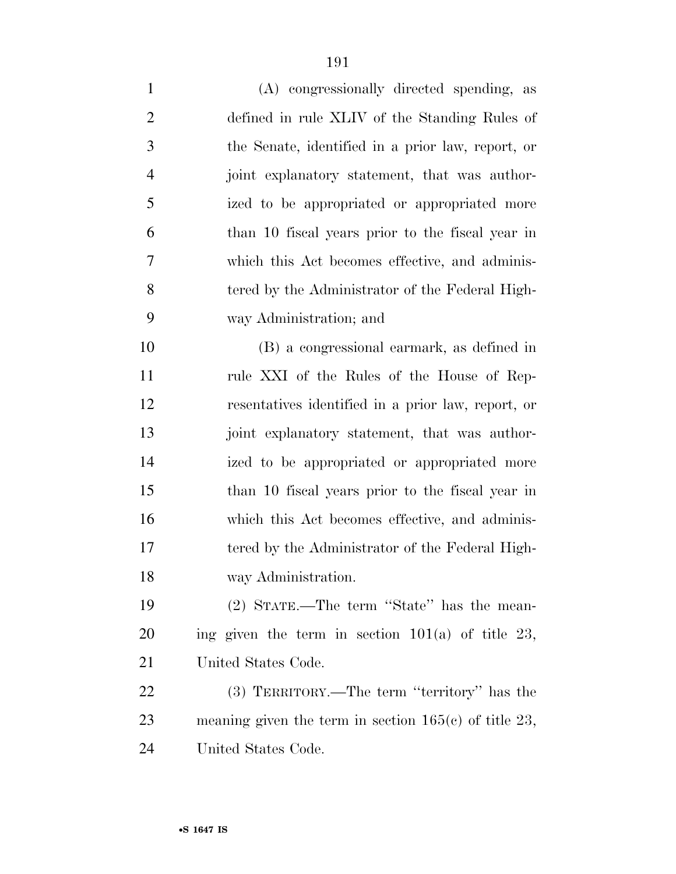| $\mathbf{1}$   | (A) congressionally directed spending, as               |
|----------------|---------------------------------------------------------|
| $\overline{2}$ | defined in rule XLIV of the Standing Rules of           |
| 3              | the Senate, identified in a prior law, report, or       |
| $\overline{4}$ | joint explanatory statement, that was author-           |
| 5              | ized to be appropriated or appropriated more            |
| 6              | than 10 fiscal years prior to the fiscal year in        |
| 7              | which this Act becomes effective, and adminis-          |
| 8              | tered by the Administrator of the Federal High-         |
| 9              | way Administration; and                                 |
| 10             | (B) a congressional earmark, as defined in              |
| 11             | rule XXI of the Rules of the House of Rep-              |
| 12             | resentatives identified in a prior law, report, or      |
| 13             | joint explanatory statement, that was author-           |
| 14             | ized to be appropriated or appropriated more            |
| 15             | than 10 fiscal years prior to the fiscal year in        |
| 16             | which this Act becomes effective, and adminis-          |
| 17             | tered by the Administrator of the Federal High-         |
| 18             | way Administration.                                     |
| 19             | (2) STATE.—The term "State" has the mean-               |
| <b>20</b>      | ing given the term in section $101(a)$ of title 23,     |
| 21             | United States Code.                                     |
| 22             | (3) TERRITORY.—The term "territory" has the             |
| 23             | meaning given the term in section $165(c)$ of title 23, |
| 24             | United States Code.                                     |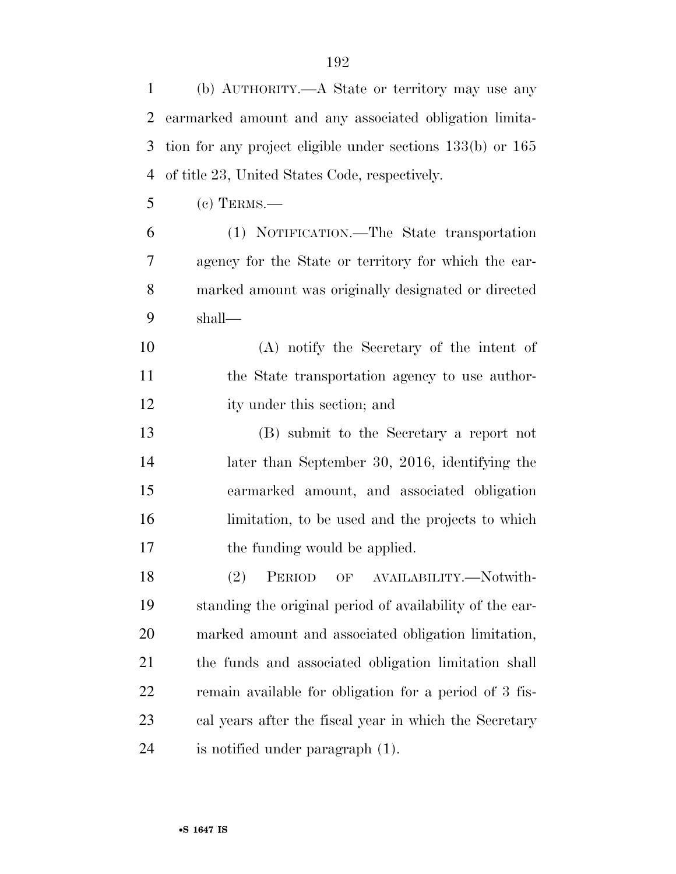| $\mathbf{1}$   | (b) AUTHORITY.—A State or territory may use any                |
|----------------|----------------------------------------------------------------|
| $\overline{2}$ | earmarked amount and any associated obligation limita-         |
| 3              | tion for any project eligible under sections $133(b)$ or $165$ |
| $\overline{4}$ | of title 23, United States Code, respectively.                 |
| 5              | $(c)$ TERMS.—                                                  |
| 6              | (1) NOTIFICATION.—The State transportation                     |
| 7              | agency for the State or territory for which the ear-           |
| 8              | marked amount was originally designated or directed            |
| 9              | shall—                                                         |
| 10             | (A) notify the Secretary of the intent of                      |
| 11             | the State transportation agency to use author-                 |
| 12             | ity under this section; and                                    |
| 13             | (B) submit to the Secretary a report not                       |
| 14             | later than September 30, 2016, identifying the                 |
| 15             | earmarked amount, and associated obligation                    |
| 16             | limitation, to be used and the projects to which               |
| 17             | the funding would be applied.                                  |
| 18             | (2) PERIOD OF AVAILABILITY.-Notwith-                           |
| 19             | standing the original period of availability of the ear-       |
| <b>20</b>      | marked amount and associated obligation limitation,            |
| 21             | the funds and associated obligation limitation shall           |
| 22             | remain available for obligation for a period of 3 fis-         |
| 23             | cal years after the fiscal year in which the Secretary         |
| 24             | is notified under paragraph (1).                               |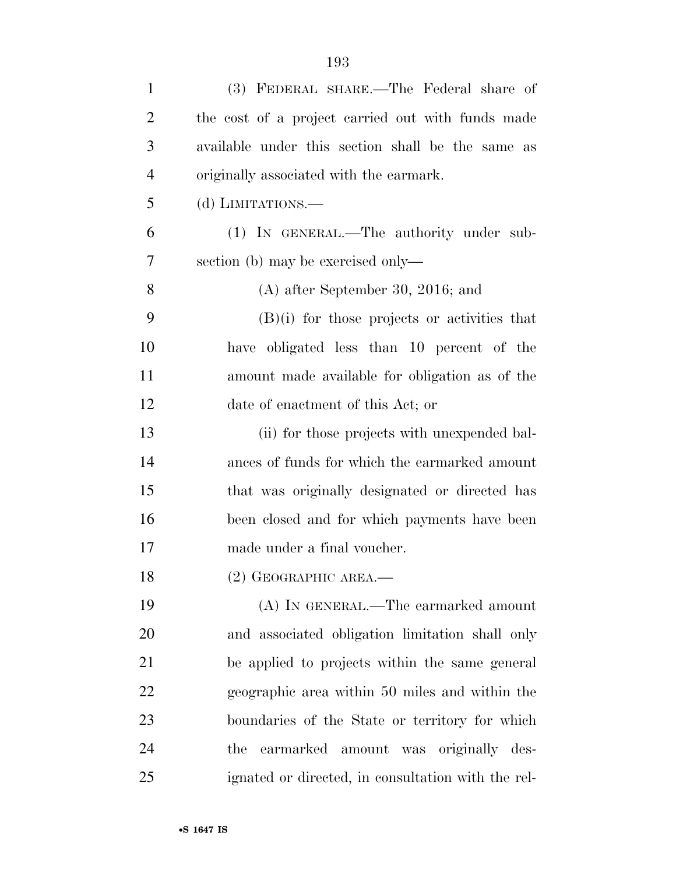| $\mathbf{1}$   | (3) FEDERAL SHARE.—The Federal share of            |
|----------------|----------------------------------------------------|
| $\overline{c}$ | the cost of a project carried out with funds made  |
| 3              | available under this section shall be the same as  |
| 4              | originally associated with the earmark.            |
| 5              | (d) LIMITATIONS.—                                  |
| 6              | (1) IN GENERAL.—The authority under sub-           |
| 7              | section (b) may be exercised only—                 |
| 8              | $(A)$ after September 30, 2016; and                |
| 9              | $(B)(i)$ for those projects or activities that     |
| 10             | have obligated less than 10 percent of the         |
| 11             | amount made available for obligation as of the     |
| 12             | date of enactment of this Act; or                  |
| 13             | (ii) for those projects with unexpended bal-       |
| 14             | ances of funds for which the earmarked amount      |
| 15             | that was originally designated or directed has     |
| 16             | been closed and for which payments have been       |
| 17             | made under a final voucher.                        |
| 18             | $(2)$ GEOGRAPHIC AREA.—                            |
| 19             | (A) IN GENERAL.—The earmarked amount               |
| 20             | and associated obligation limitation shall only    |
| 21             | be applied to projects within the same general     |
| 22             | geographic area within 50 miles and within the     |
| 23             | boundaries of the State or territory for which     |
| 24             | earmarked amount was originally des-<br>the        |
| 25             | ignated or directed, in consultation with the rel- |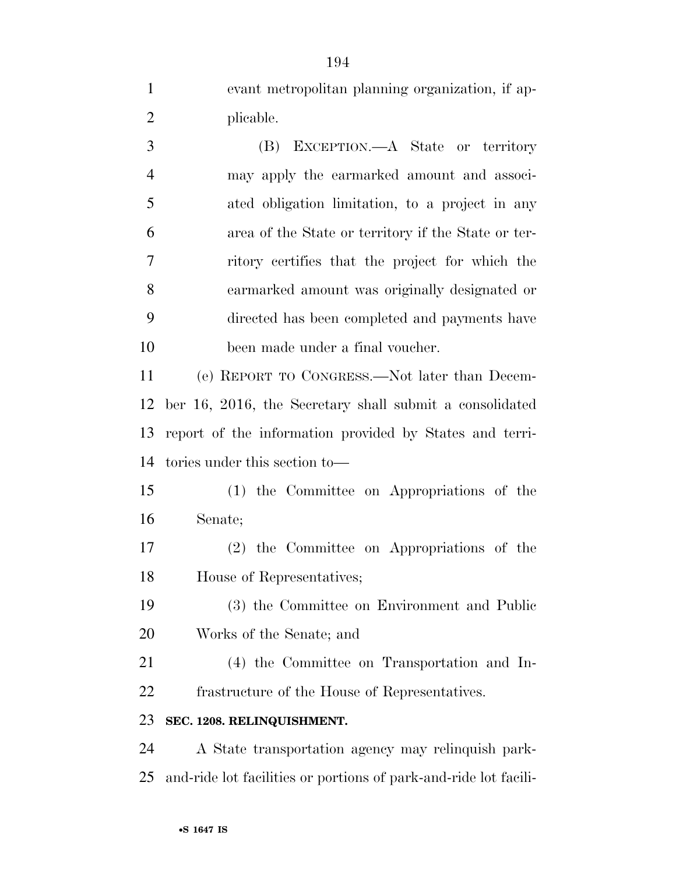evant metropolitan planning organization, if ap-2 plicable.

 (B) EXCEPTION.—A State or territory may apply the earmarked amount and associ- ated obligation limitation, to a project in any area of the State or territory if the State or ter- ritory certifies that the project for which the earmarked amount was originally designated or directed has been completed and payments have been made under a final voucher.

 (e) REPORT TO CONGRESS.—Not later than Decem- ber 16, 2016, the Secretary shall submit a consolidated report of the information provided by States and terri-tories under this section to—

 (1) the Committee on Appropriations of the Senate;

 (2) the Committee on Appropriations of the House of Representatives;

 (3) the Committee on Environment and Public Works of the Senate; and

 (4) the Committee on Transportation and In-frastructure of the House of Representatives.

#### **SEC. 1208. RELINQUISHMENT.**

 A State transportation agency may relinquish park-and-ride lot facilities or portions of park-and-ride lot facili-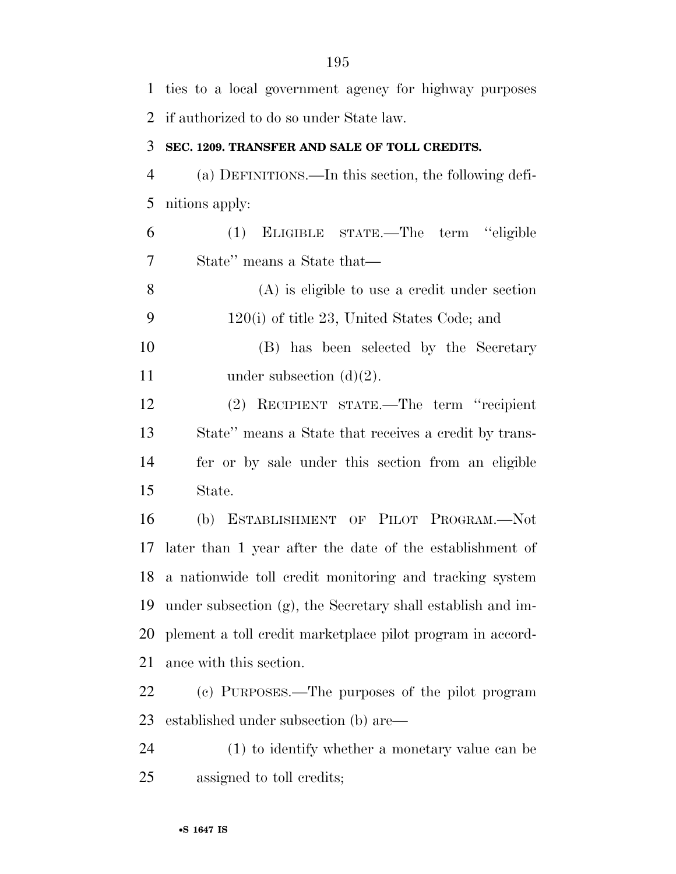| $\mathbf{1}$   | ties to a local government agency for highway purposes      |
|----------------|-------------------------------------------------------------|
| 2              | if authorized to do so under State law.                     |
| 3              | SEC. 1209. TRANSFER AND SALE OF TOLL CREDITS.               |
| $\overline{4}$ | (a) DEFINITIONS.—In this section, the following defi-       |
| 5              | nitions apply:                                              |
| 6              | (1) ELIGIBLE STATE.—The term "eligible                      |
| 7              | State" means a State that—                                  |
| 8              | $(A)$ is eligible to use a credit under section             |
| 9              | $120(i)$ of title 23, United States Code; and               |
| 10             | (B) has been selected by the Secretary                      |
| 11             | under subsection $(d)(2)$ .                                 |
| 12             | (2) RECIPIENT STATE.—The term "recipient"                   |
| 13             | State" means a State that receives a credit by trans-       |
| 14             | fer or by sale under this section from an eligible          |
| 15             | State.                                                      |
| 16             | (b) ESTABLISHMENT OF PILOT PROGRAM.-Not                     |
| 17             | later than 1 year after the date of the establishment of    |
|                | 18 a nationwide toll credit monitoring and tracking system  |
| 19             | under subsection (g), the Secretary shall establish and im- |
| 20             | plement a toll credit market place pilot program in accord- |
| 21             | ance with this section.                                     |
| 22             | (c) PURPOSES.—The purposes of the pilot program             |
| 23             | established under subsection (b) are—                       |
| 24             | (1) to identify whether a monetary value can be             |
| 25             | assigned to toll credits;                                   |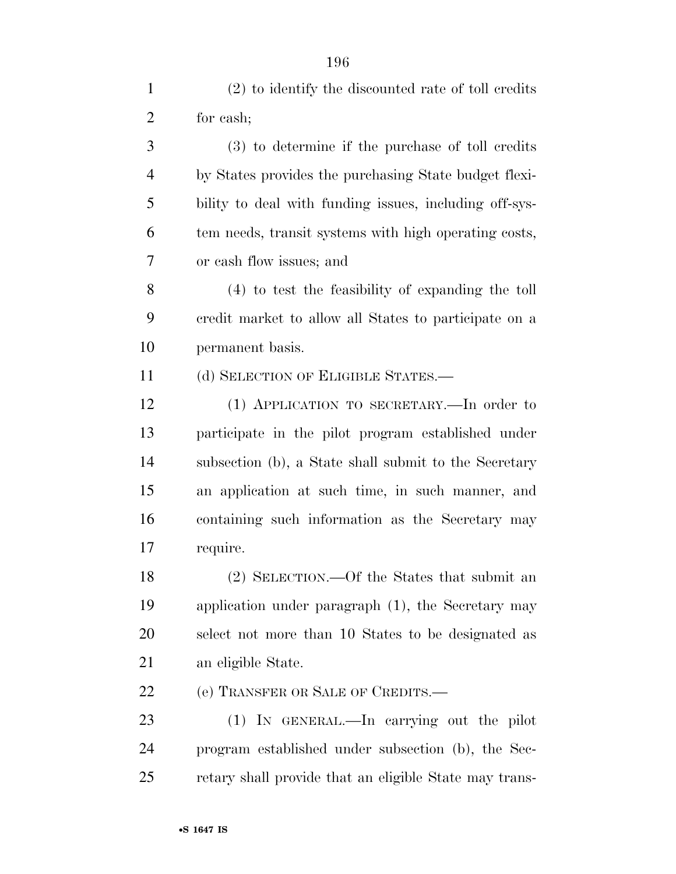| $\mathbf{1}$   | $(2)$ to identify the discounted rate of toll credits  |
|----------------|--------------------------------------------------------|
| $\overline{2}$ | for cash;                                              |
| 3              | $(3)$ to determine if the purchase of toll credits     |
| $\overline{4}$ | by States provides the purchasing State budget flexi-  |
| 5              | bility to deal with funding issues, including off-sys- |
| 6              | tem needs, transit systems with high operating costs,  |
| 7              | or cash flow issues; and                               |
| 8              | (4) to test the feasibility of expanding the toll      |
| 9              | credit market to allow all States to participate on a  |
| 10             | permanent basis.                                       |
| 11             | (d) SELECTION OF ELIGIBLE STATES.-                     |
| 12             | (1) APPLICATION TO SECRETARY.—In order to              |
| 13             | participate in the pilot program established under     |
| 14             | subsection (b), a State shall submit to the Secretary  |
| 15             | an application at such time, in such manner, and       |
| 16             | containing such information as the Secretary may       |
| 17             | require.                                               |
| 18             | (2) SELECTION.—Of the States that submit an            |
| 19             | application under paragraph $(1)$ , the Secretary may  |
| 20             | select not more than 10 States to be designated as     |
| 21             | an eligible State.                                     |
| 22             | (e) TRANSFER OR SALE OF CREDITS.-                      |
| 23             | (1) IN GENERAL.—In carrying out the pilot              |
| 24             | program established under subsection (b), the Sec-     |
| 25             | retary shall provide that an eligible State may trans- |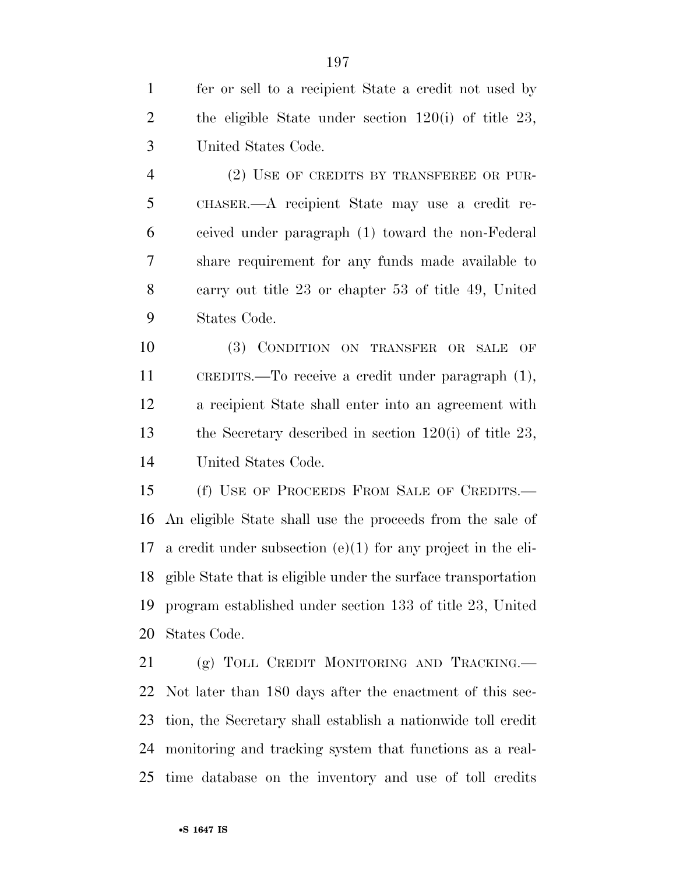fer or sell to a recipient State a credit not used by the eligible State under section 120(i) of title 23, United States Code.

 (2) USE OF CREDITS BY TRANSFEREE OR PUR- CHASER.—A recipient State may use a credit re- ceived under paragraph (1) toward the non-Federal share requirement for any funds made available to carry out title 23 or chapter 53 of title 49, United States Code.

 (3) CONDITION ON TRANSFER OR SALE OF CREDITS.—To receive a credit under paragraph (1), a recipient State shall enter into an agreement with the Secretary described in section 120(i) of title 23, United States Code.

 (f) USE OF PROCEEDS FROM SALE OF CREDITS.— An eligible State shall use the proceeds from the sale of a credit under subsection (e)(1) for any project in the eli- gible State that is eligible under the surface transportation program established under section 133 of title 23, United States Code.

21 (g) TOLL CREDIT MONITORING AND TRACKING. Not later than 180 days after the enactment of this sec- tion, the Secretary shall establish a nationwide toll credit monitoring and tracking system that functions as a real-time database on the inventory and use of toll credits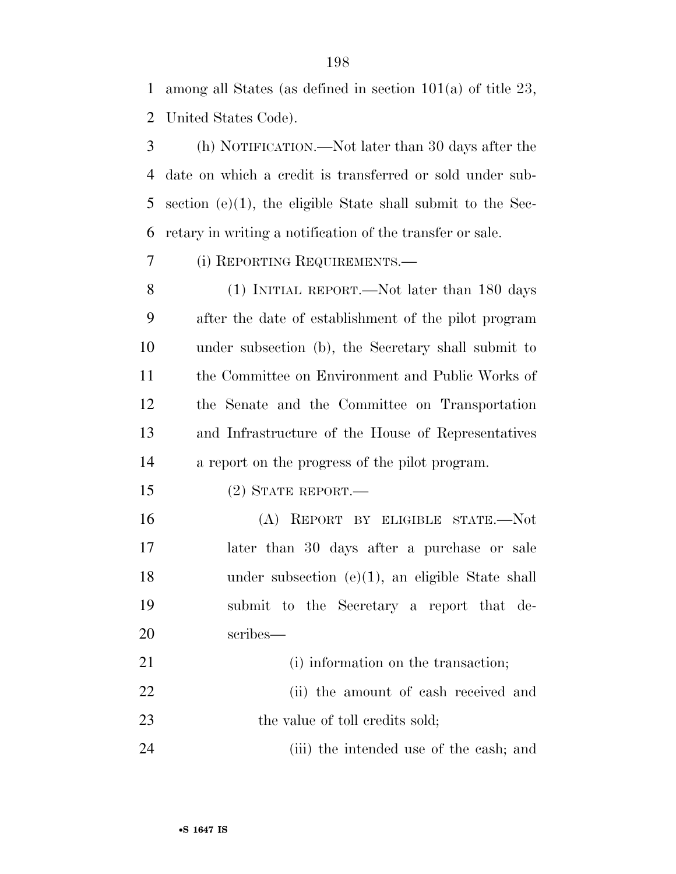among all States (as defined in section 101(a) of title 23, United States Code).

 (h) NOTIFICATION.—Not later than 30 days after the date on which a credit is transferred or sold under sub- section (e)(1), the eligible State shall submit to the Sec-retary in writing a notification of the transfer or sale.

(i) REPORTING REQUIREMENTS.—

 (1) INITIAL REPORT.—Not later than 180 days after the date of establishment of the pilot program under subsection (b), the Secretary shall submit to the Committee on Environment and Public Works of the Senate and the Committee on Transportation and Infrastructure of the House of Representatives a report on the progress of the pilot program.

(2) STATE REPORT.—

 (A) REPORT BY ELIGIBLE STATE.—Not later than 30 days after a purchase or sale under subsection (e)(1), an eligible State shall submit to the Secretary a report that de-scribes—

21 (i) information on the transaction;

 (ii) the amount of cash received and 23 the value of toll credits sold;

(iii) the intended use of the cash; and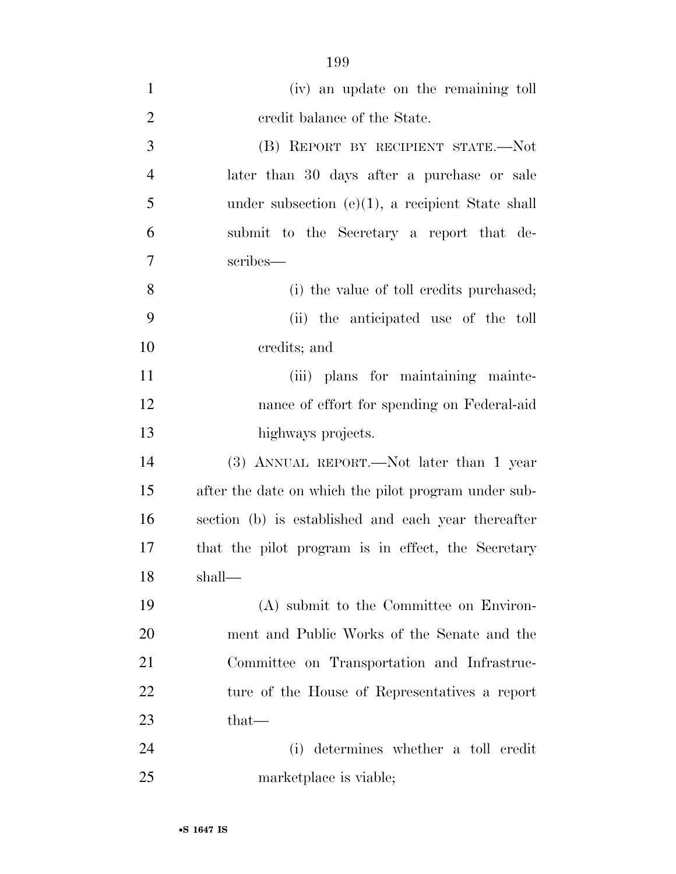| $\mathbf{1}$   | (iv) an update on the remaining toll                 |
|----------------|------------------------------------------------------|
| $\overline{2}$ | credit balance of the State.                         |
| 3              | (B) REPORT BY RECIPIENT STATE.—Not                   |
| $\overline{4}$ | later than 30 days after a purchase or sale          |
| 5              | under subsection $(e)(1)$ , a recipient State shall  |
| 6              | submit to the Secretary a report that de-            |
| 7              | scribes—                                             |
| 8              | (i) the value of toll credits purchased;             |
| 9              | (ii) the anticipated use of the toll                 |
| 10             | credits; and                                         |
| 11             | (iii) plans for maintaining mainte-                  |
| 12             | nance of effort for spending on Federal-aid          |
| 13             | highways projects.                                   |
| 14             | (3) ANNUAL REPORT.—Not later than 1 year             |
| 15             | after the date on which the pilot program under sub- |
| 16             | section (b) is established and each year thereafter  |
| 17             | that the pilot program is in effect, the Secretary   |
| 18             | shall—                                               |
| 19             | (A) submit to the Committee on Environ-              |
| 20             | ment and Public Works of the Senate and the          |
| 21             | Committee on Transportation and Infrastruc-          |
| 22             | ture of the House of Representatives a report        |
| 23             | $that-$                                              |
| 24             | (i) determines whether a toll credit                 |
| 25             | marketplace is viable;                               |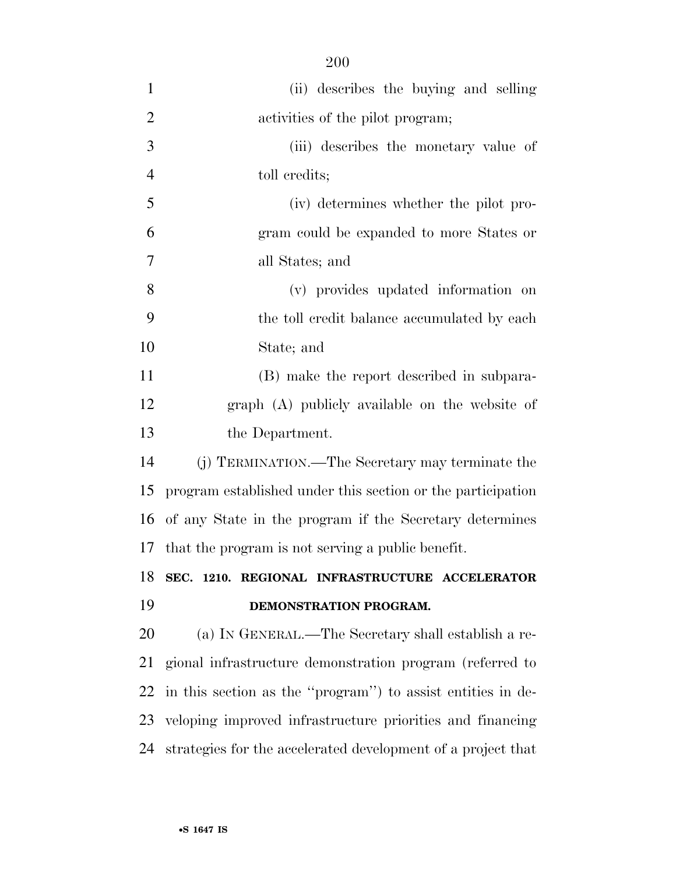| $\mathbf{1}$   | (ii) describes the buying and selling                        |
|----------------|--------------------------------------------------------------|
| $\overline{2}$ | activities of the pilot program;                             |
| 3              | (iii) describes the monetary value of                        |
| $\overline{4}$ | toll credits;                                                |
| 5              | (iv) determines whether the pilot pro-                       |
| 6              | gram could be expanded to more States or                     |
| 7              | all States; and                                              |
| 8              | (v) provides updated information on                          |
| 9              | the toll credit balance accumulated by each                  |
| 10             | State; and                                                   |
| 11             | (B) make the report described in subpara-                    |
| 12             | graph (A) publicly available on the website of               |
| 13             | the Department.                                              |
| 14             | (j) TERMINATION.—The Secretary may terminate the             |
| 15             | program established under this section or the participation  |
| 16             | of any State in the program if the Secretary determines      |
| 17             | that the program is not serving a public benefit.            |
| 18             | SEC. 1210. REGIONAL INFRASTRUCTURE ACCELERATOR               |
| 19             | DEMONSTRATION PROGRAM.                                       |
| 20             | (a) IN GENERAL.—The Secretary shall establish a re-          |
| 21             | gional infrastructure demonstration program (referred to     |
| 22             | in this section as the "program") to assist entities in de-  |
| 23             | veloping improved infrastructure priorities and financing    |
| 24             | strategies for the accelerated development of a project that |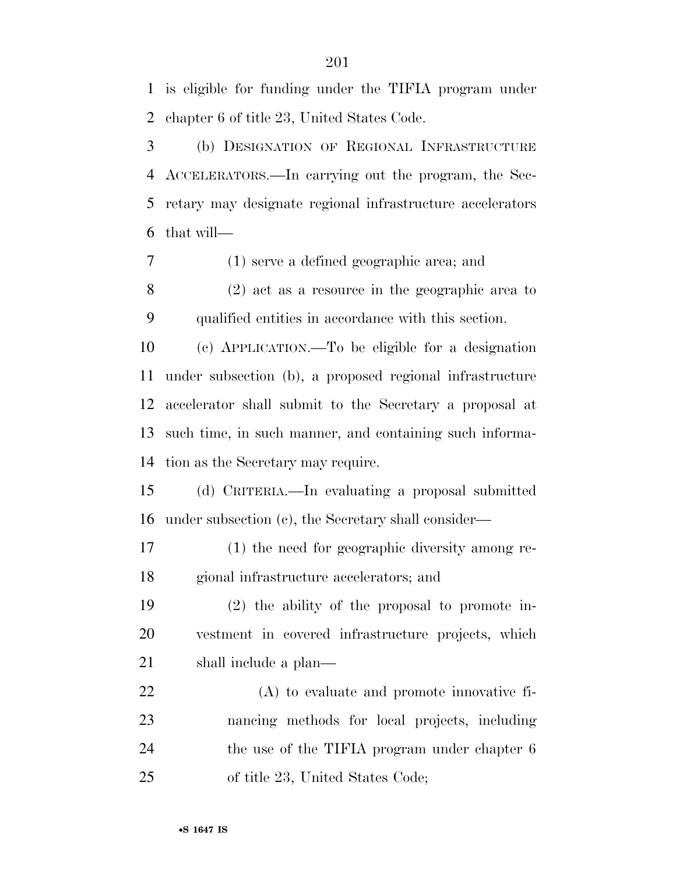is eligible for funding under the TIFIA program under chapter 6 of title 23, United States Code.

 (b) DESIGNATION OF REGIONAL INFRASTRUCTURE ACCELERATORS.—In carrying out the program, the Sec- retary may designate regional infrastructure accelerators that will—

(1) serve a defined geographic area; and

 (2) act as a resource in the geographic area to qualified entities in accordance with this section.

 (c) APPLICATION.—To be eligible for a designation under subsection (b), a proposed regional infrastructure accelerator shall submit to the Secretary a proposal at such time, in such manner, and containing such informa-tion as the Secretary may require.

 (d) CRITERIA.—In evaluating a proposal submitted under subsection (c), the Secretary shall consider—

 (1) the need for geographic diversity among re-gional infrastructure accelerators; and

 (2) the ability of the proposal to promote in- vestment in covered infrastructure projects, which 21 shall include a plan—

 (A) to evaluate and promote innovative fi- nancing methods for local projects, including 24 the use of the TIFIA program under chapter 6 of title 23, United States Code;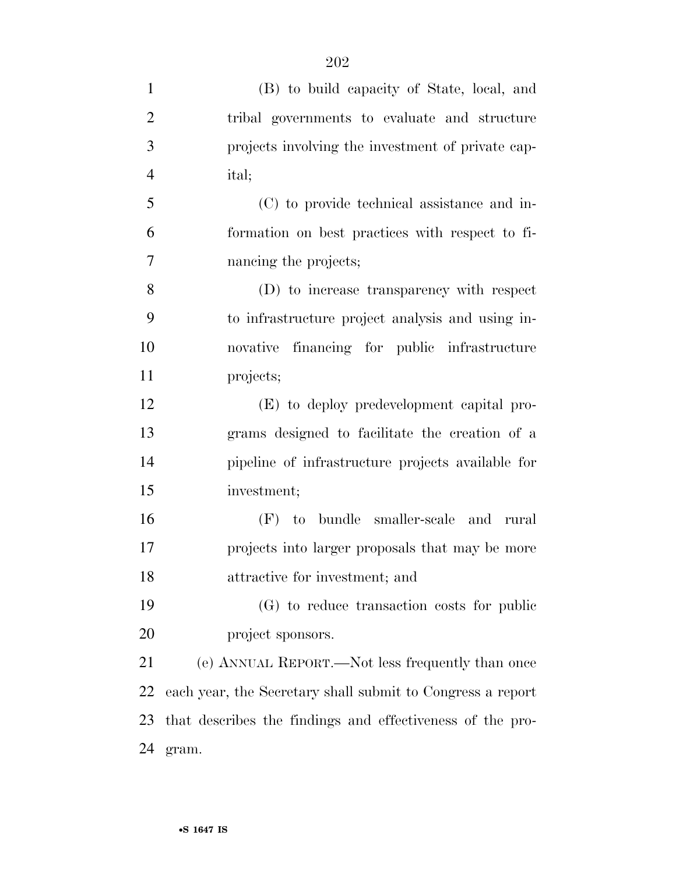| $\mathbf{1}$   | (B) to build capacity of State, local, and                 |
|----------------|------------------------------------------------------------|
| $\overline{2}$ | tribal governments to evaluate and structure               |
| 3              | projects involving the investment of private cap-          |
| $\overline{4}$ | ital;                                                      |
| 5              | (C) to provide technical assistance and in-                |
| 6              | formation on best practices with respect to fi-            |
| $\tau$         | nancing the projects;                                      |
| 8              | (D) to increase transparency with respect                  |
| 9              | to infrastructure project analysis and using in-           |
| 10             | novative financing for public infrastructure               |
| 11             | projects;                                                  |
| 12             | (E) to deploy predevelopment capital pro-                  |
| 13             | grams designed to facilitate the creation of a             |
| 14             | pipeline of infrastructure projects available for          |
| 15             | investment;                                                |
| 16             | (F) to bundle smaller-scale and rural                      |
| 17             | projects into larger proposals that may be more            |
| 18             | attractive for investment; and                             |
| 19             | (G) to reduce transaction costs for public                 |
| 20             | project sponsors.                                          |
| 21             | (e) ANNUAL REPORT.—Not less frequently than once           |
| 22             | each year, the Secretary shall submit to Congress a report |
| 23             | that describes the findings and effectiveness of the pro-  |
| 24             | gram.                                                      |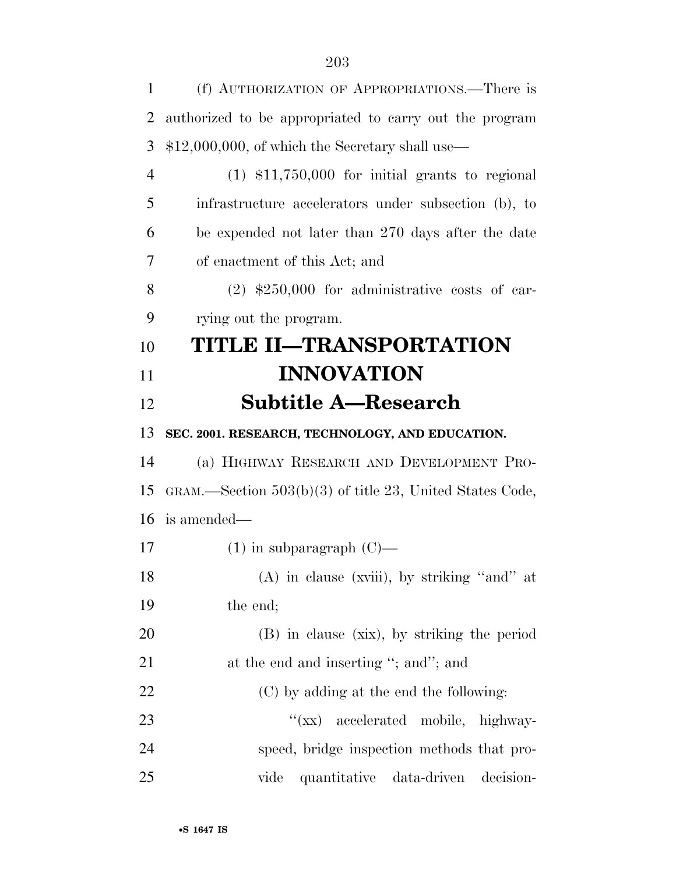| 1              | (f) AUTHORIZATION OF APPROPRIATIONS.—There is              |
|----------------|------------------------------------------------------------|
| $\overline{2}$ | authorized to be appropriated to carry out the program     |
| 3              | $$12,000,000,$ of which the Secretary shall use—           |
| $\overline{4}$ | $(1)$ \$11,750,000 for initial grants to regional          |
| 5              | infrastructure accelerators under subsection (b), to       |
| 6              | be expended not later than 270 days after the date         |
| 7              | of enactment of this Act; and                              |
| 8              | $(2)$ \$250,000 for administrative costs of car-           |
| 9              | rying out the program.                                     |
| 10             | TITLE II—TRANSPORTATION                                    |
| 11             | <b>INNOVATION</b>                                          |
| 12             | <b>Subtitle A—Research</b>                                 |
| 13             | SEC. 2001. RESEARCH, TECHNOLOGY, AND EDUCATION.            |
| 14             | (a) HIGHWAY RESEARCH AND DEVELOPMENT PRO-                  |
| 15             | GRAM.—Section $503(b)(3)$ of title 23, United States Code, |
| 16             | is amended—                                                |
| 17             | $(1)$ in subparagraph $(C)$ —                              |
| 18             | (A) in clause (xviii), by striking "and" at                |
| 19             | the end;                                                   |
| 20             | (B) in clause (xix), by striking the period                |
| 21             | at the end and inserting "; and"; and                      |
| 22             | (C) by adding at the end the following:                    |
| 23             | "(xx) accelerated mobile, highway-                         |
| 24             | speed, bridge inspection methods that pro-                 |
| 25             | vide<br>quantitative data-driven<br>decision-              |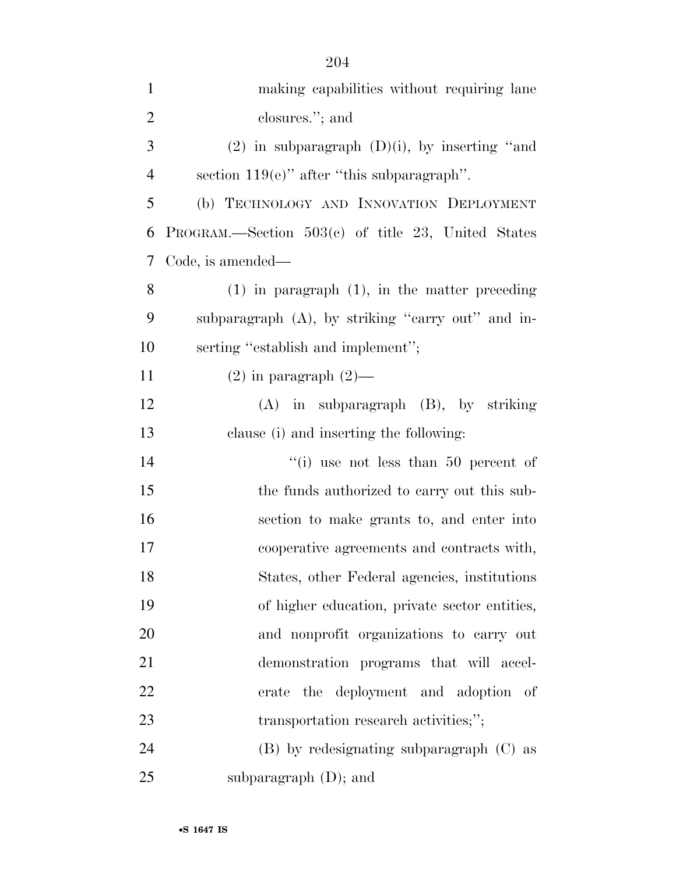| $\mathbf{1}$   | making capabilities without requiring lane           |
|----------------|------------------------------------------------------|
| $\overline{2}$ | closures."; and                                      |
| 3              | $(2)$ in subparagraph $(D)(i)$ , by inserting "and   |
| $\overline{4}$ | section $119(e)$ " after "this subparagraph".        |
| 5              | (b) TECHNOLOGY AND INNOVATION DEPLOYMENT             |
| 6              | PROGRAM.—Section $503(c)$ of title 23, United States |
| 7              | Code, is amended—                                    |
| 8              | $(1)$ in paragraph $(1)$ , in the matter preceding   |
| 9              | subparagraph (A), by striking "carry out" and in-    |
| 10             | serting "establish and implement";                   |
| 11             | $(2)$ in paragraph $(2)$ —                           |
| 12             | $(A)$ in subparagraph $(B)$ , by striking            |
| 13             | clause (i) and inserting the following:              |
| 14             | "(i) use not less than $50$ percent of               |
| 15             | the funds authorized to carry out this sub-          |
| 16             | section to make grants to, and enter into            |
| 17             | cooperative agreements and contracts with,           |
| 18             | States, other Federal agencies, institutions         |
| 19             | of higher education, private sector entities,        |
| 20             | and nonprofit organizations to carry out             |
| 21             | demonstration programs that will accel-              |
| 22             | erate the deployment and adoption of                 |
| 23             | transportation research activities;";                |
| 24             | $(B)$ by redesignating subparagraph $(C)$ as         |
| 25             | subparagraph $(D)$ ; and                             |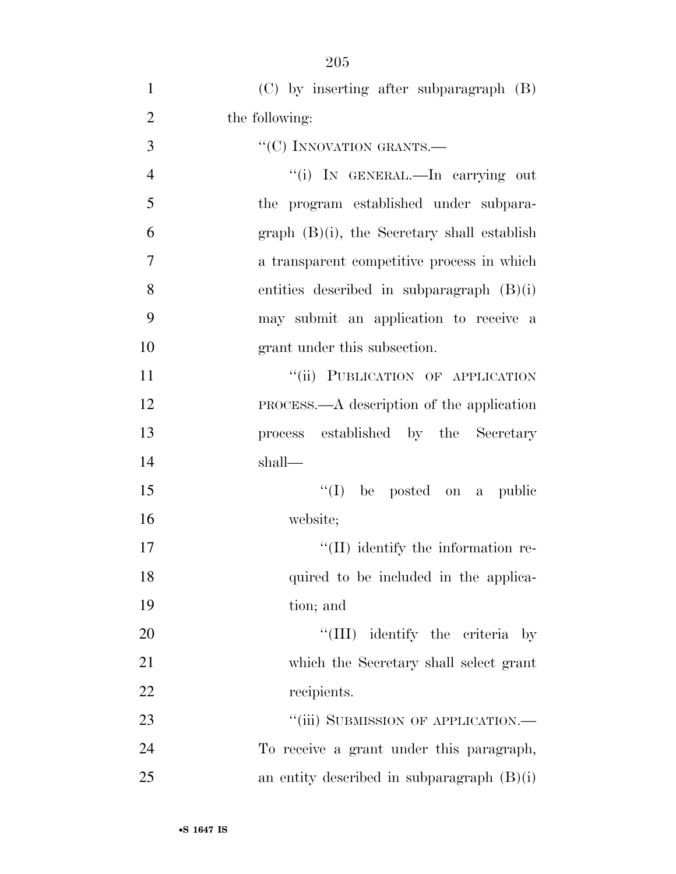| $\mathbf{1}$   | $(C)$ by inserting after subparagraph $(B)$   |
|----------------|-----------------------------------------------|
| $\overline{2}$ | the following:                                |
| 3              | "(C) INNOVATION GRANTS.-                      |
| $\overline{4}$ | "(i) IN GENERAL.—In carrying out              |
| 5              | the program established under subpara-        |
| 6              | $graph$ (B)(i), the Secretary shall establish |
| 7              | a transparent competitive process in which    |
| 8              | entities described in subparagraph $(B)(i)$   |
| 9              | may submit an application to receive a        |
| 10             | grant under this subsection.                  |
| 11             | "(ii) PUBLICATION OF APPLICATION              |
| 12             | PROCESS.—A description of the application     |
| 13             | process established by the Secretary          |
| 14             | shall—                                        |
| 15             | $\lq\lq$ (I) be posted on a public            |
| 16             | website;                                      |
| 17             | "(II) identify the information re-            |
| 18             | quired to be included in the applica-         |
| 19             | tion; and                                     |
| 20             | "(III) identify the criteria by               |
| 21             | which the Secretary shall select grant        |
| 22             | recipients.                                   |
| 23             | "(iii) SUBMISSION OF APPLICATION.—            |
| 24             | To receive a grant under this paragraph,      |
| 25             | an entity described in subparagraph $(B)(i)$  |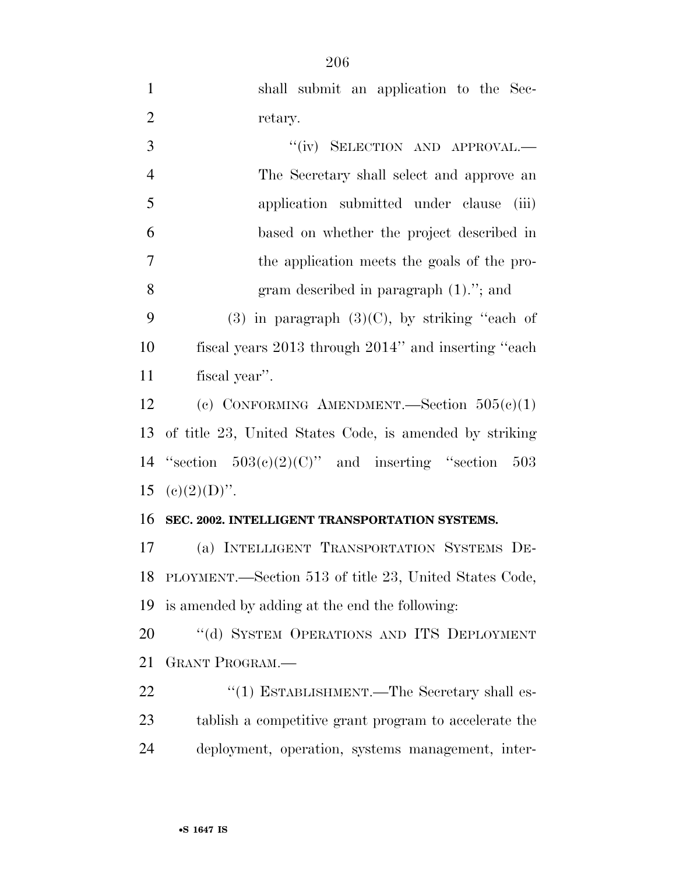| $\mathbf{1}$   | shall submit an application to the Sec-                 |
|----------------|---------------------------------------------------------|
| $\overline{2}$ | retary.                                                 |
| 3              | "(iv) SELECTION AND APPROVAL.-                          |
| $\overline{4}$ | The Secretary shall select and approve an               |
| 5              | application submitted under clause<br>(iii)             |
| 6              | based on whether the project described in               |
| $\tau$         | the application meets the goals of the pro-             |
| 8              | gram described in paragraph $(1)$ ."; and               |
| 9              | $(3)$ in paragraph $(3)(C)$ , by striking "each of      |
| 10             | fiscal years 2013 through 2014" and inserting "each"    |
| 11             | fiscal year".                                           |
| 12             | (c) CONFORMING AMENDMENT. Section $505(c)(1)$           |
|                |                                                         |
| 13             | of title 23, United States Code, is amended by striking |
| 14             | "section $503(c)(2)(C)$ " and inserting "section 503    |
| 15             | $(c)(2)(D)$ .                                           |
| 16             | SEC. 2002. INTELLIGENT TRANSPORTATION SYSTEMS.          |
| 17             | (a) INTELLIGENT TRANSPORTATION SYSTEMS DE-              |
| 18             | PLOYMENT.—Section 513 of title 23, United States Code,  |
| 19             | is amended by adding at the end the following:          |
| 20             | "(d) SYSTEM OPERATIONS AND ITS DEPLOYMENT               |
| 21             | <b>GRANT PROGRAM.</b>                                   |
| 22             | "(1) ESTABLISHMENT.—The Secretary shall es-             |
| 23             | tablish a competitive grant program to accelerate the   |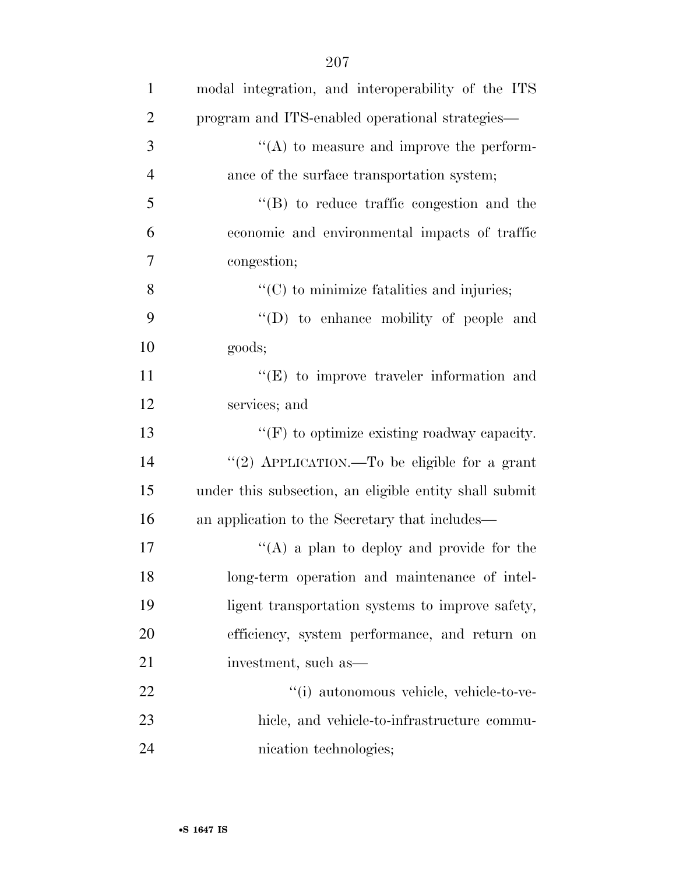| $\mathbf{1}$   | modal integration, and interoperability of the ITS     |
|----------------|--------------------------------------------------------|
| $\overline{2}$ | program and ITS-enabled operational strategies—        |
| 3              | "(A) to measure and improve the perform-               |
| $\overline{4}$ | ance of the surface transportation system;             |
| 5              | $\lq\lq$ to reduce traffic congestion and the          |
| 6              | economic and environmental impacts of traffic          |
| 7              | congestion;                                            |
| 8              | $\lq\lq$ (C) to minimize fatalities and injuries;      |
| 9              | "(D) to enhance mobility of people and                 |
| 10             | goods;                                                 |
| 11             | $\lq\lq(E)$ to improve traveler information and        |
| 12             | services; and                                          |
| 13             | $\lq\lq(F)$ to optimize existing roadway capacity.     |
| 14             | "(2) APPLICATION.—To be eligible for a grant           |
| 15             | under this subsection, an eligible entity shall submit |
| 16             | an application to the Secretary that includes—         |
| 17             | "(A) a plan to deploy and provide for the              |
| 18             | long-term operation and maintenance of intel-          |
| 19             | ligent transportation systems to improve safety,       |
| 20             | efficiency, system performance, and return on          |
| 21             | investment, such as—                                   |
| 22             | "(i) autonomous vehicle, vehicle-to-ve-                |
| 23             | hicle, and vehicle-to-infrastructure commu-            |
| 24             | nication technologies;                                 |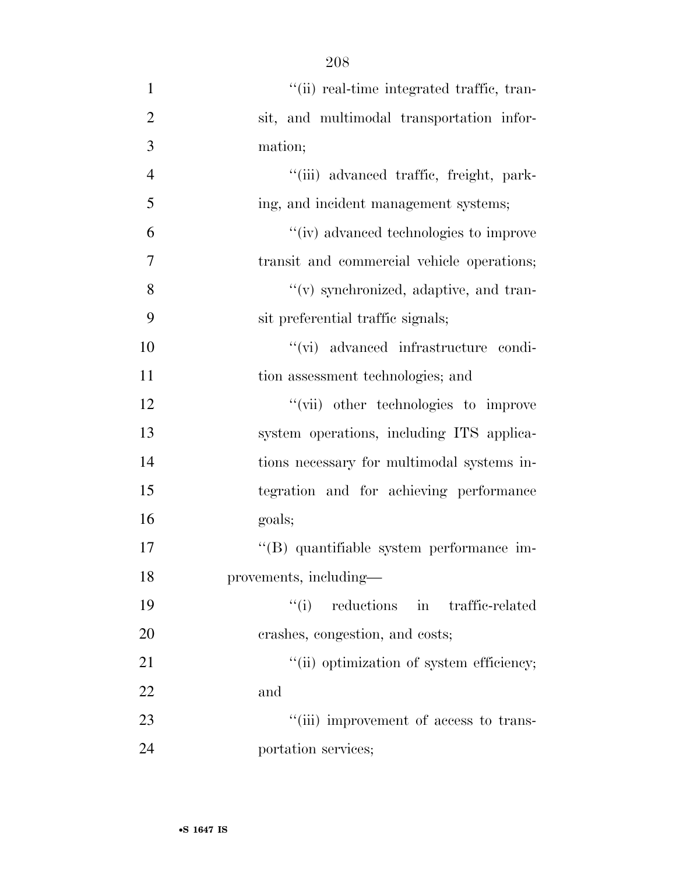- 1  $"$ (ii) real-time integrated traffic, tran- sit, and multimodal transportation infor- mation; ''(iii) advanced traffic, freight, park- ing, and incident management systems; ''(iv) advanced technologies to improve transit and commercial vehicle operations; ''(v) synchronized, adaptive, and tran- sit preferential traffic signals; ''(vi) advanced infrastructure condi-11 tion assessment technologies; and ''(vii) other technologies to improve system operations, including ITS applica- tions necessary for multimodal systems in- tegration and for achieving performance goals; ''(B) quantifiable system performance im- provements, including— ''(i) reductions in traffic-related crashes, congestion, and costs; 21  $"$ (ii) optimization of system efficiency; and 23  $\frac{1}{1}$  ''(iii) improvement of access to trans-
- portation services;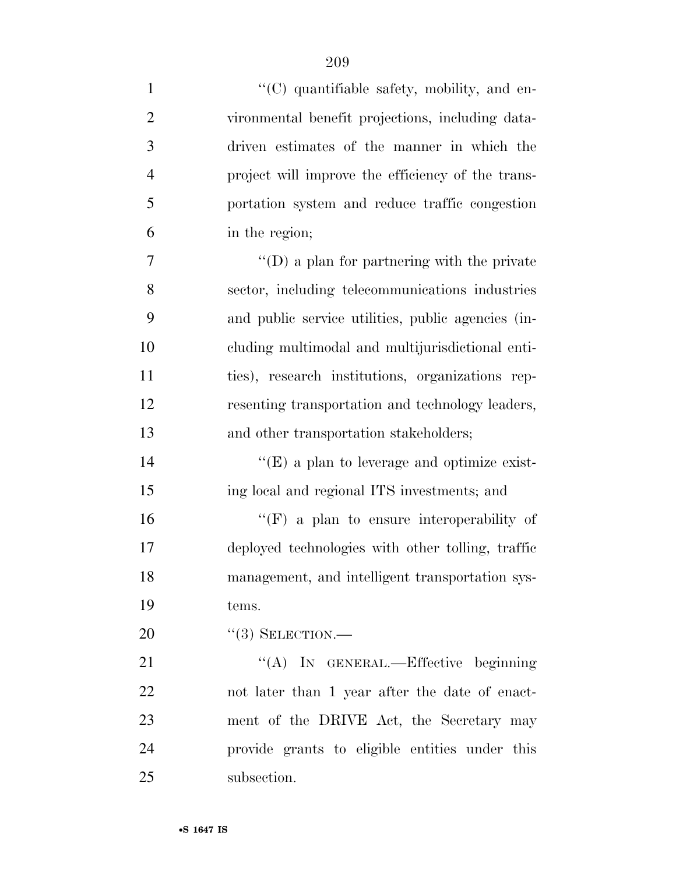$\langle ^{\prime}(C) \rangle$  quantifiable safety, mobility, and en- vironmental benefit projections, including data- driven estimates of the manner in which the project will improve the efficiency of the trans- portation system and reduce traffic congestion in the region; ''(D) a plan for partnering with the private sector, including telecommunications industries and public service utilities, public agencies (in- cluding multimodal and multijurisdictional enti- ties), research institutions, organizations rep- resenting transportation and technology leaders, and other transportation stakeholders;  $((E)$  a plan to leverage and optimize exist- ing local and regional ITS investments; and ''(F) a plan to ensure interoperability of deployed technologies with other tolling, traffic management, and intelligent transportation sys-

tems.

20 "(3) SELECTION.—

21 "(A) IN GENERAL.—Effective beginning not later than 1 year after the date of enact- ment of the DRIVE Act, the Secretary may provide grants to eligible entities under this subsection.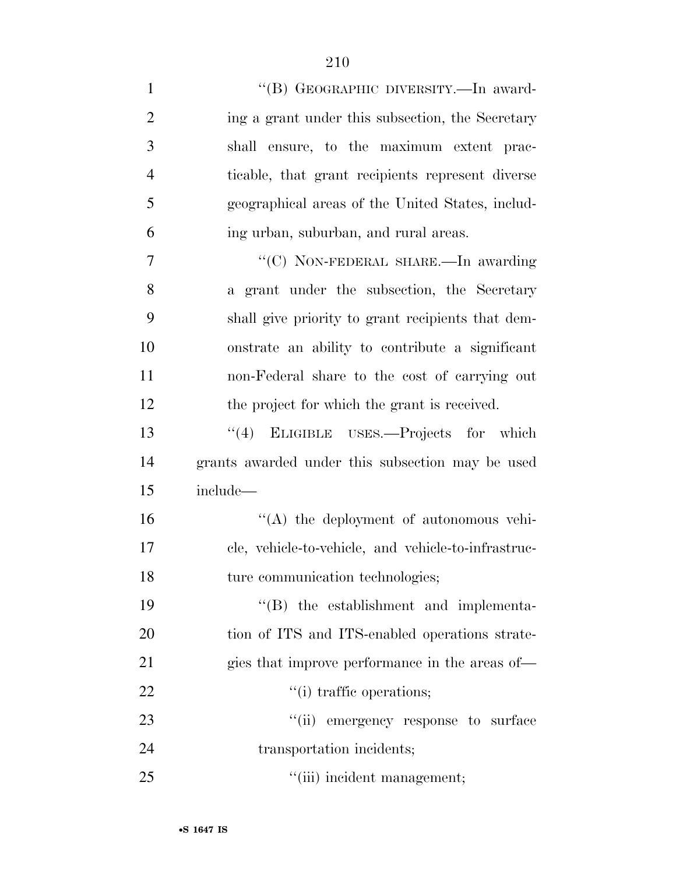| $\mathbf{1}$   | "(B) GEOGRAPHIC DIVERSITY.—In award-                |
|----------------|-----------------------------------------------------|
| $\overline{2}$ | ing a grant under this subsection, the Secretary    |
| 3              | shall ensure, to the maximum extent prac-           |
| $\overline{4}$ | ticable, that grant recipients represent diverse    |
| 5              | geographical areas of the United States, includ-    |
| 6              | ing urban, suburban, and rural areas.               |
| 7              | "(C) NON-FEDERAL SHARE.—In awarding                 |
| 8              | a grant under the subsection, the Secretary         |
| 9              | shall give priority to grant recipients that dem-   |
| 10             | onstrate an ability to contribute a significant     |
| 11             | non-Federal share to the cost of carrying out       |
| 12             | the project for which the grant is received.        |
| 13             | "(4) ELIGIBLE USES.—Projects for which              |
| 14             | grants awarded under this subsection may be used    |
| 15             | include-                                            |
| 16             | $\lq\lq$ the deployment of autonomous vehi-         |
| 17             | cle, vehicle-to-vehicle, and vehicle-to-infrastruc- |
| 18             | ture communication technologies;                    |
| 19             | "(B) the establishment and implementa-              |
| 20             | tion of ITS and ITS-enabled operations strate-      |
| 21             | gies that improve performance in the areas of—      |
| 22             | "(i) traffic operations;                            |
| 23             | "(ii) emergency response to surface                 |
| 24             | transportation incidents;                           |
| 25             | "(iii) incident management;                         |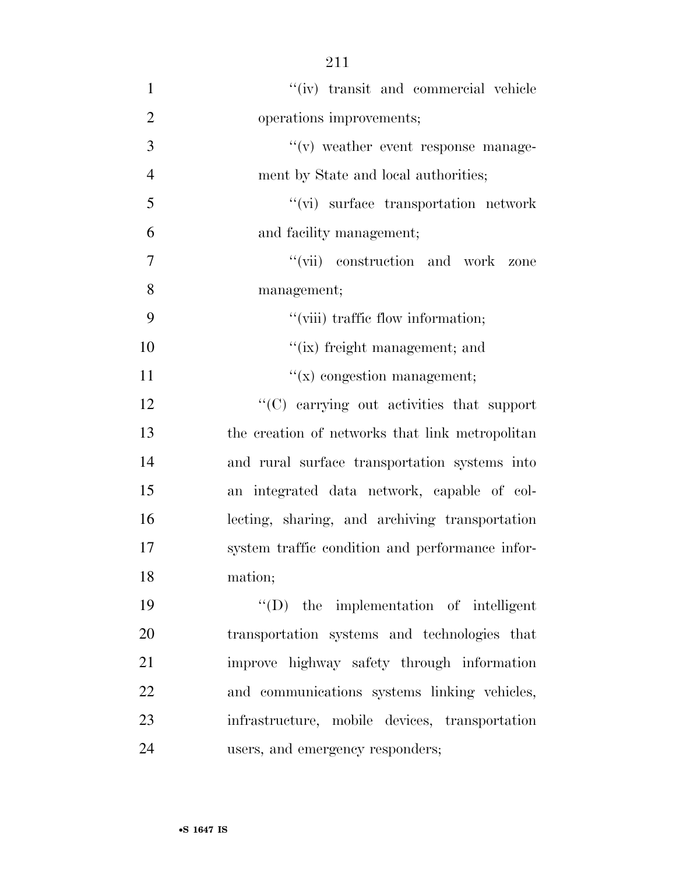- ''(iv) transit and commercial vehicle operations improvements; 3  $''(v)$  weather event response manage- ment by State and local authorities; ''(vi) surface transportation network and facility management; 7  $''(\text{vii})$  construction and work zone management; 9  $"$ (viii) traffic flow information; 10  $"$ (ix) freight management; and 11  $''(x)$  congestion management; 12  $\langle ^{\prime}(C) \rangle$  carrying out activities that support the creation of networks that link metropolitan and rural surface transportation systems into an integrated data network, capable of col- lecting, sharing, and archiving transportation system traffic condition and performance infor- mation; ''(D) the implementation of intelligent transportation systems and technologies that improve highway safety through information and communications systems linking vehicles,
- users, and emergency responders;

infrastructure, mobile devices, transportation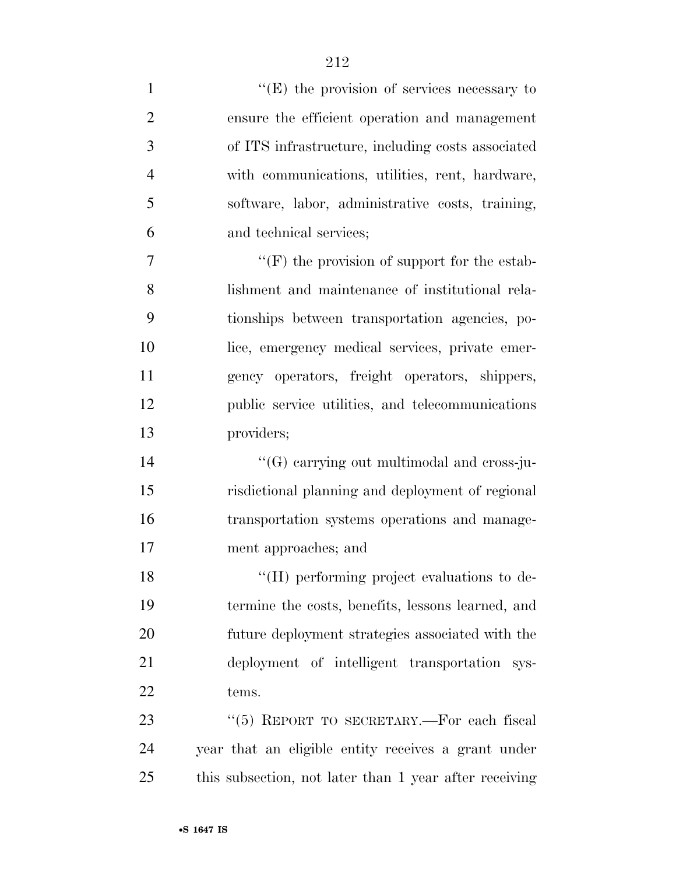$"$ (E) the provision of services necessary to ensure the efficient operation and management of ITS infrastructure, including costs associated with communications, utilities, rent, hardware, software, labor, administrative costs, training, and technical services;  $\langle \text{``(F)} \rangle$  the provision of support for the estab- lishment and maintenance of institutional rela- tionships between transportation agencies, po- lice, emergency medical services, private emer- gency operators, freight operators, shippers, public service utilities, and telecommunications providers;  $((G)$  carrying out multimodal and cross-ju- risdictional planning and deployment of regional transportation systems operations and manage-ment approaches; and

18 "(H) performing project evaluations to de- termine the costs, benefits, lessons learned, and future deployment strategies associated with the deployment of intelligent transportation sys-tems.

23 "(5) REPORT TO SECRETARY.—For each fiscal year that an eligible entity receives a grant under this subsection, not later than 1 year after receiving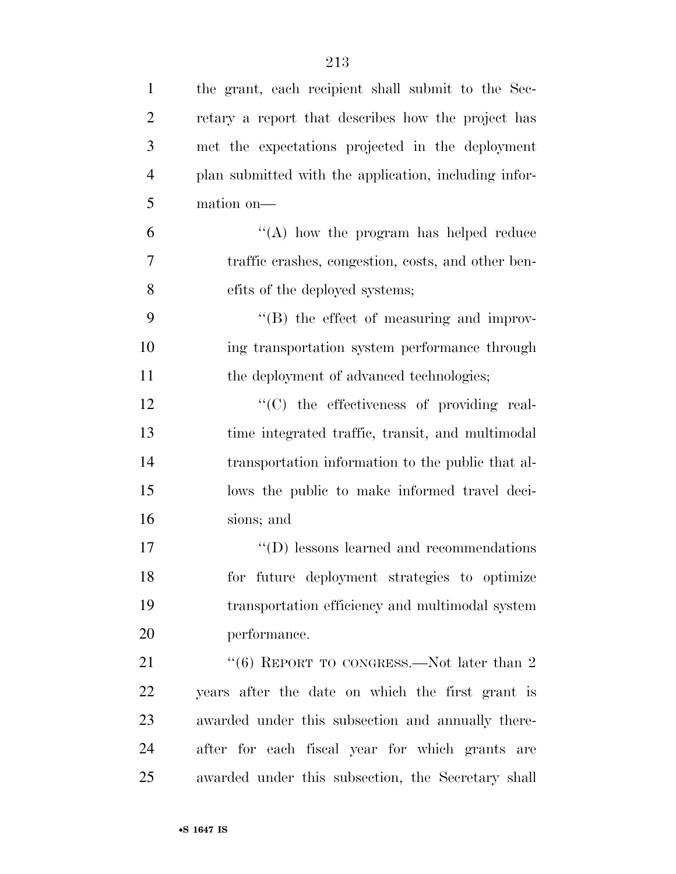| $\mathbf{1}$   | the grant, each recipient shall submit to the Sec-    |
|----------------|-------------------------------------------------------|
| $\overline{2}$ | retary a report that describes how the project has    |
| 3              | met the expectations projected in the deployment      |
| $\overline{4}$ | plan submitted with the application, including infor- |
| 5              | mation on-                                            |
| 6              | "(A) how the program has helped reduce                |
| 7              | traffic crashes, congestion, costs, and other ben-    |
| 8              | efits of the deployed systems;                        |
| 9              | "(B) the effect of measuring and improv-              |
| 10             | ing transportation system performance through         |
| 11             | the deployment of advanced technologies;              |
| 12             | "(C) the effectiveness of providing real-             |
| 13             | time integrated traffic, transit, and multimodal      |
| 14             | transportation information to the public that al-     |
| 15             | lows the public to make informed travel deci-         |
| 16             | sions; and                                            |
| 17             | $\lq\lq$ (D) lessons learned and recommendations      |
| 18             | for future deployment strategies to optimize          |
| 19             | transportation efficiency and multimodal system       |
| 20             | performance.                                          |
| 21             | "(6) REPORT TO CONGRESS.—Not later than $2$           |
| 22             | years after the date on which the first grant is      |
| 23             | awarded under this subsection and annually there-     |
| 24             | after for each fiscal year for which grants are       |
| 25             | awarded under this subsection, the Secretary shall    |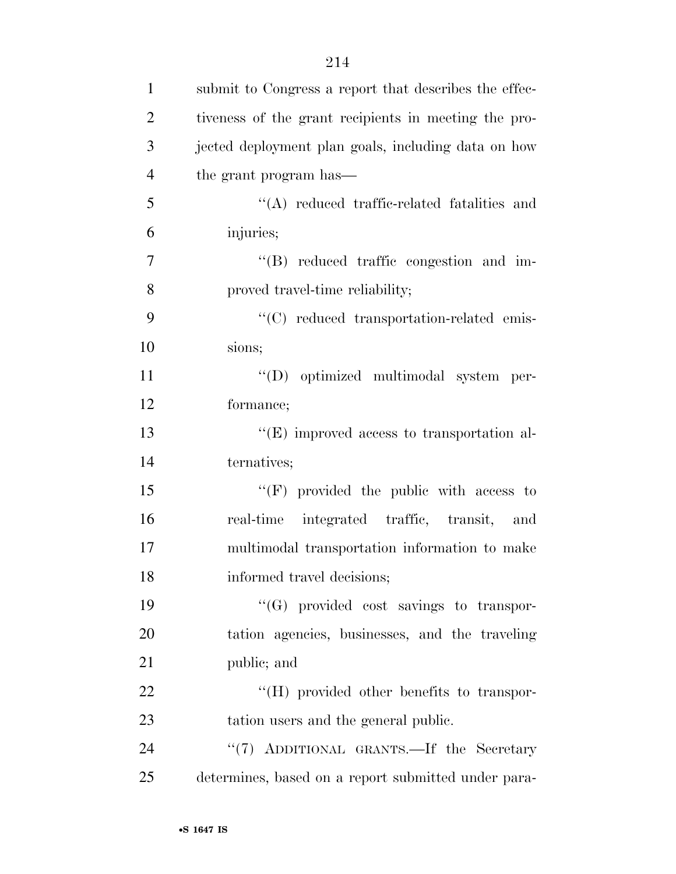| $\mathbf{1}$   | submit to Congress a report that describes the effec- |
|----------------|-------------------------------------------------------|
| 2              | tiveness of the grant recipients in meeting the pro-  |
| 3              | jected deployment plan goals, including data on how   |
| $\overline{4}$ | the grant program has—                                |
| 5              | $\lq\lq$ reduced traffic-related fatalities and       |
| 6              | injuries;                                             |
| $\tau$         | "(B) reduced traffic congestion and im-               |
| 8              | proved travel-time reliability;                       |

9  $\cdot$  (C) reduced transportation-related emis-sions;

 ''(D) optimized multimodal system per-formance;

13 ''(E) improved access to transportation al-ternatives;

15 "'(F) provided the public with access to real-time integrated traffic, transit, and multimodal transportation information to make informed travel decisions;

 ''(G) provided cost savings to transpor- tation agencies, businesses, and the traveling public; and

22  $\bullet$  "(H) provided other benefits to transpor-tation users and the general public.

24 ''(7) ADDITIONAL GRANTS.—If the Secretary determines, based on a report submitted under para-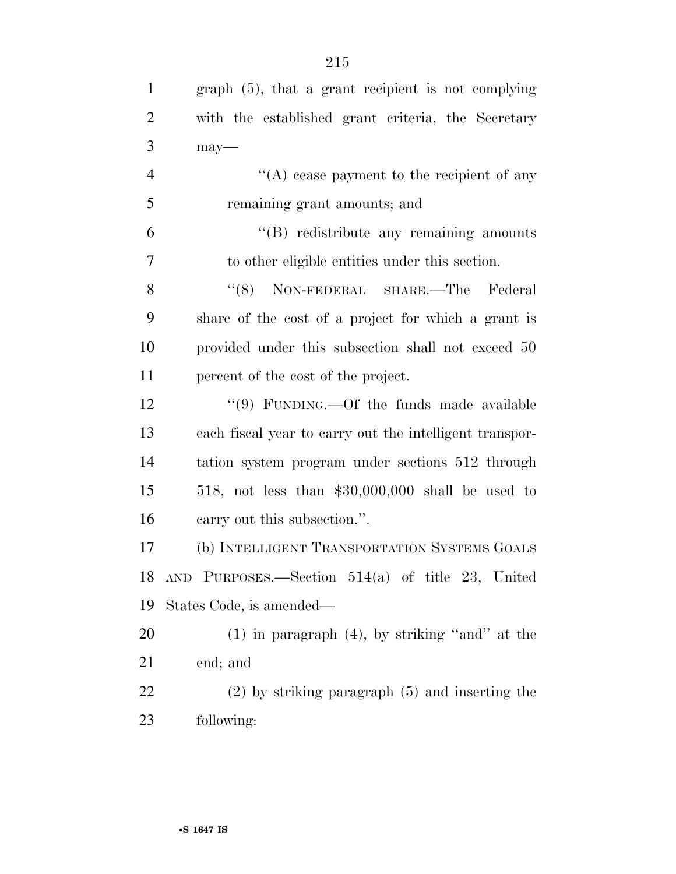| $\mathbf{1}$   | $graph(5)$ , that a grant recipient is not complying    |
|----------------|---------------------------------------------------------|
| $\overline{2}$ | with the established grant criteria, the Secretary      |
| 3              | $may-$                                                  |
| $\overline{4}$ | $\lq\lq$ cease payment to the recipient of any          |
| 5              | remaining grant amounts; and                            |
| 6              | $\lq\lq(B)$ redistribute any remaining amounts          |
| $\overline{7}$ | to other eligible entities under this section.          |
| 8              | "(8) NON-FEDERAL SHARE.—The Federal                     |
| 9              | share of the cost of a project for which a grant is     |
| 10             | provided under this subsection shall not exceed 50      |
| 11             | percent of the cost of the project.                     |
| 12             | "(9) FUNDING.—Of the funds made available               |
| 13             | each fiscal year to carry out the intelligent transpor- |
| 14             | tation system program under sections 512 through        |
| 15             | 518, not less than $$30,000,000$ shall be used to       |
| 16             | carry out this subsection.".                            |
| 17             | (b) INTELLIGENT TRANSPORTATION SYSTEMS GOALS            |
|                | 18 AND PURPOSES.—Section 514(a) of title 23, United     |
| 19             | States Code, is amended—                                |
| 20             | $(1)$ in paragraph $(4)$ , by striking "and" at the     |
| 21             | end; and                                                |
| 22             | $(2)$ by striking paragraph $(5)$ and inserting the     |
| 23             | following:                                              |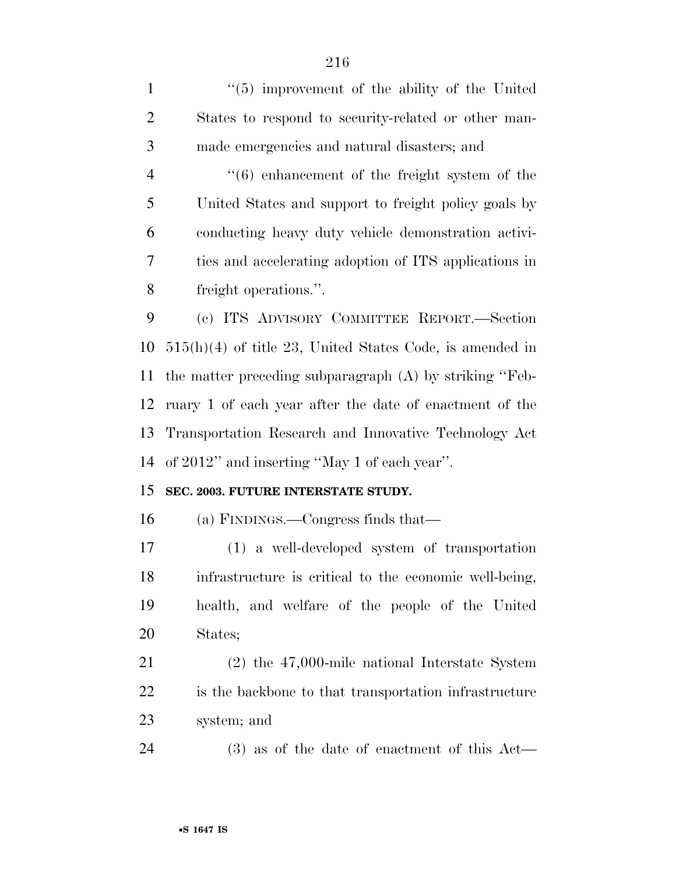1 ''(5) improvement of the ability of the United States to respond to security-related or other man-made emergencies and natural disasters; and

 ''(6) enhancement of the freight system of the United States and support to freight policy goals by conducting heavy duty vehicle demonstration activi- ties and accelerating adoption of ITS applications in freight operations.''.

 (c) ITS ADVISORY COMMITTEE REPORT.—Section 515(h)(4) of title 23, United States Code, is amended in the matter preceding subparagraph (A) by striking ''Feb- ruary 1 of each year after the date of enactment of the Transportation Research and Innovative Technology Act of 2012'' and inserting ''May 1 of each year''.

#### **SEC. 2003. FUTURE INTERSTATE STUDY.**

(a) FINDINGS.—Congress finds that—

 (1) a well-developed system of transportation infrastructure is critical to the economic well-being, health, and welfare of the people of the United States;

 (2) the 47,000-mile national Interstate System is the backbone to that transportation infrastructure system; and

(3) as of the date of enactment of this Act—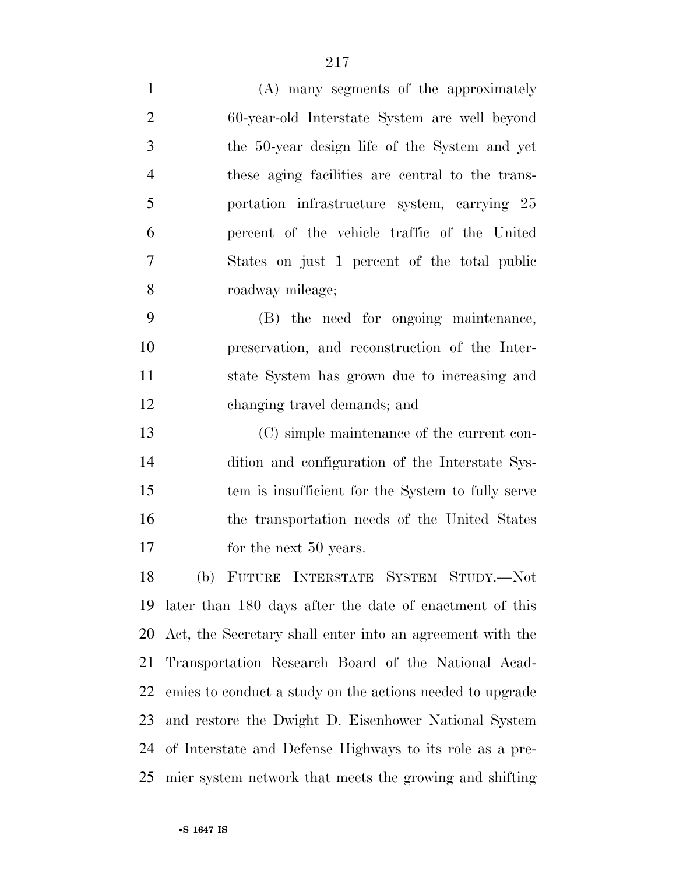(A) many segments of the approximately 60-year-old Interstate System are well beyond the 50-year design life of the System and yet these aging facilities are central to the trans- portation infrastructure system, carrying 25 percent of the vehicle traffic of the United States on just 1 percent of the total public roadway mileage;

 (B) the need for ongoing maintenance, preservation, and reconstruction of the Inter- state System has grown due to increasing and changing travel demands; and

 (C) simple maintenance of the current con- dition and configuration of the Interstate Sys- tem is insufficient for the System to fully serve the transportation needs of the United States 17 for the next 50 years.

 (b) FUTURE INTERSTATE SYSTEM STUDY.—Not later than 180 days after the date of enactment of this Act, the Secretary shall enter into an agreement with the Transportation Research Board of the National Acad- emies to conduct a study on the actions needed to upgrade and restore the Dwight D. Eisenhower National System of Interstate and Defense Highways to its role as a pre-mier system network that meets the growing and shifting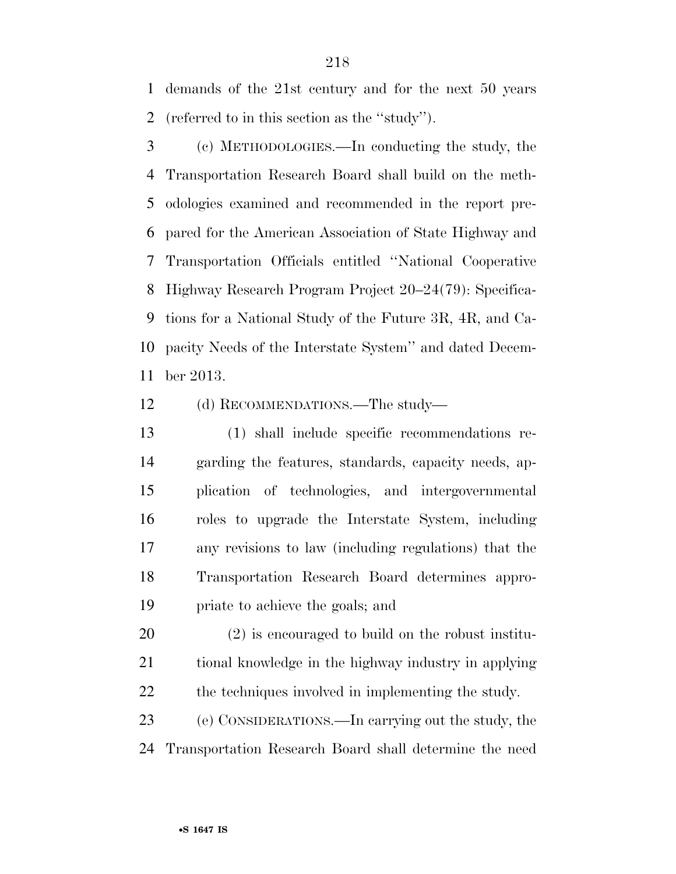demands of the 21st century and for the next 50 years (referred to in this section as the ''study'').

 (c) METHODOLOGIES.—In conducting the study, the Transportation Research Board shall build on the meth- odologies examined and recommended in the report pre- pared for the American Association of State Highway and Transportation Officials entitled ''National Cooperative Highway Research Program Project 20–24(79): Specifica- tions for a National Study of the Future 3R, 4R, and Ca- pacity Needs of the Interstate System'' and dated Decem-ber 2013.

(d) RECOMMENDATIONS.—The study—

 (1) shall include specific recommendations re- garding the features, standards, capacity needs, ap- plication of technologies, and intergovernmental roles to upgrade the Interstate System, including any revisions to law (including regulations) that the Transportation Research Board determines appro-priate to achieve the goals; and

 (2) is encouraged to build on the robust institu- tional knowledge in the highway industry in applying the techniques involved in implementing the study.

 (e) CONSIDERATIONS.—In carrying out the study, the Transportation Research Board shall determine the need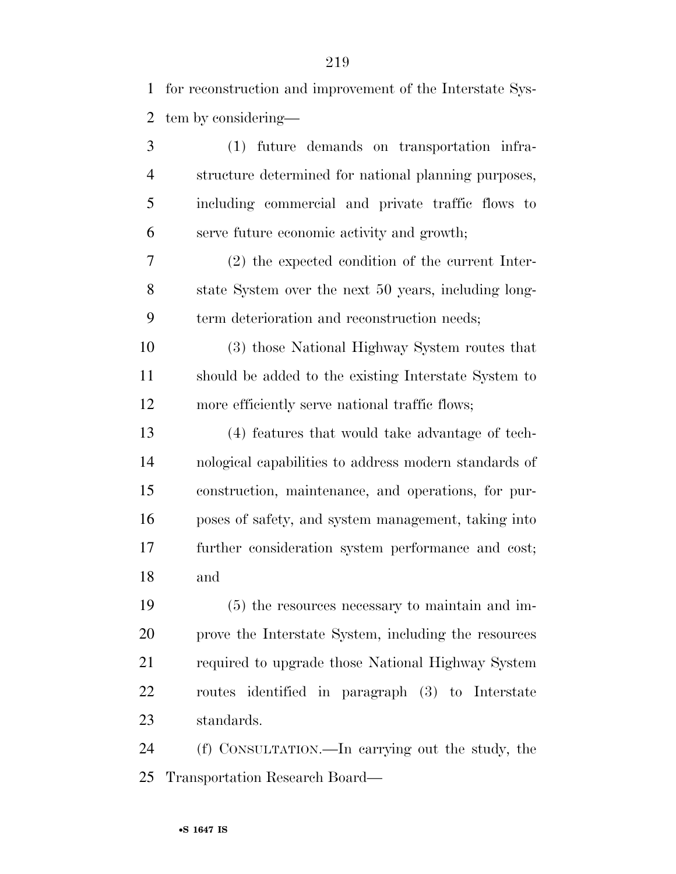for reconstruction and improvement of the Interstate Sys-tem by considering—

| 3              | (1)<br>future demands on transportation infra-        |
|----------------|-------------------------------------------------------|
| $\overline{4}$ | structure determined for national planning purposes,  |
| 5              | including commercial and private traffic flows to     |
| 6              | serve future economic activity and growth;            |
| 7              | $(2)$ the expected condition of the current Inter-    |
| 8              | state System over the next 50 years, including long-  |
| 9              | term deterioration and reconstruction needs;          |
| 10             | (3) those National Highway System routes that         |
| 11             | should be added to the existing Interstate System to  |
| 12             | more efficiently serve national traffic flows;        |
| 13             | (4) features that would take advantage of tech-       |
| 14             | nological capabilities to address modern standards of |
| 15             | construction, maintenance, and operations, for pur-   |
| 16             | poses of safety, and system management, taking into   |
| 17             | further consideration system performance and cost;    |
| 18             | and                                                   |
| 19             | (5) the resources necessary to maintain and im-       |
| 20             | prove the Interstate System, including the resources  |
| 21             | required to upgrade those National Highway System     |
| 22             | routes identified in paragraph (3) to Interstate      |
| 23             | standards.                                            |

 (f) CONSULTATION.—In carrying out the study, the Transportation Research Board—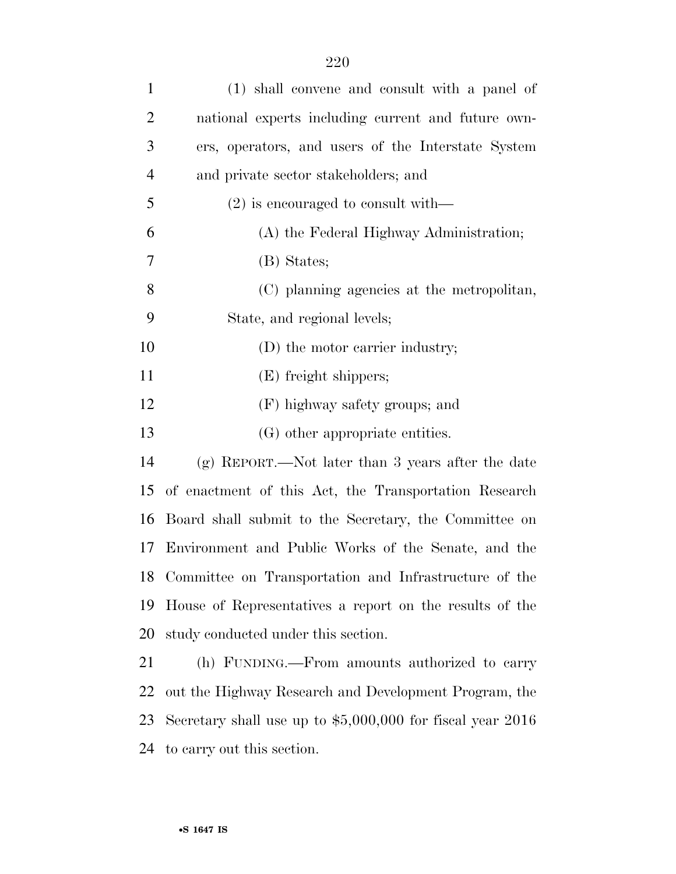| $\mathbf{1}$   | (1) shall convene and consult with a panel of               |
|----------------|-------------------------------------------------------------|
| $\overline{2}$ | national experts including current and future own-          |
| 3              | ers, operators, and users of the Interstate System          |
| $\overline{4}$ | and private sector stakeholders; and                        |
| 5              | $(2)$ is encouraged to consult with—                        |
| 6              | (A) the Federal Highway Administration;                     |
| 7              | (B) States;                                                 |
| 8              | (C) planning agencies at the metropolitan,                  |
| 9              | State, and regional levels;                                 |
| 10             | (D) the motor carrier industry;                             |
| 11             | (E) freight shippers;                                       |
| 12             | (F) highway safety groups; and                              |
| 13             | (G) other appropriate entities.                             |
| 14             | (g) REPORT.—Not later than 3 years after the date           |
| 15             | of enactment of this Act, the Transportation Research       |
| 16             | Board shall submit to the Secretary, the Committee on       |
| 17             | Environment and Public Works of the Senate, and the         |
| 18             | Committee on Transportation and Infrastructure of the       |
| 19             | House of Representatives a report on the results of the     |
| 20             | study conducted under this section.                         |
| 21             | (h) FUNDING.—From amounts authorized to carry               |
| 22             | out the Highway Research and Development Program, the       |
| 23             | Secretary shall use up to $$5,000,000$ for fiscal year 2016 |
|                |                                                             |

to carry out this section.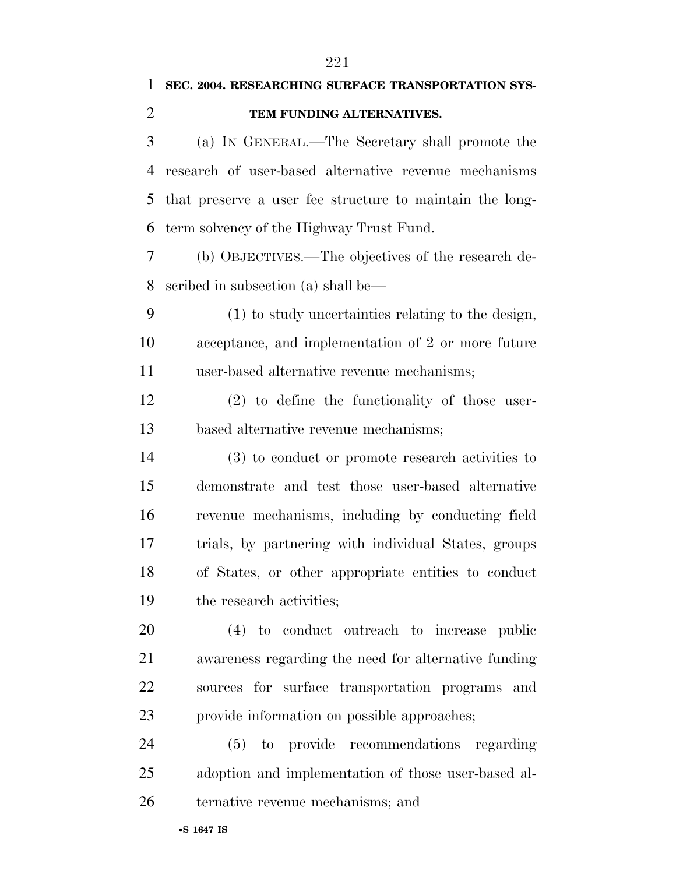# **SEC. 2004. RESEARCHING SURFACE TRANSPORTATION SYS- TEM FUNDING ALTERNATIVES.**  (a) IN GENERAL.—The Secretary shall promote the research of user-based alternative revenue mechanisms that preserve a user fee structure to maintain the long- term solvency of the Highway Trust Fund. (b) OBJECTIVES.—The objectives of the research de- scribed in subsection (a) shall be— (1) to study uncertainties relating to the design, acceptance, and implementation of 2 or more future user-based alternative revenue mechanisms; (2) to define the functionality of those user- based alternative revenue mechanisms; (3) to conduct or promote research activities to demonstrate and test those user-based alternative revenue mechanisms, including by conducting field trials, by partnering with individual States, groups of States, or other appropriate entities to conduct the research activities; (4) to conduct outreach to increase public awareness regarding the need for alternative funding sources for surface transportation programs and provide information on possible approaches; (5) to provide recommendations regarding adoption and implementation of those user-based al-ternative revenue mechanisms; and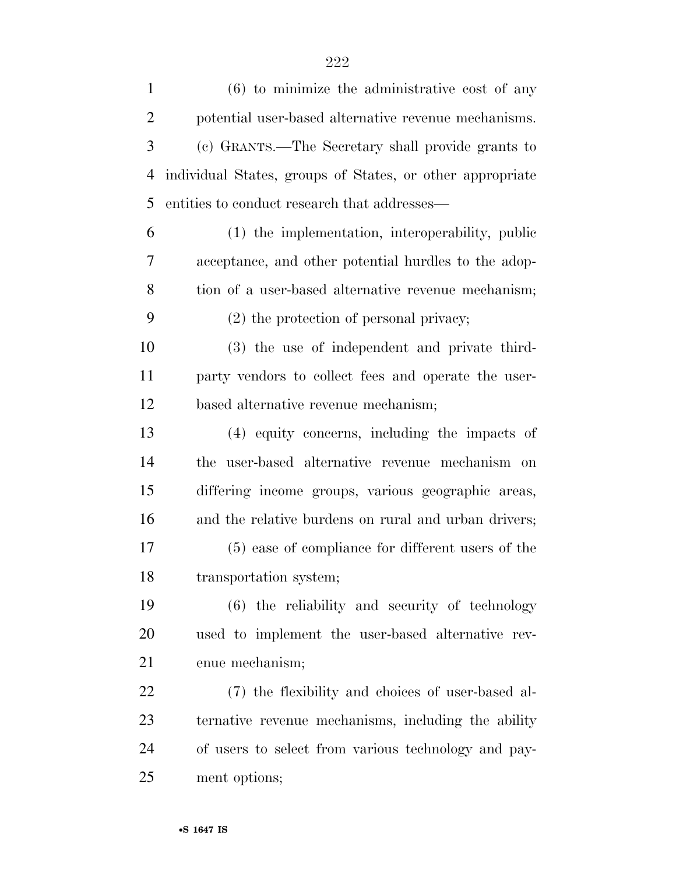(6) to minimize the administrative cost of any potential user-based alternative revenue mechanisms. (c) GRANTS.—The Secretary shall provide grants to individual States, groups of States, or other appropriate entities to conduct research that addresses— (1) the implementation, interoperability, public acceptance, and other potential hurdles to the adop-8 tion of a user-based alternative revenue mechanism; (2) the protection of personal privacy; (3) the use of independent and private third- party vendors to collect fees and operate the user- based alternative revenue mechanism; (4) equity concerns, including the impacts of the user-based alternative revenue mechanism on differing income groups, various geographic areas, and the relative burdens on rural and urban drivers; (5) ease of compliance for different users of the transportation system; (6) the reliability and security of technology used to implement the user-based alternative rev- enue mechanism; (7) the flexibility and choices of user-based al- ternative revenue mechanisms, including the ability of users to select from various technology and pay-ment options;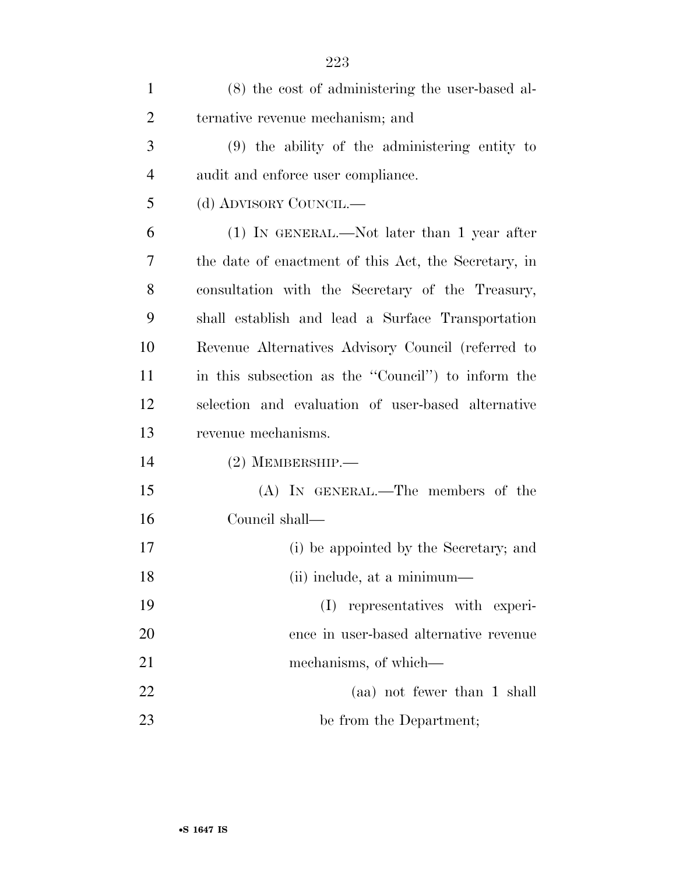| $\mathbf{1}$   | (8) the cost of administering the user-based al-     |
|----------------|------------------------------------------------------|
| $\overline{2}$ | ternative revenue mechanism; and                     |
| 3              | $(9)$ the ability of the administering entity to     |
| $\overline{4}$ | audit and enforce user compliance.                   |
| 5              | (d) ADVISORY COUNCIL.—                               |
| 6              | $(1)$ IN GENERAL.—Not later than 1 year after        |
| 7              | the date of enactment of this Act, the Secretary, in |
| 8              | consultation with the Secretary of the Treasury,     |
| 9              | shall establish and lead a Surface Transportation    |
| 10             | Revenue Alternatives Advisory Council (referred to   |
| 11             | in this subsection as the "Council" to inform the    |
| 12             | selection and evaluation of user-based alternative   |
| 13             | revenue mechanisms.                                  |
| 14             | $(2)$ MEMBERSHIP.—                                   |
| 15             | $(A)$ IN GENERAL.—The members of the                 |
| 16             | Council shall—                                       |
| 17             | (i) be appointed by the Secretary; and               |
| 18             | (ii) include, at a minimum—                          |
| 19             | representatives with experi-<br>(I)                  |
| 20             | ence in user-based alternative revenue               |
| 21             | mechanisms, of which—                                |
| 22             | (aa) not fewer than 1 shall                          |
| 23             | be from the Department;                              |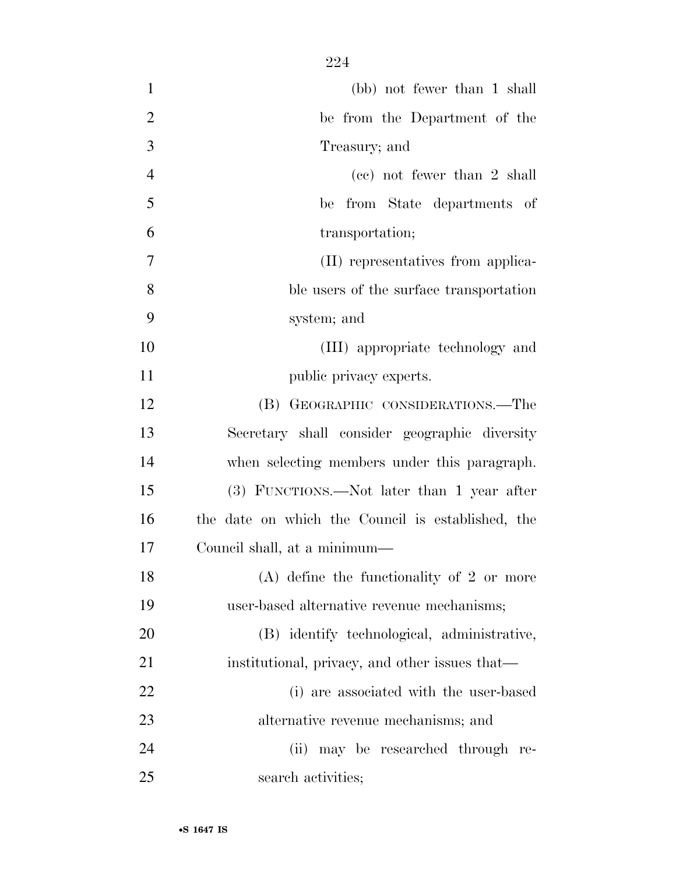(bb) not fewer than 1 shall be from the Department of the Treasury; and (cc) not fewer than 2 shall be from State departments of transportation; (II) representatives from applica- ble users of the surface transportation system; and (III) appropriate technology and 11 public privacy experts. (B) GEOGRAPHIC CONSIDERATIONS.—The Secretary shall consider geographic diversity when selecting members under this paragraph. (3) FUNCTIONS.—Not later than 1 year after the date on which the Council is established, the Council shall, at a minimum— 18 (A) define the functionality of 2 or more user-based alternative revenue mechanisms; (B) identify technological, administrative, 21 institutional, privacy, and other issues that— (i) are associated with the user-based alternative revenue mechanisms; and

 (ii) may be researched through re-search activities;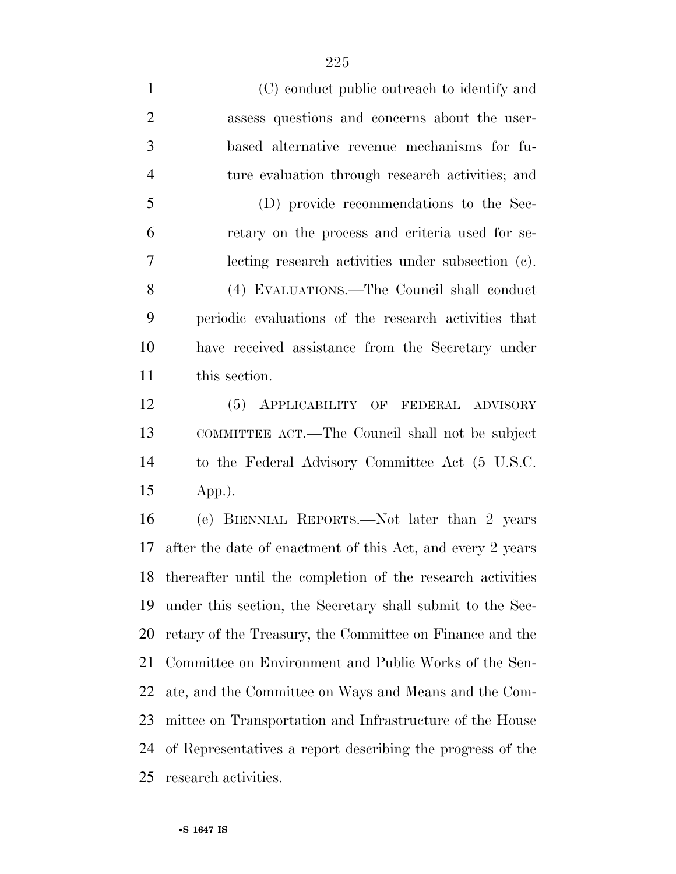(C) conduct public outreach to identify and assess questions and concerns about the user- based alternative revenue mechanisms for fu- ture evaluation through research activities; and (D) provide recommendations to the Sec- retary on the process and criteria used for se- lecting research activities under subsection (c). (4) EVALUATIONS.—The Council shall conduct periodic evaluations of the research activities that have received assistance from the Secretary under this section. (5) APPLICABILITY OF FEDERAL ADVISORY COMMITTEE ACT.—The Council shall not be subject to the Federal Advisory Committee Act (5 U.S.C. App.). (e) BIENNIAL REPORTS.—Not later than 2 years after the date of enactment of this Act, and every 2 years thereafter until the completion of the research activities under this section, the Secretary shall submit to the Sec- retary of the Treasury, the Committee on Finance and the Committee on Environment and Public Works of the Sen-

ate, and the Committee on Ways and Means and the Com-

mittee on Transportation and Infrastructure of the House

of Representatives a report describing the progress of the

research activities.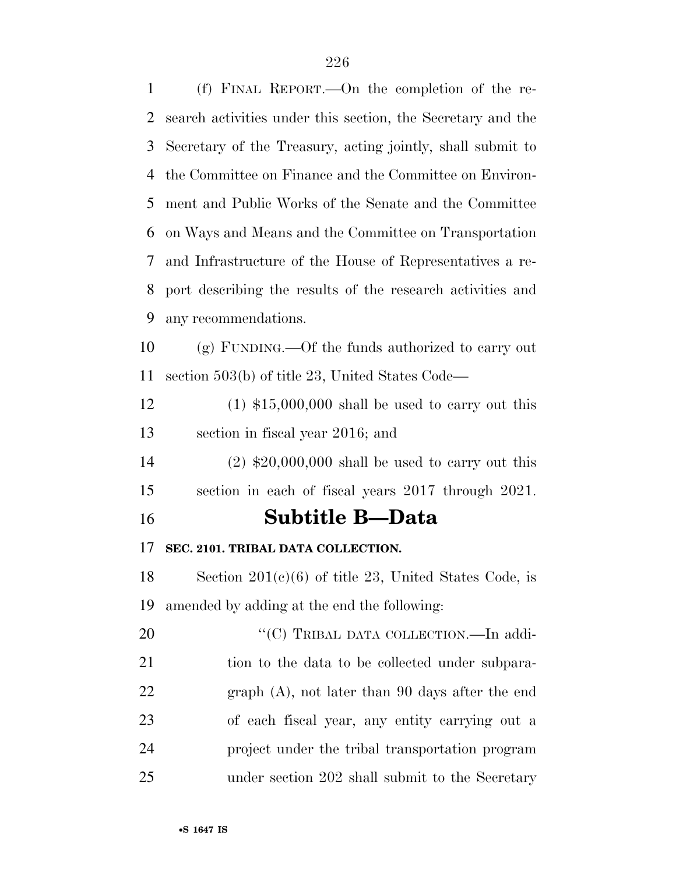(f) FINAL REPORT.—On the completion of the re- search activities under this section, the Secretary and the Secretary of the Treasury, acting jointly, shall submit to the Committee on Finance and the Committee on Environ- ment and Public Works of the Senate and the Committee on Ways and Means and the Committee on Transportation and Infrastructure of the House of Representatives a re- port describing the results of the research activities and any recommendations. (g) FUNDING.—Of the funds authorized to carry out section 503(b) of title 23, United States Code—  $(1)$  \$15,000,000 shall be used to carry out this section in fiscal year 2016; and (2) \$20,000,000 shall be used to carry out this section in each of fiscal years 2017 through 2021. **Subtitle B—Data SEC. 2101. TRIBAL DATA COLLECTION.**  Section 201(c)(6) of title 23, United States Code, is amended by adding at the end the following: 20 "'(C) TRIBAL DATA COLLECTION.—In addi-21 tion to the data to be collected under subpara- graph (A), not later than 90 days after the end of each fiscal year, any entity carrying out a project under the tribal transportation program under section 202 shall submit to the Secretary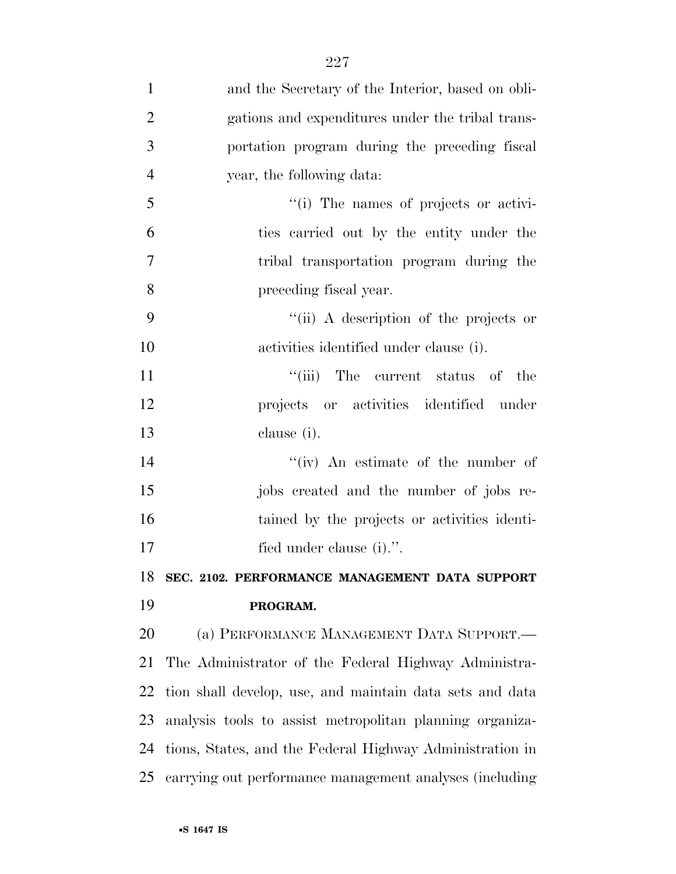| $\mathbf{1}$   | and the Secretary of the Interior, based on obli-        |
|----------------|----------------------------------------------------------|
| $\overline{2}$ | gations and expenditures under the tribal trans-         |
| 3              | portation program during the preceding fiscal            |
| $\overline{4}$ | year, the following data:                                |
| 5              | "(i) The names of projects or activi-                    |
| 6              | ties carried out by the entity under the                 |
| 7              | tribal transportation program during the                 |
| 8              | preceding fiscal year.                                   |
| 9              | "(ii) A description of the projects or                   |
| 10             | activities identified under clause (i).                  |
| 11             | "(iii) The current status of the                         |
| 12             | projects or activities identified under                  |
| 13             | clause (i).                                              |
| 14             | "(iv) An estimate of the number of                       |
| 15             | jobs created and the number of jobs re-                  |
| 16             | tained by the projects or activities identi-             |
| 17             | fied under clause (i).".                                 |
| 18             | SEC. 2102. PERFORMANCE MANAGEMENT DATA SUPPORT           |
| 19             | PROGRAM.                                                 |
| 20             | (a) PERFORMANCE MANAGEMENT DATA SUPPORT.—                |
| 21             | The Administrator of the Federal Highway Administra-     |
| 22             | tion shall develop, use, and maintain data sets and data |
| 23             | analysis tools to assist metropolitan planning organiza- |
| 24             | tions, States, and the Federal Highway Administration in |
| 25             | carrying out performance management analyses (including  |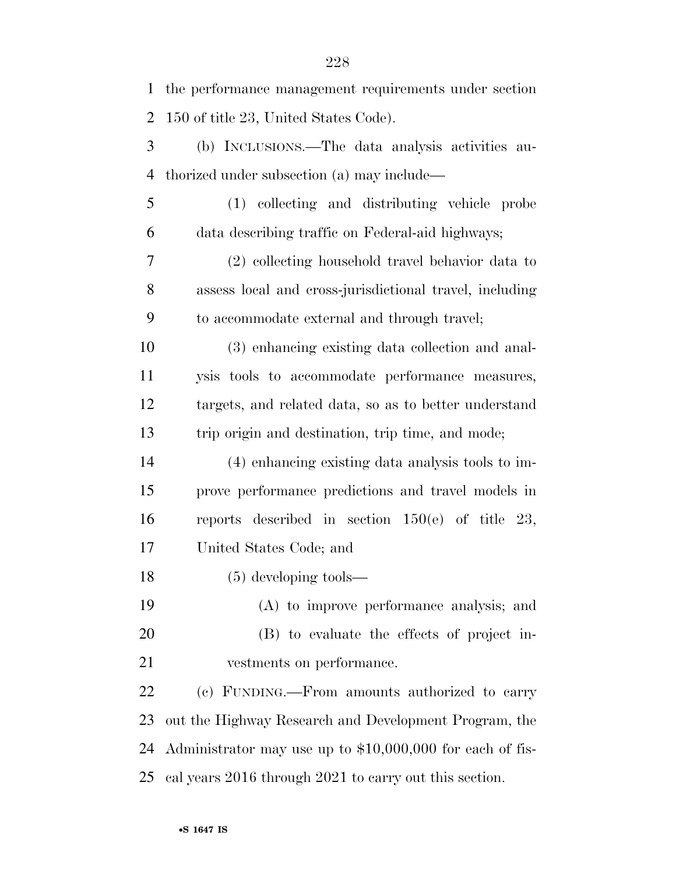| $\mathbf{1}$   | the performance management requirements under section      |
|----------------|------------------------------------------------------------|
| $\overline{2}$ | 150 of title 23, United States Code).                      |
| 3              | (b) INCLUSIONS.—The data analysis activities au-           |
| $\overline{4}$ | thorized under subsection (a) may include—                 |
| 5              | (1) collecting and distributing vehicle probe              |
| 6              | data describing traffic on Federal-aid highways;           |
| 7              | (2) collecting household travel behavior data to           |
| 8              | assess local and cross-jurisdictional travel, including    |
| 9              | to accommodate external and through travel;                |
| 10             | (3) enhancing existing data collection and anal-           |
| 11             | ysis tools to accommodate performance measures,            |
| 12             | targets, and related data, so as to better understand      |
| 13             | trip origin and destination, trip time, and mode;          |
| 14             | (4) enhancing existing data analysis tools to im-          |
| 15             | prove performance predictions and travel models in         |
| 16             | reports described in section $150(e)$ of title 23,         |
| 17             | United States Code; and                                    |
| 18             | $(5)$ developing tools—                                    |
| 19             | (A) to improve performance analysis; and                   |
| 20             | (B) to evaluate the effects of project in-                 |
| 21             | vestments on performance.                                  |
| 22             | (c) FUNDING.—From amounts authorized to carry              |
| 23             | out the Highway Research and Development Program, the      |
| 24             | Administrator may use up to $$10,000,000$ for each of fis- |
| 25             | cal years 2016 through 2021 to carry out this section.     |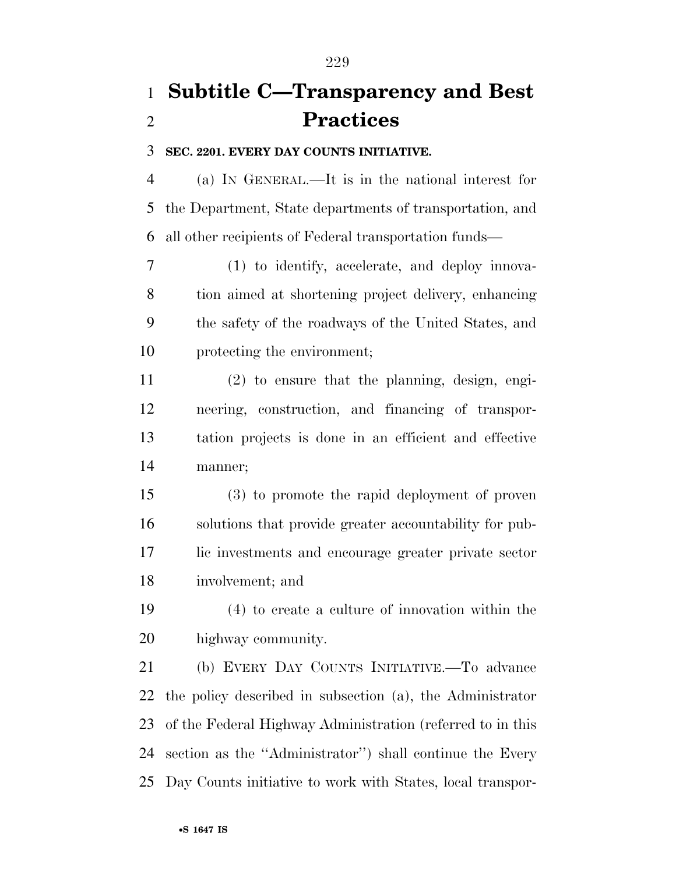## **Subtitle C—Transparency and Best Practices**

### **SEC. 2201. EVERY DAY COUNTS INITIATIVE.**

 (a) IN GENERAL.—It is in the national interest for the Department, State departments of transportation, and all other recipients of Federal transportation funds—

 (1) to identify, accelerate, and deploy innova- tion aimed at shortening project delivery, enhancing the safety of the roadways of the United States, and protecting the environment;

 (2) to ensure that the planning, design, engi- neering, construction, and financing of transpor- tation projects is done in an efficient and effective manner;

 (3) to promote the rapid deployment of proven solutions that provide greater accountability for pub- lic investments and encourage greater private sector involvement; and

 (4) to create a culture of innovation within the highway community.

 (b) EVERY DAY COUNTS INITIATIVE.—To advance the policy described in subsection (a), the Administrator of the Federal Highway Administration (referred to in this section as the ''Administrator'') shall continue the Every Day Counts initiative to work with States, local transpor-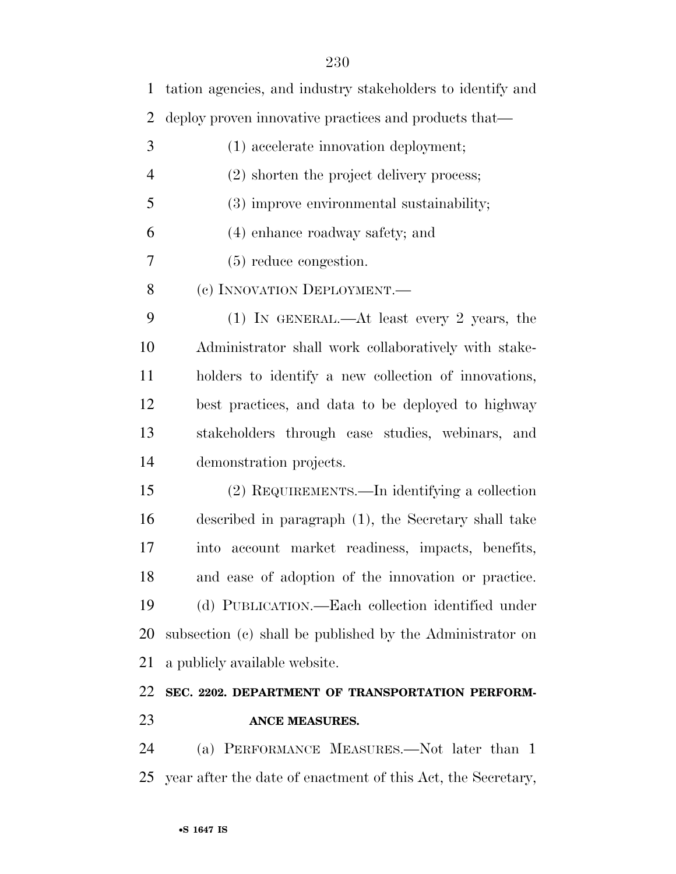tation agencies, and industry stakeholders to identify and deploy proven innovative practices and products that— (1) accelerate innovation deployment; (2) shorten the project delivery process; (3) improve environmental sustainability; (4) enhance roadway safety; and (5) reduce congestion. 8 (c) INNOVATION DEPLOYMENT. (1) IN GENERAL.—At least every 2 years, the Administrator shall work collaboratively with stake- holders to identify a new collection of innovations, best practices, and data to be deployed to highway stakeholders through case studies, webinars, and demonstration projects. (2) REQUIREMENTS.—In identifying a collection described in paragraph (1), the Secretary shall take into account market readiness, impacts, benefits, and ease of adoption of the innovation or practice. (d) PUBLICATION.—Each collection identified under subsection (c) shall be published by the Administrator on a publicly available website. **SEC. 2202. DEPARTMENT OF TRANSPORTATION PERFORM- ANCE MEASURES.**  (a) PERFORMANCE MEASURES.—Not later than 1 year after the date of enactment of this Act, the Secretary,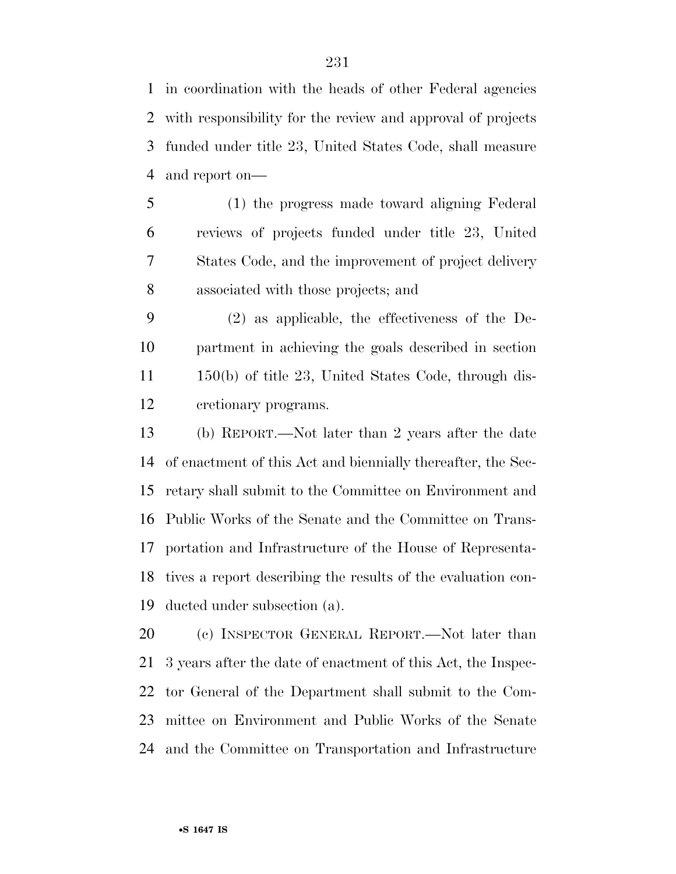in coordination with the heads of other Federal agencies with responsibility for the review and approval of projects funded under title 23, United States Code, shall measure and report on—

 (1) the progress made toward aligning Federal reviews of projects funded under title 23, United States Code, and the improvement of project delivery associated with those projects; and

 (2) as applicable, the effectiveness of the De- partment in achieving the goals described in section 150(b) of title 23, United States Code, through dis-cretionary programs.

 (b) REPORT.—Not later than 2 years after the date of enactment of this Act and biennially thereafter, the Sec- retary shall submit to the Committee on Environment and Public Works of the Senate and the Committee on Trans- portation and Infrastructure of the House of Representa- tives a report describing the results of the evaluation con-ducted under subsection (a).

 (c) INSPECTOR GENERAL REPORT.—Not later than 3 years after the date of enactment of this Act, the Inspec- tor General of the Department shall submit to the Com- mittee on Environment and Public Works of the Senate and the Committee on Transportation and Infrastructure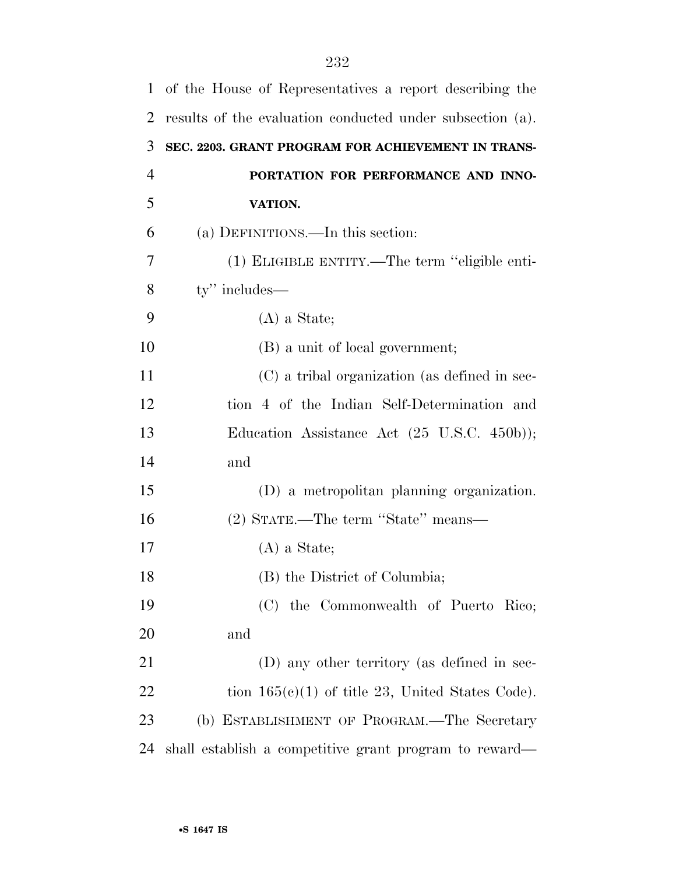| $\mathbf{1}$   | of the House of Representatives a report describing the   |
|----------------|-----------------------------------------------------------|
| $\overline{2}$ | results of the evaluation conducted under subsection (a). |
| 3              | SEC. 2203. GRANT PROGRAM FOR ACHIEVEMENT IN TRANS-        |
| $\overline{4}$ | PORTATION FOR PERFORMANCE AND INNO-                       |
| 5              | VATION.                                                   |
| 6              | (a) DEFINITIONS.—In this section:                         |
| 7              | (1) ELIGIBLE ENTITY.—The term "eligible enti-             |
| 8              | ty" includes—                                             |
| 9              | $(A)$ a State;                                            |
| 10             | (B) a unit of local government;                           |
| 11             | (C) a tribal organization (as defined in sec-             |
| 12             | tion 4 of the Indian Self-Determination and               |
| 13             | Education Assistance Act (25 U.S.C. 450b));               |
| 14             | and                                                       |
| 15             | (D) a metropolitan planning organization.                 |
| 16             | (2) STATE.—The term "State" means—                        |
| 17             | $(A)$ a State;                                            |
| 18             | (B) the District of Columbia;                             |
| 19             | (C) the Commonwealth of Puerto Rico;                      |
| 20             | and                                                       |
| 21             | (D) any other territory (as defined in sec-               |
| 22             | tion $165(c)(1)$ of title 23, United States Code).        |
| 23             | (b) ESTABLISHMENT OF PROGRAM.—The Secretary               |
| 24             | shall establish a competitive grant program to reward—    |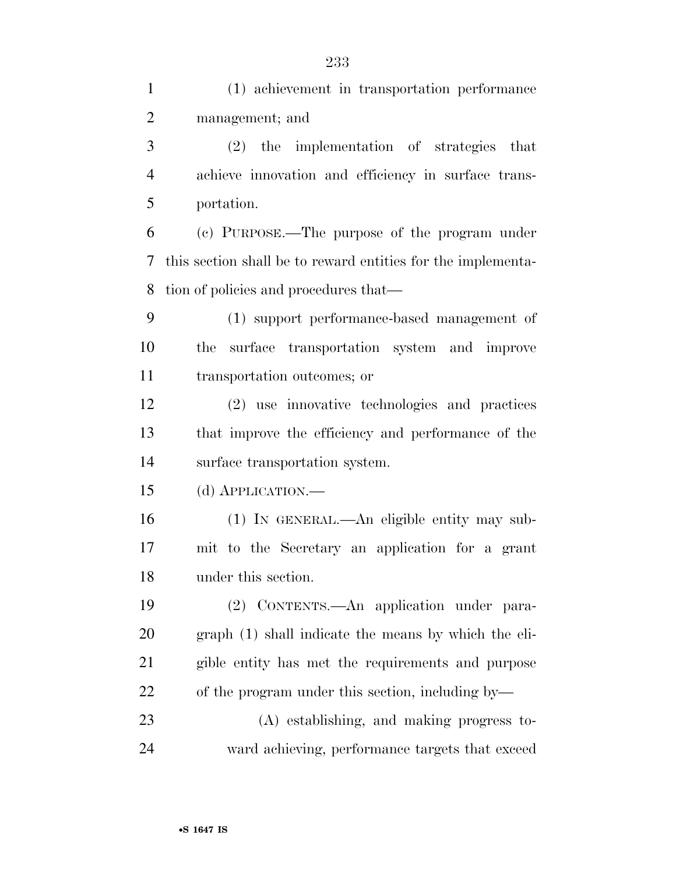| $\mathbf{1}$   | (1) achievement in transportation performance                |
|----------------|--------------------------------------------------------------|
| $\overline{2}$ | management; and                                              |
| 3              | (2) the implementation of strategies that                    |
| $\overline{4}$ | achieve innovation and efficiency in surface trans-          |
| 5              | portation.                                                   |
| 6              | (c) PURPOSE.—The purpose of the program under                |
| 7              | this section shall be to reward entities for the implementa- |
| 8              | tion of policies and procedures that—                        |
| 9              | (1) support performance-based management of                  |
| 10             | surface transportation system and improve<br>the             |
| 11             | transportation outcomes; or                                  |
| 12             | (2) use innovative technologies and practices                |
| 13             | that improve the efficiency and performance of the           |
| 14             | surface transportation system.                               |
| 15             | (d) APPLICATION.—                                            |
| 16             | (1) IN GENERAL.—An eligible entity may sub-                  |
| 17             | mit to the Secretary an application for a grant              |
| 18             | under this section.                                          |
| 19             | (2) CONTENTS.—An application under para-                     |
| 20             | graph (1) shall indicate the means by which the eli-         |
| 21             | gible entity has met the requirements and purpose            |
| 22             | of the program under this section, including by—             |
| 23             | (A) establishing, and making progress to-                    |
| 24             | ward achieving, performance targets that exceed              |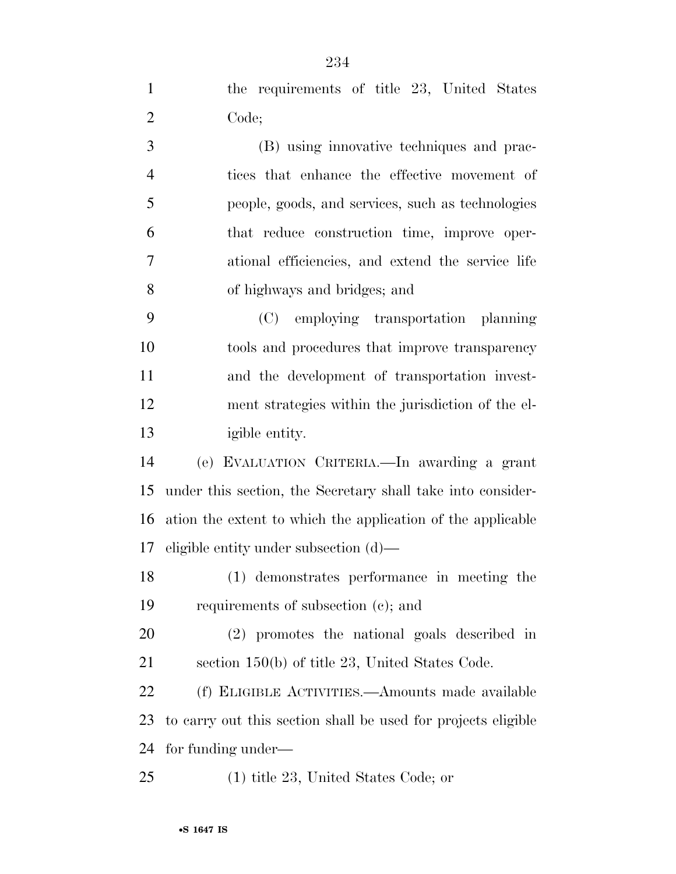| $\mathbf{1}$   | the requirements of title 23, United States                   |
|----------------|---------------------------------------------------------------|
| $\overline{2}$ | Code;                                                         |
| 3              | (B) using innovative techniques and prac-                     |
| $\overline{4}$ | tices that enhance the effective movement of                  |
| 5              | people, goods, and services, such as technologies             |
| 6              | that reduce construction time, improve oper-                  |
| $\overline{7}$ | ational efficiencies, and extend the service life             |
| 8              | of highways and bridges; and                                  |
| 9              | (C) employing transportation planning                         |
| 10             | tools and procedures that improve transparency                |
| 11             | and the development of transportation invest-                 |
| 12             | ment strategies within the jurisdiction of the el-            |
| 13             | igible entity.                                                |
| 14             | (e) EVALUATION CRITERIA. In awarding a grant                  |
| 15             | under this section, the Secretary shall take into consider-   |
| 16             | ation the extent to which the application of the applicable   |
| 17             | eligible entity under subsection $(d)$ —                      |
| 18             | (1) demonstrates performance in meeting the                   |
| 19             | requirements of subsection (c); and                           |
| 20             | (2) promotes the national goals described in                  |
| 21             | section 150(b) of title 23, United States Code.               |
| 22             | (f) ELIGIBLE ACTIVITIES.—Amounts made available               |
| 23             | to carry out this section shall be used for projects eligible |
| 24             | for funding under—                                            |
| 25             | $(1)$ title 23, United States Code; or                        |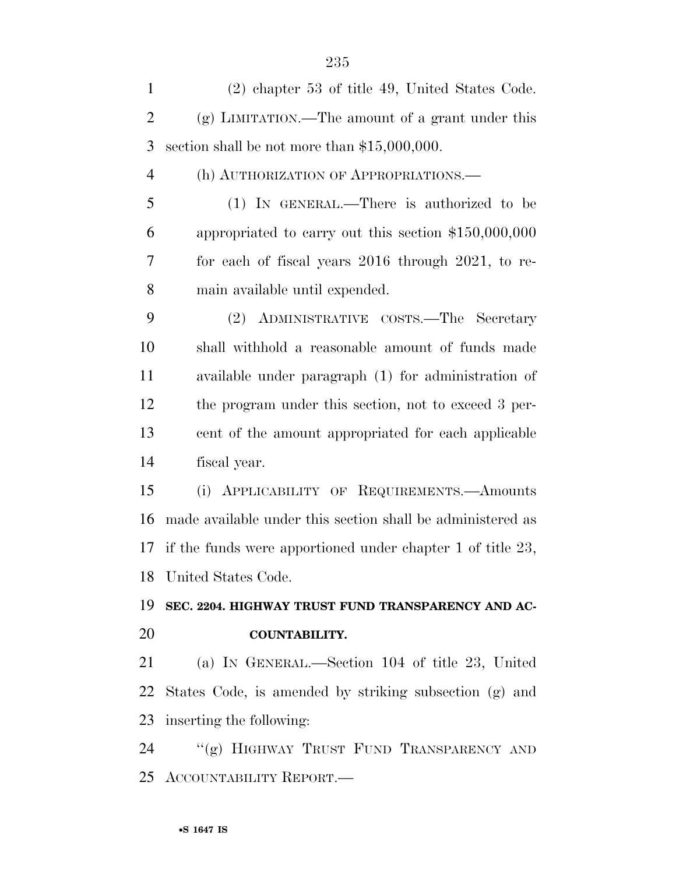| $\mathbf{1}$   | (2) chapter 53 of title 49, United States Code.               |
|----------------|---------------------------------------------------------------|
| $\overline{2}$ | $(g)$ LIMITATION.—The amount of a grant under this            |
| 3              | section shall be not more than $$15,000,000$ .                |
| $\overline{4}$ | (h) AUTHORIZATION OF APPROPRIATIONS.—                         |
| 5              | (1) IN GENERAL.—There is authorized to be                     |
| 6              | appropriated to carry out this section $$150,000,000$         |
| 7              | for each of fiscal years 2016 through 2021, to re-            |
| 8              | main available until expended.                                |
| 9              | ADMINISTRATIVE COSTS.—The Secretary<br>(2)                    |
| 10             | shall withhold a reasonable amount of funds made              |
| 11             | available under paragraph (1) for administration of           |
| 12             | the program under this section, not to exceed 3 per-          |
| 13             | cent of the amount appropriated for each applicable           |
| 14             | fiscal year.                                                  |
| 15             | APPLICABILITY OF REQUIREMENTS. Amounts<br>(i)                 |
| 16             | made available under this section shall be administered as    |
| 17             | if the funds were apportioned under chapter 1 of title $23$ , |
|                | 18 United States Code.                                        |
| 19             | SEC. 2204. HIGHWAY TRUST FUND TRANSPARENCY AND AC-            |
| 20             | COUNTABILITY.                                                 |
| 21             | (a) IN GENERAL.—Section 104 of title 23, United               |
|                | 22 States Code, is amended by striking subsection (g) and     |
| 23             | inserting the following:                                      |
| 24             | "(g) HIGHWAY TRUST FUND TRANSPARENCY AND                      |
| 25             | ACCOUNTABILITY REPORT.                                        |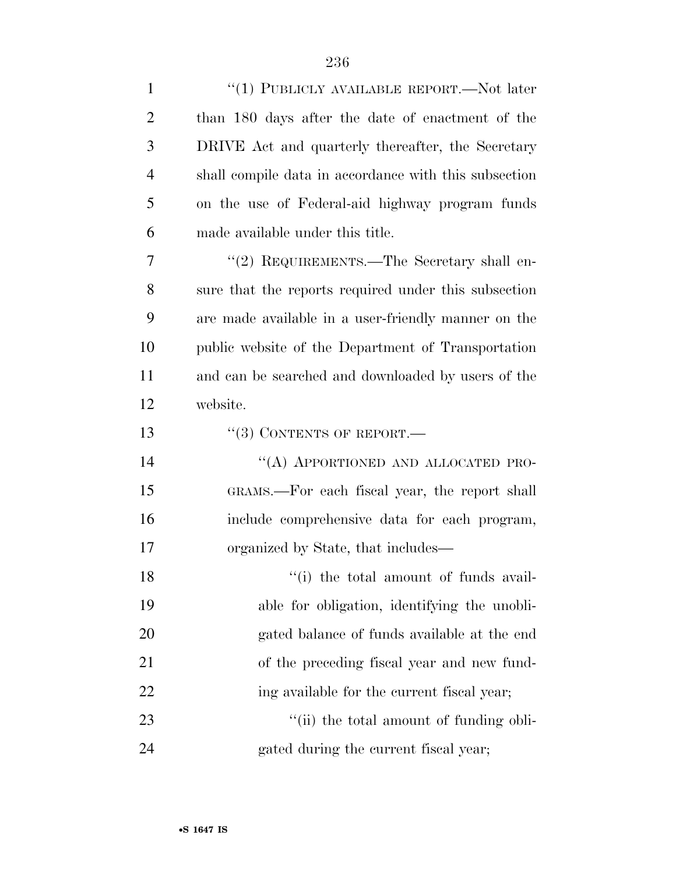| $\mathbf{1}$   | "(1) PUBLICLY AVAILABLE REPORT.—Not later             |
|----------------|-------------------------------------------------------|
| $\overline{2}$ | than 180 days after the date of enactment of the      |
| 3              | DRIVE Act and quarterly thereafter, the Secretary     |
| $\overline{4}$ | shall compile data in accordance with this subsection |
| 5              | on the use of Federal-aid highway program funds       |
| 6              | made available under this title.                      |
| $\overline{7}$ | "(2) REQUIREMENTS.—The Secretary shall en-            |
| 8              | sure that the reports required under this subsection  |
| 9              | are made available in a user-friendly manner on the   |
| 10             | public website of the Department of Transportation    |
| 11             | and can be searched and downloaded by users of the    |
| 12             | website.                                              |
| 13             | $\lq(3)$ CONTENTS OF REPORT.—                         |
| 14             | "(A) APPORTIONED AND ALLOCATED PRO-                   |
| 15             | GRAMS.—For each fiscal year, the report shall         |
| 16             | include comprehensive data for each program,          |
| 17             | organized by State, that includes—                    |
| 18             | "(i) the total amount of funds avail-                 |
| 19             | able for obligation, identifying the unobli-          |
| 20             | gated balance of funds available at the end           |
| 21             | of the preceding fiscal year and new fund-            |
| 22             | ing available for the current fiscal year;            |
| 23             | "(ii) the total amount of funding obli-               |
| 24             | gated during the current fiscal year;                 |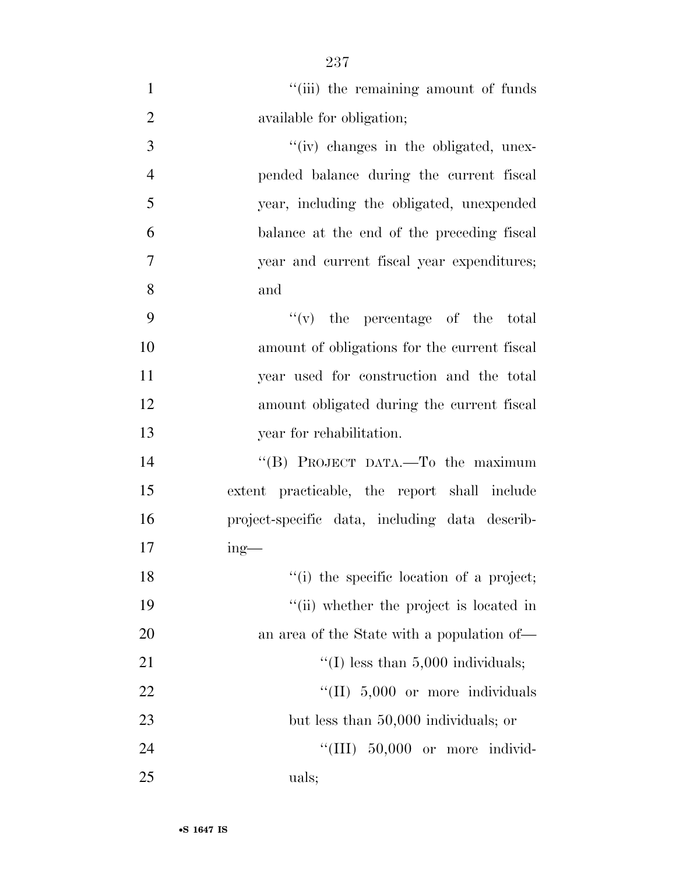| $\mathbf{1}$   | "(iii) the remaining amount of funds           |
|----------------|------------------------------------------------|
| $\overline{2}$ | available for obligation;                      |
| 3              | "(iv) changes in the obligated, unex-          |
| $\overline{4}$ | pended balance during the current fiscal       |
| 5              | year, including the obligated, unexpended      |
| 6              | balance at the end of the preceding fiscal     |
| $\overline{7}$ | year and current fiscal year expenditures;     |
| 8              | and                                            |
| 9              | $f'(v)$ the percentage of the total            |
| 10             | amount of obligations for the current fiscal   |
| 11             | year used for construction and the total       |
| 12             | amount obligated during the current fiscal     |
| 13             | year for rehabilitation.                       |
| 14             | "(B) PROJECT DATA.—To the maximum              |
| 15             | extent practicable, the report shall include   |
| 16             | project-specific data, including data describ- |
| 17             | $ing$ —                                        |
| 18             | "(i) the specific location of a project;       |
| 19             | "(ii) whether the project is located in        |
| 20             | an area of the State with a population of—     |
| 21             | "(I) less than $5,000$ individuals;            |
| 22             | $\lq\lq$ (II) 5,000 or more individuals        |
| 23             | but less than 50,000 individuals; or           |
| 24             | "(III) 50,000 or more individ-                 |
| 25             | uals;                                          |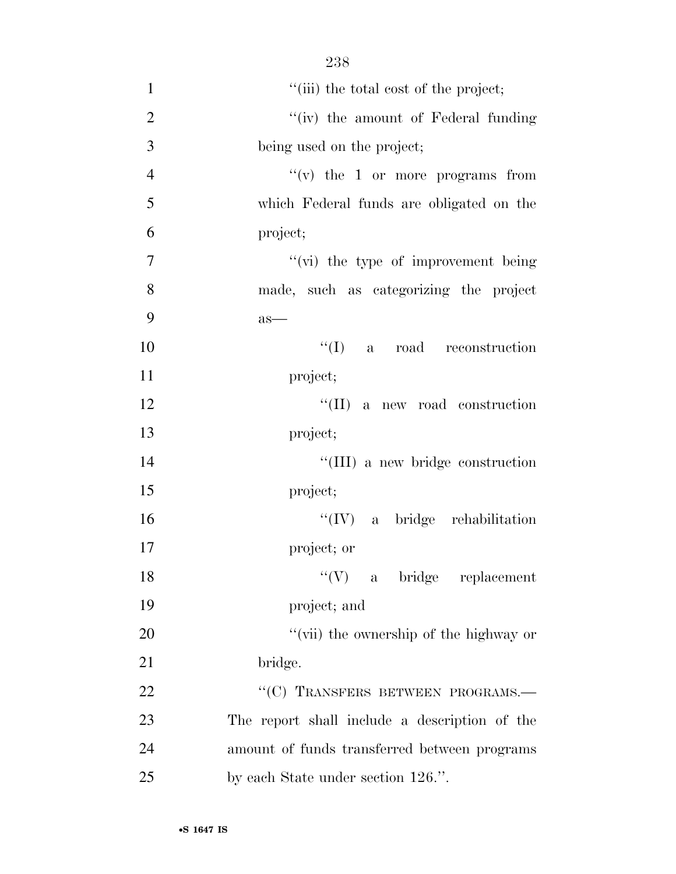1 ''(iii) the total cost of the project; 2 ''(iv) the amount of Federal funding being used on the project;  $''(v)$  the 1 or more programs from which Federal funds are obligated on the project;  $''(\vec{v})$  the type of improvement being made, such as categorizing the project 9 as—  $\text{``(I)}$  a road reconstruction project; 12 ''(II) a new road construction project;  $\frac{1}{11}$  a new bridge construction project; ''(IV) a bridge rehabilitation project; or 18 ''(V) a bridge replacement project; and  $\frac{1}{20}$   $\frac{1}{20}$   $\frac{1}{20}$  the ownership of the highway or 21 bridge. 22 "
(C) TRANSFERS BETWEEN PROGRAMS. The report shall include a description of the amount of funds transferred between programs

238

•**S 1647 IS**

25 by each State under section 126.".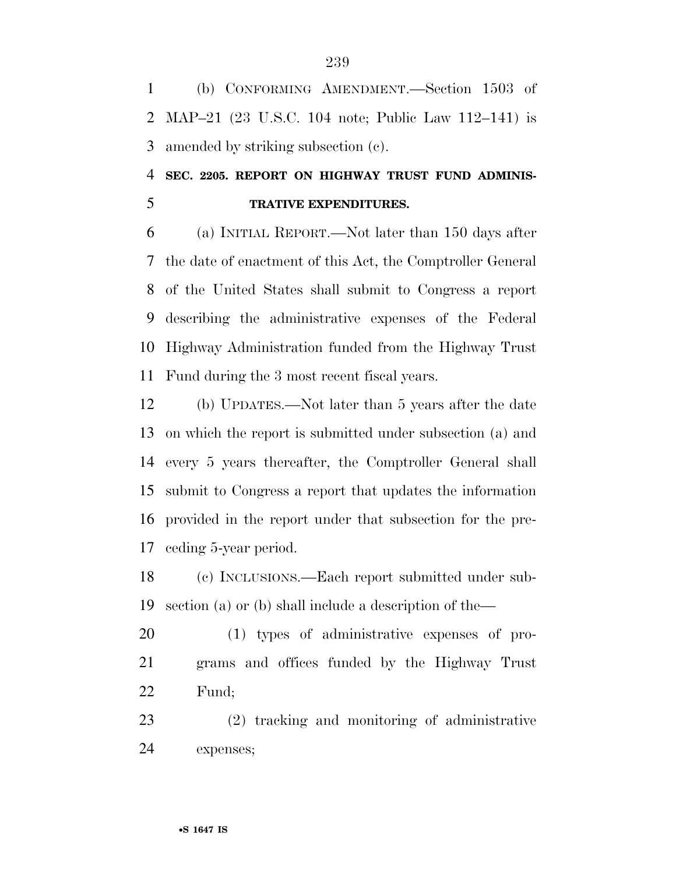(b) CONFORMING AMENDMENT.—Section 1503 of MAP–21 (23 U.S.C. 104 note; Public Law 112–141) is amended by striking subsection (c).

### **SEC. 2205. REPORT ON HIGHWAY TRUST FUND ADMINIS-TRATIVE EXPENDITURES.**

 (a) INITIAL REPORT.—Not later than 150 days after the date of enactment of this Act, the Comptroller General of the United States shall submit to Congress a report describing the administrative expenses of the Federal Highway Administration funded from the Highway Trust Fund during the 3 most recent fiscal years.

 (b) UPDATES.—Not later than 5 years after the date on which the report is submitted under subsection (a) and every 5 years thereafter, the Comptroller General shall submit to Congress a report that updates the information provided in the report under that subsection for the pre-ceding 5-year period.

 (c) INCLUSIONS.—Each report submitted under sub-section (a) or (b) shall include a description of the—

 (1) types of administrative expenses of pro- grams and offices funded by the Highway Trust Fund;

 (2) tracking and monitoring of administrative expenses;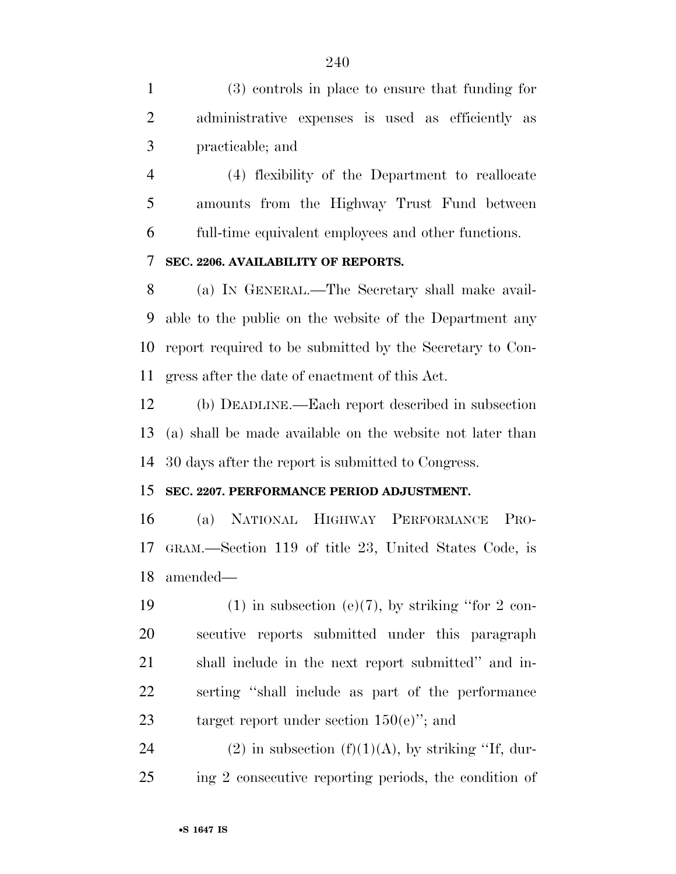(3) controls in place to ensure that funding for administrative expenses is used as efficiently as practicable; and

 (4) flexibility of the Department to reallocate amounts from the Highway Trust Fund between full-time equivalent employees and other functions.

### **SEC. 2206. AVAILABILITY OF REPORTS.**

 (a) IN GENERAL.—The Secretary shall make avail- able to the public on the website of the Department any report required to be submitted by the Secretary to Con-gress after the date of enactment of this Act.

 (b) DEADLINE.—Each report described in subsection (a) shall be made available on the website not later than 30 days after the report is submitted to Congress.

### **SEC. 2207. PERFORMANCE PERIOD ADJUSTMENT.**

 (a) NATIONAL HIGHWAY PERFORMANCE PRO- GRAM.—Section 119 of title 23, United States Code, is amended—

19 (1) in subsection (e)(7), by striking "for 2 con- secutive reports submitted under this paragraph shall include in the next report submitted'' and in- serting ''shall include as part of the performance 23 target report under section  $150(e)$ "; and

24 (2) in subsection  $(f)(1)(A)$ , by striking "If, dur-ing 2 consecutive reporting periods, the condition of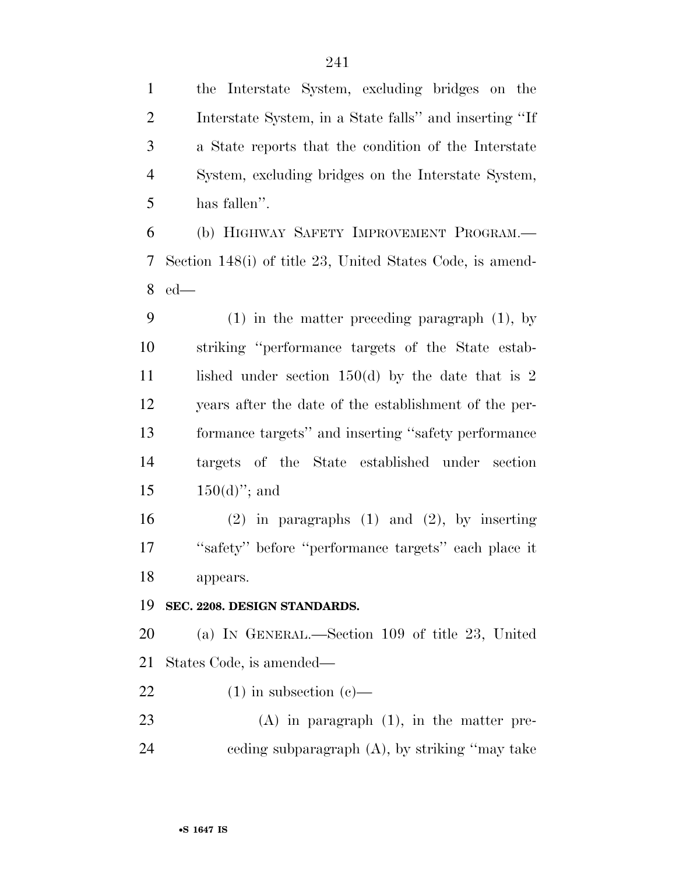the Interstate System, excluding bridges on the Interstate System, in a State falls'' and inserting ''If a State reports that the condition of the Interstate System, excluding bridges on the Interstate System, has fallen''.

 (b) HIGHWAY SAFETY IMPROVEMENT PROGRAM.— Section 148(i) of title 23, United States Code, is amend-ed—

 (1) in the matter preceding paragraph (1), by striking ''performance targets of the State estab-11 lished under section 150(d) by the date that is 2 years after the date of the establishment of the per- formance targets'' and inserting ''safety performance targets of the State established under section  $150(d)$ "; and

 (2) in paragraphs (1) and (2), by inserting ''safety'' before ''performance targets'' each place it appears.

**SEC. 2208. DESIGN STANDARDS.** 

 (a) IN GENERAL.—Section 109 of title 23, United States Code, is amended—

22 (1) in subsection  $(c)$ —

 (A) in paragraph (1), in the matter pre-ceding subparagraph (A), by striking ''may take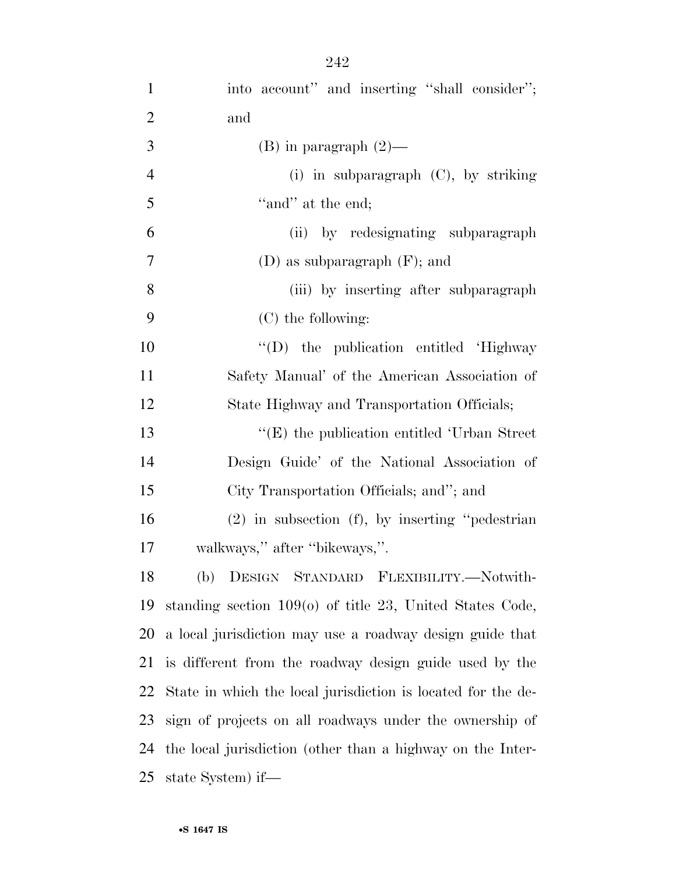| $\mathbf{1}$   | into account" and inserting "shall consider";                |
|----------------|--------------------------------------------------------------|
| $\mathfrak{2}$ | and                                                          |
| 3              | (B) in paragraph $(2)$ —                                     |
| $\overline{4}$ | (i) in subparagraph $(C)$ , by striking                      |
| 5              | "and" at the end;                                            |
| 6              | (ii) by redesignating subparagraph                           |
| 7              | $(D)$ as subparagraph $(F)$ ; and                            |
| 8              | (iii) by inserting after subparagraph                        |
| 9              | $(C)$ the following:                                         |
| 10             | "(D) the publication entitled 'Highway                       |
| 11             | Safety Manual' of the American Association of                |
| 12             | State Highway and Transportation Officials;                  |
| 13             | $\lq\lq$ the publication entitled 'Urban Street'             |
| 14             | Design Guide' of the National Association of                 |
| 15             | City Transportation Officials; and"; and                     |
| 16             | $(2)$ in subsection $(f)$ , by inserting "pedestrian"        |
| 17             | walkways," after "bikeways,".                                |
| 18             | (b) DESIGN STANDARD FLEXIBILITY.—Notwith-                    |
| 19             | standing section $109(o)$ of title 23, United States Code,   |
| 20             | a local jurisdiction may use a roadway design guide that     |
| 21             | is different from the roadway design guide used by the       |
| 22             | State in which the local jurisdiction is located for the de- |
| 23             | sign of projects on all roadways under the ownership of      |
| 24             | the local jurisdiction (other than a highway on the Inter-   |
| 25             | state System) if—                                            |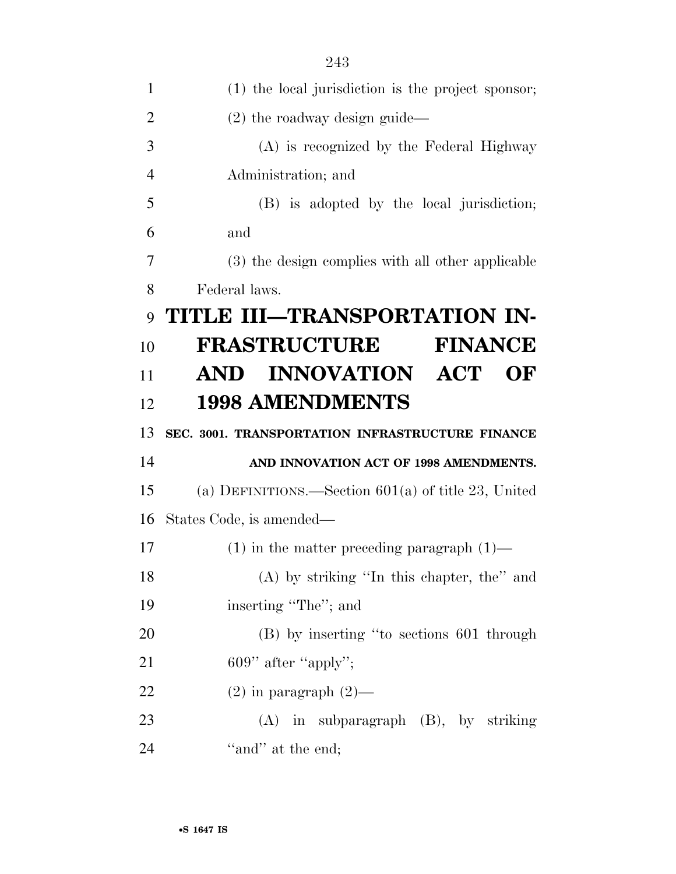| 1              | (1) the local jurisdiction is the project sponsor;    |
|----------------|-------------------------------------------------------|
| $\overline{2}$ | $(2)$ the roadway design guide—                       |
| 3              | (A) is recognized by the Federal Highway              |
| $\overline{4}$ | Administration; and                                   |
| 5              | (B) is adopted by the local jurisdiction;             |
| 6              | and                                                   |
| 7              | (3) the design complies with all other applicable     |
| 8              | Federal laws.                                         |
| 9              | TITLE III—TRANSPORTATION IN-                          |
| 10             | <b>FRASTRUCTURE</b><br><b>FINANCE</b>                 |
| 11             | AND INNOVATION ACT<br>$\bf{O}$ F                      |
| 12             | <b>1998 AMENDMENTS</b>                                |
| 13             | SEC. 3001. TRANSPORTATION INFRASTRUCTURE FINANCE      |
| 14             | AND INNOVATION ACT OF 1998 AMENDMENTS.                |
|                |                                                       |
| 15             | (a) DEFINITIONS.—Section $601(a)$ of title 23, United |
| 16             | States Code, is amended—                              |
| 17             | $(1)$ in the matter preceding paragraph $(1)$ —       |
| 18             | $(A)$ by striking "In this chapter, the" and          |
| 19             | inserting "The"; and                                  |
| 20             | (B) by inserting "to sections 601 through             |
| 21             | 609" after "apply";                                   |
| 22             | $(2)$ in paragraph $(2)$ —                            |
| 23             | $(A)$ in subparagraph $(B)$ , by striking             |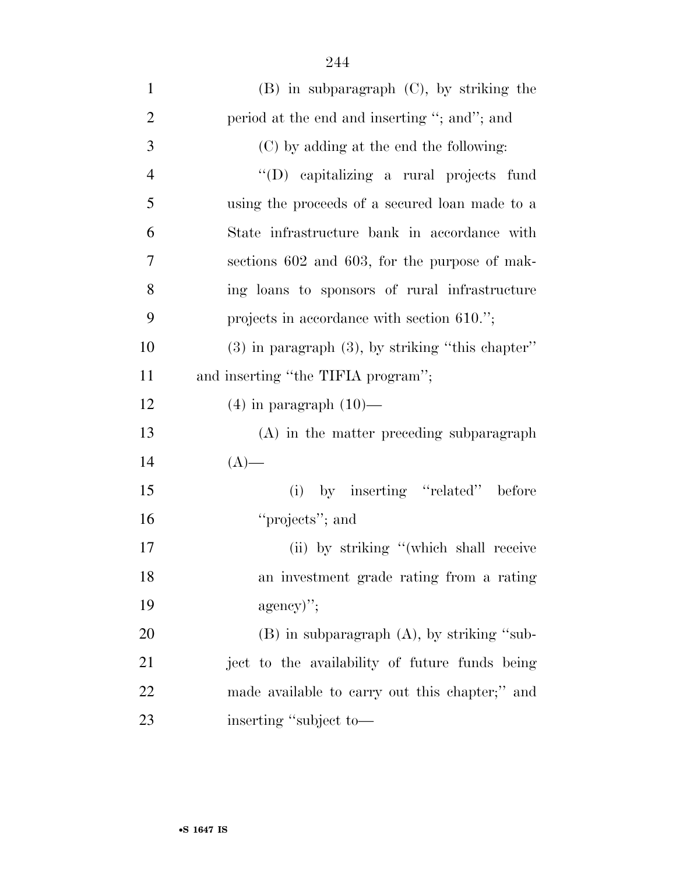| $\mathbf{1}$   | $(B)$ in subparagraph $(C)$ , by striking the         |
|----------------|-------------------------------------------------------|
| $\overline{2}$ | period at the end and inserting "; and"; and          |
| 3              | (C) by adding at the end the following:               |
| $\overline{4}$ | "(D) capitalizing a rural projects fund               |
| 5              | using the proceeds of a secured loan made to a        |
| 6              | State infrastructure bank in accordance with          |
| 7              | sections 602 and 603, for the purpose of mak-         |
| 8              | ing loans to sponsors of rural infrastructure         |
| 9              | projects in accordance with section 610.";            |
| 10             | $(3)$ in paragraph $(3)$ , by striking "this chapter" |
| 11             | and inserting "the TIFIA program";                    |
| 12             | $(4)$ in paragraph $(10)$ —                           |
| 13             | (A) in the matter preceding subparagraph              |
| 14             | $(A)$ —                                               |
| 15             | (i) by inserting "related" before                     |
| 16             | "projects"; and                                       |
| 17             | (ii) by striking "(which shall receive                |
| 18             | an investment grade rating from a rating              |
| 19             | $\text{agency}$ ";                                    |
| 20             | $(B)$ in subparagraph $(A)$ , by striking "sub-       |
| 21             | ject to the availability of future funds being        |
| 22             | made available to carry out this chapter;" and        |
| 23             | inserting "subject to-                                |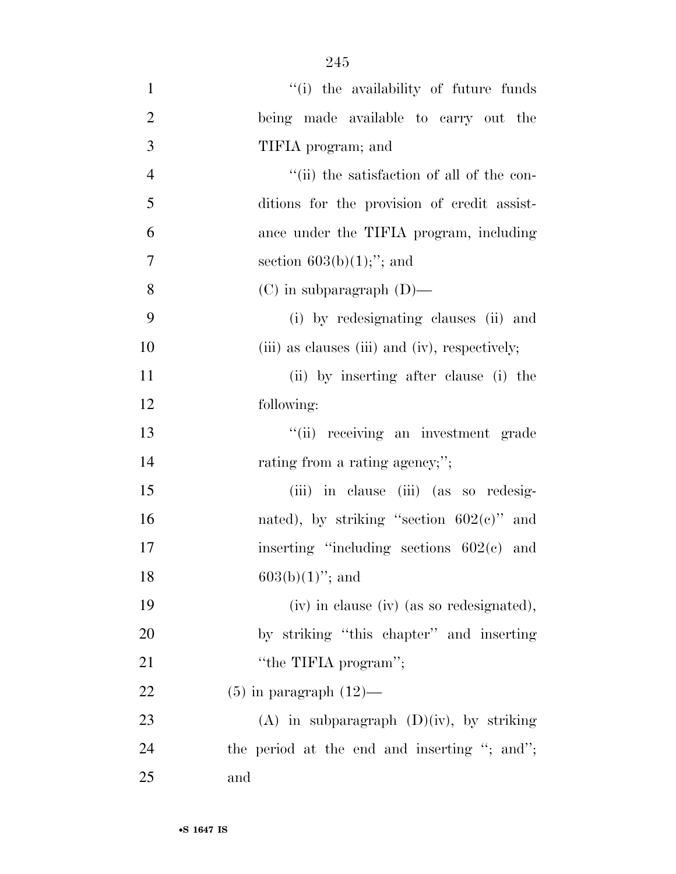| $\mathbf{1}$   | "(i) the availability of future funds          |
|----------------|------------------------------------------------|
| $\overline{2}$ | being made available to carry out the          |
| 3              | TIFIA program; and                             |
| $\overline{4}$ | "(ii) the satisfaction of all of the con-      |
| 5              | ditions for the provision of credit assist-    |
| 6              | ance under the TIFIA program, including        |
| $\overline{7}$ | section $603(b)(1)$ ;"; and                    |
| 8              | $(C)$ in subparagraph $(D)$ —                  |
| 9              | (i) by redesignating clauses (ii) and          |
| 10             | (iii) as clauses (iii) and (iv), respectively; |
| 11             | (ii) by inserting after clause (i) the         |
| 12             | following:                                     |
| 13             | "(ii) receiving an investment grade            |
| 14             | rating from a rating agency;";                 |
| 15             | (iii) in clause (iii) (as so redesig-          |
| 16             | nated), by striking "section $602(e)$ " and    |
| 17             | inserting "including sections $602(c)$ and     |
| 18             | $603(b)(1)$ "; and                             |
| 19             | (iv) in clause (iv) (as so redesignated),      |
| 20             | by striking "this chapter" and inserting       |
| 21             | "the TIFIA program";                           |
| 22             | $(5)$ in paragraph $(12)$ —                    |
| 23             | $(A)$ in subparagraph $(D)(iv)$ , by striking  |
| 24             | the period at the end and inserting "; and";   |
| 25             | and                                            |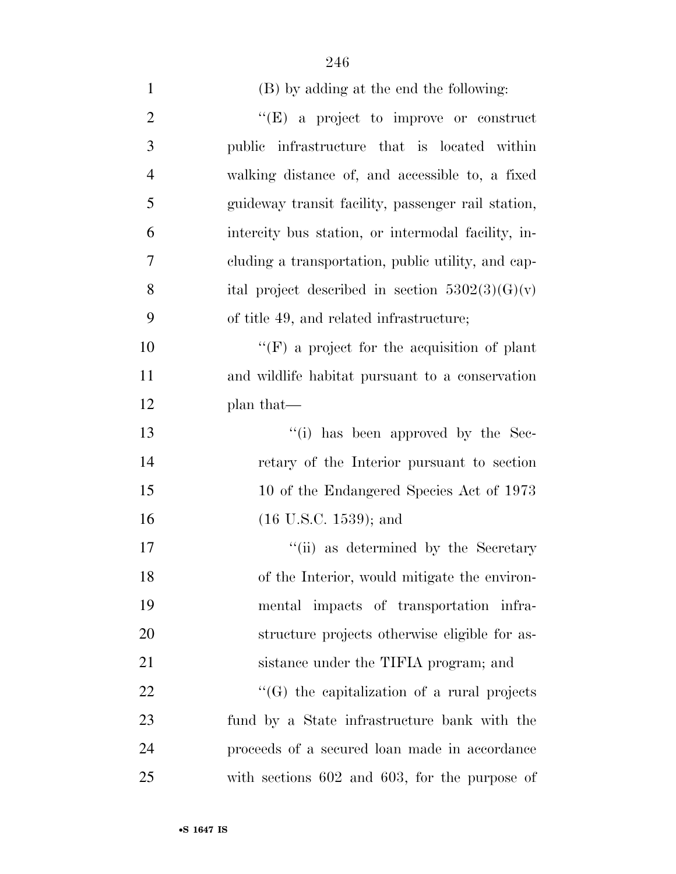| $\mathbf{1}$   | (B) by adding at the end the following:            |
|----------------|----------------------------------------------------|
| $\overline{2}$ | $\lq\lq(E)$ a project to improve or construct      |
| 3              | public infrastructure that is located within       |
| $\overline{4}$ | walking distance of, and accessible to, a fixed    |
| 5              | guideway transit facility, passenger rail station, |
| 6              | intercity bus station, or intermodal facility, in- |
| 7              | eluding a transportation, public utility, and cap- |
| 8              | ital project described in section $5302(3)(G)(v)$  |
| 9              | of title 49, and related infrastructure;           |
| 10             | $\lq\lq(F)$ a project for the acquisition of plant |
| 11             | and wildlife habitat pursuant to a conservation    |
| 12             | plan that—                                         |
| 13             | "(i) has been approved by the Sec-                 |
| 14             | retary of the Interior pursuant to section         |
| 15             | 10 of the Endangered Species Act of 1973           |
| 16             | $(16 \text{ U.S.C. } 1539)$ ; and                  |
| 17             | "(ii) as determined by the Secretary               |
| 18             | of the Interior, would mitigate the environ-       |
| 19             | mental impacts of transportation infra-            |
| 20             | structure projects otherwise eligible for as-      |
| 21             | sistance under the TIFIA program; and              |
| 22             | $\lq\lq(G)$ the capitalization of a rural projects |
| 23             | fund by a State infrastructure bank with the       |
| 24             | proceeds of a secured loan made in accordance      |
| 25             | with sections $602$ and $603$ , for the purpose of |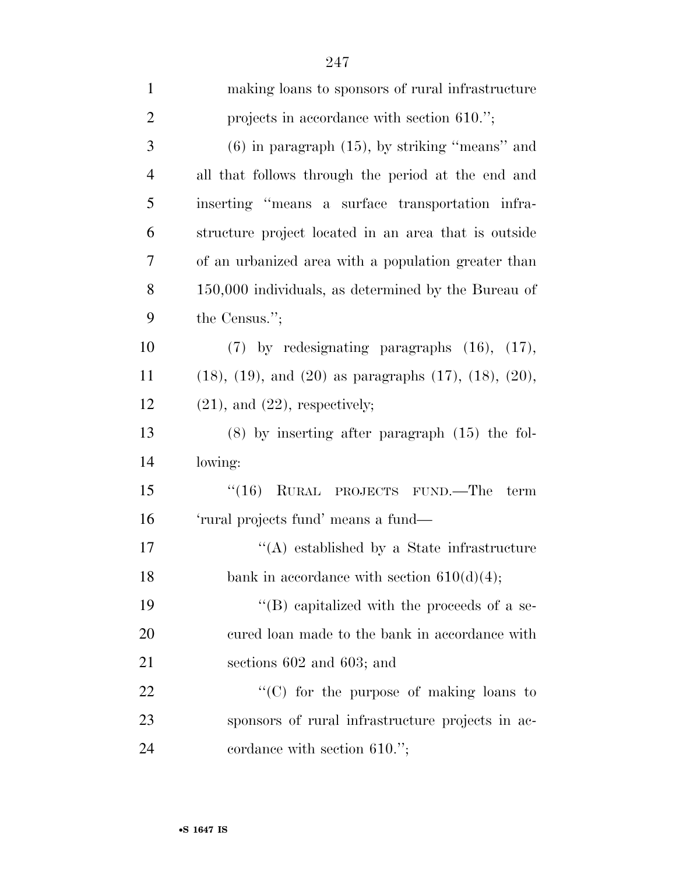| $\mathbf{1}$   | making loans to sponsors of rural infrastructure                      |
|----------------|-----------------------------------------------------------------------|
| $\overline{2}$ | projects in accordance with section 610.";                            |
| 3              | $(6)$ in paragraph $(15)$ , by striking "means" and                   |
| $\overline{4}$ | all that follows through the period at the end and                    |
| 5              | inserting "means a surface transportation infra-                      |
| 6              | structure project located in an area that is outside                  |
| $\overline{7}$ | of an urbanized area with a population greater than                   |
| 8              | 150,000 individuals, as determined by the Bureau of                   |
| 9              | the Census.";                                                         |
| 10             | $(7)$ by redesignating paragraphs $(16)$ , $(17)$ ,                   |
| 11             | $(18)$ , $(19)$ , and $(20)$ as paragraphs $(17)$ , $(18)$ , $(20)$ , |
| 12             | $(21)$ , and $(22)$ , respectively;                                   |
| 13             | $(8)$ by inserting after paragraph $(15)$ the fol-                    |
| 14             | lowing:                                                               |
| 15             | (16)<br>RURAL PROJECTS FUND.—The<br>term                              |
| 16             | 'rural projects fund' means a fund—                                   |
| 17             | $\lq\lq$ established by a State infrastructure                        |
| 18             | bank in accordance with section $610(d)(4)$ ;                         |
| 19             | $\lq\lq$ (B) capitalized with the proceeds of a se-                   |
| 20             | cured loan made to the bank in accordance with                        |
| 21             | sections $602$ and $603$ ; and                                        |
| 22             | "(C) for the purpose of making loans to                               |
| 23             | sponsors of rural infrastructure projects in ac-                      |
| 24             | cordance with section $610."$ ;                                       |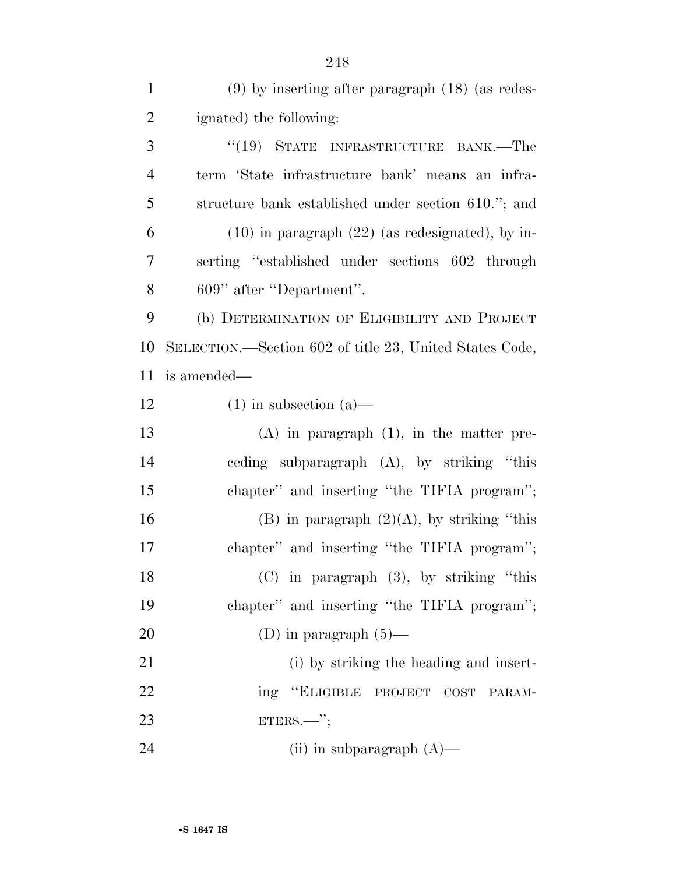| $\mathbf{1}$   | $(9)$ by inserting after paragraph $(18)$ (as redes-    |
|----------------|---------------------------------------------------------|
| $\overline{2}$ | ignated) the following:                                 |
| 3              | "(19) STATE INFRASTRUCTURE BANK.—The                    |
| $\overline{4}$ | term 'State infrastructure bank' means an infra-        |
| 5              | structure bank established under section 610."; and     |
| 6              | $(10)$ in paragraph $(22)$ (as redesignated), by in-    |
| 7              | serting "established under sections 602 through         |
| 8              | 609" after "Department".                                |
| 9              | (b) DETERMINATION OF ELIGIBILITY AND PROJECT            |
| 10             | SELECTION.—Section 602 of title 23, United States Code, |
| 11             | is amended—                                             |
| 12             | $(1)$ in subsection $(a)$ —                             |
| 13             | $(A)$ in paragraph $(1)$ , in the matter pre-           |
| 14             | ceding subparagraph (A), by striking "this              |
| 15             | chapter" and inserting "the TIFIA program";             |
| 16             | (B) in paragraph $(2)(A)$ , by striking "this           |
| 17             | chapter" and inserting "the TIFIA program";             |
| 18             | $(C)$ in paragraph $(3)$ , by striking "this            |
| 19             | chapter" and inserting "the TIFIA program";             |
| 20             | (D) in paragraph $(5)$ —                                |
| 21             | (i) by striking the heading and insert-                 |
| 22             | ing "ELIGIBLE PROJECT COST<br>PARAM-                    |
| 23             | $ETERS.$ ";                                             |
| 24             | (ii) in subparagraph $(A)$ —                            |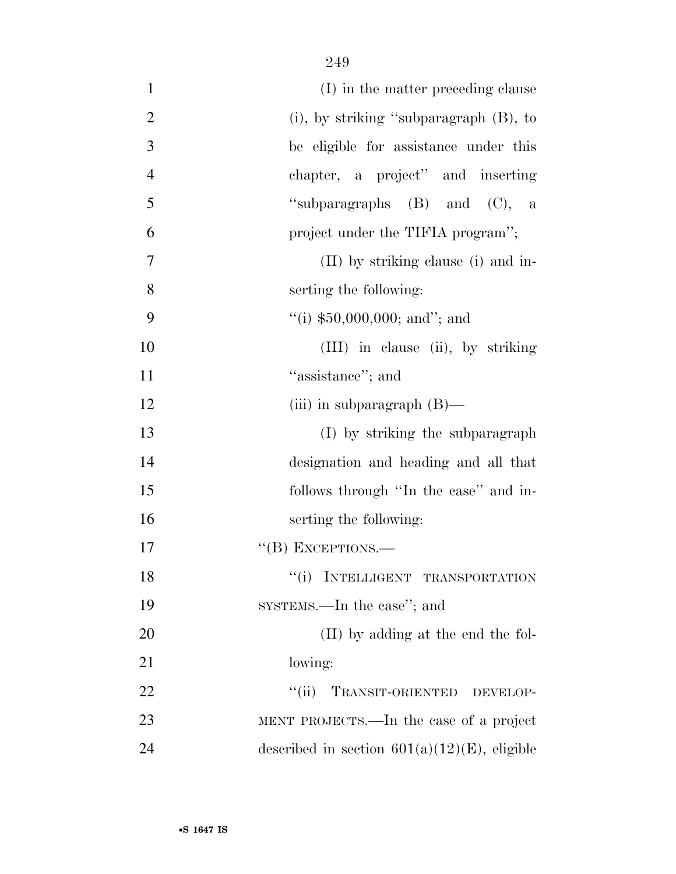| $\mathbf{1}$   | (I) in the matter preceding clause              |
|----------------|-------------------------------------------------|
| $\overline{2}$ | (i), by striking "subparagraph (B), to          |
| 3              | be eligible for assistance under this           |
| $\overline{4}$ | chapter, a project" and inserting               |
| 5              | "subparagraphs $(B)$ and $(C)$ , a              |
| 6              | project under the TIFIA program";               |
| 7              | (II) by striking clause (i) and in-             |
| 8              | serting the following:                          |
| 9              | $\lq($ i) \$50,000,000; and''; and              |
| 10             | (III) in clause (ii), by striking               |
| 11             | "assistance"; and                               |
| 12             | (iii) in subparagraph $(B)$ —                   |
| 13             | (I) by striking the subparagraph                |
| 14             | designation and heading and all that            |
| 15             | follows through "In the case" and in-           |
| 16             | serting the following:                          |
| 17             | $\lq\lq$ (B) EXCEPTIONS.—                       |
| 18             | INTELLIGENT TRANSPORTATION                      |
| 19             | SYSTEMS.—In the case"; and                      |
| 20             | (II) by adding at the end the fol-              |
| 21             | lowing:                                         |
| 22             | TRANSIT-ORIENTED DEVELOP-<br>``(ii)             |
| 23             | MENT PROJECTS.—In the case of a project         |
| 24             | described in section $601(a)(12)(E)$ , eligible |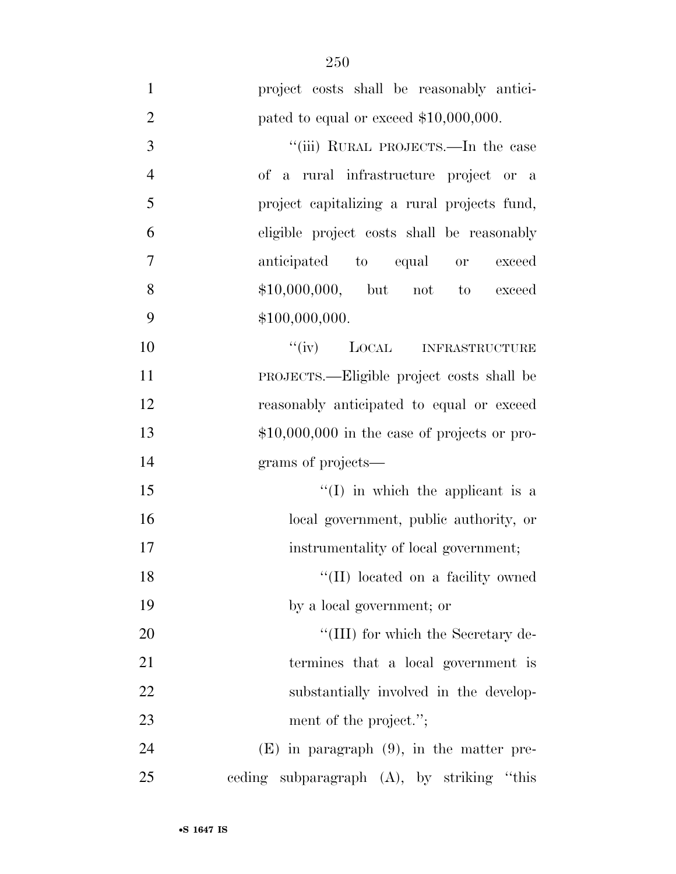| $\mathbf{1}$   | project costs shall be reasonably antici-     |
|----------------|-----------------------------------------------|
| $\mathbf{2}$   | pated to equal or exceed $$10,000,000$ .      |
| $\mathfrak{Z}$ | "(iii) RURAL PROJECTS.—In the case            |
| $\overline{4}$ | of a rural infrastructure project or a        |
| 5              | project capitalizing a rural projects fund,   |
| 6              | eligible project costs shall be reasonably    |
| 7              | anticipated to equal or<br>exceed             |
| 8              | $$10,000,000,$ but not to<br>exceed           |
| 9              | \$100,000,000.                                |
| 10             | "(iv) LOCAL INFRASTRUCTURE                    |
| 11             | PROJECTS.—Eligible project costs shall be     |
| 12             | reasonably anticipated to equal or exceed     |
| 13             | $$10,000,000$ in the case of projects or pro- |
| 14             | grams of projects—                            |
| 15             | $\lq\lq$ (I) in which the applicant is a      |
| 16             | local government, public authority, or        |
| 17             | instrumentality of local government;          |
| 18             | "(II) located on a facility owned             |
| 19             | by a local government; or                     |
| 20             | "(III) for which the Secretary de-            |
| 21             | termines that a local government is           |
| 22             | substantially involved in the develop-        |
| 23             | ment of the project.";                        |
| 24             | $(E)$ in paragraph $(9)$ , in the matter pre- |
| 25             | eeding subparagraph (A), by striking "this    |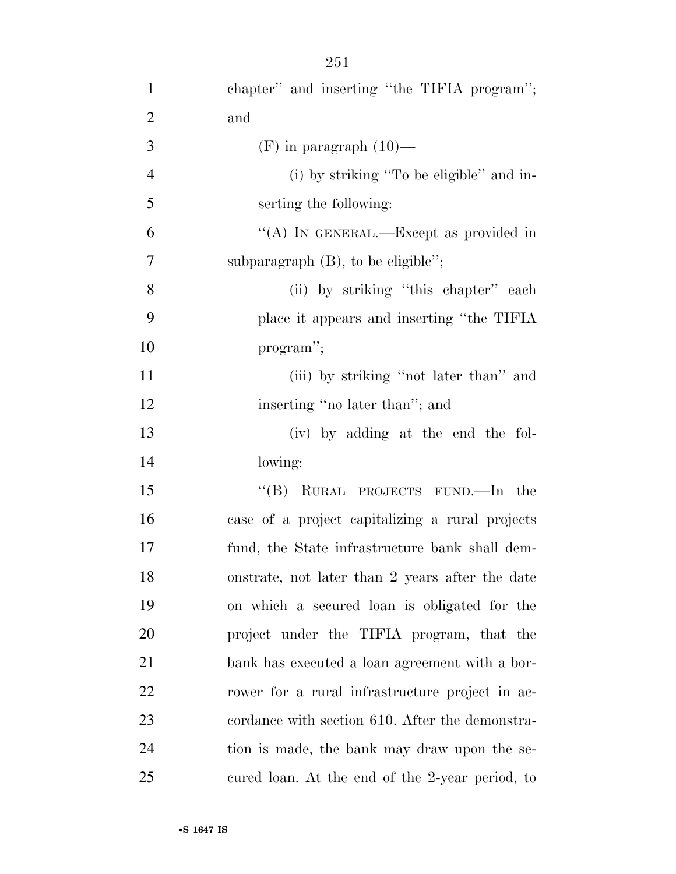| $\mathbf{1}$   | chapter" and inserting "the TIFIA program";     |
|----------------|-------------------------------------------------|
| $\overline{c}$ | and                                             |
| $\overline{3}$ | $(F)$ in paragraph $(10)$ —                     |
| $\overline{4}$ | (i) by striking "To be eligible" and in-        |
| 5              | serting the following:                          |
| 6              | "(A) IN GENERAL.—Except as provided in          |
| 7              | subparagraph $(B)$ , to be eligible";           |
| 8              | (ii) by striking "this chapter" each            |
| 9              | place it appears and inserting "the TIFIA       |
| 10             | program";                                       |
| 11             | (iii) by striking "not later than" and          |
| 12             | inserting "no later than"; and                  |
| 13             | (iv) by adding at the end the fol-              |
| 14             | lowing:                                         |
| 15             | "(B) RURAL PROJECTS FUND.—In the                |
| 16             | case of a project capitalizing a rural projects |
| 17             | fund, the State infrastructure bank shall dem-  |
| 18             | onstrate, not later than 2 years after the date |
| 19             | on which a secured loan is obligated for the    |
| 20             | project under the TIFIA program, that the       |
| 21             | bank has executed a loan agreement with a bor-  |
| 22             | rower for a rural infrastructure project in ac- |
| 23             | cordance with section 610. After the demonstra- |
| 24             | tion is made, the bank may draw upon the se-    |
| 25             | cured loan. At the end of the 2-year period, to |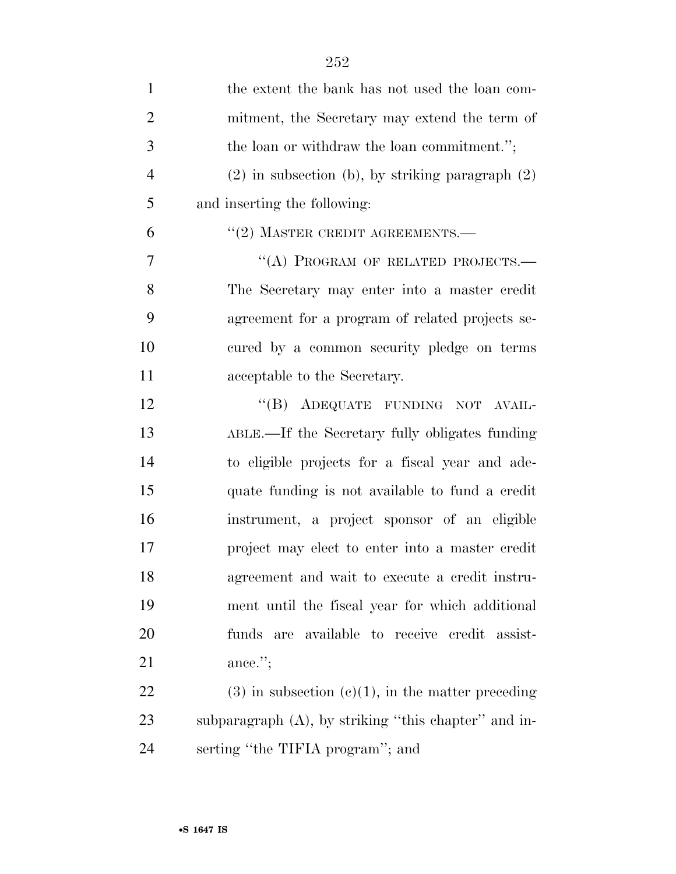| $\mathbf{1}$   | the extent the bank has not used the loan com-          |
|----------------|---------------------------------------------------------|
| $\overline{2}$ | mitment, the Secretary may extend the term of           |
| 3              | the loan or withdraw the loan commitment.";             |
| $\overline{4}$ | $(2)$ in subsection (b), by striking paragraph $(2)$    |
| 5              | and inserting the following:                            |
| 6              | $``(2)$ MASTER CREDIT AGREEMENTS.—                      |
| $\overline{7}$ | "(A) PROGRAM OF RELATED PROJECTS.-                      |
| 8              | The Secretary may enter into a master credit            |
| 9              | agreement for a program of related projects se-         |
| 10             | cured by a common security pledge on terms              |
| 11             | acceptable to the Secretary.                            |
| 12             | "(B) ADEQUATE FUNDING NOT AVAIL-                        |
| 13             | ABLE.—If the Secretary fully obligates funding          |
| 14             | to eligible projects for a fiscal year and ade-         |
| 15             | quate funding is not available to fund a credit         |
| 16             | instrument, a project sponsor of an eligible            |
| 17             | project may elect to enter into a master credit         |
| 18             | agreement and wait to execute a credit instru-          |
| 19             | ment until the fiscal year for which additional         |
| 20             | available to receive credit assist-<br>funds<br>are     |
| 21             | ance.";                                                 |
| 22             | $(3)$ in subsection $(e)(1)$ , in the matter preceding  |
| 23             | subparagraph $(A)$ , by striking "this chapter" and in- |
| 24             | serting "the TIFIA program"; and                        |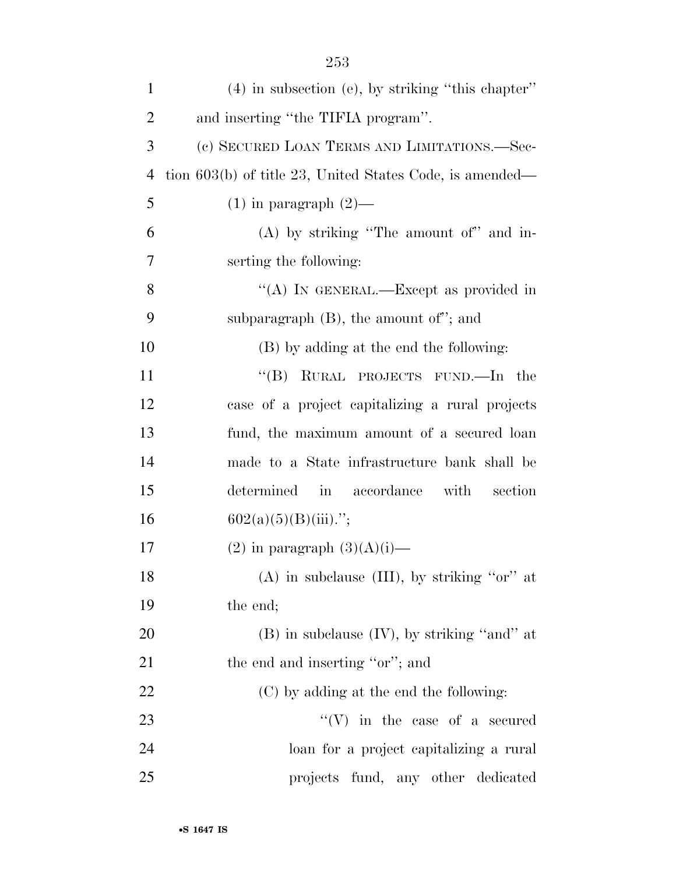| $\mathbf{1}$   | $(4)$ in subsection (e), by striking "this chapter"        |
|----------------|------------------------------------------------------------|
| $\overline{2}$ | and inserting "the TIFIA program".                         |
| 3              | (c) SECURED LOAN TERMS AND LIMITATIONS.—Sec-               |
| $\overline{4}$ | tion $603(b)$ of title 23, United States Code, is amended— |
| 5              | $(1)$ in paragraph $(2)$ —                                 |
| 6              | (A) by striking "The amount of" and in-                    |
| 7              | serting the following:                                     |
| 8              | "(A) IN GENERAL.—Except as provided in                     |
| 9              | subparagraph $(B)$ , the amount of"; and                   |
| 10             | (B) by adding at the end the following:                    |
| 11             | "(B) RURAL PROJECTS FUND.—In the                           |
| 12             | case of a project capitalizing a rural projects            |
| 13             | fund, the maximum amount of a secured loan                 |
| 14             | made to a State infrastructure bank shall be               |
| 15             | determined in accordance with section                      |
| 16             | $602(a)(5)(B)(iii)$ .";                                    |
| 17             | $(2)$ in paragraph $(3)(A)(i)$ —                           |
| 18             | (A) in subclause (III), by striking "or" at                |
| 19             | the end;                                                   |
| 20             | $(B)$ in subclause $(IV)$ , by striking "and" at           |
| 21             | the end and inserting "or"; and                            |
| 22             | (C) by adding at the end the following:                    |
| 23             | $\lq\lq(V)$ in the case of a secured                       |
| 24             | loan for a project capitalizing a rural                    |
| 25             | projects fund, any other dedicated                         |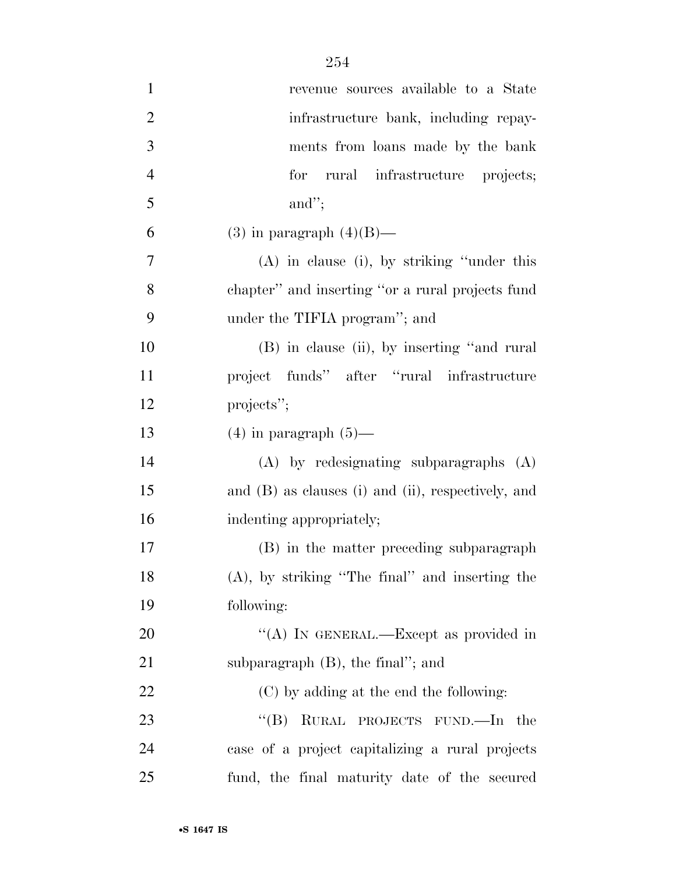| $\mathbf{1}$   | revenue sources available to a State               |
|----------------|----------------------------------------------------|
| $\overline{2}$ | infrastructure bank, including repay-              |
| 3              | ments from loans made by the bank                  |
| $\overline{4}$ | for rural infrastructure projects;                 |
| 5              | and";                                              |
| 6              | $(3)$ in paragraph $(4)(B)$ —                      |
| 7              | $(A)$ in clause (i), by striking "under this       |
| 8              | chapter" and inserting "or a rural projects fund   |
| 9              | under the TIFIA program"; and                      |
| 10             | (B) in clause (ii), by inserting "and rural        |
| 11             | project funds" after "rural infrastructure         |
| 12             | projects";                                         |
| 13             | $(4)$ in paragraph $(5)$ —                         |
| 14             | $(A)$ by redesignating subparagraphs $(A)$         |
| 15             | and (B) as clauses (i) and (ii), respectively, and |
| 16             | indenting appropriately;                           |
| 17             | (B) in the matter preceding subparagraph           |
| 18             | $(A)$ , by striking "The final" and inserting the  |
| 19             | following:                                         |
| 20             | "(A) IN GENERAL.—Except as provided in             |
| 21             | subparagraph $(B)$ , the final"; and               |
| 22             | (C) by adding at the end the following:            |
| 23             | $\lq\lq (B)$<br>RURAL PROJECTS FUND.—In the        |
| 24             | case of a project capitalizing a rural projects    |
| 25             | fund, the final maturity date of the secured       |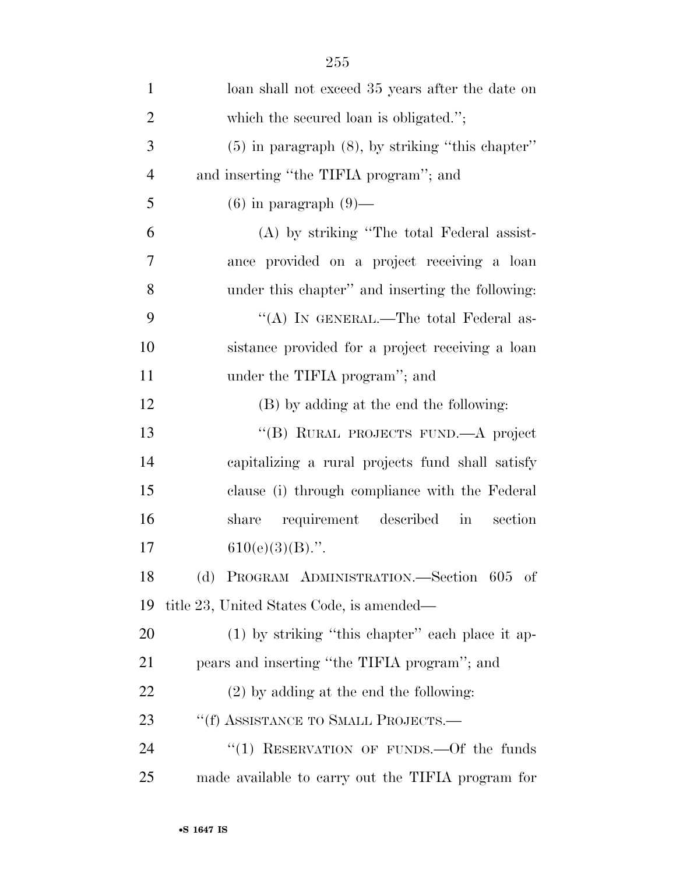| $\mathbf{1}$   | loan shall not exceed 35 years after the date on                 |
|----------------|------------------------------------------------------------------|
| $\overline{2}$ | which the secured loan is obligated.";                           |
| 3              | $(5)$ in paragraph $(8)$ , by striking "this chapter"            |
| $\overline{4}$ | and inserting "the TIFIA program"; and                           |
| 5              | $(6)$ in paragraph $(9)$ —                                       |
| 6              | (A) by striking "The total Federal assist-                       |
| 7              | ance provided on a project receiving a loan                      |
| 8              | under this chapter" and inserting the following:                 |
| 9              | "(A) IN GENERAL.—The total Federal as-                           |
| 10             | sistance provided for a project receiving a loan                 |
| 11             | under the TIFIA program"; and                                    |
| 12             | (B) by adding at the end the following:                          |
| 13             | "(B) RURAL PROJECTS FUND.—A project                              |
| 14             | capitalizing a rural projects fund shall satisfy                 |
| 15             | clause (i) through compliance with the Federal                   |
| 16             | requirement described<br>section<br>share<br>$\operatorname{in}$ |
| 17             | $610(e)(3)(B)$ .".                                               |
| 18             | (d) PROGRAM ADMINISTRATION.—Section 605 of                       |
| 19             | title 23, United States Code, is amended—                        |
| 20             | $(1)$ by striking "this chapter" each place it ap-               |
| 21             | pears and inserting "the TIFIA program"; and                     |
| 22             | $(2)$ by adding at the end the following:                        |
| 23             | "(f) ASSISTANCE TO SMALL PROJECTS.—                              |
| 24             | "(1) RESERVATION OF FUNDS.—Of the funds                          |
| 25             | made available to carry out the TIFIA program for                |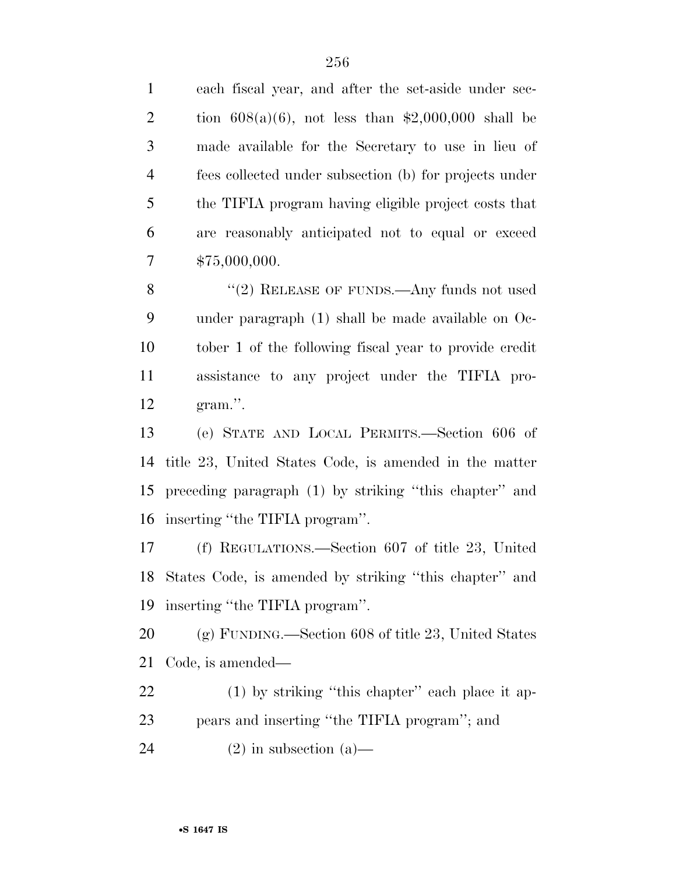| $\mathbf{1}$   | each fiscal year, and after the set-aside under sec-   |
|----------------|--------------------------------------------------------|
| $\overline{2}$ | tion $608(a)(6)$ , not less than \$2,000,000 shall be  |
| 3              | made available for the Secretary to use in lieu of     |
| $\overline{4}$ | fees collected under subsection (b) for projects under |
| 5              | the TIFIA program having eligible project costs that   |
| 6              | are reasonably anticipated not to equal or exceed      |
| $\tau$         | \$75,000,000.                                          |
| 8              | "(2) RELEASE OF FUNDS.—Any funds not used              |
| 9              | under paragraph (1) shall be made available on Oc-     |
| 10             | tober 1 of the following fiscal year to provide credit |
| 11             | assistance to any project under the TIFIA pro-         |
| 12             | gram.".                                                |
| 13             | (e) STATE AND LOCAL PERMITS.—Section 606 of            |
| 14             | title 23, United States Code, is amended in the matter |
|                |                                                        |
| 15             | preceding paragraph (1) by striking "this chapter" and |
| 16             | inserting "the TIFIA program".                         |
| 17             | (f) REGULATIONS.—Section $607$ of title 23, United     |
| 18             | States Code, is amended by striking "this chapter" and |
| 19             | inserting "the TIFIA program".                         |
| 20             | $(g)$ FUNDING.—Section 608 of title 23, United States  |
| 21             | Code, is amended—                                      |
| 22             | $(1)$ by striking "this chapter" each place it ap-     |
| 23             | pears and inserting "the TIFIA program"; and           |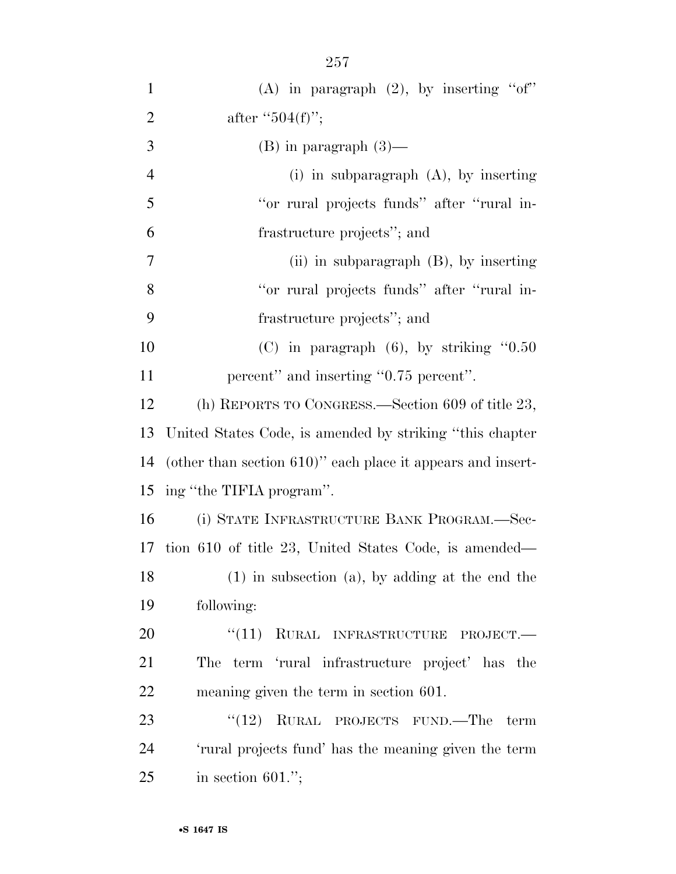| $\mathbf{1}$   | (A) in paragraph $(2)$ , by inserting "of"                     |
|----------------|----------------------------------------------------------------|
| $\overline{2}$ | after " $504(f)$ ";                                            |
| 3              | $(B)$ in paragraph $(3)$ —                                     |
| 4              | $(i)$ in subparagraph $(A)$ , by inserting                     |
| 5              | "or rural projects funds" after "rural in-                     |
| 6              | frastructure projects"; and                                    |
| 7              | (ii) in subparagraph $(B)$ , by inserting                      |
| 8              | "or rural projects funds" after "rural in-                     |
| 9              | frastructure projects"; and                                    |
| 10             | $(C)$ in paragraph $(6)$ , by striking "0.50"                  |
| 11             | percent" and inserting "0.75 percent".                         |
| 12             | (h) REPORTS TO CONGRESS.—Section 609 of title 23,              |
| 13             | United States Code, is amended by striking "this chapter"      |
| 14             | (other than section $610$ )" each place it appears and insert- |
| 15             | ing "the TIFIA program".                                       |
| 16             | (i) STATE INFRASTRUCTURE BANK PROGRAM.—Sec-                    |
| 17             | tion 610 of title 23, United States Code, is amended—          |
| 18             | $(1)$ in subsection $(a)$ , by adding at the end the           |
| 19             | following:                                                     |
| 20             | $``(11)$ RURAL INFRASTRUCTURE PROJECT.                         |
| 21             | The term 'rural infrastructure project' has the                |
| 22             | meaning given the term in section 601.                         |
| 23             | " $(12)$ RURAL PROJECTS FUND.—The term                         |
| 24             | 'rural projects fund' has the meaning given the term           |
| 25             | in section $601$ .";                                           |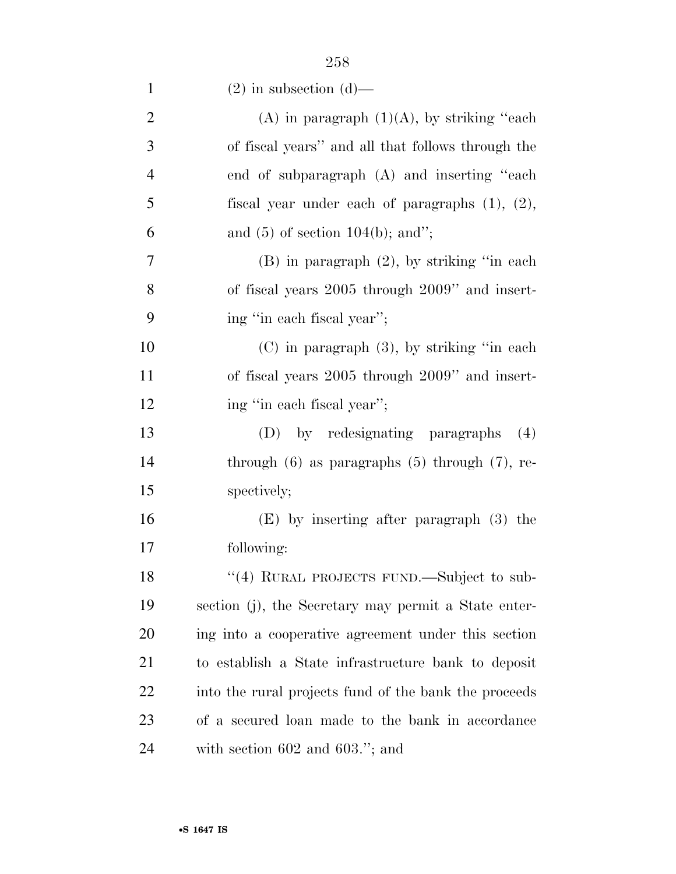| $\mathbf{1}$   | $(2)$ in subsection $(d)$ —                           |
|----------------|-------------------------------------------------------|
| $\overline{2}$ | (A) in paragraph $(1)(A)$ , by striking "each"        |
| 3              | of fiscal years" and all that follows through the     |
| $\overline{4}$ | end of subparagraph (A) and inserting "each           |
| 5              | fiscal year under each of paragraphs $(1)$ , $(2)$ ,  |
| 6              | and $(5)$ of section 104(b); and";                    |
| 7              | $(B)$ in paragraph $(2)$ , by striking "in each       |
| 8              | of fiscal years 2005 through 2009" and insert-        |
| 9              | ing "in each fiscal year";                            |
| 10             | $(C)$ in paragraph $(3)$ , by striking "in each       |
| 11             | of fiscal years 2005 through 2009" and insert-        |
| 12             | ing "in each fiscal year";                            |
| 13             | (D) by redesignating paragraphs<br>(4)                |
| 14             | through $(6)$ as paragraphs $(5)$ through $(7)$ , re- |
| 15             | spectively;                                           |
| 16             | $(E)$ by inserting after paragraph $(3)$ the          |
| 17             | following:                                            |
| 18             | "(4) RURAL PROJECTS FUND.—Subject to sub-             |
| 19             | section (j), the Secretary may permit a State enter-  |
| 20             | ing into a cooperative agreement under this section   |
| 21             | to establish a State infrastructure bank to deposit   |
| 22             | into the rural projects fund of the bank the proceeds |
| 23             | of a secured loan made to the bank in accordance      |
| 24             | with section $602$ and $603."$ ; and                  |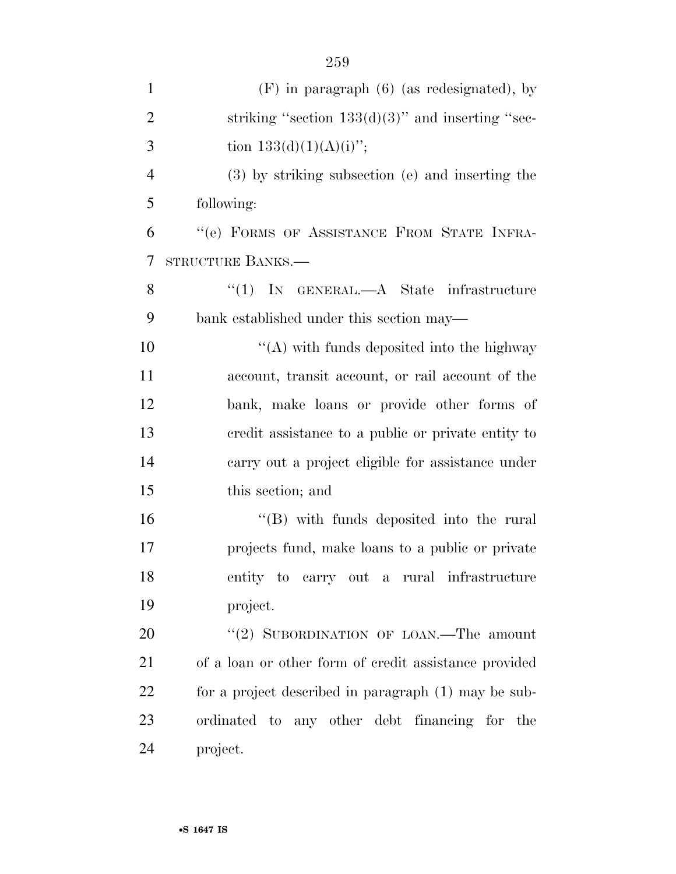| $\mathbf{1}$   | $(F)$ in paragraph $(6)$ (as redesignated), by        |
|----------------|-------------------------------------------------------|
| $\overline{2}$ | striking "section $133(d)(3)$ " and inserting "sec-   |
| 3              | tion $133(d)(1)(A)(i)$ ";                             |
| $\overline{4}$ | (3) by striking subsection (e) and inserting the      |
| 5              | following:                                            |
| 6              | "(e) FORMS OF ASSISTANCE FROM STATE INFRA-            |
| 7              | STRUCTURE BANKS.—                                     |
| 8              | "(1) IN GENERAL.—A State infrastructure               |
| 9              | bank established under this section may—              |
| 10             | $\lq\lq$ with funds deposited into the highway        |
| 11             | account, transit account, or rail account of the      |
| 12             | bank, make loans or provide other forms of            |
| 13             | eredit assistance to a public or private entity to    |
| 14             | carry out a project eligible for assistance under     |
| 15             | this section; and                                     |
| 16             | $\lq\lq$ with funds deposited into the rural          |
| 17             | projects fund, make loans to a public or private      |
| 18             | entity to carry out a rural infrastructure            |
| 19             | project.                                              |
| 20             | "(2) SUBORDINATION OF LOAN.—The amount                |
| 21             | of a loan or other form of credit assistance provided |
| 22             | for a project described in paragraph (1) may be sub-  |
| 23             | ordinated to any other debt financing for the         |
| 24             | project.                                              |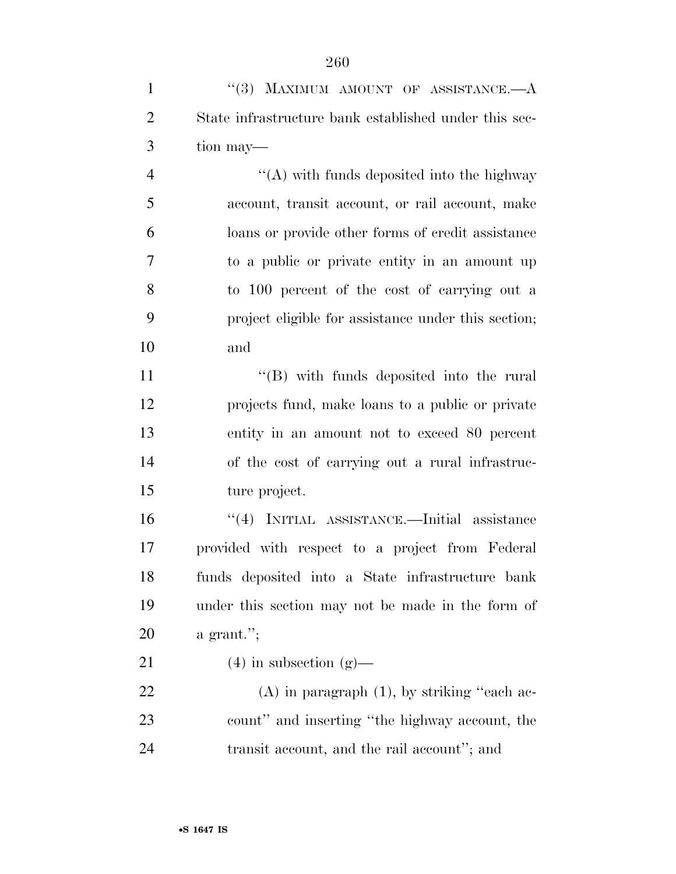| $\mathbf{1}$   | "(3) MAXIMUM AMOUNT OF ASSISTANCE. $-A$               |
|----------------|-------------------------------------------------------|
| $\overline{2}$ | State infrastructure bank established under this sec- |
| 3              | tion may—                                             |
| $\overline{4}$ | $\lq\lq$ with funds deposited into the highway        |
| 5              | account, transit account, or rail account, make       |
| 6              | loans or provide other forms of credit assistance     |
| $\tau$         | to a public or private entity in an amount up         |
| 8              | to 100 percent of the cost of carrying out a          |
| 9              | project eligible for assistance under this section;   |
| 10             | and                                                   |
| 11             | $\lq\lq$ with funds deposited into the rural          |
| 12             | projects fund, make loans to a public or private      |
| 13             | entity in an amount not to exceed 80 percent          |
| 14             | of the cost of carrying out a rural infrastruc-       |
| 15             | ture project.                                         |
| 16             | "(4) INITIAL ASSISTANCE.—Initial assistance           |
| 17             | provided with respect to a project from Federal       |
| 18             | funds deposited into a State infrastructure bank      |
| 19             | under this section may not be made in the form of     |
| 20             | a grant.";                                            |
| 21             | $(4)$ in subsection $(g)$ —                           |
| 22             | $(A)$ in paragraph $(1)$ , by striking "each ac-      |
| 23             | count" and inserting "the highway account, the        |
| 24             | transit account, and the rail account"; and           |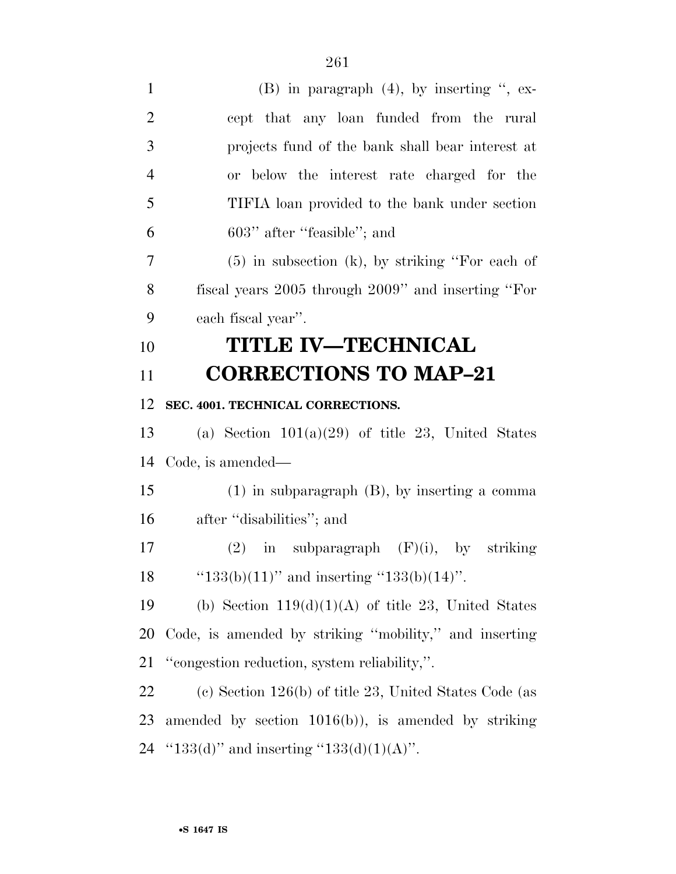| $\mathbf{1}$   | $(B)$ in paragraph $(4)$ , by inserting ", ex-           |
|----------------|----------------------------------------------------------|
| $\overline{2}$ | cept that any loan funded from the rural                 |
| 3              | projects fund of the bank shall bear interest at         |
| $\overline{4}$ | or below the interest rate charged for the               |
| 5              | TIFIA loan provided to the bank under section            |
| 6              | 603" after "feasible"; and                               |
| 7              | $(5)$ in subsection $(k)$ , by striking "For each of     |
| 8              | fiscal years 2005 through 2009" and inserting "For       |
| 9              | each fiscal year".                                       |
| 10             | <b>TITLE IV-TECHNICAL</b>                                |
| 11             | <b>CORRECTIONS TO MAP-21</b>                             |
| 12             | SEC. 4001. TECHNICAL CORRECTIONS.                        |
| 13             | (a) Section $101(a)(29)$ of title 23, United States      |
| 14             | Code, is amended—                                        |
| 15             | $(1)$ in subparagraph $(B)$ , by inserting a comma       |
| 16             | after "disabilities"; and                                |
| 17             | in subparagraph $(F)(i)$ , by striking<br>(2)            |
| 18             | " $133(b)(11)$ " and inserting " $133(b)(14)$ ".         |
| 19             | (b) Section $119(d)(1)(A)$ of title 23, United States    |
| 20             | Code, is amended by striking "mobility," and inserting   |
| 21             | "congestion reduction, system reliability,".             |
| 22             | (c) Section $126(b)$ of title 23, United States Code (as |
| 23             | amended by section $1016(b)$ , is amended by striking    |
| 24             | " $133(d)$ " and inserting " $133(d)(1)(A)$ ".           |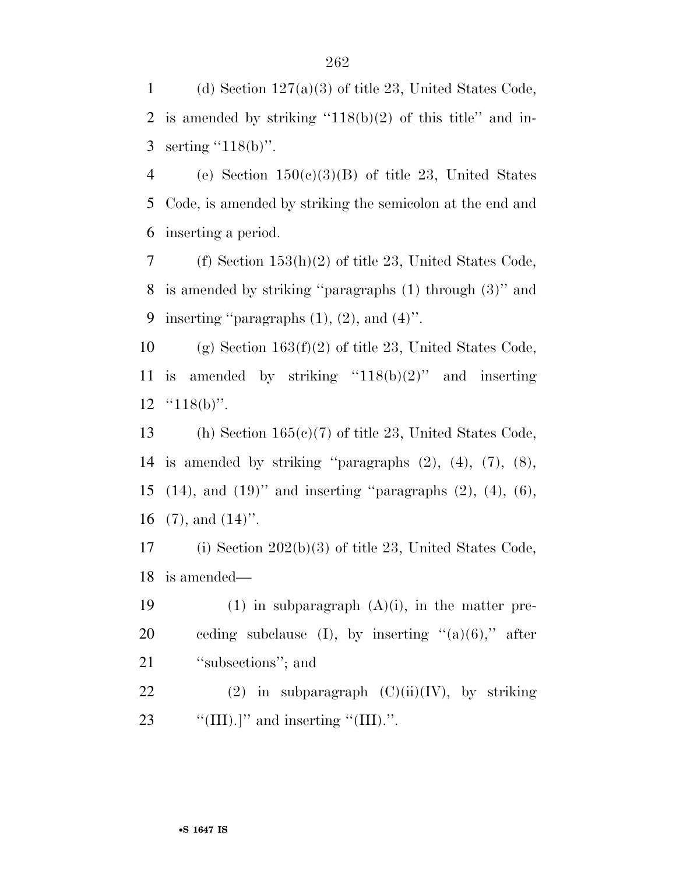1 (d) Section  $127(a)(3)$  of title 23, United States Code, 2 is amended by striking  $(118(b)(2)$  of this title" and in-3 serting  $(118(b))$ .

4 (e) Section  $150(c)(3)(B)$  of title 23, United States 5 Code, is amended by striking the semicolon at the end and 6 inserting a period.

7 (f) Section 153(h)(2) of title 23, United States Code, 8 is amended by striking ''paragraphs (1) through (3)'' and 9 inserting "paragraphs  $(1)$ ,  $(2)$ , and  $(4)$ ".

10 (g) Section  $163(f)(2)$  of title 23, United States Code, 11 is amended by striking " $118(b)(2)$ " and inserting 12  $"118(b)"$ .

 (h) Section 165(c)(7) of title 23, United States Code, is amended by striking ''paragraphs (2), (4), (7), (8), (14), and (19)'' and inserting ''paragraphs (2), (4), (6),  $(7)$ , and  $(14)$ ".

17 (i) Section 202(b)(3) of title 23, United States Code, 18 is amended—

19 (1) in subparagraph  $(A)(i)$ , in the matter pre-20 ceding subclause (I), by inserting  $(2)(6)$ ," after 21 'subsections''; and

22 (2) in subparagraph  $(C)(ii)(IV)$ , by striking 23  $\frac{1}{2}$  (III).]" and inserting "(III).".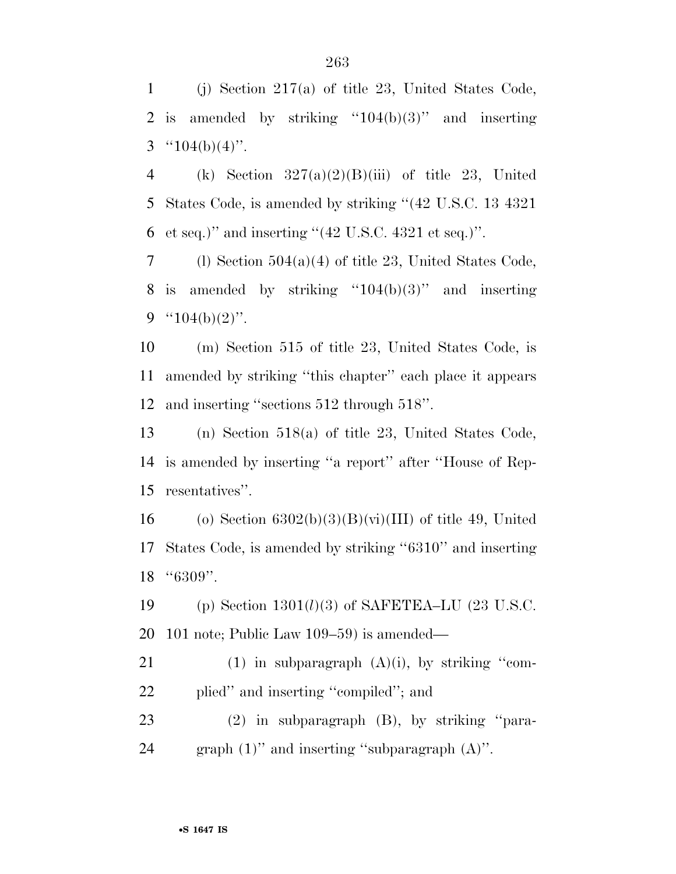(j) Section 217(a) of title 23, United States Code, 2 is amended by striking " $104(b)(3)$ " and inserting 3  $^{(4)}104(b)(4)$ ".

4 (k) Section  $327(a)(2)(B)(iii)$  of title 23, United States Code, is amended by striking ''(42 U.S.C. 13 4321 et seq.)'' and inserting ''(42 U.S.C. 4321 et seq.)''.

7 (l) Section  $504(a)(4)$  of title 23, United States Code, 8 is amended by striking " $104(b)(3)$ " and inserting 9  $"104(b)(2)"$ .

 (m) Section 515 of title 23, United States Code, is amended by striking ''this chapter'' each place it appears and inserting ''sections 512 through 518''.

 (n) Section 518(a) of title 23, United States Code, is amended by inserting ''a report'' after ''House of Rep-resentatives''.

16 (o) Section  $6302(b)(3)(B)(vi)(III)$  of title 49, United States Code, is amended by striking ''6310'' and inserting ''6309''.

 (p) Section 1301(*l*)(3) of SAFETEA–LU (23 U.S.C. 101 note; Public Law 109–59) is amended—

21 (1) in subparagraph  $(A)(i)$ , by striking "com-plied'' and inserting ''compiled''; and

 (2) in subparagraph (B), by striking ''para-graph (1)'' and inserting ''subparagraph (A)''.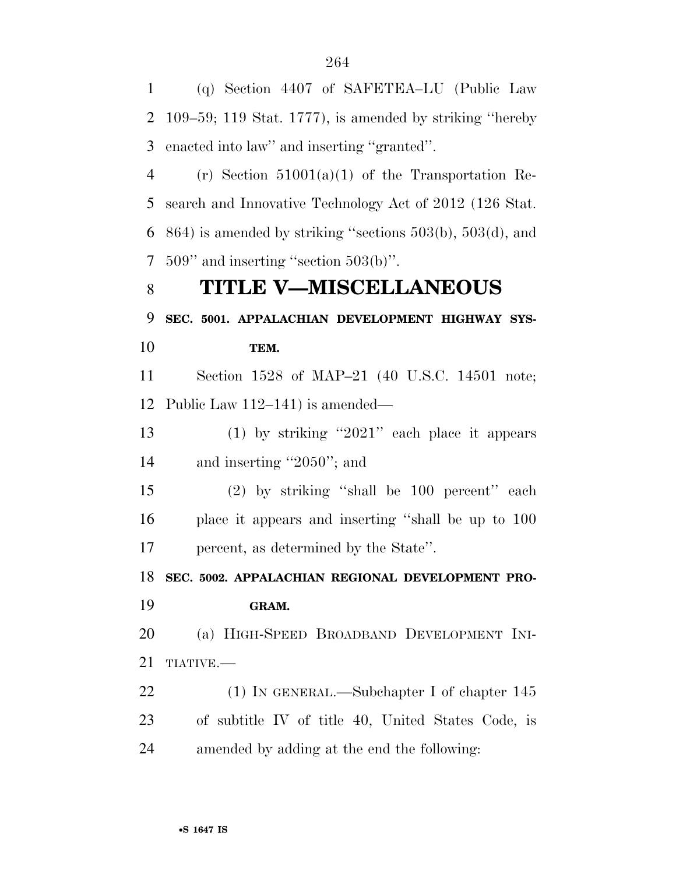(q) Section 4407 of SAFETEA–LU (Public Law 109–59; 119 Stat. 1777), is amended by striking ''hereby enacted into law'' and inserting ''granted''. (r) Section 51001(a)(1) of the Transportation Re- search and Innovative Technology Act of 2012 (126 Stat. 864) is amended by striking ''sections 503(b), 503(d), and 509'' and inserting ''section 503(b)''. **TITLE V—MISCELLANEOUS SEC. 5001. APPALACHIAN DEVELOPMENT HIGHWAY SYS- TEM.**  Section 1528 of MAP–21 (40 U.S.C. 14501 note; Public Law 112–141) is amended— (1) by striking ''2021'' each place it appears 14 and inserting "2050"; and (2) by striking ''shall be 100 percent'' each place it appears and inserting ''shall be up to 100 percent, as determined by the State''. **SEC. 5002. APPALACHIAN REGIONAL DEVELOPMENT PRO- GRAM.**  (a) HIGH-SPEED BROADBAND DEVELOPMENT INI-21 TIATIVE. 22 (1) IN GENERAL.—Subchapter I of chapter 145 of subtitle IV of title 40, United States Code, is amended by adding at the end the following: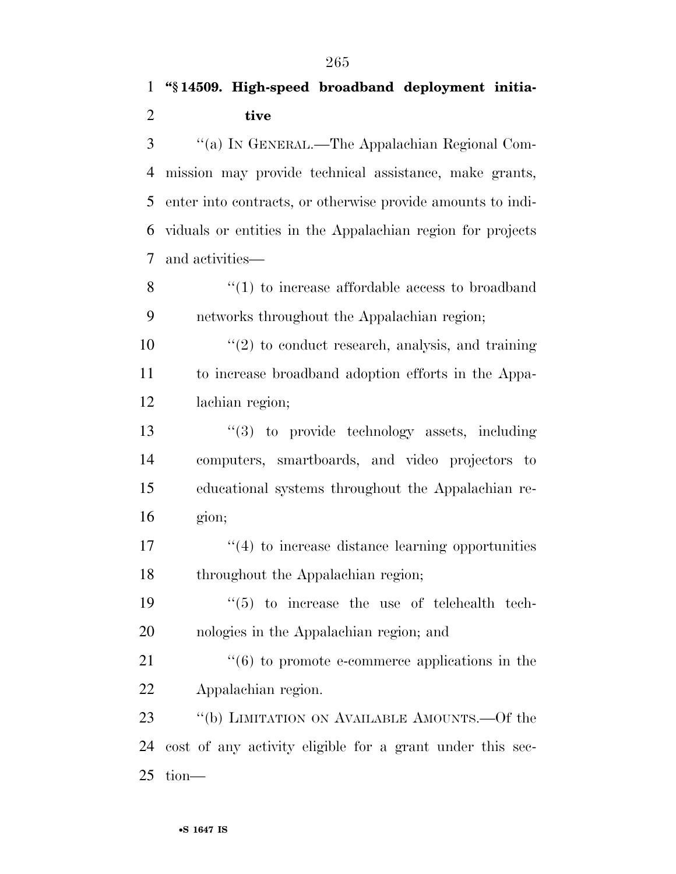''(a) IN GENERAL.—The Appalachian Regional Com- mission may provide technical assistance, make grants, enter into contracts, or otherwise provide amounts to indi- viduals or entities in the Appalachian region for projects and activities—

 ''(1) to increase affordable access to broadband networks throughout the Appalachian region;

 $\frac{10}{20}$  to conduct research, analysis, and training to increase broadband adoption efforts in the Appa-lachian region;

 $\frac{13}{2}$  to provide technology assets, including computers, smartboards, and video projectors to educational systems throughout the Appalachian re-gion;

17 ''(4) to increase distance learning opportunities 18 throughout the Appalachian region;

 ''(5) to increase the use of telehealth tech-nologies in the Appalachian region; and

21 ''(6) to promote e-commerce applications in the Appalachian region.

23 "(b) LIMITATION ON AVAILABLE AMOUNTS. - Of the cost of any activity eligible for a grant under this sec-tion—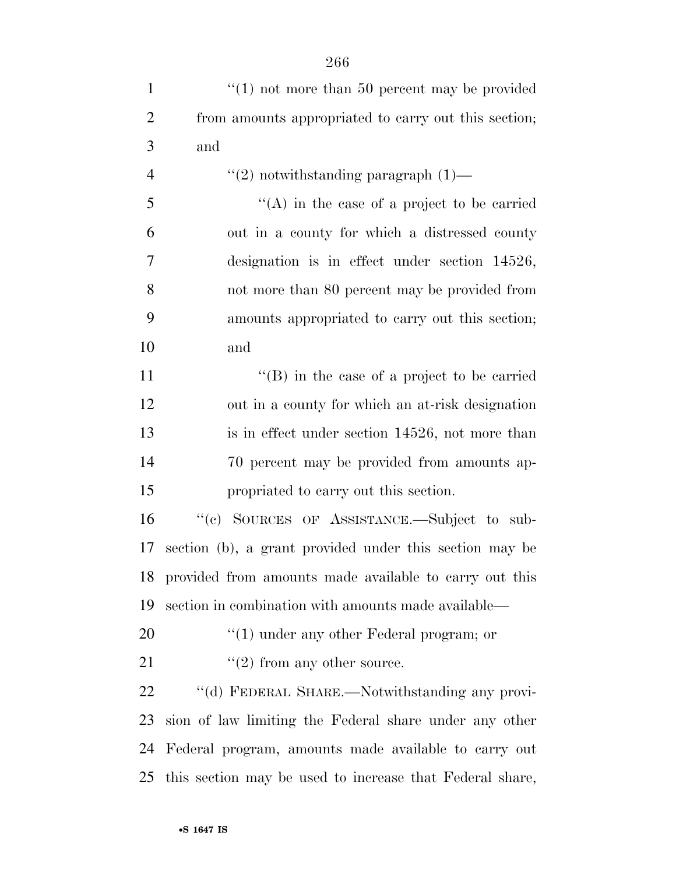| $\mathbf{1}$   | $"(1)$ not more than 50 percent may be provided           |
|----------------|-----------------------------------------------------------|
| $\overline{2}$ | from amounts appropriated to carry out this section;      |
| 3              | and                                                       |
| $\overline{4}$ | $"(2)$ notwithstanding paragraph $(1)$ —                  |
| 5              | $\lq\lq$ in the case of a project to be carried           |
| 6              | out in a county for which a distressed county             |
| $\tau$         | designation is in effect under section $14526$ ,          |
| 8              | not more than 80 percent may be provided from             |
| 9              | amounts appropriated to carry out this section;           |
| 10             | and                                                       |
| 11             | $\lq\lq$ (B) in the case of a project to be carried       |
| 12             | out in a county for which an at-risk designation          |
| 13             | is in effect under section 14526, not more than           |
| 14             | 70 percent may be provided from amounts ap-               |
| 15             | propriated to carry out this section.                     |
| 16             | "(c) SOURCES OF ASSISTANCE.—Subject to sub-               |
| 17             | section (b), a grant provided under this section may be   |
|                | 18 provided from amounts made available to carry out this |
| 19             | section in combination with amounts made available—       |
| 20             | $\lq(1)$ under any other Federal program; or              |
| 21             | $"(2)$ from any other source.                             |
| 22             | "(d) FEDERAL SHARE.—Notwithstanding any provi-            |
| 23             | sion of law limiting the Federal share under any other    |
| 24             | Federal program, amounts made available to carry out      |
| 25             | this section may be used to increase that Federal share,  |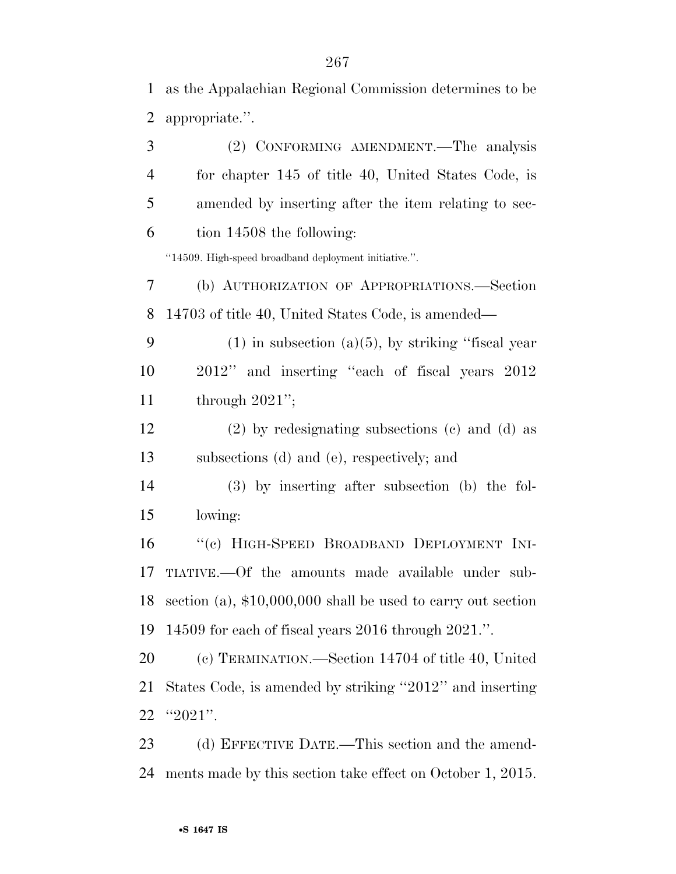as the Appalachian Regional Commission determines to be

| $\overline{2}$ | appropriate.".                                                |
|----------------|---------------------------------------------------------------|
| 3              | (2) CONFORMING AMENDMENT. The analysis                        |
| $\overline{4}$ | for chapter 145 of title 40, United States Code, is           |
| 5              | amended by inserting after the item relating to sec-          |
| 6              | tion 14508 the following:                                     |
|                | "14509. High-speed broadband deployment initiative.".         |
| 7              | (b) AUTHORIZATION OF APPROPRIATIONS.—Section                  |
| 8              | 14703 of title 40, United States Code, is amended—            |
| 9              | $(1)$ in subsection $(a)(5)$ , by striking "fiscal year"      |
| 10             | 2012" and inserting "each of fiscal years 2012                |
| 11             | through $2021$ ";                                             |
| 12             | $(2)$ by redesignating subsections $(c)$ and $(d)$ as         |
| 13             | subsections (d) and (e), respectively; and                    |
| 14             | $(3)$ by inserting after subsection (b) the fol-              |
| 15             | lowing:                                                       |
| 16             | "(c) HIGH-SPEED BROADBAND DEPLOYMENT INI-                     |
| 17             | TIATIVE.—Of the amounts made available under sub-             |
| 18             | section (a), $$10,000,000$ shall be used to carry out section |
| 19             | 14509 for each of fiscal years 2016 through 2021.".           |
| 20             | (c) TERMINATION.—Section 14704 of title 40, United            |
| 21             | States Code, is amended by striking "2012" and inserting      |
| 22             | "2021".                                                       |
| 23             | (d) EFFECTIVE DATE.—This section and the amend-               |
| 24             | ments made by this section take effect on October 1, 2015.    |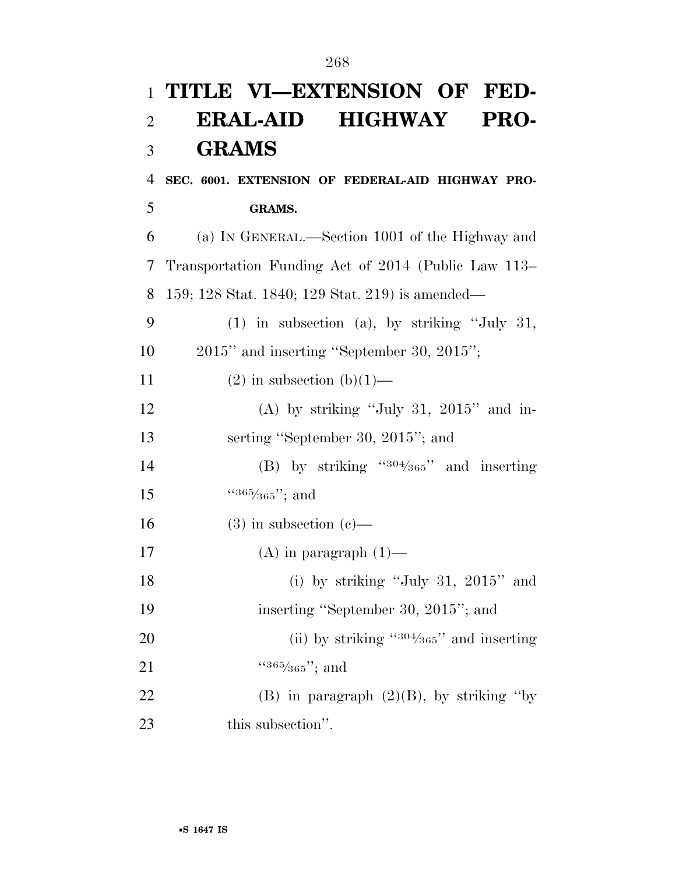## **TITLE VI—EXTENSION OF FED- ERAL-AID HIGHWAY PRO- GRAMS SEC. 6001. EXTENSION OF FEDERAL-AID HIGHWAY PRO- GRAMS.**  (a) IN GENERAL.—Section 1001 of the Highway and Transportation Funding Act of 2014 (Public Law 113– 159; 128 Stat. 1840; 129 Stat. 219) is amended— (1) in subsection (a), by striking ''July 31, 2015'' and inserting ''September 30, 2015''; 11 (2) in subsection  $(b)(1)$ — (A) by striking ''July 31, 2015'' and in- serting ''September 30, 2015''; and (B) by striking " $304/365$ " and inserting  $\frac{15}{365'365''}$ ; and 16 (3) in subsection  $(c)$ — 17  $(A)$  in paragraph  $(1)$ — (i) by striking ''July 31, 2015'' and inserting ''September 30, 2015''; and 20  $(iii)$  by striking  $4304/365$  and inserting 21  $\frac{(365/365)'}{365}$ ; and 22 (B) in paragraph  $(2)(B)$ , by striking "by 23 this subsection".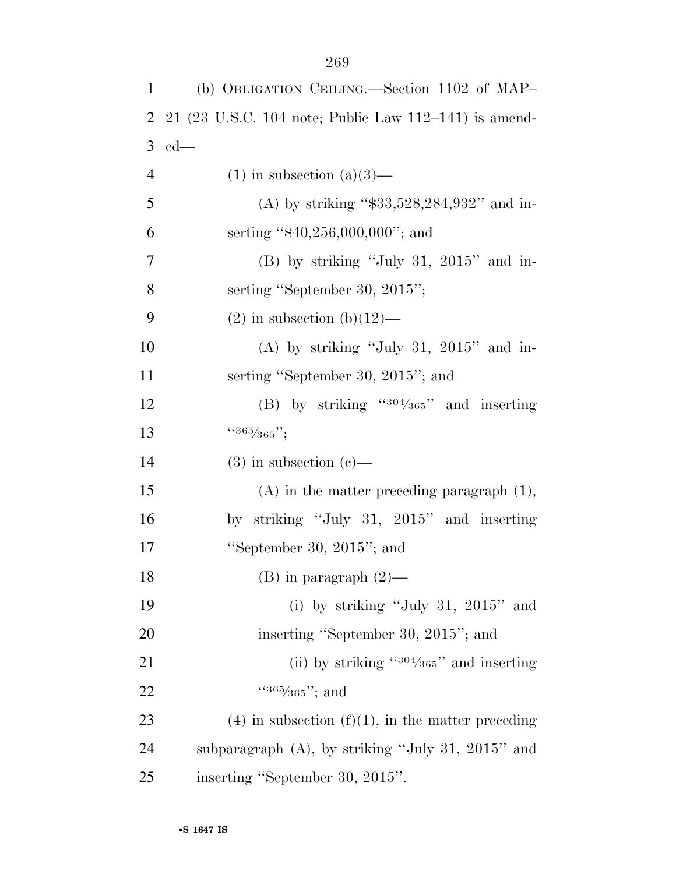| 1              | (b) OBLIGATION CEILING.—Section 1102 of MAP-            |
|----------------|---------------------------------------------------------|
| $\overline{2}$ | $21$ (23 U.S.C. 104 note; Public Law 112–141) is amend- |
| 3              | $ed$ —                                                  |
| $\overline{4}$ | $(1)$ in subsection $(a)(3)$ —                          |
| 5              | (A) by striking " $$33,528,284,932"$ and in-            |
| 6              | serting " $$40,256,000,000$ "; and                      |
| $\tau$         | $(B)$ by striking "July 31, 2015" and in-               |
| 8              | serting "September 30, 2015";                           |
| 9              | $(2)$ in subsection $(b)(12)$ —                         |
| 10             | (A) by striking "July 31, $2015$ " and in-              |
| 11             | serting "September 30, 2015"; and                       |
| 12             | (B) by striking " $304/365$ " and inserting             |
| 13             | $4365/365$ ";                                           |
| 14             | $(3)$ in subsection $(e)$ —                             |
| 15             | $(A)$ in the matter preceding paragraph $(1)$ ,         |
| 16             | by striking "July 31, $2015$ " and inserting            |
| 17             | "September 30, $2015$ "; and                            |
| 18             | $(B)$ in paragraph $(2)$                                |
| 19             | (i) by striking "July 31, $2015$ " and                  |
| 20             | inserting "September 30, 2015"; and                     |
| 21             | (ii) by striking $4304/365$ and inserting               |
| 22             | $4365/365$ "; and                                       |
| 23             | $(4)$ in subsection $(f)(1)$ , in the matter preceding  |
| 24             | subparagraph (A), by striking "July 31, 2015" and       |
| 25             | inserting "September 30, 2015".                         |